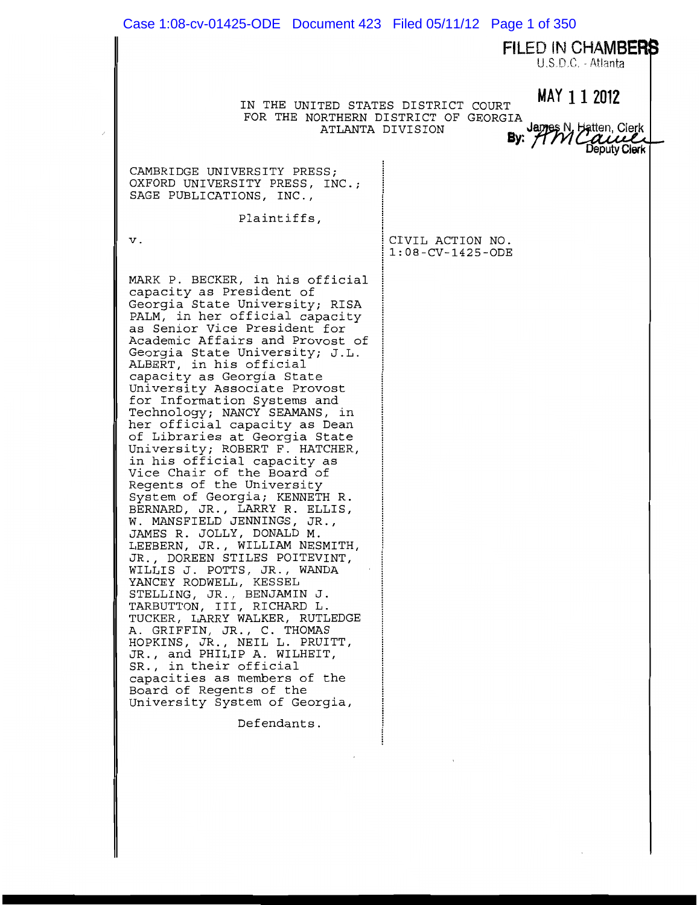| Case 1:08-cv-01425-ODE  Document 423  Filed 05/11/12  Page 1 of 350                                                                                                                                                                                                                                                                                                                                                                                                                                                                                                                                                                                                                                                                                                                                                                                                                                                                                                                                                                                                                                                                                                                   |                                                                                                                               |
|---------------------------------------------------------------------------------------------------------------------------------------------------------------------------------------------------------------------------------------------------------------------------------------------------------------------------------------------------------------------------------------------------------------------------------------------------------------------------------------------------------------------------------------------------------------------------------------------------------------------------------------------------------------------------------------------------------------------------------------------------------------------------------------------------------------------------------------------------------------------------------------------------------------------------------------------------------------------------------------------------------------------------------------------------------------------------------------------------------------------------------------------------------------------------------------|-------------------------------------------------------------------------------------------------------------------------------|
|                                                                                                                                                                                                                                                                                                                                                                                                                                                                                                                                                                                                                                                                                                                                                                                                                                                                                                                                                                                                                                                                                                                                                                                       | FILED IN CHAMBERS<br>U.S.D.C. - Atlanta                                                                                       |
| IN THE UNITED STATES DISTRICT COURT                                                                                                                                                                                                                                                                                                                                                                                                                                                                                                                                                                                                                                                                                                                                                                                                                                                                                                                                                                                                                                                                                                                                                   | MAY 1 1 2012<br>FOR THE NORTHERN DISTRICT OF GEORGIA<br>James N, Hatten, Clerk<br>ATLANTA DIVISION<br>By: $f$<br>Jeputy Clerk |
| CAMBRIDGE UNIVERSITY PRESS;<br>OXFORD UNIVERSITY PRESS, INC.;<br>SAGE PUBLICATIONS, INC.,                                                                                                                                                                                                                                                                                                                                                                                                                                                                                                                                                                                                                                                                                                                                                                                                                                                                                                                                                                                                                                                                                             |                                                                                                                               |
| Plaintiffs,                                                                                                                                                                                                                                                                                                                                                                                                                                                                                                                                                                                                                                                                                                                                                                                                                                                                                                                                                                                                                                                                                                                                                                           |                                                                                                                               |
| ν.                                                                                                                                                                                                                                                                                                                                                                                                                                                                                                                                                                                                                                                                                                                                                                                                                                                                                                                                                                                                                                                                                                                                                                                    | CIVIL ACTION NO.<br>$1:08$ - $CV-1425$ - ODE                                                                                  |
| MARK P. BECKER, in his official<br>capacity as President of<br>Georgia State University; RISA<br>PALM, in her official capacity<br>as Senior Vice President for<br>Academic Affairs and Provost of<br>Georgia State University; J.L.<br>ALBERT, in his official<br>capacity as Georgia State<br>University Associate Provost<br>for Information Systems and<br>Technology; NANCY SEAMANS, in<br>her official capacity as Dean<br>of Libraries at Georgia State<br>University; ROBERT F. HATCHER,<br>in his official capacity as<br>Vice Chair of the Board of<br>Regents of the University<br>System of Georgia; KENNETH R.<br>BERNARD, JR., LARRY R. ELLIS,<br>W. MANSFIELD JENNINGS, JR.,<br>JAMES R. JOLLY, DONALD M.<br>LEEBERN, JR., WILLIAM NESMITH,<br>JR., DOREEN STILES POITEVINT,<br>WILLIS J. POTTS, JR., WANDA<br>YANCEY RODWELL, KESSEL<br>STELLING, JR., BENJAMIN J.<br>TARBUTTON, III, RICHARD L.<br>TUCKER, LARRY WALKER, RUTLEDGE<br>A. GRIFFIN, JR., C. THOMAS<br>HOPKINS, JR., NEIL L. PRUITT,<br>JR., and PHILIP A. WILHEIT,<br>SR., in their official<br>capacities as members of the<br>Board of Regents of the<br>University System of Georgia,<br>Defendants. |                                                                                                                               |
|                                                                                                                                                                                                                                                                                                                                                                                                                                                                                                                                                                                                                                                                                                                                                                                                                                                                                                                                                                                                                                                                                                                                                                                       |                                                                                                                               |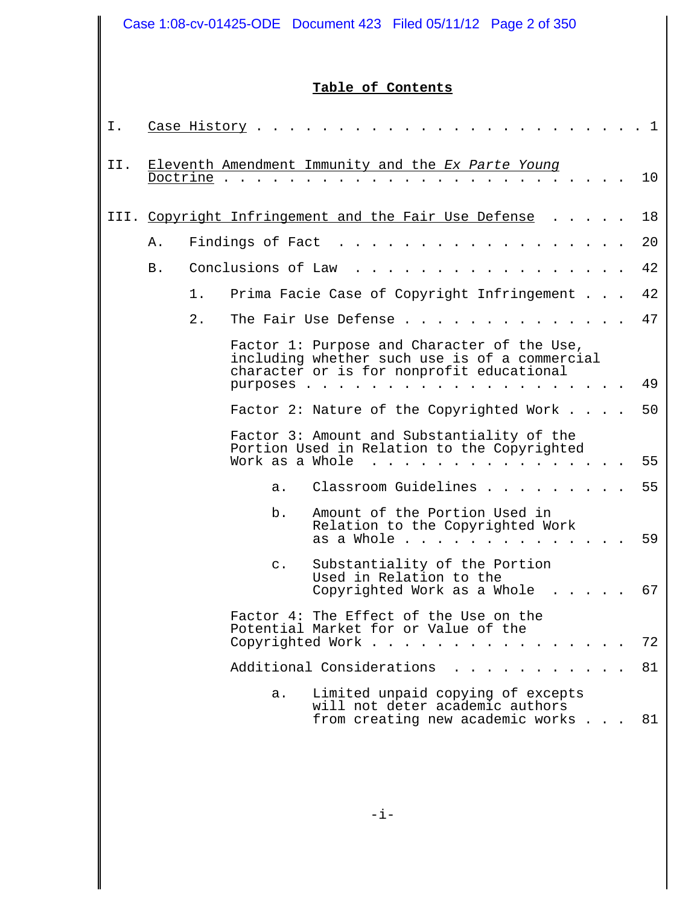| Case 1:08-cv-01425-ODE  Document 423  Filed 05/11/12  Page 2 of 350 |          |              |                    |                                                                                                                                           |  |    |
|---------------------------------------------------------------------|----------|--------------|--------------------|-------------------------------------------------------------------------------------------------------------------------------------------|--|----|
|                                                                     |          |              |                    | Table of Contents                                                                                                                         |  |    |
| Ι.                                                                  |          | Case History |                    |                                                                                                                                           |  | 1  |
| II.                                                                 | Doctrine |              |                    | Eleventh Amendment Immunity and the Ex Parte Young                                                                                        |  | 10 |
|                                                                     |          |              |                    | III. Copyright Infringement and the Fair Use Defense                                                                                      |  | 18 |
|                                                                     | Α.       |              | Findings of Fact   |                                                                                                                                           |  | 20 |
|                                                                     | Β.       |              | Conclusions of Law |                                                                                                                                           |  | 42 |
|                                                                     |          | 1.           |                    | Prima Facie Case of Copyright Infringement                                                                                                |  | 42 |
|                                                                     |          | $2$ .        |                    | The Fair Use Defense.                                                                                                                     |  | 47 |
|                                                                     |          |              |                    | Factor 1: Purpose and Character of the Use,<br>including whether such use is of a commercial<br>character or is for nonprofit educational |  |    |
|                                                                     |          |              | purposes.          |                                                                                                                                           |  | 49 |
|                                                                     |          |              |                    | Factor 2: Nature of the Copyrighted Work                                                                                                  |  | 50 |
|                                                                     |          |              | Work as a Whole    | Factor 3: Amount and Substantiality of the<br>Portion Used in Relation to the Copyrighted                                                 |  | 55 |
|                                                                     |          |              | а.                 | Classroom Guidelines                                                                                                                      |  | 55 |
|                                                                     |          |              | b.                 | Amount of the Portion Used in<br>Relation to the Copyrighted Work<br>as a Whole                                                           |  | 59 |
|                                                                     |          |              | $\mathsf{C}$ .     | Substantiality of the Portion<br>Used in Relation to the<br>Copyrighted Work as a Whole                                                   |  | 67 |
|                                                                     |          |              |                    | Factor 4: The Effect of the Use on the<br>Potential Market for or Value of the<br>Copyrighted Work                                        |  | 72 |
|                                                                     |          |              |                    | Additional Considerations                                                                                                                 |  | 81 |
|                                                                     |          |              | a.                 | Limited unpaid copying of excepts<br>will not deter academic authors<br>from creating new academic works                                  |  | 81 |

 $\mathsf{I}$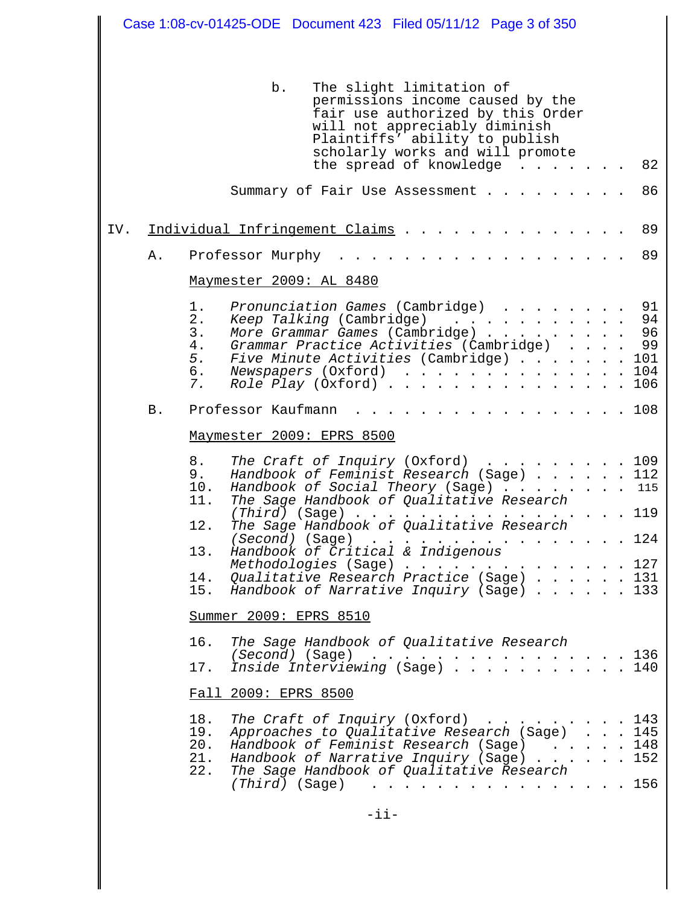| Case 1:08-cv-01425-ODE  Document 423  Filed 05/11/12  Page 3 of 350 |            |                                                                                                                                                                                                                                                                                                                                                                                                                                                                                                        |  |  |  |
|---------------------------------------------------------------------|------------|--------------------------------------------------------------------------------------------------------------------------------------------------------------------------------------------------------------------------------------------------------------------------------------------------------------------------------------------------------------------------------------------------------------------------------------------------------------------------------------------------------|--|--|--|
|                                                                     |            |                                                                                                                                                                                                                                                                                                                                                                                                                                                                                                        |  |  |  |
|                                                                     |            | b.<br>The slight limitation of<br>permissions income caused by the<br>fair use authorized by this Order<br>will not appreciably diminish<br>Plaintiffs' ability to publish<br>scholarly works and will promote<br>the spread of knowledge<br>82                                                                                                                                                                                                                                                        |  |  |  |
|                                                                     |            | 86<br>Summary of Fair Use Assessment                                                                                                                                                                                                                                                                                                                                                                                                                                                                   |  |  |  |
| IV.                                                                 |            | 89<br>Individual Infringement Claims                                                                                                                                                                                                                                                                                                                                                                                                                                                                   |  |  |  |
|                                                                     | Α.         | 89<br>Professor Murphy                                                                                                                                                                                                                                                                                                                                                                                                                                                                                 |  |  |  |
|                                                                     |            | Maymester 2009: AL 8480                                                                                                                                                                                                                                                                                                                                                                                                                                                                                |  |  |  |
|                                                                     |            | 1.<br>Pronunciation Games (Cambridge)<br>91<br>2.<br>94<br>Keep Talking (Cambridge)<br>More Grammar Games (Cambridge)<br>3.<br>96<br>Grammar Practice Activities (Cambridge)<br>99<br>4.<br>Five Minute Activities (Cambridge)<br>101<br>5.<br>Newspapers (Oxford)<br>104<br>6.<br>Role Play $(0xford)$<br>106<br>7.                                                                                                                                                                                   |  |  |  |
|                                                                     | <b>B</b> . | 108<br>Professor Kaufmann                                                                                                                                                                                                                                                                                                                                                                                                                                                                              |  |  |  |
|                                                                     |            | Maymester 2009: EPRS 8500                                                                                                                                                                                                                                                                                                                                                                                                                                                                              |  |  |  |
|                                                                     |            | 8.<br>The Craft of Inquiry (Oxford) $\ldots$ 109<br>Handbook of Feminist Research (Sage) 112<br>9.<br>Handbook of Social Theory (Sage) 115<br>10.<br>The Sage Handbook of Qualitative Research<br>11.<br>. 119<br>$(Third)$ (Sage)<br>The Sage Handbook of Qualitative Research<br>12.<br>(Second) (Sage)<br>124<br>Handbook of Critical & Indigenous<br>13.<br>. 127<br>Methodologies (Sage)<br>Qualitative Research Practice (Sage) 131<br>14.<br>Handbook of Narrative Inquiry (Sage)<br>133<br>15. |  |  |  |
|                                                                     |            | Summer 2009: EPRS 8510                                                                                                                                                                                                                                                                                                                                                                                                                                                                                 |  |  |  |
|                                                                     |            | 16.<br>The Sage Handbook of Qualitative Research<br>(Second) (Sage)<br>136<br>(Second) (Sage)<br>Inside Interviewing (Sage)<br>17.<br>140                                                                                                                                                                                                                                                                                                                                                              |  |  |  |
|                                                                     |            | Fall 2009: EPRS 8500                                                                                                                                                                                                                                                                                                                                                                                                                                                                                   |  |  |  |
|                                                                     |            | 18.<br>The Craft of Inquiry (Oxford)<br>143<br>$\mathcal{A}$ . The contribution of the contribution of $\mathcal{A}$<br>Approaches to Qualitative Research (Sage) 145<br>19.<br>Handbook of Feminist Research (Sage) 148<br>20.<br>Handbook of Narrative Inquiry (Sage) 152<br>21.<br>The Sage Handbook of Qualitative Research<br>22.<br>156<br>$(Third)$ (Sage)<br>$\mathbf{r}$ . The state of the state of the state $\mathbf{r}$                                                                   |  |  |  |
|                                                                     |            | $-ii$                                                                                                                                                                                                                                                                                                                                                                                                                                                                                                  |  |  |  |

 $\mathbf l$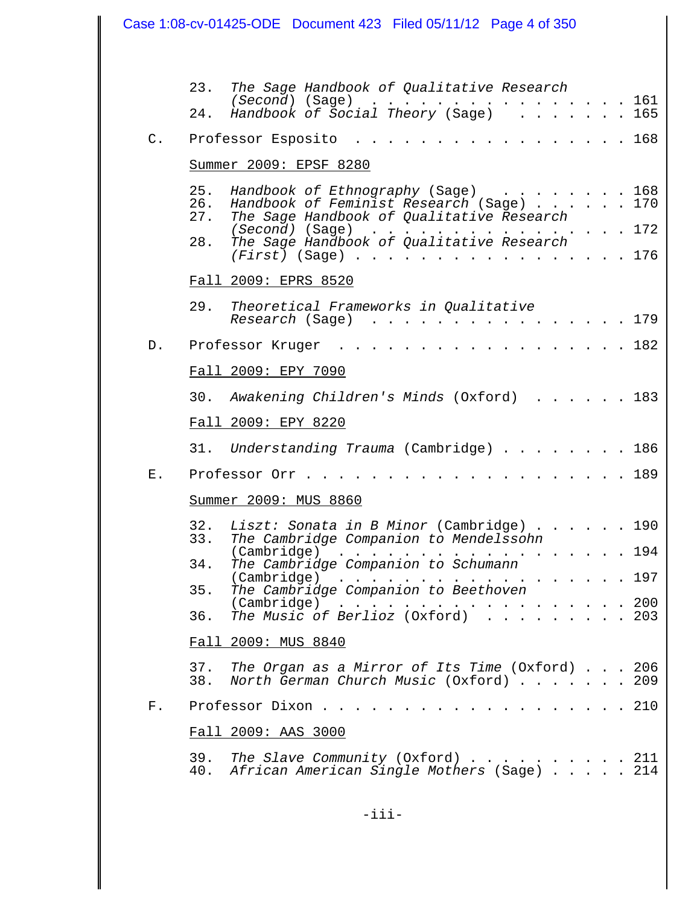|                | Case 1:08-cv-01425-ODE Document 423 Filed 05/11/12 Page 4 of 350                                                                                                                                                                                                  |
|----------------|-------------------------------------------------------------------------------------------------------------------------------------------------------------------------------------------------------------------------------------------------------------------|
|                |                                                                                                                                                                                                                                                                   |
|                | 23.<br>The Sage Handbook of Qualitative Research                                                                                                                                                                                                                  |
|                | (Second) (Sage) 161<br>Handbook of Social Theory (Sage) 165<br>24.                                                                                                                                                                                                |
| $\mathsf{C}$ . | . 168<br>Professor Esposito                                                                                                                                                                                                                                       |
|                | Summer 2009: EPSF 8280                                                                                                                                                                                                                                            |
|                | Handbook of Ethnography (Sage) 168<br>25.                                                                                                                                                                                                                         |
|                | 26. Handbook of Feminist Research (Sage) 170<br>The Sage Handbook of Qualitative Research<br>27.                                                                                                                                                                  |
|                | . 172<br>(Second) (Sage)<br>The Sage Handbook of Qualitative Research<br>28.                                                                                                                                                                                      |
|                | (First) (Sage) 176                                                                                                                                                                                                                                                |
|                | Fall 2009: EPRS 8520                                                                                                                                                                                                                                              |
|                | 29.<br>Theoretical Frameworks in Qualitative<br>. 179<br>Research (Sage)                                                                                                                                                                                          |
| $D$ .          | . 182<br>Professor Kruger                                                                                                                                                                                                                                         |
|                | Fall 2009: EPY 7090                                                                                                                                                                                                                                               |
|                | 30.<br>Awakening Children's Minds (Oxford) 183                                                                                                                                                                                                                    |
|                | Fall 2009: EPY 8220                                                                                                                                                                                                                                               |
|                | Understanding Trauma (Cambridge) 186<br>31.                                                                                                                                                                                                                       |
| Е.             | 189<br>Professor Orr.                                                                                                                                                                                                                                             |
|                | Summer 2009: MUS 8860                                                                                                                                                                                                                                             |
|                | 190<br>The Cambridge Companion to Mendelssohn<br>33.                                                                                                                                                                                                              |
|                | . 194<br>(Cambridge)<br>$\mathcal{L}^{\mathcal{A}}$ . The set of the set of the set of the set of the set of the set of the set of the set of the set of the set of the set of the set of the set of the set of the set of the set of the set of the set of the s |
|                | The Cambridge Companion to Schumann<br>34.<br>(Cambridge)<br>. 197                                                                                                                                                                                                |
|                | The Cambridge Companion to Beethoven<br>35.<br>(Cambridge) 200<br>The Music of Berlioz (Oxford) 203                                                                                                                                                               |
|                | 36.                                                                                                                                                                                                                                                               |
|                | Fall 2009: MUS 8840                                                                                                                                                                                                                                               |
|                | 37. The Organ as a Mirror of Its Time (Oxford) 206<br>38. North German Church Music (Oxford) 209                                                                                                                                                                  |
| F.             | . 210<br>Professor Dixon                                                                                                                                                                                                                                          |
|                | Fall 2009: AAS 3000                                                                                                                                                                                                                                               |
|                | 39.<br>The Slave Community (Oxford) $\ldots$ 211<br>40. African American Single Mothers (Sage) 214                                                                                                                                                                |
|                |                                                                                                                                                                                                                                                                   |

 $\mathsf{I}$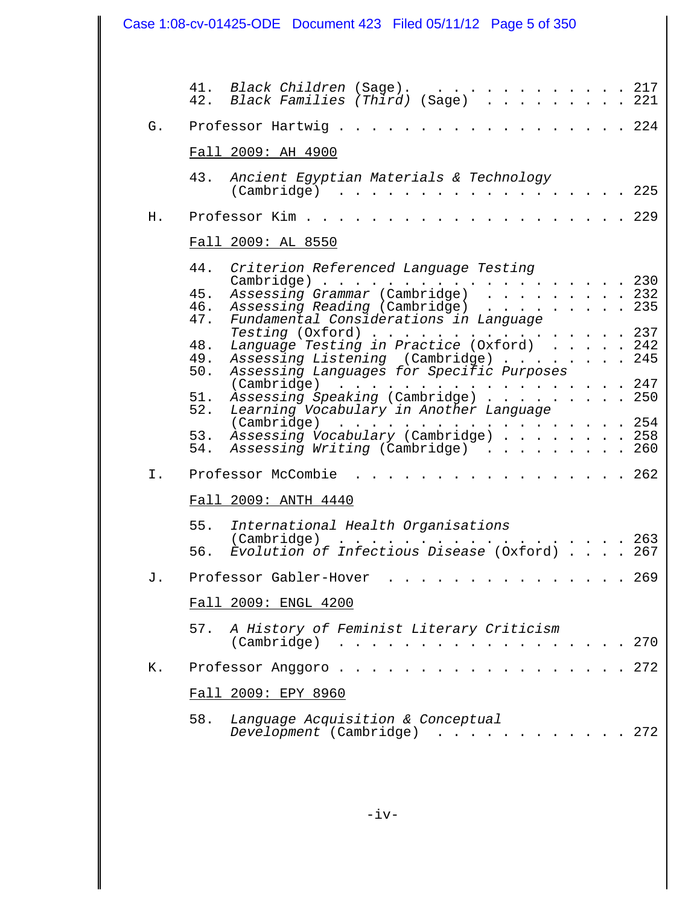| Case 1:08-cv-01425-ODE  Document 423  Filed 05/11/12  Page 5 of 350 |                          |                                                                                                                                                                                                                                                                                                     |  |
|---------------------------------------------------------------------|--------------------------|-----------------------------------------------------------------------------------------------------------------------------------------------------------------------------------------------------------------------------------------------------------------------------------------------------|--|
|                                                                     |                          |                                                                                                                                                                                                                                                                                                     |  |
|                                                                     | 42.                      | 41. Black Children (Sage). 217<br>Black Families (Third) (Sage) 221                                                                                                                                                                                                                                 |  |
| G.                                                                  |                          | . 224<br>Professor Hartwig.                                                                                                                                                                                                                                                                         |  |
|                                                                     |                          | Fall 2009: AH 4900                                                                                                                                                                                                                                                                                  |  |
|                                                                     | 43.                      | Ancient Egyptian Materials & Technology<br>225<br>$(Cambridge) \dots \dots \dots \dots \dots \dots \dots \dots$                                                                                                                                                                                     |  |
| Η.                                                                  |                          | . 229<br>Professor Kim                                                                                                                                                                                                                                                                              |  |
|                                                                     |                          | Fall 2009: AL 8550                                                                                                                                                                                                                                                                                  |  |
|                                                                     | 44.<br>45.<br>46.        | Criterion Referenced Language Testing<br>.230<br>$Cambridge)$<br>Assessing Grammar (Cambridge) 232<br>Assessing Reading (Cambridge) 235<br>Fundamental Considerations in Language                                                                                                                   |  |
|                                                                     | 47.<br>48.<br>49.<br>50. | Testing (Oxford) 237<br>Language Testing in Practice (Oxford) 242<br>Assessing Listening (Cambridge) 245<br>Assessing Languages for Specific Purposes                                                                                                                                               |  |
|                                                                     | 51.<br>52.               | $(Cambridge)$ 247<br>Assessing Speaking (Cambridge) 250<br>Learning Vocabulary in Another Language                                                                                                                                                                                                  |  |
|                                                                     | 53.<br>54.               | (Cambridge) 254<br>Assessing Vocabulary (Cambridge) 258<br>Assessing Writing (Cambridge) 260                                                                                                                                                                                                        |  |
| $\mathbb{I}$ .                                                      |                          | $\cdots$ 262<br>Professor McCombie                                                                                                                                                                                                                                                                  |  |
|                                                                     |                          | Fall 2009: ANTH 4440                                                                                                                                                                                                                                                                                |  |
|                                                                     | 55.<br>56.               | International Health Organisations<br>(Cambridge)<br>263<br>Evolution of Infectious Disease (Oxford)<br>267                                                                                                                                                                                         |  |
| J.                                                                  |                          | Professor Gabler-Hover<br>. 269                                                                                                                                                                                                                                                                     |  |
|                                                                     |                          | Fall 2009: ENGL 4200                                                                                                                                                                                                                                                                                |  |
|                                                                     | 57.                      | A History of Feminist Literary Criticism<br>270<br>(Cambridge)<br>$\mathbf{r}$ . The contribution of the contribution of the contribution of the contribution of the contribution of the contribution of the contribution of the contribution of the contribution of the contribution of the contri |  |
| Κ.                                                                  |                          | . 272<br>Professor Anggoro                                                                                                                                                                                                                                                                          |  |
|                                                                     |                          | Fall 2009: EPY 8960                                                                                                                                                                                                                                                                                 |  |
|                                                                     | 58.                      | Language Acquisition & Conceptual<br>Development (Cambridge)<br>272                                                                                                                                                                                                                                 |  |
|                                                                     |                          |                                                                                                                                                                                                                                                                                                     |  |

Ш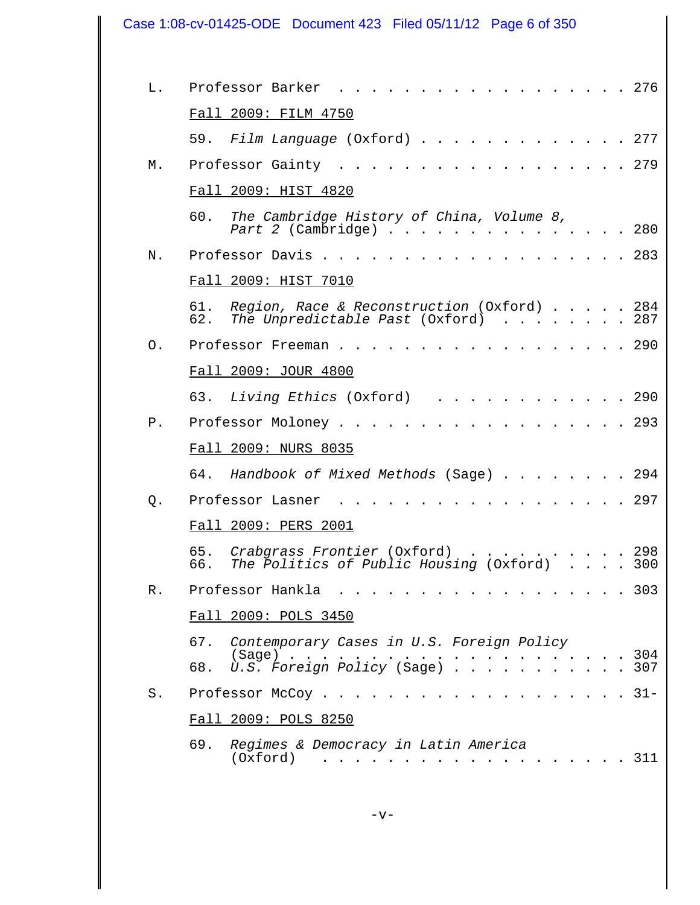| Case 1:08-cv-01425-ODE  Document 423  Filed 05/11/12  Page 6 of 350 |                                                                                                                                  |  |
|---------------------------------------------------------------------|----------------------------------------------------------------------------------------------------------------------------------|--|
| L.                                                                  | Professor Barker<br>$\cdot$ $\cdot$ $\cdot$ 276                                                                                  |  |
|                                                                     | Fall 2009: FILM 4750                                                                                                             |  |
|                                                                     | Film Language (Oxford) 277<br>59.                                                                                                |  |
| М.                                                                  | Professor Gainty<br>. 279                                                                                                        |  |
|                                                                     | Fall 2009: HIST 4820                                                                                                             |  |
|                                                                     | 60.<br>The Cambridge History of China, Volume 8,<br>Part 2 (Cambridge) 280                                                       |  |
| Ν.                                                                  | Professor Davis.<br>. 283                                                                                                        |  |
|                                                                     | Fall 2009: HIST 7010                                                                                                             |  |
|                                                                     | Region, Race & Reconstruction (Oxford) 284<br>61.<br>The Unpredictable Past (Oxford)<br>287<br>62.                               |  |
| $\Omega$ .                                                          | . 290<br>Professor Freeman                                                                                                       |  |
|                                                                     | Fall 2009: JOUR 4800                                                                                                             |  |
|                                                                     | Living Ethics (Oxford)<br>63.<br>$\cdot$ $\cdot$ $\cdot$ $\cdot$ 290                                                             |  |
| Ρ.                                                                  | $\cdots$ 293<br>Professor Moloney .                                                                                              |  |
|                                                                     | Fall 2009: NURS 8035                                                                                                             |  |
|                                                                     | Handbook of Mixed Methods (Sage) 294<br>64.                                                                                      |  |
| Q.                                                                  | . 297<br>Professor Lasner                                                                                                        |  |
|                                                                     | Fall 2009: PERS 2001                                                                                                             |  |
|                                                                     | Crabgrass Frontier (Oxford) 298<br>65.                                                                                           |  |
|                                                                     | The Politics of Public Housing (Oxford) 300<br>66.                                                                               |  |
| R.                                                                  | Professor Hankla<br>$\cdot$ $\cdot$ $\cdot$ 303                                                                                  |  |
|                                                                     | Fall 2009: POLS 3450                                                                                                             |  |
|                                                                     | 67. Contemporary Cases in U.S. Foreign Policy                                                                                    |  |
|                                                                     | 68.                                                                                                                              |  |
| $S$ .                                                               | . 31-<br>Professor McCoy.<br>$\cdots$ $\cdots$                                                                                   |  |
|                                                                     | Fall 2009: POLS 8250                                                                                                             |  |
|                                                                     | 69.<br>Regimes & Democracy in Latin America<br>(Oxford)<br>. 311<br>$\mathbf{r}$ . The set of $\mathbf{r}$<br>and the control of |  |

 $\mathbf l$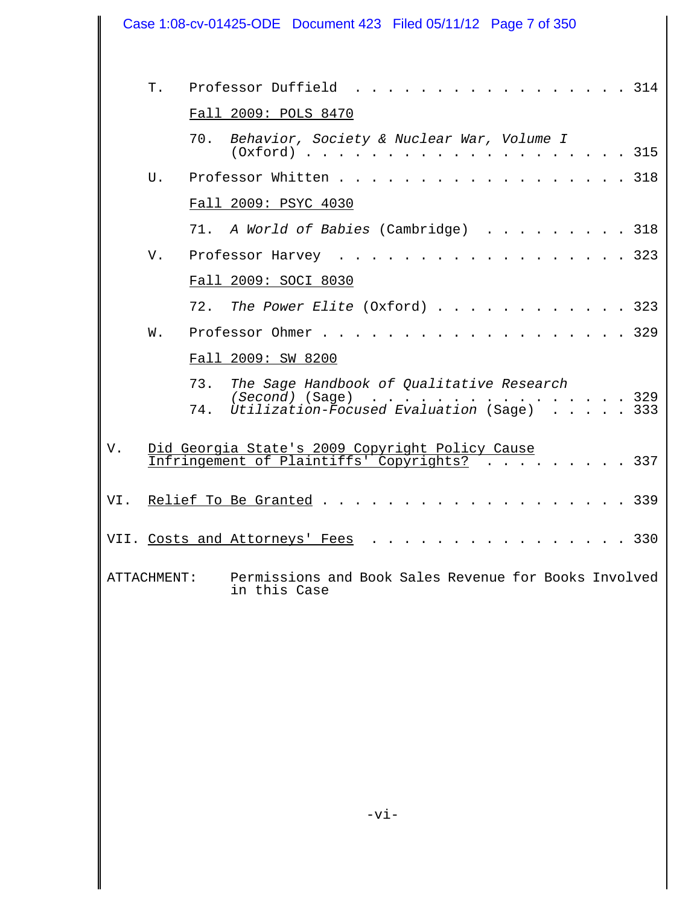| Case 1:08-cv-01425-ODE  Document 423  Filed 05/11/12  Page 7 of 350 |    |                                                                                                                                                                                             |  |  |
|---------------------------------------------------------------------|----|---------------------------------------------------------------------------------------------------------------------------------------------------------------------------------------------|--|--|
|                                                                     | Τ. | Professor Duffield .<br>. 314<br>Fall 2009: POLS 8470                                                                                                                                       |  |  |
|                                                                     |    | 70.<br>Behavior, Society & Nuclear War, Volume I<br>315                                                                                                                                     |  |  |
|                                                                     | U. | Professor Whitten 318                                                                                                                                                                       |  |  |
|                                                                     |    | Fall 2009: PSYC 4030                                                                                                                                                                        |  |  |
|                                                                     |    | 71. A World of Babies (Cambridge) 318                                                                                                                                                       |  |  |
|                                                                     | V. | . 323<br>Professor Harvey                                                                                                                                                                   |  |  |
|                                                                     |    | Fall 2009: SOCI 8030                                                                                                                                                                        |  |  |
|                                                                     |    | 72. The Power Elite (Oxford) 323                                                                                                                                                            |  |  |
|                                                                     | W. | Professor Ohmer<br>. 329                                                                                                                                                                    |  |  |
|                                                                     |    | Fall 2009: SW 8200                                                                                                                                                                          |  |  |
|                                                                     |    | The Sage Handbook of Qualitative Research<br>73.<br>(Second) (Sage)<br>. 329<br>$\mathbf{L}^{\text{max}}$ and $\mathbf{L}^{\text{max}}$<br>Utilization-Focused Evaluation (Sage) 333<br>74. |  |  |
| V.                                                                  |    | Did Georgia State's 2009 Copyright Policy Cause<br>Infringement of Plaintiffs' Copyrights?<br>337                                                                                           |  |  |
| VI.                                                                 |    | $\frac{1}{2}$<br>Relief To Be Granted.<br>339                                                                                                                                               |  |  |
|                                                                     |    | VII. Costs and Attorneys' Fees<br>$\cdot \cdot \cdot \cdot 330$                                                                                                                             |  |  |
| ATTACHMENT:                                                         |    | Permissions and Book Sales Revenue for Books Involved<br>in this Case                                                                                                                       |  |  |
|                                                                     |    |                                                                                                                                                                                             |  |  |
|                                                                     |    |                                                                                                                                                                                             |  |  |
|                                                                     |    |                                                                                                                                                                                             |  |  |
|                                                                     |    |                                                                                                                                                                                             |  |  |
|                                                                     |    |                                                                                                                                                                                             |  |  |
|                                                                     |    | $-vi$ –                                                                                                                                                                                     |  |  |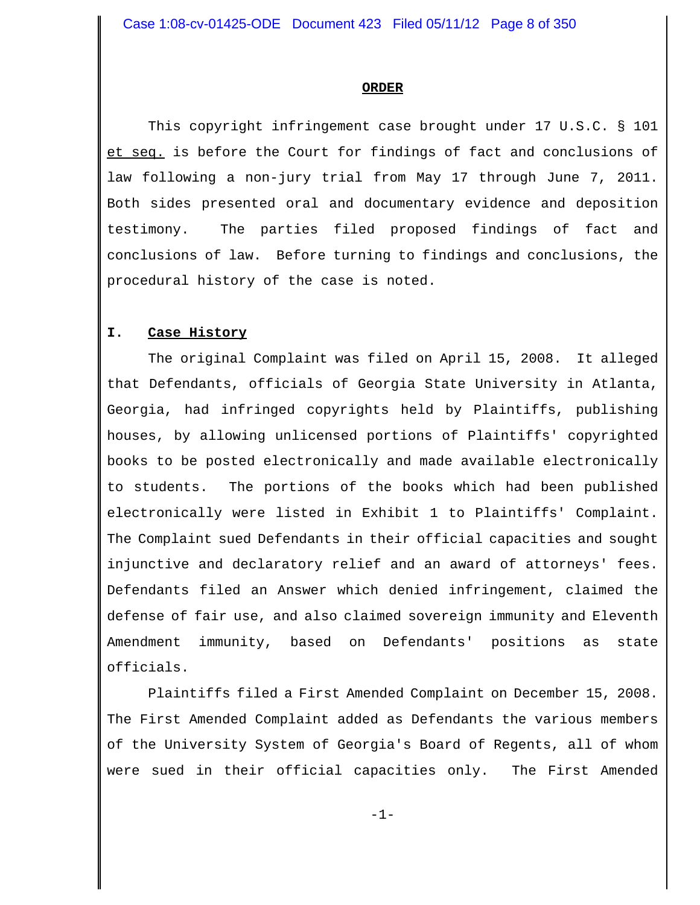#### **ORDER**

This copyright infringement case brought under 17 U.S.C. § 101 et seq. is before the Court for findings of fact and conclusions of law following a non-jury trial from May 17 through June 7, 2011. Both sides presented oral and documentary evidence and deposition testimony. The parties filed proposed findings of fact and conclusions of law. Before turning to findings and conclusions, the procedural history of the case is noted.

#### **I. Case History**

The original Complaint was filed on April 15, 2008. It alleged that Defendants, officials of Georgia State University in Atlanta, Georgia, had infringed copyrights held by Plaintiffs, publishing houses, by allowing unlicensed portions of Plaintiffs' copyrighted books to be posted electronically and made available electronically to students. The portions of the books which had been published electronically were listed in Exhibit 1 to Plaintiffs' Complaint. The Complaint sued Defendants in their official capacities and sought injunctive and declaratory relief and an award of attorneys' fees. Defendants filed an Answer which denied infringement, claimed the defense of fair use, and also claimed sovereign immunity and Eleventh Amendment immunity, based on Defendants' positions as state officials.

Plaintiffs filed a First Amended Complaint on December 15, 2008. The First Amended Complaint added as Defendants the various members of the University System of Georgia's Board of Regents, all of whom were sued in their official capacities only. The First Amended

-1-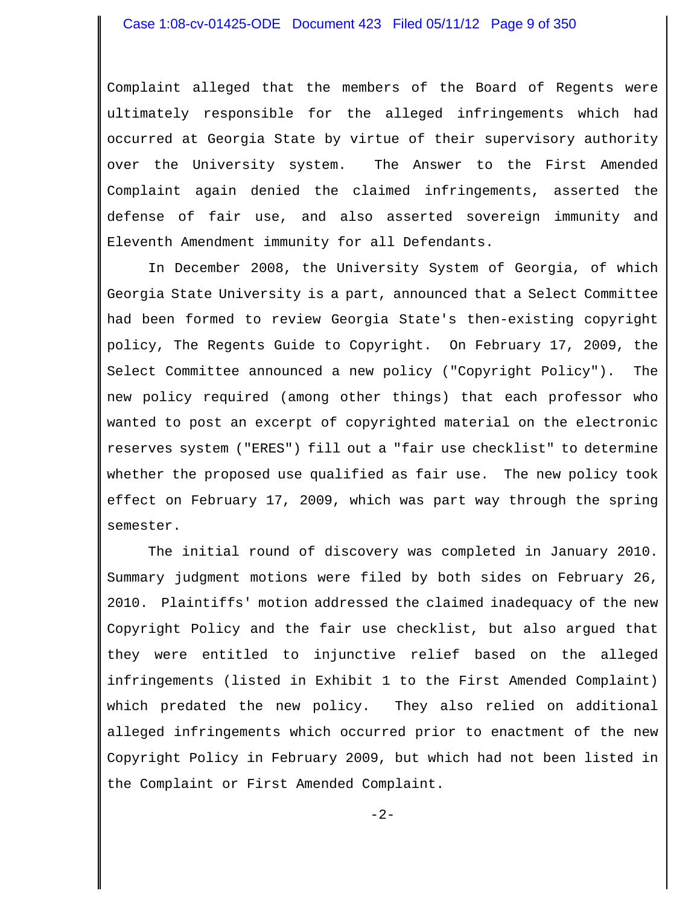Complaint alleged that the members of the Board of Regents were ultimately responsible for the alleged infringements which had occurred at Georgia State by virtue of their supervisory authority over the University system. The Answer to the First Amended Complaint again denied the claimed infringements, asserted the defense of fair use, and also asserted sovereign immunity and Eleventh Amendment immunity for all Defendants.

In December 2008, the University System of Georgia, of which Georgia State University is a part, announced that a Select Committee had been formed to review Georgia State's then-existing copyright policy, The Regents Guide to Copyright. On February 17, 2009, the Select Committee announced a new policy ("Copyright Policy"). The new policy required (among other things) that each professor who wanted to post an excerpt of copyrighted material on the electronic reserves system ("ERES") fill out a "fair use checklist" to determine whether the proposed use qualified as fair use. The new policy took effect on February 17, 2009, which was part way through the spring semester.

The initial round of discovery was completed in January 2010. Summary judgment motions were filed by both sides on February 26, 2010. Plaintiffs' motion addressed the claimed inadequacy of the new Copyright Policy and the fair use checklist, but also argued that they were entitled to injunctive relief based on the alleged infringements (listed in Exhibit 1 to the First Amended Complaint) which predated the new policy. They also relied on additional alleged infringements which occurred prior to enactment of the new Copyright Policy in February 2009, but which had not been listed in the Complaint or First Amended Complaint.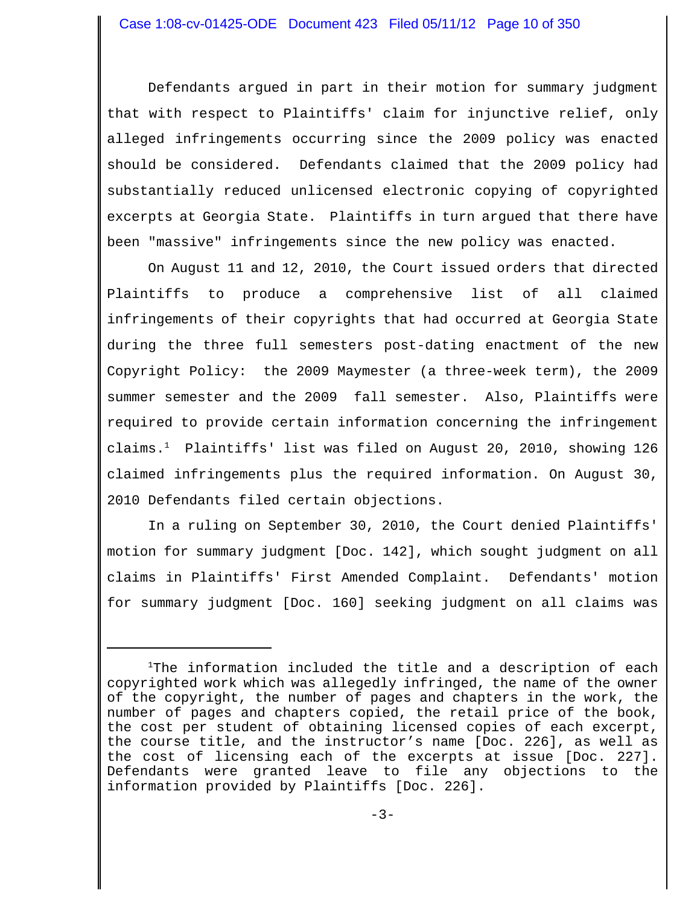Defendants argued in part in their motion for summary judgment that with respect to Plaintiffs' claim for injunctive relief, only alleged infringements occurring since the 2009 policy was enacted should be considered. Defendants claimed that the 2009 policy had substantially reduced unlicensed electronic copying of copyrighted excerpts at Georgia State. Plaintiffs in turn argued that there have been "massive" infringements since the new policy was enacted.

On August 11 and 12, 2010, the Court issued orders that directed Plaintiffs to produce a comprehensive list of all claimed infringements of their copyrights that had occurred at Georgia State during the three full semesters post-dating enactment of the new Copyright Policy: the 2009 Maymester (a three-week term), the 2009 summer semester and the 2009 fall semester. Also, Plaintiffs were required to provide certain information concerning the infringement claims.<sup>1</sup> Plaintiffs' list was filed on August 20, 2010, showing 126 claimed infringements plus the required information. On August 30, 2010 Defendants filed certain objections.

In a ruling on September 30, 2010, the Court denied Plaintiffs' motion for summary judgment [Doc. 142], which sought judgment on all claims in Plaintiffs' First Amended Complaint. Defendants' motion for summary judgment [Doc. 160] seeking judgment on all claims was

 $1$ The information included the title and a description of each copyrighted work which was allegedly infringed, the name of the owner of the copyright, the number of pages and chapters in the work, the number of pages and chapters copied, the retail price of the book, the cost per student of obtaining licensed copies of each excerpt, the course title, and the instructor's name [Doc. 226], as well as the cost of licensing each of the excerpts at issue [Doc. 227]. Defendants were granted leave to file any objections to the information provided by Plaintiffs [Doc. 226].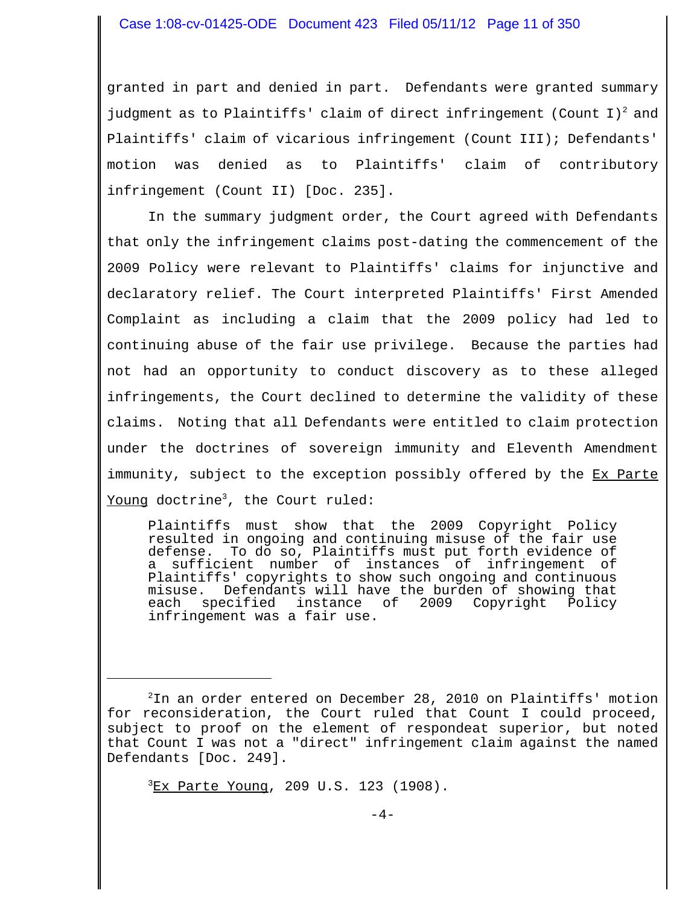granted in part and denied in part. Defendants were granted summary judgment as to Plaintiffs' claim of direct infringement (Count I)<sup>2</sup> and Plaintiffs' claim of vicarious infringement (Count III); Defendants' motion was denied as to Plaintiffs' claim of contributory infringement (Count II) [Doc. 235].

In the summary judgment order, the Court agreed with Defendants that only the infringement claims post-dating the commencement of the 2009 Policy were relevant to Plaintiffs' claims for injunctive and declaratory relief. The Court interpreted Plaintiffs' First Amended Complaint as including a claim that the 2009 policy had led to continuing abuse of the fair use privilege. Because the parties had not had an opportunity to conduct discovery as to these alleged infringements, the Court declined to determine the validity of these claims. Noting that all Defendants were entitled to claim protection under the doctrines of sovereign immunity and Eleventh Amendment immunity, subject to the exception possibly offered by the Ex Parte Young doctrine<sup>3</sup>, the Court ruled:

Plaintiffs must show that the 2009 Copyright Policy resulted in ongoing and continuing misuse of the fair use defense. To do so, Plaintiffs must put forth evidence of a sufficient number of instances of infringement of Plaintiffs' copyrights to show such ongoing and continuous misuse. Defendants will have the burden of showing that<br>each specified instance of 2009 Copyright Policy 2009 Copyright Policy infringement was a fair use.

<sup>3</sup> Ex Parte Young, 209 U.S. 123 (1908).

<sup>2</sup> In an order entered on December 28, 2010 on Plaintiffs' motion for reconsideration, the Court ruled that Count I could proceed, subject to proof on the element of respondeat superior, but noted that Count I was not a "direct" infringement claim against the named Defendants [Doc. 249].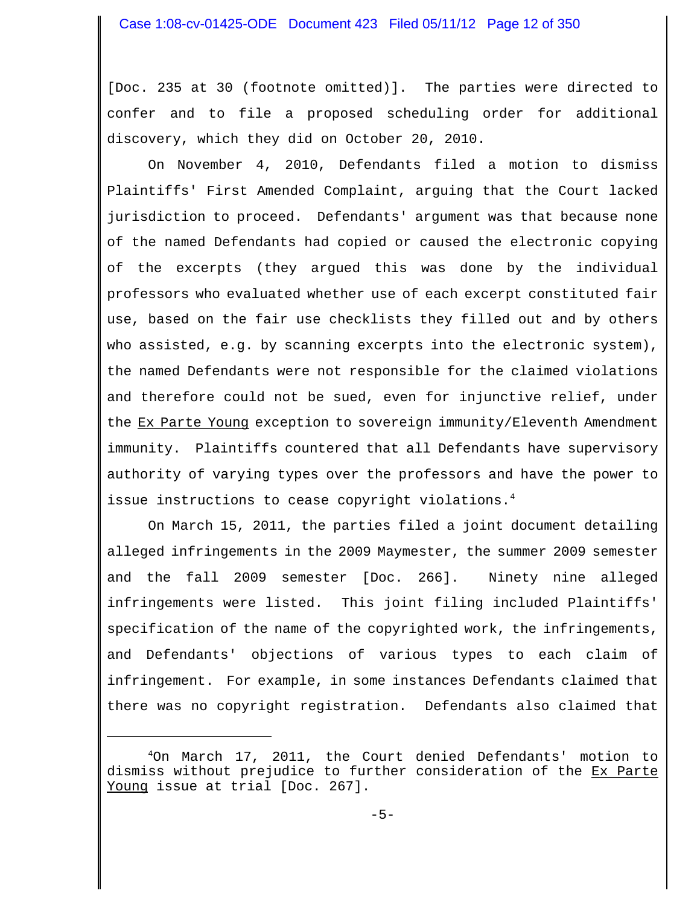[Doc. 235 at 30 (footnote omitted)]. The parties were directed to confer and to file a proposed scheduling order for additional discovery, which they did on October 20, 2010.

On November 4, 2010, Defendants filed a motion to dismiss Plaintiffs' First Amended Complaint, arguing that the Court lacked jurisdiction to proceed. Defendants' argument was that because none of the named Defendants had copied or caused the electronic copying of the excerpts (they argued this was done by the individual professors who evaluated whether use of each excerpt constituted fair use, based on the fair use checklists they filled out and by others who assisted, e.g. by scanning excerpts into the electronic system), the named Defendants were not responsible for the claimed violations and therefore could not be sued, even for injunctive relief, under the Ex Parte Young exception to sovereign immunity/Eleventh Amendment immunity. Plaintiffs countered that all Defendants have supervisory authority of varying types over the professors and have the power to issue instructions to cease copyright violations.<sup>4</sup>

On March 15, 2011, the parties filed a joint document detailing alleged infringements in the 2009 Maymester, the summer 2009 semester and the fall 2009 semester [Doc. 266]. Ninety nine alleged infringements were listed. This joint filing included Plaintiffs' specification of the name of the copyrighted work, the infringements, and Defendants' objections of various types to each claim of infringement. For example, in some instances Defendants claimed that there was no copyright registration. Defendants also claimed that

<sup>4</sup>On March 17, 2011, the Court denied Defendants' motion to dismiss without prejudice to further consideration of the Ex Parte Young issue at trial [Doc. 267].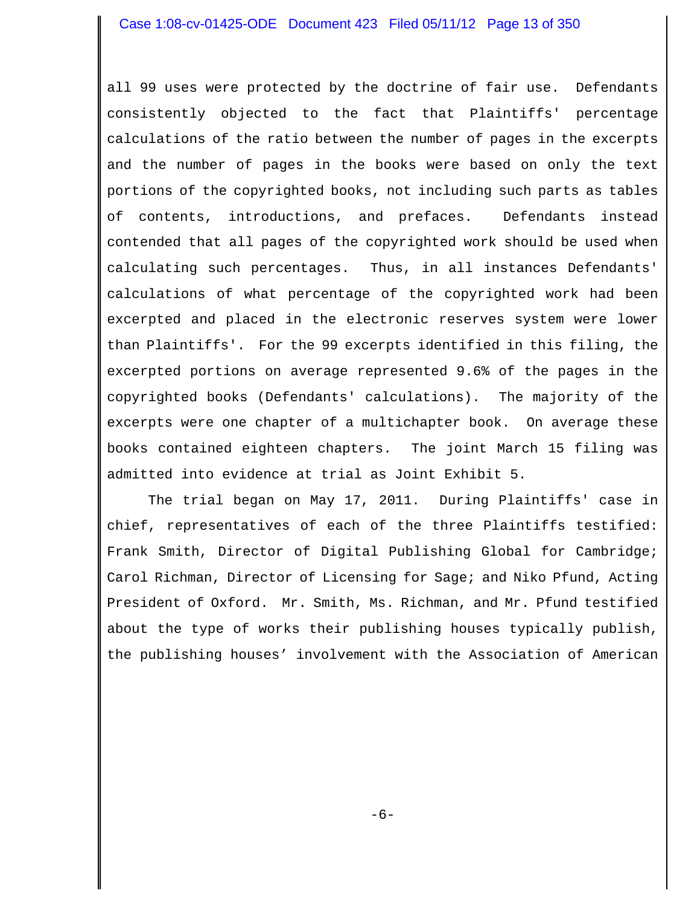all 99 uses were protected by the doctrine of fair use. Defendants consistently objected to the fact that Plaintiffs' percentage calculations of the ratio between the number of pages in the excerpts and the number of pages in the books were based on only the text portions of the copyrighted books, not including such parts as tables of contents, introductions, and prefaces. Defendants instead contended that all pages of the copyrighted work should be used when calculating such percentages. Thus, in all instances Defendants' calculations of what percentage of the copyrighted work had been excerpted and placed in the electronic reserves system were lower than Plaintiffs'. For the 99 excerpts identified in this filing, the excerpted portions on average represented 9.6% of the pages in the copyrighted books (Defendants' calculations). The majority of the excerpts were one chapter of a multichapter book. On average these books contained eighteen chapters. The joint March 15 filing was admitted into evidence at trial as Joint Exhibit 5.

The trial began on May 17, 2011. During Plaintiffs' case in chief, representatives of each of the three Plaintiffs testified: Frank Smith, Director of Digital Publishing Global for Cambridge; Carol Richman, Director of Licensing for Sage; and Niko Pfund, Acting President of Oxford. Mr. Smith, Ms. Richman, and Mr. Pfund testified about the type of works their publishing houses typically publish, the publishing houses' involvement with the Association of American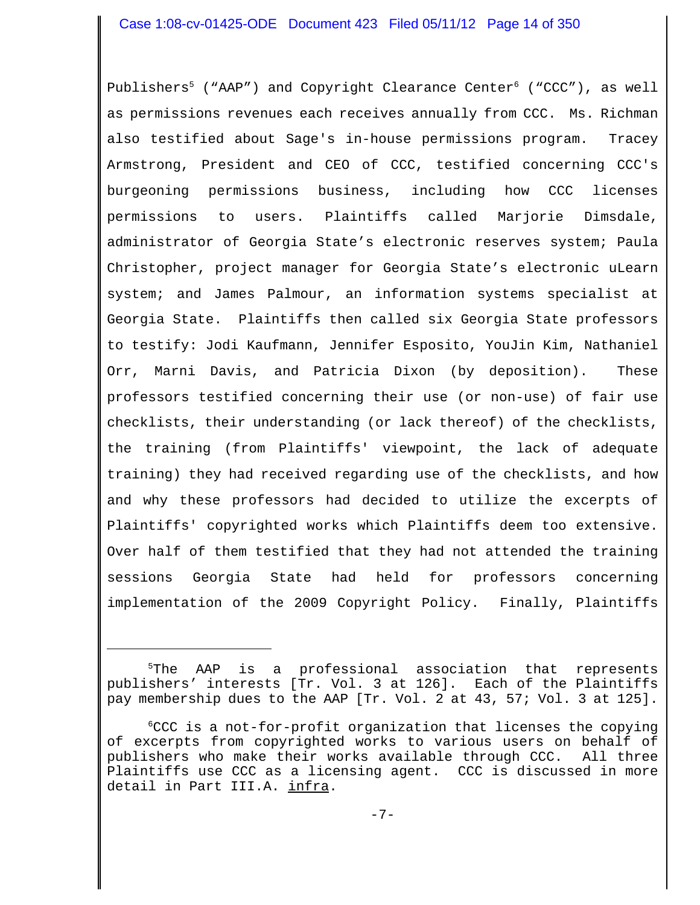Publishers<sup>5</sup> ("AAP") and Copyright Clearance Center<sup>6</sup> ("CCC"), as well as permissions revenues each receives annually from CCC. Ms. Richman also testified about Sage's in-house permissions program. Tracey Armstrong, President and CEO of CCC, testified concerning CCC's burgeoning permissions business, including how CCC licenses permissions to users. Plaintiffs called Marjorie Dimsdale, administrator of Georgia State's electronic reserves system; Paula Christopher, project manager for Georgia State's electronic uLearn system; and James Palmour, an information systems specialist at Georgia State. Plaintiffs then called six Georgia State professors to testify: Jodi Kaufmann, Jennifer Esposito, YouJin Kim, Nathaniel Orr, Marni Davis, and Patricia Dixon (by deposition). These professors testified concerning their use (or non-use) of fair use checklists, their understanding (or lack thereof) of the checklists, the training (from Plaintiffs' viewpoint, the lack of adequate training) they had received regarding use of the checklists, and how and why these professors had decided to utilize the excerpts of Plaintiffs' copyrighted works which Plaintiffs deem too extensive. Over half of them testified that they had not attended the training sessions Georgia State had held for professors concerning implementation of the 2009 Copyright Policy. Finally, Plaintiffs

<sup>5</sup>The AAP is a professional association that represents publishers' interests [Tr. Vol. 3 at 126]. Each of the Plaintiffs pay membership dues to the AAP [Tr. Vol. 2 at 43, 57; Vol. 3 at 125].

6 CCC is a not-for-profit organization that licenses the copying of excerpts from copyrighted works to various users on behalf of publishers who make their works available through CCC. All three Plaintiffs use CCC as a licensing agent. CCC is discussed in more detail in Part III.A. infra.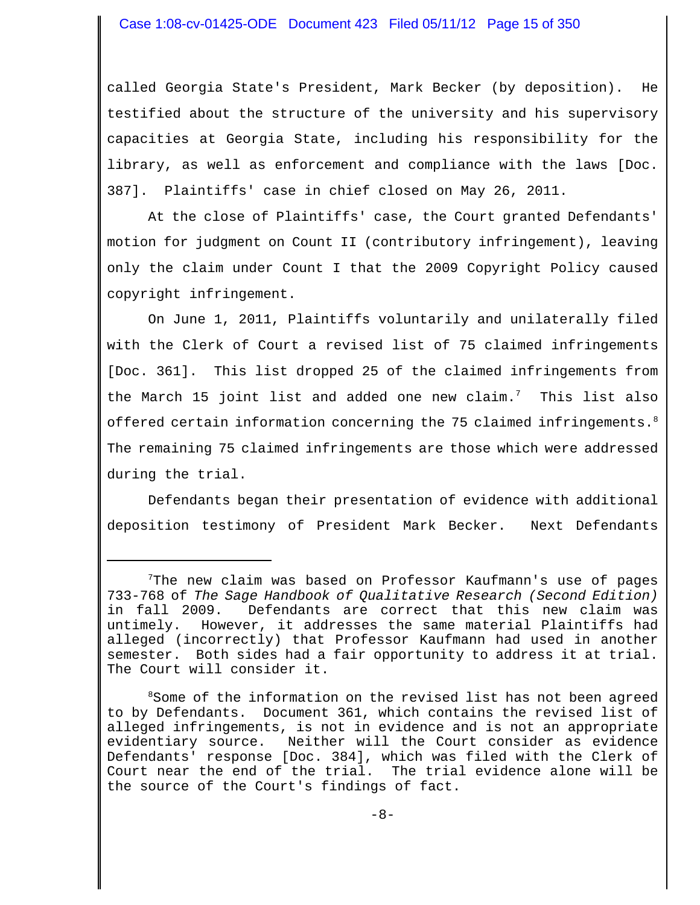called Georgia State's President, Mark Becker (by deposition). He testified about the structure of the university and his supervisory capacities at Georgia State, including his responsibility for the library, as well as enforcement and compliance with the laws [Doc. 387]. Plaintiffs' case in chief closed on May 26, 2011.

At the close of Plaintiffs' case, the Court granted Defendants' motion for judgment on Count II (contributory infringement), leaving only the claim under Count I that the 2009 Copyright Policy caused copyright infringement.

On June 1, 2011, Plaintiffs voluntarily and unilaterally filed with the Clerk of Court a revised list of 75 claimed infringements [Doc. 361]. This list dropped 25 of the claimed infringements from the March 15 joint list and added one new claim.<sup>7</sup> This list also offered certain information concerning the 75 claimed infringements.<sup>8</sup> The remaining 75 claimed infringements are those which were addressed during the trial.

Defendants began their presentation of evidence with additional deposition testimony of President Mark Becker. Next Defendants

<sup>7</sup> The new claim was based on Professor Kaufmann's use of pages 733-768 of *The Sage Handbook of Qualitative Research (Second Edition)* in fall 2009. Defendants are correct that this new claim was untimely. However, it addresses the same material Plaintiffs had alleged (incorrectly) that Professor Kaufmann had used in another semester. Both sides had a fair opportunity to address it at trial. The Court will consider it.

<sup>&</sup>lt;sup>8</sup>Some of the information on the revised list has not been agreed to by Defendants. Document 361, which contains the revised list of alleged infringements, is not in evidence and is not an appropriate evidentiary source. Neither will the Court consider as evidence Defendants' response [Doc. 384], which was filed with the Clerk of Court near the end of the trial. The trial evidence alone will be the source of the Court's findings of fact.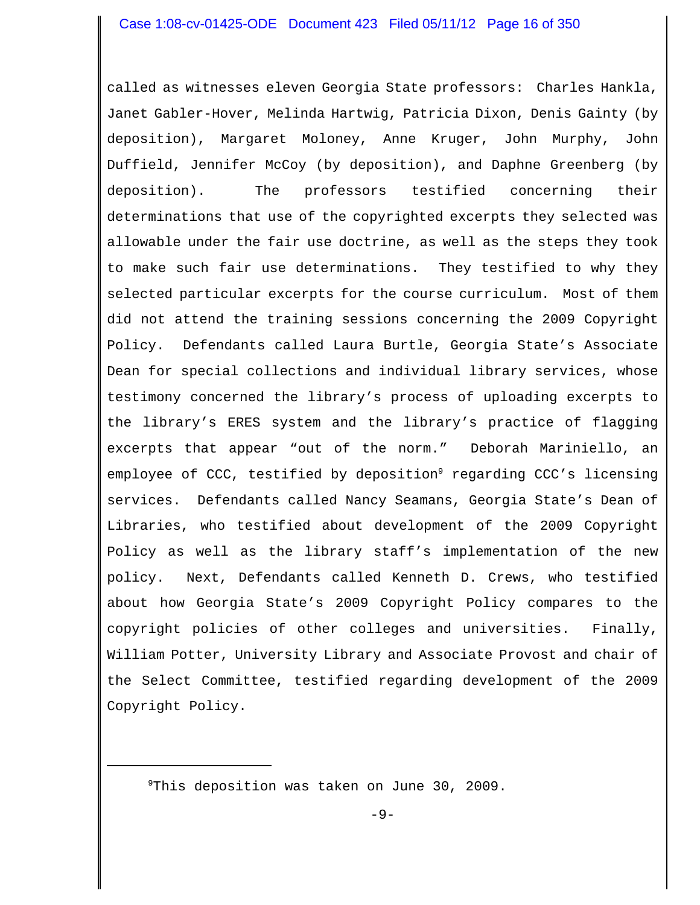called as witnesses eleven Georgia State professors: Charles Hankla, Janet Gabler-Hover, Melinda Hartwig, Patricia Dixon, Denis Gainty (by deposition), Margaret Moloney, Anne Kruger, John Murphy, John Duffield, Jennifer McCoy (by deposition), and Daphne Greenberg (by deposition). The professors testified concerning their determinations that use of the copyrighted excerpts they selected was allowable under the fair use doctrine, as well as the steps they took to make such fair use determinations. They testified to why they selected particular excerpts for the course curriculum. Most of them did not attend the training sessions concerning the 2009 Copyright Policy. Defendants called Laura Burtle, Georgia State's Associate Dean for special collections and individual library services, whose testimony concerned the library's process of uploading excerpts to the library's ERES system and the library's practice of flagging excerpts that appear "out of the norm." Deborah Mariniello, an employee of CCC, testified by deposition<sup>9</sup> regarding CCC's licensing services. Defendants called Nancy Seamans, Georgia State's Dean of Libraries, who testified about development of the 2009 Copyright Policy as well as the library staff's implementation of the new policy. Next, Defendants called Kenneth D. Crews, who testified about how Georgia State's 2009 Copyright Policy compares to the copyright policies of other colleges and universities. Finally, William Potter, University Library and Associate Provost and chair of the Select Committee, testified regarding development of the 2009 Copyright Policy.

9 This deposition was taken on June 30, 2009.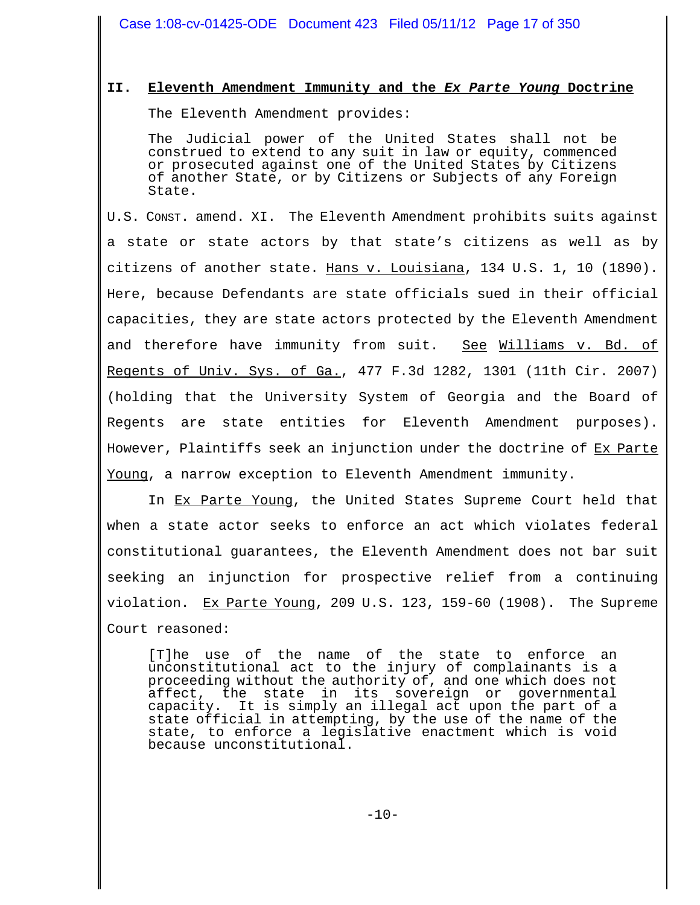# **II. Eleventh Amendment Immunity and the** *Ex Parte Young* **Doctrine**

The Eleventh Amendment provides:

The Judicial power of the United States shall not be construed to extend to any suit in law or equity, commenced or prosecuted against one of the United States by Citizens of another State, or by Citizens or Subjects of any Foreign State.

U.S. CONST. amend. XI. The Eleventh Amendment prohibits suits against a state or state actors by that state's citizens as well as by citizens of another state. Hans v. Louisiana, 134 U.S. 1, 10 (1890). Here, because Defendants are state officials sued in their official capacities, they are state actors protected by the Eleventh Amendment and therefore have immunity from suit. See Williams v. Bd. of Regents of Univ. Sys. of Ga., 477 F.3d 1282, 1301 (11th Cir. 2007) (holding that the University System of Georgia and the Board of Regents are state entities for Eleventh Amendment purposes). However, Plaintiffs seek an injunction under the doctrine of Ex Parte Young, a narrow exception to Eleventh Amendment immunity.

In Ex Parte Young, the United States Supreme Court held that when a state actor seeks to enforce an act which violates federal constitutional guarantees, the Eleventh Amendment does not bar suit seeking an injunction for prospective relief from a continuing violation. Ex Parte Young, 209 U.S. 123, 159-60 (1908). The Supreme Court reasoned:

[T]he use of the name of the state to enforce an unconstitutional act to the injury of complainants is a proceeding without the authority of, and one which does not affect, the state in its sovereign or governmental capacity. It is simply an illegal act upon the part of a state official in attempting, by the use of the name of the state, to enforce a legislative enactment which is void because unconstitutional.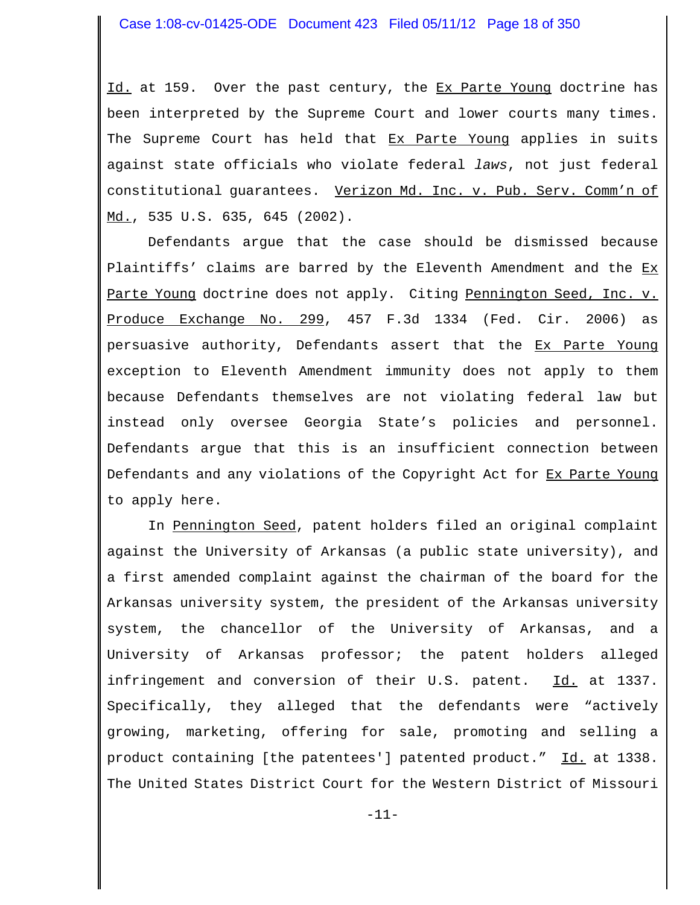Id. at 159. Over the past century, the Ex Parte Young doctrine has been interpreted by the Supreme Court and lower courts many times. The Supreme Court has held that Ex Parte Young applies in suits against state officials who violate federal *laws*, not just federal constitutional guarantees. Verizon Md. Inc. v. Pub. Serv. Comm'n of Md., 535 U.S. 635, 645 (2002).

Defendants argue that the case should be dismissed because Plaintiffs' claims are barred by the Eleventh Amendment and the Ex Parte Young doctrine does not apply. Citing Pennington Seed, Inc. v. Produce Exchange No. 299, 457 F.3d 1334 (Fed. Cir. 2006) as persuasive authority, Defendants assert that the Ex Parte Young exception to Eleventh Amendment immunity does not apply to them because Defendants themselves are not violating federal law but instead only oversee Georgia State's policies and personnel. Defendants argue that this is an insufficient connection between Defendants and any violations of the Copyright Act for Ex Parte Young to apply here.

In Pennington Seed, patent holders filed an original complaint against the University of Arkansas (a public state university), and a first amended complaint against the chairman of the board for the Arkansas university system, the president of the Arkansas university system, the chancellor of the University of Arkansas, and a University of Arkansas professor; the patent holders alleged infringement and conversion of their U.S. patent. Id. at 1337. Specifically, they alleged that the defendants were "actively growing, marketing, offering for sale, promoting and selling a product containing [the patentees'] patented product." Id. at 1338. The United States District Court for the Western District of Missouri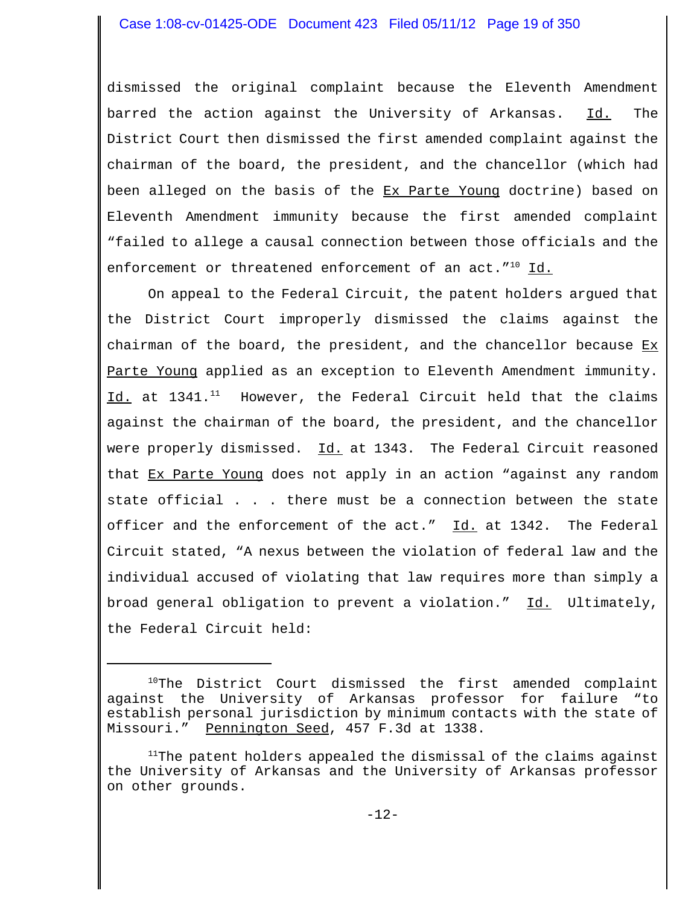dismissed the original complaint because the Eleventh Amendment barred the action against the University of Arkansas. Id. The District Court then dismissed the first amended complaint against the chairman of the board, the president, and the chancellor (which had been alleged on the basis of the Ex Parte Young doctrine) based on Eleventh Amendment immunity because the first amended complaint "failed to allege a causal connection between those officials and the enforcement or threatened enforcement of an act."<sup>10</sup> Id.

On appeal to the Federal Circuit, the patent holders argued that the District Court improperly dismissed the claims against the chairman of the board, the president, and the chancellor because  $Ex$ Parte Young applied as an exception to Eleventh Amendment immunity. Id. at  $1341.^{11}$  However, the Federal Circuit held that the claims against the chairman of the board, the president, and the chancellor were properly dismissed. Id. at 1343. The Federal Circuit reasoned that Ex Parte Young does not apply in an action "against any random state official . . . there must be a connection between the state officer and the enforcement of the act." Id. at 1342. The Federal Circuit stated, "A nexus between the violation of federal law and the individual accused of violating that law requires more than simply a broad general obligation to prevent a violation." Id. Ultimately, the Federal Circuit held:

 $10$ The District Court dismissed the first amended complaint against the University of Arkansas professor for failure "to establish personal jurisdiction by minimum contacts with the state of Missouri." Pennington Seed, 457 F.3d at 1338.

 $11$ The patent holders appealed the dismissal of the claims against the University of Arkansas and the University of Arkansas professor on other grounds.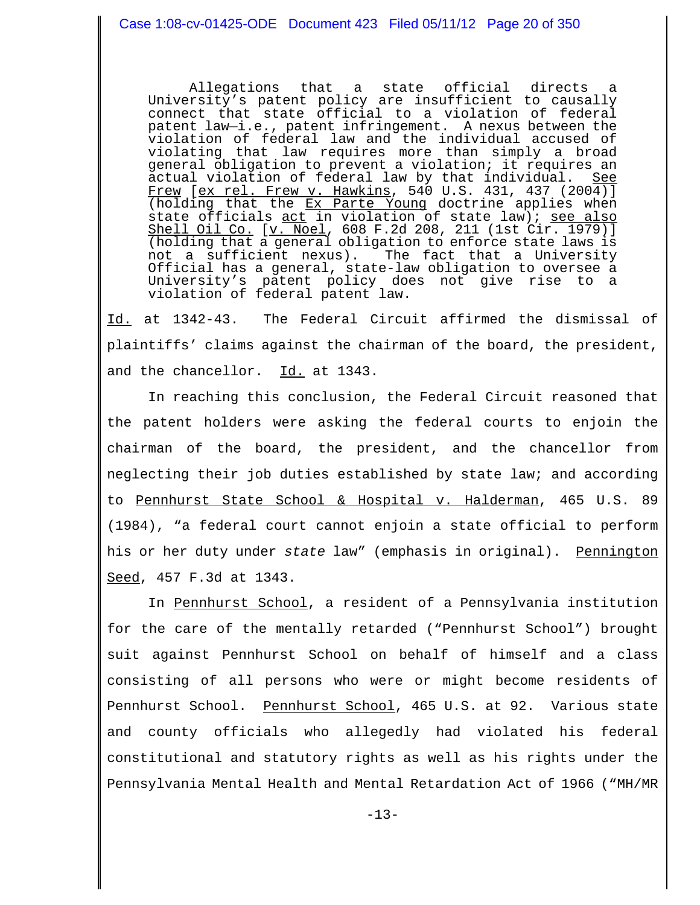Allegations that a state official directs a University's patent policy are insufficient to causally connect that state official to a violation of federal patent law—i.e., patent infringement. A nexus between the violation of federal law and the individual accused of violating that law requires more than simply a broad general obligation to prevent a violation; it requires an actual violation of federal law by that individual. See Frew [ex rel. Frew v. Hawkins, 540 U.S. 431, 437 (2004)] (holding that the Ex Parte Young doctrine applies when state officials <u>act</u> in violation of state law); <u>see also</u> Shell Oil Co. [v. Noel, 608 F.2d 208, 211 (1st Cir. 1979)] (holding that a general obligation to enforce state laws is<br>not a sufficient nexus). The fact that a University The fact that a University Official has a general, state-law obligation to oversee a University's patent policy does not give rise to a violation of federal patent law.

Id. at 1342-43. The Federal Circuit affirmed the dismissal of plaintiffs' claims against the chairman of the board, the president, and the chancellor. Id. at 1343.

In reaching this conclusion, the Federal Circuit reasoned that the patent holders were asking the federal courts to enjoin the chairman of the board, the president, and the chancellor from neglecting their job duties established by state law; and according to Pennhurst State School & Hospital v. Halderman, 465 U.S. 89 (1984), "a federal court cannot enjoin a state official to perform his or her duty under state law" (emphasis in original). Pennington Seed, 457 F.3d at 1343.

 In Pennhurst School, a resident of a Pennsylvania institution for the care of the mentally retarded ("Pennhurst School") brought suit against Pennhurst School on behalf of himself and a class consisting of all persons who were or might become residents of Pennhurst School. Pennhurst School, 465 U.S. at 92. Various state and county officials who allegedly had violated his federal constitutional and statutory rights as well as his rights under the Pennsylvania Mental Health and Mental Retardation Act of 1966 ("MH/MR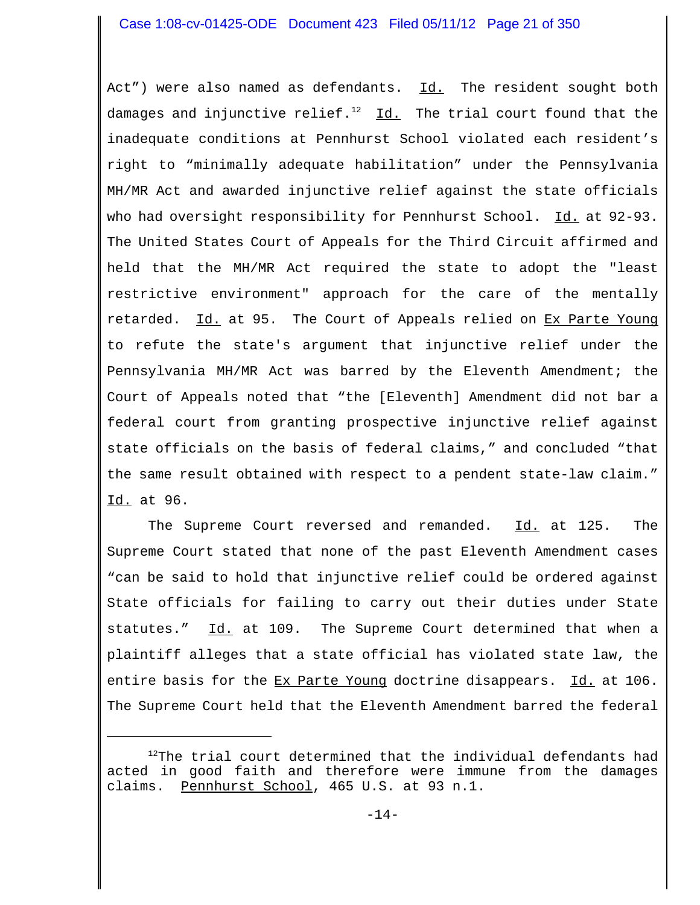Act") were also named as defendants. Id. The resident sought both damages and injunctive relief. $12$  Id. The trial court found that the inadequate conditions at Pennhurst School violated each resident's right to "minimally adequate habilitation" under the Pennsylvania MH/MR Act and awarded injunctive relief against the state officials who had oversight responsibility for Pennhurst School. Id. at 92-93. The United States Court of Appeals for the Third Circuit affirmed and held that the MH/MR Act required the state to adopt the "least restrictive environment" approach for the care of the mentally retarded. Id. at 95. The Court of Appeals relied on Ex Parte Young to refute the state's argument that injunctive relief under the Pennsylvania MH/MR Act was barred by the Eleventh Amendment; the Court of Appeals noted that "the [Eleventh] Amendment did not bar a federal court from granting prospective injunctive relief against state officials on the basis of federal claims," and concluded "that the same result obtained with respect to a pendent state-law claim." Id. at 96.

The Supreme Court reversed and remanded. Id. at 125. The Supreme Court stated that none of the past Eleventh Amendment cases "can be said to hold that injunctive relief could be ordered against State officials for failing to carry out their duties under State statutes." Id. at 109. The Supreme Court determined that when a plaintiff alleges that a state official has violated state law, the entire basis for the Ex Parte Young doctrine disappears. Id. at 106. The Supreme Court held that the Eleventh Amendment barred the federal

 $12$ The trial court determined that the individual defendants had acted in good faith and therefore were immune from the damages claims. Pennhurst School, 465 U.S. at 93 n.1.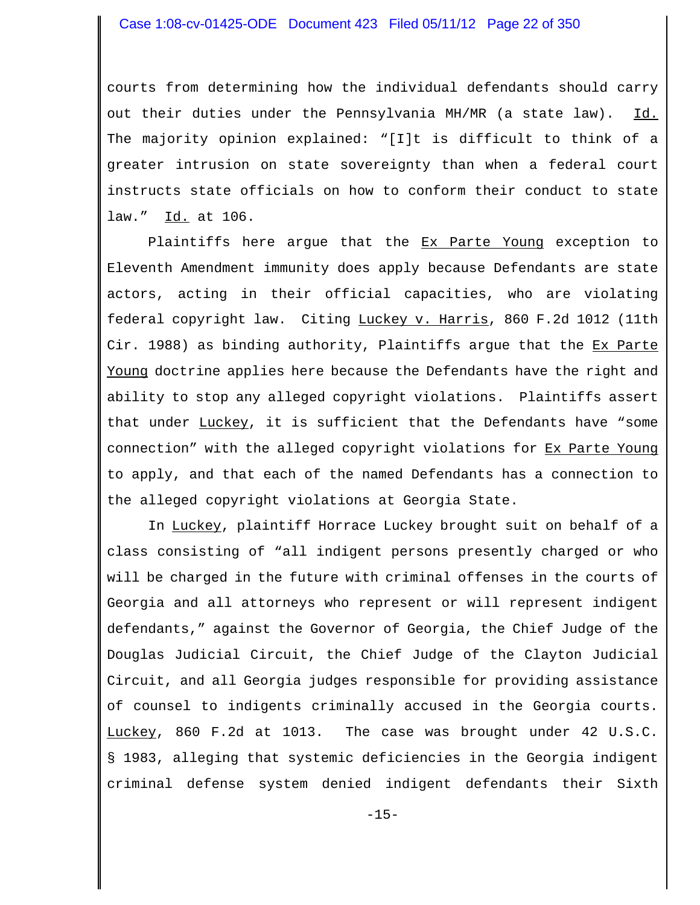courts from determining how the individual defendants should carry out their duties under the Pennsylvania MH/MR (a state law). Id. The majority opinion explained: "[I]t is difficult to think of a greater intrusion on state sovereignty than when a federal court instructs state officials on how to conform their conduct to state law." Id. at 106.

Plaintiffs here argue that the Ex Parte Young exception to Eleventh Amendment immunity does apply because Defendants are state actors, acting in their official capacities, who are violating federal copyright law. Citing Luckey v. Harris, 860 F.2d 1012 (11th Cir. 1988) as binding authority, Plaintiffs argue that the Ex Parte Young doctrine applies here because the Defendants have the right and ability to stop any alleged copyright violations. Plaintiffs assert that under Luckey, it is sufficient that the Defendants have "some connection" with the alleged copyright violations for Ex Parte Young to apply, and that each of the named Defendants has a connection to the alleged copyright violations at Georgia State.

In Luckey, plaintiff Horrace Luckey brought suit on behalf of a class consisting of "all indigent persons presently charged or who will be charged in the future with criminal offenses in the courts of Georgia and all attorneys who represent or will represent indigent defendants," against the Governor of Georgia, the Chief Judge of the Douglas Judicial Circuit, the Chief Judge of the Clayton Judicial Circuit, and all Georgia judges responsible for providing assistance of counsel to indigents criminally accused in the Georgia courts. Luckey, 860 F.2d at 1013. The case was brought under 42 U.S.C. § 1983, alleging that systemic deficiencies in the Georgia indigent criminal defense system denied indigent defendants their Sixth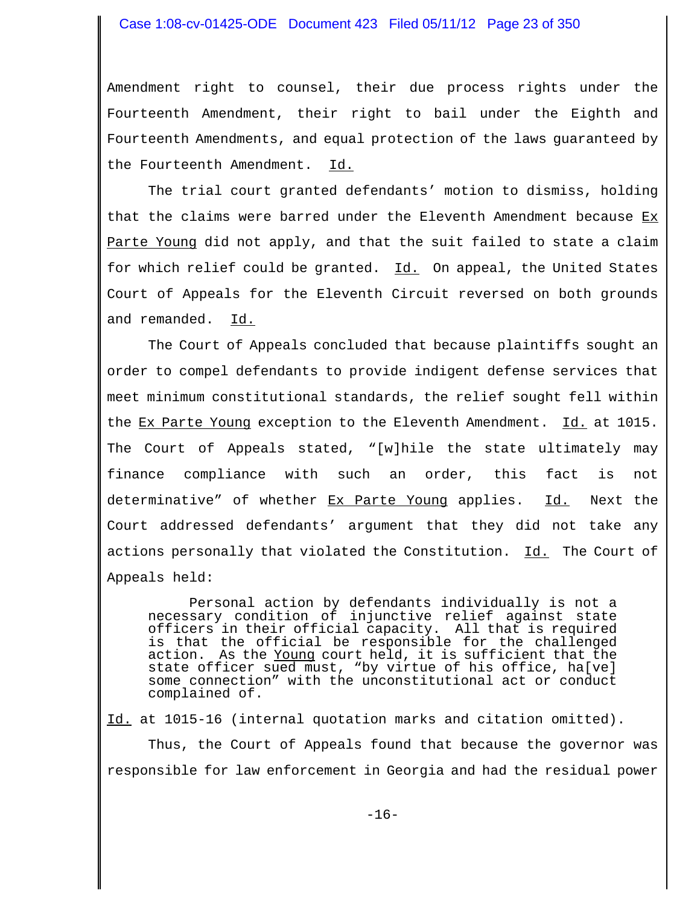Amendment right to counsel, their due process rights under the Fourteenth Amendment, their right to bail under the Eighth and Fourteenth Amendments, and equal protection of the laws guaranteed by the Fourteenth Amendment. Id.

The trial court granted defendants' motion to dismiss, holding that the claims were barred under the Eleventh Amendment because Ex Parte Young did not apply, and that the suit failed to state a claim for which relief could be granted. Id. On appeal, the United States Court of Appeals for the Eleventh Circuit reversed on both grounds and remanded. Id.

The Court of Appeals concluded that because plaintiffs sought an order to compel defendants to provide indigent defense services that meet minimum constitutional standards, the relief sought fell within the Ex Parte Young exception to the Eleventh Amendment. Id. at 1015. The Court of Appeals stated, "[w]hile the state ultimately may finance compliance with such an order, this fact is not determinative" of whether Ex Parte Young applies. Id. Next the Court addressed defendants' argument that they did not take any actions personally that violated the Constitution. Id. The Court of Appeals held:

Personal action by defendants individually is not a necessary condition of injunctive relief against state officers in their official capacity. All that is required is that the official be responsible for the challenged action. As the Young court held, it is sufficient that the state officer sued must, "by virtue of his office, ha[ve] some connection" with the unconstitutional act or conduct complained of.

Id. at 1015-16 (internal quotation marks and citation omitted). Thus, the Court of Appeals found that because the governor was responsible for law enforcement in Georgia and had the residual power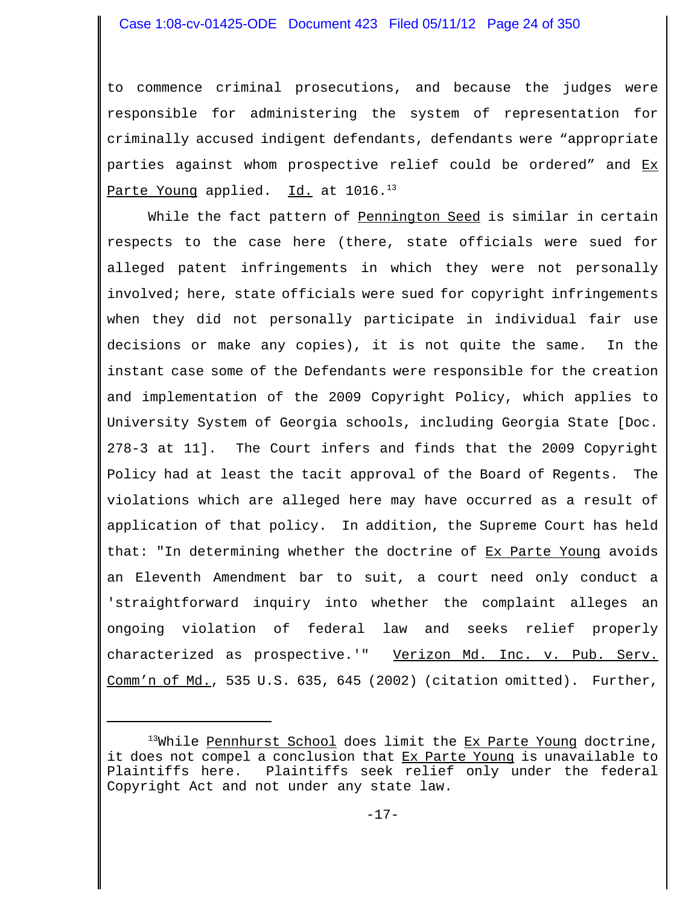to commence criminal prosecutions, and because the judges were responsible for administering the system of representation for criminally accused indigent defendants, defendants were "appropriate parties against whom prospective relief could be ordered" and Ex Parte Young applied. Id. at  $1016.^{13}$ 

While the fact pattern of Pennington Seed is similar in certain respects to the case here (there, state officials were sued for alleged patent infringements in which they were not personally involved; here, state officials were sued for copyright infringements when they did not personally participate in individual fair use decisions or make any copies), it is not quite the same. In the instant case some of the Defendants were responsible for the creation and implementation of the 2009 Copyright Policy, which applies to University System of Georgia schools, including Georgia State [Doc. 278-3 at 11]. The Court infers and finds that the 2009 Copyright Policy had at least the tacit approval of the Board of Regents. The violations which are alleged here may have occurred as a result of application of that policy. In addition, the Supreme Court has held that: "In determining whether the doctrine of Ex Parte Young avoids an Eleventh Amendment bar to suit, a court need only conduct a 'straightforward inquiry into whether the complaint alleges an ongoing violation of federal law and seeks relief properly characterized as prospective.'" Verizon Md. Inc. v. Pub. Serv. Comm'n of Md., 535 U.S. 635, 645 (2002) (citation omitted). Further,

 $13$ While Pennhurst School does limit the Ex Parte Young doctrine, it does not compel a conclusion that Ex Parte Young is unavailable to Plaintiffs here. Plaintiffs seek relief only under the federal Copyright Act and not under any state law.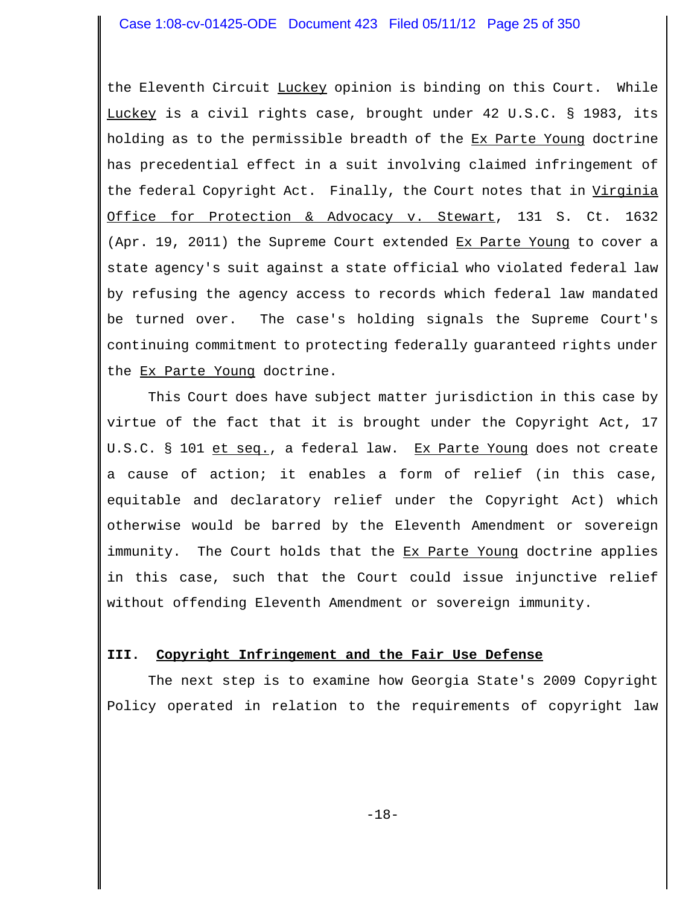the Eleventh Circuit Luckey opinion is binding on this Court. While Luckey is a civil rights case, brought under 42 U.S.C. § 1983, its holding as to the permissible breadth of the Ex Parte Young doctrine has precedential effect in a suit involving claimed infringement of the federal Copyright Act. Finally, the Court notes that in Virginia Office for Protection & Advocacy v. Stewart, 131 S. Ct. 1632 (Apr. 19, 2011) the Supreme Court extended Ex Parte Young to cover a state agency's suit against a state official who violated federal law by refusing the agency access to records which federal law mandated be turned over. The case's holding signals the Supreme Court's continuing commitment to protecting federally guaranteed rights under the Ex Parte Young doctrine.

This Court does have subject matter jurisdiction in this case by virtue of the fact that it is brought under the Copyright Act, 17 U.S.C. § 101 et seq., a federal law. Ex Parte Young does not create a cause of action; it enables a form of relief (in this case, equitable and declaratory relief under the Copyright Act) which otherwise would be barred by the Eleventh Amendment or sovereign immunity. The Court holds that the Ex Parte Young doctrine applies in this case, such that the Court could issue injunctive relief without offending Eleventh Amendment or sovereign immunity.

#### **III. Copyright Infringement and the Fair Use Defense**

The next step is to examine how Georgia State's 2009 Copyright Policy operated in relation to the requirements of copyright law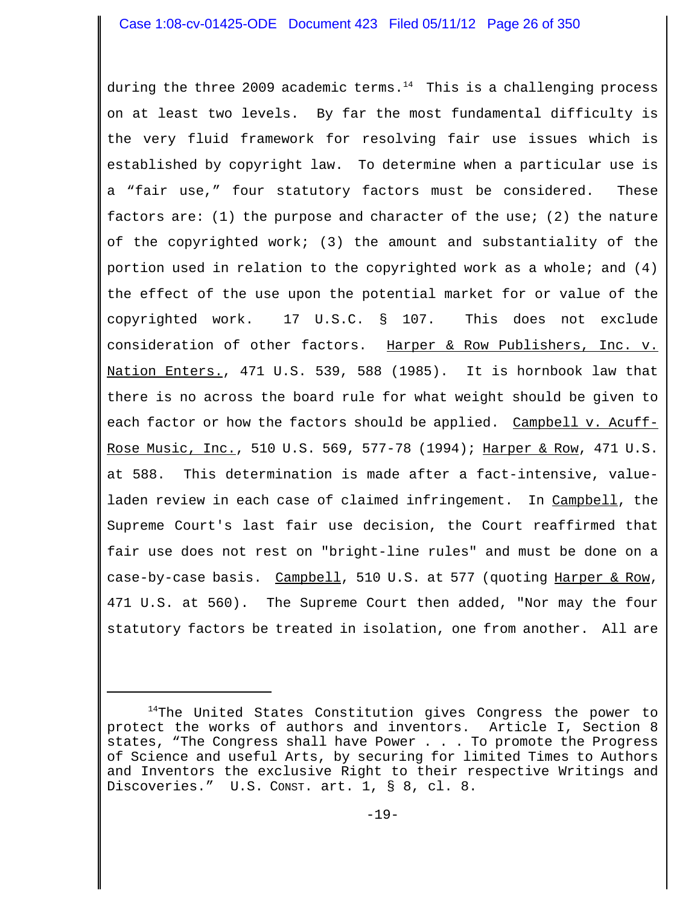during the three 2009 academic terms. $14$  This is a challenging process on at least two levels. By far the most fundamental difficulty is the very fluid framework for resolving fair use issues which is established by copyright law. To determine when a particular use is a "fair use," four statutory factors must be considered. These factors are: (1) the purpose and character of the use; (2) the nature of the copyrighted work; (3) the amount and substantiality of the portion used in relation to the copyrighted work as a whole; and (4) the effect of the use upon the potential market for or value of the copyrighted work. 17 U.S.C. § 107. This does not exclude consideration of other factors. Harper & Row Publishers, Inc. v. Nation Enters., 471 U.S. 539, 588 (1985). It is hornbook law that there is no across the board rule for what weight should be given to each factor or how the factors should be applied. Campbell v. Acuff-Rose Music, Inc., 510 U.S. 569, 577-78 (1994); Harper & Row, 471 U.S. at 588. This determination is made after a fact-intensive, valueladen review in each case of claimed infringement. In Campbell, the Supreme Court's last fair use decision, the Court reaffirmed that fair use does not rest on "bright-line rules" and must be done on a case-by-case basis. Campbell, 510 U.S. at 577 (quoting Harper & Row, 471 U.S. at 560). The Supreme Court then added, "Nor may the four statutory factors be treated in isolation, one from another. All are

<sup>&</sup>lt;sup>14</sup>The United States Constitution gives Congress the power to protect the works of authors and inventors. Article I, Section 8 states, "The Congress shall have Power . . . To promote the Progress of Science and useful Arts, by securing for limited Times to Authors and Inventors the exclusive Right to their respective Writings and Discoveries." U.S. CONST. art. 1, § 8, cl. 8.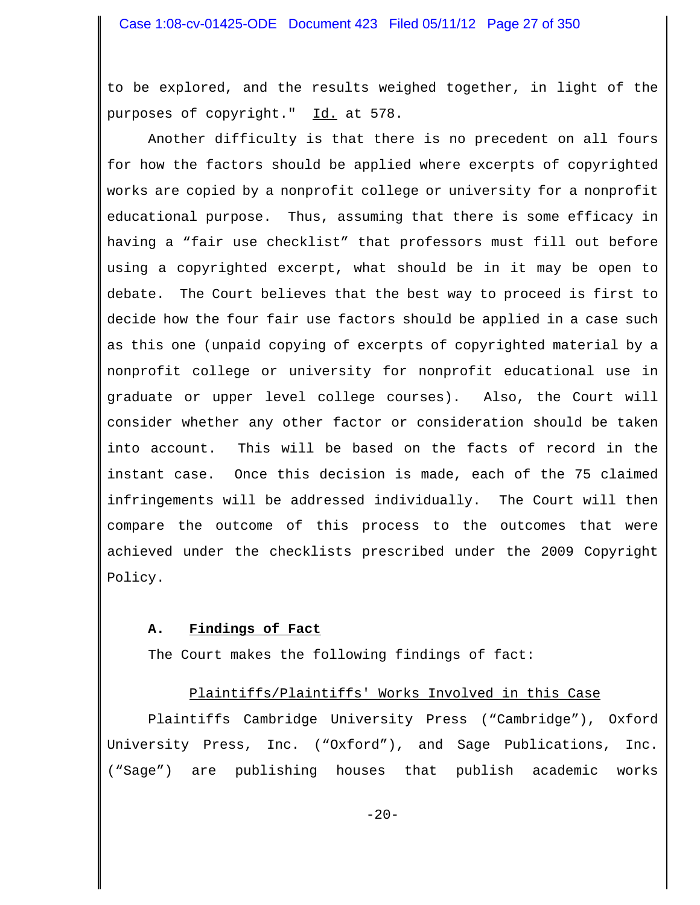to be explored, and the results weighed together, in light of the purposes of copyright." Id. at 578.

Another difficulty is that there is no precedent on all fours for how the factors should be applied where excerpts of copyrighted works are copied by a nonprofit college or university for a nonprofit educational purpose. Thus, assuming that there is some efficacy in having a "fair use checklist" that professors must fill out before using a copyrighted excerpt, what should be in it may be open to debate. The Court believes that the best way to proceed is first to decide how the four fair use factors should be applied in a case such as this one (unpaid copying of excerpts of copyrighted material by a nonprofit college or university for nonprofit educational use in graduate or upper level college courses). Also, the Court will consider whether any other factor or consideration should be taken into account. This will be based on the facts of record in the instant case. Once this decision is made, each of the 75 claimed infringements will be addressed individually. The Court will then compare the outcome of this process to the outcomes that were achieved under the checklists prescribed under the 2009 Copyright Policy.

# **A. Findings of Fact**

The Court makes the following findings of fact:

# Plaintiffs/Plaintiffs' Works Involved in this Case

Plaintiffs Cambridge University Press ("Cambridge"), Oxford University Press, Inc. ("Oxford"), and Sage Publications, Inc. ("Sage") are publishing houses that publish academic works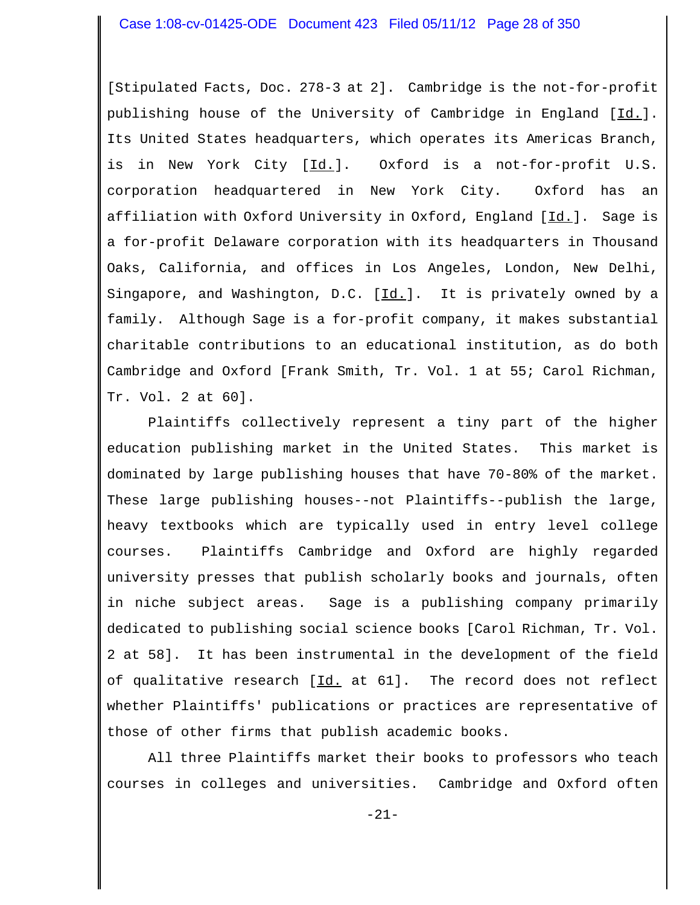[Stipulated Facts, Doc. 278-3 at 2]. Cambridge is the not-for-profit publishing house of the University of Cambridge in England [Id.]. Its United States headquarters, which operates its Americas Branch, is in New York City [Id.]. Oxford is a not-for-profit U.S. corporation headquartered in New York City. Oxford has an affiliation with Oxford University in Oxford, England  $[\underline{Id}]$ . Sage is a for-profit Delaware corporation with its headquarters in Thousand Oaks, California, and offices in Los Angeles, London, New Delhi, Singapore, and Washington, D.C.  $[\underline{Id.}]$ . It is privately owned by a family. Although Sage is a for-profit company, it makes substantial charitable contributions to an educational institution, as do both Cambridge and Oxford [Frank Smith, Tr. Vol. 1 at 55; Carol Richman, Tr. Vol. 2 at 60].

Plaintiffs collectively represent a tiny part of the higher education publishing market in the United States. This market is dominated by large publishing houses that have 70-80% of the market. These large publishing houses--not Plaintiffs--publish the large, heavy textbooks which are typically used in entry level college courses. Plaintiffs Cambridge and Oxford are highly regarded university presses that publish scholarly books and journals, often in niche subject areas. Sage is a publishing company primarily dedicated to publishing social science books [Carol Richman, Tr. Vol. 2 at 58]. It has been instrumental in the development of the field of qualitative research [Id. at 61]. The record does not reflect whether Plaintiffs' publications or practices are representative of those of other firms that publish academic books.

All three Plaintiffs market their books to professors who teach courses in colleges and universities. Cambridge and Oxford often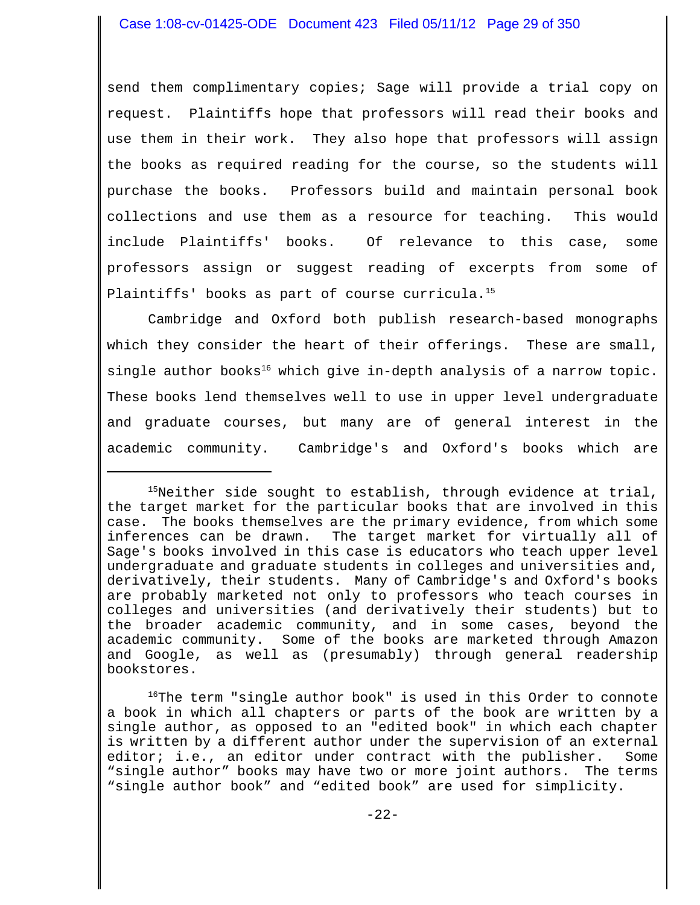send them complimentary copies; Sage will provide a trial copy on request. Plaintiffs hope that professors will read their books and use them in their work. They also hope that professors will assign the books as required reading for the course, so the students will purchase the books. Professors build and maintain personal book collections and use them as a resource for teaching. This would include Plaintiffs' books. Of relevance to this case, some professors assign or suggest reading of excerpts from some of Plaintiffs' books as part of course curricula.<sup>15</sup>

Cambridge and Oxford both publish research-based monographs which they consider the heart of their offerings. These are small, single author books<sup>16</sup> which give in-depth analysis of a narrow topic. These books lend themselves well to use in upper level undergraduate and graduate courses, but many are of general interest in the academic community. Cambridge's and Oxford's books which are

<sup>16</sup>The term "single author book" is used in this Order to connote a book in which all chapters or parts of the book are written by a single author, as opposed to an "edited book" in which each chapter is written by a different author under the supervision of an external editor; i.e., an editor under contract with the publisher. Some "single author" books may have two or more joint authors. The terms "single author book" and "edited book" are used for simplicity.

<sup>&</sup>lt;sup>15</sup>Neither side sought to establish, through evidence at trial, the target market for the particular books that are involved in this case. The books themselves are the primary evidence, from which some inferences can be drawn. The target market for virtually all of Sage's books involved in this case is educators who teach upper level undergraduate and graduate students in colleges and universities and, derivatively, their students. Many of Cambridge's and Oxford's books are probably marketed not only to professors who teach courses in colleges and universities (and derivatively their students) but to the broader academic community, and in some cases, beyond the academic community. Some of the books are marketed through Amazon and Google, as well as (presumably) through general readership bookstores.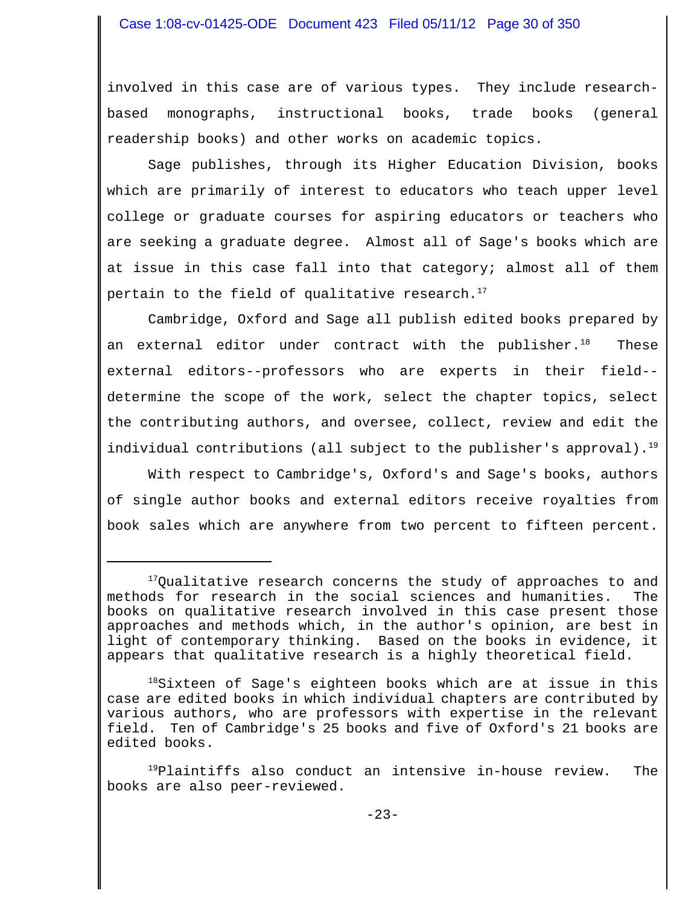involved in this case are of various types. They include researchbased monographs, instructional books, trade books (general readership books) and other works on academic topics.

Sage publishes, through its Higher Education Division, books which are primarily of interest to educators who teach upper level college or graduate courses for aspiring educators or teachers who are seeking a graduate degree. Almost all of Sage's books which are at issue in this case fall into that category; almost all of them pertain to the field of qualitative research.<sup>17</sup>

Cambridge, Oxford and Sage all publish edited books prepared by an external editor under contract with the publisher. $18$  These external editors--professors who are experts in their field- determine the scope of the work, select the chapter topics, select the contributing authors, and oversee, collect, review and edit the individual contributions (all subject to the publisher's approval).<sup>19</sup>

With respect to Cambridge's, Oxford's and Sage's books, authors of single author books and external editors receive royalties from book sales which are anywhere from two percent to fifteen percent.

<sup>19</sup>Plaintiffs also conduct an intensive in-house review. The books are also peer-reviewed.

 $17$ Qualitative research concerns the study of approaches to and methods for research in the social sciences and humanities. The books on qualitative research involved in this case present those approaches and methods which, in the author's opinion, are best in light of contemporary thinking. Based on the books in evidence, it appears that qualitative research is a highly theoretical field.

<sup>&</sup>lt;sup>18</sup>Sixteen of Sage's eighteen books which are at issue in this case are edited books in which individual chapters are contributed by various authors, who are professors with expertise in the relevant field. Ten of Cambridge's 25 books and five of Oxford's 21 books are edited books.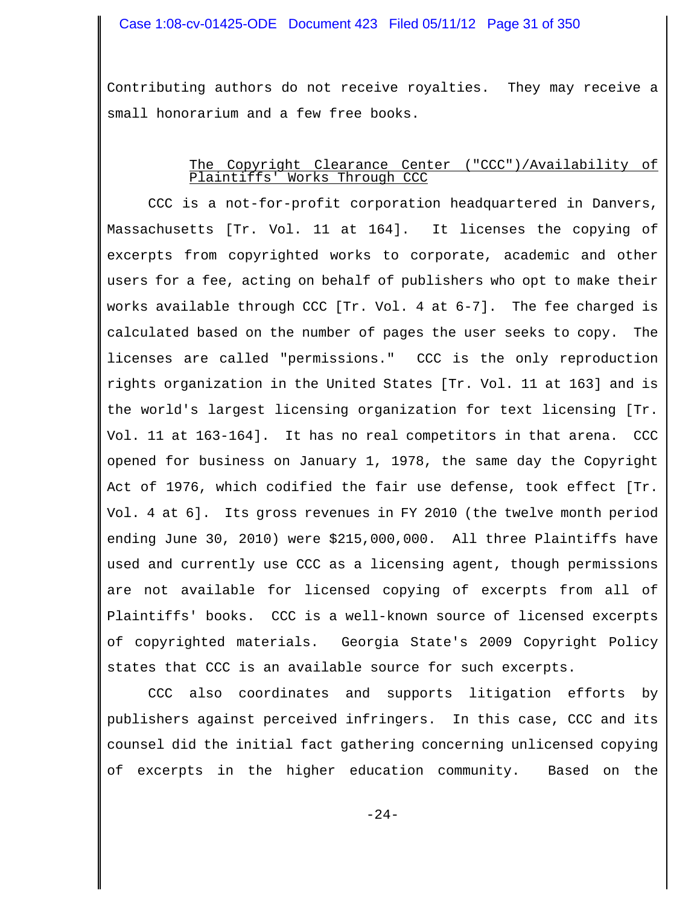Contributing authors do not receive royalties. They may receive a small honorarium and a few free books.

### The Copyright Clearance Center ("CCC")/Availability of Plaintiffs' Works Through CCC

CCC is a not-for-profit corporation headquartered in Danvers, Massachusetts [Tr. Vol. 11 at 164]. It licenses the copying of excerpts from copyrighted works to corporate, academic and other users for a fee, acting on behalf of publishers who opt to make their works available through CCC [Tr. Vol. 4 at 6-7]. The fee charged is calculated based on the number of pages the user seeks to copy. The licenses are called "permissions." CCC is the only reproduction rights organization in the United States [Tr. Vol. 11 at 163] and is the world's largest licensing organization for text licensing [Tr. Vol. 11 at 163-164]. It has no real competitors in that arena. CCC opened for business on January 1, 1978, the same day the Copyright Act of 1976, which codified the fair use defense, took effect [Tr. Vol. 4 at 6]. Its gross revenues in FY 2010 (the twelve month period ending June 30, 2010) were \$215,000,000. All three Plaintiffs have used and currently use CCC as a licensing agent, though permissions are not available for licensed copying of excerpts from all of Plaintiffs' books. CCC is a well-known source of licensed excerpts of copyrighted materials. Georgia State's 2009 Copyright Policy states that CCC is an available source for such excerpts.

CCC also coordinates and supports litigation efforts by publishers against perceived infringers. In this case, CCC and its counsel did the initial fact gathering concerning unlicensed copying of excerpts in the higher education community. Based on the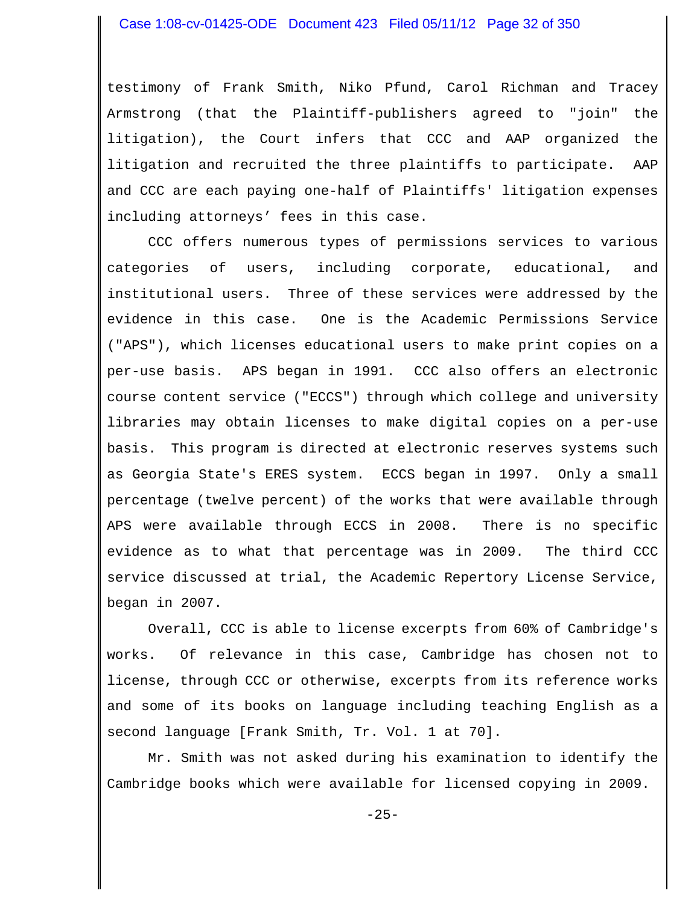testimony of Frank Smith, Niko Pfund, Carol Richman and Tracey Armstrong (that the Plaintiff-publishers agreed to "join" the litigation), the Court infers that CCC and AAP organized the litigation and recruited the three plaintiffs to participate. AAP and CCC are each paying one-half of Plaintiffs' litigation expenses including attorneys' fees in this case.

CCC offers numerous types of permissions services to various categories of users, including corporate, educational, and institutional users. Three of these services were addressed by the evidence in this case. One is the Academic Permissions Service ("APS"), which licenses educational users to make print copies on a per-use basis. APS began in 1991. CCC also offers an electronic course content service ("ECCS") through which college and university libraries may obtain licenses to make digital copies on a per-use basis. This program is directed at electronic reserves systems such as Georgia State's ERES system. ECCS began in 1997. Only a small percentage (twelve percent) of the works that were available through APS were available through ECCS in 2008. There is no specific evidence as to what that percentage was in 2009. The third CCC service discussed at trial, the Academic Repertory License Service, began in 2007.

Overall, CCC is able to license excerpts from 60% of Cambridge's works. Of relevance in this case, Cambridge has chosen not to license, through CCC or otherwise, excerpts from its reference works and some of its books on language including teaching English as a second language [Frank Smith, Tr. Vol. 1 at 70].

Mr. Smith was not asked during his examination to identify the Cambridge books which were available for licensed copying in 2009.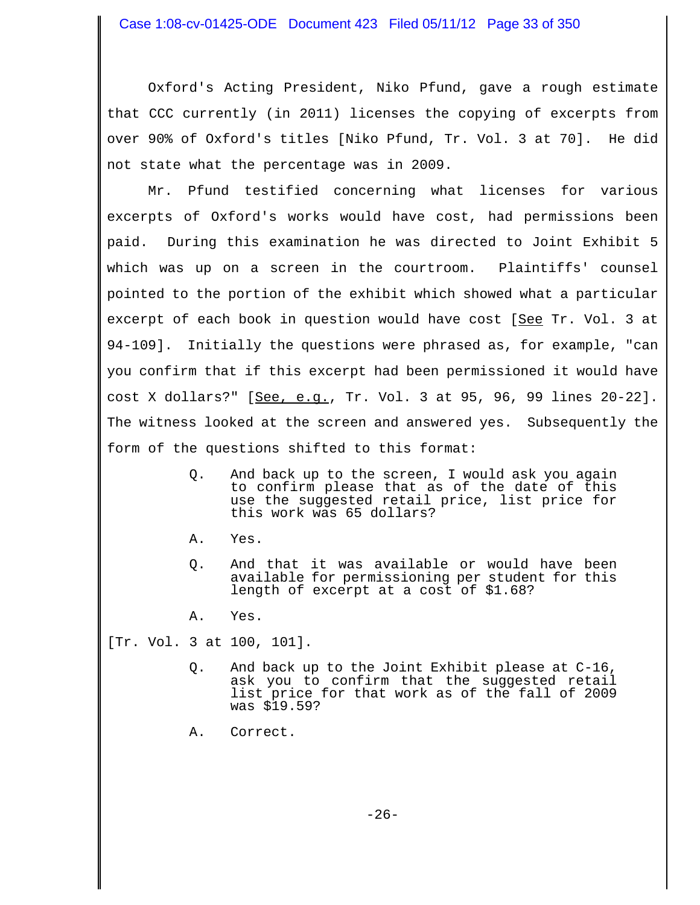Oxford's Acting President, Niko Pfund, gave a rough estimate that CCC currently (in 2011) licenses the copying of excerpts from over 90% of Oxford's titles [Niko Pfund, Tr. Vol. 3 at 70]. He did not state what the percentage was in 2009.

Mr. Pfund testified concerning what licenses for various excerpts of Oxford's works would have cost, had permissions been paid. During this examination he was directed to Joint Exhibit 5 which was up on a screen in the courtroom. Plaintiffs' counsel pointed to the portion of the exhibit which showed what a particular excerpt of each book in question would have cost [See Tr. Vol. 3 at 94-109]. Initially the questions were phrased as, for example, "can you confirm that if this excerpt had been permissioned it would have cost X dollars?" [See, e.g., Tr. Vol. 3 at 95, 96, 99 lines 20-22]. The witness looked at the screen and answered yes. Subsequently the form of the questions shifted to this format:

- Q. And back up to the screen, I would ask you again to confirm please that as of the date of this use the suggested retail price, list price for this work was 65 dollars?
- A. Yes.
- Q. And that it was available or would have been available for permissioning per student for this length of excerpt at a cost of \$1.68?
- A. Yes.

[Tr. Vol. 3 at 100, 101].

- Q. And back up to the Joint Exhibit please at C-16, ask you to confirm that the suggested retail list price for that work as of the fall of 2009 was \$19.59?
- A. Correct.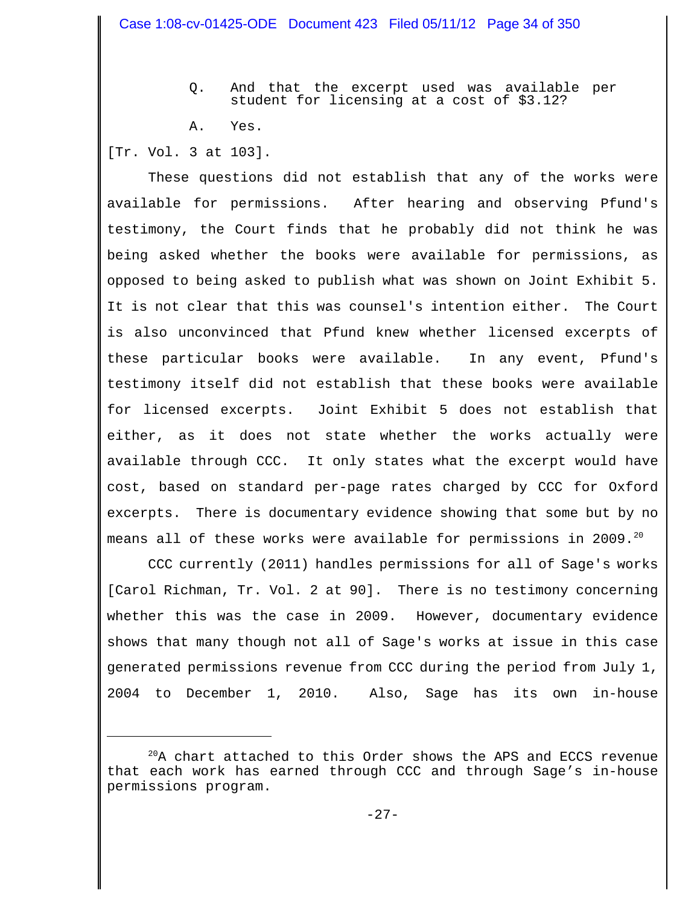- Q. And that the excerpt used was available per student for licensing at a cost of \$3.12?
- A. Yes.

[Tr. Vol. 3 at 103].

These questions did not establish that any of the works were available for permissions. After hearing and observing Pfund's testimony, the Court finds that he probably did not think he was being asked whether the books were available for permissions, as opposed to being asked to publish what was shown on Joint Exhibit 5. It is not clear that this was counsel's intention either. The Court is also unconvinced that Pfund knew whether licensed excerpts of these particular books were available. In any event, Pfund's testimony itself did not establish that these books were available for licensed excerpts. Joint Exhibit 5 does not establish that either, as it does not state whether the works actually were available through CCC. It only states what the excerpt would have cost, based on standard per-page rates charged by CCC for Oxford excerpts. There is documentary evidence showing that some but by no means all of these works were available for permissions in 2009.<sup>20</sup>

CCC currently (2011) handles permissions for all of Sage's works [Carol Richman, Tr. Vol. 2 at 90]. There is no testimony concerning whether this was the case in 2009. However, documentary evidence shows that many though not all of Sage's works at issue in this case generated permissions revenue from CCC during the period from July 1, 2004 to December 1, 2010. Also, Sage has its own in-house

 $^{20}$ A chart attached to this Order shows the APS and ECCS revenue that each work has earned through CCC and through Sage's in-house permissions program.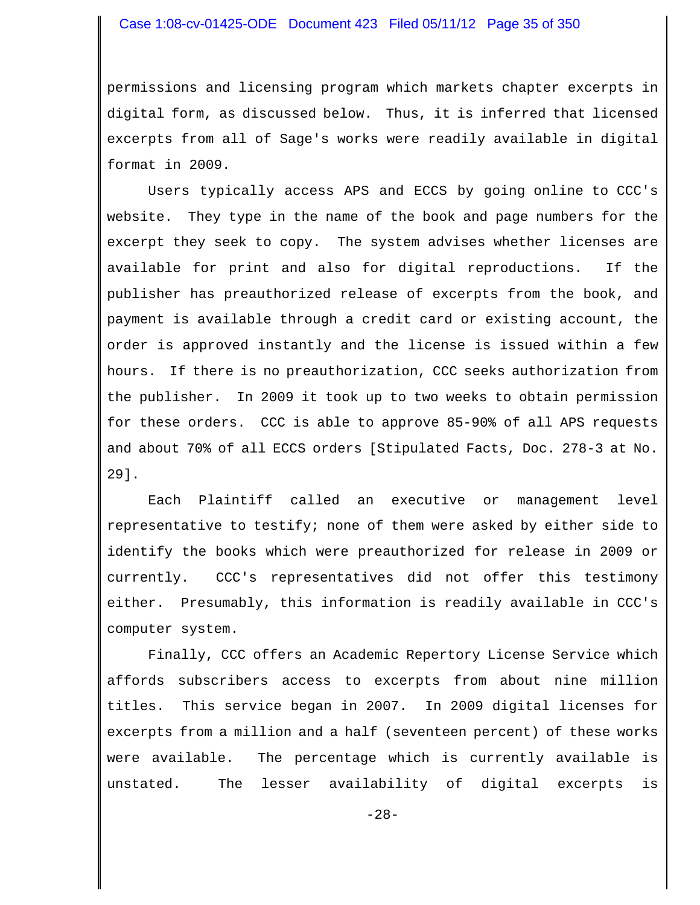### Case 1:08-cv-01425-ODE Document 423 Filed 05/11/12 Page 35 of 350

permissions and licensing program which markets chapter excerpts in digital form, as discussed below. Thus, it is inferred that licensed excerpts from all of Sage's works were readily available in digital format in 2009.

 Users typically access APS and ECCS by going online to CCC's website. They type in the name of the book and page numbers for the excerpt they seek to copy. The system advises whether licenses are available for print and also for digital reproductions. If the publisher has preauthorized release of excerpts from the book, and payment is available through a credit card or existing account, the order is approved instantly and the license is issued within a few hours. If there is no preauthorization, CCC seeks authorization from the publisher. In 2009 it took up to two weeks to obtain permission for these orders. CCC is able to approve 85-90% of all APS requests and about 70% of all ECCS orders [Stipulated Facts, Doc. 278-3 at No. 29].

Each Plaintiff called an executive or management level representative to testify; none of them were asked by either side to identify the books which were preauthorized for release in 2009 or currently. CCC's representatives did not offer this testimony either. Presumably, this information is readily available in CCC's computer system.

Finally, CCC offers an Academic Repertory License Service which affords subscribers access to excerpts from about nine million titles. This service began in 2007. In 2009 digital licenses for excerpts from a million and a half (seventeen percent) of these works were available. The percentage which is currently available is unstated. The lesser availability of digital excerpts is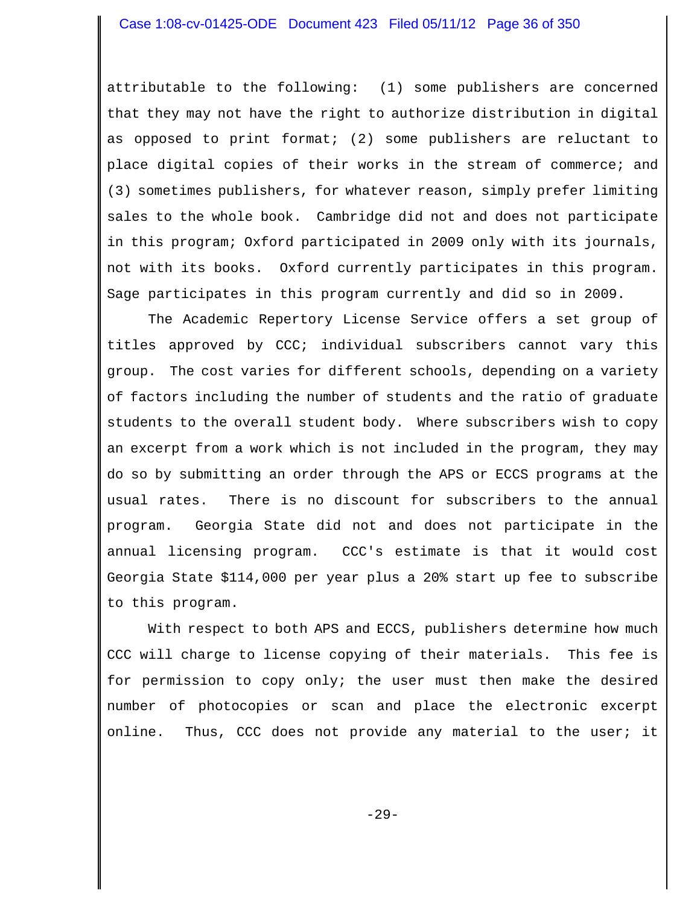attributable to the following: (1) some publishers are concerned that they may not have the right to authorize distribution in digital as opposed to print format; (2) some publishers are reluctant to place digital copies of their works in the stream of commerce; and (3) sometimes publishers, for whatever reason, simply prefer limiting sales to the whole book. Cambridge did not and does not participate in this program; Oxford participated in 2009 only with its journals, not with its books. Oxford currently participates in this program. Sage participates in this program currently and did so in 2009.

The Academic Repertory License Service offers a set group of titles approved by CCC; individual subscribers cannot vary this group. The cost varies for different schools, depending on a variety of factors including the number of students and the ratio of graduate students to the overall student body. Where subscribers wish to copy an excerpt from a work which is not included in the program, they may do so by submitting an order through the APS or ECCS programs at the usual rates. There is no discount for subscribers to the annual program. Georgia State did not and does not participate in the annual licensing program. CCC's estimate is that it would cost Georgia State \$114,000 per year plus a 20% start up fee to subscribe to this program.

With respect to both APS and ECCS, publishers determine how much CCC will charge to license copying of their materials. This fee is for permission to copy only; the user must then make the desired number of photocopies or scan and place the electronic excerpt online. Thus, CCC does not provide any material to the user; it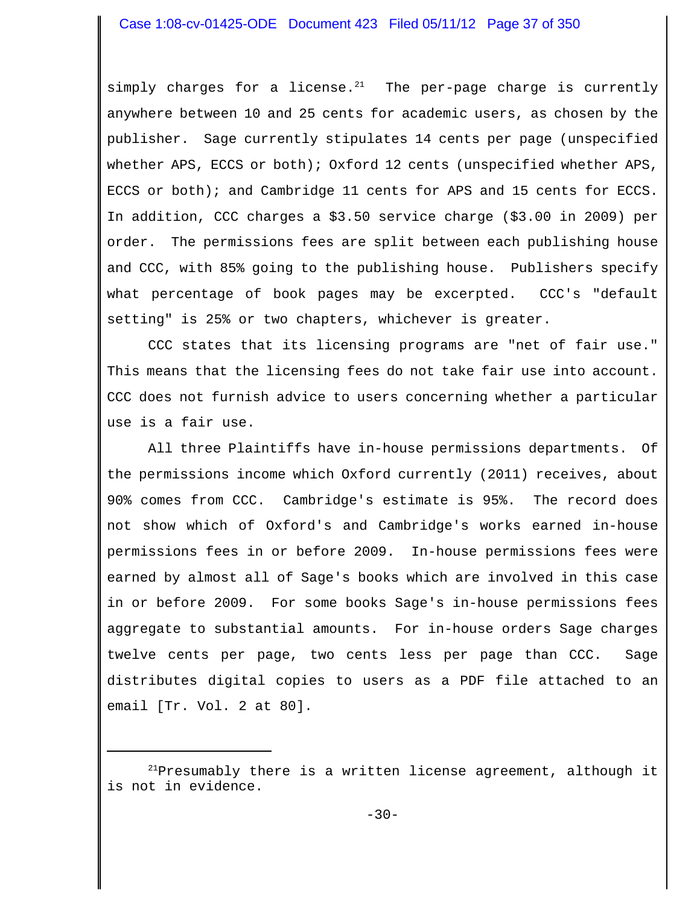simply charges for a license.<sup>21</sup> The per-page charge is currently anywhere between 10 and 25 cents for academic users, as chosen by the publisher. Sage currently stipulates 14 cents per page (unspecified whether APS, ECCS or both); Oxford 12 cents (unspecified whether APS, ECCS or both); and Cambridge 11 cents for APS and 15 cents for ECCS. In addition, CCC charges a \$3.50 service charge (\$3.00 in 2009) per order. The permissions fees are split between each publishing house and CCC, with 85% going to the publishing house. Publishers specify what percentage of book pages may be excerpted. CCC's "default setting" is 25% or two chapters, whichever is greater.

CCC states that its licensing programs are "net of fair use." This means that the licensing fees do not take fair use into account. CCC does not furnish advice to users concerning whether a particular use is a fair use.

All three Plaintiffs have in-house permissions departments. Of the permissions income which Oxford currently (2011) receives, about 90% comes from CCC. Cambridge's estimate is 95%. The record does not show which of Oxford's and Cambridge's works earned in-house permissions fees in or before 2009. In-house permissions fees were earned by almost all of Sage's books which are involved in this case in or before 2009. For some books Sage's in-house permissions fees aggregate to substantial amounts. For in-house orders Sage charges twelve cents per page, two cents less per page than CCC. Sage distributes digital copies to users as a PDF file attached to an email [Tr. Vol. 2 at 80].

 $21$ Presumably there is a written license agreement, although it is not in evidence.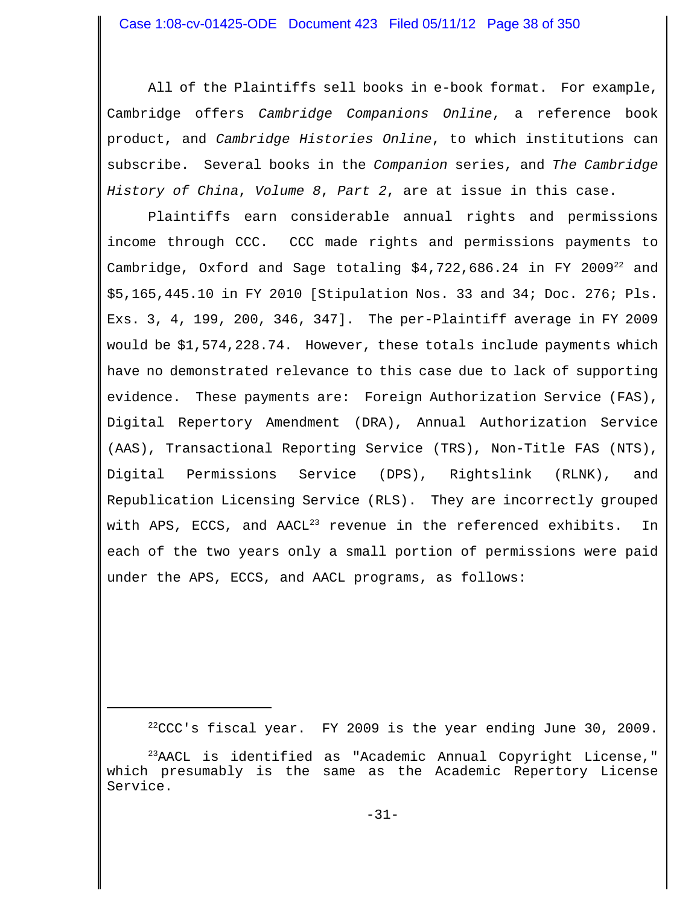All of the Plaintiffs sell books in e-book format. For example, Cambridge offers *Cambridge Companions Online*, a reference book product, and *Cambridge Histories Online*, to which institutions can subscribe. Several books in the *Companion* series, and *The Cambridge History of China*, *Volume 8*, *Part 2*, are at issue in this case.

Plaintiffs earn considerable annual rights and permissions income through CCC. CCC made rights and permissions payments to Cambridge, Oxford and Sage totaling  $$4,722,686.24$  in FY 2009<sup>22</sup> and \$5,165,445.10 in FY 2010 [Stipulation Nos. 33 and 34; Doc. 276; Pls. Exs. 3, 4, 199, 200, 346, 347]. The per-Plaintiff average in FY 2009 would be \$1,574,228.74. However, these totals include payments which have no demonstrated relevance to this case due to lack of supporting evidence. These payments are: Foreign Authorization Service (FAS), Digital Repertory Amendment (DRA), Annual Authorization Service (AAS), Transactional Reporting Service (TRS), Non-Title FAS (NTS), Digital Permissions Service (DPS), Rightslink (RLNK), and Republication Licensing Service (RLS). They are incorrectly grouped with APS, ECCS, and  $AACL<sup>23</sup>$  revenue in the referenced exhibits. In each of the two years only a small portion of permissions were paid under the APS, ECCS, and AACL programs, as follows:

 $22$ CCC's fiscal year. FY 2009 is the year ending June 30, 2009.

 $23$ AACL is identified as "Academic Annual Copyright License," which presumably is the same as the Academic Repertory License Service.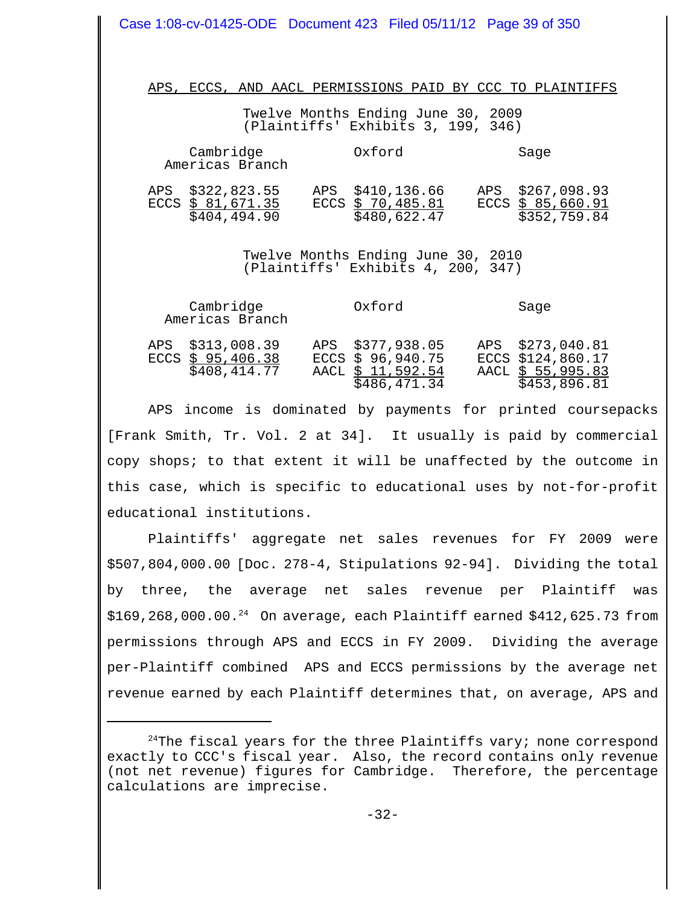| Case 1:08-cv-01425-ODE Document 423 Filed 05/11/12 Page 39 of 350                                                                     |                                                                            |                                                                            |
|---------------------------------------------------------------------------------------------------------------------------------------|----------------------------------------------------------------------------|----------------------------------------------------------------------------|
| APS, ECCS, AND AACL PERMISSIONS PAID BY CCC TO PLAINTIFFS<br>Twelve Months Ending June 30, 2009<br>(Plaintiffs' Exhibits 3, 199, 346) |                                                                            |                                                                            |
| Cambridge<br>Americas Branch                                                                                                          | Oxford                                                                     | Sage                                                                       |
| APS \$322,823.55 APS \$410,136.66<br>ECCS $\frac{$81,671.35}{$404,494.90}$                                                            | ECCS $\frac{$70,485.81}{$480,622.47}$                                      | APS \$267,098.93<br>ECCS $\frac{$85,660.91}{$352,759.84}$                  |
| Twelve Months Ending June 30, 2010<br>(Plaintiffs' Exhibits 4, 200, 347)                                                              |                                                                            |                                                                            |
| Cambridge<br>Americas Branch                                                                                                          | Oxford                                                                     | Sage                                                                       |
| APS \$313,008.39<br>$ECCS \frac{1}{2}$ 95,406.38<br>\$408,414.77                                                                      | APS \$377,938.05<br>ECCS $$96,940.75$<br>AACL \$ 11,592.54<br>\$486,471.34 | APS \$273,040.81<br>ECCS \$124,860.17<br>AACL \$ 55,995.83<br>\$453,896.81 |

APS income is dominated by payments for printed coursepacks [Frank Smith, Tr. Vol. 2 at 34]. It usually is paid by commercial copy shops; to that extent it will be unaffected by the outcome in this case, which is specific to educational uses by not-for-profit educational institutions.

Plaintiffs' aggregate net sales revenues for FY 2009 were \$507,804,000.00 [Doc. 278-4, Stipulations 92-94]. Dividing the total by three, the average net sales revenue per Plaintiff was  $$169, 268, 000.00.^{24}$  On average, each Plaintiff earned  $$412, 625.73$  from permissions through APS and ECCS in FY 2009. Dividing the average per-Plaintiff combined APS and ECCS permissions by the average net revenue earned by each Plaintiff determines that, on average, APS and

 $24$ The fiscal years for the three Plaintiffs vary; none correspond exactly to CCC's fiscal year. Also, the record contains only revenue (not net revenue) figures for Cambridge. Therefore, the percentage calculations are imprecise.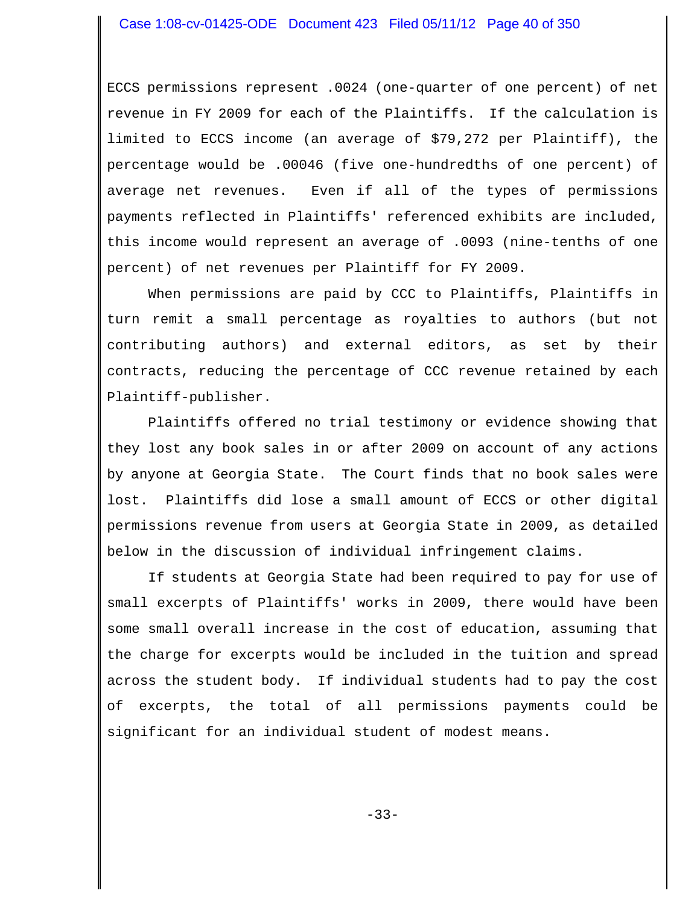ECCS permissions represent .0024 (one-quarter of one percent) of net revenue in FY 2009 for each of the Plaintiffs. If the calculation is limited to ECCS income (an average of \$79,272 per Plaintiff), the percentage would be .00046 (five one-hundredths of one percent) of average net revenues. Even if all of the types of permissions payments reflected in Plaintiffs' referenced exhibits are included, this income would represent an average of .0093 (nine-tenths of one percent) of net revenues per Plaintiff for FY 2009.

When permissions are paid by CCC to Plaintiffs, Plaintiffs in turn remit a small percentage as royalties to authors (but not contributing authors) and external editors, as set by their contracts, reducing the percentage of CCC revenue retained by each Plaintiff-publisher.

Plaintiffs offered no trial testimony or evidence showing that they lost any book sales in or after 2009 on account of any actions by anyone at Georgia State. The Court finds that no book sales were lost. Plaintiffs did lose a small amount of ECCS or other digital permissions revenue from users at Georgia State in 2009, as detailed below in the discussion of individual infringement claims.

If students at Georgia State had been required to pay for use of small excerpts of Plaintiffs' works in 2009, there would have been some small overall increase in the cost of education, assuming that the charge for excerpts would be included in the tuition and spread across the student body. If individual students had to pay the cost of excerpts, the total of all permissions payments could be significant for an individual student of modest means.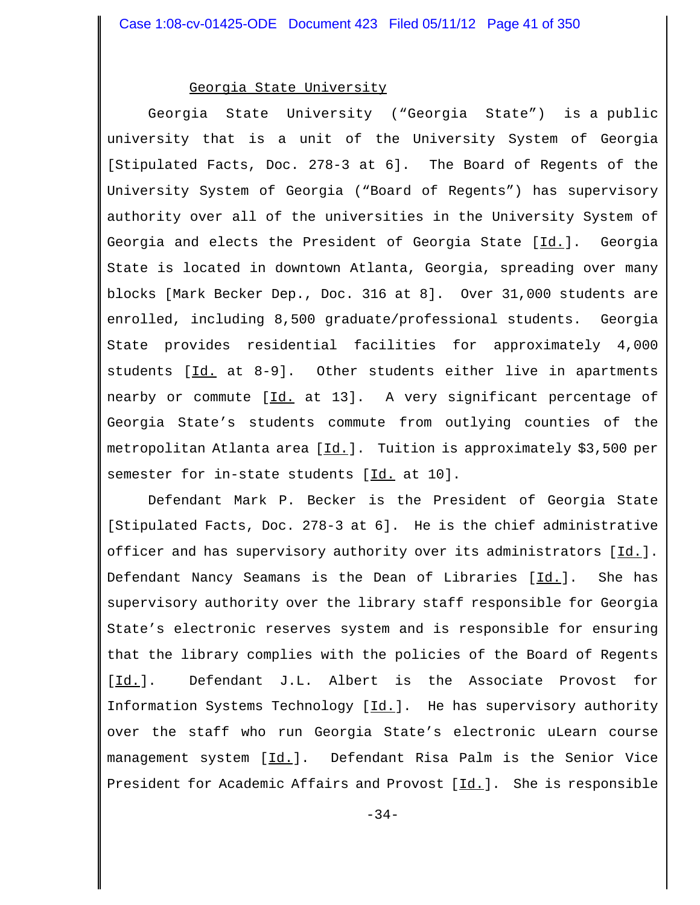#### Georgia State University

 Georgia State University ("Georgia State") is a public university that is a unit of the University System of Georgia [Stipulated Facts, Doc. 278-3 at 6]. The Board of Regents of the University System of Georgia ("Board of Regents") has supervisory authority over all of the universities in the University System of Georgia and elects the President of Georgia State [Id.]. Georgia State is located in downtown Atlanta, Georgia, spreading over many blocks [Mark Becker Dep., Doc. 316 at 8]. Over 31,000 students are enrolled, including 8,500 graduate/professional students. Georgia State provides residential facilities for approximately 4,000 students [Id. at 8-9]. Other students either live in apartments nearby or commute [Id. at 13]. A very significant percentage of Georgia State's students commute from outlying counties of the metropolitan Atlanta area [Id.]. Tuition is approximately \$3,500 per semester for in-state students [Id. at 10].

Defendant Mark P. Becker is the President of Georgia State [Stipulated Facts, Doc. 278-3 at 6]. He is the chief administrative officer and has supervisory authority over its administrators [Id.]. Defendant Nancy Seamans is the Dean of Libraries [Id.]. She has supervisory authority over the library staff responsible for Georgia State's electronic reserves system and is responsible for ensuring that the library complies with the policies of the Board of Regents [Id.]. Defendant J.L. Albert is the Associate Provost for Information Systems Technology  $[\underline{Id.}]$ . He has supervisory authority over the staff who run Georgia State's electronic uLearn course management system [Id.]. Defendant Risa Palm is the Senior Vice President for Academic Affairs and Provost [Id.]. She is responsible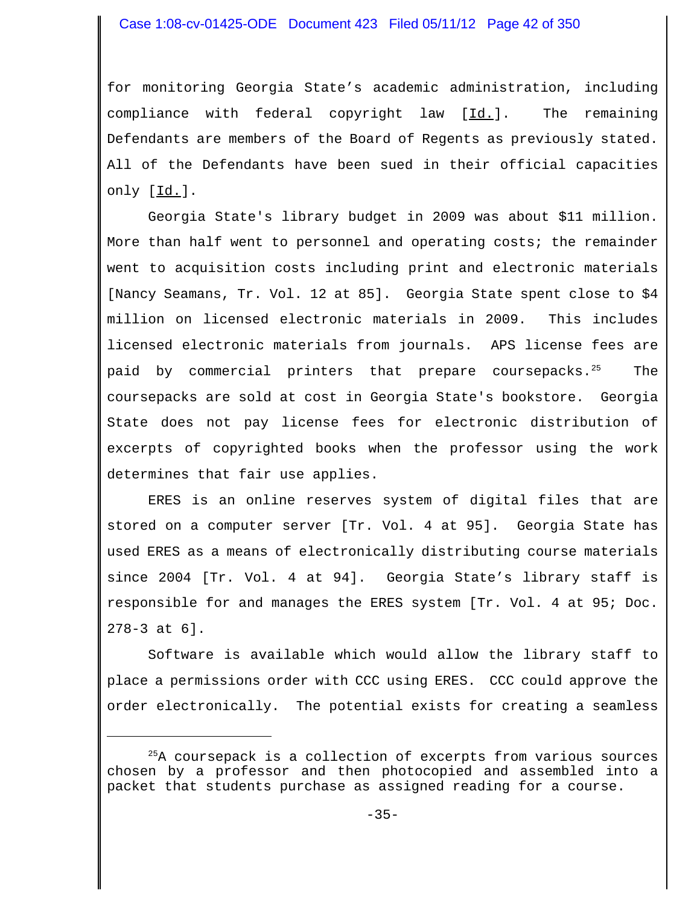for monitoring Georgia State's academic administration, including compliance with federal copyright law [Id.]. The remaining Defendants are members of the Board of Regents as previously stated. All of the Defendants have been sued in their official capacities only [Id.].

Georgia State's library budget in 2009 was about \$11 million. More than half went to personnel and operating costs; the remainder went to acquisition costs including print and electronic materials [Nancy Seamans, Tr. Vol. 12 at 85]. Georgia State spent close to \$4 million on licensed electronic materials in 2009. This includes licensed electronic materials from journals. APS license fees are paid by commercial printers that prepare coursepacks.<sup>25</sup> The coursepacks are sold at cost in Georgia State's bookstore. Georgia State does not pay license fees for electronic distribution of excerpts of copyrighted books when the professor using the work determines that fair use applies.

ERES is an online reserves system of digital files that are stored on a computer server [Tr. Vol. 4 at 95]. Georgia State has used ERES as a means of electronically distributing course materials since 2004 [Tr. Vol. 4 at 94]. Georgia State's library staff is responsible for and manages the ERES system [Tr. Vol. 4 at 95; Doc. 278-3 at 6].

Software is available which would allow the library staff to place a permissions order with CCC using ERES. CCC could approve the order electronically. The potential exists for creating a seamless

 $^{25}$ A coursepack is a collection of excerpts from various sources chosen by a professor and then photocopied and assembled into a packet that students purchase as assigned reading for a course.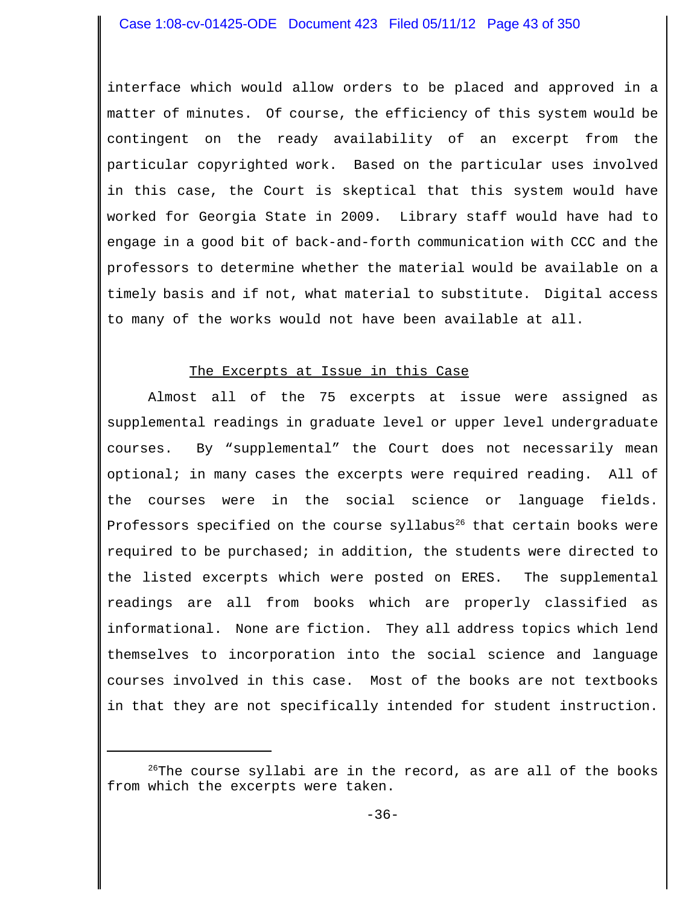interface which would allow orders to be placed and approved in a matter of minutes. Of course, the efficiency of this system would be contingent on the ready availability of an excerpt from the particular copyrighted work. Based on the particular uses involved in this case, the Court is skeptical that this system would have worked for Georgia State in 2009. Library staff would have had to engage in a good bit of back-and-forth communication with CCC and the professors to determine whether the material would be available on a timely basis and if not, what material to substitute. Digital access to many of the works would not have been available at all.

### The Excerpts at Issue in this Case

Almost all of the 75 excerpts at issue were assigned as supplemental readings in graduate level or upper level undergraduate courses. By "supplemental" the Court does not necessarily mean optional; in many cases the excerpts were required reading. All of the courses were in the social science or language fields. Professors specified on the course syllabus $26$  that certain books were required to be purchased; in addition, the students were directed to the listed excerpts which were posted on ERES. The supplemental readings are all from books which are properly classified as informational. None are fiction. They all address topics which lend themselves to incorporation into the social science and language courses involved in this case. Most of the books are not textbooks in that they are not specifically intended for student instruction.

 $26$ The course syllabi are in the record, as are all of the books from which the excerpts were taken.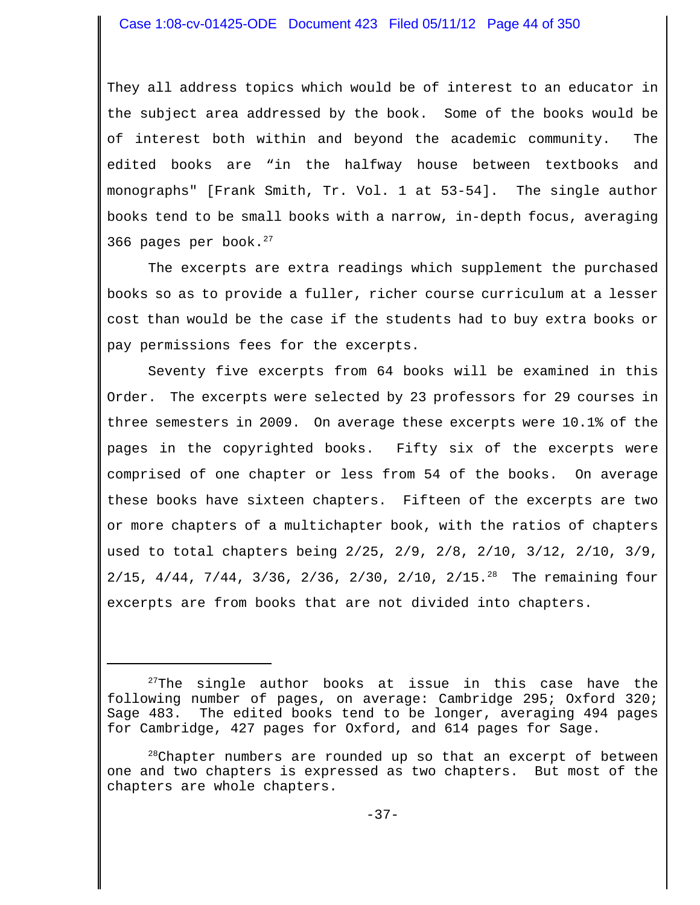They all address topics which would be of interest to an educator in the subject area addressed by the book. Some of the books would be of interest both within and beyond the academic community. The edited books are "in the halfway house between textbooks and monographs" [Frank Smith, Tr. Vol. 1 at 53-54]. The single author books tend to be small books with a narrow, in-depth focus, averaging 366 pages per book. $27$ 

The excerpts are extra readings which supplement the purchased books so as to provide a fuller, richer course curriculum at a lesser cost than would be the case if the students had to buy extra books or pay permissions fees for the excerpts.

Seventy five excerpts from 64 books will be examined in this Order. The excerpts were selected by 23 professors for 29 courses in three semesters in 2009. On average these excerpts were 10.1% of the pages in the copyrighted books. Fifty six of the excerpts were comprised of one chapter or less from 54 of the books. On average these books have sixteen chapters. Fifteen of the excerpts are two or more chapters of a multichapter book, with the ratios of chapters used to total chapters being 2/25, 2/9, 2/8, 2/10, 3/12, 2/10, 3/9, 2/15, 4/44, 7/44, 3/36, 2/36, 2/30, 2/10, 2/15.<sup>28</sup> The remaining four excerpts are from books that are not divided into chapters.

 $27$ The single author books at issue in this case have the following number of pages, on average: Cambridge 295; Oxford 320; Sage 483. The edited books tend to be longer, averaging 494 pages for Cambridge, 427 pages for Oxford, and 614 pages for Sage.

<sup>&</sup>lt;sup>28</sup>Chapter numbers are rounded up so that an excerpt of between one and two chapters is expressed as two chapters. But most of the chapters are whole chapters.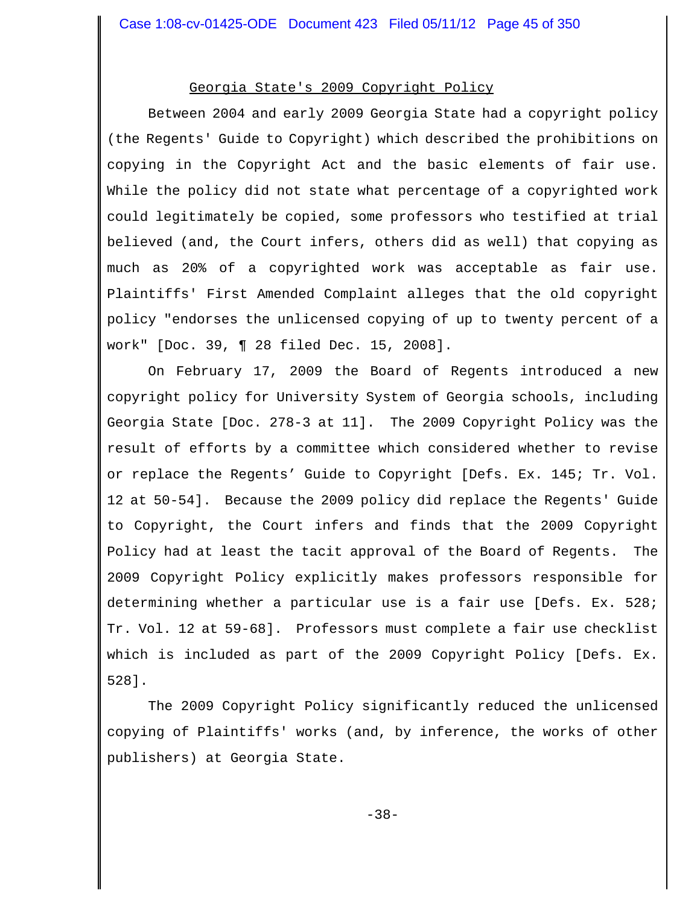## Georgia State's 2009 Copyright Policy

Between 2004 and early 2009 Georgia State had a copyright policy (the Regents' Guide to Copyright) which described the prohibitions on copying in the Copyright Act and the basic elements of fair use. While the policy did not state what percentage of a copyrighted work could legitimately be copied, some professors who testified at trial believed (and, the Court infers, others did as well) that copying as much as 20% of a copyrighted work was acceptable as fair use. Plaintiffs' First Amended Complaint alleges that the old copyright policy "endorses the unlicensed copying of up to twenty percent of a work" [Doc. 39, ¶ 28 filed Dec. 15, 2008].

On February 17, 2009 the Board of Regents introduced a new copyright policy for University System of Georgia schools, including Georgia State [Doc. 278-3 at 11]. The 2009 Copyright Policy was the result of efforts by a committee which considered whether to revise or replace the Regents' Guide to Copyright [Defs. Ex. 145; Tr. Vol. 12 at 50-54]. Because the 2009 policy did replace the Regents' Guide to Copyright, the Court infers and finds that the 2009 Copyright Policy had at least the tacit approval of the Board of Regents. The 2009 Copyright Policy explicitly makes professors responsible for determining whether a particular use is a fair use [Defs. Ex. 528; Tr. Vol. 12 at 59-68]. Professors must complete a fair use checklist which is included as part of the 2009 Copyright Policy [Defs. Ex. 528].

The 2009 Copyright Policy significantly reduced the unlicensed copying of Plaintiffs' works (and, by inference, the works of other publishers) at Georgia State.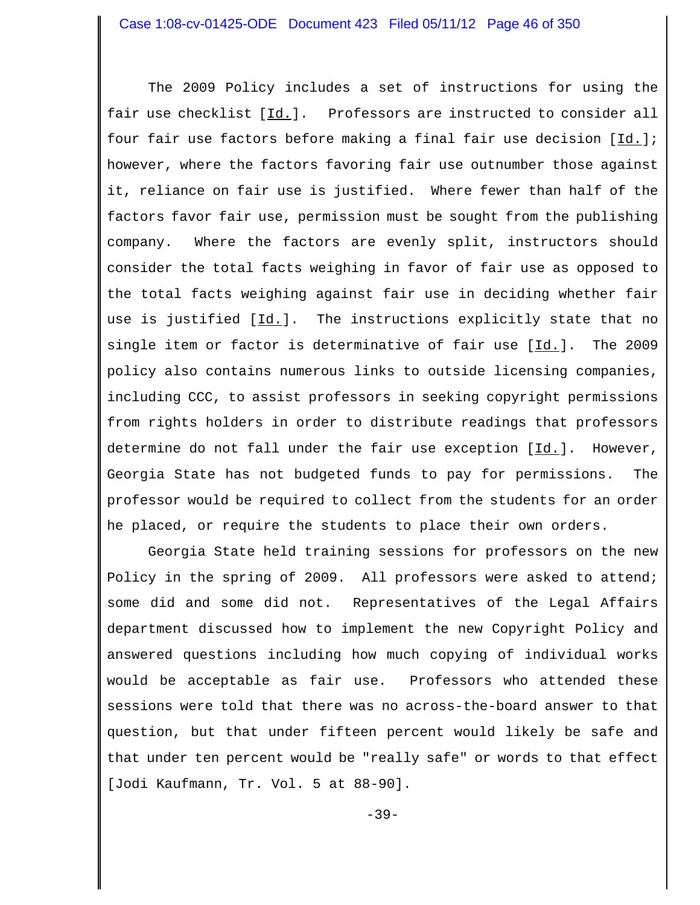The 2009 Policy includes a set of instructions for using the fair use checklist [Id.]. Professors are instructed to consider all four fair use factors before making a final fair use decision [Id.]; however, where the factors favoring fair use outnumber those against it, reliance on fair use is justified. Where fewer than half of the factors favor fair use, permission must be sought from the publishing company. Where the factors are evenly split, instructors should consider the total facts weighing in favor of fair use as opposed to the total facts weighing against fair use in deciding whether fair use is justified [Id.]. The instructions explicitly state that no single item or factor is determinative of fair use  $[\underline{Id}]$ . The 2009 policy also contains numerous links to outside licensing companies, including CCC, to assist professors in seeking copyright permissions from rights holders in order to distribute readings that professors determine do not fall under the fair use exception [Id.]. However, Georgia State has not budgeted funds to pay for permissions. The professor would be required to collect from the students for an order he placed, or require the students to place their own orders.

 Georgia State held training sessions for professors on the new Policy in the spring of 2009. All professors were asked to attend; some did and some did not. Representatives of the Legal Affairs department discussed how to implement the new Copyright Policy and answered questions including how much copying of individual works would be acceptable as fair use. Professors who attended these sessions were told that there was no across-the-board answer to that question, but that under fifteen percent would likely be safe and that under ten percent would be "really safe" or words to that effect [Jodi Kaufmann, Tr. Vol. 5 at 88-90].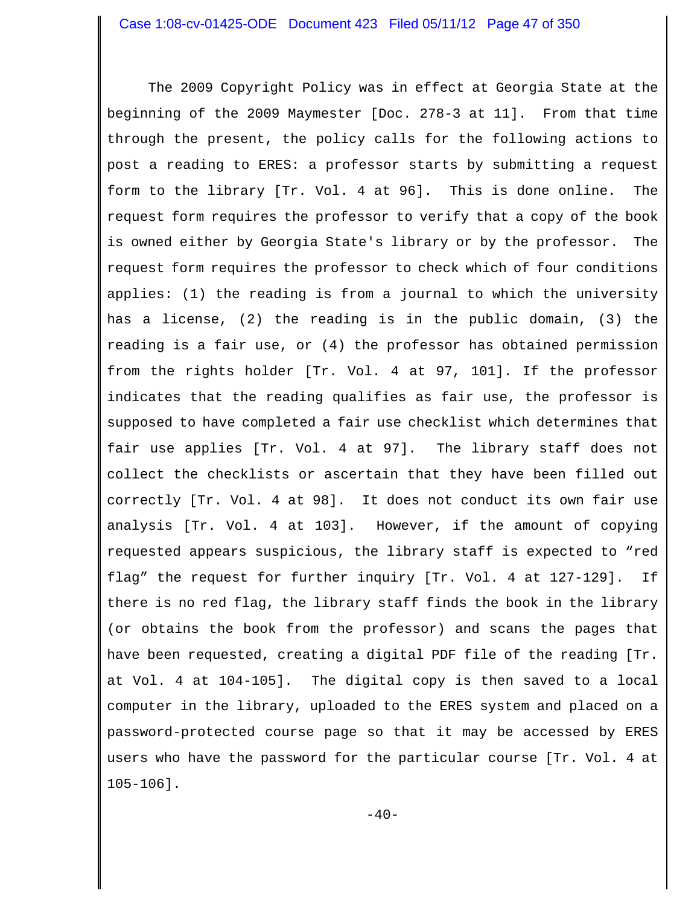The 2009 Copyright Policy was in effect at Georgia State at the beginning of the 2009 Maymester [Doc. 278-3 at 11]. From that time through the present, the policy calls for the following actions to post a reading to ERES: a professor starts by submitting a request form to the library [Tr. Vol. 4 at 96]. This is done online. The request form requires the professor to verify that a copy of the book is owned either by Georgia State's library or by the professor. The request form requires the professor to check which of four conditions applies: (1) the reading is from a journal to which the university has a license, (2) the reading is in the public domain, (3) the reading is a fair use, or (4) the professor has obtained permission from the rights holder [Tr. Vol. 4 at 97, 101]. If the professor indicates that the reading qualifies as fair use, the professor is supposed to have completed a fair use checklist which determines that fair use applies [Tr. Vol. 4 at 97]. The library staff does not collect the checklists or ascertain that they have been filled out correctly [Tr. Vol. 4 at 98]. It does not conduct its own fair use analysis [Tr. Vol. 4 at 103]. However, if the amount of copying requested appears suspicious, the library staff is expected to "red flag" the request for further inquiry [Tr. Vol. 4 at 127-129]. If there is no red flag, the library staff finds the book in the library (or obtains the book from the professor) and scans the pages that have been requested, creating a digital PDF file of the reading [Tr. at Vol. 4 at 104-105]. The digital copy is then saved to a local computer in the library, uploaded to the ERES system and placed on a password-protected course page so that it may be accessed by ERES users who have the password for the particular course [Tr. Vol. 4 at 105-106].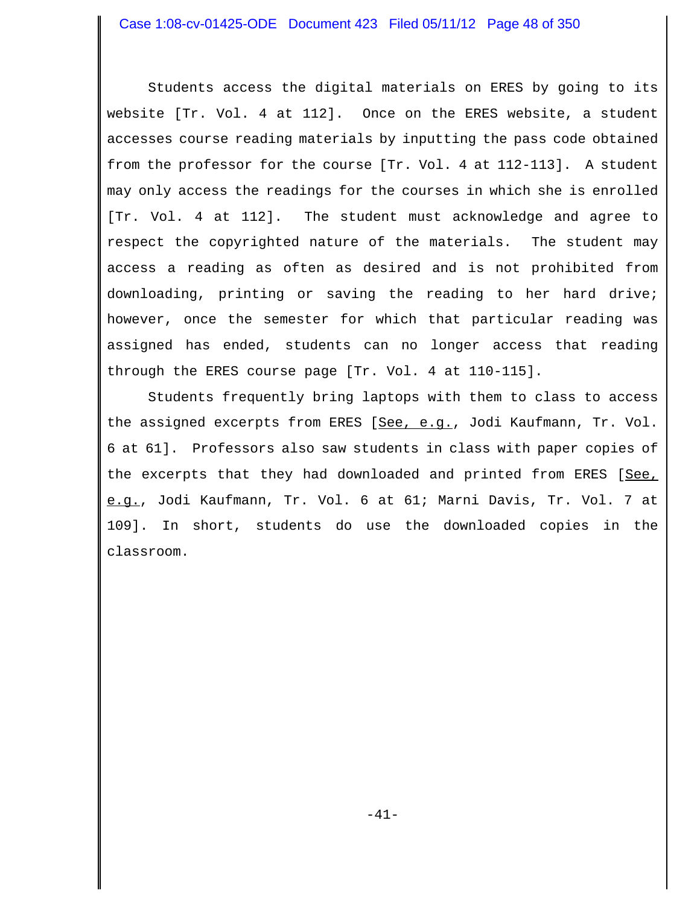Students access the digital materials on ERES by going to its website [Tr. Vol. 4 at 112]. Once on the ERES website, a student accesses course reading materials by inputting the pass code obtained from the professor for the course [Tr. Vol. 4 at 112-113]. A student may only access the readings for the courses in which she is enrolled [Tr. Vol. 4 at 112]. The student must acknowledge and agree to respect the copyrighted nature of the materials. The student may access a reading as often as desired and is not prohibited from downloading, printing or saving the reading to her hard drive; however, once the semester for which that particular reading was assigned has ended, students can no longer access that reading through the ERES course page [Tr. Vol. 4 at 110-115].

Students frequently bring laptops with them to class to access the assigned excerpts from ERES [See, e.g., Jodi Kaufmann, Tr. Vol. 6 at 61]. Professors also saw students in class with paper copies of the excerpts that they had downloaded and printed from ERES [See, e.g., Jodi Kaufmann, Tr. Vol. 6 at 61; Marni Davis, Tr. Vol. 7 at 109]. In short, students do use the downloaded copies in the classroom.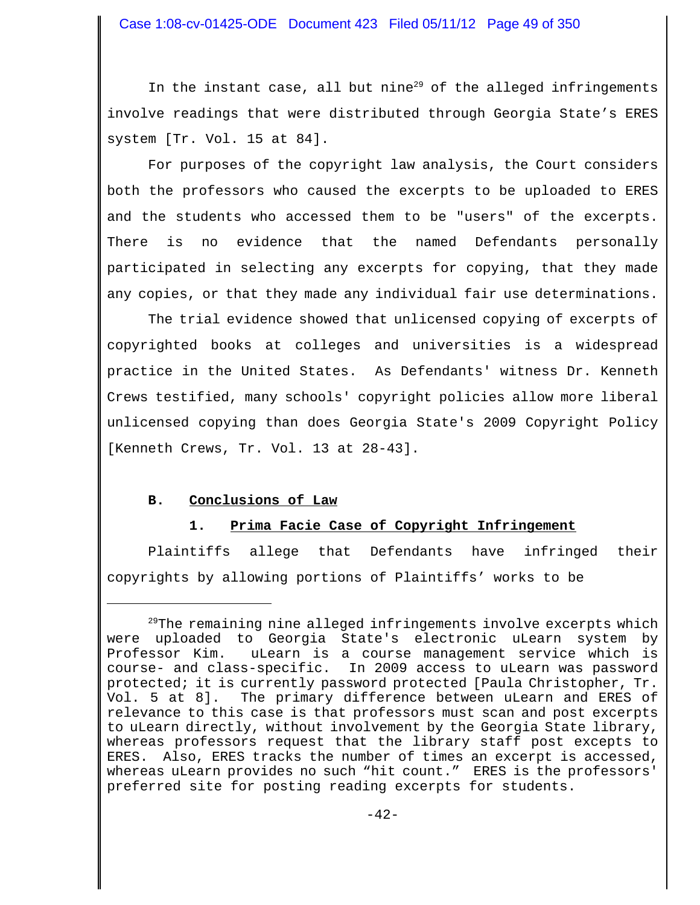In the instant case, all but nine $^{29}$  of the alleged infringements involve readings that were distributed through Georgia State's ERES system [Tr. Vol. 15 at 84].

For purposes of the copyright law analysis, the Court considers both the professors who caused the excerpts to be uploaded to ERES and the students who accessed them to be "users" of the excerpts. There is no evidence that the named Defendants personally participated in selecting any excerpts for copying, that they made any copies, or that they made any individual fair use determinations.

The trial evidence showed that unlicensed copying of excerpts of copyrighted books at colleges and universities is a widespread practice in the United States. As Defendants' witness Dr. Kenneth Crews testified, many schools' copyright policies allow more liberal unlicensed copying than does Georgia State's 2009 Copyright Policy [Kenneth Crews, Tr. Vol. 13 at 28-43].

# **B. Conclusions of Law**

# **1. Prima Facie Case of Copyright Infringement**

Plaintiffs allege that Defendants have infringed their copyrights by allowing portions of Plaintiffs' works to be

 $29$ The remaining nine alleged infringements involve excerpts which were uploaded to Georgia State's electronic uLearn system by Professor Kim. uLearn is a course management service which is course- and class-specific. In 2009 access to uLearn was password protected; it is currently password protected [Paula Christopher, Tr. Vol. 5 at 8]. The primary difference between uLearn and ERES of relevance to this case is that professors must scan and post excerpts to uLearn directly, without involvement by the Georgia State library, whereas professors request that the library staff post excepts to ERES. Also, ERES tracks the number of times an excerpt is accessed, whereas uLearn provides no such "hit count." ERES is the professors' preferred site for posting reading excerpts for students.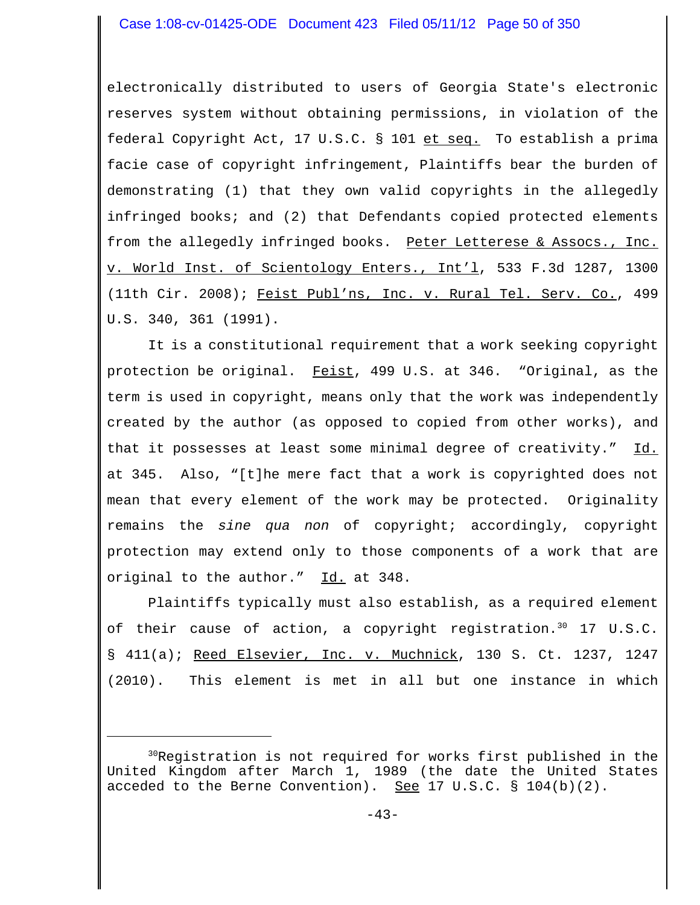electronically distributed to users of Georgia State's electronic reserves system without obtaining permissions, in violation of the federal Copyright Act, 17 U.S.C. § 101 et seq. To establish a prima facie case of copyright infringement, Plaintiffs bear the burden of demonstrating (1) that they own valid copyrights in the allegedly infringed books; and (2) that Defendants copied protected elements from the allegedly infringed books. Peter Letterese & Assocs., Inc. v. World Inst. of Scientology Enters., Int'l, 533 F.3d 1287, 1300 (11th Cir. 2008); Feist Publ'ns, Inc. v. Rural Tel. Serv. Co., 499 U.S. 340, 361 (1991).

It is a constitutional requirement that a work seeking copyright protection be original. Feist, 499 U.S. at 346. "Original, as the term is used in copyright, means only that the work was independently created by the author (as opposed to copied from other works), and that it possesses at least some minimal degree of creativity." Id. at 345. Also, "[t]he mere fact that a work is copyrighted does not mean that every element of the work may be protected. Originality remains the *sine qua non* of copyright; accordingly, copyright protection may extend only to those components of a work that are original to the author." Id. at 348.

Plaintiffs typically must also establish, as a required element of their cause of action, a copyright registration.<sup>30</sup> 17 U.S.C. § 411(a); Reed Elsevier, Inc. v. Muchnick, 130 S. Ct. 1237, 1247 (2010). This element is met in all but one instance in which

 $30R$ eqistration is not required for works first published in the United Kingdom after March 1, 1989 (the date the United States acceded to the Berne Convention). See  $17 \text{ U.S.C. }$  §  $104(b)(2)$ .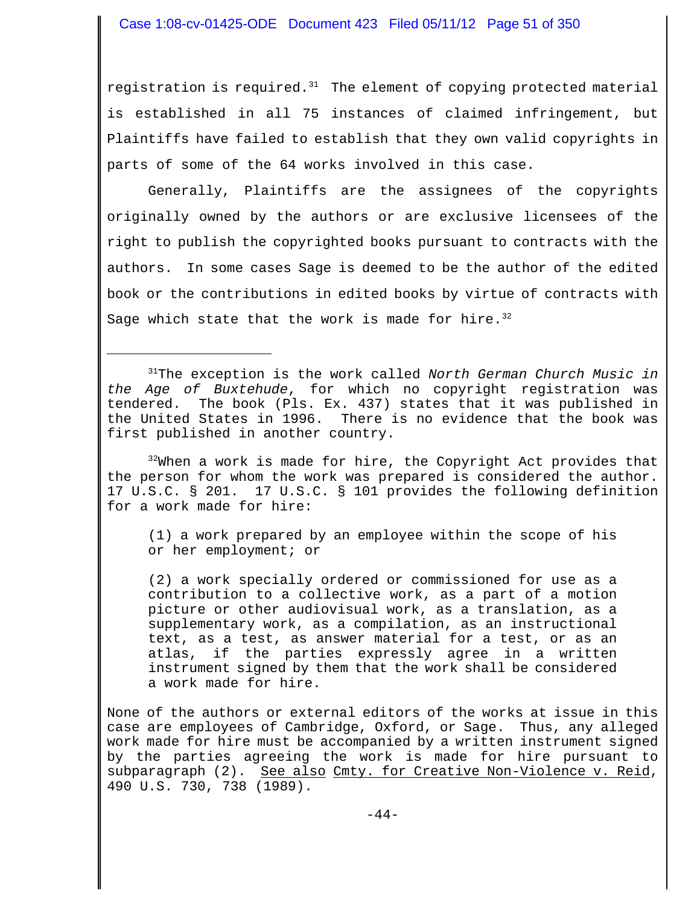registration is required. $31$  The element of copying protected material is established in all 75 instances of claimed infringement, but Plaintiffs have failed to establish that they own valid copyrights in parts of some of the 64 works involved in this case.

Generally, Plaintiffs are the assignees of the copyrights originally owned by the authors or are exclusive licensees of the right to publish the copyrighted books pursuant to contracts with the authors. In some cases Sage is deemed to be the author of the edited book or the contributions in edited books by virtue of contracts with Sage which state that the work is made for hire.  $32$ 

31The exception is the work called *North German Church Music in the Age of Buxtehude*, for which no copyright registration was tendered. The book (Pls. Ex. 437) states that it was published in the United States in 1996. There is no evidence that the book was first published in another country.

 $32\%$ Nhen a work is made for hire, the Copyright Act provides that the person for whom the work was prepared is considered the author. 17 U.S.C. § 201. 17 U.S.C. § 101 provides the following definition for a work made for hire:

(1) a work prepared by an employee within the scope of his or her employment; or

(2) a work specially ordered or commissioned for use as a contribution to a collective work, as a part of a motion picture or other audiovisual work, as a translation, as a supplementary work, as a compilation, as an instructional text, as a test, as answer material for a test, or as an atlas, if the parties expressly agree in a written instrument signed by them that the work shall be considered a work made for hire.

None of the authors or external editors of the works at issue in this case are employees of Cambridge, Oxford, or Sage. Thus, any alleged work made for hire must be accompanied by a written instrument signed by the parties agreeing the work is made for hire pursuant to subparagraph (2). See also Cmty. for Creative Non-Violence v. Reid, 490 U.S. 730, 738 (1989).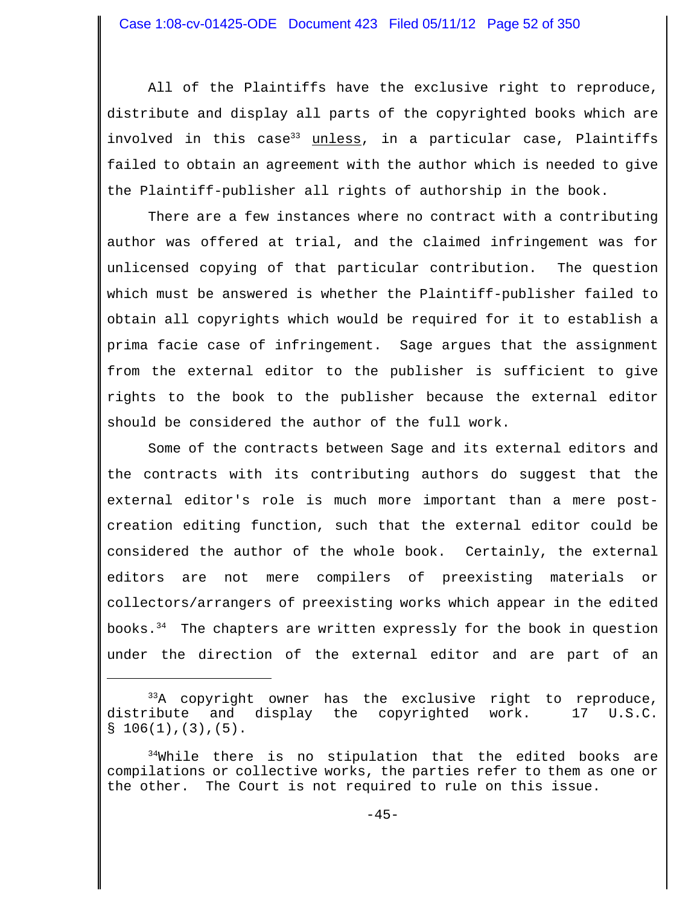All of the Plaintiffs have the exclusive right to reproduce, distribute and display all parts of the copyrighted books which are involved in this case<sup>33</sup> unless, in a particular case, Plaintiffs failed to obtain an agreement with the author which is needed to give the Plaintiff-publisher all rights of authorship in the book.

There are a few instances where no contract with a contributing author was offered at trial, and the claimed infringement was for unlicensed copying of that particular contribution. The question which must be answered is whether the Plaintiff-publisher failed to obtain all copyrights which would be required for it to establish a prima facie case of infringement. Sage argues that the assignment from the external editor to the publisher is sufficient to give rights to the book to the publisher because the external editor should be considered the author of the full work.

Some of the contracts between Sage and its external editors and the contracts with its contributing authors do suggest that the external editor's role is much more important than a mere postcreation editing function, such that the external editor could be considered the author of the whole book. Certainly, the external editors are not mere compilers of preexisting materials or collectors/arrangers of preexisting works which appear in the edited books. $34$  The chapters are written expressly for the book in question under the direction of the external editor and are part of an

 $33A$  copyright owner has the exclusive right to reproduce, distribute and display the copyrighted work. 17 U.S.C.  $$106(1), (3), (5).$ 

 $34$ While there is no stipulation that the edited books are compilations or collective works, the parties refer to them as one or the other. The Court is not required to rule on this issue.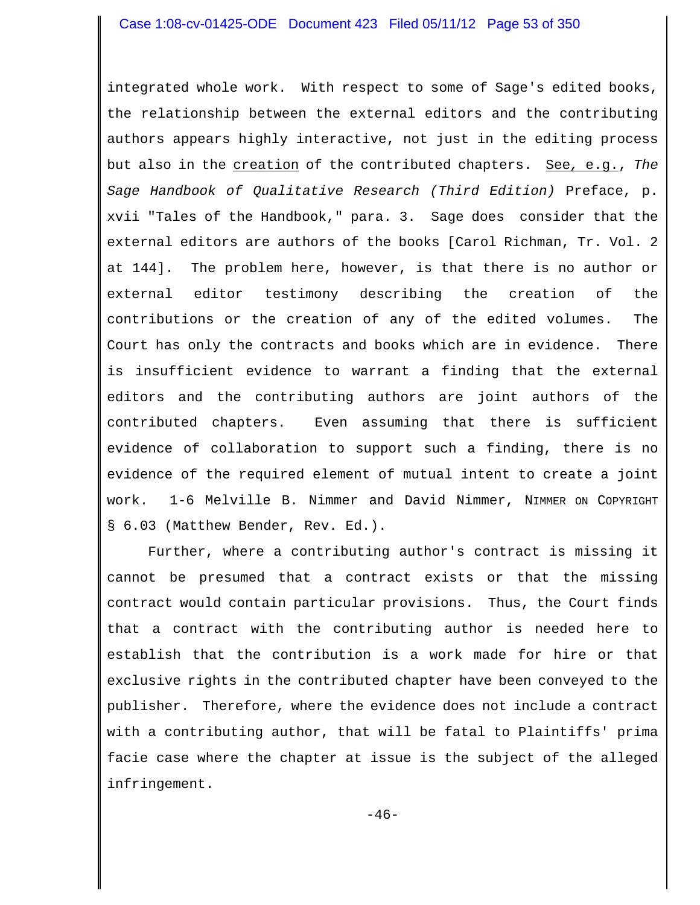integrated whole work. With respect to some of Sage's edited books, the relationship between the external editors and the contributing authors appears highly interactive, not just in the editing process but also in the creation of the contributed chapters. See*,* e.g., *The Sage Handbook of Qualitative Research (Third Edition)* Preface, p. xvii "Tales of the Handbook," para. 3. Sage does consider that the external editors are authors of the books [Carol Richman, Tr. Vol. 2 at 144]. The problem here, however, is that there is no author or external editor testimony describing the creation of the contributions or the creation of any of the edited volumes. The Court has only the contracts and books which are in evidence. There is insufficient evidence to warrant a finding that the external editors and the contributing authors are joint authors of the contributed chapters. Even assuming that there is sufficient evidence of collaboration to support such a finding, there is no evidence of the required element of mutual intent to create a joint work. 1-6 Melville B. Nimmer and David Nimmer, NIMMER ON COPYRIGHT § 6.03 (Matthew Bender, Rev. Ed.).

Further, where a contributing author's contract is missing it cannot be presumed that a contract exists or that the missing contract would contain particular provisions. Thus, the Court finds that a contract with the contributing author is needed here to establish that the contribution is a work made for hire or that exclusive rights in the contributed chapter have been conveyed to the publisher. Therefore, where the evidence does not include a contract with a contributing author, that will be fatal to Plaintiffs' prima facie case where the chapter at issue is the subject of the alleged infringement.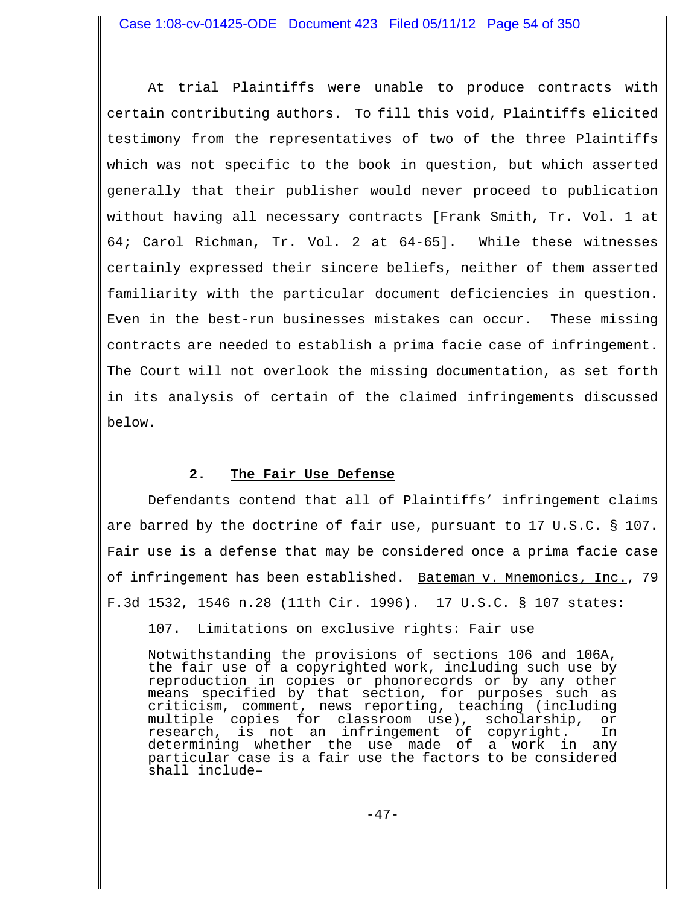At trial Plaintiffs were unable to produce contracts with certain contributing authors. To fill this void, Plaintiffs elicited testimony from the representatives of two of the three Plaintiffs which was not specific to the book in question, but which asserted generally that their publisher would never proceed to publication without having all necessary contracts [Frank Smith, Tr. Vol. 1 at 64; Carol Richman, Tr. Vol. 2 at 64-65]. While these witnesses certainly expressed their sincere beliefs, neither of them asserted familiarity with the particular document deficiencies in question. Even in the best-run businesses mistakes can occur. These missing contracts are needed to establish a prima facie case of infringement. The Court will not overlook the missing documentation, as set forth in its analysis of certain of the claimed infringements discussed below.

# **2. The Fair Use Defense**

Defendants contend that all of Plaintiffs' infringement claims are barred by the doctrine of fair use, pursuant to 17 U.S.C. § 107. Fair use is a defense that may be considered once a prima facie case of infringement has been established. Bateman v. Mnemonics, Inc., 79 F.3d 1532, 1546 n.28 (11th Cir. 1996). 17 U.S.C. § 107 states:

107. Limitations on exclusive rights: Fair use

Notwithstanding the provisions of sections 106 and 106A, the fair use of a copyrighted work, including such use by reproduction in copies or phonorecords or by any other means specified by that section, for purposes such as criticism, comment, news reporting, teaching (including multiple copies for classroom use), scholarship, or research, is not an infringement of copyright. In determining whether the use made of a work in any particular case is a fair use the factors to be considered shall include–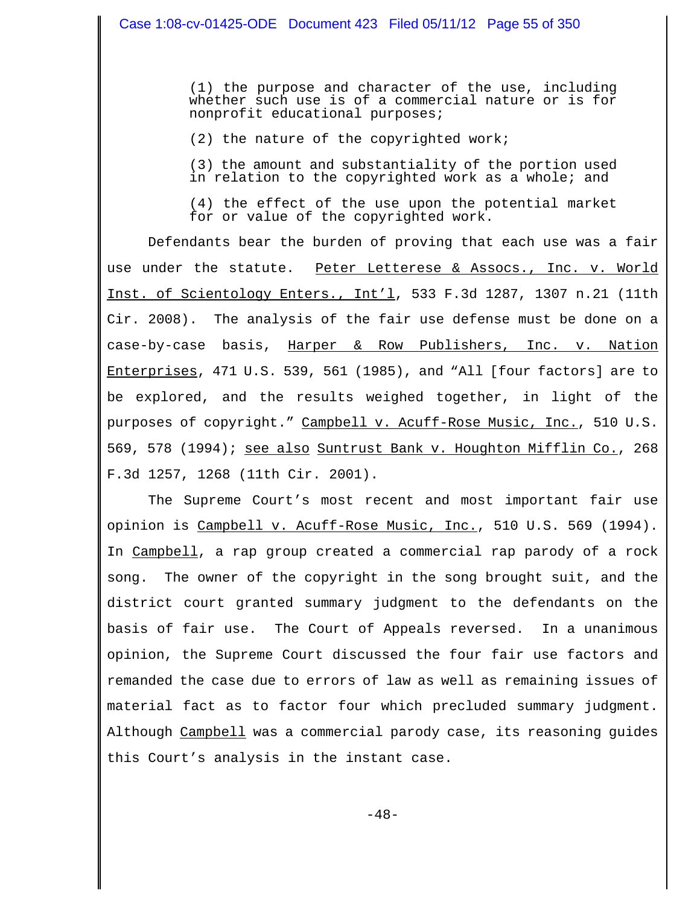(1) the purpose and character of the use, including whether such use is of a commercial nature or is for nonprofit educational purposes;

(2) the nature of the copyrighted work;

(3) the amount and substantiality of the portion used in relation to the copyrighted work as a whole; and

(4) the effect of the use upon the potential market for or value of the copyrighted work.

Defendants bear the burden of proving that each use was a fair use under the statute. Peter Letterese & Assocs., Inc. v. World Inst. of Scientology Enters., Int'l, 533 F.3d 1287, 1307 n.21 (11th Cir. 2008). The analysis of the fair use defense must be done on a case-by-case basis, Harper & Row Publishers, Inc. v. Nation Enterprises, 471 U.S. 539, 561 (1985), and "All [four factors] are to be explored, and the results weighed together, in light of the purposes of copyright." Campbell v. Acuff-Rose Music, Inc., 510 U.S. 569, 578 (1994); see also Suntrust Bank v. Houghton Mifflin Co., 268 F.3d 1257, 1268 (11th Cir. 2001).

The Supreme Court's most recent and most important fair use opinion is <u>Campbell v. Acuff-Rose Music, Inc.</u>, 510 U.S. 569 (1994). In Campbell, a rap group created a commercial rap parody of a rock song. The owner of the copyright in the song brought suit, and the district court granted summary judgment to the defendants on the basis of fair use. The Court of Appeals reversed. In a unanimous opinion, the Supreme Court discussed the four fair use factors and remanded the case due to errors of law as well as remaining issues of material fact as to factor four which precluded summary judgment. Although Campbell was a commercial parody case, its reasoning guides this Court's analysis in the instant case.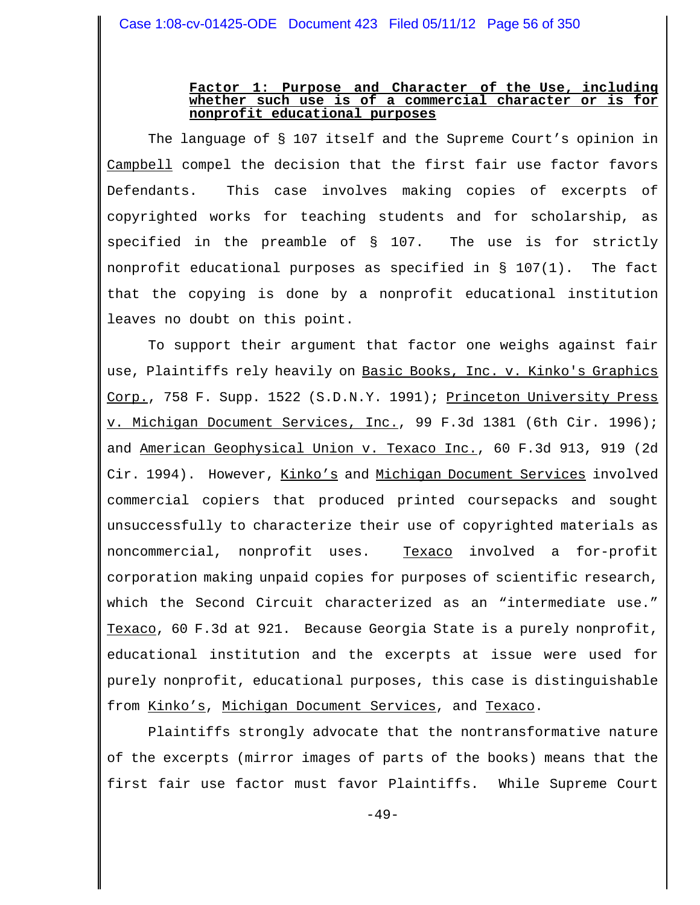### **Factor 1: Purpose and Character of the Use, including whether such use is of a commercial character or is for nonprofit educational purposes**

The language of § 107 itself and the Supreme Court's opinion in Campbell compel the decision that the first fair use factor favors Defendants. This case involves making copies of excerpts of copyrighted works for teaching students and for scholarship, as specified in the preamble of § 107. The use is for strictly nonprofit educational purposes as specified in § 107(1). The fact that the copying is done by a nonprofit educational institution leaves no doubt on this point.

To support their argument that factor one weighs against fair use, Plaintiffs rely heavily on Basic Books, Inc. v. Kinko's Graphics Corp., 758 F. Supp. 1522 (S.D.N.Y. 1991); Princeton University Press v. Michigan Document Services, Inc., 99 F.3d 1381 (6th Cir. 1996); and American Geophysical Union v. Texaco Inc., 60 F.3d 913, 919 (2d Cir. 1994). However, Kinko's and Michigan Document Services involved commercial copiers that produced printed coursepacks and sought unsuccessfully to characterize their use of copyrighted materials as noncommercial, nonprofit uses. Texaco involved a for-profit corporation making unpaid copies for purposes of scientific research, which the Second Circuit characterized as an "intermediate use." Texaco, 60 F.3d at 921. Because Georgia State is a purely nonprofit, educational institution and the excerpts at issue were used for purely nonprofit, educational purposes, this case is distinguishable from Kinko's, Michigan Document Services, and Texaco.

Plaintiffs strongly advocate that the nontransformative nature of the excerpts (mirror images of parts of the books) means that the first fair use factor must favor Plaintiffs. While Supreme Court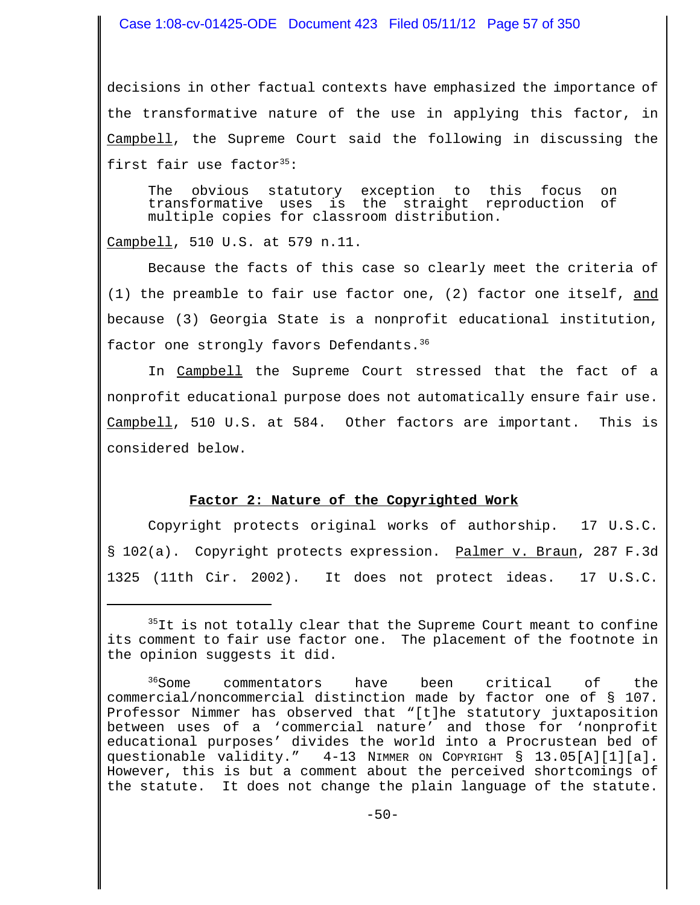#### Case 1:08-cv-01425-ODE Document 423 Filed 05/11/12 Page 57 of 350

decisions in other factual contexts have emphasized the importance of the transformative nature of the use in applying this factor, in Campbell, the Supreme Court said the following in discussing the first fair use factor $35$ :

The obvious statutory exception to this focus on transformative uses is the straight reproduction of multiple copies for classroom distribution.

Campbell, 510 U.S. at 579 n.11.

Because the facts of this case so clearly meet the criteria of (1) the preamble to fair use factor one, (2) factor one itself,  $and$ because (3) Georgia State is a nonprofit educational institution, factor one strongly favors Defendants.<sup>36</sup>

In Campbell the Supreme Court stressed that the fact of a nonprofit educational purpose does not automatically ensure fair use. Campbell, 510 U.S. at 584. Other factors are important. This is considered below.

#### **Factor 2: Nature of the Copyrighted Work**

Copyright protects original works of authorship. 17 U.S.C. § 102(a). Copyright protects expression. Palmer v. Braun, 287 F.3d 1325 (11th Cir. 2002). It does not protect ideas. 17 U.S.C.

 $35$ It is not totally clear that the Supreme Court meant to confine its comment to fair use factor one. The placement of the footnote in the opinion suggests it did.

<sup>&</sup>lt;sup>36</sup>Some commentators have been critical of the commercial/noncommercial distinction made by factor one of § 107. Professor Nimmer has observed that "[t]he statutory juxtaposition between uses of a 'commercial nature' and those for 'nonprofit educational purposes' divides the world into a Procrustean bed of questionable validity." 4-13 NIMMER ON COPYRIGHT § 13.05[A][1][a]. However, this is but a comment about the perceived shortcomings of the statute. It does not change the plain language of the statute.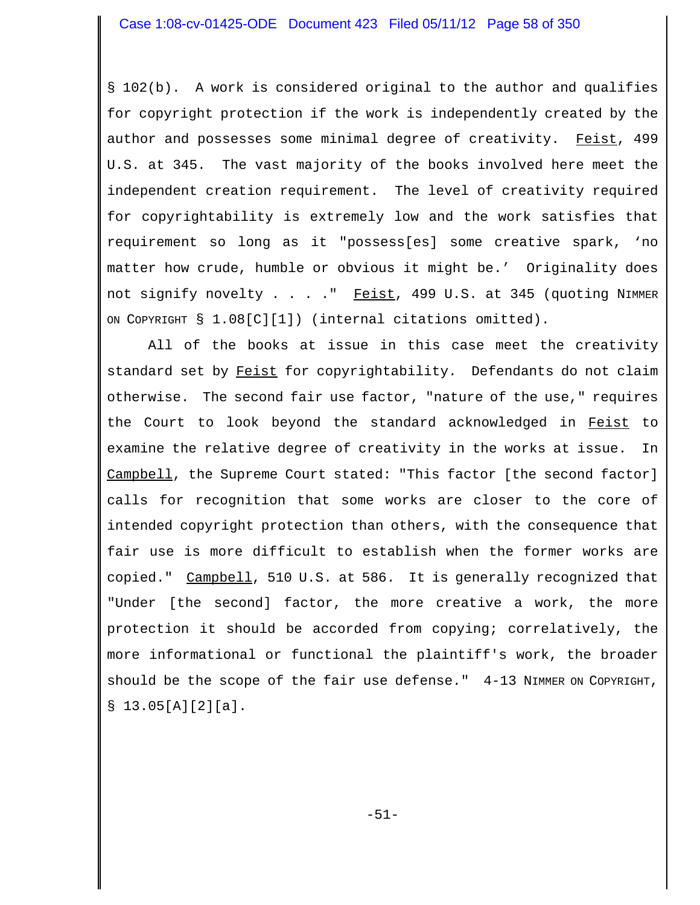§ 102(b). A work is considered original to the author and qualifies for copyright protection if the work is independently created by the author and possesses some minimal degree of creativity. Feist, 499 U.S. at 345. The vast majority of the books involved here meet the independent creation requirement. The level of creativity required for copyrightability is extremely low and the work satisfies that requirement so long as it "possess[es] some creative spark, 'no matter how crude, humble or obvious it might be.' Originality does not signify novelty  $\ldots$  . . " Feist, 499 U.S. at 345 (quoting NIMMER ON COPYRIGHT § 1.08[C][1]) (internal citations omitted).

All of the books at issue in this case meet the creativity standard set by Feist for copyrightability. Defendants do not claim otherwise. The second fair use factor, "nature of the use," requires the Court to look beyond the standard acknowledged in Feist to examine the relative degree of creativity in the works at issue. In Campbell, the Supreme Court stated: "This factor [the second factor] calls for recognition that some works are closer to the core of intended copyright protection than others, with the consequence that fair use is more difficult to establish when the former works are copied." Campbell, 510 U.S. at 586. It is generally recognized that "Under [the second] factor, the more creative a work, the more protection it should be accorded from copying; correlatively, the more informational or functional the plaintiff's work, the broader should be the scope of the fair use defense."  $4-13$  NIMMER ON COPYRIGHT, § 13.05[A][2][a].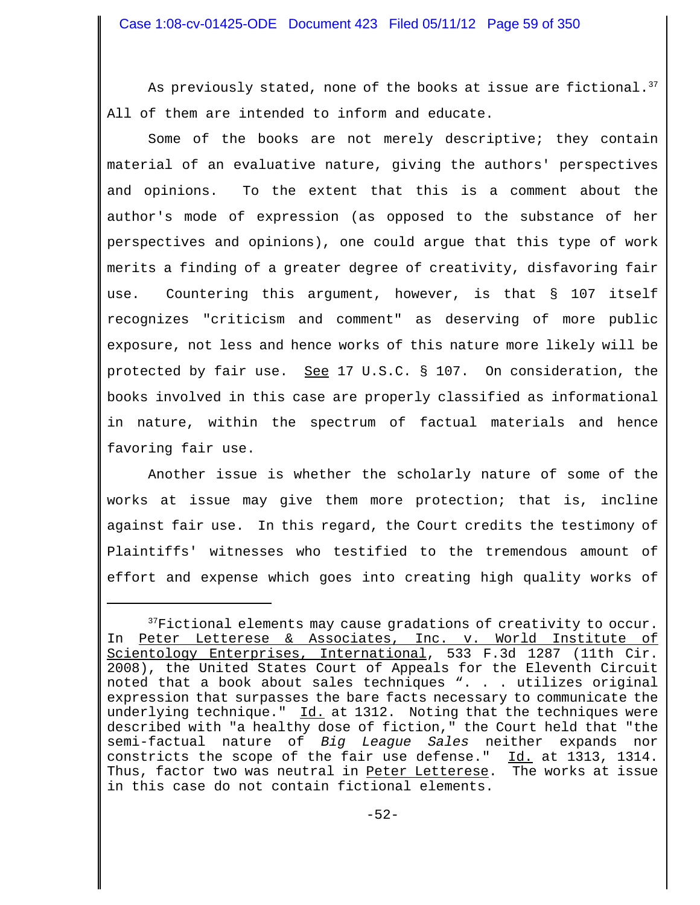As previously stated, none of the books at issue are fictional.<sup>37</sup> All of them are intended to inform and educate.

Some of the books are not merely descriptive; they contain material of an evaluative nature, giving the authors' perspectives and opinions. To the extent that this is a comment about the author's mode of expression (as opposed to the substance of her perspectives and opinions), one could argue that this type of work merits a finding of a greater degree of creativity, disfavoring fair use. Countering this argument, however, is that § 107 itself recognizes "criticism and comment" as deserving of more public exposure, not less and hence works of this nature more likely will be protected by fair use. See 17 U.S.C.  $\S$  107. On consideration, the books involved in this case are properly classified as informational in nature, within the spectrum of factual materials and hence favoring fair use.

 Another issue is whether the scholarly nature of some of the works at issue may give them more protection; that is, incline against fair use. In this regard, the Court credits the testimony of Plaintiffs' witnesses who testified to the tremendous amount of effort and expense which goes into creating high quality works of

 $37$ Fictional elements may cause gradations of creativity to occur. In Peter Letterese & Associates, Inc. v. World Institute of Scientology Enterprises, International, 533 F.3d 1287 (11th Cir. 2008), the United States Court of Appeals for the Eleventh Circuit noted that a book about sales techniques ". . . utilizes original expression that surpasses the bare facts necessary to communicate the underlying technique." Id. at 1312. Noting that the techniques were described with "a healthy dose of fiction," the Court held that "the semi-factual nature of *Big League Sales* neither expands nor constricts the scope of the fair use defense." Id. at 1313, 1314. Thus, factor two was neutral in Peter Letterese. The works at issue in this case do not contain fictional elements.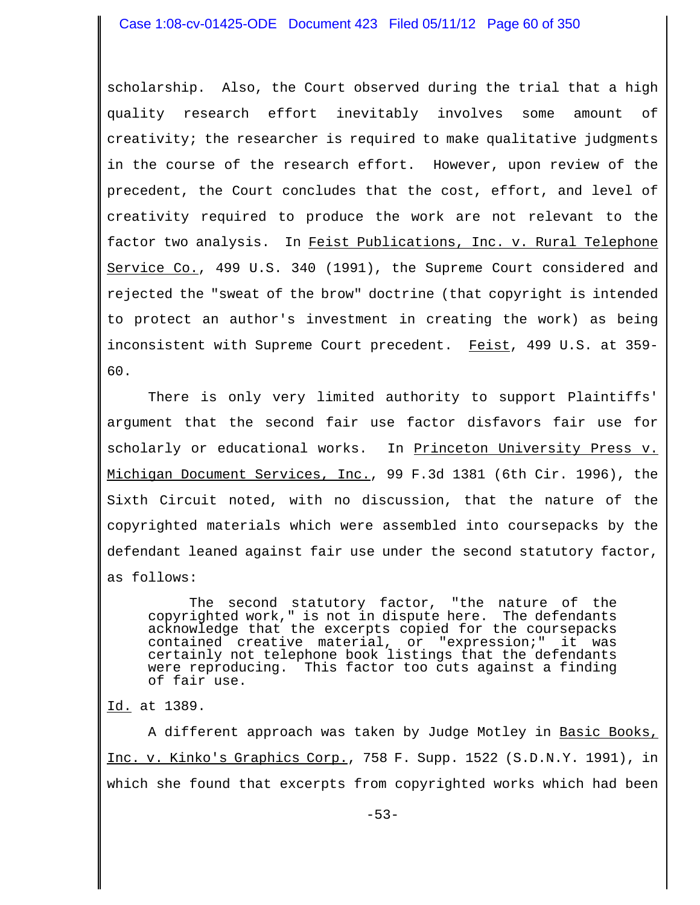scholarship. Also, the Court observed during the trial that a high quality research effort inevitably involves some amount of creativity; the researcher is required to make qualitative judgments in the course of the research effort. However, upon review of the precedent, the Court concludes that the cost, effort, and level of creativity required to produce the work are not relevant to the factor two analysis. In Feist Publications, Inc. v. Rural Telephone Service Co., 499 U.S. 340 (1991), the Supreme Court considered and rejected the "sweat of the brow" doctrine (that copyright is intended to protect an author's investment in creating the work) as being inconsistent with Supreme Court precedent. Feist, 499 U.S. at 359-60.

There is only very limited authority to support Plaintiffs' argument that the second fair use factor disfavors fair use for scholarly or educational works. In Princeton University Press v. Michigan Document Services, Inc., 99 F.3d 1381 (6th Cir. 1996), the Sixth Circuit noted, with no discussion, that the nature of the copyrighted materials which were assembled into coursepacks by the defendant leaned against fair use under the second statutory factor, as follows:

The second statutory factor, "the nature of the copyrighted work," is not in dispute here. The defendants acknowledge that the excerpts copied for the coursepacks contained creative material, or "expression;" it was certainly not telephone book listings that the defendants were reproducing. This factor too cuts against a finding of fair use.

Id. at 1389.

A different approach was taken by Judge Motley in Basic Books, Inc. v. Kinko's Graphics Corp., 758 F. Supp. 1522 (S.D.N.Y. 1991), in which she found that excerpts from copyrighted works which had been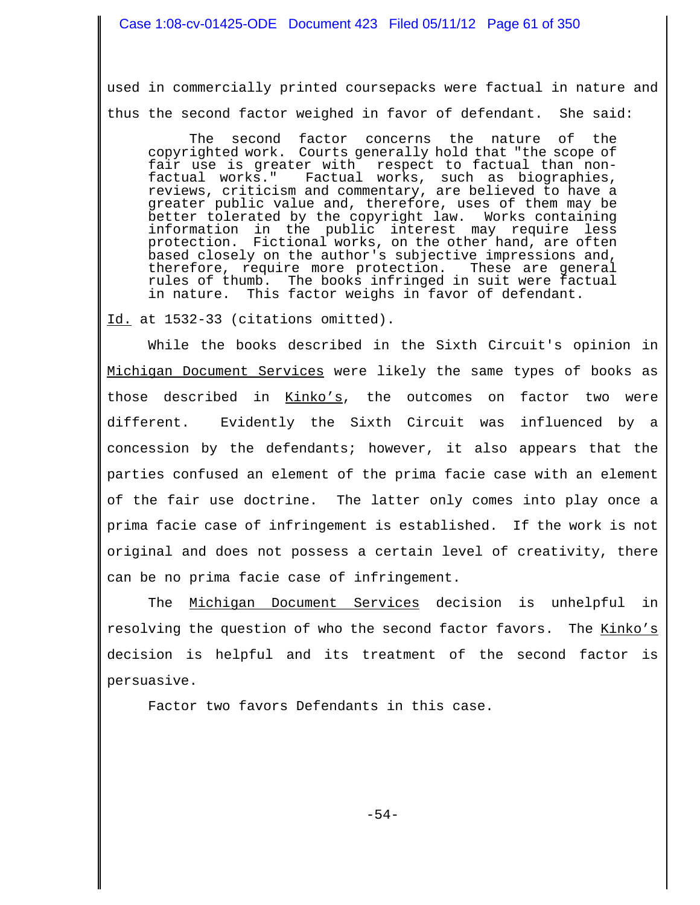used in commercially printed coursepacks were factual in nature and thus the second factor weighed in favor of defendant. She said:

The second factor concerns the nature of the copyrighted work. Courts generally hold that "the scope of fair use is greater with respect to factual than nonfactual works." Factual works, such as biographies, reviews, criticism and commentary, are believed to have a greater public value and, therefore, uses of them may be better tolerated by the copyright law. Works containing information in the public interest may require less protection. Fictional works, on the other hand, are often based closely on the author's subjective impressions and,<br>therefore, require more protection. These are general therefore, require more protection. rules of thumb. The books infringed in suit were factual in nature. This factor weighs in favor of defendant.

Id. at 1532-33 (citations omitted).

While the books described in the Sixth Circuit's opinion in Michigan Document Services were likely the same types of books as those described in Kinko's, the outcomes on factor two were different. Evidently the Sixth Circuit was influenced by a concession by the defendants; however, it also appears that the parties confused an element of the prima facie case with an element of the fair use doctrine. The latter only comes into play once a prima facie case of infringement is established. If the work is not original and does not possess a certain level of creativity, there can be no prima facie case of infringement.

The Michigan Document Services decision is unhelpful in resolving the question of who the second factor favors. The Kinko's decision is helpful and its treatment of the second factor is persuasive.

Factor two favors Defendants in this case.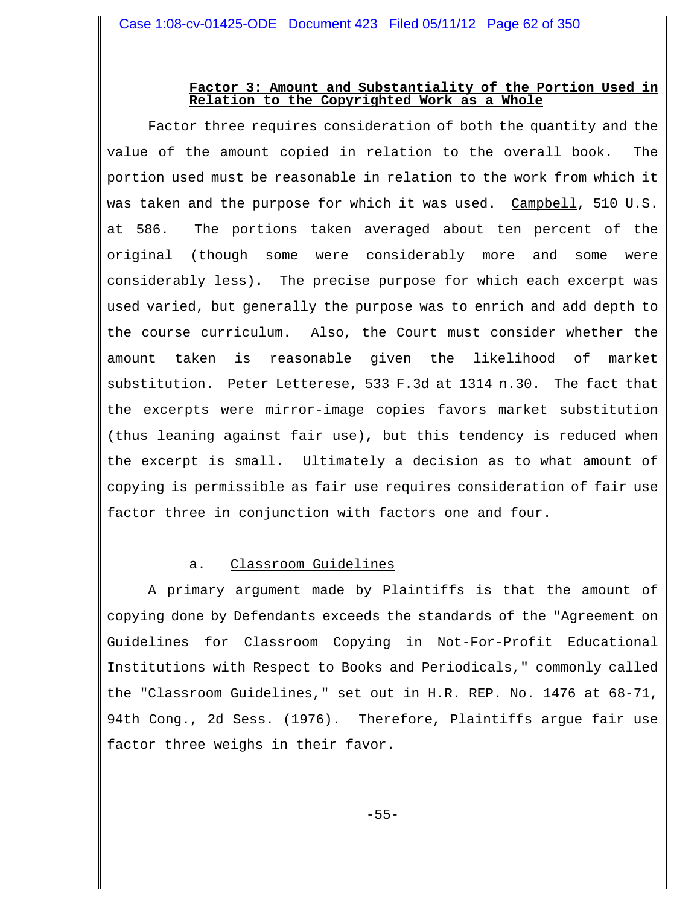## **Factor 3: Amount and Substantiality of the Portion Used in Relation to the Copyrighted Work as a Whole**

Factor three requires consideration of both the quantity and the value of the amount copied in relation to the overall book. The portion used must be reasonable in relation to the work from which it was taken and the purpose for which it was used. Campbell, 510 U.S. at 586. The portions taken averaged about ten percent of the original (though some were considerably more and some were considerably less). The precise purpose for which each excerpt was used varied, but generally the purpose was to enrich and add depth to the course curriculum. Also, the Court must consider whether the amount taken is reasonable given the likelihood of market substitution. Peter Letterese, 533 F.3d at 1314 n.30. The fact that the excerpts were mirror-image copies favors market substitution (thus leaning against fair use), but this tendency is reduced when the excerpt is small. Ultimately a decision as to what amount of copying is permissible as fair use requires consideration of fair use factor three in conjunction with factors one and four.

# a. Classroom Guidelines

A primary argument made by Plaintiffs is that the amount of copying done by Defendants exceeds the standards of the "Agreement on Guidelines for Classroom Copying in Not-For-Profit Educational Institutions with Respect to Books and Periodicals," commonly called the "Classroom Guidelines," set out in H.R. REP. No. 1476 at 68-71, 94th Cong., 2d Sess. (1976). Therefore, Plaintiffs argue fair use factor three weighs in their favor.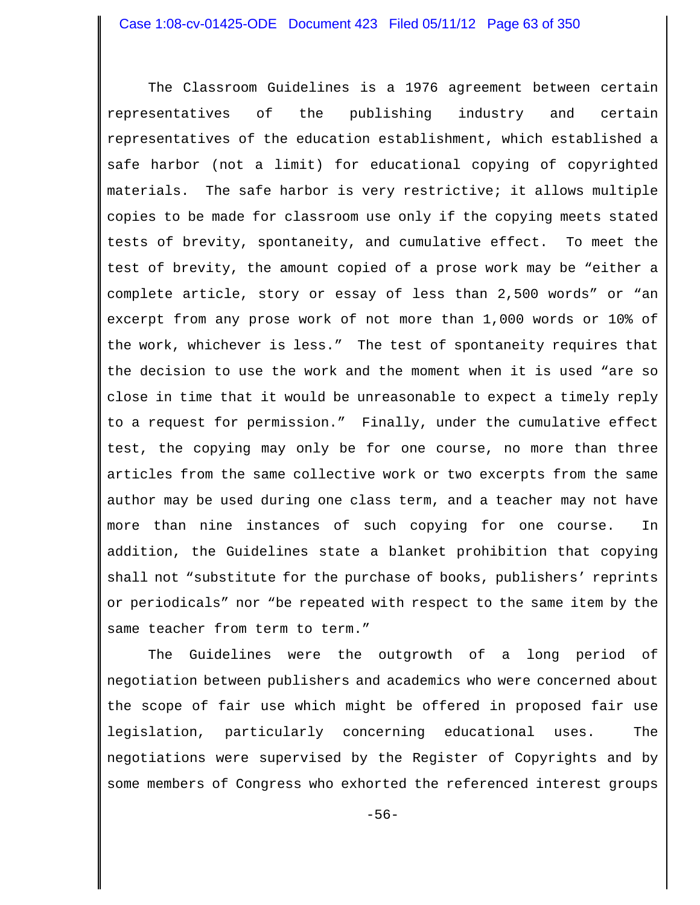The Classroom Guidelines is a 1976 agreement between certain representatives of the publishing industry and certain representatives of the education establishment, which established a safe harbor (not a limit) for educational copying of copyrighted materials. The safe harbor is very restrictive; it allows multiple copies to be made for classroom use only if the copying meets stated tests of brevity, spontaneity, and cumulative effect. To meet the test of brevity, the amount copied of a prose work may be "either a complete article, story or essay of less than 2,500 words" or "an excerpt from any prose work of not more than 1,000 words or 10% of the work, whichever is less." The test of spontaneity requires that the decision to use the work and the moment when it is used "are so close in time that it would be unreasonable to expect a timely reply to a request for permission." Finally, under the cumulative effect test, the copying may only be for one course, no more than three articles from the same collective work or two excerpts from the same author may be used during one class term, and a teacher may not have more than nine instances of such copying for one course. In addition, the Guidelines state a blanket prohibition that copying shall not "substitute for the purchase of books, publishers' reprints or periodicals" nor "be repeated with respect to the same item by the same teacher from term to term."

The Guidelines were the outgrowth of a long period of negotiation between publishers and academics who were concerned about the scope of fair use which might be offered in proposed fair use legislation, particularly concerning educational uses. The negotiations were supervised by the Register of Copyrights and by some members of Congress who exhorted the referenced interest groups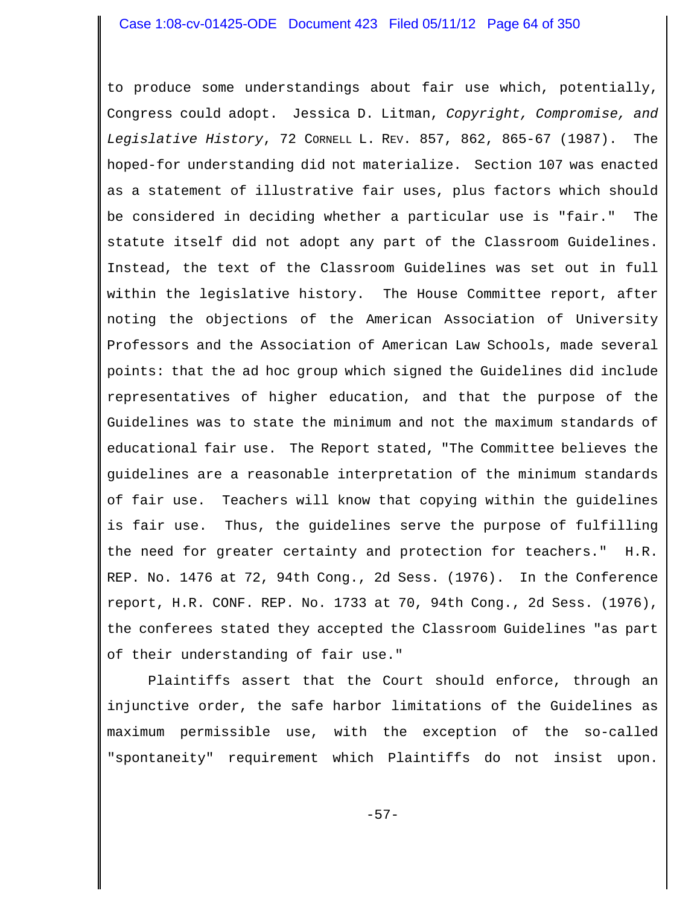to produce some understandings about fair use which, potentially, Congress could adopt. Jessica D. Litman, *Copyright, Compromise, and Legislative History*, 72 CORNELL L. REV. 857, 862, 865-67 (1987). The hoped-for understanding did not materialize. Section 107 was enacted as a statement of illustrative fair uses, plus factors which should be considered in deciding whether a particular use is "fair." The statute itself did not adopt any part of the Classroom Guidelines. Instead, the text of the Classroom Guidelines was set out in full within the legislative history. The House Committee report, after noting the objections of the American Association of University Professors and the Association of American Law Schools, made several points: that the ad hoc group which signed the Guidelines did include representatives of higher education, and that the purpose of the Guidelines was to state the minimum and not the maximum standards of educational fair use. The Report stated, "The Committee believes the guidelines are a reasonable interpretation of the minimum standards of fair use. Teachers will know that copying within the guidelines is fair use. Thus, the guidelines serve the purpose of fulfilling the need for greater certainty and protection for teachers." H.R. REP. No. 1476 at 72, 94th Cong., 2d Sess. (1976). In the Conference report, H.R. CONF. REP. No. 1733 at 70, 94th Cong., 2d Sess. (1976), the conferees stated they accepted the Classroom Guidelines "as part of their understanding of fair use."

Plaintiffs assert that the Court should enforce, through an injunctive order, the safe harbor limitations of the Guidelines as maximum permissible use, with the exception of the so-called "spontaneity" requirement which Plaintiffs do not insist upon.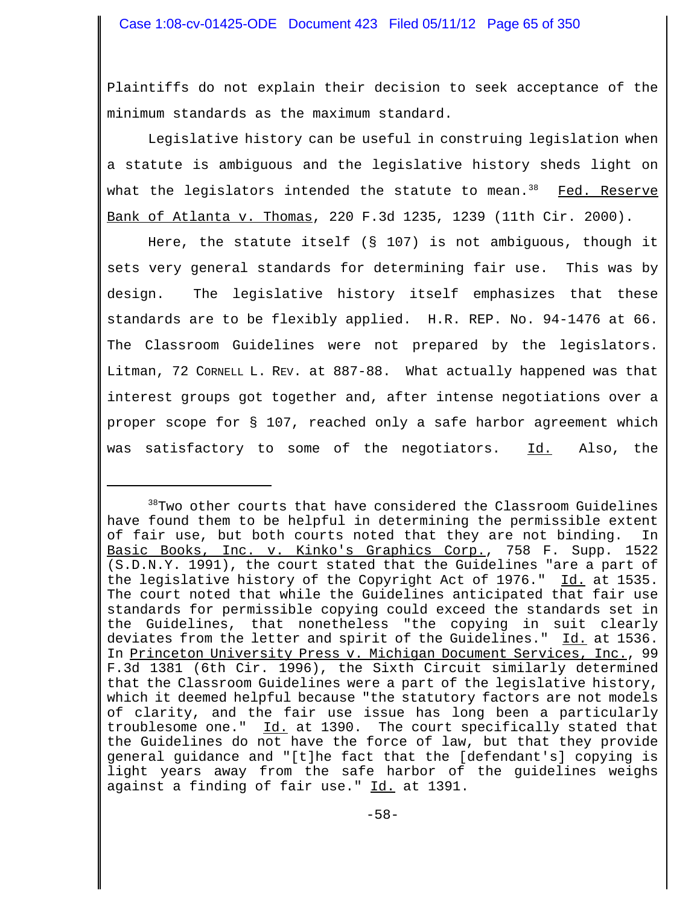Plaintiffs do not explain their decision to seek acceptance of the minimum standards as the maximum standard.

Legislative history can be useful in construing legislation when a statute is ambiguous and the legislative history sheds light on what the legislators intended the statute to mean. $38$  Fed. Reserve Bank of Atlanta v. Thomas, 220 F.3d 1235, 1239 (11th Cir. 2000).

Here, the statute itself ( $\S$  107) is not ambiguous, though it sets very general standards for determining fair use. This was by design. The legislative history itself emphasizes that these standards are to be flexibly applied. H.R. REP. No. 94-1476 at 66. The Classroom Guidelines were not prepared by the legislators. Litman, 72 CORNELL L. REV. at 887-88. What actually happened was that interest groups got together and, after intense negotiations over a proper scope for § 107, reached only a safe harbor agreement which was satisfactory to some of the negotiators. Id. Also, the

<sup>38</sup>Two other courts that have considered the Classroom Guidelines have found them to be helpful in determining the permissible extent of fair use, but both courts noted that they are not binding. In Basic Books, Inc. v. Kinko's Graphics Corp., 758 F. Supp. 1522 (S.D.N.Y. 1991), the court stated that the Guidelines "are a part of the legislative history of the Copyright Act of 1976." Id. at 1535. The court noted that while the Guidelines anticipated that fair use standards for permissible copying could exceed the standards set in the Guidelines, that nonetheless "the copying in suit clearly deviates from the letter and spirit of the Guidelines." Id. at 1536. In Princeton University Press v. Michigan Document Services, Inc., 99 F.3d 1381 (6th Cir. 1996), the Sixth Circuit similarly determined that the Classroom Guidelines were a part of the legislative history, which it deemed helpful because "the statutory factors are not models of clarity, and the fair use issue has long been a particularly troublesome one." Id. at 1390. The court specifically stated that the Guidelines do not have the force of law, but that they provide general guidance and "[t]he fact that the [defendant's] copying is light years away from the safe harbor of the guidelines weighs against a finding of fair use." Id. at 1391.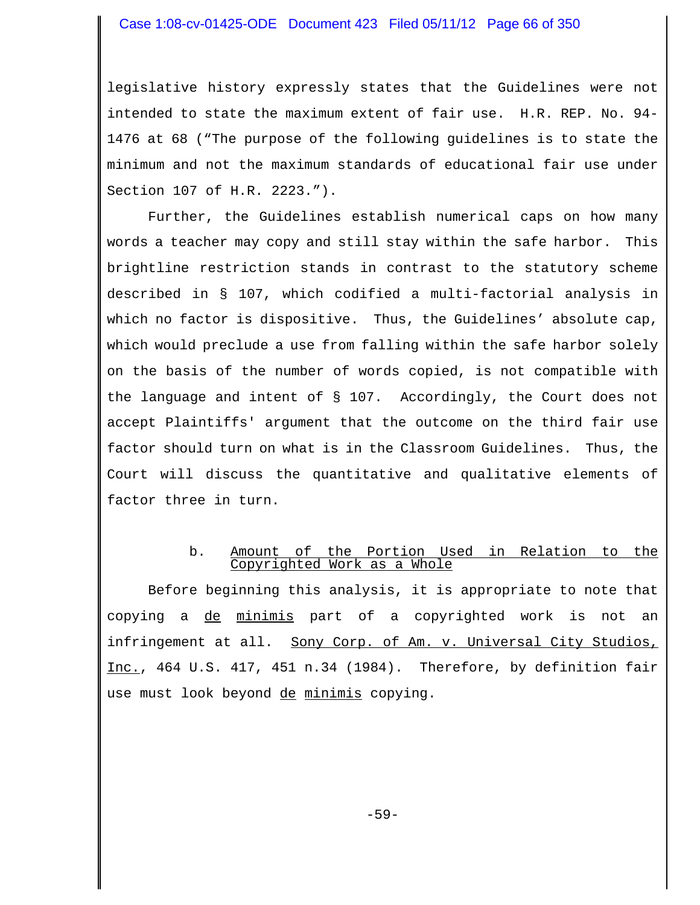legislative history expressly states that the Guidelines were not intended to state the maximum extent of fair use. H.R. REP. No. 94- 1476 at 68 ("The purpose of the following guidelines is to state the minimum and not the maximum standards of educational fair use under Section 107 of H.R. 2223.").

Further, the Guidelines establish numerical caps on how many words a teacher may copy and still stay within the safe harbor. This brightline restriction stands in contrast to the statutory scheme described in § 107, which codified a multi-factorial analysis in which no factor is dispositive. Thus, the Guidelines' absolute cap, which would preclude a use from falling within the safe harbor solely on the basis of the number of words copied, is not compatible with the language and intent of § 107. Accordingly, the Court does not accept Plaintiffs' argument that the outcome on the third fair use factor should turn on what is in the Classroom Guidelines. Thus, the Court will discuss the quantitative and qualitative elements of factor three in turn.

## b. Amount of the Portion Used in Relation to the Copyrighted Work as a Whole

Before beginning this analysis, it is appropriate to note that copying a de minimis part of a copyrighted work is not an infringement at all. Sony Corp. of Am. v. Universal City Studios, Inc., 464 U.S. 417, 451 n.34 (1984). Therefore, by definition fair use must look beyond de minimis copying.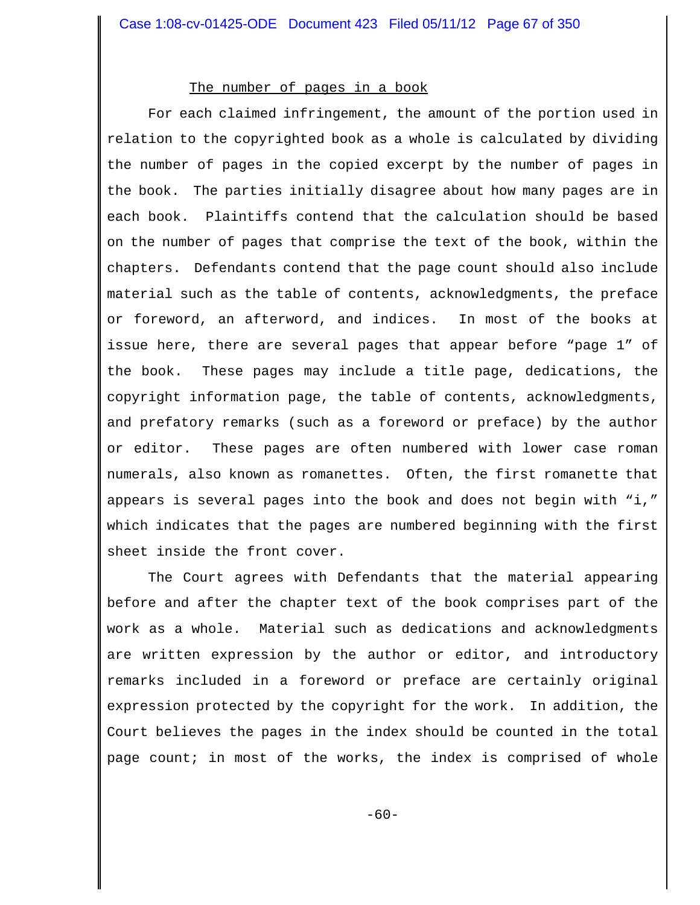### The number of pages in a book

For each claimed infringement, the amount of the portion used in relation to the copyrighted book as a whole is calculated by dividing the number of pages in the copied excerpt by the number of pages in the book. The parties initially disagree about how many pages are in each book. Plaintiffs contend that the calculation should be based on the number of pages that comprise the text of the book, within the chapters. Defendants contend that the page count should also include material such as the table of contents, acknowledgments, the preface or foreword, an afterword, and indices. In most of the books at issue here, there are several pages that appear before "page 1" of the book. These pages may include a title page, dedications, the copyright information page, the table of contents, acknowledgments, and prefatory remarks (such as a foreword or preface) by the author or editor. These pages are often numbered with lower case roman numerals, also known as romanettes. Often, the first romanette that appears is several pages into the book and does not begin with "i," which indicates that the pages are numbered beginning with the first sheet inside the front cover.

The Court agrees with Defendants that the material appearing before and after the chapter text of the book comprises part of the work as a whole. Material such as dedications and acknowledgments are written expression by the author or editor, and introductory remarks included in a foreword or preface are certainly original expression protected by the copyright for the work. In addition, the Court believes the pages in the index should be counted in the total page count; in most of the works, the index is comprised of whole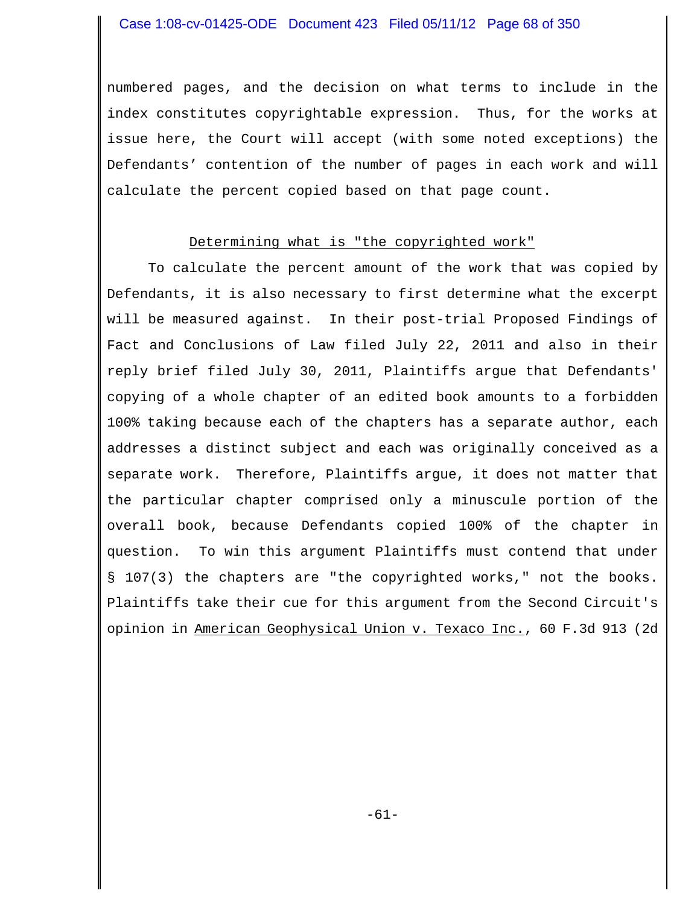numbered pages, and the decision on what terms to include in the index constitutes copyrightable expression. Thus, for the works at issue here, the Court will accept (with some noted exceptions) the Defendants' contention of the number of pages in each work and will calculate the percent copied based on that page count.

## Determining what is "the copyrighted work"

To calculate the percent amount of the work that was copied by Defendants, it is also necessary to first determine what the excerpt will be measured against. In their post-trial Proposed Findings of Fact and Conclusions of Law filed July 22, 2011 and also in their reply brief filed July 30, 2011, Plaintiffs argue that Defendants' copying of a whole chapter of an edited book amounts to a forbidden 100% taking because each of the chapters has a separate author, each addresses a distinct subject and each was originally conceived as a separate work. Therefore, Plaintiffs argue, it does not matter that the particular chapter comprised only a minuscule portion of the overall book, because Defendants copied 100% of the chapter in question. To win this argument Plaintiffs must contend that under § 107(3) the chapters are "the copyrighted works," not the books. Plaintiffs take their cue for this argument from the Second Circuit's opinion in American Geophysical Union v. Texaco Inc., 60 F.3d 913 (2d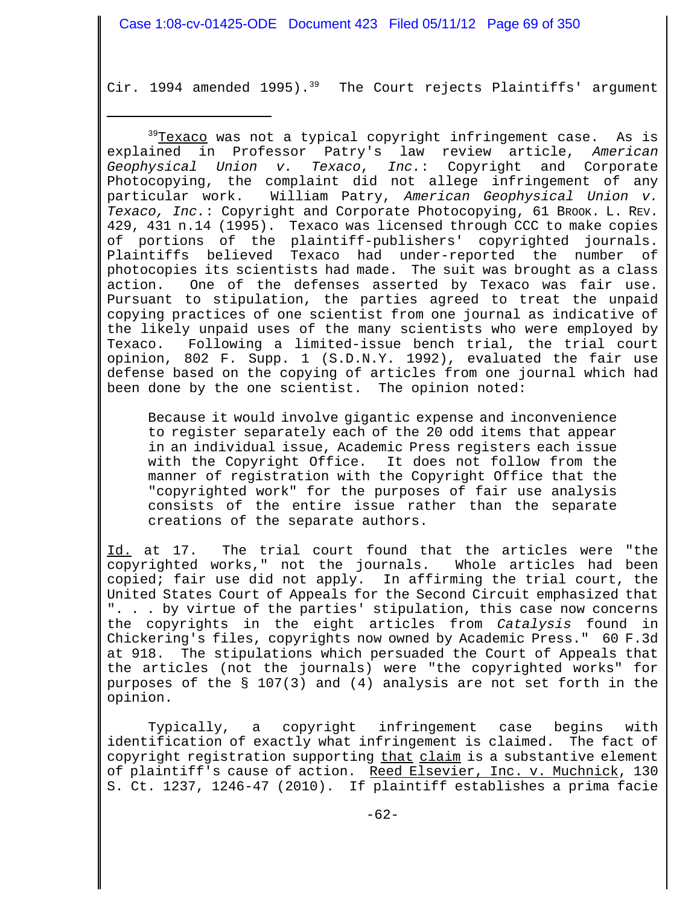Cir. 1994 amended 1995).<sup>39</sup> The Court rejects Plaintiffs' argument

<sup>39</sup>Texaco was not a typical copyright infringement case. As is explained in Professor Patry's law review article, *American Geophysical Union v. Texaco*, *Inc.*: Copyright and Corporate Photocopying, the complaint did not allege infringement of any particular work. William Patry, *American Geophysical Union v.* Texaco, Inc.: Copyright and Corporate Photocopying, 61 BROOK. L. REV. 429, 431 n.14 (1995). Texaco was licensed through CCC to make copies of portions of the plaintiff-publishers' copyrighted journals. Plaintiffs believed Texaco had under-reported the number of photocopies its scientists had made. The suit was brought as a class action. One of the defenses asserted by Texaco was fair use. Pursuant to stipulation, the parties agreed to treat the unpaid copying practices of one scientist from one journal as indicative of the likely unpaid uses of the many scientists who were employed by Texaco. Following a limited-issue bench trial, the trial court opinion, 802 F. Supp. 1 (S.D.N.Y. 1992), evaluated the fair use defense based on the copying of articles from one journal which had been done by the one scientist. The opinion noted:

Because it would involve gigantic expense and inconvenience to register separately each of the 20 odd items that appear in an individual issue, Academic Press registers each issue with the Copyright Office. It does not follow from the manner of registration with the Copyright Office that the "copyrighted work" for the purposes of fair use analysis consists of the entire issue rather than the separate creations of the separate authors.

Id. at 17. The trial court found that the articles were "the copyrighted works," not the journals. Whole articles had been copied; fair use did not apply. In affirming the trial court, the United States Court of Appeals for the Second Circuit emphasized that ". . . by virtue of the parties' stipulation, this case now concerns the copyrights in the eight articles from *Catalysis* found in Chickering's files, copyrights now owned by Academic Press." 60 F.3d at 918. The stipulations which persuaded the Court of Appeals that the articles (not the journals) were "the copyrighted works" for purposes of the § 107(3) and (4) analysis are not set forth in the opinion.

Typically, a copyright infringement case begins with identification of exactly what infringement is claimed. The fact of copyright registration supporting that claim is a substantive element of plaintiff's cause of action. Reed Elsevier, Inc. v. Muchnick, 130 S. Ct. 1237, 1246-47 (2010). If plaintiff establishes a prima facie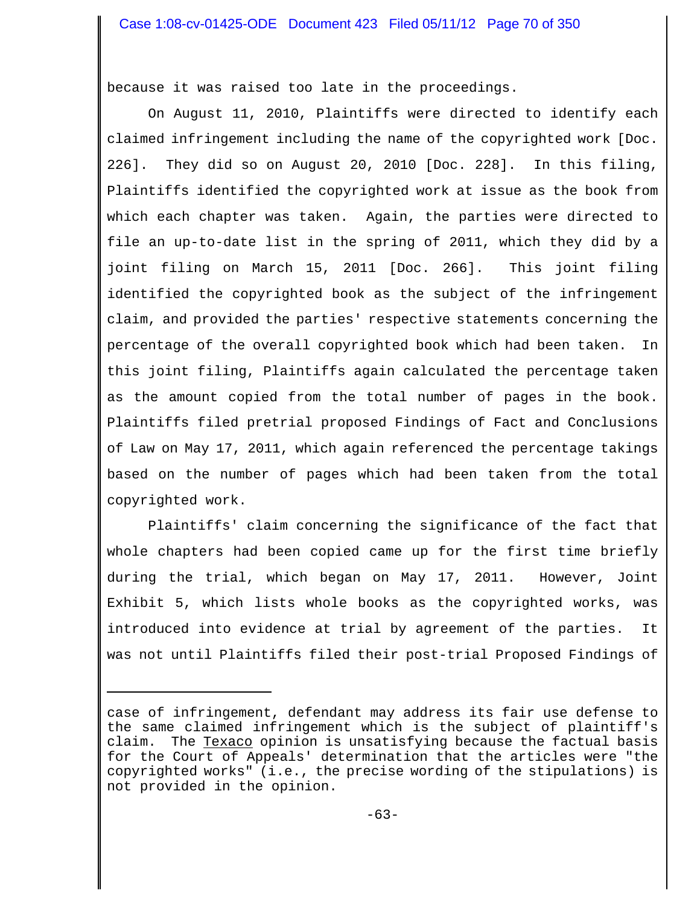because it was raised too late in the proceedings.

On August 11, 2010, Plaintiffs were directed to identify each claimed infringement including the name of the copyrighted work [Doc. 226]. They did so on August 20, 2010 [Doc. 228]. In this filing, Plaintiffs identified the copyrighted work at issue as the book from which each chapter was taken. Again, the parties were directed to file an up-to-date list in the spring of 2011, which they did by a joint filing on March 15, 2011 [Doc. 266]. This joint filing identified the copyrighted book as the subject of the infringement claim, and provided the parties' respective statements concerning the percentage of the overall copyrighted book which had been taken. In this joint filing, Plaintiffs again calculated the percentage taken as the amount copied from the total number of pages in the book. Plaintiffs filed pretrial proposed Findings of Fact and Conclusions of Law on May 17, 2011, which again referenced the percentage takings based on the number of pages which had been taken from the total copyrighted work.

Plaintiffs' claim concerning the significance of the fact that whole chapters had been copied came up for the first time briefly during the trial, which began on May 17, 2011. However, Joint Exhibit 5, which lists whole books as the copyrighted works, was introduced into evidence at trial by agreement of the parties. It was not until Plaintiffs filed their post-trial Proposed Findings of

case of infringement, defendant may address its fair use defense to the same claimed infringement which is the subject of plaintiff's claim. The Texaco opinion is unsatisfying because the factual basis for the Court of Appeals' determination that the articles were "the copyrighted works" (i.e., the precise wording of the stipulations) is not provided in the opinion.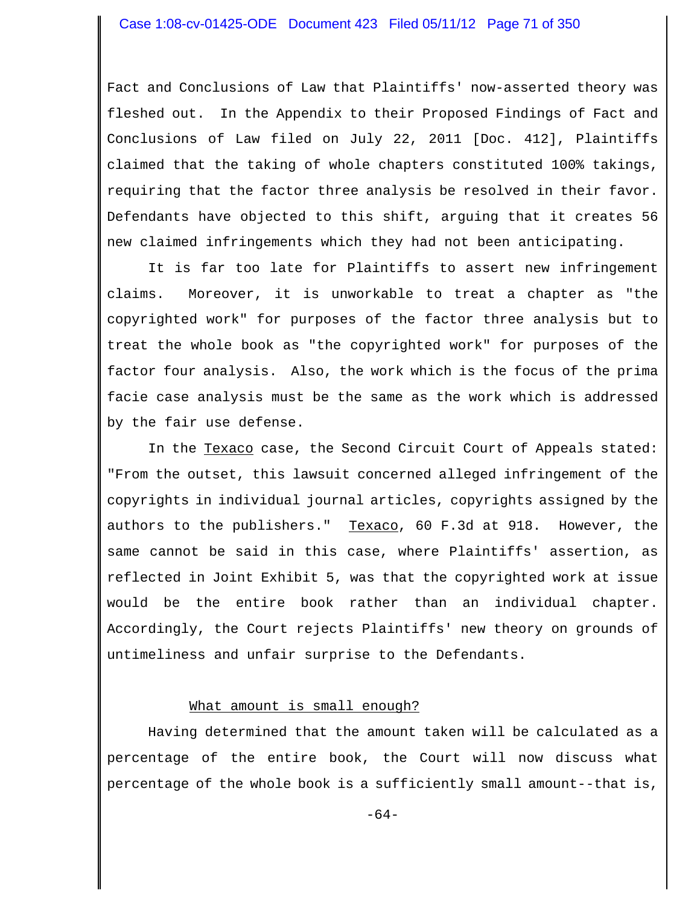Fact and Conclusions of Law that Plaintiffs' now-asserted theory was fleshed out. In the Appendix to their Proposed Findings of Fact and Conclusions of Law filed on July 22, 2011 [Doc. 412], Plaintiffs claimed that the taking of whole chapters constituted 100% takings, requiring that the factor three analysis be resolved in their favor. Defendants have objected to this shift, arguing that it creates 56 new claimed infringements which they had not been anticipating.

It is far too late for Plaintiffs to assert new infringement claims. Moreover, it is unworkable to treat a chapter as "the copyrighted work" for purposes of the factor three analysis but to treat the whole book as "the copyrighted work" for purposes of the factor four analysis. Also, the work which is the focus of the prima facie case analysis must be the same as the work which is addressed by the fair use defense.

In the Texaco case, the Second Circuit Court of Appeals stated: "From the outset, this lawsuit concerned alleged infringement of the copyrights in individual journal articles, copyrights assigned by the authors to the publishers." Texaco, 60 F.3d at 918. However, the same cannot be said in this case, where Plaintiffs' assertion, as reflected in Joint Exhibit 5, was that the copyrighted work at issue would be the entire book rather than an individual chapter. Accordingly, the Court rejects Plaintiffs' new theory on grounds of untimeliness and unfair surprise to the Defendants.

## What amount is small enough?

Having determined that the amount taken will be calculated as a percentage of the entire book, the Court will now discuss what percentage of the whole book is a sufficiently small amount--that is,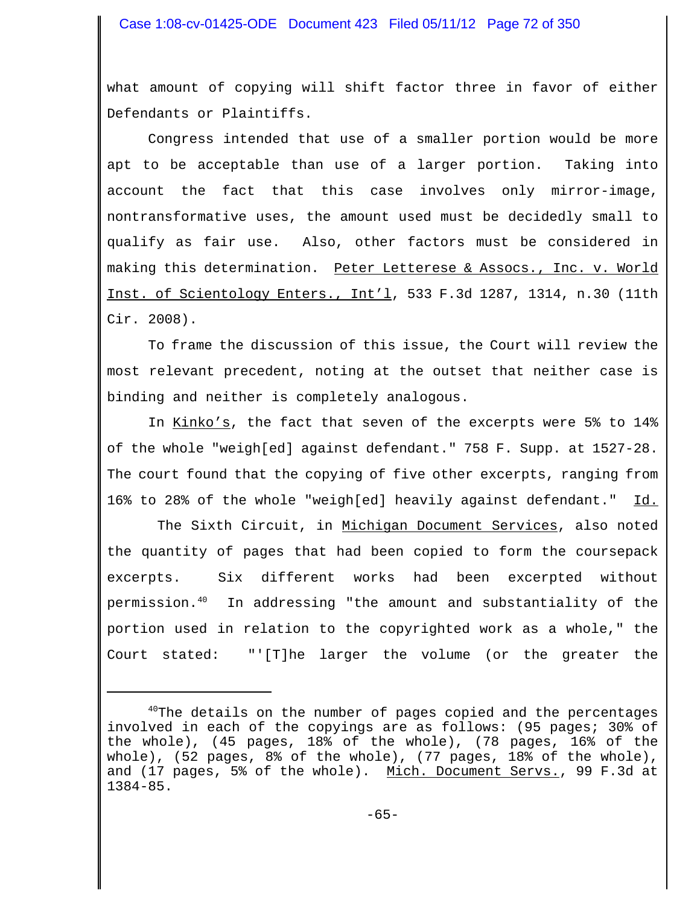what amount of copying will shift factor three in favor of either Defendants or Plaintiffs.

Congress intended that use of a smaller portion would be more apt to be acceptable than use of a larger portion. Taking into account the fact that this case involves only mirror-image, nontransformative uses, the amount used must be decidedly small to qualify as fair use. Also, other factors must be considered in making this determination. Peter Letterese & Assocs., Inc. v. World Inst. of Scientology Enters., Int'l, 533 F.3d 1287, 1314, n.30 (11th Cir. 2008).

To frame the discussion of this issue, the Court will review the most relevant precedent, noting at the outset that neither case is binding and neither is completely analogous.

In Kinko's, the fact that seven of the excerpts were 5% to 14% of the whole "weigh[ed] against defendant." 758 F. Supp. at 1527-28. The court found that the copying of five other excerpts, ranging from 16% to 28% of the whole "weigh[ed] heavily against defendant." Id.

The Sixth Circuit, in Michigan Document Services, also noted the quantity of pages that had been copied to form the coursepack excerpts. Six different works had been excerpted without permission.40 In addressing "the amount and substantiality of the portion used in relation to the copyrighted work as a whole," the Court stated: "'[T]he larger the volume (or the greater the

 $40$ The details on the number of pages copied and the percentages involved in each of the copyings are as follows: (95 pages; 30% of the whole), (45 pages, 18% of the whole), (78 pages, 16% of the whole), (52 pages, 8% of the whole), (77 pages, 18% of the whole), and (17 pages, 5% of the whole). Mich. Document Servs., 99 F.3d at 1384-85.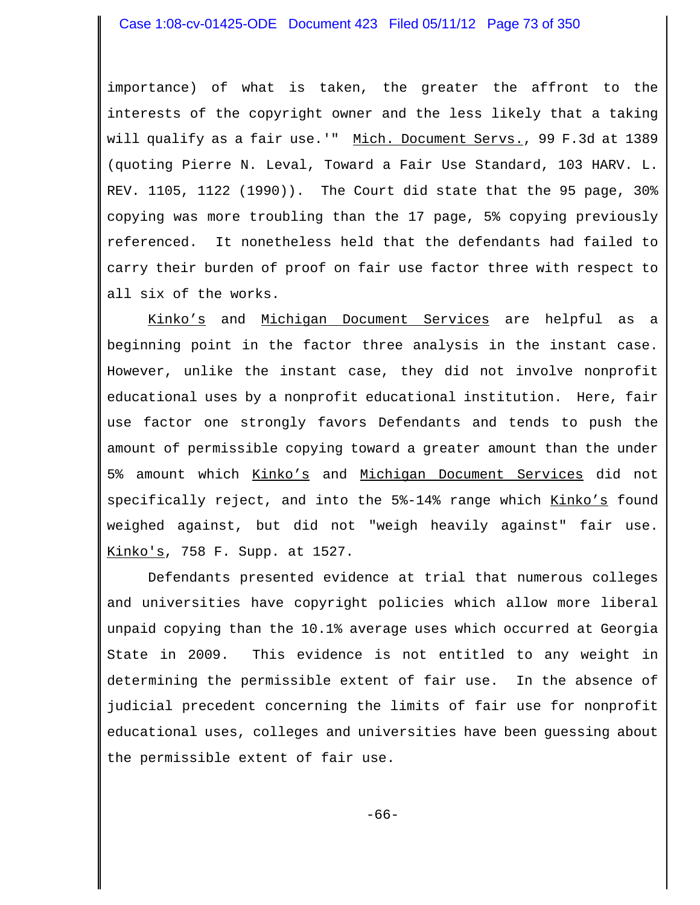importance) of what is taken, the greater the affront to the interests of the copyright owner and the less likely that a taking will qualify as a fair use.'" Mich. Document Servs., 99 F.3d at 1389 (quoting Pierre N. Leval, Toward a Fair Use Standard, 103 HARV. L. REV. 1105, 1122 (1990)). The Court did state that the 95 page, 30% copying was more troubling than the 17 page, 5% copying previously referenced. It nonetheless held that the defendants had failed to carry their burden of proof on fair use factor three with respect to all six of the works.

Kinko's and Michigan Document Services are helpful as a beginning point in the factor three analysis in the instant case. However, unlike the instant case, they did not involve nonprofit educational uses by a nonprofit educational institution. Here, fair use factor one strongly favors Defendants and tends to push the amount of permissible copying toward a greater amount than the under 5% amount which Kinko's and Michigan Document Services did not specifically reject, and into the 5%-14% range which Kinko's found weighed against, but did not "weigh heavily against" fair use. Kinko's, 758 F. Supp. at 1527.

Defendants presented evidence at trial that numerous colleges and universities have copyright policies which allow more liberal unpaid copying than the 10.1% average uses which occurred at Georgia State in 2009. This evidence is not entitled to any weight in determining the permissible extent of fair use. In the absence of judicial precedent concerning the limits of fair use for nonprofit educational uses, colleges and universities have been guessing about the permissible extent of fair use.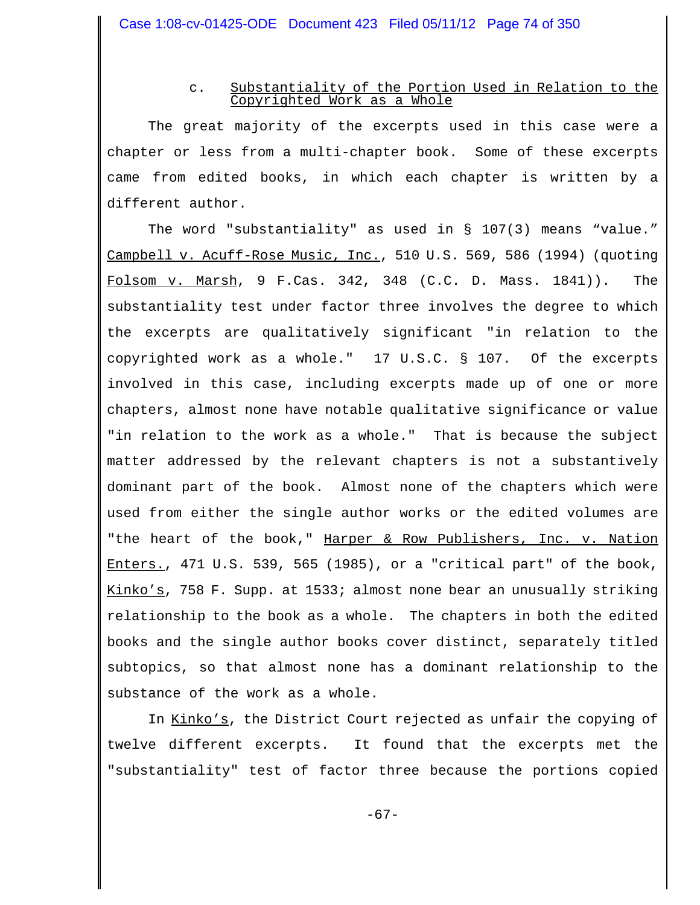# c. Substantiality of the Portion Used in Relation to the Copyrighted Work as a Whole

The great majority of the excerpts used in this case were a chapter or less from a multi-chapter book. Some of these excerpts came from edited books, in which each chapter is written by a different author.

The word "substantiality" as used in § 107(3) means "value." Campbell v. Acuff-Rose Music, Inc., 510 U.S. 569, 586 (1994) (quoting Folsom v. Marsh, 9 F.Cas. 342, 348 (C.C. D. Mass.  $1841$ )). The substantiality test under factor three involves the degree to which the excerpts are qualitatively significant "in relation to the copyrighted work as a whole." 17 U.S.C. § 107. Of the excerpts involved in this case, including excerpts made up of one or more chapters, almost none have notable qualitative significance or value "in relation to the work as a whole." That is because the subject matter addressed by the relevant chapters is not a substantively dominant part of the book. Almost none of the chapters which were used from either the single author works or the edited volumes are "the heart of the book," Harper & Row Publishers, Inc. v. Nation Enters., 471 U.S. 539, 565 (1985), or a "critical part" of the book, Kinko's, 758 F. Supp. at 1533; almost none bear an unusually striking relationship to the book as a whole. The chapters in both the edited books and the single author books cover distinct, separately titled subtopics, so that almost none has a dominant relationship to the substance of the work as a whole.

In Kinko's, the District Court rejected as unfair the copying of twelve different excerpts. It found that the excerpts met the "substantiality" test of factor three because the portions copied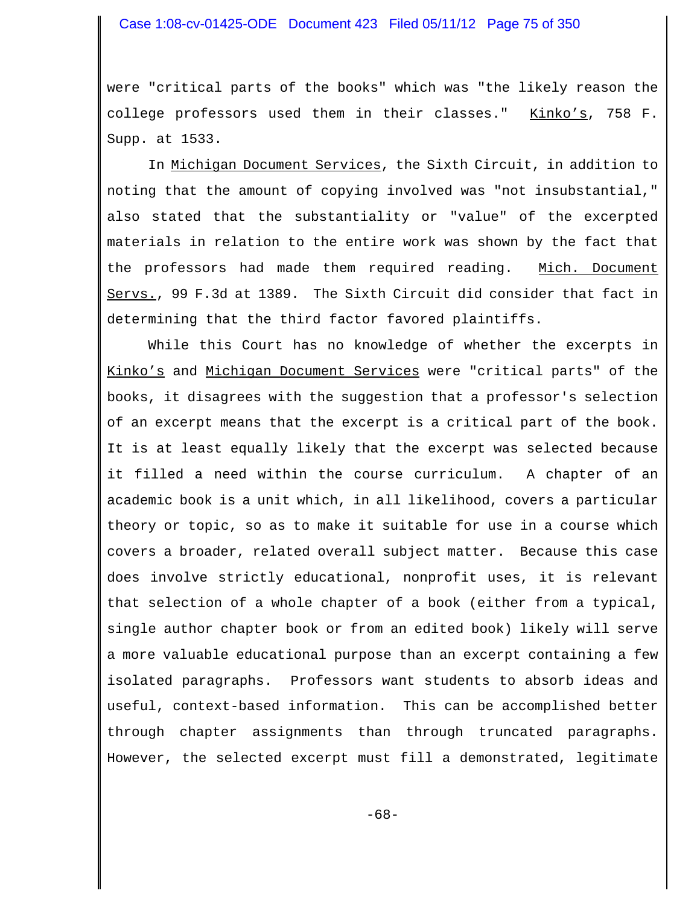were "critical parts of the books" which was "the likely reason the college professors used them in their classes." Kinko's, 758 F. Supp. at 1533.

In Michigan Document Services, the Sixth Circuit, in addition to noting that the amount of copying involved was "not insubstantial," also stated that the substantiality or "value" of the excerpted materials in relation to the entire work was shown by the fact that the professors had made them required reading. Mich. Document Servs., 99 F.3d at 1389. The Sixth Circuit did consider that fact in determining that the third factor favored plaintiffs.

While this Court has no knowledge of whether the excerpts in Kinko's and Michigan Document Services were "critical parts" of the books, it disagrees with the suggestion that a professor's selection of an excerpt means that the excerpt is a critical part of the book. It is at least equally likely that the excerpt was selected because it filled a need within the course curriculum. A chapter of an academic book is a unit which, in all likelihood, covers a particular theory or topic, so as to make it suitable for use in a course which covers a broader, related overall subject matter. Because this case does involve strictly educational, nonprofit uses, it is relevant that selection of a whole chapter of a book (either from a typical, single author chapter book or from an edited book) likely will serve a more valuable educational purpose than an excerpt containing a few isolated paragraphs. Professors want students to absorb ideas and useful, context-based information. This can be accomplished better through chapter assignments than through truncated paragraphs. However, the selected excerpt must fill a demonstrated, legitimate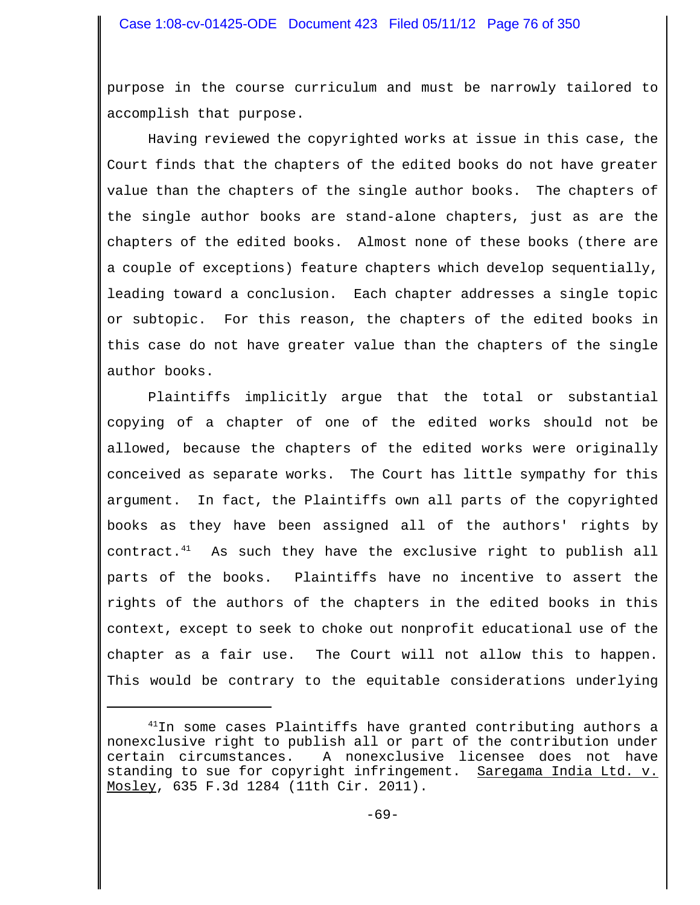purpose in the course curriculum and must be narrowly tailored to accomplish that purpose.

Having reviewed the copyrighted works at issue in this case, the Court finds that the chapters of the edited books do not have greater value than the chapters of the single author books. The chapters of the single author books are stand-alone chapters, just as are the chapters of the edited books. Almost none of these books (there are a couple of exceptions) feature chapters which develop sequentially, leading toward a conclusion. Each chapter addresses a single topic or subtopic. For this reason, the chapters of the edited books in this case do not have greater value than the chapters of the single author books.

Plaintiffs implicitly argue that the total or substantial copying of a chapter of one of the edited works should not be allowed, because the chapters of the edited works were originally conceived as separate works. The Court has little sympathy for this argument. In fact, the Plaintiffs own all parts of the copyrighted books as they have been assigned all of the authors' rights by contract.41 As such they have the exclusive right to publish all parts of the books. Plaintiffs have no incentive to assert the rights of the authors of the chapters in the edited books in this context, except to seek to choke out nonprofit educational use of the chapter as a fair use. The Court will not allow this to happen. This would be contrary to the equitable considerations underlying

 $^{41}$ In some cases Plaintiffs have granted contributing authors a nonexclusive right to publish all or part of the contribution under certain circumstances. A nonexclusive licensee does not have standing to sue for copyright infringement. Saregama India Ltd. v. Mosley, 635 F.3d 1284 (11th Cir. 2011).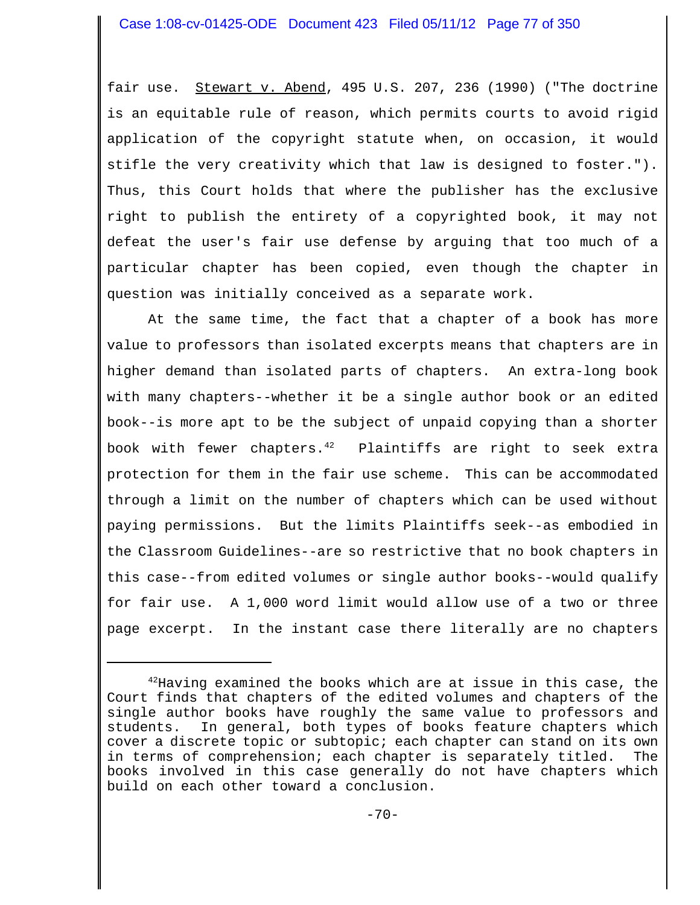fair use. Stewart v. Abend, 495 U.S. 207, 236 (1990) ("The doctrine is an equitable rule of reason, which permits courts to avoid rigid application of the copyright statute when, on occasion, it would stifle the very creativity which that law is designed to foster."). Thus, this Court holds that where the publisher has the exclusive right to publish the entirety of a copyrighted book, it may not defeat the user's fair use defense by arguing that too much of a particular chapter has been copied, even though the chapter in question was initially conceived as a separate work.

At the same time, the fact that a chapter of a book has more value to professors than isolated excerpts means that chapters are in higher demand than isolated parts of chapters. An extra-long book with many chapters--whether it be a single author book or an edited book--is more apt to be the subject of unpaid copying than a shorter book with fewer chapters. $^{42}$  Plaintiffs are right to seek extra protection for them in the fair use scheme. This can be accommodated through a limit on the number of chapters which can be used without paying permissions. But the limits Plaintiffs seek--as embodied in the Classroom Guidelines--are so restrictive that no book chapters in this case--from edited volumes or single author books--would qualify for fair use. A 1,000 word limit would allow use of a two or three page excerpt. In the instant case there literally are no chapters

 $42$ Having examined the books which are at issue in this case, the Court finds that chapters of the edited volumes and chapters of the single author books have roughly the same value to professors and students. In general, both types of books feature chapters which cover a discrete topic or subtopic; each chapter can stand on its own in terms of comprehension; each chapter is separately titled. The books involved in this case generally do not have chapters which build on each other toward a conclusion.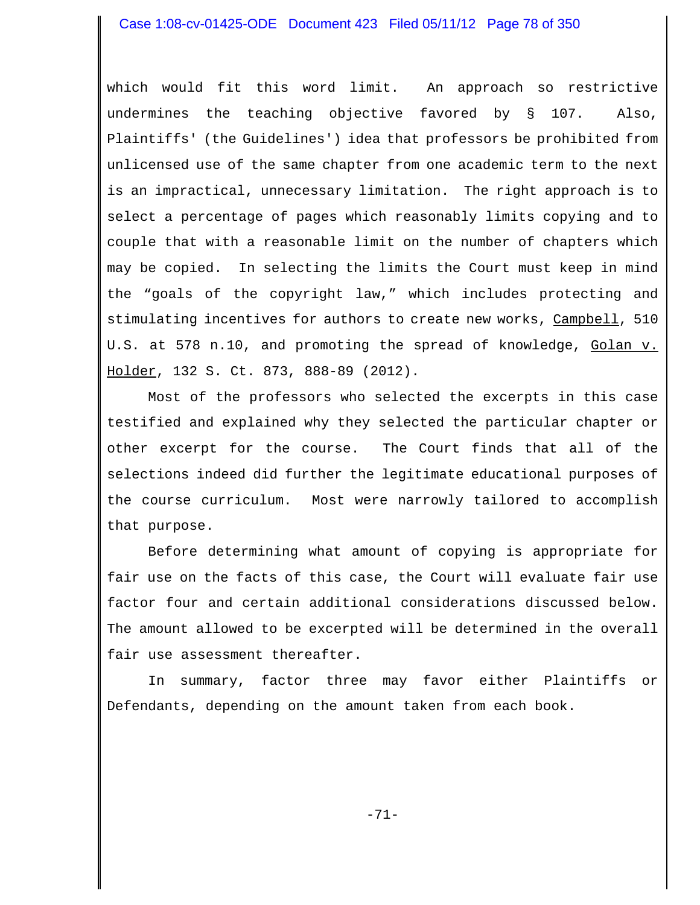which would fit this word limit. An approach so restrictive undermines the teaching objective favored by § 107. Also, Plaintiffs' (the Guidelines') idea that professors be prohibited from unlicensed use of the same chapter from one academic term to the next is an impractical, unnecessary limitation. The right approach is to select a percentage of pages which reasonably limits copying and to couple that with a reasonable limit on the number of chapters which may be copied. In selecting the limits the Court must keep in mind the "goals of the copyright law," which includes protecting and stimulating incentives for authors to create new works, Campbell, 510 U.S. at 578 n.10, and promoting the spread of knowledge, Golan v. Holder, 132 S. Ct. 873, 888-89 (2012).

Most of the professors who selected the excerpts in this case testified and explained why they selected the particular chapter or other excerpt for the course. The Court finds that all of the selections indeed did further the legitimate educational purposes of the course curriculum. Most were narrowly tailored to accomplish that purpose.

Before determining what amount of copying is appropriate for fair use on the facts of this case, the Court will evaluate fair use factor four and certain additional considerations discussed below. The amount allowed to be excerpted will be determined in the overall fair use assessment thereafter.

In summary, factor three may favor either Plaintiffs or Defendants, depending on the amount taken from each book.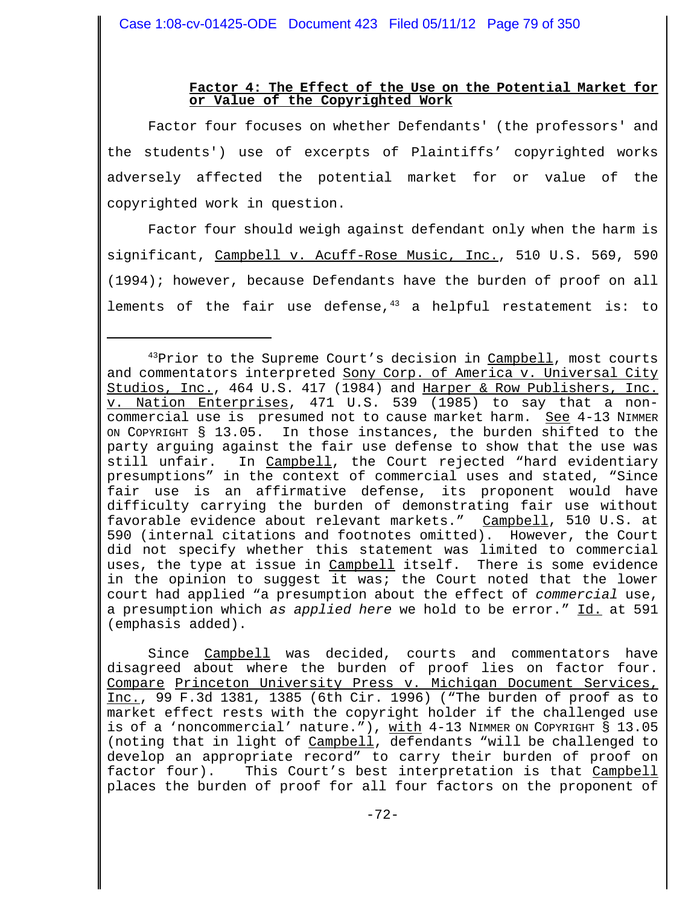# **Factor 4: The Effect of the Use on the Potential Market for or Value of the Copyrighted Work**

Factor four focuses on whether Defendants' (the professors' and the students') use of excerpts of Plaintiffs' copyrighted works adversely affected the potential market for or value of the copyrighted work in question.

Factor four should weigh against defendant only when the harm is significant, Campbell v. Acuff-Rose Music, Inc., 510 U.S. 569, 590 (1994); however, because Defendants have the burden of proof on all lements of the fair use defense, $43$  a helpful restatement is: to

 $43$ Prior to the Supreme Court's decision in  $Campbell$ , most courts and commentators interpreted Sony Corp. of America v. Universal City Studios, Inc., 464 U.S. 417 (1984) and Harper & Row Publishers, Inc. v. Nation Enterprises, 471 U.S. 539 (1985) to say that a noncommercial use is presumed not to cause market harm. See 4-13 NIMMER ON COPYRIGHT § 13.05. In those instances, the burden shifted to the party arguing against the fair use defense to show that the use was still unfair. In Campbell, the Court rejected "hard evidentiary presumptions" in the context of commercial uses and stated, "Since fair use is an affirmative defense, its proponent would have difficulty carrying the burden of demonstrating fair use without favorable evidence about relevant markets." Campbell, 510 U.S. at 590 (internal citations and footnotes omitted). However, the Court did not specify whether this statement was limited to commercial uses, the type at issue in Campbell itself. There is some evidence in the opinion to suggest it was; the Court noted that the lower court had applied "a presumption about the effect of *commercial* use, a presumption which *as applied here* we hold to be error." Id. at 591 (emphasis added).

Since Campbell was decided, courts and commentators have disagreed about where the burden of proof lies on factor four. Compare Princeton University Press v. Michigan Document Services, Inc., 99 F.3d 1381, 1385 (6th Cir. 1996) ("The burden of proof as to market effect rests with the copyright holder if the challenged use is of a 'noncommercial' nature."), with 4-13 NIMMER ON COPYRIGHT § 13.05 (noting that in light of Campbell, defendants "will be challenged to develop an appropriate record" to carry their burden of proof on factor four). This Court's best interpretation is that Campbell places the burden of proof for all four factors on the proponent of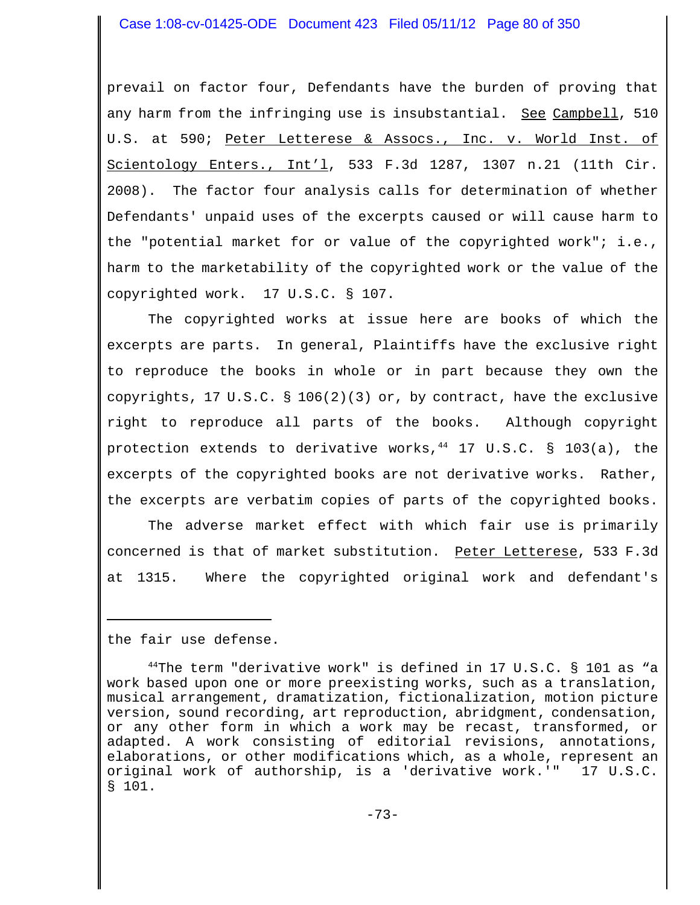prevail on factor four, Defendants have the burden of proving that any harm from the infringing use is insubstantial. See Campbell, 510 U.S. at 590; Peter Letterese & Assocs., Inc. v. World Inst. of Scientology Enters., Int'l, 533 F.3d 1287, 1307 n.21 (11th Cir. 2008). The factor four analysis calls for determination of whether Defendants' unpaid uses of the excerpts caused or will cause harm to the "potential market for or value of the copyrighted work"; i.e., harm to the marketability of the copyrighted work or the value of the copyrighted work. 17 U.S.C. § 107.

The copyrighted works at issue here are books of which the excerpts are parts. In general, Plaintiffs have the exclusive right to reproduce the books in whole or in part because they own the copyrights, 17 U.S.C. § 106(2)(3) or, by contract, have the exclusive right to reproduce all parts of the books. Although copyright protection extends to derivative works,  $^{44}$  17 U.S.C. § 103(a), the excerpts of the copyrighted books are not derivative works. Rather, the excerpts are verbatim copies of parts of the copyrighted books.

 The adverse market effect with which fair use is primarily concerned is that of market substitution. Peter Letterese, 533 F.3d at 1315. Where the copyrighted original work and defendant's

the fair use defense.

 $^{44}$ The term "derivative work" is defined in 17 U.S.C. § 101 as "a work based upon one or more preexisting works, such as a translation, musical arrangement, dramatization, fictionalization, motion picture version, sound recording, art reproduction, abridgment, condensation, or any other form in which a work may be recast, transformed, or adapted. A work consisting of editorial revisions, annotations, elaborations, or other modifications which, as a whole, represent an original work of authorship, is a 'derivative work.'" 17 U.S.C. § 101.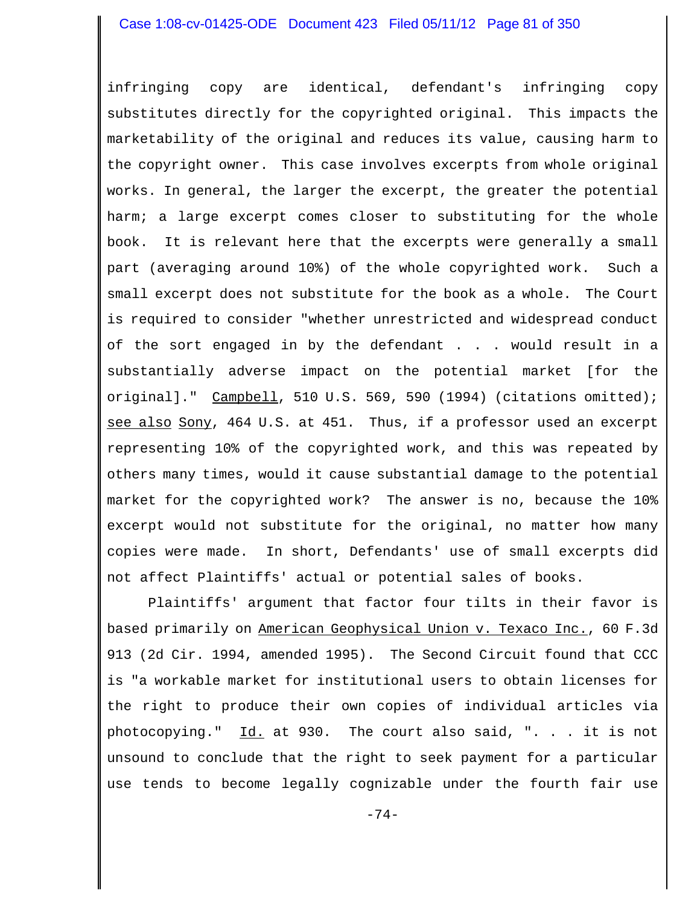infringing copy are identical, defendant's infringing copy substitutes directly for the copyrighted original. This impacts the marketability of the original and reduces its value, causing harm to the copyright owner. This case involves excerpts from whole original works. In general, the larger the excerpt, the greater the potential harm; a large excerpt comes closer to substituting for the whole book. It is relevant here that the excerpts were generally a small part (averaging around 10%) of the whole copyrighted work. Such a small excerpt does not substitute for the book as a whole. The Court is required to consider "whether unrestricted and widespread conduct of the sort engaged in by the defendant . . . would result in a substantially adverse impact on the potential market [for the original]." Campbell, 510 U.S. 569, 590 (1994) (citations omitted); see also Sony, 464 U.S. at 451. Thus, if a professor used an excerpt representing 10% of the copyrighted work, and this was repeated by others many times, would it cause substantial damage to the potential market for the copyrighted work? The answer is no, because the 10% excerpt would not substitute for the original, no matter how many copies were made. In short, Defendants' use of small excerpts did not affect Plaintiffs' actual or potential sales of books.

Plaintiffs' argument that factor four tilts in their favor is based primarily on American Geophysical Union v. Texaco Inc., 60 F.3d 913 (2d Cir. 1994, amended 1995). The Second Circuit found that CCC is "a workable market for institutional users to obtain licenses for the right to produce their own copies of individual articles via photocopying."  $\underline{Id.}$  at 930. The court also said, "... it is not unsound to conclude that the right to seek payment for a particular use tends to become legally cognizable under the fourth fair use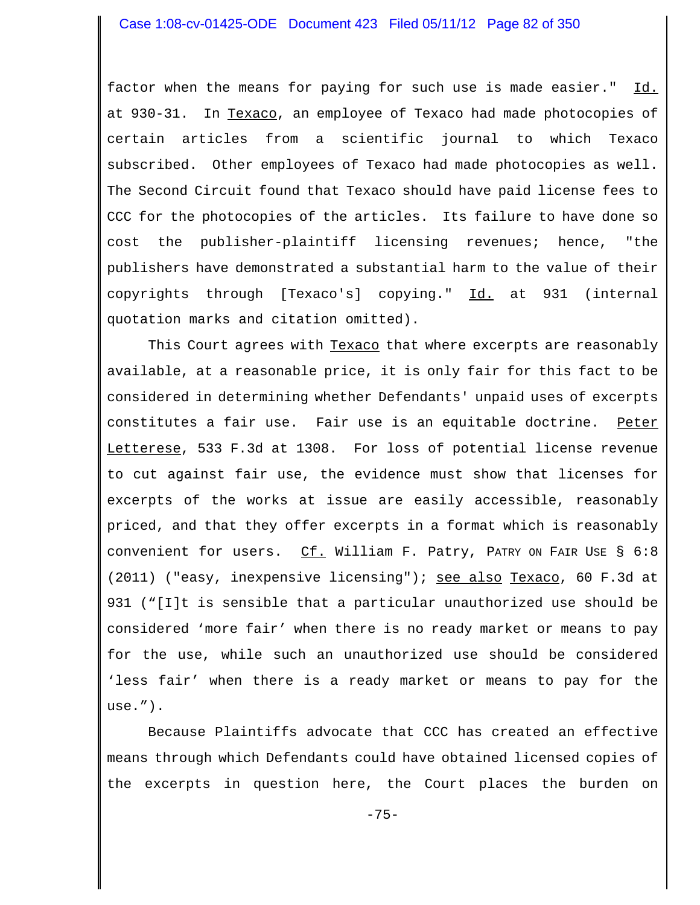factor when the means for paying for such use is made easier." Id. at 930-31. In Texaco, an employee of Texaco had made photocopies of certain articles from a scientific journal to which Texaco subscribed. Other employees of Texaco had made photocopies as well. The Second Circuit found that Texaco should have paid license fees to CCC for the photocopies of the articles. Its failure to have done so cost the publisher-plaintiff licensing revenues; hence, "the publishers have demonstrated a substantial harm to the value of their copyrights through [Texaco's] copying." Id. at 931 (internal quotation marks and citation omitted).

This Court agrees with Texaco that where excerpts are reasonably available, at a reasonable price, it is only fair for this fact to be considered in determining whether Defendants' unpaid uses of excerpts constitutes a fair use. Fair use is an equitable doctrine. Peter Letterese, 533 F.3d at 1308. For loss of potential license revenue to cut against fair use, the evidence must show that licenses for excerpts of the works at issue are easily accessible, reasonably priced, and that they offer excerpts in a format which is reasonably convenient for users.  $CL.$  William F. Patry, PATRY ON FAIR USE § 6:8 (2011) ("easy, inexpensive licensing"); see also Texaco, 60 F.3d at 931 ("[I]t is sensible that a particular unauthorized use should be considered 'more fair' when there is no ready market or means to pay for the use, while such an unauthorized use should be considered 'less fair' when there is a ready market or means to pay for the use.").

Because Plaintiffs advocate that CCC has created an effective means through which Defendants could have obtained licensed copies of the excerpts in question here, the Court places the burden on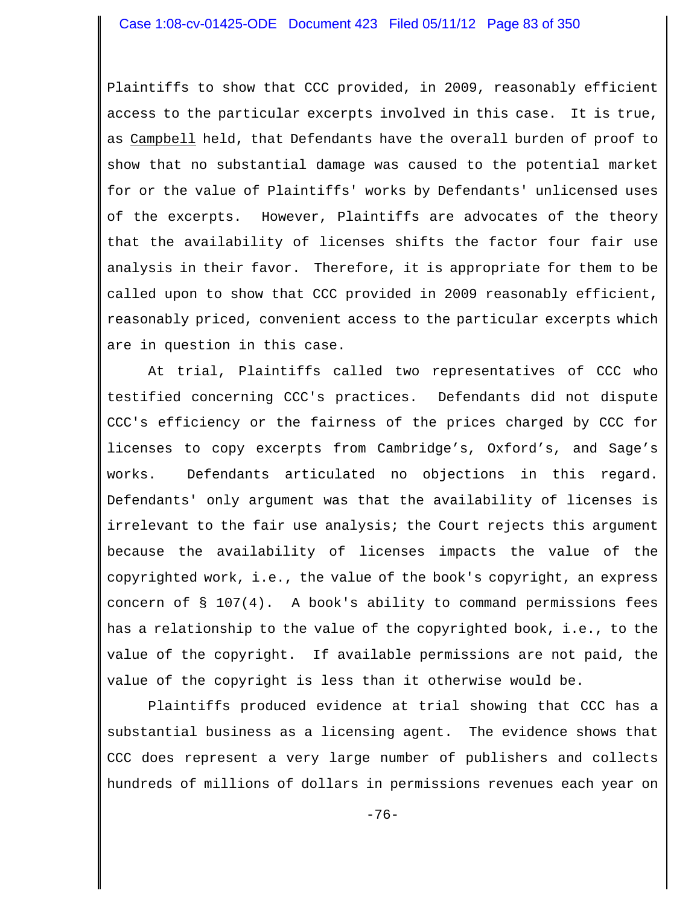Plaintiffs to show that CCC provided, in 2009, reasonably efficient access to the particular excerpts involved in this case. It is true, as Campbell held, that Defendants have the overall burden of proof to show that no substantial damage was caused to the potential market for or the value of Plaintiffs' works by Defendants' unlicensed uses of the excerpts. However, Plaintiffs are advocates of the theory that the availability of licenses shifts the factor four fair use analysis in their favor. Therefore, it is appropriate for them to be called upon to show that CCC provided in 2009 reasonably efficient, reasonably priced, convenient access to the particular excerpts which are in question in this case.

At trial, Plaintiffs called two representatives of CCC who testified concerning CCC's practices. Defendants did not dispute CCC's efficiency or the fairness of the prices charged by CCC for licenses to copy excerpts from Cambridge's, Oxford's, and Sage's works. Defendants articulated no objections in this regard. Defendants' only argument was that the availability of licenses is irrelevant to the fair use analysis; the Court rejects this argument because the availability of licenses impacts the value of the copyrighted work, i.e., the value of the book's copyright, an express concern of § 107(4). A book's ability to command permissions fees has a relationship to the value of the copyrighted book, i.e., to the value of the copyright. If available permissions are not paid, the value of the copyright is less than it otherwise would be.

Plaintiffs produced evidence at trial showing that CCC has a substantial business as a licensing agent. The evidence shows that CCC does represent a very large number of publishers and collects hundreds of millions of dollars in permissions revenues each year on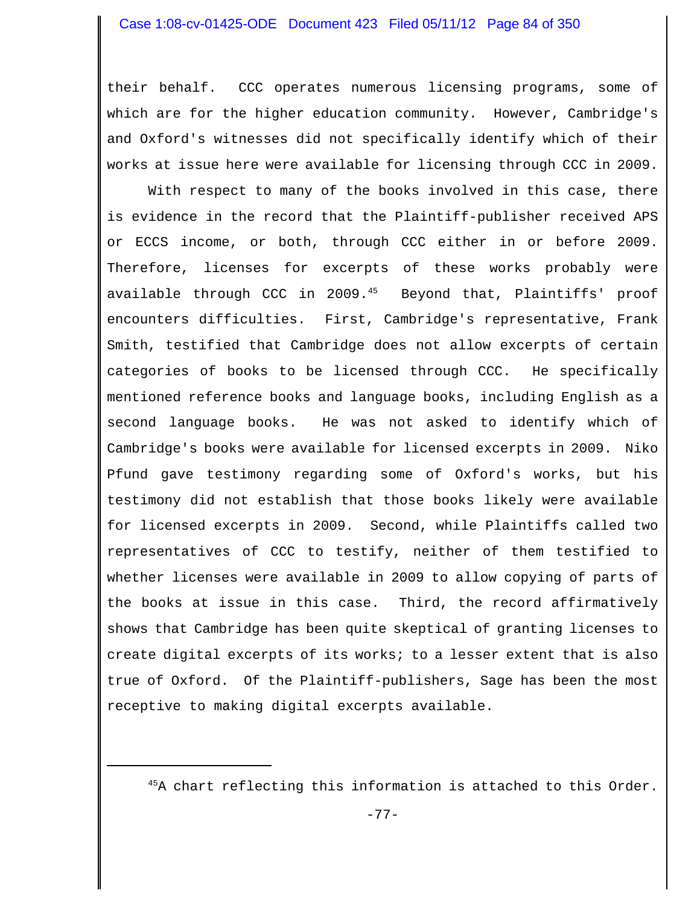their behalf. CCC operates numerous licensing programs, some of which are for the higher education community. However, Cambridge's and Oxford's witnesses did not specifically identify which of their works at issue here were available for licensing through CCC in 2009.

With respect to many of the books involved in this case, there is evidence in the record that the Plaintiff-publisher received APS or ECCS income, or both, through CCC either in or before 2009. Therefore, licenses for excerpts of these works probably were available through CCC in 2009.<sup>45</sup> Beyond that, Plaintiffs' proof encounters difficulties. First, Cambridge's representative, Frank Smith, testified that Cambridge does not allow excerpts of certain categories of books to be licensed through CCC. He specifically mentioned reference books and language books, including English as a second language books. He was not asked to identify which of Cambridge's books were available for licensed excerpts in 2009. Niko Pfund gave testimony regarding some of Oxford's works, but his testimony did not establish that those books likely were available for licensed excerpts in 2009. Second, while Plaintiffs called two representatives of CCC to testify, neither of them testified to whether licenses were available in 2009 to allow copying of parts of the books at issue in this case. Third, the record affirmatively shows that Cambridge has been quite skeptical of granting licenses to create digital excerpts of its works; to a lesser extent that is also true of Oxford. Of the Plaintiff-publishers, Sage has been the most receptive to making digital excerpts available.

<sup>45</sup>A chart reflecting this information is attached to this Order.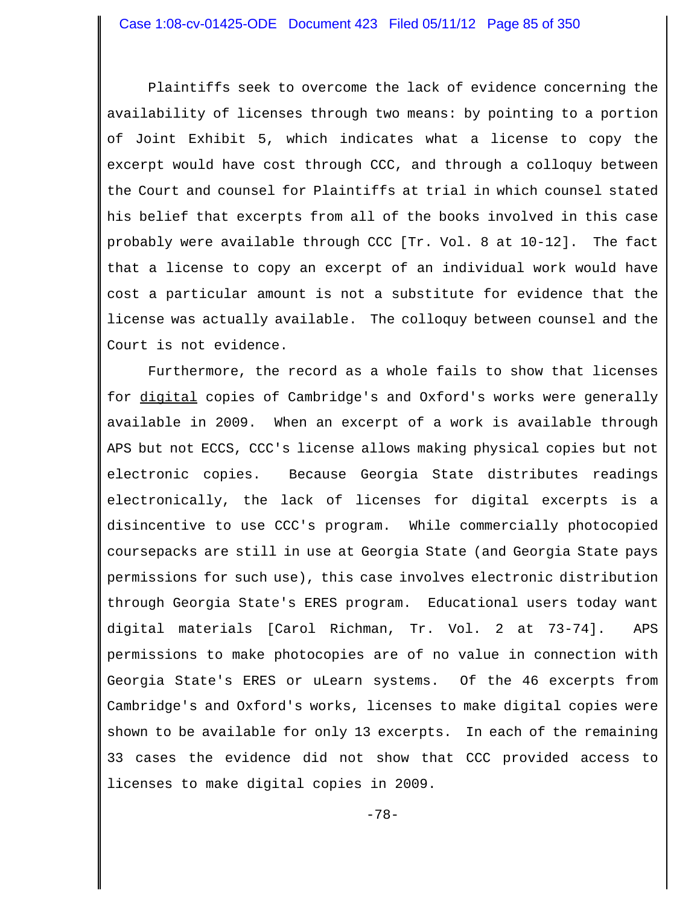Plaintiffs seek to overcome the lack of evidence concerning the availability of licenses through two means: by pointing to a portion of Joint Exhibit 5, which indicates what a license to copy the excerpt would have cost through CCC, and through a colloquy between the Court and counsel for Plaintiffs at trial in which counsel stated his belief that excerpts from all of the books involved in this case probably were available through CCC [Tr. Vol. 8 at 10-12]. The fact that a license to copy an excerpt of an individual work would have cost a particular amount is not a substitute for evidence that the license was actually available. The colloquy between counsel and the Court is not evidence.

Furthermore, the record as a whole fails to show that licenses for digital copies of Cambridge's and Oxford's works were generally available in 2009. When an excerpt of a work is available through APS but not ECCS, CCC's license allows making physical copies but not electronic copies. Because Georgia State distributes readings electronically, the lack of licenses for digital excerpts is a disincentive to use CCC's program. While commercially photocopied coursepacks are still in use at Georgia State (and Georgia State pays permissions for such use), this case involves electronic distribution through Georgia State's ERES program. Educational users today want digital materials [Carol Richman, Tr. Vol. 2 at 73-74]. APS permissions to make photocopies are of no value in connection with Georgia State's ERES or uLearn systems. Of the 46 excerpts from Cambridge's and Oxford's works, licenses to make digital copies were shown to be available for only 13 excerpts. In each of the remaining 33 cases the evidence did not show that CCC provided access to licenses to make digital copies in 2009.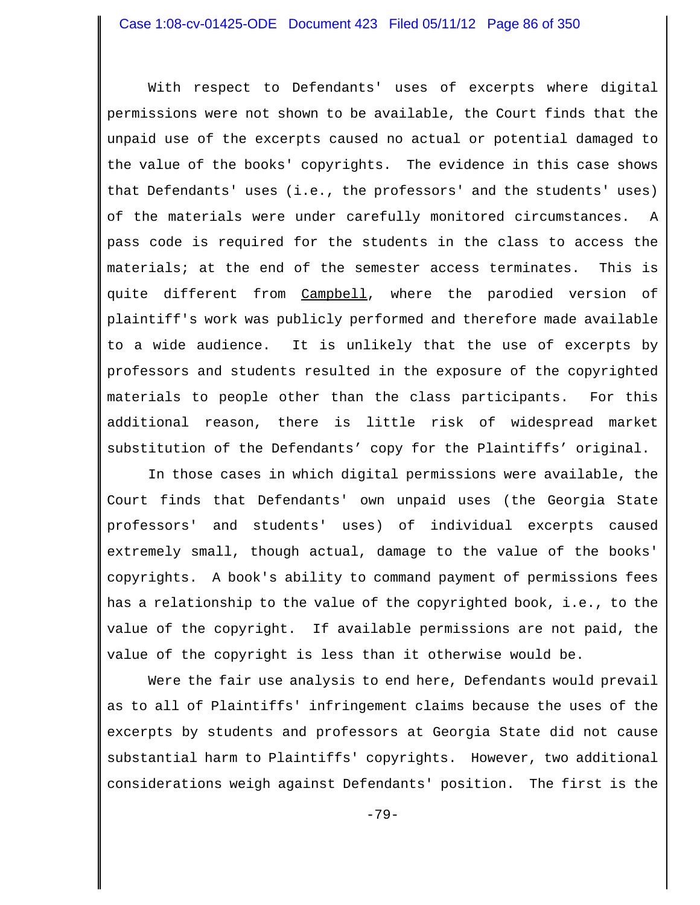With respect to Defendants' uses of excerpts where digital permissions were not shown to be available, the Court finds that the unpaid use of the excerpts caused no actual or potential damaged to the value of the books' copyrights. The evidence in this case shows that Defendants' uses (i.e., the professors' and the students' uses) of the materials were under carefully monitored circumstances. A pass code is required for the students in the class to access the materials; at the end of the semester access terminates. This is quite different from Campbell, where the parodied version of plaintiff's work was publicly performed and therefore made available to a wide audience. It is unlikely that the use of excerpts by professors and students resulted in the exposure of the copyrighted materials to people other than the class participants. For this additional reason, there is little risk of widespread market substitution of the Defendants' copy for the Plaintiffs' original.

In those cases in which digital permissions were available, the Court finds that Defendants' own unpaid uses (the Georgia State professors' and students' uses) of individual excerpts caused extremely small, though actual, damage to the value of the books' copyrights. A book's ability to command payment of permissions fees has a relationship to the value of the copyrighted book, i.e., to the value of the copyright. If available permissions are not paid, the value of the copyright is less than it otherwise would be.

Were the fair use analysis to end here, Defendants would prevail as to all of Plaintiffs' infringement claims because the uses of the excerpts by students and professors at Georgia State did not cause substantial harm to Plaintiffs' copyrights. However, two additional considerations weigh against Defendants' position. The first is the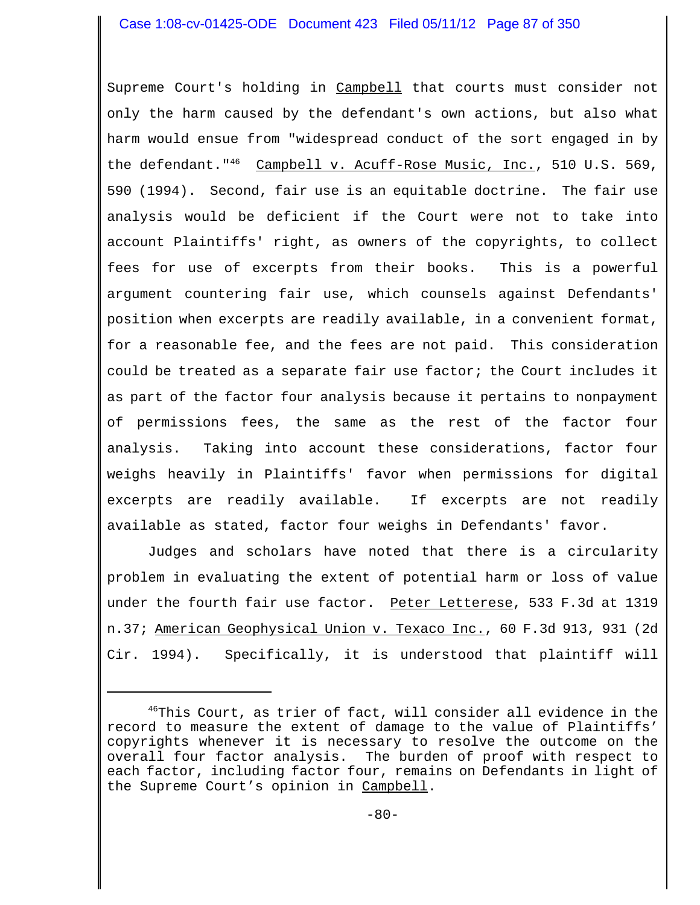Supreme Court's holding in Campbell that courts must consider not only the harm caused by the defendant's own actions, but also what harm would ensue from "widespread conduct of the sort engaged in by the defendant."<sup>46</sup> Campbell v. Acuff-Rose Music, Inc., 510 U.S. 569, 590 (1994). Second, fair use is an equitable doctrine. The fair use analysis would be deficient if the Court were not to take into account Plaintiffs' right, as owners of the copyrights, to collect fees for use of excerpts from their books. This is a powerful argument countering fair use, which counsels against Defendants' position when excerpts are readily available, in a convenient format, for a reasonable fee, and the fees are not paid. This consideration could be treated as a separate fair use factor; the Court includes it as part of the factor four analysis because it pertains to nonpayment of permissions fees, the same as the rest of the factor four analysis. Taking into account these considerations, factor four weighs heavily in Plaintiffs' favor when permissions for digital excerpts are readily available. If excerpts are not readily available as stated, factor four weighs in Defendants' favor.

Judges and scholars have noted that there is a circularity problem in evaluating the extent of potential harm or loss of value under the fourth fair use factor. Peter Letterese, 533 F.3d at 1319 n.37; American Geophysical Union v. Texaco Inc., 60 F.3d 913, 931 (2d Cir. 1994). Specifically, it is understood that plaintiff will

<sup>&</sup>lt;sup>46</sup>This Court, as trier of fact, will consider all evidence in the record to measure the extent of damage to the value of Plaintiffs' copyrights whenever it is necessary to resolve the outcome on the overall four factor analysis. The burden of proof with respect to each factor, including factor four, remains on Defendants in light of the Supreme Court's opinion in Campbell.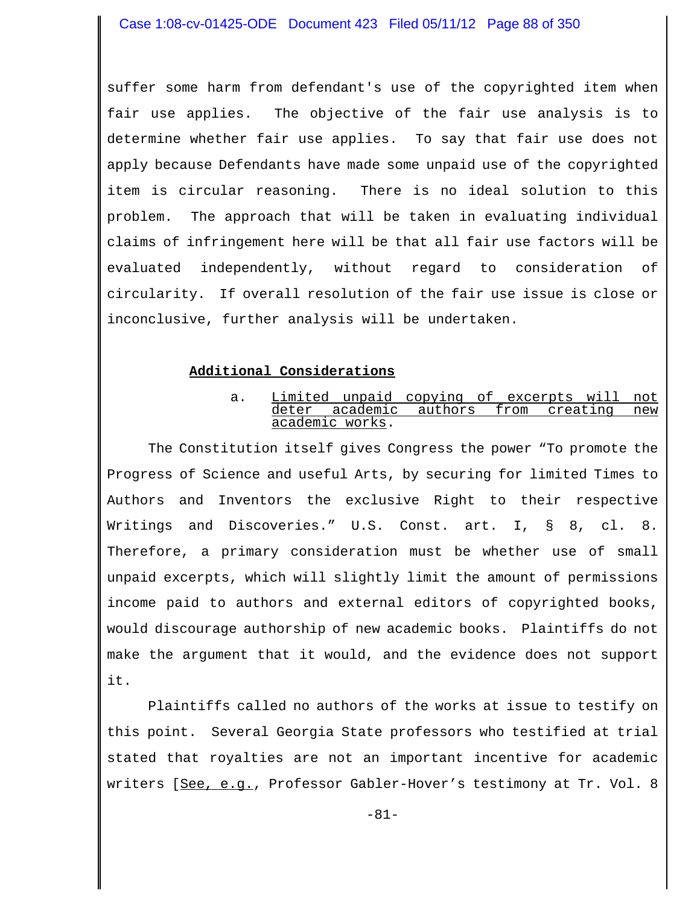suffer some harm from defendant's use of the copyrighted item when fair use applies. The objective of the fair use analysis is to determine whether fair use applies. To say that fair use does not apply because Defendants have made some unpaid use of the copyrighted item is circular reasoning. There is no ideal solution to this problem. The approach that will be taken in evaluating individual claims of infringement here will be that all fair use factors will be evaluated independently, without regard to consideration of circularity. If overall resolution of the fair use issue is close or inconclusive, further analysis will be undertaken.

# **Additional Considerations**

a. Limited unpaid copying of excerpts will not deter academic authors from creating new academic works.

The Constitution itself gives Congress the power "To promote the Progress of Science and useful Arts, by securing for limited Times to Authors and Inventors the exclusive Right to their respective Writings and Discoveries." U.S. Const. art. I, § 8, cl. 8. Therefore, a primary consideration must be whether use of small unpaid excerpts, which will slightly limit the amount of permissions income paid to authors and external editors of copyrighted books, would discourage authorship of new academic books. Plaintiffs do not make the argument that it would, and the evidence does not support it.

Plaintiffs called no authors of the works at issue to testify on this point. Several Georgia State professors who testified at trial stated that royalties are not an important incentive for academic writers [See, e.g., Professor Gabler-Hover's testimony at Tr. Vol. 8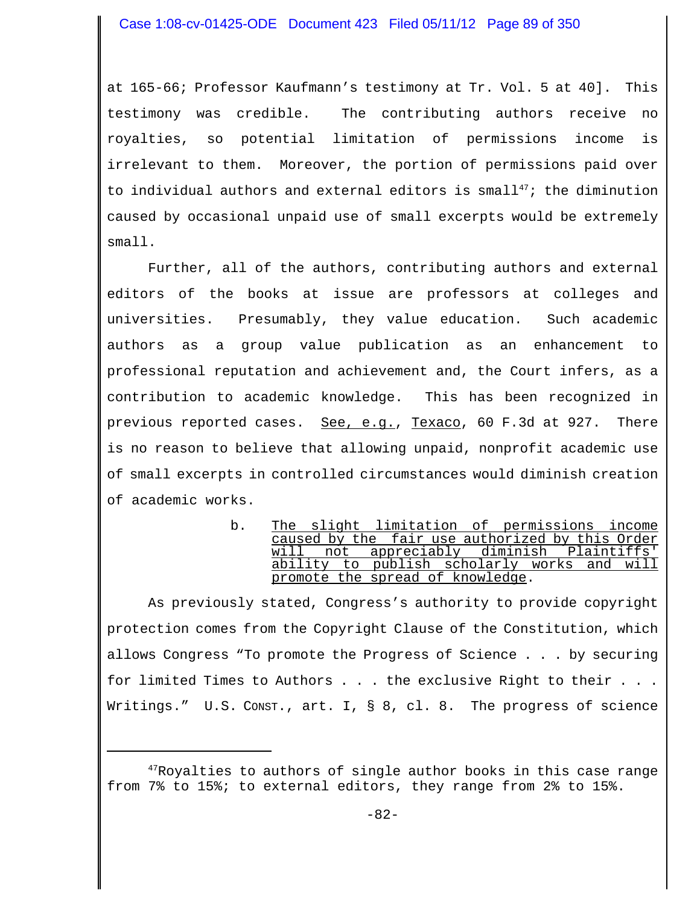at 165-66; Professor Kaufmann's testimony at Tr. Vol. 5 at 40]. This testimony was credible. The contributing authors receive no royalties, so potential limitation of permissions income is irrelevant to them. Moreover, the portion of permissions paid over to individual authors and external editors is  $small^{47}$ ; the diminution caused by occasional unpaid use of small excerpts would be extremely small.

Further, all of the authors, contributing authors and external editors of the books at issue are professors at colleges and universities. Presumably, they value education. Such academic authors as a group value publication as an enhancement to professional reputation and achievement and, the Court infers, as a contribution to academic knowledge. This has been recognized in previous reported cases. See, e.g., Texaco, 60 F.3d at 927. There is no reason to believe that allowing unpaid, nonprofit academic use of small excerpts in controlled circumstances would diminish creation of academic works.

> b. The slight limitation of permissions income caused by the fair use authorized by this Order will not appreciably diminish Plaintiffs' ability to publish scholarly works and will promote the spread of knowledge.

As previously stated, Congress's authority to provide copyright protection comes from the Copyright Clause of the Constitution, which allows Congress "To promote the Progress of Science . . . by securing for limited Times to Authors . . . the exclusive Right to their . . . Writings." U.S. CONST., art. I, § 8, cl. 8. The progress of science

 $^{47}$ Royalties to authors of single author books in this case range from 7% to 15%; to external editors, they range from 2% to 15%.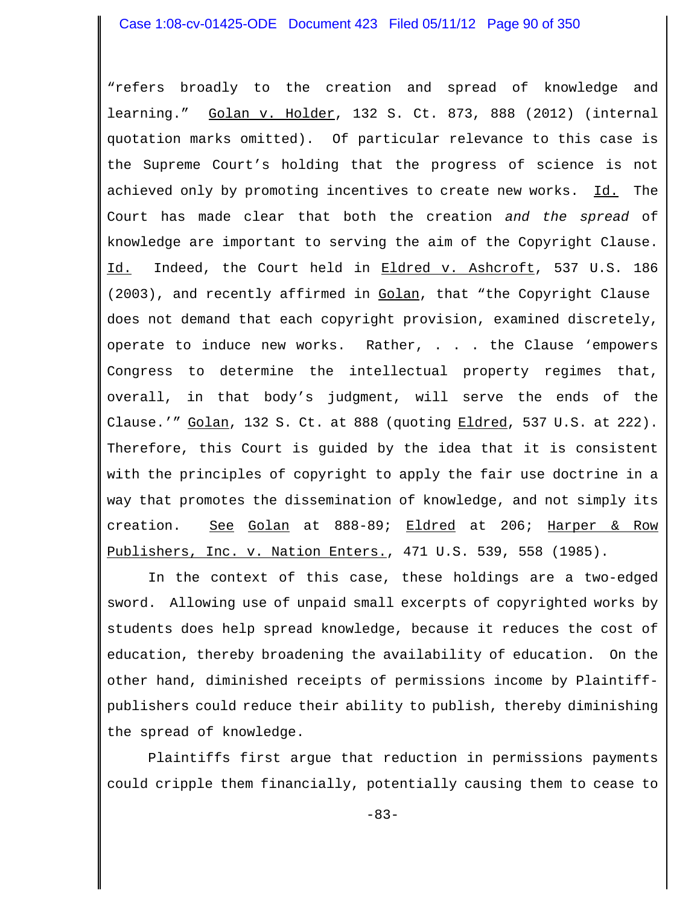"refers broadly to the creation and spread of knowledge and learning." Golan v. Holder, 132 S. Ct. 873, 888 (2012) (internal quotation marks omitted). Of particular relevance to this case is the Supreme Court's holding that the progress of science is not achieved only by promoting incentives to create new works. Id. The Court has made clear that both the creation *and the spread* of knowledge are important to serving the aim of the Copyright Clause. Id. Indeed, the Court held in Eldred v. Ashcroft, 537 U.S. 186 (2003), and recently affirmed in Golan, that "the Copyright Clause does not demand that each copyright provision, examined discretely, operate to induce new works. Rather, . . . the Clause 'empowers Congress to determine the intellectual property regimes that, overall, in that body's judgment, will serve the ends of the Clause.'"  $Golan$ , 132 S. Ct. at 888 (quoting  $Eldred$ , 537 U.S. at 222). Therefore, this Court is guided by the idea that it is consistent with the principles of copyright to apply the fair use doctrine in a way that promotes the dissemination of knowledge, and not simply its creation. See Golan at 888-89; Eldred at 206; Harper & Row Publishers, Inc. v. Nation Enters., 471 U.S. 539, 558 (1985).

In the context of this case, these holdings are a two-edged sword. Allowing use of unpaid small excerpts of copyrighted works by students does help spread knowledge, because it reduces the cost of education, thereby broadening the availability of education. On the other hand, diminished receipts of permissions income by Plaintiffpublishers could reduce their ability to publish, thereby diminishing the spread of knowledge.

Plaintiffs first argue that reduction in permissions payments could cripple them financially, potentially causing them to cease to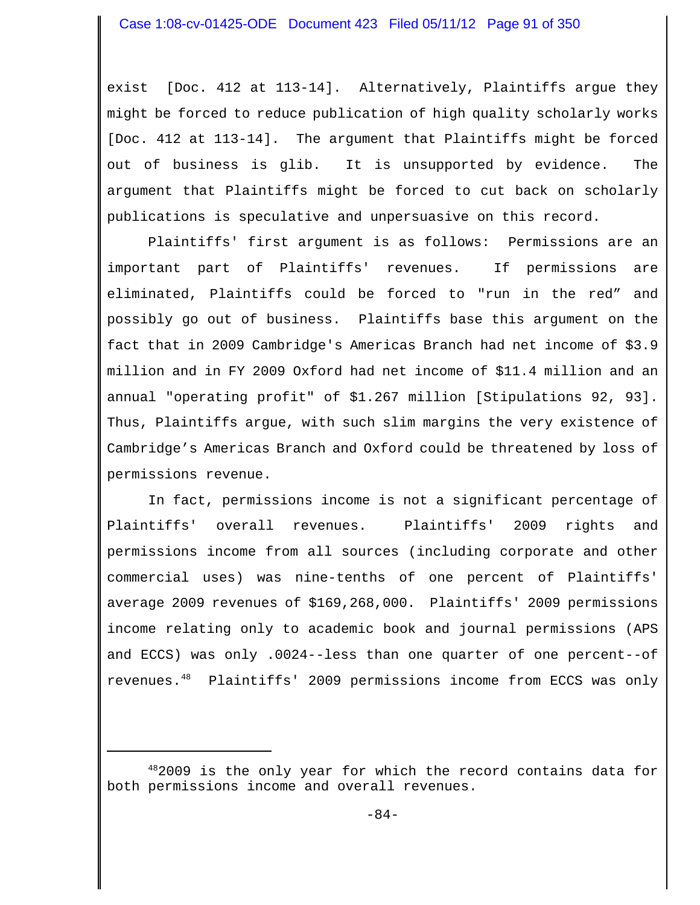exist [Doc. 412 at 113-14]. Alternatively, Plaintiffs argue they might be forced to reduce publication of high quality scholarly works [Doc. 412 at 113-14]. The argument that Plaintiffs might be forced out of business is glib. It is unsupported by evidence. The argument that Plaintiffs might be forced to cut back on scholarly publications is speculative and unpersuasive on this record.

Plaintiffs' first argument is as follows: Permissions are an important part of Plaintiffs' revenues. If permissions are eliminated, Plaintiffs could be forced to "run in the red" and possibly go out of business. Plaintiffs base this argument on the fact that in 2009 Cambridge's Americas Branch had net income of \$3.9 million and in FY 2009 Oxford had net income of \$11.4 million and an annual "operating profit" of \$1.267 million [Stipulations 92, 93]. Thus, Plaintiffs argue, with such slim margins the very existence of Cambridge's Americas Branch and Oxford could be threatened by loss of permissions revenue.

In fact, permissions income is not a significant percentage of Plaintiffs' overall revenues. Plaintiffs' 2009 rights and permissions income from all sources (including corporate and other commercial uses) was nine-tenths of one percent of Plaintiffs' average 2009 revenues of \$169,268,000. Plaintiffs' 2009 permissions income relating only to academic book and journal permissions (APS and ECCS) was only .0024--less than one quarter of one percent--of revenues.48 Plaintiffs' 2009 permissions income from ECCS was only

<sup>482009</sup> is the only year for which the record contains data for both permissions income and overall revenues.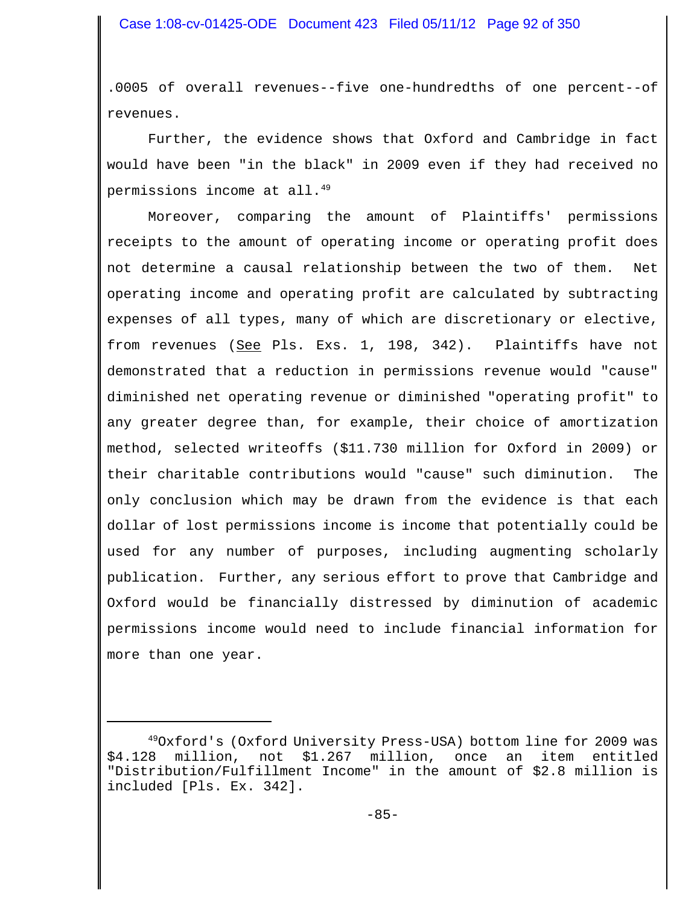.0005 of overall revenues--five one-hundredths of one percent--of revenues.

Further, the evidence shows that Oxford and Cambridge in fact would have been "in the black" in 2009 even if they had received no permissions income at all.<sup>49</sup>

Moreover, comparing the amount of Plaintiffs' permissions receipts to the amount of operating income or operating profit does not determine a causal relationship between the two of them. Net operating income and operating profit are calculated by subtracting expenses of all types, many of which are discretionary or elective, from revenues (See Pls. Exs. 1, 198, 342). Plaintiffs have not demonstrated that a reduction in permissions revenue would "cause" diminished net operating revenue or diminished "operating profit" to any greater degree than, for example, their choice of amortization method, selected writeoffs (\$11.730 million for Oxford in 2009) or their charitable contributions would "cause" such diminution. The only conclusion which may be drawn from the evidence is that each dollar of lost permissions income is income that potentially could be used for any number of purposes, including augmenting scholarly publication. Further, any serious effort to prove that Cambridge and Oxford would be financially distressed by diminution of academic permissions income would need to include financial information for more than one year.

<sup>49</sup>Oxford's (Oxford University Press-USA) bottom line for 2009 was \$4.128 million, not \$1.267 million, once an item entitled "Distribution/Fulfillment Income" in the amount of \$2.8 million is included [Pls. Ex. 342].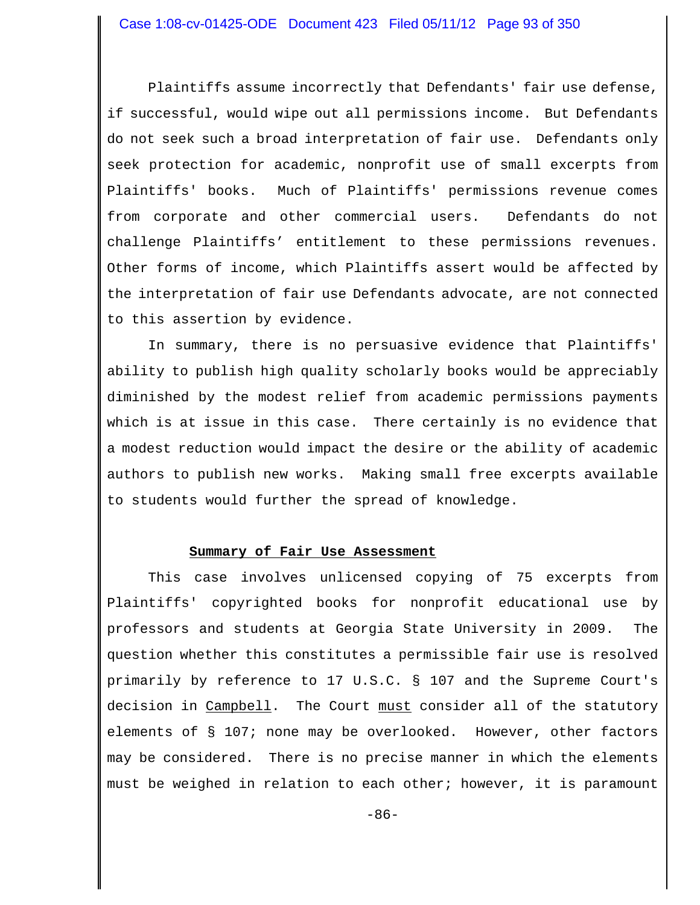Plaintiffs assume incorrectly that Defendants' fair use defense, if successful, would wipe out all permissions income. But Defendants do not seek such a broad interpretation of fair use. Defendants only seek protection for academic, nonprofit use of small excerpts from Plaintiffs' books. Much of Plaintiffs' permissions revenue comes from corporate and other commercial users. Defendants do not challenge Plaintiffs' entitlement to these permissions revenues. Other forms of income, which Plaintiffs assert would be affected by the interpretation of fair use Defendants advocate, are not connected to this assertion by evidence.

In summary, there is no persuasive evidence that Plaintiffs' ability to publish high quality scholarly books would be appreciably diminished by the modest relief from academic permissions payments which is at issue in this case. There certainly is no evidence that a modest reduction would impact the desire or the ability of academic authors to publish new works. Making small free excerpts available to students would further the spread of knowledge.

### **Summary of Fair Use Assessment**

This case involves unlicensed copying of 75 excerpts from Plaintiffs' copyrighted books for nonprofit educational use by professors and students at Georgia State University in 2009. The question whether this constitutes a permissible fair use is resolved primarily by reference to 17 U.S.C. § 107 and the Supreme Court's decision in Campbell. The Court must consider all of the statutory elements of § 107; none may be overlooked. However, other factors may be considered. There is no precise manner in which the elements must be weighed in relation to each other; however, it is paramount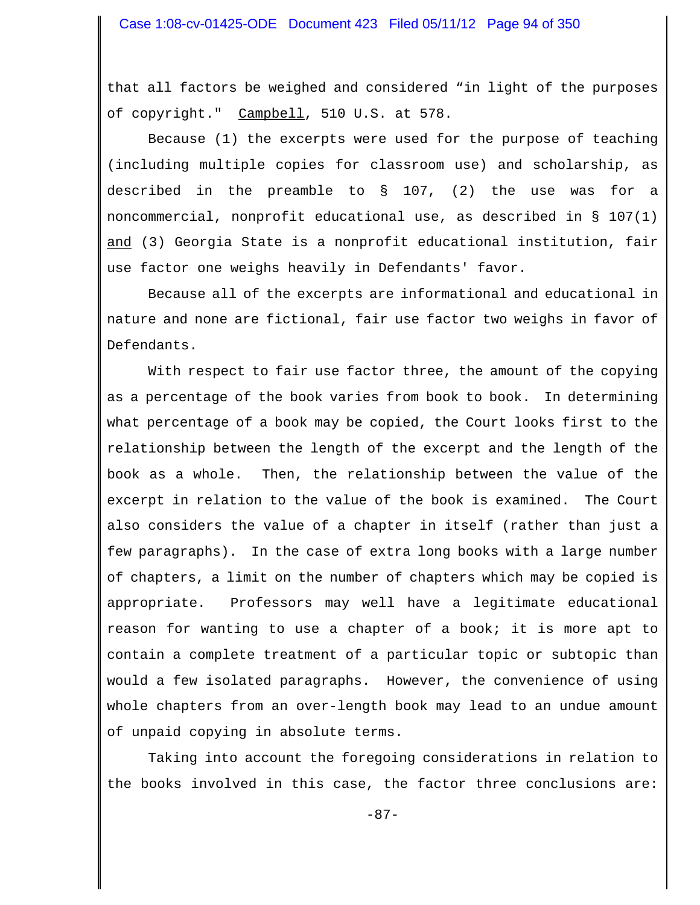that all factors be weighed and considered "in light of the purposes of copyright." Campbell, 510 U.S. at 578.

Because (1) the excerpts were used for the purpose of teaching (including multiple copies for classroom use) and scholarship, as described in the preamble to § 107, (2) the use was for a noncommercial, nonprofit educational use, as described in § 107(1) and (3) Georgia State is a nonprofit educational institution, fair use factor one weighs heavily in Defendants' favor.

Because all of the excerpts are informational and educational in nature and none are fictional, fair use factor two weighs in favor of Defendants.

With respect to fair use factor three, the amount of the copying as a percentage of the book varies from book to book. In determining what percentage of a book may be copied, the Court looks first to the relationship between the length of the excerpt and the length of the book as a whole. Then, the relationship between the value of the excerpt in relation to the value of the book is examined. The Court also considers the value of a chapter in itself (rather than just a few paragraphs). In the case of extra long books with a large number of chapters, a limit on the number of chapters which may be copied is appropriate. Professors may well have a legitimate educational reason for wanting to use a chapter of a book; it is more apt to contain a complete treatment of a particular topic or subtopic than would a few isolated paragraphs. However, the convenience of using whole chapters from an over-length book may lead to an undue amount of unpaid copying in absolute terms.

Taking into account the foregoing considerations in relation to the books involved in this case, the factor three conclusions are: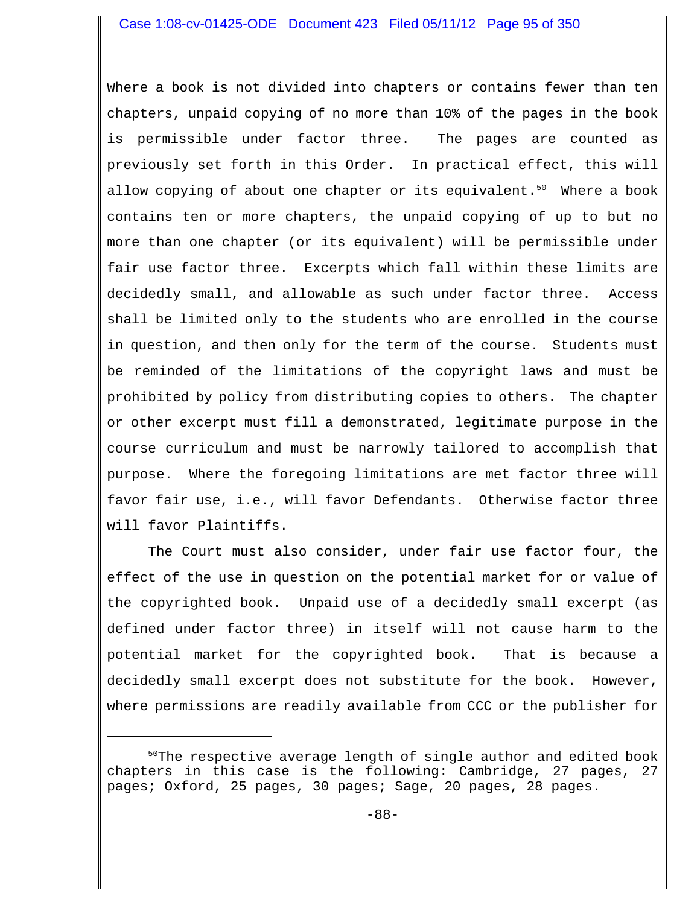Where a book is not divided into chapters or contains fewer than ten chapters, unpaid copying of no more than 10% of the pages in the book is permissible under factor three. The pages are counted as previously set forth in this Order. In practical effect, this will allow copying of about one chapter or its equivalent. $50$  Where a book contains ten or more chapters, the unpaid copying of up to but no more than one chapter (or its equivalent) will be permissible under fair use factor three. Excerpts which fall within these limits are decidedly small, and allowable as such under factor three. Access shall be limited only to the students who are enrolled in the course in question, and then only for the term of the course. Students must be reminded of the limitations of the copyright laws and must be prohibited by policy from distributing copies to others. The chapter or other excerpt must fill a demonstrated, legitimate purpose in the course curriculum and must be narrowly tailored to accomplish that purpose. Where the foregoing limitations are met factor three will favor fair use, i.e., will favor Defendants. Otherwise factor three will favor Plaintiffs.

The Court must also consider, under fair use factor four, the effect of the use in question on the potential market for or value of the copyrighted book. Unpaid use of a decidedly small excerpt (as defined under factor three) in itself will not cause harm to the potential market for the copyrighted book. That is because a decidedly small excerpt does not substitute for the book. However, where permissions are readily available from CCC or the publisher for

<sup>&</sup>lt;sup>50</sup>The respective average length of single author and edited book chapters in this case is the following: Cambridge, 27 pages, 27 pages; Oxford, 25 pages, 30 pages; Sage, 20 pages, 28 pages.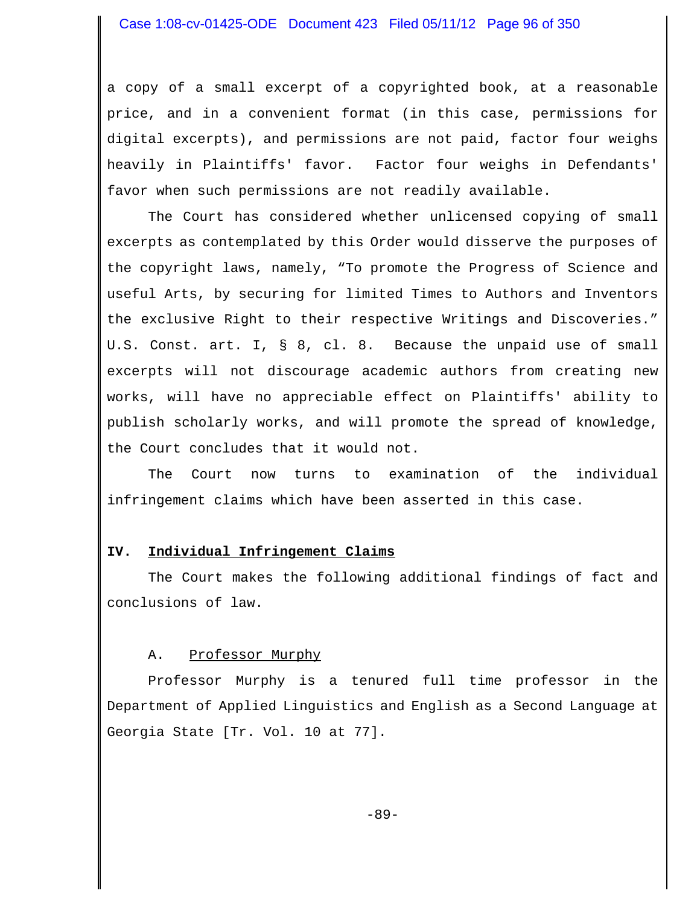a copy of a small excerpt of a copyrighted book, at a reasonable price, and in a convenient format (in this case, permissions for digital excerpts), and permissions are not paid, factor four weighs heavily in Plaintiffs' favor. Factor four weighs in Defendants' favor when such permissions are not readily available.

The Court has considered whether unlicensed copying of small excerpts as contemplated by this Order would disserve the purposes of the copyright laws, namely, "To promote the Progress of Science and useful Arts, by securing for limited Times to Authors and Inventors the exclusive Right to their respective Writings and Discoveries." U.S. Const. art. I, § 8, cl. 8. Because the unpaid use of small excerpts will not discourage academic authors from creating new works, will have no appreciable effect on Plaintiffs' ability to publish scholarly works, and will promote the spread of knowledge, the Court concludes that it would not.

The Court now turns to examination of the individual infringement claims which have been asserted in this case.

### **IV. Individual Infringement Claims**

The Court makes the following additional findings of fact and conclusions of law.

### A. Professor Murphy

Professor Murphy is a tenured full time professor in the Department of Applied Linguistics and English as a Second Language at Georgia State [Tr. Vol. 10 at 77].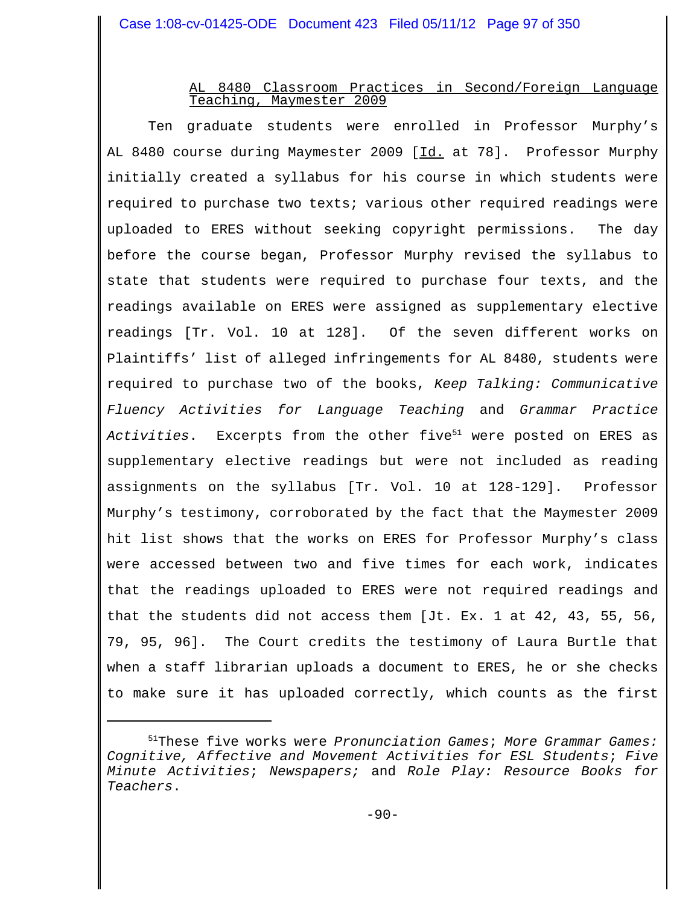# AL 8480 Classroom Practices in Second/Foreign Language Teaching, Maymester 2009

Ten graduate students were enrolled in Professor Murphy's AL 8480 course during Maymester 2009 [Id. at 78]. Professor Murphy initially created a syllabus for his course in which students were required to purchase two texts; various other required readings were uploaded to ERES without seeking copyright permissions. The day before the course began, Professor Murphy revised the syllabus to state that students were required to purchase four texts, and the readings available on ERES were assigned as supplementary elective readings [Tr. Vol. 10 at 128]. Of the seven different works on Plaintiffs' list of alleged infringements for AL 8480, students were required to purchase two of the books, *Keep Talking: Communicative Fluency Activities for Language Teaching* and *Grammar Practice* Activities. Excerpts from the other five<sup>51</sup> were posted on ERES as supplementary elective readings but were not included as reading assignments on the syllabus [Tr. Vol. 10 at 128-129]. Professor Murphy's testimony, corroborated by the fact that the Maymester 2009 hit list shows that the works on ERES for Professor Murphy's class were accessed between two and five times for each work, indicates that the readings uploaded to ERES were not required readings and that the students did not access them [Jt. Ex. 1 at 42, 43, 55, 56, 79, 95, 96]. The Court credits the testimony of Laura Burtle that when a staff librarian uploads a document to ERES, he or she checks to make sure it has uploaded correctly, which counts as the first

<sup>51</sup>These five works were *Pronunciation Games*; *More Grammar Games: Cognitive, Affective and Movement Activities for ESL Students*; *Five Minute Activities*; *Newspapers;* and *Role Play: Resource Books for Teachers*.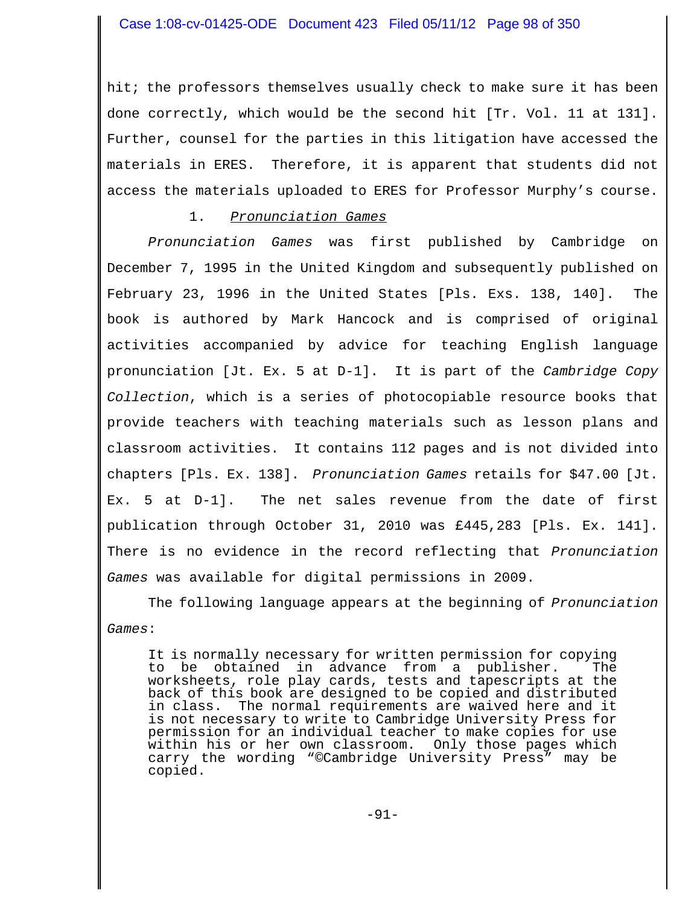hit; the professors themselves usually check to make sure it has been done correctly, which would be the second hit [Tr. Vol. 11 at 131]. Further, counsel for the parties in this litigation have accessed the materials in ERES. Therefore, it is apparent that students did not access the materials uploaded to ERES for Professor Murphy's course.

# 1. *Pronunciation Games*

*Pronunciation Games* was first published by Cambridge on December 7, 1995 in the United Kingdom and subsequently published on February 23, 1996 in the United States [Pls. Exs. 138, 140]. The book is authored by Mark Hancock and is comprised of original activities accompanied by advice for teaching English language pronunciation [Jt. Ex. 5 at D-1]. It is part of the *Cambridge Copy Collection*, which is a series of photocopiable resource books that provide teachers with teaching materials such as lesson plans and classroom activities. It contains 112 pages and is not divided into chapters [Pls. Ex. 138]. *Pronunciation Games* retails for \$47.00 [Jt. Ex. 5 at D-1]. The net sales revenue from the date of first publication through October 31, 2010 was £445,283 [Pls. Ex. 141]. There is no evidence in the record reflecting that *Pronunciation Games* was available for digital permissions in 2009.

The following language appears at the beginning of *Pronunciation Games*:

It is normally necessary for written permission for copying to be obtained in advance from a publisher. The worksheets, role play cards, tests and tapescripts at the back of this book are designed to be copied and distributed in class. The normal requirements are waived here and it is not necessary to write to Cambridge University Press for permission for an individual teacher to make copies for use within his or her own classroom. Only those pages which carry the wording "©Cambridge University Press" may be copied.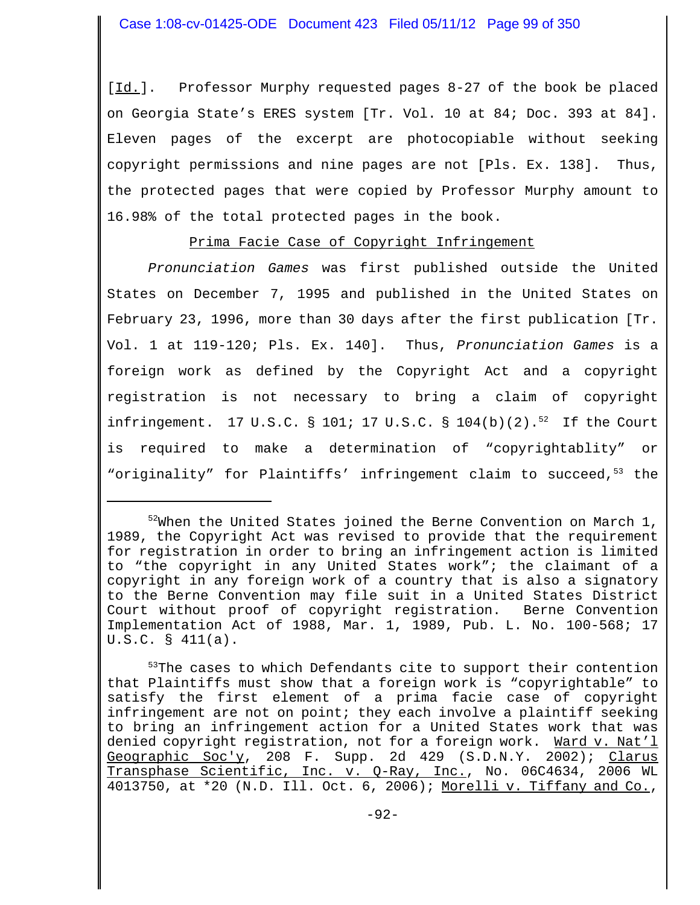[Id.]. Professor Murphy requested pages 8-27 of the book be placed on Georgia State's ERES system [Tr. Vol. 10 at 84; Doc. 393 at 84]. Eleven pages of the excerpt are photocopiable without seeking copyright permissions and nine pages are not [Pls. Ex. 138]. Thus, the protected pages that were copied by Professor Murphy amount to 16.98% of the total protected pages in the book.

Prima Facie Case of Copyright Infringement

*Pronunciation Games* was first published outside the United States on December 7, 1995 and published in the United States on February 23, 1996, more than 30 days after the first publication [Tr. Vol. 1 at 119-120; Pls. Ex. 140]. Thus, *Pronunciation Games* is a foreign work as defined by the Copyright Act and a copyright registration is not necessary to bring a claim of copyright infringement. 17 U.S.C. § 101; 17 U.S.C. § 104(b)(2).<sup>52</sup> If the Court is required to make a determination of "copyrightablity" or "originality" for Plaintiffs' infringement claim to succeed,<sup>53</sup> the

<sup>53</sup>The cases to which Defendants cite to support their contention that Plaintiffs must show that a foreign work is "copyrightable" to satisfy the first element of a prima facie case of copyright infringement are not on point; they each involve a plaintiff seeking to bring an infringement action for a United States work that was denied copyright registration, not for a foreign work. Ward v. Nat'l Geographic Soc'y, 208 F. Supp. 2d 429 (S.D.N.Y. 2002); Clarus Transphase Scientific, Inc. v. Q-Ray, Inc., No. 06C4634, 2006 WL 4013750, at \*20 (N.D. Ill. Oct. 6, 2006); Morelli v. Tiffany and Co.,

 $52$ When the United States joined the Berne Convention on March 1, 1989, the Copyright Act was revised to provide that the requirement for registration in order to bring an infringement action is limited to "the copyright in any United States work"; the claimant of a copyright in any foreign work of a country that is also a signatory to the Berne Convention may file suit in a United States District Court without proof of copyright registration. Berne Convention Implementation Act of 1988, Mar. 1, 1989, Pub. L. No. 100-568; 17 U.S.C. § 411(a).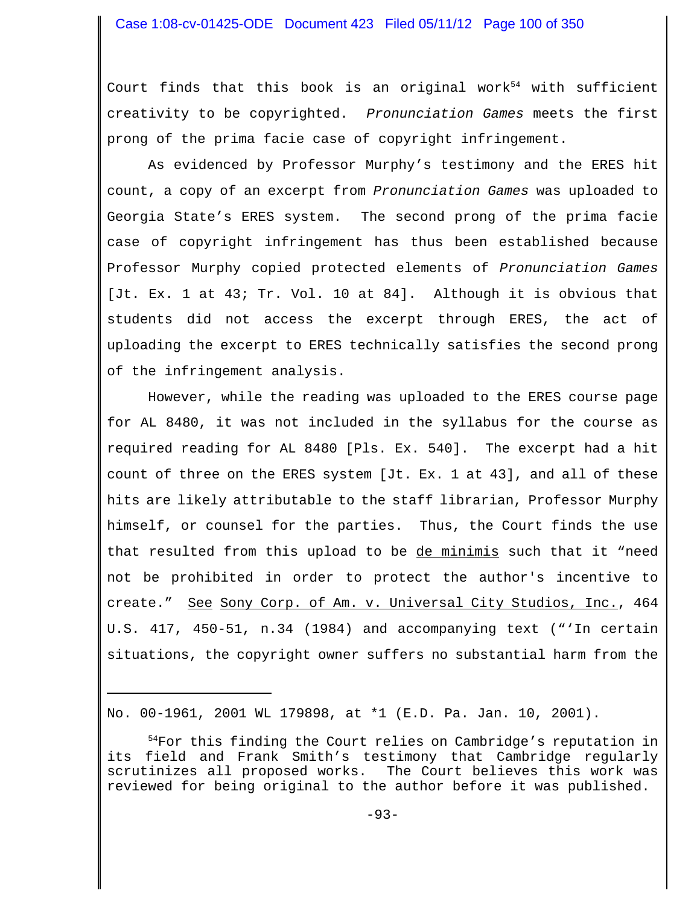### Case 1:08-cv-01425-ODE Document 423 Filed 05/11/12 Page 100 of 350

Court finds that this book is an original work<sup>54</sup> with sufficient creativity to be copyrighted. *Pronunciation Games* meets the first prong of the prima facie case of copyright infringement.

As evidenced by Professor Murphy's testimony and the ERES hit count, a copy of an excerpt from *Pronunciation Games* was uploaded to Georgia State's ERES system. The second prong of the prima facie case of copyright infringement has thus been established because Professor Murphy copied protected elements of *Pronunciation Games* [Jt. Ex. 1 at 43; Tr. Vol. 10 at 84]. Although it is obvious that students did not access the excerpt through ERES, the act of uploading the excerpt to ERES technically satisfies the second prong of the infringement analysis.

However, while the reading was uploaded to the ERES course page for AL 8480, it was not included in the syllabus for the course as required reading for AL 8480 [Pls. Ex. 540]. The excerpt had a hit count of three on the ERES system [Jt. Ex. 1 at 43], and all of these hits are likely attributable to the staff librarian, Professor Murphy himself, or counsel for the parties. Thus, the Court finds the use that resulted from this upload to be de minimis such that it "need not be prohibited in order to protect the author's incentive to create." See Sony Corp. of Am. v. Universal City Studios, Inc., 464 U.S. 417, 450-51, n.34 (1984) and accompanying text ("'In certain situations, the copyright owner suffers no substantial harm from the

No. 00-1961, 2001 WL 179898, at \*1 (E.D. Pa. Jan. 10, 2001).

<sup>54</sup>For this finding the Court relies on Cambridge's reputation in its field and Frank Smith's testimony that Cambridge regularly scrutinizes all proposed works. The Court believes this work was reviewed for being original to the author before it was published.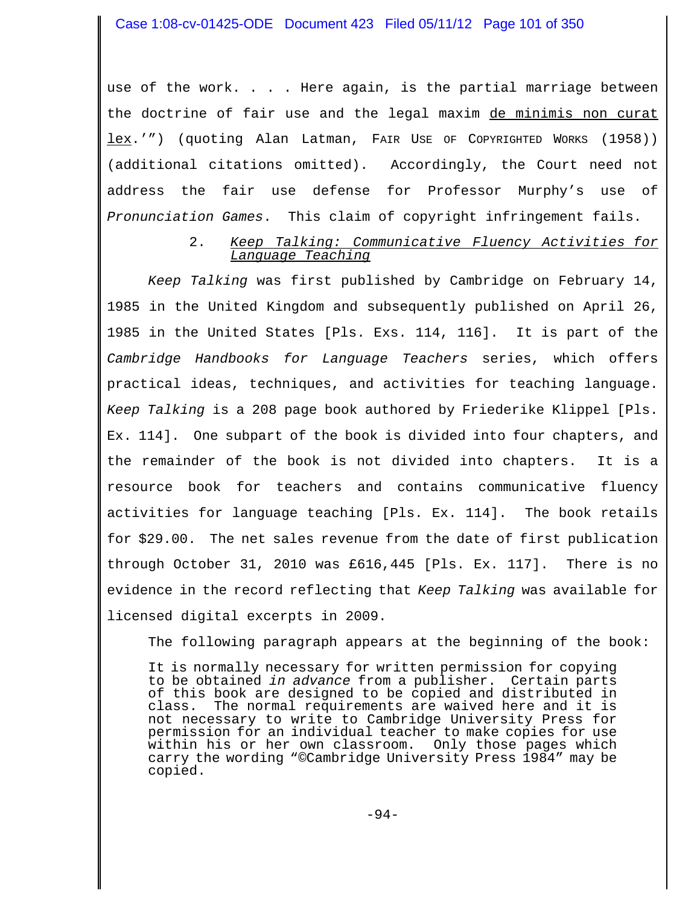use of the work. . . . Here again, is the partial marriage between the doctrine of fair use and the legal maxim de minimis non curat lex.'") (quoting Alan Latman, FAIR USE OF COPYRIGHTED WORKS (1958)) (additional citations omitted). Accordingly, the Court need not address the fair use defense for Professor Murphy's use of *Pronunciation Games*. This claim of copyright infringement fails.

### 2. *Keep Talking: Communicative Fluency Activities for Language Teaching*

*Keep Talking* was first published by Cambridge on February 14, 1985 in the United Kingdom and subsequently published on April 26, 1985 in the United States [Pls. Exs. 114, 116]. It is part of the *Cambridge Handbooks for Language Teachers* series, which offers practical ideas, techniques, and activities for teaching language. *Keep Talking* is a 208 page book authored by Friederike Klippel [Pls. Ex. 114]. One subpart of the book is divided into four chapters, and the remainder of the book is not divided into chapters. It is a resource book for teachers and contains communicative fluency activities for language teaching [Pls. Ex. 114]. The book retails for \$29.00. The net sales revenue from the date of first publication through October 31, 2010 was £616,445 [Pls. Ex. 117]. There is no evidence in the record reflecting that *Keep Talking* was available for licensed digital excerpts in 2009.

The following paragraph appears at the beginning of the book:

It is normally necessary for written permission for copying to be obtained *in advance* from a publisher. Certain parts of this book are designed to be copied and distributed in class. The normal requirements are waived here and it is not necessary to write to Cambridge University Press for permission for an individual teacher to make copies for use within his or her own classroom. Only those pages which carry the wording "©Cambridge University Press 1984" may be copied.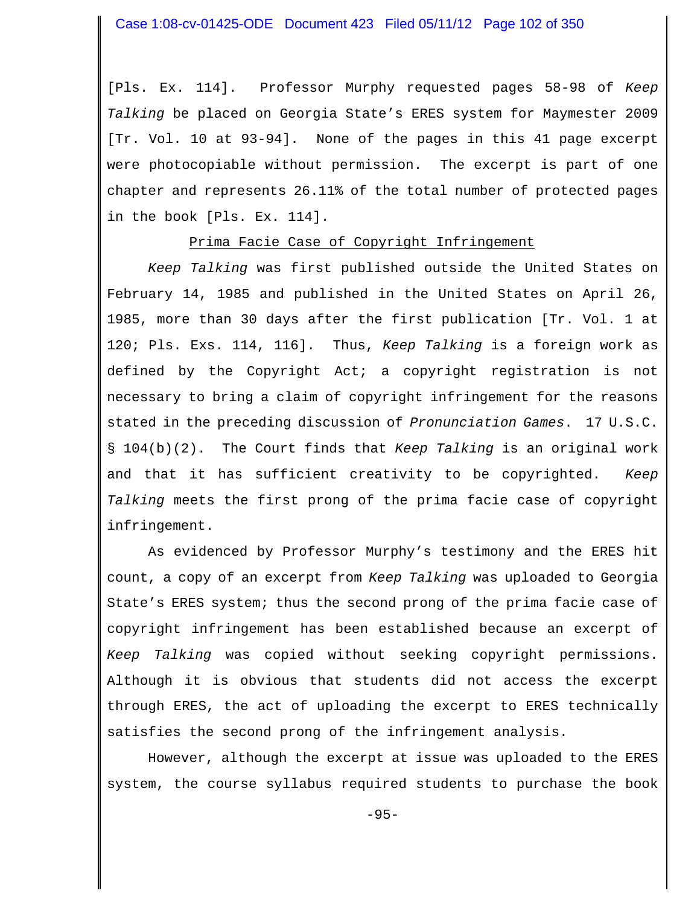[Pls. Ex. 114]. Professor Murphy requested pages 58-98 of *Keep Talking* be placed on Georgia State's ERES system for Maymester 2009 [Tr. Vol. 10 at 93-94]. None of the pages in this 41 page excerpt were photocopiable without permission. The excerpt is part of one chapter and represents 26.11% of the total number of protected pages in the book [Pls. Ex. 114].

### Prima Facie Case of Copyright Infringement

*Keep Talking* was first published outside the United States on February 14, 1985 and published in the United States on April 26, 1985, more than 30 days after the first publication [Tr. Vol. 1 at 120; Pls. Exs. 114, 116]. Thus, *Keep Talking* is a foreign work as defined by the Copyright Act; a copyright registration is not necessary to bring a claim of copyright infringement for the reasons stated in the preceding discussion of *Pronunciation Games*. 17 U.S.C. § 104(b)(2). The Court finds that *Keep Talking* is an original work and that it has sufficient creativity to be copyrighted. *Keep Talking* meets the first prong of the prima facie case of copyright infringement.

As evidenced by Professor Murphy's testimony and the ERES hit count, a copy of an excerpt from *Keep Talking* was uploaded to Georgia State's ERES system; thus the second prong of the prima facie case of copyright infringement has been established because an excerpt of *Keep Talking* was copied without seeking copyright permissions. Although it is obvious that students did not access the excerpt through ERES, the act of uploading the excerpt to ERES technically satisfies the second prong of the infringement analysis.

However, although the excerpt at issue was uploaded to the ERES system, the course syllabus required students to purchase the book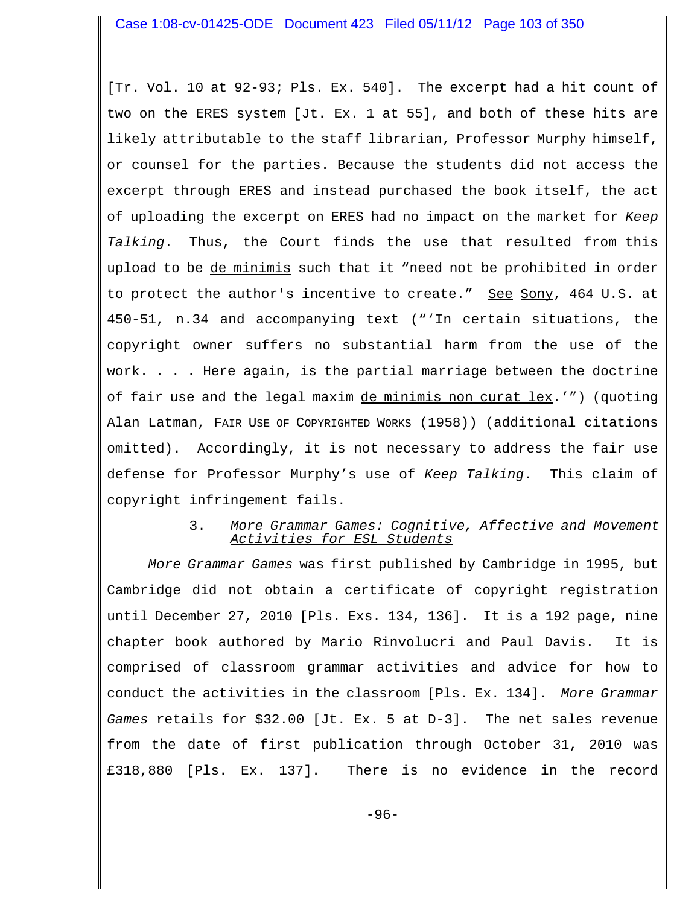[Tr. Vol. 10 at 92-93; Pls. Ex. 540]. The excerpt had a hit count of two on the ERES system [Jt. Ex. 1 at 55], and both of these hits are likely attributable to the staff librarian, Professor Murphy himself, or counsel for the parties. Because the students did not access the excerpt through ERES and instead purchased the book itself, the act of uploading the excerpt on ERES had no impact on the market for *Keep Talking*. Thus, the Court finds the use that resulted from this upload to be de minimis such that it "need not be prohibited in order to protect the author's incentive to create." See Sony, 464 U.S. at 450-51, n.34 and accompanying text ("'In certain situations, the copyright owner suffers no substantial harm from the use of the work. . . . Here again, is the partial marriage between the doctrine of fair use and the legal maxim de minimis non curat lex.'") (quoting Alan Latman, FAIR USE OF COPYRIGHTED WORKS (1958)) (additional citations omitted). Accordingly, it is not necessary to address the fair use defense for Professor Murphy's use of *Keep Talking*. This claim of copyright infringement fails.

### 3. *More Grammar Games: Cognitive, Affective and Movement Activities for ESL Students*

*More Grammar Games* was first published by Cambridge in 1995, but Cambridge did not obtain a certificate of copyright registration until December 27, 2010 [Pls. Exs. 134, 136]. It is a 192 page, nine chapter book authored by Mario Rinvolucri and Paul Davis. It is comprised of classroom grammar activities and advice for how to conduct the activities in the classroom [Pls. Ex. 134]. *More Grammar Games* retails for \$32.00 [Jt. Ex. 5 at D-3]. The net sales revenue from the date of first publication through October 31, 2010 was £318,880 [Pls. Ex. 137]. There is no evidence in the record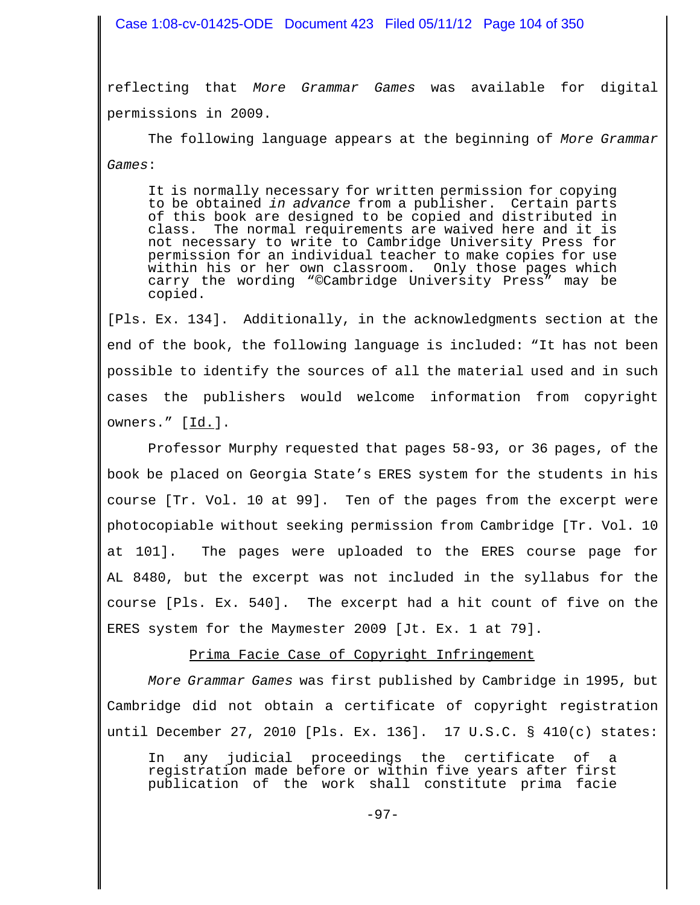### Case 1:08-cv-01425-ODE Document 423 Filed 05/11/12 Page 104 of 350

reflecting that *More Grammar Games* was available for digital permissions in 2009.

The following language appears at the beginning of *More Grammar Games*:

It is normally necessary for written permission for copying to be obtained *in advance* from a publisher. Certain parts of this book are designed to be copied and distributed in class. The normal requirements are waived here and it is not necessary to write to Cambridge University Press for permission for an individual teacher to make copies for use within his or her own classroom. Only those pages which carry the wording "©Cambridge University Press" may be copied.

[Pls. Ex. 134]. Additionally, in the acknowledgments section at the end of the book, the following language is included: "It has not been possible to identify the sources of all the material used and in such cases the publishers would welcome information from copyright owners." [Id.].

Professor Murphy requested that pages 58-93, or 36 pages, of the book be placed on Georgia State's ERES system for the students in his course [Tr. Vol. 10 at 99]. Ten of the pages from the excerpt were photocopiable without seeking permission from Cambridge [Tr. Vol. 10 at 101]. The pages were uploaded to the ERES course page for AL 8480, but the excerpt was not included in the syllabus for the course [Pls. Ex. 540]. The excerpt had a hit count of five on the ERES system for the Maymester 2009 [Jt. Ex. 1 at 79].

Prima Facie Case of Copyright Infringement

*More Grammar Games* was first published by Cambridge in 1995, but Cambridge did not obtain a certificate of copyright registration until December 27, 2010 [Pls. Ex. 136]. 17 U.S.C. § 410(c) states:

In any judicial proceedings the certificate of a registration made before or within five years after first publication of the work shall constitute prima facie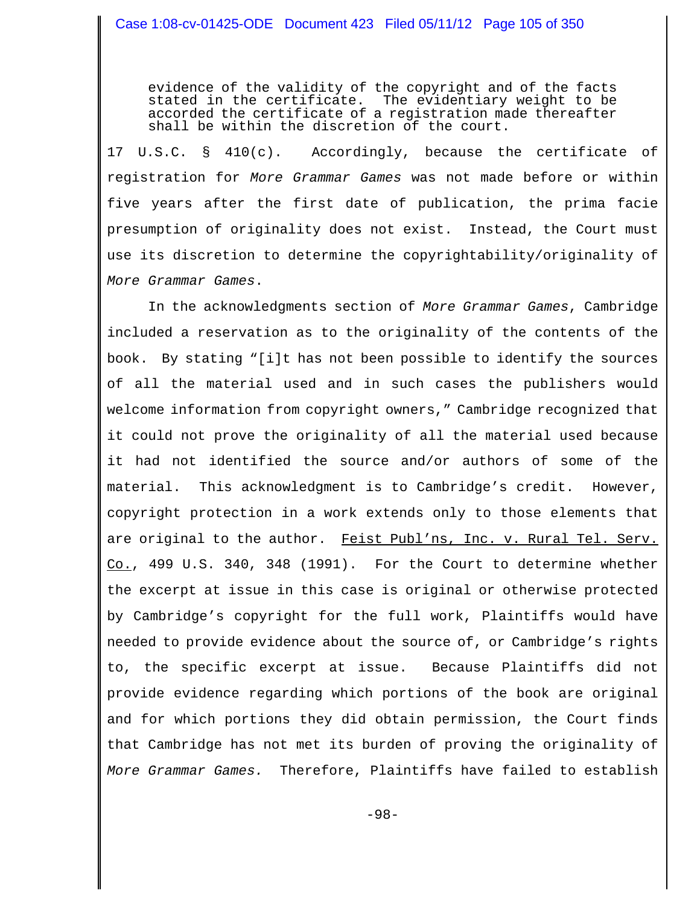evidence of the validity of the copyright and of the facts stated in the certificate. The evidentiary weight to be accorded the certificate of a registration made thereafter shall be within the discretion of the court.

17 U.S.C. § 410(c). Accordingly, because the certificate of registration for *More Grammar Games* was not made before or within five years after the first date of publication, the prima facie presumption of originality does not exist. Instead, the Court must use its discretion to determine the copyrightability/originality of *More Grammar Games*.

In the acknowledgments section of *More Grammar Games*, Cambridge included a reservation as to the originality of the contents of the book. By stating "[i]t has not been possible to identify the sources of all the material used and in such cases the publishers would welcome information from copyright owners," Cambridge recognized that it could not prove the originality of all the material used because it had not identified the source and/or authors of some of the material. This acknowledgment is to Cambridge's credit. However, copyright protection in a work extends only to those elements that are original to the author. Feist Publ'ns, Inc. v. Rural Tel. Serv. Co., 499 U.S. 340, 348 (1991). For the Court to determine whether the excerpt at issue in this case is original or otherwise protected by Cambridge's copyright for the full work, Plaintiffs would have needed to provide evidence about the source of, or Cambridge's rights to, the specific excerpt at issue. Because Plaintiffs did not provide evidence regarding which portions of the book are original and for which portions they did obtain permission, the Court finds that Cambridge has not met its burden of proving the originality of *More Grammar Games.* Therefore, Plaintiffs have failed to establish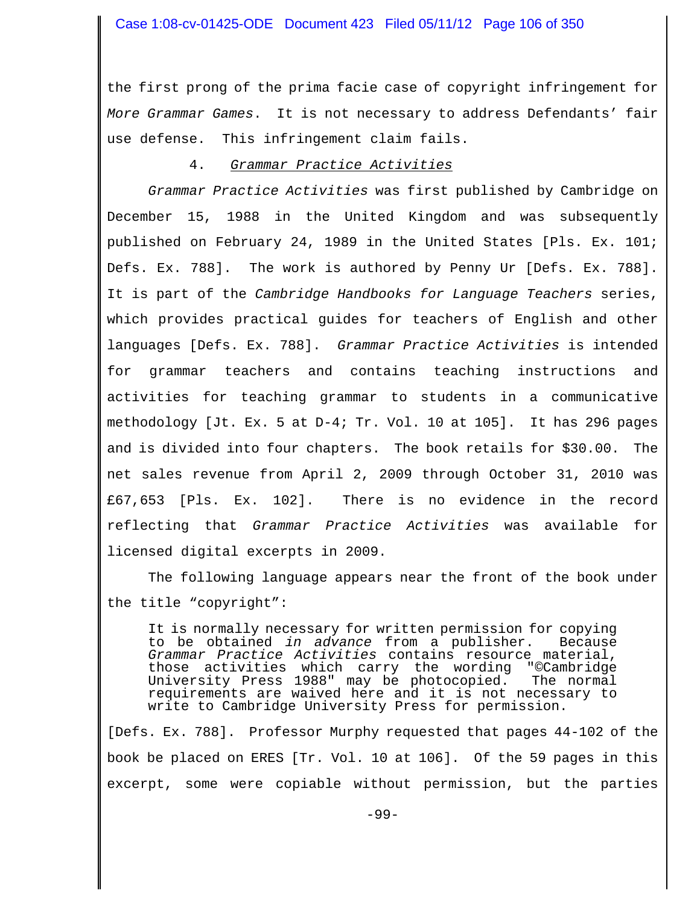the first prong of the prima facie case of copyright infringement for *More Grammar Games*. It is not necessary to address Defendants' fair use defense. This infringement claim fails.

### 4. *Grammar Practice Activities*

*Grammar Practice Activities* was first published by Cambridge on December 15, 1988 in the United Kingdom and was subsequently published on February 24, 1989 in the United States [Pls. Ex. 101; Defs. Ex. 788]. The work is authored by Penny Ur [Defs. Ex. 788]. It is part of the *Cambridge Handbooks for Language Teachers* series, which provides practical guides for teachers of English and other languages [Defs. Ex. 788]. *Grammar Practice Activities* is intended for grammar teachers and contains teaching instructions and activities for teaching grammar to students in a communicative methodology [Jt. Ex. 5 at D-4; Tr. Vol. 10 at 105]. It has 296 pages and is divided into four chapters. The book retails for \$30.00. The net sales revenue from April 2, 2009 through October 31, 2010 was £67,653 [Pls. Ex. 102]. There is no evidence in the record reflecting that *Grammar Practice Activities* was available for licensed digital excerpts in 2009.

The following language appears near the front of the book under the title "copyright":

It is normally necessary for written permission for copying<br>to be obtained *in advance* from a publisher. Because to be obtained *in advance* from a publisher. *Grammar Practice Activities* contains resource material, those activities which carry the wording "©Cambridge University Press 1988" may be photocopied. The normal University Press 1988" may be photocopied. The normal requirements are waived here and it is not necessary to write to Cambridge University Press for permission.

[Defs. Ex. 788]. Professor Murphy requested that pages 44-102 of the book be placed on ERES [Tr. Vol. 10 at 106]. Of the 59 pages in this excerpt, some were copiable without permission, but the parties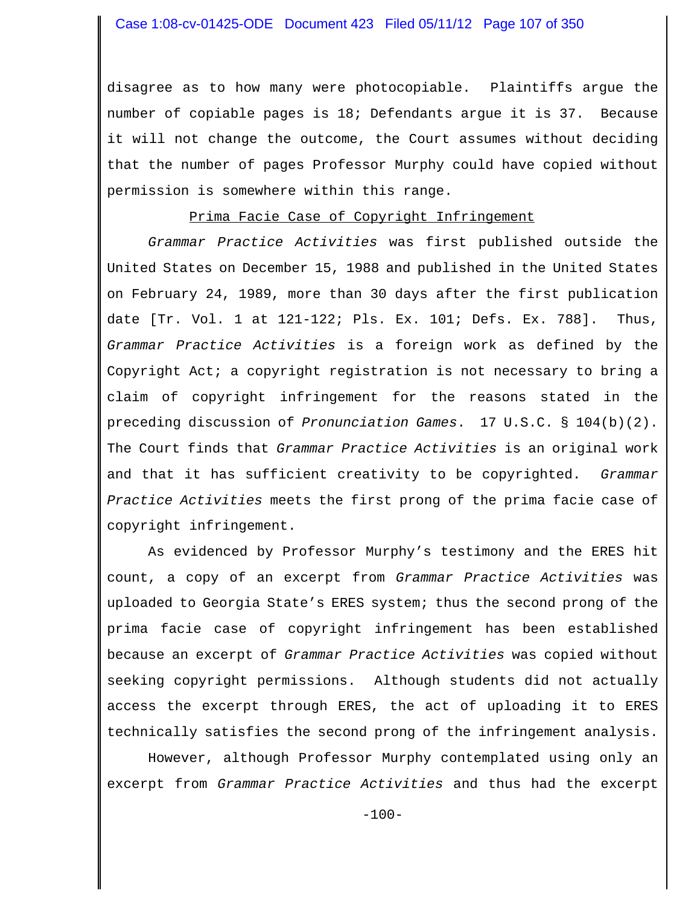disagree as to how many were photocopiable. Plaintiffs argue the number of copiable pages is 18; Defendants argue it is 37. Because it will not change the outcome, the Court assumes without deciding that the number of pages Professor Murphy could have copied without permission is somewhere within this range.

### Prima Facie Case of Copyright Infringement

*Grammar Practice Activities* was first published outside the United States on December 15, 1988 and published in the United States on February 24, 1989, more than 30 days after the first publication date [Tr. Vol. 1 at 121-122; Pls. Ex. 101; Defs. Ex. 788]. Thus, *Grammar Practice Activities* is a foreign work as defined by the Copyright Act; a copyright registration is not necessary to bring a claim of copyright infringement for the reasons stated in the preceding discussion of *Pronunciation Games*. 17 U.S.C. § 104(b)(2). The Court finds that *Grammar Practice Activities* is an original work and that it has sufficient creativity to be copyrighted. *Grammar Practice Activities* meets the first prong of the prima facie case of copyright infringement.

As evidenced by Professor Murphy's testimony and the ERES hit count, a copy of an excerpt from *Grammar Practice Activities* was uploaded to Georgia State's ERES system; thus the second prong of the prima facie case of copyright infringement has been established because an excerpt of *Grammar Practice Activities* was copied without seeking copyright permissions. Although students did not actually access the excerpt through ERES, the act of uploading it to ERES technically satisfies the second prong of the infringement analysis.

However, although Professor Murphy contemplated using only an excerpt from *Grammar Practice Activities* and thus had the excerpt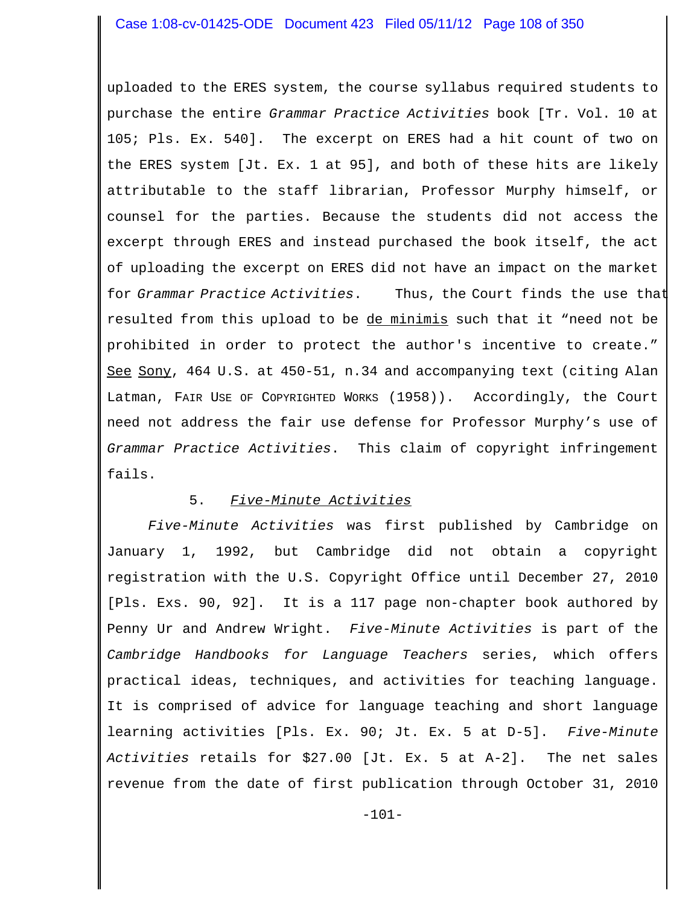uploaded to the ERES system, the course syllabus required students to purchase the entire *Grammar Practice Activities* book [Tr. Vol. 10 at 105; Pls. Ex. 540]. The excerpt on ERES had a hit count of two on the ERES system [Jt. Ex. 1 at 95], and both of these hits are likely attributable to the staff librarian, Professor Murphy himself, or counsel for the parties. Because the students did not access the excerpt through ERES and instead purchased the book itself, the act of uploading the excerpt on ERES did not have an impact on the market for *Grammar Practice Activities*. Thus, the Court finds the use that resulted from this upload to be de minimis such that it "need not be prohibited in order to protect the author's incentive to create." See Sony, 464 U.S. at 450-51, n.34 and accompanying text (citing Alan Latman, FAIR USE OF COPYRIGHTED WORKS (1958)). Accordingly, the Court need not address the fair use defense for Professor Murphy's use of *Grammar Practice Activities*. This claim of copyright infringement fails.

# 5. *Five-Minute Activities*

*Five-Minute Activities* was first published by Cambridge on January 1, 1992, but Cambridge did not obtain a copyright registration with the U.S. Copyright Office until December 27, 2010 [Pls. Exs. 90, 92]. It is a 117 page non-chapter book authored by Penny Ur and Andrew Wright. *Five-Minute Activities* is part of the *Cambridge Handbooks for Language Teachers* series, which offers practical ideas, techniques, and activities for teaching language. It is comprised of advice for language teaching and short language learning activities [Pls. Ex. 90; Jt. Ex. 5 at D-5]. *Five-Minute Activities* retails for \$27.00 [Jt. Ex. 5 at A-2]. The net sales revenue from the date of first publication through October 31, 2010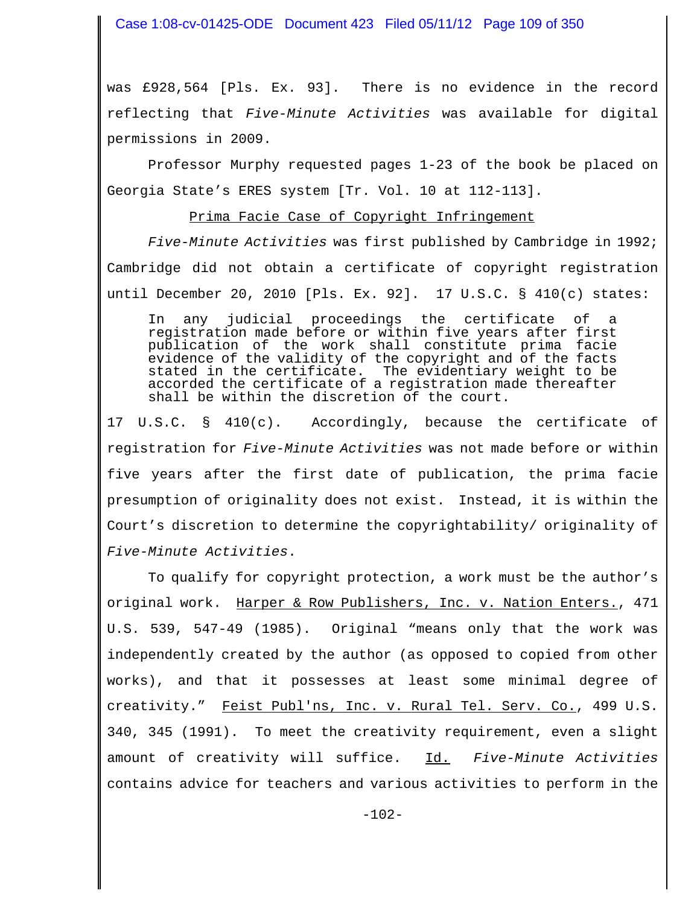Case 1:08-cv-01425-ODE Document 423 Filed 05/11/12 Page 109 of 350

was £928,564 [Pls. Ex. 93]. There is no evidence in the record reflecting that *Five-Minute Activities* was available for digital permissions in 2009.

Professor Murphy requested pages 1-23 of the book be placed on Georgia State's ERES system [Tr. Vol. 10 at 112-113].

## Prima Facie Case of Copyright Infringement

*Five-Minute Activities* was first published by Cambridge in 1992; Cambridge did not obtain a certificate of copyright registration until December 20, 2010 [Pls. Ex. 92]. 17 U.S.C. § 410(c) states:

In any judicial proceedings the certificate of a registration made before or within five years after first publication of the work shall constitute prima facie evidence of the validity of the copyright and of the facts stated in the certificate. The evidentiary weight to be accorded the certificate of a registration made thereafter shall be within the discretion of the court.

17 U.S.C. § 410(c). Accordingly, because the certificate of registration for *Five-Minute Activities* was not made before or within five years after the first date of publication, the prima facie presumption of originality does not exist. Instead, it is within the Court's discretion to determine the copyrightability/ originality of *Five-Minute Activities*.

To qualify for copyright protection, a work must be the author's original work. Harper & Row Publishers, Inc. v. Nation Enters., 471 U.S. 539, 547-49 (1985). Original "means only that the work was independently created by the author (as opposed to copied from other works), and that it possesses at least some minimal degree of creativity." Feist Publ'ns, Inc. v. Rural Tel. Serv. Co., 499 U.S. 340, 345 (1991). To meet the creativity requirement, even a slight amount of creativity will suffice. Id. *Five-Minute Activities* contains advice for teachers and various activities to perform in the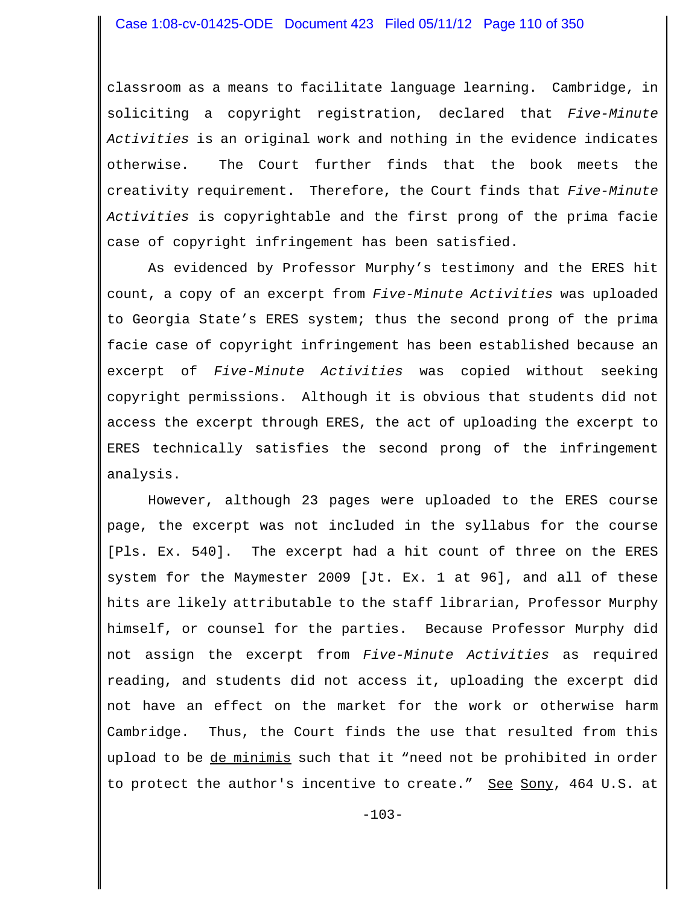classroom as a means to facilitate language learning. Cambridge, in soliciting a copyright registration, declared that *Five-Minute Activities* is an original work and nothing in the evidence indicates otherwise. The Court further finds that the book meets the creativity requirement. Therefore, the Court finds that *Five-Minute Activities* is copyrightable and the first prong of the prima facie case of copyright infringement has been satisfied.

As evidenced by Professor Murphy's testimony and the ERES hit count, a copy of an excerpt from *Five-Minute Activities* was uploaded to Georgia State's ERES system; thus the second prong of the prima facie case of copyright infringement has been established because an excerpt of *Five-Minute Activities* was copied without seeking copyright permissions. Although it is obvious that students did not access the excerpt through ERES, the act of uploading the excerpt to ERES technically satisfies the second prong of the infringement analysis.

However, although 23 pages were uploaded to the ERES course page, the excerpt was not included in the syllabus for the course [Pls. Ex. 540]. The excerpt had a hit count of three on the ERES system for the Maymester 2009 [Jt. Ex. 1 at 96], and all of these hits are likely attributable to the staff librarian, Professor Murphy himself, or counsel for the parties. Because Professor Murphy did not assign the excerpt from *Five-Minute Activities* as required reading, and students did not access it, uploading the excerpt did not have an effect on the market for the work or otherwise harm Cambridge. Thus, the Court finds the use that resulted from this upload to be de minimis such that it "need not be prohibited in order to protect the author's incentive to create." <u>See Sony</u>, 464 U.S. at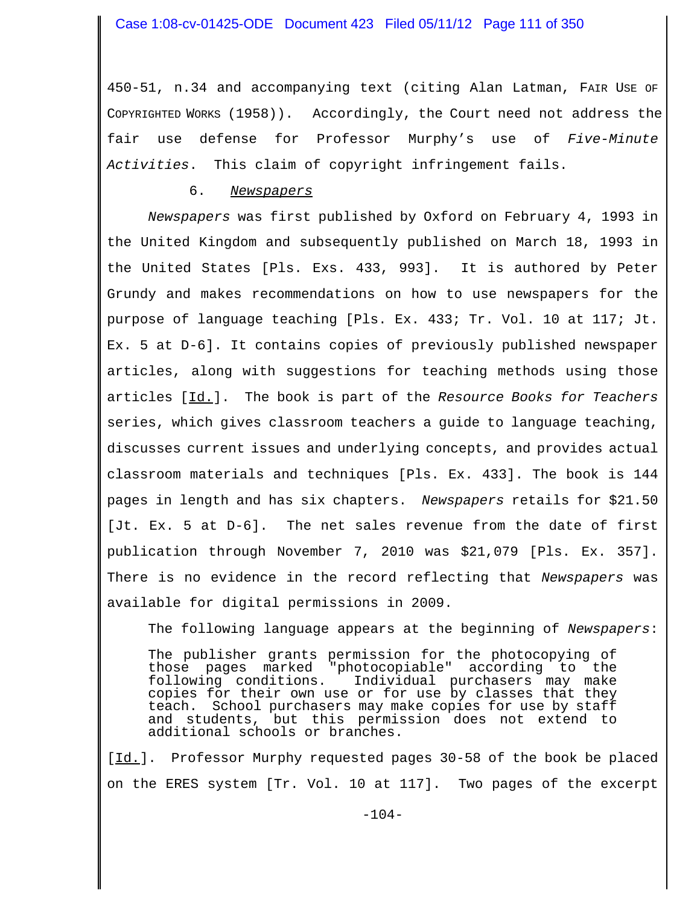450-51, n.34 and accompanying text (citing Alan Latman, FAIR USE OF COPYRIGHTED WORKS (1958)). Accordingly, the Court need not address the fair use defense for Professor Murphy's use of *Five-Minute Activities*. This claim of copyright infringement fails.

### 6. *Newspapers*

*Newspapers* was first published by Oxford on February 4, 1993 in the United Kingdom and subsequently published on March 18, 1993 in the United States [Pls. Exs. 433, 993]. It is authored by Peter Grundy and makes recommendations on how to use newspapers for the purpose of language teaching [Pls. Ex. 433; Tr. Vol. 10 at 117; Jt. Ex. 5 at D-6]. It contains copies of previously published newspaper articles, along with suggestions for teaching methods using those articles [Id.]. The book is part of the *Resource Books for Teachers* series, which gives classroom teachers a guide to language teaching, discusses current issues and underlying concepts, and provides actual classroom materials and techniques [Pls. Ex. 433]. The book is 144 pages in length and has six chapters. *Newspapers* retails for \$21.50 [Jt. Ex. 5 at D-6]. The net sales revenue from the date of first publication through November 7, 2010 was \$21,079 [Pls. Ex. 357]. There is no evidence in the record reflecting that *Newspapers* was available for digital permissions in 2009.

The following language appears at the beginning of *Newspapers*:

The publisher grants permission for the photocopying of those pages marked "photocopiable" according to the following conditions. Individual purchasers may make following conditions. Individual purchasers may make copies for their own use or for use by classes that they teach. School purchasers may make copies for use by staff and students, but this permission does not extend to additional schools or branches.

[Id.]. Professor Murphy requested pages 30-58 of the book be placed on the ERES system [Tr. Vol. 10 at 117]. Two pages of the excerpt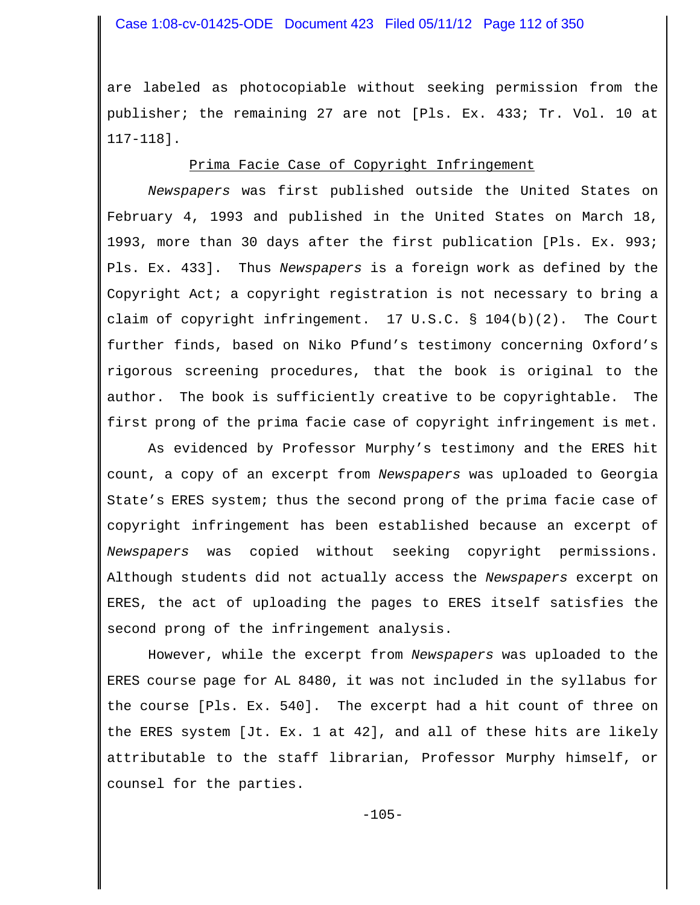#### Case 1:08-cv-01425-ODE Document 423 Filed 05/11/12 Page 112 of 350

are labeled as photocopiable without seeking permission from the publisher; the remaining 27 are not [Pls. Ex. 433; Tr. Vol. 10 at 117-118].

#### Prima Facie Case of Copyright Infringement

*Newspapers* was first published outside the United States on February 4, 1993 and published in the United States on March 18, 1993, more than 30 days after the first publication [Pls. Ex. 993; Pls. Ex. 433]. Thus *Newspapers* is a foreign work as defined by the Copyright Act; a copyright registration is not necessary to bring a claim of copyright infringement. 17 U.S.C. § 104(b)(2). The Court further finds, based on Niko Pfund's testimony concerning Oxford's rigorous screening procedures, that the book is original to the author. The book is sufficiently creative to be copyrightable. The first prong of the prima facie case of copyright infringement is met.

As evidenced by Professor Murphy's testimony and the ERES hit count, a copy of an excerpt from *Newspapers* was uploaded to Georgia State's ERES system; thus the second prong of the prima facie case of copyright infringement has been established because an excerpt of *Newspapers* was copied without seeking copyright permissions. Although students did not actually access the *Newspapers* excerpt on ERES, the act of uploading the pages to ERES itself satisfies the second prong of the infringement analysis.

However, while the excerpt from *Newspapers* was uploaded to the ERES course page for AL 8480, it was not included in the syllabus for the course [Pls. Ex. 540]. The excerpt had a hit count of three on the ERES system [Jt. Ex. 1 at 42], and all of these hits are likely attributable to the staff librarian, Professor Murphy himself, or counsel for the parties.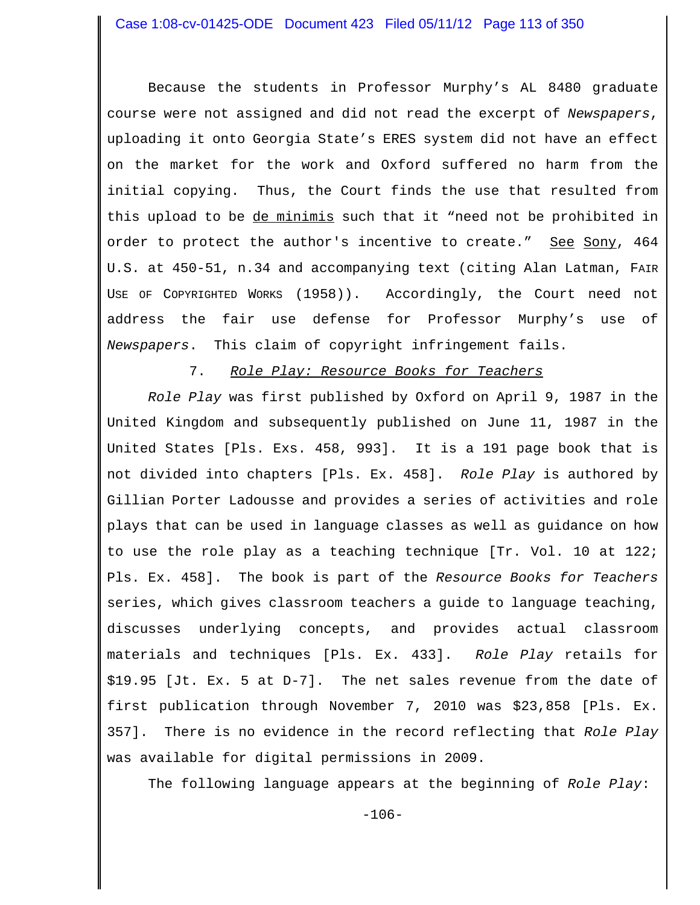Because the students in Professor Murphy's AL 8480 graduate course were not assigned and did not read the excerpt of *Newspapers*, uploading it onto Georgia State's ERES system did not have an effect on the market for the work and Oxford suffered no harm from the initial copying. Thus, the Court finds the use that resulted from this upload to be <u>de minimis</u> such that it "need not be prohibited in order to protect the author's incentive to create." See Sony, 464 U.S. at 450-51, n.34 and accompanying text (citing Alan Latman, FAIR USE OF COPYRIGHTED WORKS (1958)). Accordingly, the Court need not address the fair use defense for Professor Murphy's use of *Newspapers*. This claim of copyright infringement fails.

#### 7. *Role Play: Resource Books for Teachers*

*Role Play* was first published by Oxford on April 9, 1987 in the United Kingdom and subsequently published on June 11, 1987 in the United States [Pls. Exs. 458, 993]. It is a 191 page book that is not divided into chapters [Pls. Ex. 458]. *Role Play* is authored by Gillian Porter Ladousse and provides a series of activities and role plays that can be used in language classes as well as guidance on how to use the role play as a teaching technique [Tr. Vol. 10 at 122; Pls. Ex. 458]. The book is part of the *Resource Books for Teachers* series, which gives classroom teachers a guide to language teaching, discusses underlying concepts, and provides actual classroom materials and techniques [Pls. Ex. 433]. *Role Play* retails for \$19.95 [Jt. Ex. 5 at D-7]. The net sales revenue from the date of first publication through November 7, 2010 was \$23,858 [Pls. Ex. 357]. There is no evidence in the record reflecting that *Role Play* was available for digital permissions in 2009.

The following language appears at the beginning of *Role Play*: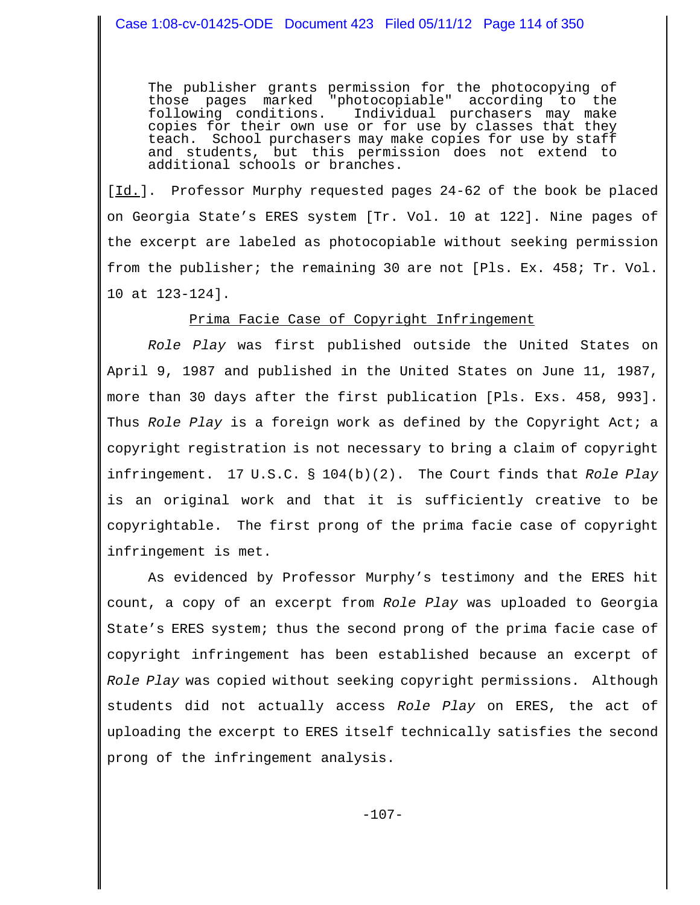The publisher grants permission for the photocopying of<br>those pages marked "photocopiable" according to the those pages marked "photocopiable" according<br>following conditions. Individual purchasers m following conditions. Individual purchasers may make copies for their own use or for use by classes that they teach. School purchasers may make copies for use by staff and students, but this permission does not extend to additional schools or branches.

[Id.]. Professor Murphy requested pages 24-62 of the book be placed on Georgia State's ERES system [Tr. Vol. 10 at 122]. Nine pages of the excerpt are labeled as photocopiable without seeking permission from the publisher; the remaining 30 are not [Pls. Ex. 458; Tr. Vol. 10 at 123-124].

#### Prima Facie Case of Copyright Infringement

*Role Play* was first published outside the United States on April 9, 1987 and published in the United States on June 11, 1987, more than 30 days after the first publication [Pls. Exs. 458, 993]. Thus *Role Play* is a foreign work as defined by the Copyright Act; a copyright registration is not necessary to bring a claim of copyright infringement. 17 U.S.C. § 104(b)(2). The Court finds that *Role Play* is an original work and that it is sufficiently creative to be copyrightable. The first prong of the prima facie case of copyright infringement is met.

As evidenced by Professor Murphy's testimony and the ERES hit count, a copy of an excerpt from *Role Play* was uploaded to Georgia State's ERES system; thus the second prong of the prima facie case of copyright infringement has been established because an excerpt of *Role Play* was copied without seeking copyright permissions. Although students did not actually access *Role Play* on ERES, the act of uploading the excerpt to ERES itself technically satisfies the second prong of the infringement analysis.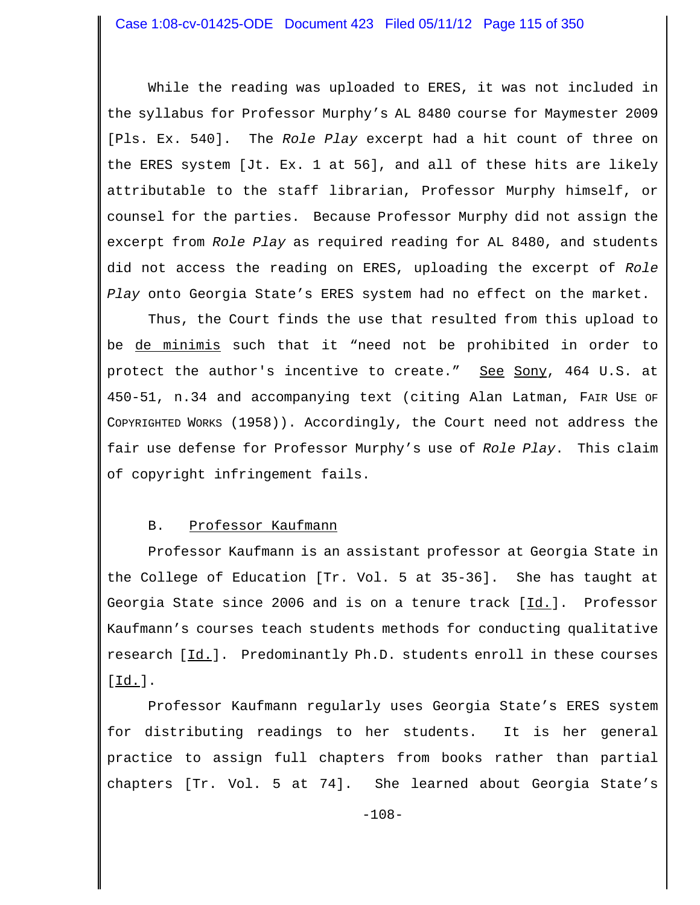While the reading was uploaded to ERES, it was not included in the syllabus for Professor Murphy's AL 8480 course for Maymester 2009 [Pls. Ex. 540]. The *Role Play* excerpt had a hit count of three on the ERES system [Jt. Ex. 1 at 56], and all of these hits are likely attributable to the staff librarian, Professor Murphy himself, or counsel for the parties. Because Professor Murphy did not assign the excerpt from *Role Play* as required reading for AL 8480, and students did not access the reading on ERES, uploading the excerpt of *Role Play* onto Georgia State's ERES system had no effect on the market.

Thus, the Court finds the use that resulted from this upload to be de minimis such that it "need not be prohibited in order to protect the author's incentive to create." See Sony, 464 U.S. at 450-51, n.34 and accompanying text (citing Alan Latman, FAIR USE OF COPYRIGHTED WORKS (1958)). Accordingly, the Court need not address the fair use defense for Professor Murphy's use of *Role Play*. This claim of copyright infringement fails.

#### B. Professor Kaufmann

Professor Kaufmann is an assistant professor at Georgia State in the College of Education [Tr. Vol. 5 at 35-36]. She has taught at Georgia State since 2006 and is on a tenure track  $[\underline{Id}]$ . Professor Kaufmann's courses teach students methods for conducting qualitative research [Id.]. Predominantly Ph.D. students enroll in these courses  $[\underline{Id.}]$ .

Professor Kaufmann regularly uses Georgia State's ERES system for distributing readings to her students. It is her general practice to assign full chapters from books rather than partial chapters [Tr. Vol. 5 at 74]. She learned about Georgia State's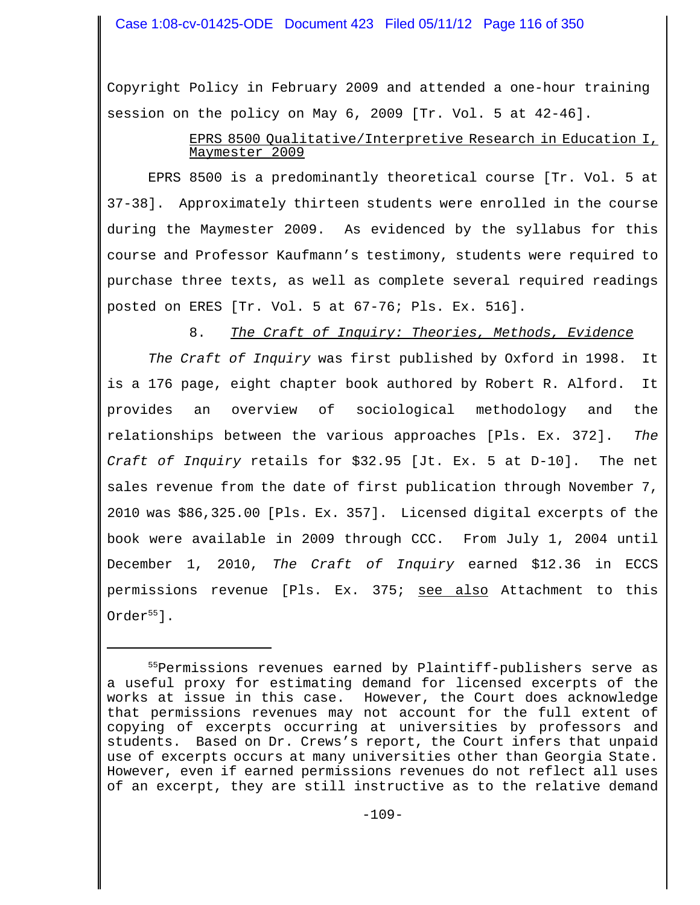Copyright Policy in February 2009 and attended a one-hour training session on the policy on May 6, 2009 [Tr. Vol. 5 at 42-46].

## EPRS 8500 Qualitative/Interpretive Research in Education I, Maymester 2009

EPRS 8500 is a predominantly theoretical course [Tr. Vol. 5 at 37-38]. Approximately thirteen students were enrolled in the course during the Maymester 2009. As evidenced by the syllabus for this course and Professor Kaufmann's testimony, students were required to purchase three texts, as well as complete several required readings posted on ERES [Tr. Vol. 5 at 67-76; Pls. Ex. 516].

# 8. *The Craft of Inquiry: Theories, Methods, Evidence*

*The Craft of Inquiry* was first published by Oxford in 1998. It is a 176 page, eight chapter book authored by Robert R. Alford. It provides an overview of sociological methodology and the relationships between the various approaches [Pls. Ex. 372]. *The Craft of Inquiry* retails for \$32.95 [Jt. Ex. 5 at D-10]. The net sales revenue from the date of first publication through November 7, 2010 was \$86,325.00 [Pls. Ex. 357]. Licensed digital excerpts of the book were available in 2009 through CCC. From July 1, 2004 until December 1, 2010, *The Craft of Inquiry* earned \$12.36 in ECCS permissions revenue [Pls. Ex. 375; see also Attachment to this  $Order<sup>55</sup>$ ].

<sup>&</sup>lt;sup>55</sup>Permissions revenues earned by Plaintiff-publishers serve as a useful proxy for estimating demand for licensed excerpts of the works at issue in this case. However, the Court does acknowledge that permissions revenues may not account for the full extent of copying of excerpts occurring at universities by professors and students. Based on Dr. Crews's report, the Court infers that unpaid use of excerpts occurs at many universities other than Georgia State. However, even if earned permissions revenues do not reflect all uses of an excerpt, they are still instructive as to the relative demand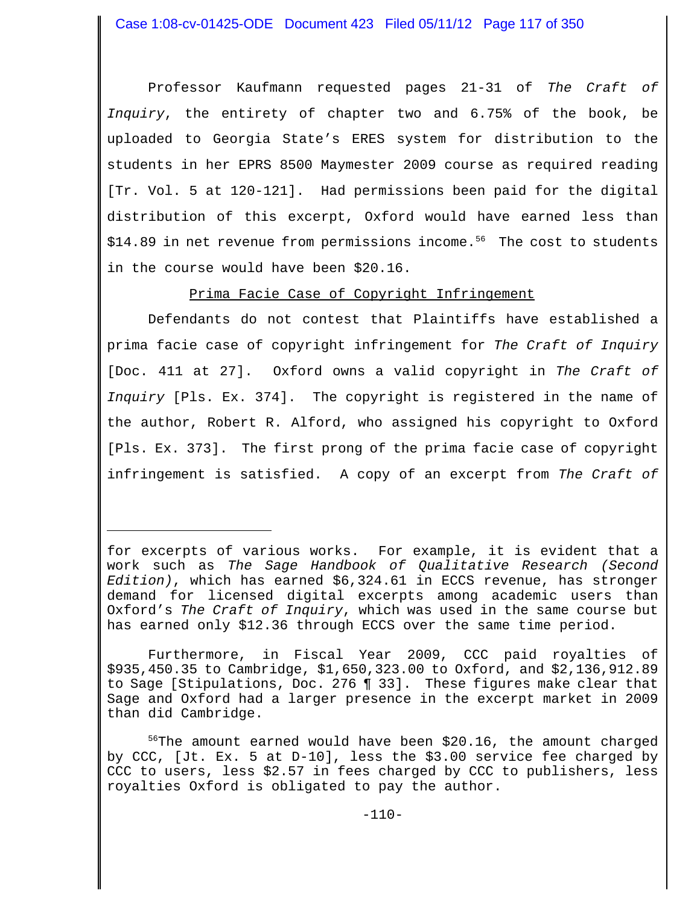Professor Kaufmann requested pages 21-31 of *The Craft of Inquiry*, the entirety of chapter two and 6.75% of the book, be uploaded to Georgia State's ERES system for distribution to the students in her EPRS 8500 Maymester 2009 course as required reading [Tr. Vol. 5 at 120-121]. Had permissions been paid for the digital distribution of this excerpt, Oxford would have earned less than  $$14.89$  in net revenue from permissions income.<sup>56</sup> The cost to students in the course would have been \$20.16.

Prima Facie Case of Copyright Infringement

Defendants do not contest that Plaintiffs have established a prima facie case of copyright infringement for *The Craft of Inquiry* [Doc. 411 at 27]. Oxford owns a valid copyright in *The Craft of Inquiry* [Pls. Ex. 374]. The copyright is registered in the name of the author, Robert R. Alford, who assigned his copyright to Oxford [Pls. Ex. 373]. The first prong of the prima facie case of copyright infringement is satisfied. A copy of an excerpt from *The Craft of*

for excerpts of various works. For example, it is evident that a work such as *The Sage Handbook of Qualitative Research (Second Edition)*, which has earned \$6,324.61 in ECCS revenue, has stronger demand for licensed digital excerpts among academic users than Oxford's *The Craft of Inquiry*, which was used in the same course but has earned only \$12.36 through ECCS over the same time period.

Furthermore, in Fiscal Year 2009, CCC paid royalties of \$935,450.35 to Cambridge, \$1,650,323.00 to Oxford, and \$2,136,912.89 to Sage [Stipulations, Doc. 276 ¶ 33]. These figures make clear that Sage and Oxford had a larger presence in the excerpt market in 2009 than did Cambridge.

 $56$ The amount earned would have been \$20.16, the amount charged by CCC, [Jt. Ex. 5 at D-10], less the \$3.00 service fee charged by CCC to users, less \$2.57 in fees charged by CCC to publishers, less royalties Oxford is obligated to pay the author.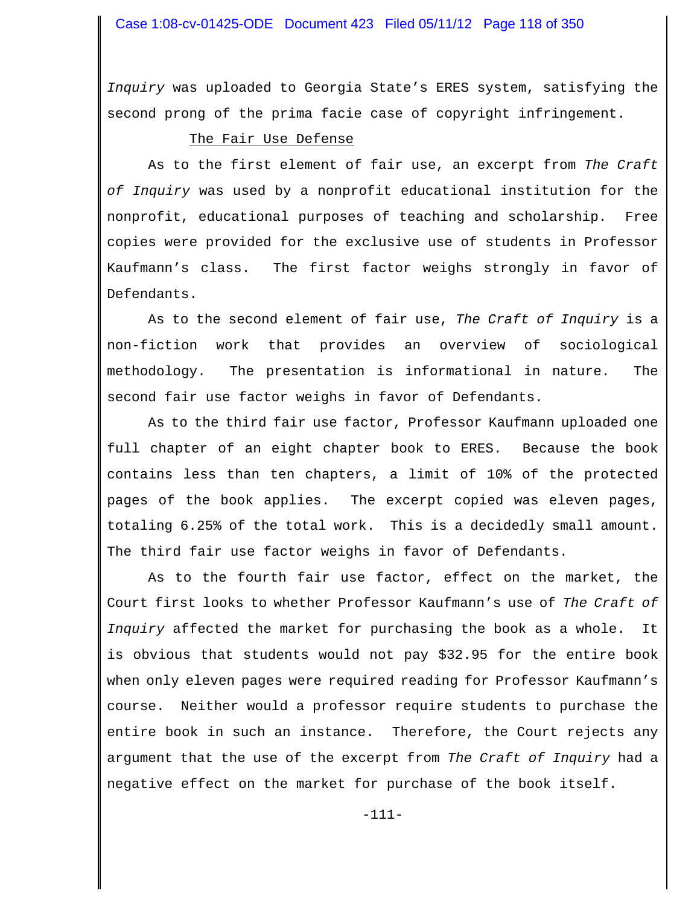*Inquiry* was uploaded to Georgia State's ERES system, satisfying the second prong of the prima facie case of copyright infringement.

### The Fair Use Defense

As to the first element of fair use, an excerpt from *The Craft of Inquiry* was used by a nonprofit educational institution for the nonprofit, educational purposes of teaching and scholarship. Free copies were provided for the exclusive use of students in Professor Kaufmann's class. The first factor weighs strongly in favor of Defendants.

As to the second element of fair use, *The Craft of Inquiry* is a non-fiction work that provides an overview of sociological methodology. The presentation is informational in nature. The second fair use factor weighs in favor of Defendants.

As to the third fair use factor, Professor Kaufmann uploaded one full chapter of an eight chapter book to ERES. Because the book contains less than ten chapters, a limit of 10% of the protected pages of the book applies. The excerpt copied was eleven pages, totaling 6.25% of the total work. This is a decidedly small amount. The third fair use factor weighs in favor of Defendants.

As to the fourth fair use factor, effect on the market, the Court first looks to whether Professor Kaufmann's use of *The Craft of Inquiry* affected the market for purchasing the book as a whole. It is obvious that students would not pay \$32.95 for the entire book when only eleven pages were required reading for Professor Kaufmann's course. Neither would a professor require students to purchase the entire book in such an instance. Therefore, the Court rejects any argument that the use of the excerpt from *The Craft of Inquiry* had a negative effect on the market for purchase of the book itself.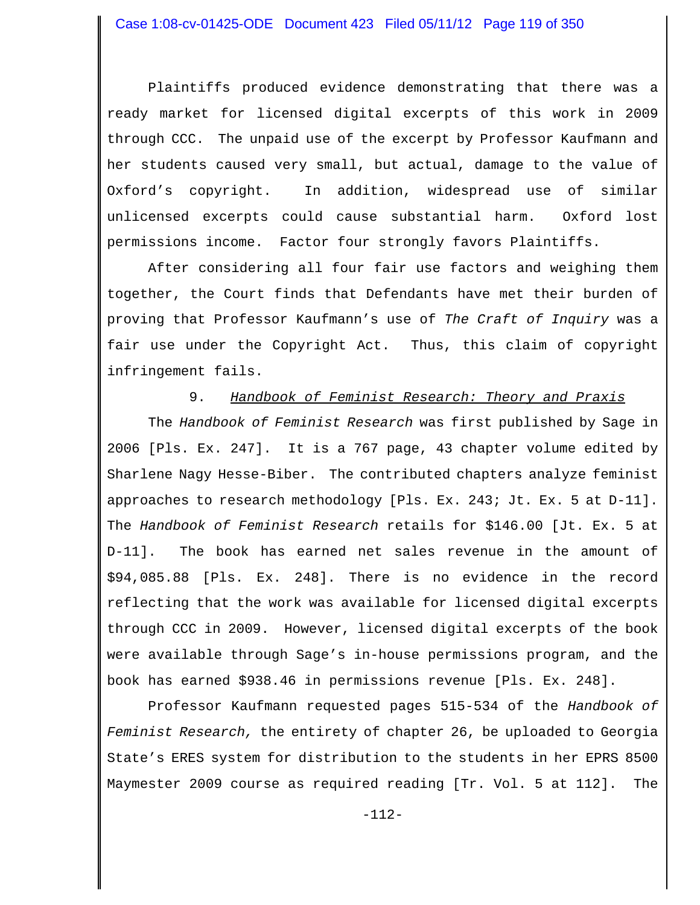Plaintiffs produced evidence demonstrating that there was a ready market for licensed digital excerpts of this work in 2009 through CCC. The unpaid use of the excerpt by Professor Kaufmann and her students caused very small, but actual, damage to the value of Oxford's copyright. In addition, widespread use of similar unlicensed excerpts could cause substantial harm. Oxford lost permissions income. Factor four strongly favors Plaintiffs.

After considering all four fair use factors and weighing them together, the Court finds that Defendants have met their burden of proving that Professor Kaufmann's use of *The Craft of Inquiry* was a fair use under the Copyright Act. Thus, this claim of copyright infringement fails.

#### 9. *Handbook of Feminist Research: Theory and Praxis*

The *Handbook of Feminist Research* was first published by Sage in 2006 [Pls. Ex. 247]. It is a 767 page, 43 chapter volume edited by Sharlene Nagy Hesse-Biber. The contributed chapters analyze feminist approaches to research methodology [Pls. Ex. 243; Jt. Ex. 5 at D-11]. The *Handbook of Feminist Research* retails for \$146.00 [Jt. Ex. 5 at D-11]. The book has earned net sales revenue in the amount of \$94,085.88 [Pls. Ex. 248]. There is no evidence in the record reflecting that the work was available for licensed digital excerpts through CCC in 2009. However, licensed digital excerpts of the book were available through Sage's in-house permissions program, and the book has earned \$938.46 in permissions revenue [Pls. Ex. 248].

 Professor Kaufmann requested pages 515-534 of the *Handbook of Feminist Research,* the entirety of chapter 26, be uploaded to Georgia State's ERES system for distribution to the students in her EPRS 8500 Maymester 2009 course as required reading [Tr. Vol. 5 at 112]. The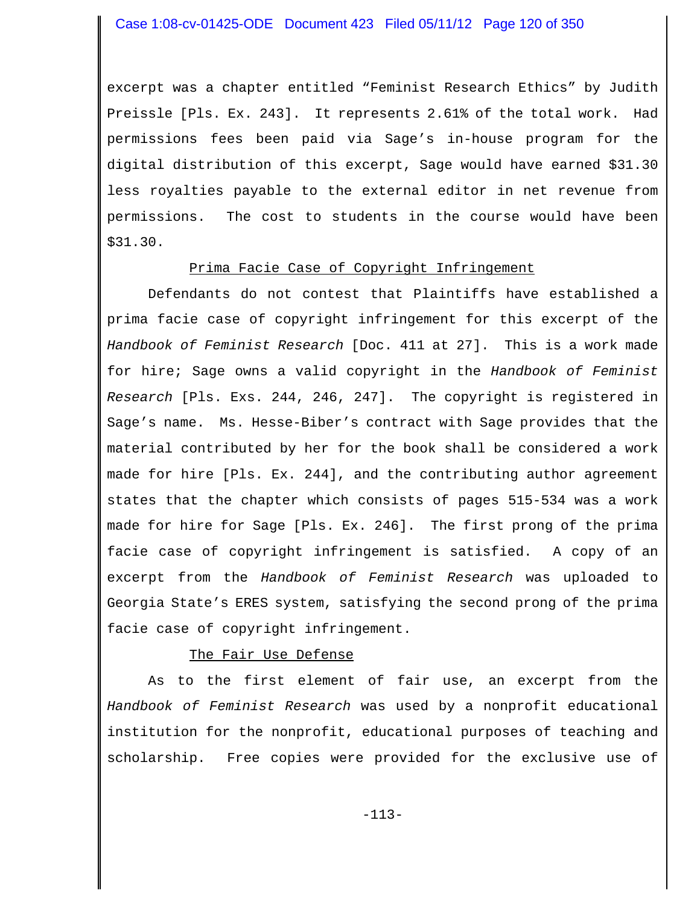excerpt was a chapter entitled "Feminist Research Ethics" by Judith Preissle [Pls. Ex. 243]. It represents 2.61% of the total work. Had permissions fees been paid via Sage's in-house program for the digital distribution of this excerpt, Sage would have earned \$31.30 less royalties payable to the external editor in net revenue from permissions. The cost to students in the course would have been \$31.30.

#### Prima Facie Case of Copyright Infringement

Defendants do not contest that Plaintiffs have established a prima facie case of copyright infringement for this excerpt of the *Handbook of Feminist Research* [Doc. 411 at 27]. This is a work made for hire; Sage owns a valid copyright in the *Handbook of Feminist Research* [Pls. Exs. 244, 246, 247]. The copyright is registered in Sage's name. Ms. Hesse-Biber's contract with Sage provides that the material contributed by her for the book shall be considered a work made for hire [Pls. Ex. 244], and the contributing author agreement states that the chapter which consists of pages 515-534 was a work made for hire for Sage [Pls. Ex. 246]. The first prong of the prima facie case of copyright infringement is satisfied. A copy of an excerpt from the *Handbook of Feminist Research* was uploaded to Georgia State's ERES system, satisfying the second prong of the prima facie case of copyright infringement.

#### The Fair Use Defense

As to the first element of fair use, an excerpt from the *Handbook of Feminist Research* was used by a nonprofit educational institution for the nonprofit, educational purposes of teaching and scholarship. Free copies were provided for the exclusive use of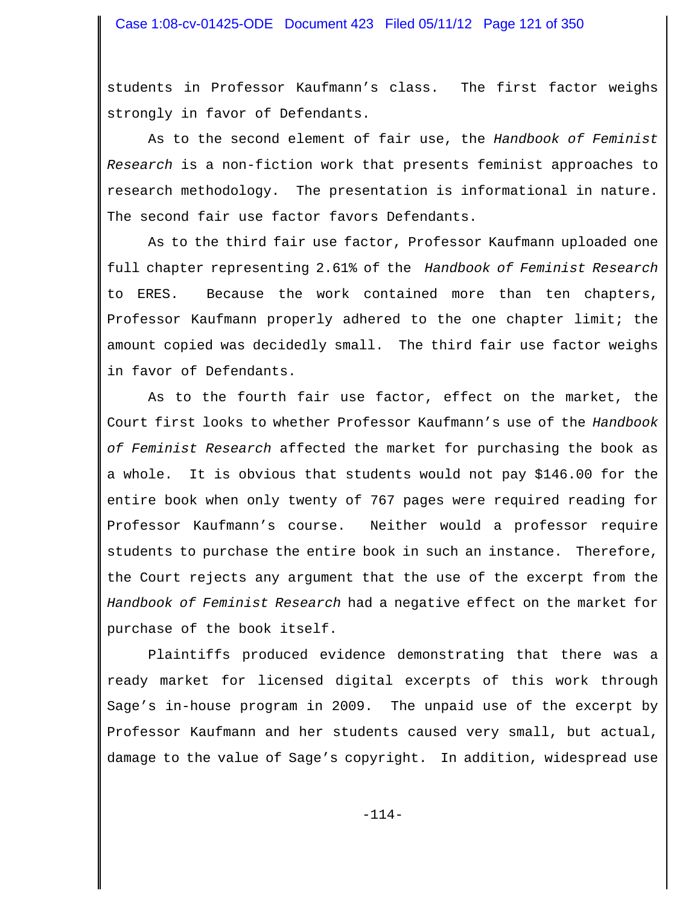students in Professor Kaufmann's class. The first factor weighs strongly in favor of Defendants.

As to the second element of fair use, the *Handbook of Feminist Research* is a non-fiction work that presents feminist approaches to research methodology. The presentation is informational in nature. The second fair use factor favors Defendants.

As to the third fair use factor, Professor Kaufmann uploaded one full chapter representing 2.61% of the *Handbook of Feminist Research* to ERES. Because the work contained more than ten chapters, Professor Kaufmann properly adhered to the one chapter limit; the amount copied was decidedly small. The third fair use factor weighs in favor of Defendants.

As to the fourth fair use factor, effect on the market, the Court first looks to whether Professor Kaufmann's use of the *Handbook of Feminist Research* affected the market for purchasing the book as a whole. It is obvious that students would not pay \$146.00 for the entire book when only twenty of 767 pages were required reading for Professor Kaufmann's course. Neither would a professor require students to purchase the entire book in such an instance. Therefore, the Court rejects any argument that the use of the excerpt from the *Handbook of Feminist Research* had a negative effect on the market for purchase of the book itself.

Plaintiffs produced evidence demonstrating that there was a ready market for licensed digital excerpts of this work through Sage's in-house program in 2009. The unpaid use of the excerpt by Professor Kaufmann and her students caused very small, but actual, damage to the value of Sage's copyright. In addition, widespread use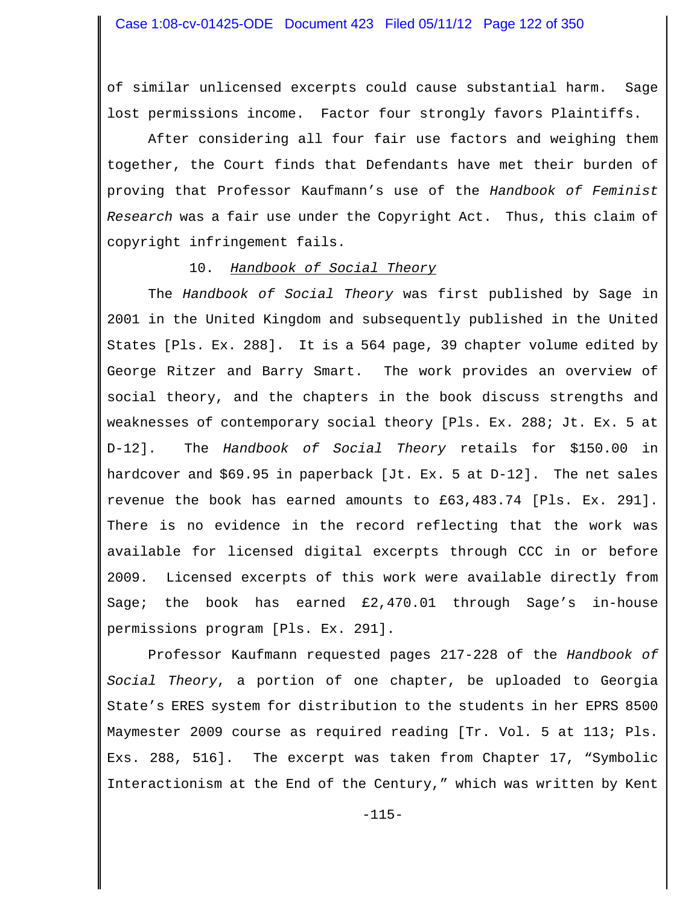of similar unlicensed excerpts could cause substantial harm. Sage lost permissions income. Factor four strongly favors Plaintiffs.

After considering all four fair use factors and weighing them together, the Court finds that Defendants have met their burden of proving that Professor Kaufmann's use of the *Handbook of Feminist Research* was a fair use under the Copyright Act. Thus, this claim of copyright infringement fails.

#### 10. *Handbook of Social Theory*

The *Handbook of Social Theory* was first published by Sage in 2001 in the United Kingdom and subsequently published in the United States [Pls. Ex. 288]. It is a 564 page, 39 chapter volume edited by George Ritzer and Barry Smart. The work provides an overview of social theory, and the chapters in the book discuss strengths and weaknesses of contemporary social theory [Pls. Ex. 288; Jt. Ex. 5 at D-12]. The *Handbook of Social Theory* retails for \$150.00 in hardcover and \$69.95 in paperback [Jt. Ex. 5 at D-12]. The net sales revenue the book has earned amounts to £63,483.74 [Pls. Ex. 291]. There is no evidence in the record reflecting that the work was available for licensed digital excerpts through CCC in or before 2009. Licensed excerpts of this work were available directly from Sage; the book has earned £2,470.01 through Sage's in-house permissions program [Pls. Ex. 291].

Professor Kaufmann requested pages 217-228 of the *Handbook of Social Theory*, a portion of one chapter, be uploaded to Georgia State's ERES system for distribution to the students in her EPRS 8500 Maymester 2009 course as required reading [Tr. Vol. 5 at 113; Pls. Exs. 288, 516]. The excerpt was taken from Chapter 17, "Symbolic Interactionism at the End of the Century," which was written by Kent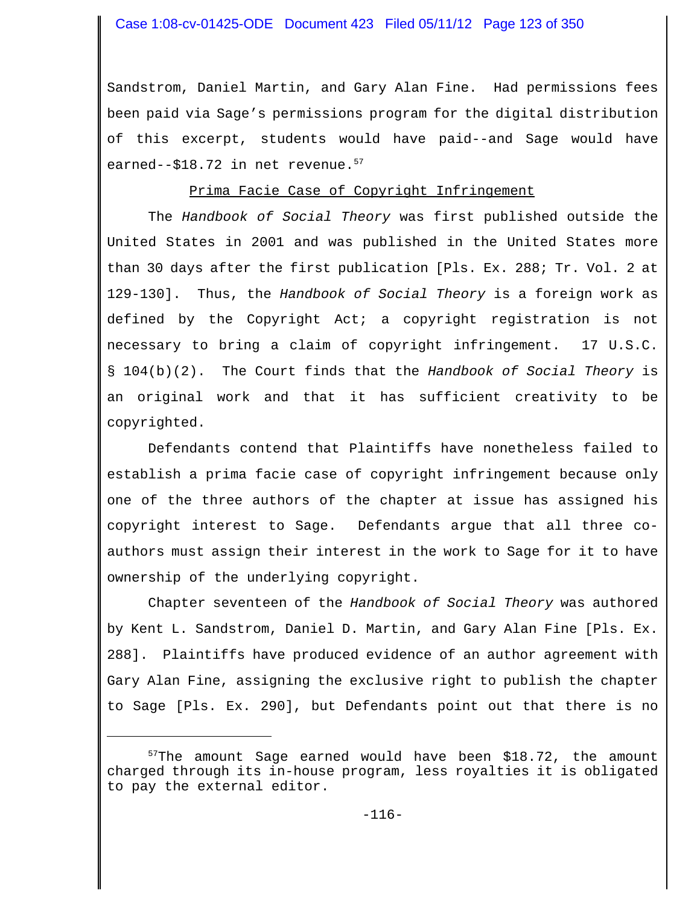Sandstrom, Daniel Martin, and Gary Alan Fine. Had permissions fees been paid via Sage's permissions program for the digital distribution of this excerpt, students would have paid--and Sage would have earned--\$18.72 in net revenue.<sup>57</sup>

### Prima Facie Case of Copyright Infringement

The *Handbook of Social Theory* was first published outside the United States in 2001 and was published in the United States more than 30 days after the first publication [Pls. Ex. 288; Tr. Vol. 2 at 129-130]. Thus, the *Handbook of Social Theory* is a foreign work as defined by the Copyright Act; a copyright registration is not necessary to bring a claim of copyright infringement. 17 U.S.C. § 104(b)(2). The Court finds that the *Handbook of Social Theory* is an original work and that it has sufficient creativity to be copyrighted.

Defendants contend that Plaintiffs have nonetheless failed to establish a prima facie case of copyright infringement because only one of the three authors of the chapter at issue has assigned his copyright interest to Sage. Defendants argue that all three coauthors must assign their interest in the work to Sage for it to have ownership of the underlying copyright.

Chapter seventeen of the *Handbook of Social Theory* was authored by Kent L. Sandstrom, Daniel D. Martin, and Gary Alan Fine [Pls. Ex. 288]. Plaintiffs have produced evidence of an author agreement with Gary Alan Fine, assigning the exclusive right to publish the chapter to Sage [Pls. Ex. 290], but Defendants point out that there is no

 $57$ The amount Sage earned would have been \$18.72, the amount charged through its in-house program, less royalties it is obligated to pay the external editor.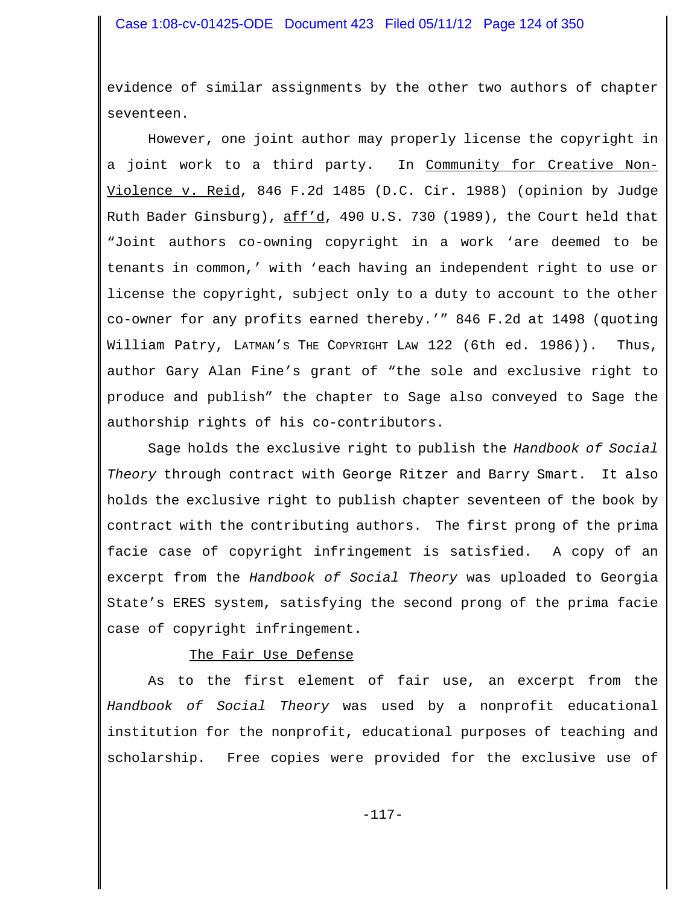evidence of similar assignments by the other two authors of chapter seventeen.

However, one joint author may properly license the copyright in a joint work to a third party. In Community for Creative Non-Violence v. Reid, 846 F.2d 1485 (D.C. Cir. 1988) (opinion by Judge Ruth Bader Ginsburg), aff'd, 490 U.S. 730 (1989), the Court held that "Joint authors co-owning copyright in a work 'are deemed to be tenants in common,' with 'each having an independent right to use or license the copyright, subject only to a duty to account to the other co-owner for any profits earned thereby.'" 846 F.2d at 1498 (quoting William Patry, LATMAN'S THE COPYRIGHT LAW 122 (6th ed. 1986)). Thus, author Gary Alan Fine's grant of "the sole and exclusive right to produce and publish" the chapter to Sage also conveyed to Sage the authorship rights of his co-contributors.

Sage holds the exclusive right to publish the *Handbook of Social Theory* through contract with George Ritzer and Barry Smart. It also holds the exclusive right to publish chapter seventeen of the book by contract with the contributing authors. The first prong of the prima facie case of copyright infringement is satisfied. A copy of an excerpt from the *Handbook of Social Theory* was uploaded to Georgia State's ERES system, satisfying the second prong of the prima facie case of copyright infringement.

#### The Fair Use Defense

As to the first element of fair use, an excerpt from the *Handbook of Social Theory* was used by a nonprofit educational institution for the nonprofit, educational purposes of teaching and scholarship. Free copies were provided for the exclusive use of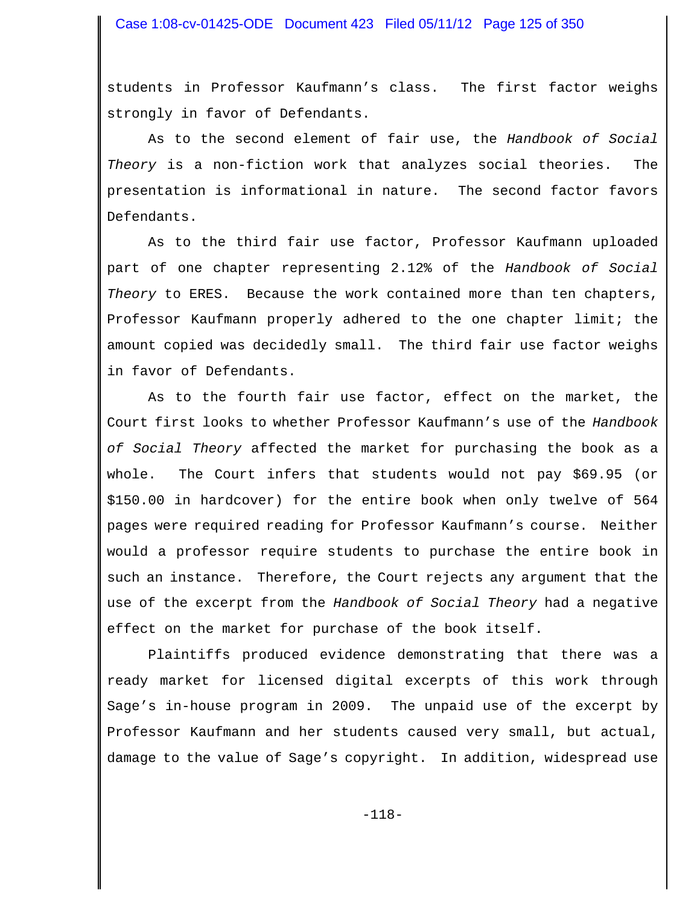students in Professor Kaufmann's class. The first factor weighs strongly in favor of Defendants.

As to the second element of fair use, the *Handbook of Social Theory* is a non-fiction work that analyzes social theories. The presentation is informational in nature. The second factor favors Defendants.

As to the third fair use factor, Professor Kaufmann uploaded part of one chapter representing 2.12% of the *Handbook of Social Theory* to ERES. Because the work contained more than ten chapters, Professor Kaufmann properly adhered to the one chapter limit; the amount copied was decidedly small. The third fair use factor weighs in favor of Defendants.

As to the fourth fair use factor, effect on the market, the Court first looks to whether Professor Kaufmann's use of the *Handbook of Social Theory* affected the market for purchasing the book as a whole. The Court infers that students would not pay \$69.95 (or \$150.00 in hardcover) for the entire book when only twelve of 564 pages were required reading for Professor Kaufmann's course. Neither would a professor require students to purchase the entire book in such an instance. Therefore, the Court rejects any argument that the use of the excerpt from the *Handbook of Social Theory* had a negative effect on the market for purchase of the book itself.

Plaintiffs produced evidence demonstrating that there was a ready market for licensed digital excerpts of this work through Sage's in-house program in 2009. The unpaid use of the excerpt by Professor Kaufmann and her students caused very small, but actual, damage to the value of Sage's copyright. In addition, widespread use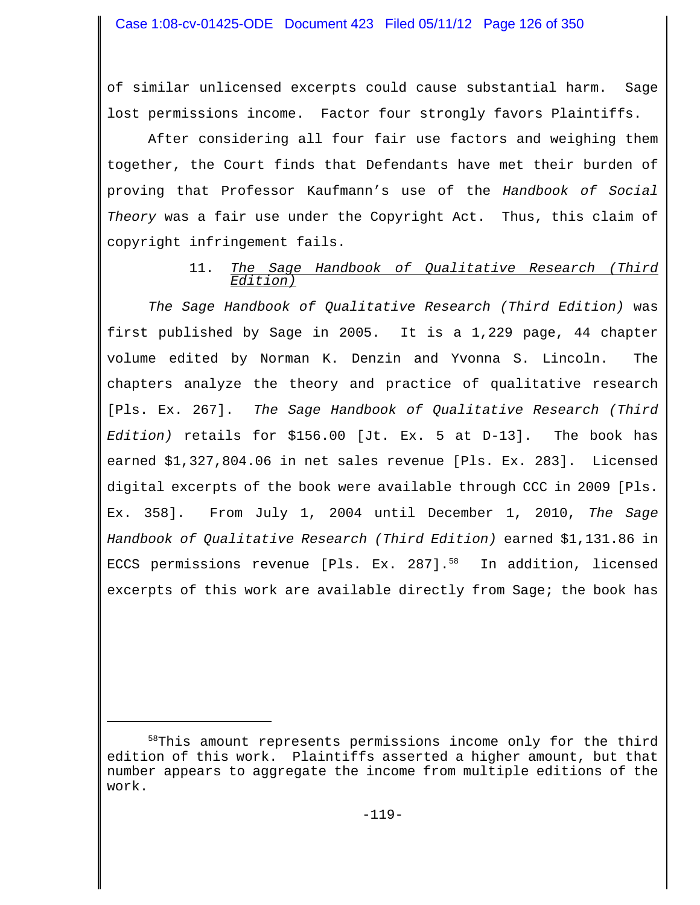of similar unlicensed excerpts could cause substantial harm. Sage lost permissions income. Factor four strongly favors Plaintiffs.

After considering all four fair use factors and weighing them together, the Court finds that Defendants have met their burden of proving that Professor Kaufmann's use of the *Handbook of Social Theory* was a fair use under the Copyright Act. Thus, this claim of copyright infringement fails.

## 11. *The Sage Handbook of Qualitative Research (Third Edition)*

*The Sage Handbook of Qualitative Research (Third Edition)* was first published by Sage in 2005. It is a 1,229 page, 44 chapter volume edited by Norman K. Denzin and Yvonna S. Lincoln. The chapters analyze the theory and practice of qualitative research [Pls. Ex. 267]. *The Sage Handbook of Qualitative Research (Third Edition)* retails for \$156.00 [Jt. Ex. 5 at D-13]. The book has earned \$1,327,804.06 in net sales revenue [Pls. Ex. 283]. Licensed digital excerpts of the book were available through CCC in 2009 [Pls. Ex. 358]. From July 1, 2004 until December 1, 2010, *The Sage Handbook of Qualitative Research (Third Edition)* earned \$1,131.86 in ECCS permissions revenue [Pls. Ex. 287].<sup>58</sup> In addition, licensed excerpts of this work are available directly from Sage; the book has

<sup>58</sup>This amount represents permissions income only for the third edition of this work. Plaintiffs asserted a higher amount, but that number appears to aggregate the income from multiple editions of the work.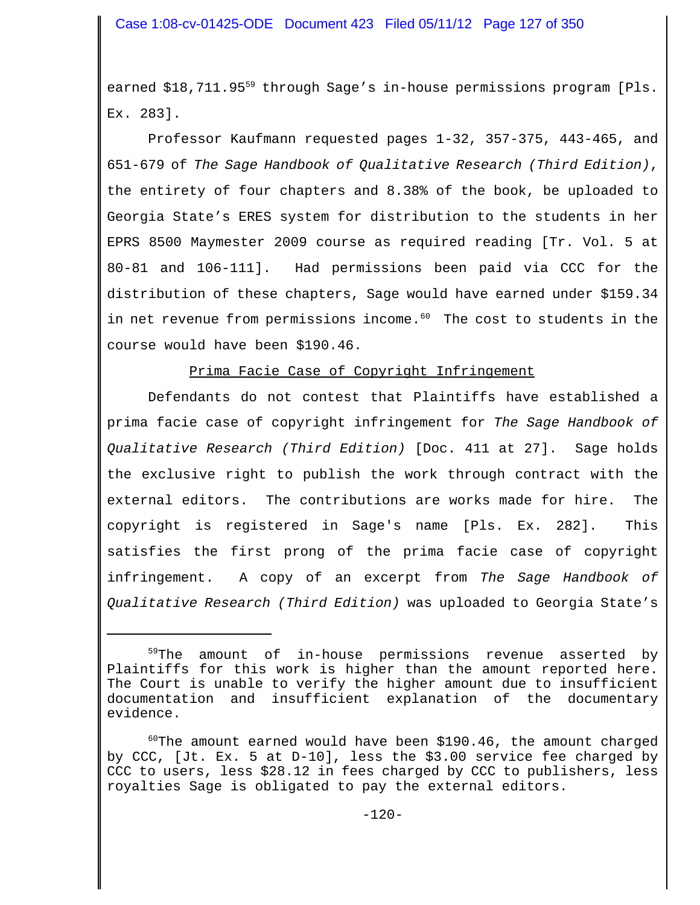earned \$18,711.95<sup>59</sup> through Sage's in-house permissions program [Pls. Ex. 283].

Professor Kaufmann requested pages 1-32, 357-375, 443-465, and 651-679 of *The Sage Handbook of Qualitative Research (Third Edition)*, the entirety of four chapters and 8.38% of the book, be uploaded to Georgia State's ERES system for distribution to the students in her EPRS 8500 Maymester 2009 course as required reading [Tr. Vol. 5 at 80-81 and 106-111]. Had permissions been paid via CCC for the distribution of these chapters, Sage would have earned under \$159.34 in net revenue from permissions income.<sup>60</sup> The cost to students in the course would have been \$190.46.

Prima Facie Case of Copyright Infringement

Defendants do not contest that Plaintiffs have established a prima facie case of copyright infringement for *The Sage Handbook of Qualitative Research (Third Edition)* [Doc. 411 at 27]. Sage holds the exclusive right to publish the work through contract with the external editors. The contributions are works made for hire. The copyright is registered in Sage's name [Pls. Ex. 282]. This satisfies the first prong of the prima facie case of copyright infringement. A copy of an excerpt from *The Sage Handbook of Qualitative Research (Third Edition)* was uploaded to Georgia State's

<sup>&</sup>lt;sup>59</sup>The amount of in-house permissions revenue asserted by Plaintiffs for this work is higher than the amount reported here. The Court is unable to verify the higher amount due to insufficient documentation and insufficient explanation of the documentary evidence.

 $60$ The amount earned would have been \$190.46, the amount charged by CCC, [Jt. Ex. 5 at D-10], less the \$3.00 service fee charged by CCC to users, less \$28.12 in fees charged by CCC to publishers, less royalties Sage is obligated to pay the external editors.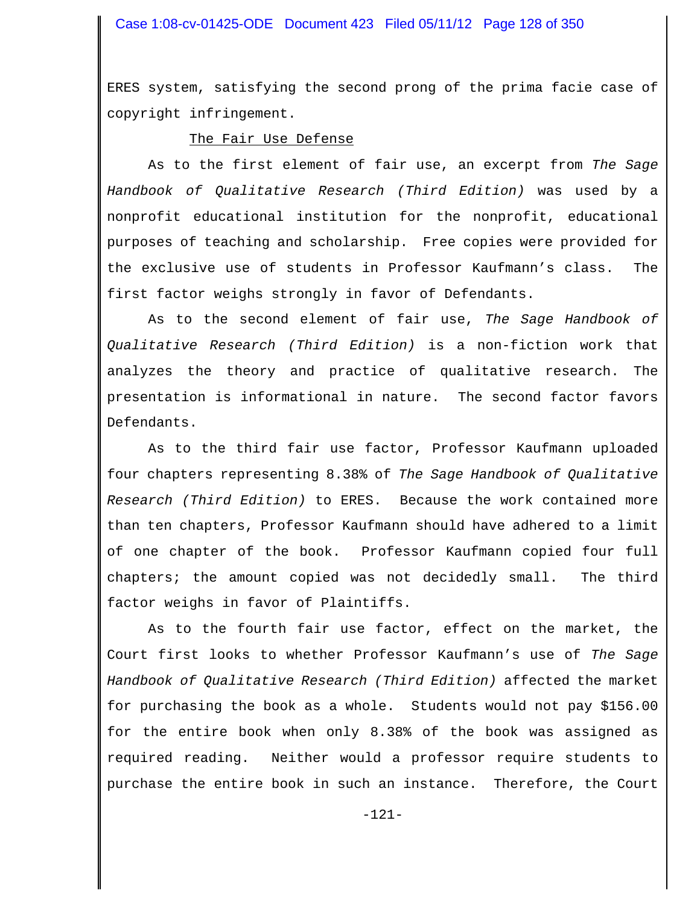ERES system, satisfying the second prong of the prima facie case of copyright infringement.

#### The Fair Use Defense

As to the first element of fair use, an excerpt from *The Sage Handbook of Qualitative Research (Third Edition)* was used by a nonprofit educational institution for the nonprofit, educational purposes of teaching and scholarship. Free copies were provided for the exclusive use of students in Professor Kaufmann's class. The first factor weighs strongly in favor of Defendants.

As to the second element of fair use, *The Sage Handbook of Qualitative Research (Third Edition)* is a non-fiction work that analyzes the theory and practice of qualitative research. The presentation is informational in nature. The second factor favors Defendants.

As to the third fair use factor, Professor Kaufmann uploaded four chapters representing 8.38% of *The Sage Handbook of Qualitative Research (Third Edition)* to ERES. Because the work contained more than ten chapters, Professor Kaufmann should have adhered to a limit of one chapter of the book. Professor Kaufmann copied four full chapters; the amount copied was not decidedly small. The third factor weighs in favor of Plaintiffs.

As to the fourth fair use factor, effect on the market, the Court first looks to whether Professor Kaufmann's use of *The Sage Handbook of Qualitative Research (Third Edition)* affected the market for purchasing the book as a whole. Students would not pay \$156.00 for the entire book when only 8.38% of the book was assigned as required reading. Neither would a professor require students to purchase the entire book in such an instance. Therefore, the Court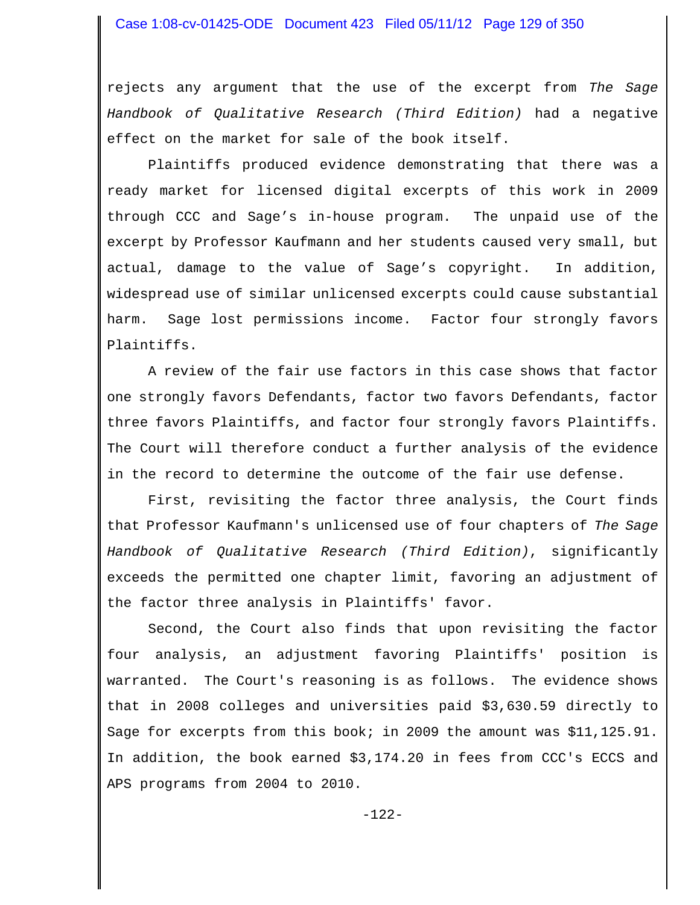rejects any argument that the use of the excerpt from *The Sage Handbook of Qualitative Research (Third Edition)* had a negative effect on the market for sale of the book itself.

Plaintiffs produced evidence demonstrating that there was a ready market for licensed digital excerpts of this work in 2009 through CCC and Sage's in-house program. The unpaid use of the excerpt by Professor Kaufmann and her students caused very small, but actual, damage to the value of Sage's copyright. In addition, widespread use of similar unlicensed excerpts could cause substantial harm. Sage lost permissions income. Factor four strongly favors Plaintiffs.

A review of the fair use factors in this case shows that factor one strongly favors Defendants, factor two favors Defendants, factor three favors Plaintiffs, and factor four strongly favors Plaintiffs. The Court will therefore conduct a further analysis of the evidence in the record to determine the outcome of the fair use defense.

First, revisiting the factor three analysis, the Court finds that Professor Kaufmann's unlicensed use of four chapters of *The Sage Handbook of Qualitative Research (Third Edition)*, significantly exceeds the permitted one chapter limit, favoring an adjustment of the factor three analysis in Plaintiffs' favor.

Second, the Court also finds that upon revisiting the factor four analysis, an adjustment favoring Plaintiffs' position is warranted. The Court's reasoning is as follows. The evidence shows that in 2008 colleges and universities paid \$3,630.59 directly to Sage for excerpts from this book; in 2009 the amount was \$11,125.91. In addition, the book earned \$3,174.20 in fees from CCC's ECCS and APS programs from 2004 to 2010.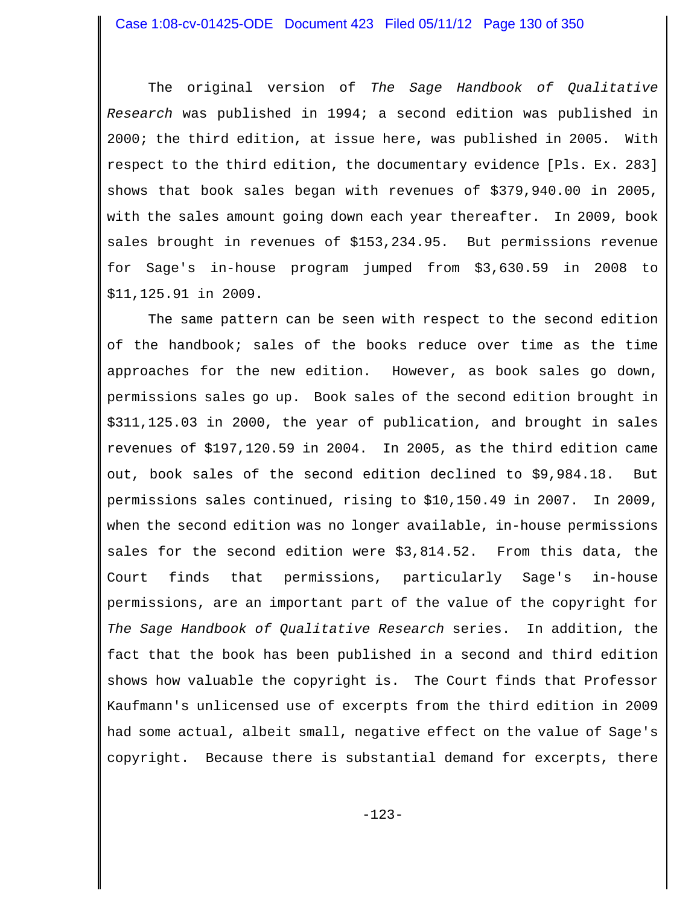The original version of *The Sage Handbook of Qualitative Research* was published in 1994; a second edition was published in 2000; the third edition, at issue here, was published in 2005. With respect to the third edition, the documentary evidence [Pls. Ex. 283] shows that book sales began with revenues of \$379,940.00 in 2005, with the sales amount going down each year thereafter. In 2009, book sales brought in revenues of \$153,234.95. But permissions revenue for Sage's in-house program jumped from \$3,630.59 in 2008 to \$11,125.91 in 2009.

The same pattern can be seen with respect to the second edition of the handbook; sales of the books reduce over time as the time approaches for the new edition. However, as book sales go down, permissions sales go up. Book sales of the second edition brought in \$311,125.03 in 2000, the year of publication, and brought in sales revenues of \$197,120.59 in 2004. In 2005, as the third edition came out, book sales of the second edition declined to \$9,984.18. But permissions sales continued, rising to \$10,150.49 in 2007. In 2009, when the second edition was no longer available, in-house permissions sales for the second edition were \$3,814.52. From this data, the Court finds that permissions, particularly Sage's in-house permissions, are an important part of the value of the copyright for *The Sage Handbook of Qualitative Research* series. In addition, the fact that the book has been published in a second and third edition shows how valuable the copyright is. The Court finds that Professor Kaufmann's unlicensed use of excerpts from the third edition in 2009 had some actual, albeit small, negative effect on the value of Sage's copyright. Because there is substantial demand for excerpts, there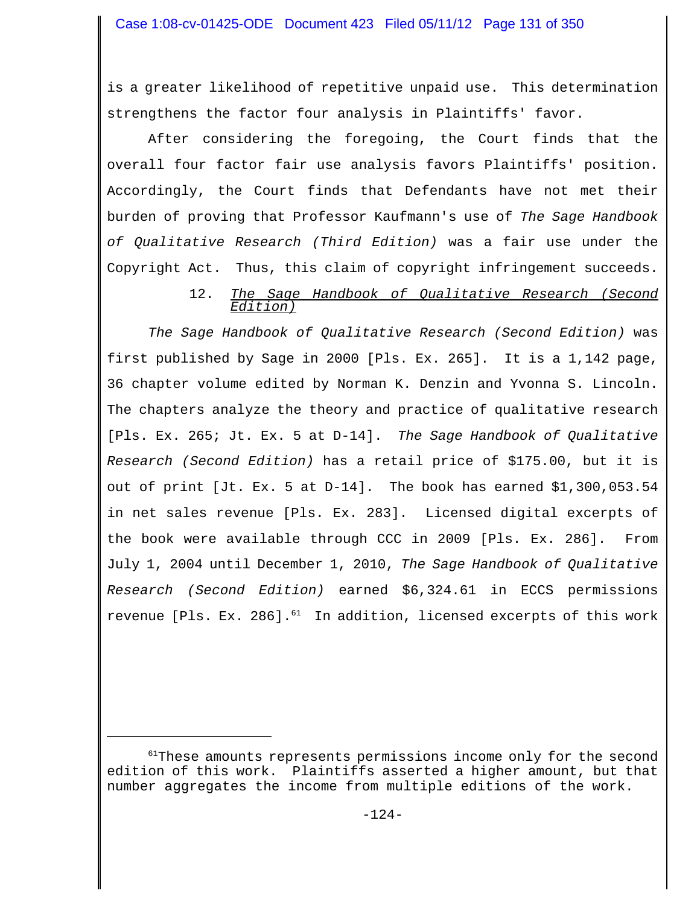is a greater likelihood of repetitive unpaid use. This determination strengthens the factor four analysis in Plaintiffs' favor.

After considering the foregoing, the Court finds that the overall four factor fair use analysis favors Plaintiffs' position. Accordingly, the Court finds that Defendants have not met their burden of proving that Professor Kaufmann's use of *The Sage Handbook of Qualitative Research (Third Edition)* was a fair use under the Copyright Act. Thus, this claim of copyright infringement succeeds.

### 12. *The Sage Handbook of Qualitative Research (Second Edition)*

*The Sage Handbook of Qualitative Research (Second Edition)* was first published by Sage in 2000 [Pls. Ex. 265]. It is a 1,142 page, 36 chapter volume edited by Norman K. Denzin and Yvonna S. Lincoln. The chapters analyze the theory and practice of qualitative research [Pls. Ex. 265; Jt. Ex. 5 at D-14]. *The Sage Handbook of Qualitative Research (Second Edition)* has a retail price of \$175.00, but it is out of print [Jt. Ex. 5 at D-14]. The book has earned \$1,300,053.54 in net sales revenue [Pls. Ex. 283]. Licensed digital excerpts of the book were available through CCC in 2009 [Pls. Ex. 286]. From July 1, 2004 until December 1, 2010, *The Sage Handbook of Qualitative Research (Second Edition)* earned \$6,324.61 in ECCS permissions revenue [Pls. Ex. 286]. $^{61}$  In addition, licensed excerpts of this work

 $61$ These amounts represents permissions income only for the second edition of this work. Plaintiffs asserted a higher amount, but that number aggregates the income from multiple editions of the work.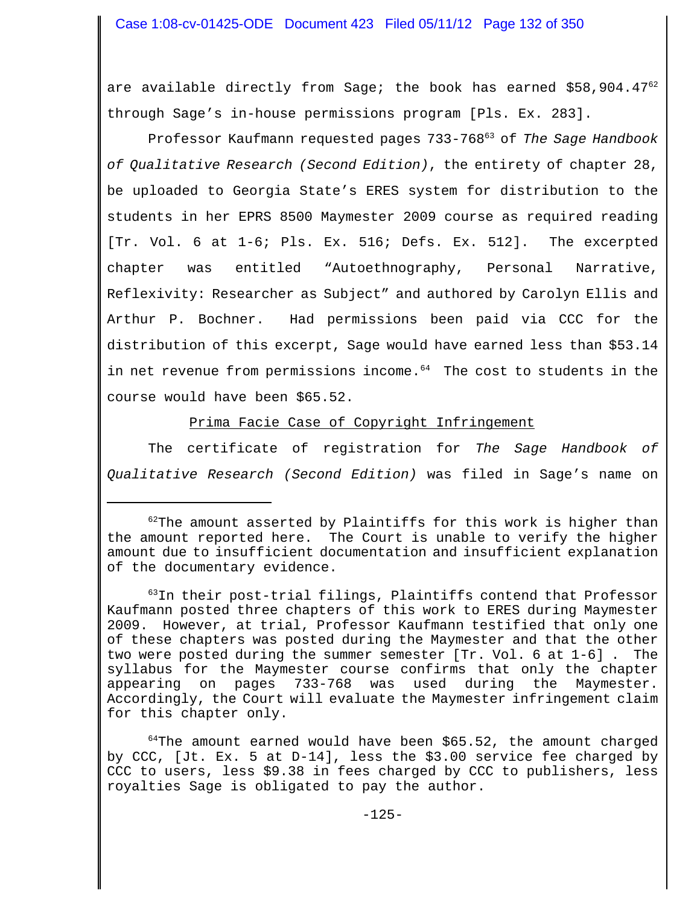are available directly from Sage; the book has earned  $$58,904.47<sup>62</sup>$ through Sage's in-house permissions program [Pls. Ex. 283].

Professor Kaufmann requested pages 733-76863 of *The Sage Handbook of Qualitative Research (Second Edition)*, the entirety of chapter 28, be uploaded to Georgia State's ERES system for distribution to the students in her EPRS 8500 Maymester 2009 course as required reading [Tr. Vol. 6 at 1-6; Pls. Ex. 516; Defs. Ex. 512]. The excerpted chapter was entitled "Autoethnography, Personal Narrative, Reflexivity: Researcher as Subject" and authored by Carolyn Ellis and Arthur P. Bochner. Had permissions been paid via CCC for the distribution of this excerpt, Sage would have earned less than \$53.14 in net revenue from permissions income.<sup>64</sup> The cost to students in the course would have been \$65.52.

Prima Facie Case of Copyright Infringement

The certificate of registration for *The Sage Handbook of Qualitative Research (Second Edition)* was filed in Sage's name on

 $62$ The amount asserted by Plaintiffs for this work is higher than the amount reported here. The Court is unable to verify the higher amount due to insufficient documentation and insufficient explanation of the documentary evidence.

<sup>63</sup>In their post-trial filings, Plaintiffs contend that Professor Kaufmann posted three chapters of this work to ERES during Maymester 2009. However, at trial, Professor Kaufmann testified that only one of these chapters was posted during the Maymester and that the other two were posted during the summer semester [Tr. Vol. 6 at 1-6] . The syllabus for the Maymester course confirms that only the chapter appearing on pages 733-768 was used during the Maymester. Accordingly, the Court will evaluate the Maymester infringement claim for this chapter only.

 $64$ The amount earned would have been \$65.52, the amount charged by CCC, [Jt. Ex. 5 at D-14], less the \$3.00 service fee charged by CCC to users, less \$9.38 in fees charged by CCC to publishers, less royalties Sage is obligated to pay the author.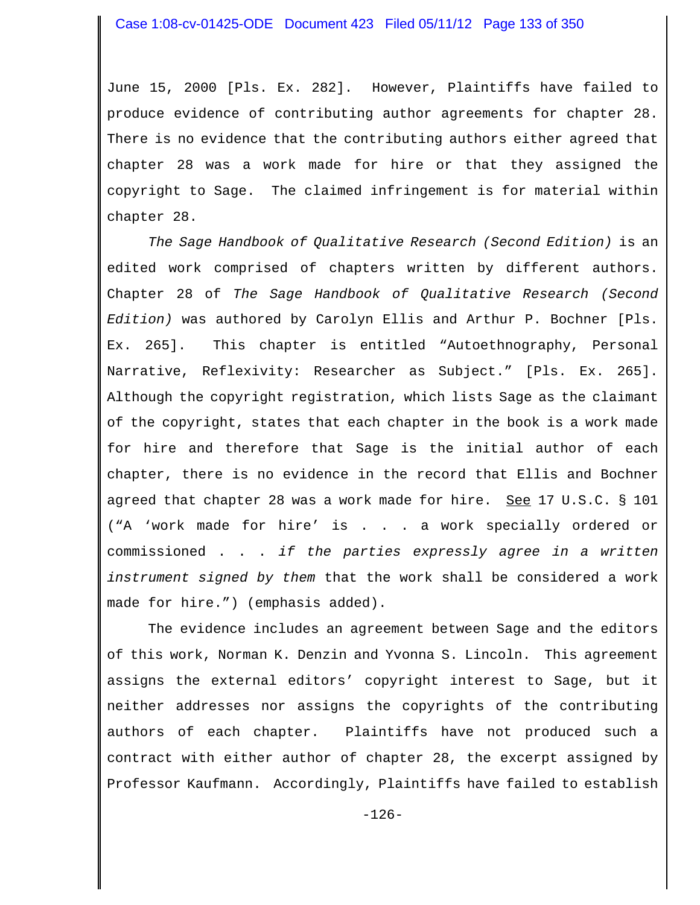June 15, 2000 [Pls. Ex. 282]. However, Plaintiffs have failed to produce evidence of contributing author agreements for chapter 28. There is no evidence that the contributing authors either agreed that chapter 28 was a work made for hire or that they assigned the copyright to Sage. The claimed infringement is for material within chapter 28.

*The Sage Handbook of Qualitative Research (Second Edition)* is an edited work comprised of chapters written by different authors. Chapter 28 of *The Sage Handbook of Qualitative Research (Second Edition)* was authored by Carolyn Ellis and Arthur P. Bochner [Pls. Ex. 265]. This chapter is entitled "Autoethnography, Personal Narrative, Reflexivity: Researcher as Subject." [Pls. Ex. 265]. Although the copyright registration, which lists Sage as the claimant of the copyright, states that each chapter in the book is a work made for hire and therefore that Sage is the initial author of each chapter, there is no evidence in the record that Ellis and Bochner agreed that chapter 28 was a work made for hire. See 17 U.S.C. § 101 ("A 'work made for hire' is . . . a work specially ordered or commissioned . . . *if the parties expressly agree in a written instrument signed by them* that the work shall be considered a work made for hire.") (emphasis added).

The evidence includes an agreement between Sage and the editors of this work, Norman K. Denzin and Yvonna S. Lincoln. This agreement assigns the external editors' copyright interest to Sage, but it neither addresses nor assigns the copyrights of the contributing authors of each chapter. Plaintiffs have not produced such a contract with either author of chapter 28, the excerpt assigned by Professor Kaufmann. Accordingly, Plaintiffs have failed to establish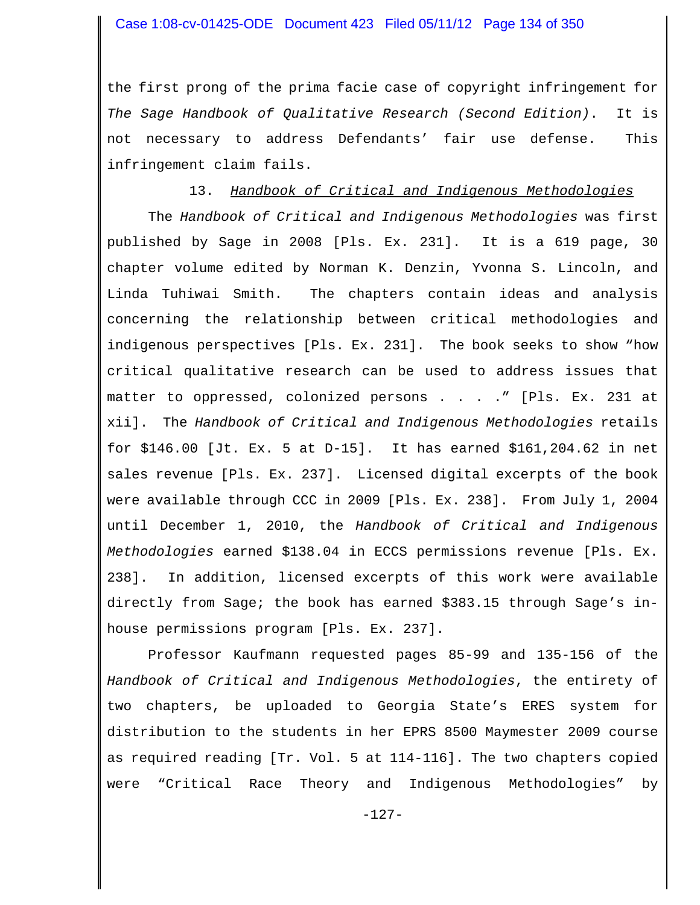the first prong of the prima facie case of copyright infringement for *The Sage Handbook of Qualitative Research (Second Edition)*. It is not necessary to address Defendants' fair use defense. This infringement claim fails.

#### 13. *Handbook of Critical and Indigenous Methodologies*

The *Handbook of Critical and Indigenous Methodologies* was first published by Sage in 2008 [Pls. Ex. 231]. It is a 619 page, 30 chapter volume edited by Norman K. Denzin, Yvonna S. Lincoln, and Linda Tuhiwai Smith. The chapters contain ideas and analysis concerning the relationship between critical methodologies and indigenous perspectives [Pls. Ex. 231]. The book seeks to show "how critical qualitative research can be used to address issues that matter to oppressed, colonized persons . . . . " [Pls. Ex. 231 at xii]. The *Handbook of Critical and Indigenous Methodologies* retails for \$146.00 [Jt. Ex. 5 at D-15]. It has earned \$161,204.62 in net sales revenue [Pls. Ex. 237]. Licensed digital excerpts of the book were available through CCC in 2009 [Pls. Ex. 238]. From July 1, 2004 until December 1, 2010, the *Handbook of Critical and Indigenous Methodologies* earned \$138.04 in ECCS permissions revenue [Pls. Ex. 238]. In addition, licensed excerpts of this work were available directly from Sage; the book has earned \$383.15 through Sage's inhouse permissions program [Pls. Ex. 237].

Professor Kaufmann requested pages 85-99 and 135-156 of the *Handbook of Critical and Indigenous Methodologies*, the entirety of two chapters, be uploaded to Georgia State's ERES system for distribution to the students in her EPRS 8500 Maymester 2009 course as required reading [Tr. Vol. 5 at 114-116]. The two chapters copied were "Critical Race Theory and Indigenous Methodologies" by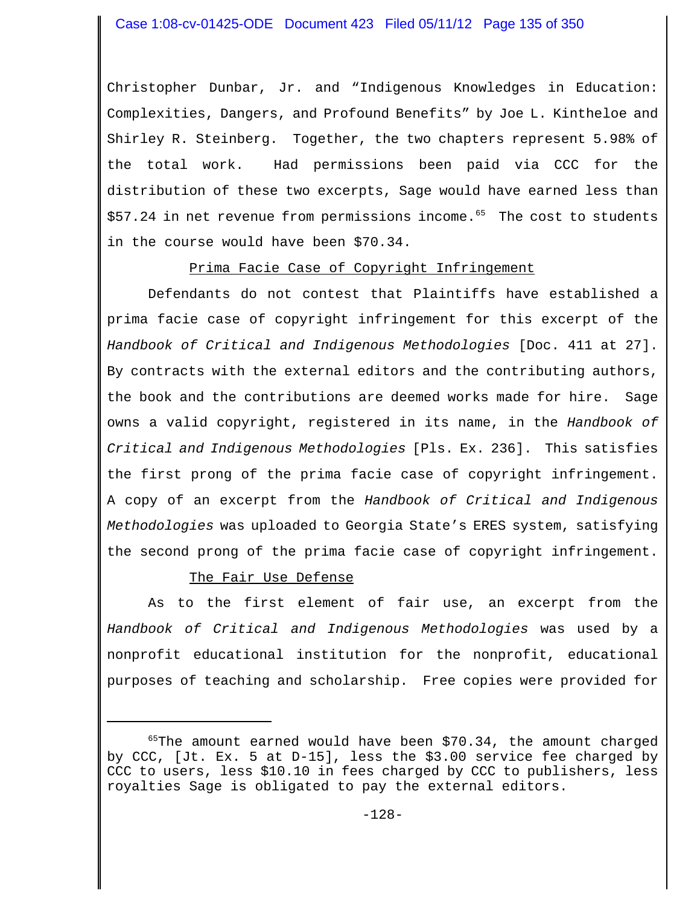Christopher Dunbar, Jr. and "Indigenous Knowledges in Education: Complexities, Dangers, and Profound Benefits" by Joe L. Kintheloe and Shirley R. Steinberg. Together, the two chapters represent 5.98% of the total work. Had permissions been paid via CCC for the distribution of these two excerpts, Sage would have earned less than  $$57.24$  in net revenue from permissions income.<sup>65</sup> The cost to students in the course would have been \$70.34.

### Prima Facie Case of Copyright Infringement

Defendants do not contest that Plaintiffs have established a prima facie case of copyright infringement for this excerpt of the *Handbook of Critical and Indigenous Methodologies* [Doc. 411 at 27]. By contracts with the external editors and the contributing authors, the book and the contributions are deemed works made for hire. Sage owns a valid copyright, registered in its name, in the *Handbook of Critical and Indigenous Methodologies* [Pls. Ex. 236]. This satisfies the first prong of the prima facie case of copyright infringement. A copy of an excerpt from the *Handbook of Critical and Indigenous Methodologies* was uploaded to Georgia State's ERES system, satisfying the second prong of the prima facie case of copyright infringement.

## The Fair Use Defense

As to the first element of fair use, an excerpt from the *Handbook of Critical and Indigenous Methodologies* was used by a nonprofit educational institution for the nonprofit, educational purposes of teaching and scholarship. Free copies were provided for

 $65$ The amount earned would have been \$70.34, the amount charged by CCC, [Jt. Ex. 5 at D-15], less the \$3.00 service fee charged by CCC to users, less \$10.10 in fees charged by CCC to publishers, less royalties Sage is obligated to pay the external editors.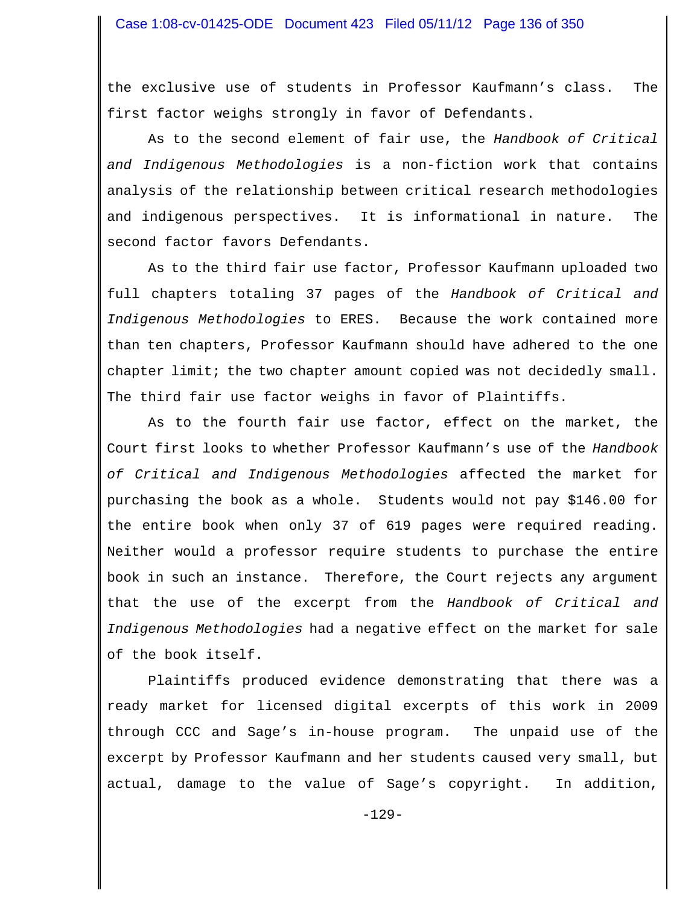the exclusive use of students in Professor Kaufmann's class. The first factor weighs strongly in favor of Defendants.

As to the second element of fair use, the *Handbook of Critical and Indigenous Methodologies* is a non-fiction work that contains analysis of the relationship between critical research methodologies and indigenous perspectives. It is informational in nature. The second factor favors Defendants.

As to the third fair use factor, Professor Kaufmann uploaded two full chapters totaling 37 pages of the *Handbook of Critical and Indigenous Methodologies* to ERES. Because the work contained more than ten chapters, Professor Kaufmann should have adhered to the one chapter limit; the two chapter amount copied was not decidedly small. The third fair use factor weighs in favor of Plaintiffs.

As to the fourth fair use factor, effect on the market, the Court first looks to whether Professor Kaufmann's use of the *Handbook of Critical and Indigenous Methodologies* affected the market for purchasing the book as a whole. Students would not pay \$146.00 for the entire book when only 37 of 619 pages were required reading. Neither would a professor require students to purchase the entire book in such an instance. Therefore, the Court rejects any argument that the use of the excerpt from the *Handbook of Critical and Indigenous Methodologies* had a negative effect on the market for sale of the book itself.

Plaintiffs produced evidence demonstrating that there was a ready market for licensed digital excerpts of this work in 2009 through CCC and Sage's in-house program. The unpaid use of the excerpt by Professor Kaufmann and her students caused very small, but actual, damage to the value of Sage's copyright. In addition,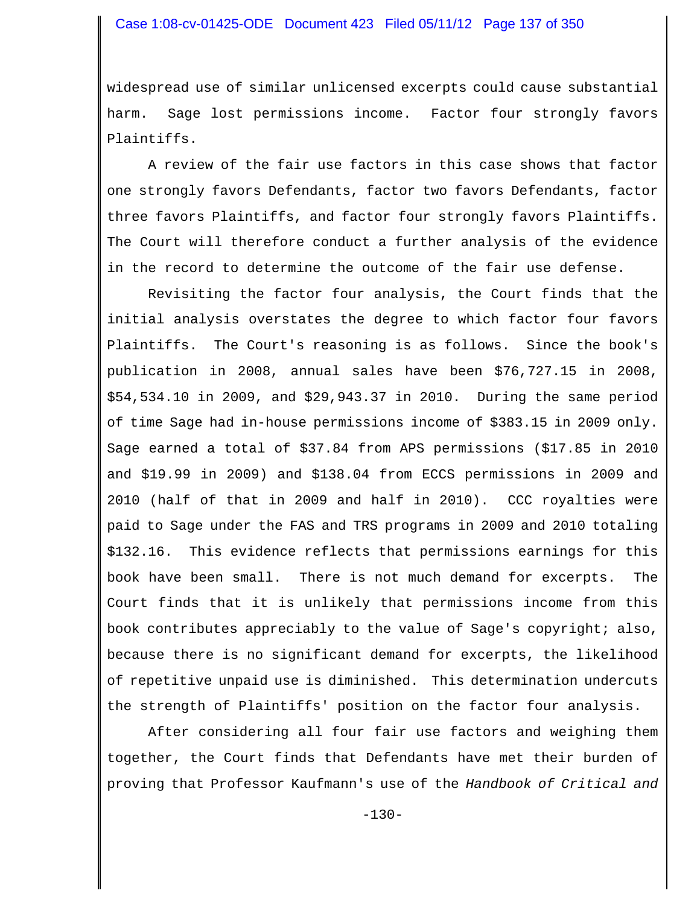widespread use of similar unlicensed excerpts could cause substantial harm. Sage lost permissions income. Factor four strongly favors Plaintiffs.

A review of the fair use factors in this case shows that factor one strongly favors Defendants, factor two favors Defendants, factor three favors Plaintiffs, and factor four strongly favors Plaintiffs. The Court will therefore conduct a further analysis of the evidence in the record to determine the outcome of the fair use defense.

Revisiting the factor four analysis, the Court finds that the initial analysis overstates the degree to which factor four favors Plaintiffs. The Court's reasoning is as follows. Since the book's publication in 2008, annual sales have been \$76,727.15 in 2008, \$54,534.10 in 2009, and \$29,943.37 in 2010. During the same period of time Sage had in-house permissions income of \$383.15 in 2009 only. Sage earned a total of \$37.84 from APS permissions (\$17.85 in 2010 and \$19.99 in 2009) and \$138.04 from ECCS permissions in 2009 and 2010 (half of that in 2009 and half in 2010). CCC royalties were paid to Sage under the FAS and TRS programs in 2009 and 2010 totaling \$132.16. This evidence reflects that permissions earnings for this book have been small. There is not much demand for excerpts. The Court finds that it is unlikely that permissions income from this book contributes appreciably to the value of Sage's copyright; also, because there is no significant demand for excerpts, the likelihood of repetitive unpaid use is diminished. This determination undercuts the strength of Plaintiffs' position on the factor four analysis.

After considering all four fair use factors and weighing them together, the Court finds that Defendants have met their burden of proving that Professor Kaufmann's use of the *Handbook of Critical and*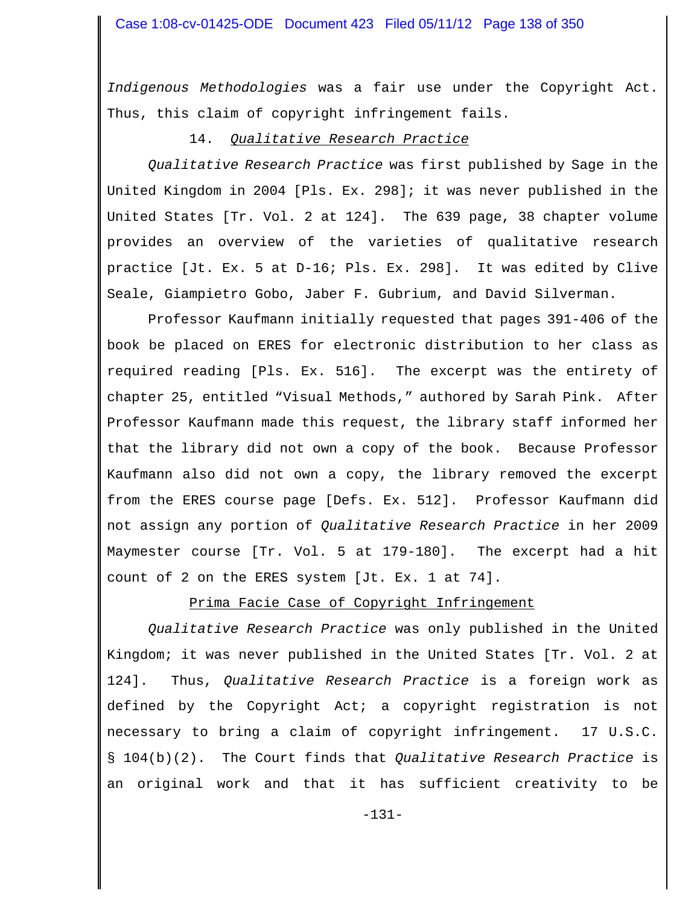*Indigenous Methodologies* was a fair use under the Copyright Act. Thus, this claim of copyright infringement fails.

#### 14. *Qualitative Research Practice*

*Qualitative Research Practice* was first published by Sage in the United Kingdom in 2004 [Pls. Ex. 298]; it was never published in the United States [Tr. Vol. 2 at 124]. The 639 page, 38 chapter volume provides an overview of the varieties of qualitative research practice [Jt. Ex. 5 at D-16; Pls. Ex. 298]. It was edited by Clive Seale, Giampietro Gobo, Jaber F. Gubrium, and David Silverman.

Professor Kaufmann initially requested that pages 391-406 of the book be placed on ERES for electronic distribution to her class as required reading [Pls. Ex. 516]. The excerpt was the entirety of chapter 25, entitled "Visual Methods," authored by Sarah Pink. After Professor Kaufmann made this request, the library staff informed her that the library did not own a copy of the book. Because Professor Kaufmann also did not own a copy, the library removed the excerpt from the ERES course page [Defs. Ex. 512]. Professor Kaufmann did not assign any portion of *Qualitative Research Practice* in her 2009 Maymester course [Tr. Vol. 5 at 179-180]. The excerpt had a hit count of 2 on the ERES system [Jt. Ex. 1 at 74].

### Prima Facie Case of Copyright Infringement

*Qualitative Research Practice* was only published in the United Kingdom; it was never published in the United States [Tr. Vol. 2 at 124]. Thus, *Qualitative Research Practice* is a foreign work as defined by the Copyright Act; a copyright registration is not necessary to bring a claim of copyright infringement. 17 U.S.C. § 104(b)(2). The Court finds that *Qualitative Research Practice* is an original work and that it has sufficient creativity to be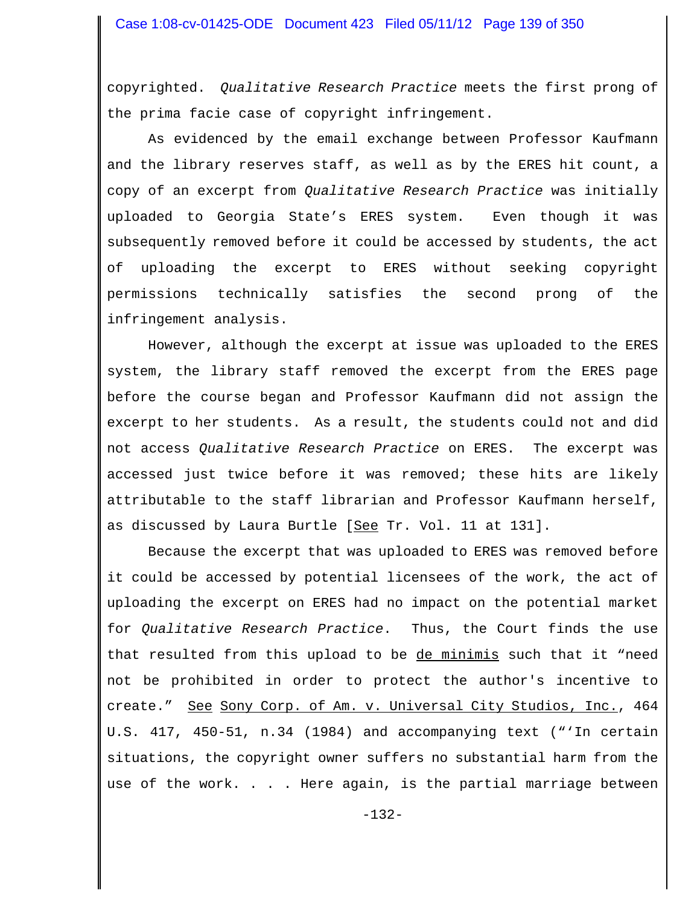copyrighted. *Qualitative Research Practice* meets the first prong of the prima facie case of copyright infringement.

As evidenced by the email exchange between Professor Kaufmann and the library reserves staff, as well as by the ERES hit count, a copy of an excerpt from *Qualitative Research Practice* was initially uploaded to Georgia State's ERES system. Even though it was subsequently removed before it could be accessed by students, the act of uploading the excerpt to ERES without seeking copyright permissions technically satisfies the second prong of the infringement analysis.

However, although the excerpt at issue was uploaded to the ERES system, the library staff removed the excerpt from the ERES page before the course began and Professor Kaufmann did not assign the excerpt to her students. As a result, the students could not and did not access *Qualitative Research Practice* on ERES. The excerpt was accessed just twice before it was removed; these hits are likely attributable to the staff librarian and Professor Kaufmann herself, as discussed by Laura Burtle [See Tr. Vol. 11 at 131].

Because the excerpt that was uploaded to ERES was removed before it could be accessed by potential licensees of the work, the act of uploading the excerpt on ERES had no impact on the potential market for *Qualitative Research Practice*. Thus, the Court finds the use that resulted from this upload to be de minimis such that it "need not be prohibited in order to protect the author's incentive to create." See Sony Corp. of Am. v. Universal City Studios, Inc., 464 U.S. 417, 450-51, n.34 (1984) and accompanying text ("'In certain situations, the copyright owner suffers no substantial harm from the use of the work. . . . Here again, is the partial marriage between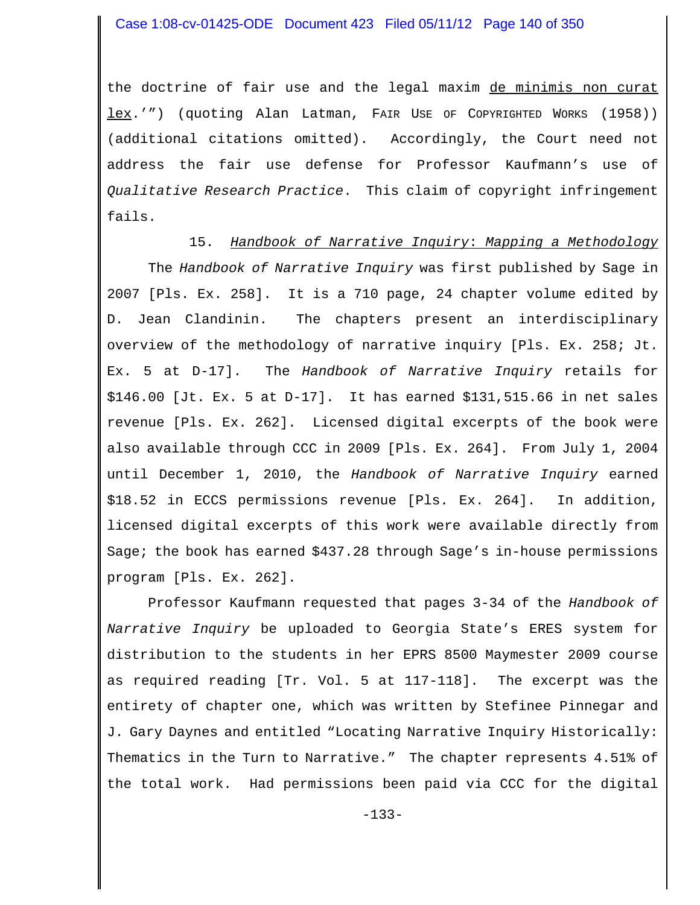the doctrine of fair use and the legal maxim de minimis non curat lex.'") (quoting Alan Latman, FAIR USE OF COPYRIGHTED WORKS (1958)) (additional citations omitted). Accordingly, the Court need not address the fair use defense for Professor Kaufmann's use of *Qualitative Research Practice*. This claim of copyright infringement fails.

#### 15. *Handbook of Narrative Inquiry*: *Mapping a Methodology*

The *Handbook of Narrative Inquiry* was first published by Sage in 2007 [Pls. Ex. 258]. It is a 710 page, 24 chapter volume edited by D. Jean Clandinin. The chapters present an interdisciplinary overview of the methodology of narrative inquiry [Pls. Ex. 258; Jt. Ex. 5 at D-17]. The *Handbook of Narrative Inquiry* retails for \$146.00 [Jt. Ex. 5 at D-17]. It has earned \$131,515.66 in net sales revenue [Pls. Ex. 262]. Licensed digital excerpts of the book were also available through CCC in 2009 [Pls. Ex. 264]. From July 1, 2004 until December 1, 2010, the *Handbook of Narrative Inquiry* earned \$18.52 in ECCS permissions revenue [Pls. Ex. 264]. In addition, licensed digital excerpts of this work were available directly from Sage; the book has earned \$437.28 through Sage's in-house permissions program [Pls. Ex. 262].

Professor Kaufmann requested that pages 3-34 of the *Handbook of Narrative Inquiry* be uploaded to Georgia State's ERES system for distribution to the students in her EPRS 8500 Maymester 2009 course as required reading [Tr. Vol. 5 at 117-118]. The excerpt was the entirety of chapter one, which was written by Stefinee Pinnegar and J. Gary Daynes and entitled "Locating Narrative Inquiry Historically: Thematics in the Turn to Narrative." The chapter represents 4.51% of the total work. Had permissions been paid via CCC for the digital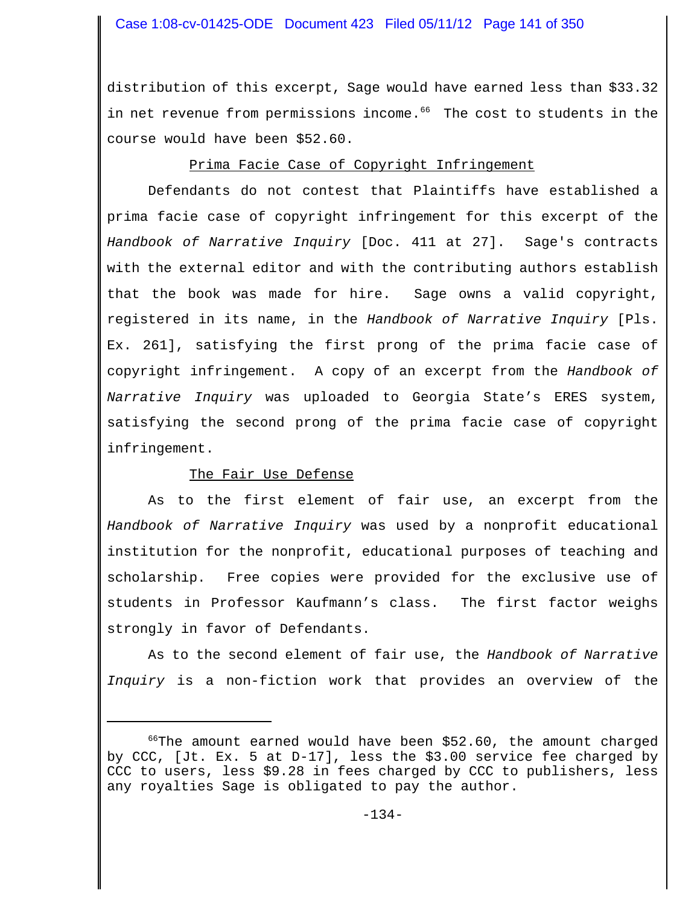distribution of this excerpt, Sage would have earned less than \$33.32 in net revenue from permissions income.<sup>66</sup> The cost to students in the course would have been \$52.60.

### Prima Facie Case of Copyright Infringement

Defendants do not contest that Plaintiffs have established a prima facie case of copyright infringement for this excerpt of the *Handbook of Narrative Inquiry* [Doc. 411 at 27]. Sage's contracts with the external editor and with the contributing authors establish that the book was made for hire. Sage owns a valid copyright, registered in its name, in the *Handbook of Narrative Inquiry* [Pls. Ex. 261], satisfying the first prong of the prima facie case of copyright infringement. A copy of an excerpt from the *Handbook of Narrative Inquiry* was uploaded to Georgia State's ERES system, satisfying the second prong of the prima facie case of copyright infringement.

### The Fair Use Defense

As to the first element of fair use, an excerpt from the *Handbook of Narrative Inquiry* was used by a nonprofit educational institution for the nonprofit, educational purposes of teaching and scholarship. Free copies were provided for the exclusive use of students in Professor Kaufmann's class. The first factor weighs strongly in favor of Defendants.

As to the second element of fair use, the *Handbook of Narrative Inquiry* is a non-fiction work that provides an overview of the

 $66$ The amount earned would have been \$52.60, the amount charged by CCC, [Jt. Ex. 5 at D-17], less the \$3.00 service fee charged by CCC to users, less \$9.28 in fees charged by CCC to publishers, less any royalties Sage is obligated to pay the author.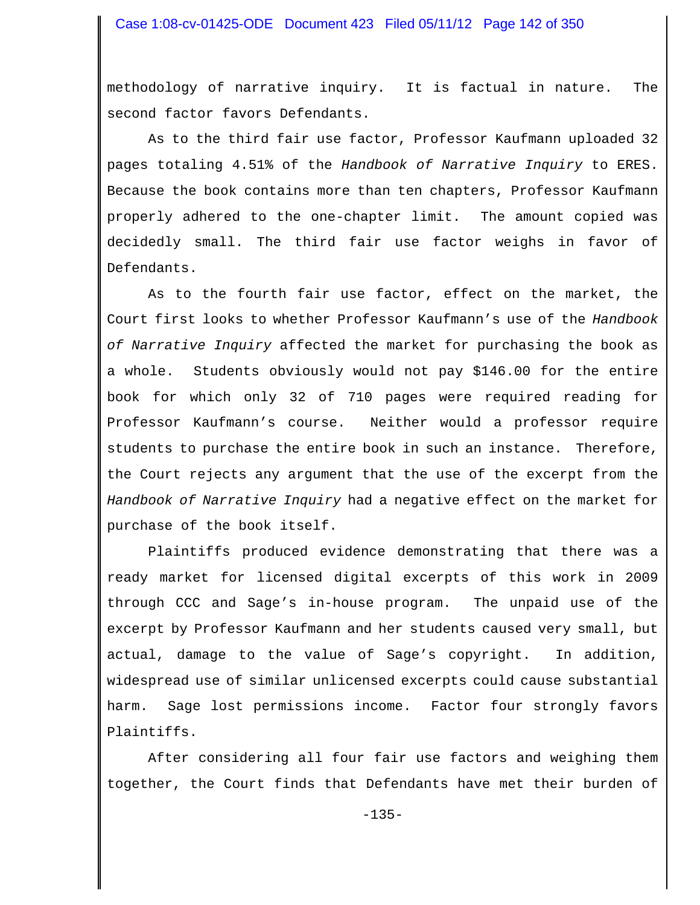methodology of narrative inquiry. It is factual in nature. The second factor favors Defendants.

As to the third fair use factor, Professor Kaufmann uploaded 32 pages totaling 4.51% of the *Handbook of Narrative Inquiry* to ERES. Because the book contains more than ten chapters, Professor Kaufmann properly adhered to the one-chapter limit. The amount copied was decidedly small. The third fair use factor weighs in favor of Defendants.

As to the fourth fair use factor, effect on the market, the Court first looks to whether Professor Kaufmann's use of the *Handbook of Narrative Inquiry* affected the market for purchasing the book as a whole. Students obviously would not pay \$146.00 for the entire book for which only 32 of 710 pages were required reading for Professor Kaufmann's course. Neither would a professor require students to purchase the entire book in such an instance. Therefore, the Court rejects any argument that the use of the excerpt from the *Handbook of Narrative Inquiry* had a negative effect on the market for purchase of the book itself.

Plaintiffs produced evidence demonstrating that there was a ready market for licensed digital excerpts of this work in 2009 through CCC and Sage's in-house program. The unpaid use of the excerpt by Professor Kaufmann and her students caused very small, but actual, damage to the value of Sage's copyright. In addition, widespread use of similar unlicensed excerpts could cause substantial harm. Sage lost permissions income. Factor four strongly favors Plaintiffs.

After considering all four fair use factors and weighing them together, the Court finds that Defendants have met their burden of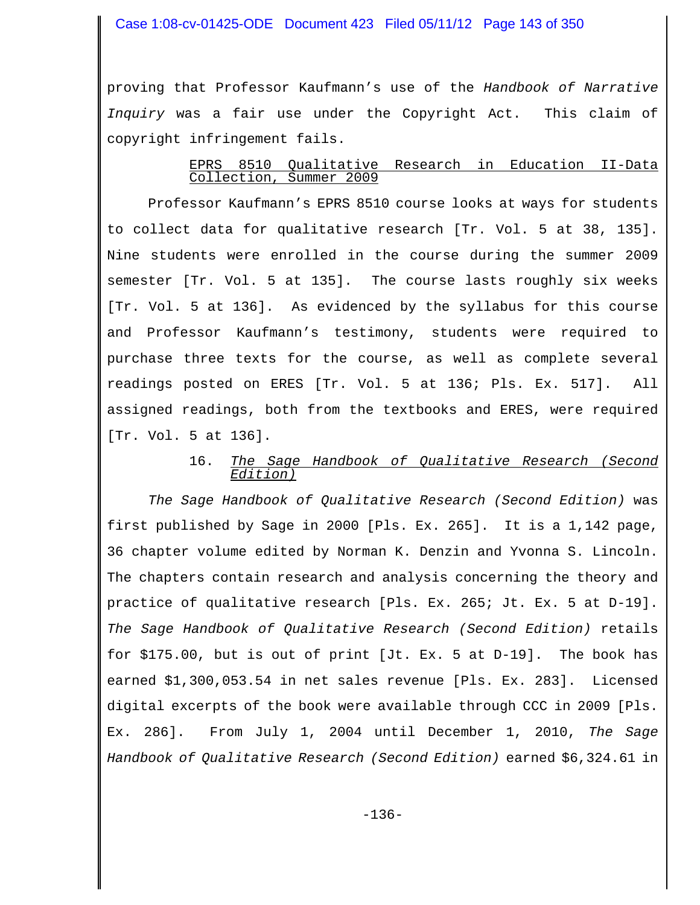### Case 1:08-cv-01425-ODE Document 423 Filed 05/11/12 Page 143 of 350

proving that Professor Kaufmann's use of the *Handbook of Narrative Inquiry* was a fair use under the Copyright Act. This claim of copyright infringement fails.

### EPRS 8510 Qualitative Research in Education II-Data Collection, Summer 2009

Professor Kaufmann's EPRS 8510 course looks at ways for students to collect data for qualitative research [Tr. Vol. 5 at 38, 135]. Nine students were enrolled in the course during the summer 2009 semester [Tr. Vol. 5 at 135]. The course lasts roughly six weeks [Tr. Vol. 5 at 136]. As evidenced by the syllabus for this course and Professor Kaufmann's testimony, students were required to purchase three texts for the course, as well as complete several readings posted on ERES [Tr. Vol. 5 at 136; Pls. Ex. 517]. All assigned readings, both from the textbooks and ERES, were required [Tr. Vol. 5 at 136].

#### 16. *The Sage Handbook of Qualitative Research (Second Edition)*

*The Sage Handbook of Qualitative Research (Second Edition)* was first published by Sage in 2000 [Pls. Ex. 265]. It is a 1,142 page, 36 chapter volume edited by Norman K. Denzin and Yvonna S. Lincoln. The chapters contain research and analysis concerning the theory and practice of qualitative research [Pls. Ex. 265; Jt. Ex. 5 at D-19]. *The Sage Handbook of Qualitative Research (Second Edition)* retails for \$175.00, but is out of print [Jt. Ex. 5 at D-19]. The book has earned \$1,300,053.54 in net sales revenue [Pls. Ex. 283]. Licensed digital excerpts of the book were available through CCC in 2009 [Pls. Ex. 286]. From July 1, 2004 until December 1, 2010, *The Sage Handbook of Qualitative Research (Second Edition)* earned \$6,324.61 in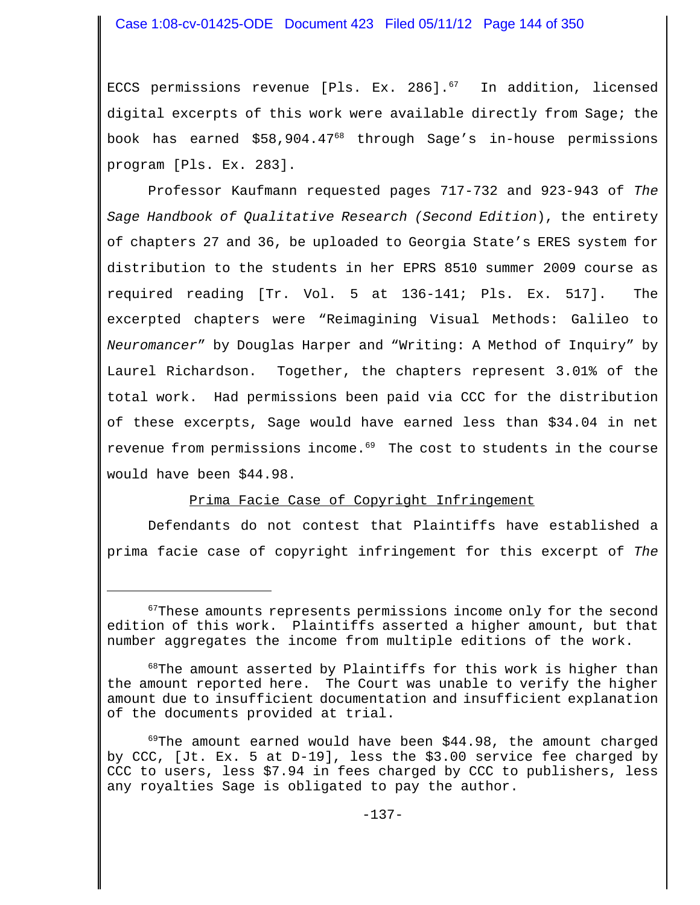### Case 1:08-cv-01425-ODE Document 423 Filed 05/11/12 Page 144 of 350

ECCS permissions revenue [Pls. Ex. 286]. $^{67}$  In addition, licensed digital excerpts of this work were available directly from Sage; the book has earned \$58,904.4768 through Sage's in-house permissions program [Pls. Ex. 283].

Professor Kaufmann requested pages 717-732 and 923-943 of *The Sage Handbook of Qualitative Research (Second Edition*), the entirety of chapters 27 and 36, be uploaded to Georgia State's ERES system for distribution to the students in her EPRS 8510 summer 2009 course as required reading [Tr. Vol. 5 at 136-141; Pls. Ex. 517]. The excerpted chapters were "Reimagining Visual Methods: Galileo to *Neuromancer*" by Douglas Harper and "Writing: A Method of Inquiry" by Laurel Richardson. Together, the chapters represent 3.01% of the total work. Had permissions been paid via CCC for the distribution of these excerpts, Sage would have earned less than \$34.04 in net revenue from permissions income.<sup>69</sup> The cost to students in the course would have been \$44.98.

#### Prima Facie Case of Copyright Infringement

Defendants do not contest that Plaintiffs have established a prima facie case of copyright infringement for this excerpt of *The*

 $^{69}$ The amount earned would have been \$44.98, the amount charged by CCC, [Jt. Ex. 5 at D-19], less the \$3.00 service fee charged by CCC to users, less \$7.94 in fees charged by CCC to publishers, less any royalties Sage is obligated to pay the author.

 $67$ These amounts represents permissions income only for the second edition of this work. Plaintiffs asserted a higher amount, but that number aggregates the income from multiple editions of the work.

 $^{68}$ The amount asserted by Plaintiffs for this work is higher than the amount reported here. The Court was unable to verify the higher amount due to insufficient documentation and insufficient explanation of the documents provided at trial.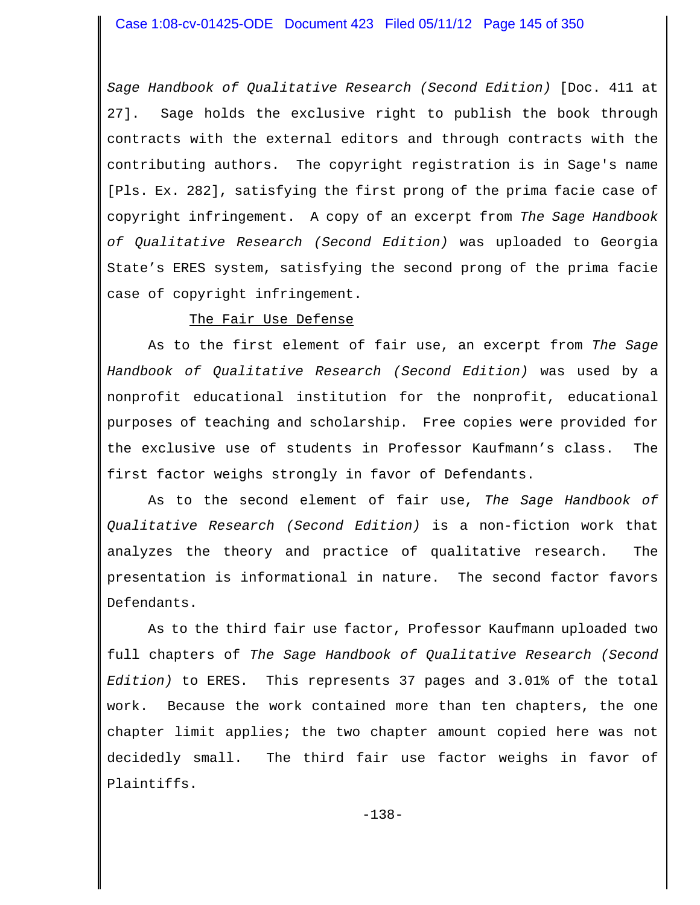*Sage Handbook of Qualitative Research (Second Edition)* [Doc. 411 at 27]. Sage holds the exclusive right to publish the book through contracts with the external editors and through contracts with the contributing authors. The copyright registration is in Sage's name [Pls. Ex. 282], satisfying the first prong of the prima facie case of copyright infringement. A copy of an excerpt from *The Sage Handbook of Qualitative Research (Second Edition)* was uploaded to Georgia State's ERES system, satisfying the second prong of the prima facie case of copyright infringement.

## The Fair Use Defense

As to the first element of fair use, an excerpt from *The Sage Handbook of Qualitative Research (Second Edition)* was used by a nonprofit educational institution for the nonprofit, educational purposes of teaching and scholarship. Free copies were provided for the exclusive use of students in Professor Kaufmann's class. The first factor weighs strongly in favor of Defendants.

As to the second element of fair use, *The Sage Handbook of Qualitative Research (Second Edition)* is a non-fiction work that analyzes the theory and practice of qualitative research. The presentation is informational in nature. The second factor favors Defendants.

As to the third fair use factor, Professor Kaufmann uploaded two full chapters of *The Sage Handbook of Qualitative Research (Second Edition)* to ERES. This represents 37 pages and 3.01% of the total work. Because the work contained more than ten chapters, the one chapter limit applies; the two chapter amount copied here was not decidedly small. The third fair use factor weighs in favor of Plaintiffs.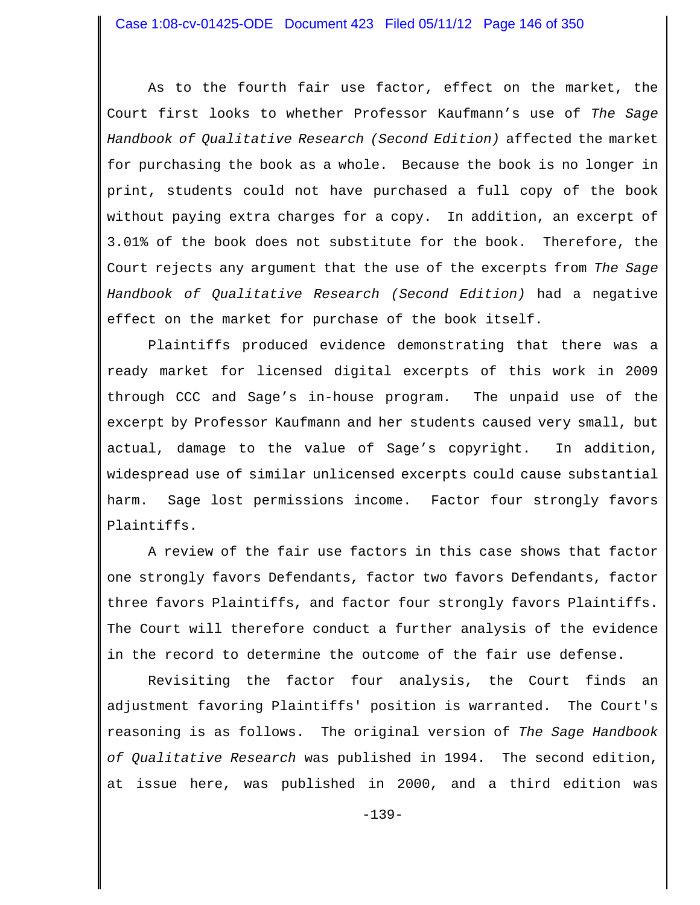As to the fourth fair use factor, effect on the market, the Court first looks to whether Professor Kaufmann's use of *The Sage Handbook of Qualitative Research (Second Edition)* affected the market for purchasing the book as a whole. Because the book is no longer in print, students could not have purchased a full copy of the book without paying extra charges for a copy. In addition, an excerpt of 3.01% of the book does not substitute for the book. Therefore, the Court rejects any argument that the use of the excerpts from *The Sage Handbook of Qualitative Research (Second Edition)* had a negative effect on the market for purchase of the book itself.

Plaintiffs produced evidence demonstrating that there was a ready market for licensed digital excerpts of this work in 2009 through CCC and Sage's in-house program. The unpaid use of the excerpt by Professor Kaufmann and her students caused very small, but actual, damage to the value of Sage's copyright. In addition, widespread use of similar unlicensed excerpts could cause substantial harm. Sage lost permissions income. Factor four strongly favors Plaintiffs.

A review of the fair use factors in this case shows that factor one strongly favors Defendants, factor two favors Defendants, factor three favors Plaintiffs, and factor four strongly favors Plaintiffs. The Court will therefore conduct a further analysis of the evidence in the record to determine the outcome of the fair use defense.

Revisiting the factor four analysis, the Court finds an adjustment favoring Plaintiffs' position is warranted. The Court's reasoning is as follows. The original version of *The Sage Handbook of Qualitative Research* was published in 1994. The second edition, at issue here, was published in 2000, and a third edition was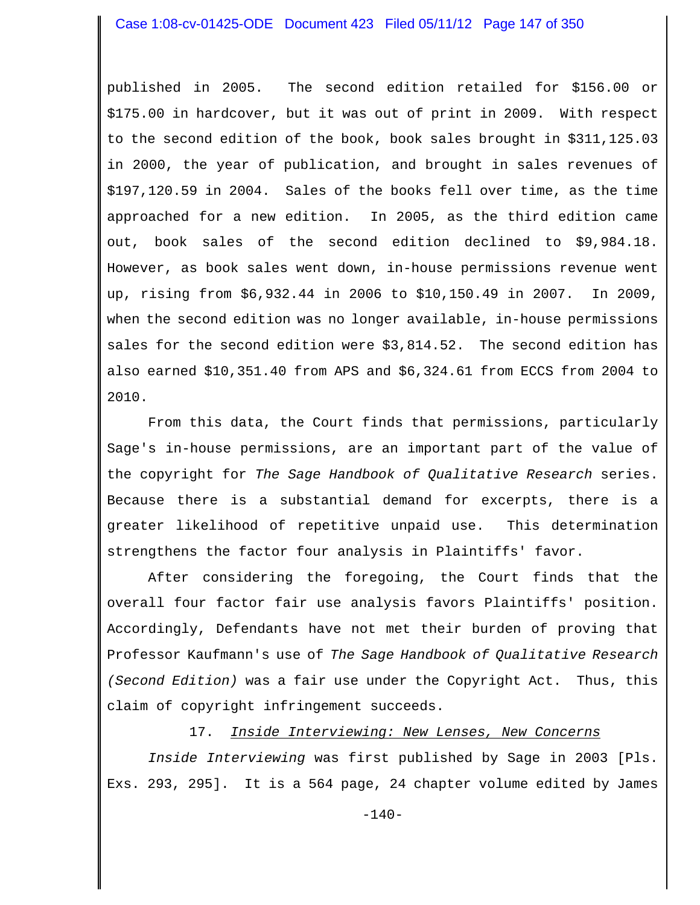published in 2005. The second edition retailed for \$156.00 or \$175.00 in hardcover, but it was out of print in 2009. With respect to the second edition of the book, book sales brought in \$311,125.03 in 2000, the year of publication, and brought in sales revenues of \$197,120.59 in 2004. Sales of the books fell over time, as the time approached for a new edition. In 2005, as the third edition came out, book sales of the second edition declined to \$9,984.18. However, as book sales went down, in-house permissions revenue went up, rising from \$6,932.44 in 2006 to \$10,150.49 in 2007. In 2009, when the second edition was no longer available, in-house permissions sales for the second edition were \$3,814.52. The second edition has also earned \$10,351.40 from APS and \$6,324.61 from ECCS from 2004 to 2010.

From this data, the Court finds that permissions, particularly Sage's in-house permissions, are an important part of the value of the copyright for *The Sage Handbook of Qualitative Research* series. Because there is a substantial demand for excerpts, there is a greater likelihood of repetitive unpaid use. This determination strengthens the factor four analysis in Plaintiffs' favor.

After considering the foregoing, the Court finds that the overall four factor fair use analysis favors Plaintiffs' position. Accordingly, Defendants have not met their burden of proving that Professor Kaufmann's use of *The Sage Handbook of Qualitative Research (Second Edition)* was a fair use under the Copyright Act. Thus, this claim of copyright infringement succeeds.

17. *Inside Interviewing: New Lenses, New Concerns*

*Inside Interviewing* was first published by Sage in 2003 [Pls. Exs. 293, 295]. It is a 564 page, 24 chapter volume edited by James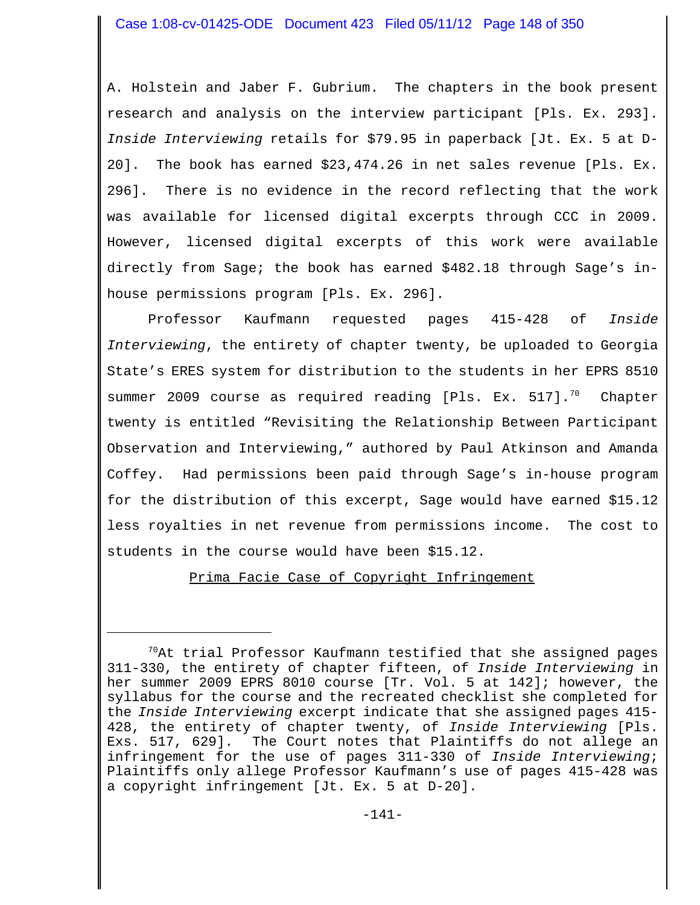A. Holstein and Jaber F. Gubrium. The chapters in the book present research and analysis on the interview participant [Pls. Ex. 293]. *Inside Interviewing* retails for \$79.95 in paperback [Jt. Ex. 5 at D-20]. The book has earned \$23,474.26 in net sales revenue [Pls. Ex. 296]. There is no evidence in the record reflecting that the work was available for licensed digital excerpts through CCC in 2009. However, licensed digital excerpts of this work were available directly from Sage; the book has earned \$482.18 through Sage's inhouse permissions program [Pls. Ex. 296].

Professor Kaufmann requested pages 415-428 of *Inside Interviewing*, the entirety of chapter twenty, be uploaded to Georgia State's ERES system for distribution to the students in her EPRS 8510 summer 2009 course as required reading [Pls. Ex. 517].<sup>70</sup> Chapter twenty is entitled "Revisiting the Relationship Between Participant Observation and Interviewing," authored by Paul Atkinson and Amanda Coffey. Had permissions been paid through Sage's in-house program for the distribution of this excerpt, Sage would have earned \$15.12 less royalties in net revenue from permissions income. The cost to students in the course would have been \$15.12.

Prima Facie Case of Copyright Infringement

 $70$ At trial Professor Kaufmann testified that she assigned pages 311-330, the entirety of chapter fifteen, of *Inside Interviewing* in her summer 2009 EPRS 8010 course [Tr. Vol. 5 at 142]; however, the syllabus for the course and the recreated checklist she completed for the *Inside Interviewing* excerpt indicate that she assigned pages 415- 428, the entirety of chapter twenty, of *Inside Interviewing* [Pls. Exs. 517, 629]. The Court notes that Plaintiffs do not allege an infringement for the use of pages 311-330 of *Inside Interviewing*; Plaintiffs only allege Professor Kaufmann's use of pages 415-428 was a copyright infringement [Jt. Ex. 5 at D-20].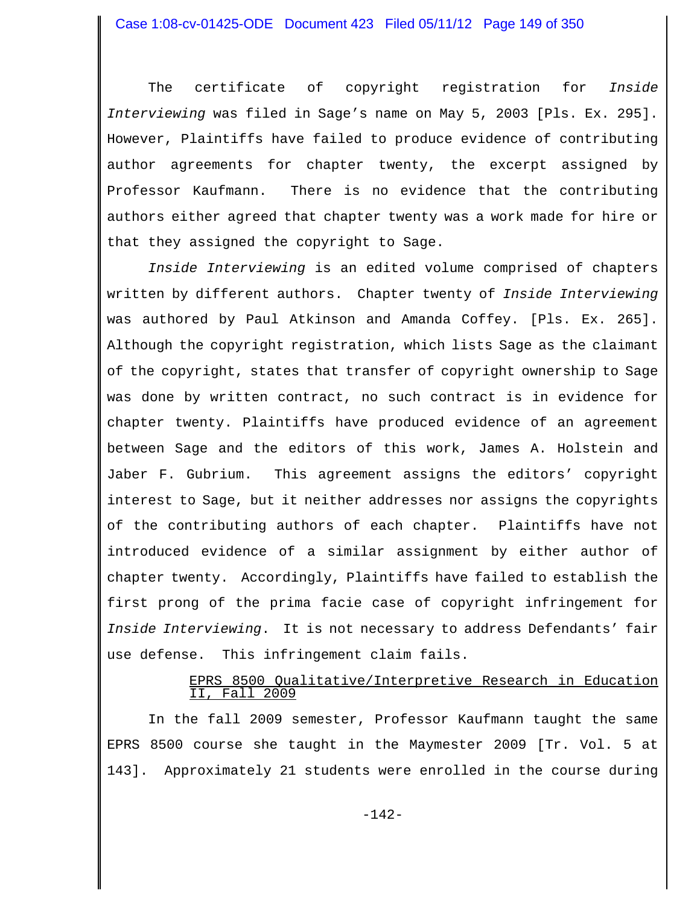The certificate of copyright registration for *Inside Interviewing* was filed in Sage's name on May 5, 2003 [Pls. Ex. 295]. However, Plaintiffs have failed to produce evidence of contributing author agreements for chapter twenty, the excerpt assigned by Professor Kaufmann. There is no evidence that the contributing authors either agreed that chapter twenty was a work made for hire or that they assigned the copyright to Sage.

*Inside Interviewing* is an edited volume comprised of chapters written by different authors. Chapter twenty of *Inside Interviewing* was authored by Paul Atkinson and Amanda Coffey. [Pls. Ex. 265]. Although the copyright registration, which lists Sage as the claimant of the copyright, states that transfer of copyright ownership to Sage was done by written contract, no such contract is in evidence for chapter twenty. Plaintiffs have produced evidence of an agreement between Sage and the editors of this work, James A. Holstein and Jaber F. Gubrium. This agreement assigns the editors' copyright interest to Sage, but it neither addresses nor assigns the copyrights of the contributing authors of each chapter. Plaintiffs have not introduced evidence of a similar assignment by either author of chapter twenty. Accordingly, Plaintiffs have failed to establish the first prong of the prima facie case of copyright infringement for *Inside Interviewing*. It is not necessary to address Defendants' fair use defense. This infringement claim fails.

# EPRS 8500 Qualitative/Interpretive Research in Education II, Fall 2009

In the fall 2009 semester, Professor Kaufmann taught the same EPRS 8500 course she taught in the Maymester 2009 [Tr. Vol. 5 at 143]. Approximately 21 students were enrolled in the course during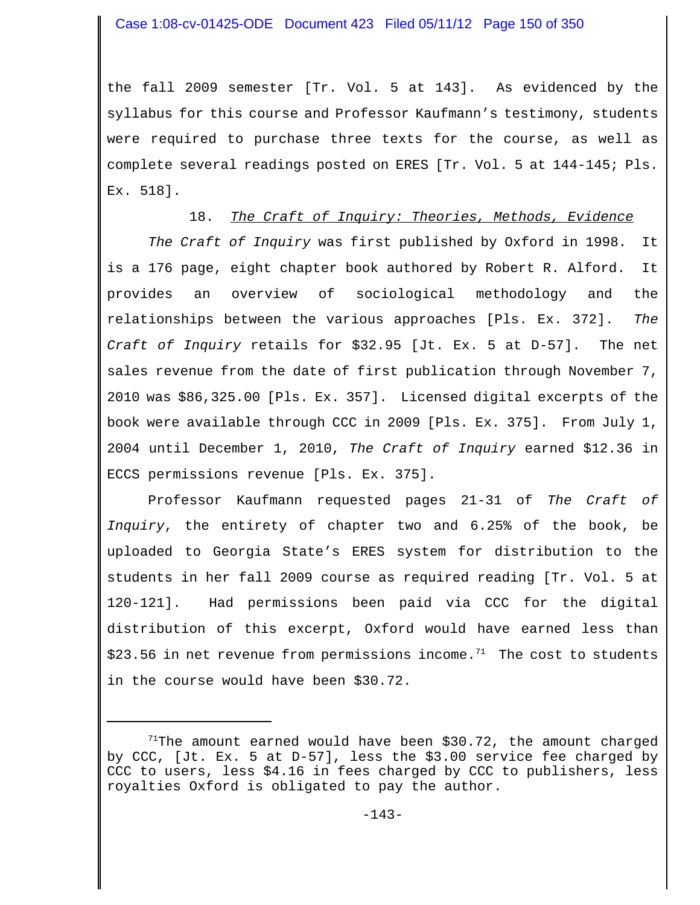the fall 2009 semester [Tr. Vol. 5 at 143]. As evidenced by the syllabus for this course and Professor Kaufmann's testimony, students were required to purchase three texts for the course, as well as complete several readings posted on ERES [Tr. Vol. 5 at 144-145; Pls. Ex. 518].

# 18. *The Craft of Inquiry: Theories, Methods, Evidence*

*The Craft of Inquiry* was first published by Oxford in 1998. It is a 176 page, eight chapter book authored by Robert R. Alford. It provides an overview of sociological methodology and the relationships between the various approaches [Pls. Ex. 372]. *The Craft of Inquiry* retails for \$32.95 [Jt. Ex. 5 at D-57]. The net sales revenue from the date of first publication through November 7, 2010 was \$86,325.00 [Pls. Ex. 357]. Licensed digital excerpts of the book were available through CCC in 2009 [Pls. Ex. 375]. From July 1, 2004 until December 1, 2010, *The Craft of Inquiry* earned \$12.36 in ECCS permissions revenue [Pls. Ex. 375].

Professor Kaufmann requested pages 21-31 of *The Craft of Inquiry*, the entirety of chapter two and 6.25% of the book, be uploaded to Georgia State's ERES system for distribution to the students in her fall 2009 course as required reading [Tr. Vol. 5 at 120-121]. Had permissions been paid via CCC for the digital distribution of this excerpt, Oxford would have earned less than  $$23.56$  in net revenue from permissions income.<sup>71</sup> The cost to students in the course would have been \$30.72.

 $71$ The amount earned would have been \$30.72, the amount charged by CCC, [Jt. Ex. 5 at D-57], less the \$3.00 service fee charged by CCC to users, less \$4.16 in fees charged by CCC to publishers, less royalties Oxford is obligated to pay the author.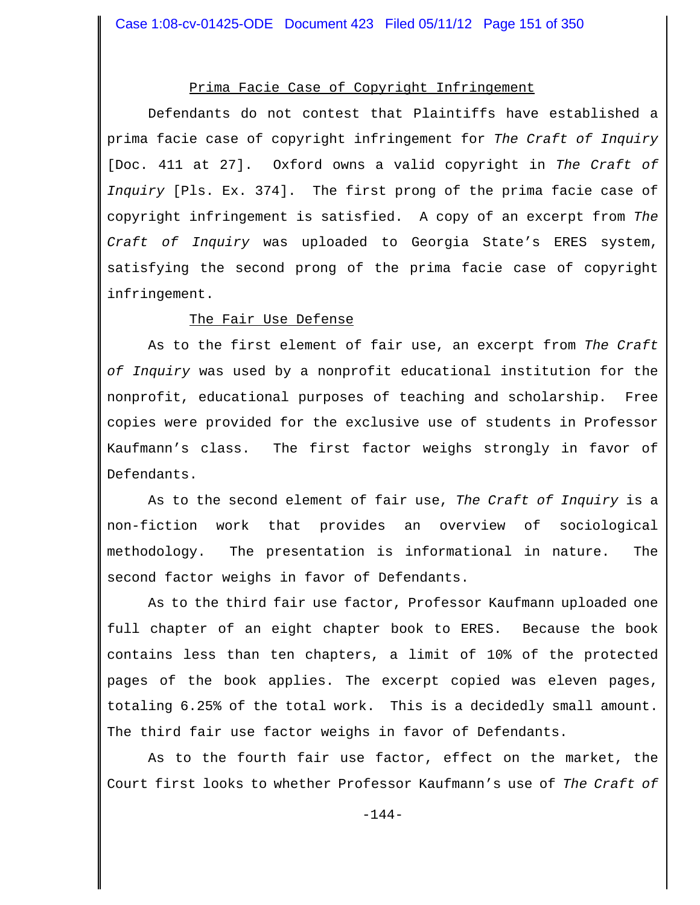# Prima Facie Case of Copyright Infringement

Defendants do not contest that Plaintiffs have established a prima facie case of copyright infringement for *The Craft of Inquiry* [Doc. 411 at 27]. Oxford owns a valid copyright in *The Craft of Inquiry* [Pls. Ex. 374]. The first prong of the prima facie case of copyright infringement is satisfied. A copy of an excerpt from *The Craft of Inquiry* was uploaded to Georgia State's ERES system, satisfying the second prong of the prima facie case of copyright infringement.

## The Fair Use Defense

As to the first element of fair use, an excerpt from *The Craft of Inquiry* was used by a nonprofit educational institution for the nonprofit, educational purposes of teaching and scholarship. Free copies were provided for the exclusive use of students in Professor Kaufmann's class. The first factor weighs strongly in favor of Defendants.

As to the second element of fair use, *The Craft of Inquiry* is a non-fiction work that provides an overview of sociological methodology. The presentation is informational in nature. The second factor weighs in favor of Defendants.

As to the third fair use factor, Professor Kaufmann uploaded one full chapter of an eight chapter book to ERES. Because the book contains less than ten chapters, a limit of 10% of the protected pages of the book applies. The excerpt copied was eleven pages, totaling 6.25% of the total work. This is a decidedly small amount. The third fair use factor weighs in favor of Defendants.

As to the fourth fair use factor, effect on the market, the Court first looks to whether Professor Kaufmann's use of *The Craft of*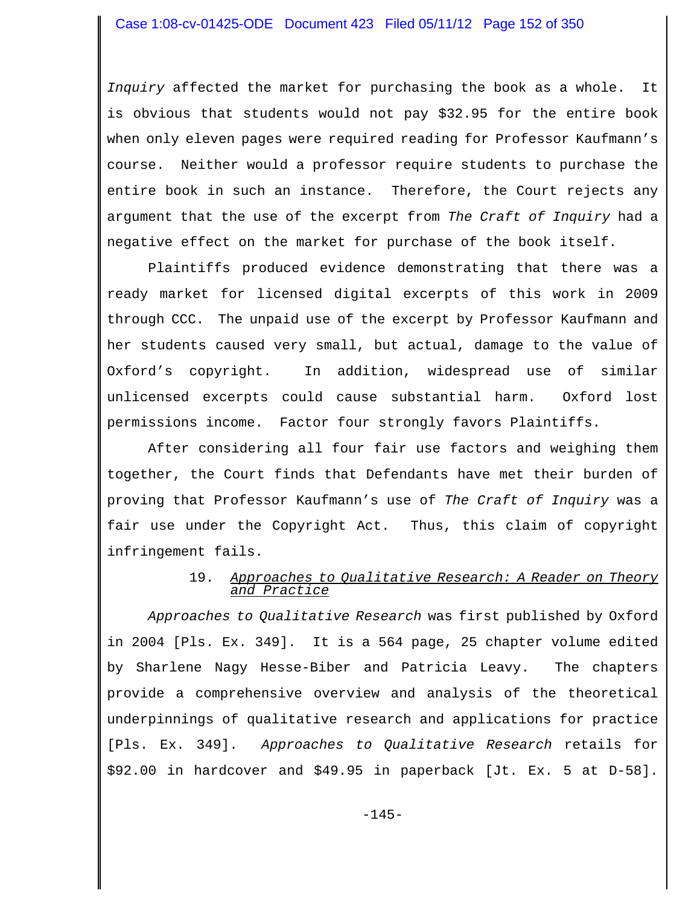*Inquiry* affected the market for purchasing the book as a whole. It is obvious that students would not pay \$32.95 for the entire book when only eleven pages were required reading for Professor Kaufmann's course. Neither would a professor require students to purchase the entire book in such an instance. Therefore, the Court rejects any argument that the use of the excerpt from *The Craft of Inquiry* had a negative effect on the market for purchase of the book itself.

Plaintiffs produced evidence demonstrating that there was a ready market for licensed digital excerpts of this work in 2009 through CCC. The unpaid use of the excerpt by Professor Kaufmann and her students caused very small, but actual, damage to the value of Oxford's copyright. In addition, widespread use of similar unlicensed excerpts could cause substantial harm. Oxford lost permissions income. Factor four strongly favors Plaintiffs.

After considering all four fair use factors and weighing them together, the Court finds that Defendants have met their burden of proving that Professor Kaufmann's use of *The Craft of Inquiry* was a fair use under the Copyright Act. Thus, this claim of copyright infringement fails.

# 19. *Approaches to Qualitative Research: A Reader on Theory and Practice*

*Approaches to Qualitative Research* was first published by Oxford in 2004 [Pls. Ex. 349]. It is a 564 page, 25 chapter volume edited by Sharlene Nagy Hesse-Biber and Patricia Leavy. The chapters provide a comprehensive overview and analysis of the theoretical underpinnings of qualitative research and applications for practice [Pls. Ex. 349]. *Approaches to Qualitative Research* retails for \$92.00 in hardcover and \$49.95 in paperback [Jt. Ex. 5 at D-58].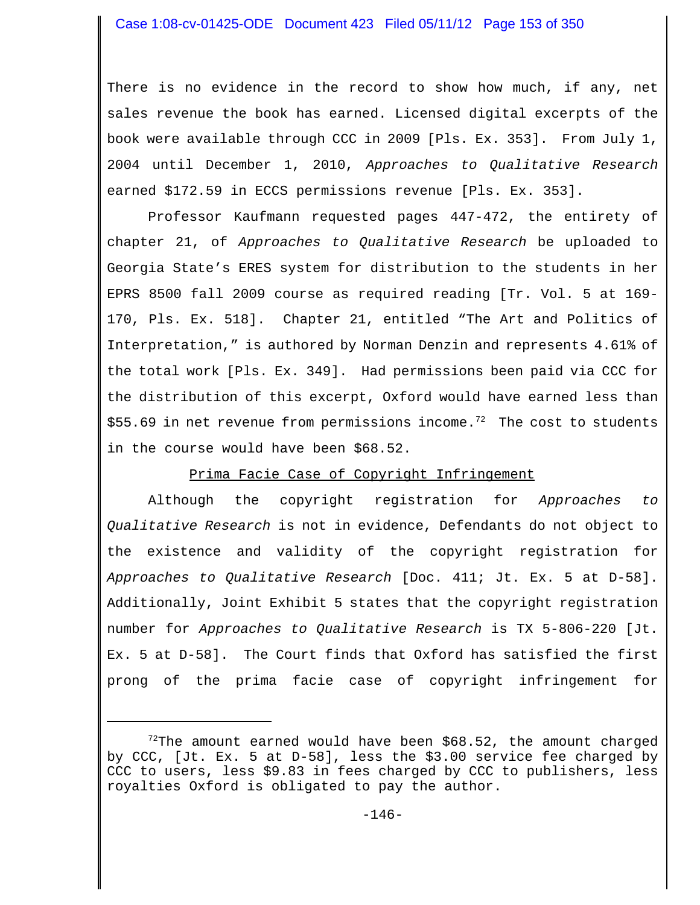There is no evidence in the record to show how much, if any, net sales revenue the book has earned. Licensed digital excerpts of the book were available through CCC in 2009 [Pls. Ex. 353]. From July 1, 2004 until December 1, 2010, *Approaches to Qualitative Research* earned \$172.59 in ECCS permissions revenue [Pls. Ex. 353].

Professor Kaufmann requested pages 447-472, the entirety of chapter 21, of *Approaches to Qualitative Research* be uploaded to Georgia State's ERES system for distribution to the students in her EPRS 8500 fall 2009 course as required reading [Tr. Vol. 5 at 169- 170, Pls. Ex. 518]. Chapter 21, entitled "The Art and Politics of Interpretation," is authored by Norman Denzin and represents 4.61% of the total work [Pls. Ex. 349]. Had permissions been paid via CCC for the distribution of this excerpt, Oxford would have earned less than \$55.69 in net revenue from permissions income.<sup>72</sup> The cost to students in the course would have been \$68.52.

## Prima Facie Case of Copyright Infringement

Although the copyright registration for *Approaches to Qualitative Research* is not in evidence, Defendants do not object to the existence and validity of the copyright registration for *Approaches to Qualitative Research* [Doc. 411; Jt. Ex. 5 at D-58]. Additionally, Joint Exhibit 5 states that the copyright registration number for *Approaches to Qualitative Research* is TX 5-806-220 [Jt. Ex. 5 at D-58]. The Court finds that Oxford has satisfied the first prong of the prima facie case of copyright infringement for

 $72$ The amount earned would have been \$68.52, the amount charged by CCC, [Jt. Ex. 5 at D-58], less the \$3.00 service fee charged by CCC to users, less \$9.83 in fees charged by CCC to publishers, less royalties Oxford is obligated to pay the author.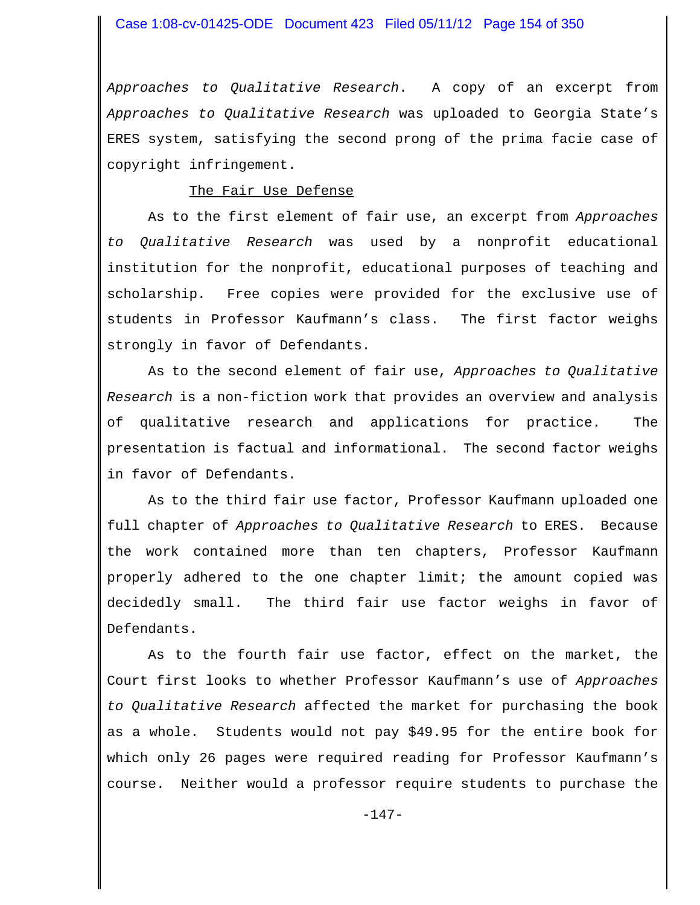*Approaches to Qualitative Research*. A copy of an excerpt from *Approaches to Qualitative Research* was uploaded to Georgia State's ERES system, satisfying the second prong of the prima facie case of copyright infringement.

#### The Fair Use Defense

As to the first element of fair use, an excerpt from *Approaches to Qualitative Research* was used by a nonprofit educational institution for the nonprofit, educational purposes of teaching and scholarship. Free copies were provided for the exclusive use of students in Professor Kaufmann's class. The first factor weighs strongly in favor of Defendants.

As to the second element of fair use, *Approaches to Qualitative Research* is a non-fiction work that provides an overview and analysis of qualitative research and applications for practice. The presentation is factual and informational. The second factor weighs in favor of Defendants.

As to the third fair use factor, Professor Kaufmann uploaded one full chapter of *Approaches to Qualitative Research* to ERES. Because the work contained more than ten chapters, Professor Kaufmann properly adhered to the one chapter limit; the amount copied was decidedly small. The third fair use factor weighs in favor of Defendants.

As to the fourth fair use factor, effect on the market, the Court first looks to whether Professor Kaufmann's use of *Approaches to Qualitative Research* affected the market for purchasing the book as a whole. Students would not pay \$49.95 for the entire book for which only 26 pages were required reading for Professor Kaufmann's course. Neither would a professor require students to purchase the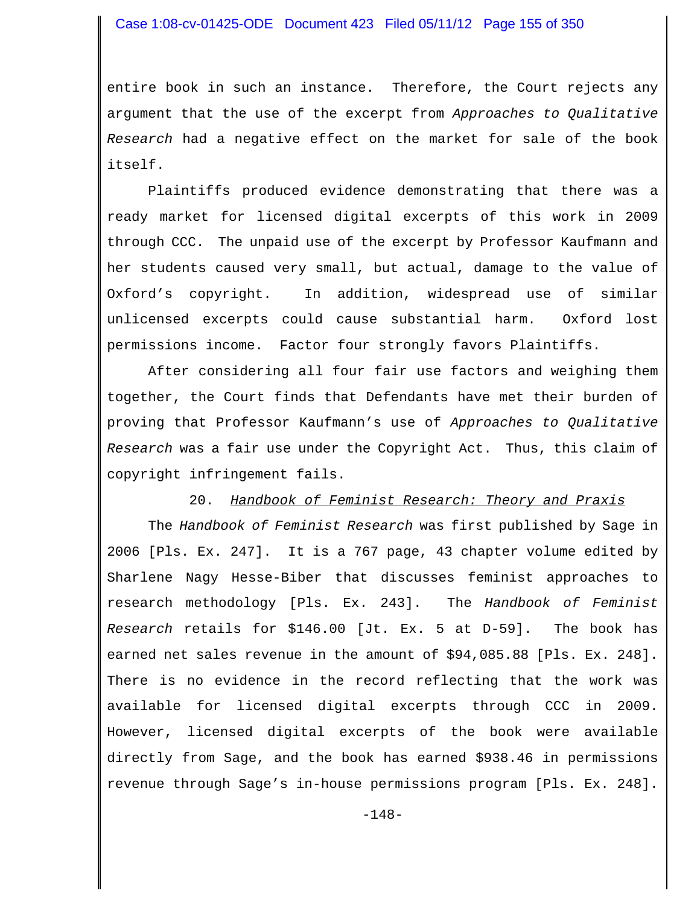entire book in such an instance. Therefore, the Court rejects any argument that the use of the excerpt from *Approaches to Qualitative Research* had a negative effect on the market for sale of the book itself.

Plaintiffs produced evidence demonstrating that there was a ready market for licensed digital excerpts of this work in 2009 through CCC. The unpaid use of the excerpt by Professor Kaufmann and her students caused very small, but actual, damage to the value of Oxford's copyright. In addition, widespread use of similar unlicensed excerpts could cause substantial harm. Oxford lost permissions income. Factor four strongly favors Plaintiffs.

 After considering all four fair use factors and weighing them together, the Court finds that Defendants have met their burden of proving that Professor Kaufmann's use of *Approaches to Qualitative Research* was a fair use under the Copyright Act. Thus, this claim of copyright infringement fails.

#### 20. *Handbook of Feminist Research: Theory and Praxis*

The *Handbook of Feminist Research* was first published by Sage in 2006 [Pls. Ex. 247]. It is a 767 page, 43 chapter volume edited by Sharlene Nagy Hesse-Biber that discusses feminist approaches to research methodology [Pls. Ex. 243]. The *Handbook of Feminist Research* retails for \$146.00 [Jt. Ex. 5 at D-59]. The book has earned net sales revenue in the amount of \$94,085.88 [Pls. Ex. 248]. There is no evidence in the record reflecting that the work was available for licensed digital excerpts through CCC in 2009. However, licensed digital excerpts of the book were available directly from Sage, and the book has earned \$938.46 in permissions revenue through Sage's in-house permissions program [Pls. Ex. 248].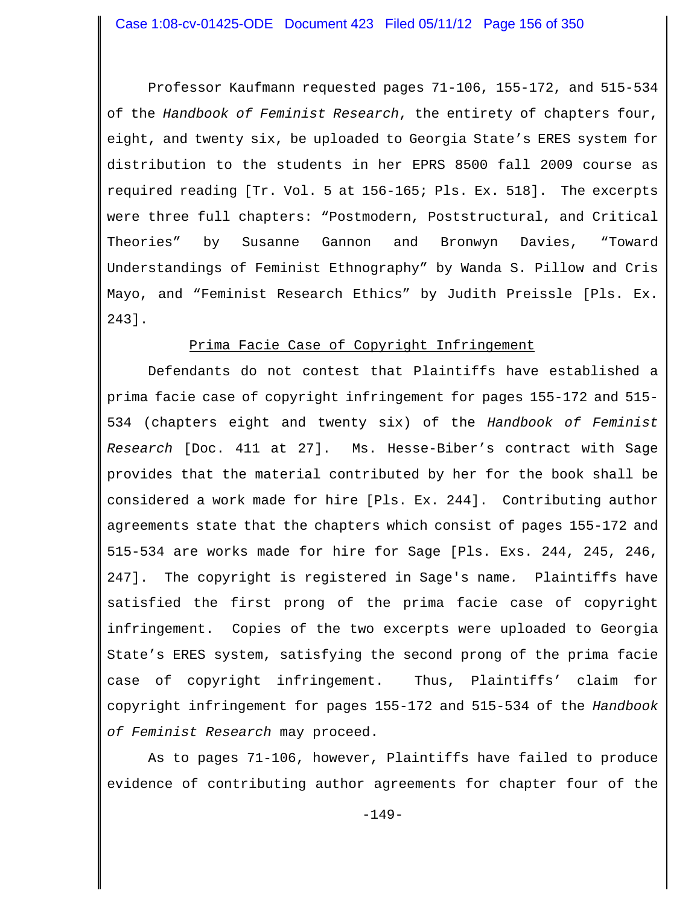Professor Kaufmann requested pages 71-106, 155-172, and 515-534 of the *Handbook of Feminist Research*, the entirety of chapters four, eight, and twenty six, be uploaded to Georgia State's ERES system for distribution to the students in her EPRS 8500 fall 2009 course as required reading [Tr. Vol. 5 at 156-165; Pls. Ex. 518]. The excerpts were three full chapters: "Postmodern, Poststructural, and Critical Theories" by Susanne Gannon and Bronwyn Davies, "Toward Understandings of Feminist Ethnography" by Wanda S. Pillow and Cris Mayo, and "Feminist Research Ethics" by Judith Preissle [Pls. Ex. 243].

#### Prima Facie Case of Copyright Infringement

Defendants do not contest that Plaintiffs have established a prima facie case of copyright infringement for pages 155-172 and 515- 534 (chapters eight and twenty six) of the *Handbook of Feminist Research* [Doc. 411 at 27]. Ms. Hesse-Biber's contract with Sage provides that the material contributed by her for the book shall be considered a work made for hire [Pls. Ex. 244]. Contributing author agreements state that the chapters which consist of pages 155-172 and 515-534 are works made for hire for Sage [Pls. Exs. 244, 245, 246, 247]. The copyright is registered in Sage's name*.* Plaintiffs have satisfied the first prong of the prima facie case of copyright infringement. Copies of the two excerpts were uploaded to Georgia State's ERES system, satisfying the second prong of the prima facie case of copyright infringement. Thus, Plaintiffs' claim for copyright infringement for pages 155-172 and 515-534 of the *Handbook of Feminist Research* may proceed.

As to pages 71-106, however, Plaintiffs have failed to produce evidence of contributing author agreements for chapter four of the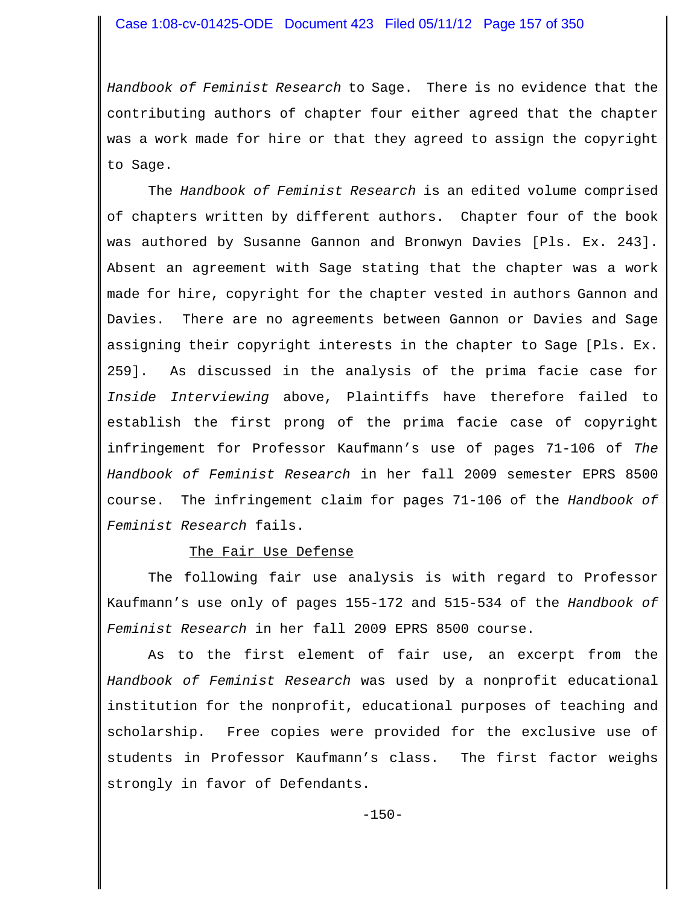*Handbook of Feminist Research* to Sage. There is no evidence that the contributing authors of chapter four either agreed that the chapter was a work made for hire or that they agreed to assign the copyright to Sage.

The *Handbook of Feminist Research* is an edited volume comprised of chapters written by different authors. Chapter four of the book was authored by Susanne Gannon and Bronwyn Davies [Pls. Ex. 243]. Absent an agreement with Sage stating that the chapter was a work made for hire, copyright for the chapter vested in authors Gannon and Davies. There are no agreements between Gannon or Davies and Sage assigning their copyright interests in the chapter to Sage [Pls. Ex. 259]. As discussed in the analysis of the prima facie case for *Inside Interviewing* above, Plaintiffs have therefore failed to establish the first prong of the prima facie case of copyright infringement for Professor Kaufmann's use of pages 71-106 of *The Handbook of Feminist Research* in her fall 2009 semester EPRS 8500 course. The infringement claim for pages 71-106 of the *Handbook of Feminist Research* fails.

#### The Fair Use Defense

The following fair use analysis is with regard to Professor Kaufmann's use only of pages 155-172 and 515-534 of the *Handbook of Feminist Research* in her fall 2009 EPRS 8500 course.

As to the first element of fair use, an excerpt from the *Handbook of Feminist Research* was used by a nonprofit educational institution for the nonprofit, educational purposes of teaching and scholarship. Free copies were provided for the exclusive use of students in Professor Kaufmann's class. The first factor weighs strongly in favor of Defendants.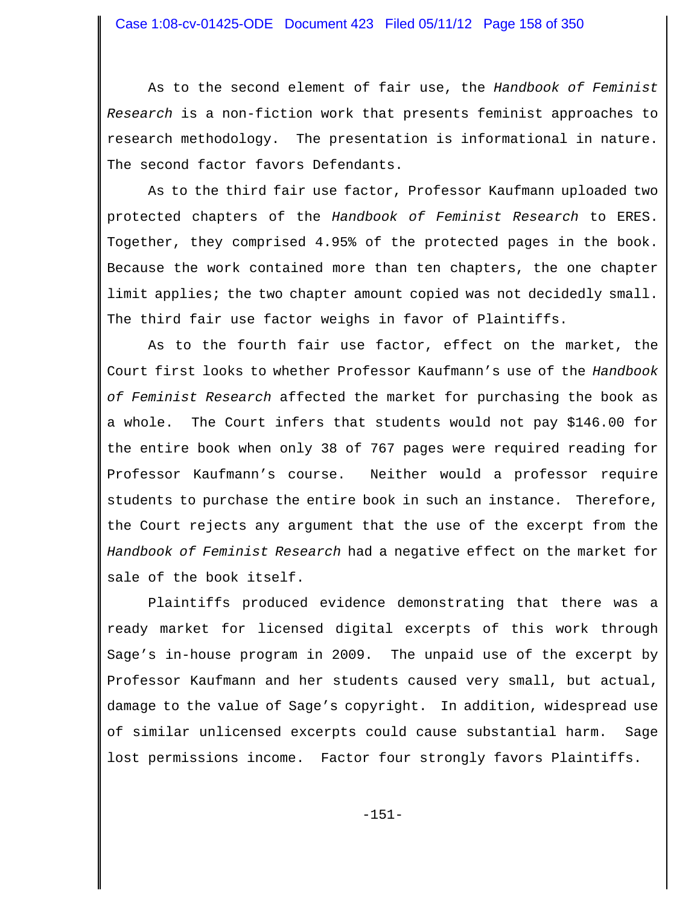As to the second element of fair use, the *Handbook of Feminist Research* is a non-fiction work that presents feminist approaches to research methodology. The presentation is informational in nature. The second factor favors Defendants.

As to the third fair use factor, Professor Kaufmann uploaded two protected chapters of the *Handbook of Feminist Research* to ERES. Together, they comprised 4.95% of the protected pages in the book. Because the work contained more than ten chapters, the one chapter limit applies; the two chapter amount copied was not decidedly small. The third fair use factor weighs in favor of Plaintiffs.

As to the fourth fair use factor, effect on the market, the Court first looks to whether Professor Kaufmann's use of the *Handbook of Feminist Research* affected the market for purchasing the book as a whole. The Court infers that students would not pay \$146.00 for the entire book when only 38 of 767 pages were required reading for Professor Kaufmann's course. Neither would a professor require students to purchase the entire book in such an instance. Therefore, the Court rejects any argument that the use of the excerpt from the *Handbook of Feminist Research* had a negative effect on the market for sale of the book itself.

Plaintiffs produced evidence demonstrating that there was a ready market for licensed digital excerpts of this work through Sage's in-house program in 2009. The unpaid use of the excerpt by Professor Kaufmann and her students caused very small, but actual, damage to the value of Sage's copyright. In addition, widespread use of similar unlicensed excerpts could cause substantial harm. Sage lost permissions income. Factor four strongly favors Plaintiffs.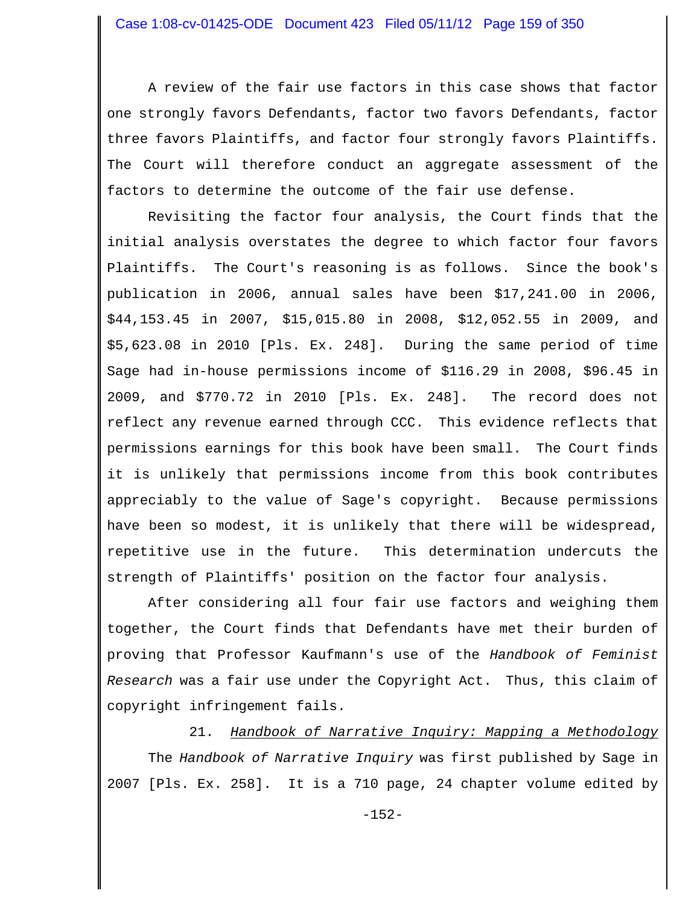A review of the fair use factors in this case shows that factor one strongly favors Defendants, factor two favors Defendants, factor three favors Plaintiffs, and factor four strongly favors Plaintiffs. The Court will therefore conduct an aggregate assessment of the factors to determine the outcome of the fair use defense.

Revisiting the factor four analysis, the Court finds that the initial analysis overstates the degree to which factor four favors Plaintiffs. The Court's reasoning is as follows. Since the book's publication in 2006, annual sales have been \$17,241.00 in 2006, \$44,153.45 in 2007, \$15,015.80 in 2008, \$12,052.55 in 2009, and \$5,623.08 in 2010 [Pls. Ex. 248]. During the same period of time Sage had in-house permissions income of \$116.29 in 2008, \$96.45 in 2009, and \$770.72 in 2010 [Pls. Ex. 248]. The record does not reflect any revenue earned through CCC. This evidence reflects that permissions earnings for this book have been small. The Court finds it is unlikely that permissions income from this book contributes appreciably to the value of Sage's copyright. Because permissions have been so modest, it is unlikely that there will be widespread, repetitive use in the future. This determination undercuts the strength of Plaintiffs' position on the factor four analysis.

After considering all four fair use factors and weighing them together, the Court finds that Defendants have met their burden of proving that Professor Kaufmann's use of the *Handbook of Feminist Research* was a fair use under the Copyright Act. Thus, this claim of copyright infringement fails.

21. *Handbook of Narrative Inquiry: Mapping a Methodology*

The *Handbook of Narrative Inquiry* was first published by Sage in 2007 [Pls. Ex. 258]. It is a 710 page, 24 chapter volume edited by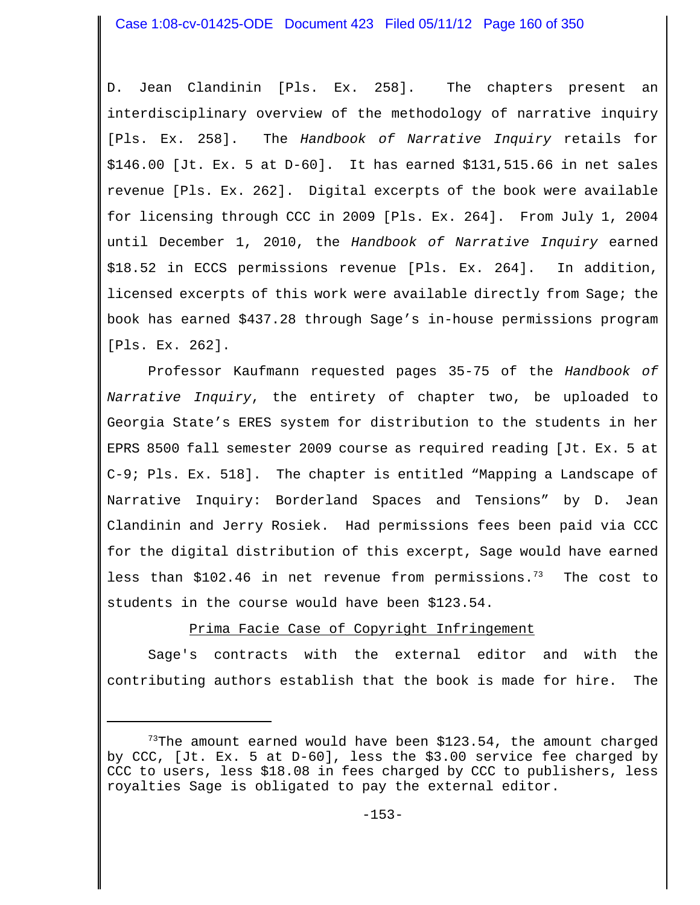D. Jean Clandinin [Pls. Ex. 258]. The chapters present an interdisciplinary overview of the methodology of narrative inquiry [Pls. Ex. 258]. The *Handbook of Narrative Inquiry* retails for \$146.00 [Jt. Ex. 5 at D-60]. It has earned \$131,515.66 in net sales revenue [Pls. Ex. 262]. Digital excerpts of the book were available for licensing through CCC in 2009 [Pls. Ex. 264]. From July 1, 2004 until December 1, 2010, the *Handbook of Narrative Inquiry* earned \$18.52 in ECCS permissions revenue [Pls. Ex. 264]. In addition, licensed excerpts of this work were available directly from Sage; the book has earned \$437.28 through Sage's in-house permissions program [Pls. Ex. 262].

Professor Kaufmann requested pages 35-75 of the *Handbook of Narrative Inquiry*, the entirety of chapter two, be uploaded to Georgia State's ERES system for distribution to the students in her EPRS 8500 fall semester 2009 course as required reading [Jt. Ex. 5 at C-9; Pls. Ex. 518]. The chapter is entitled "Mapping a Landscape of Narrative Inquiry: Borderland Spaces and Tensions" by D. Jean Clandinin and Jerry Rosiek. Had permissions fees been paid via CCC for the digital distribution of this excerpt, Sage would have earned less than \$102.46 in net revenue from permissions.<sup>73</sup> The cost to students in the course would have been \$123.54.

# Prima Facie Case of Copyright Infringement

Sage's contracts with the external editor and with the contributing authors establish that the book is made for hire. The

 $73$ The amount earned would have been \$123.54, the amount charged by CCC, [Jt. Ex. 5 at D-60], less the \$3.00 service fee charged by CCC to users, less \$18.08 in fees charged by CCC to publishers, less royalties Sage is obligated to pay the external editor.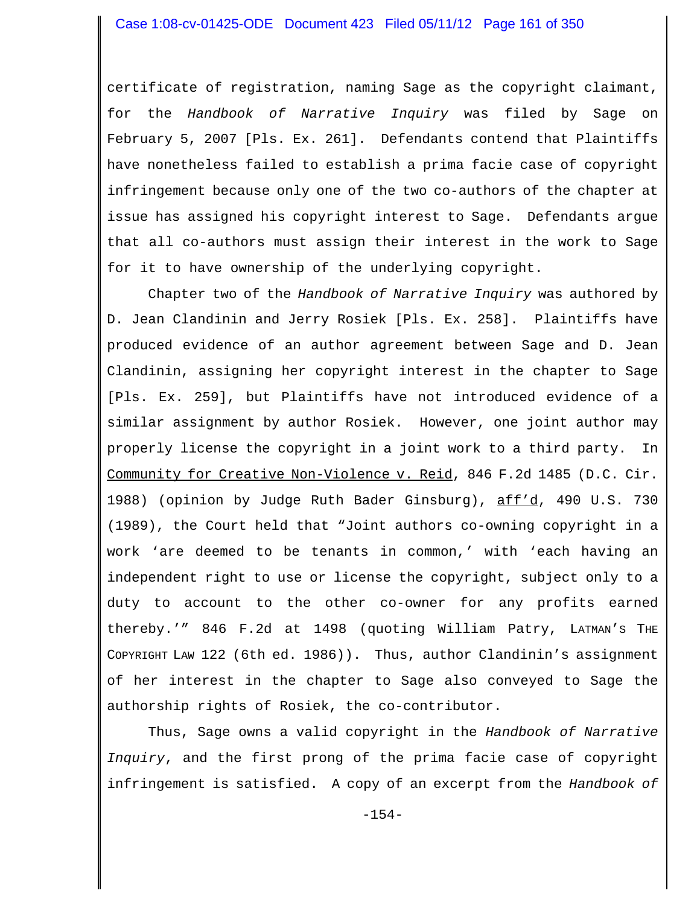certificate of registration, naming Sage as the copyright claimant, for the *Handbook of Narrative Inquiry* was filed by Sage on February 5, 2007 [Pls. Ex. 261]. Defendants contend that Plaintiffs have nonetheless failed to establish a prima facie case of copyright infringement because only one of the two co-authors of the chapter at issue has assigned his copyright interest to Sage. Defendants argue that all co-authors must assign their interest in the work to Sage for it to have ownership of the underlying copyright.

Chapter two of the *Handbook of Narrative Inquiry* was authored by D. Jean Clandinin and Jerry Rosiek [Pls. Ex. 258]. Plaintiffs have produced evidence of an author agreement between Sage and D. Jean Clandinin, assigning her copyright interest in the chapter to Sage [Pls. Ex. 259], but Plaintiffs have not introduced evidence of a similar assignment by author Rosiek. However, one joint author may properly license the copyright in a joint work to a third party. In Community for Creative Non-Violence v. Reid, 846 F.2d 1485 (D.C. Cir. 1988) (opinion by Judge Ruth Bader Ginsburg), aff'd, 490 U.S. 730 (1989), the Court held that "Joint authors co-owning copyright in a work 'are deemed to be tenants in common,' with 'each having an independent right to use or license the copyright, subject only to a duty to account to the other co-owner for any profits earned thereby.'" 846 F.2d at 1498 (quoting William Patry, LATMAN'S THE COPYRIGHT LAW 122 (6th ed. 1986)). Thus, author Clandinin's assignment of her interest in the chapter to Sage also conveyed to Sage the authorship rights of Rosiek, the co-contributor.

Thus, Sage owns a valid copyright in the *Handbook of Narrative Inquiry*, and the first prong of the prima facie case of copyright infringement is satisfied. A copy of an excerpt from the *Handbook of*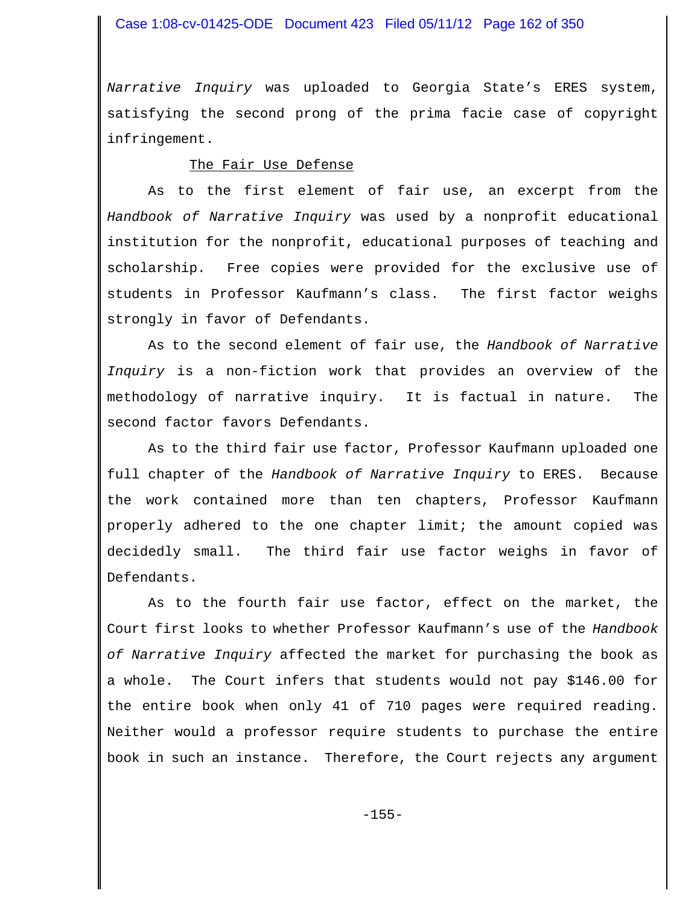## Case 1:08-cv-01425-ODE Document 423 Filed 05/11/12 Page 162 of 350

*Narrative Inquiry* was uploaded to Georgia State's ERES system, satisfying the second prong of the prima facie case of copyright infringement.

#### The Fair Use Defense

As to the first element of fair use, an excerpt from the *Handbook of Narrative Inquiry* was used by a nonprofit educational institution for the nonprofit, educational purposes of teaching and scholarship. Free copies were provided for the exclusive use of students in Professor Kaufmann's class. The first factor weighs strongly in favor of Defendants.

As to the second element of fair use, the *Handbook of Narrative Inquiry* is a non-fiction work that provides an overview of the methodology of narrative inquiry. It is factual in nature. The second factor favors Defendants.

As to the third fair use factor, Professor Kaufmann uploaded one full chapter of the *Handbook of Narrative Inquiry* to ERES. Because the work contained more than ten chapters, Professor Kaufmann properly adhered to the one chapter limit; the amount copied was decidedly small. The third fair use factor weighs in favor of Defendants.

As to the fourth fair use factor, effect on the market, the Court first looks to whether Professor Kaufmann's use of the *Handbook of Narrative Inquiry* affected the market for purchasing the book as a whole. The Court infers that students would not pay \$146.00 for the entire book when only 41 of 710 pages were required reading. Neither would a professor require students to purchase the entire book in such an instance. Therefore, the Court rejects any argument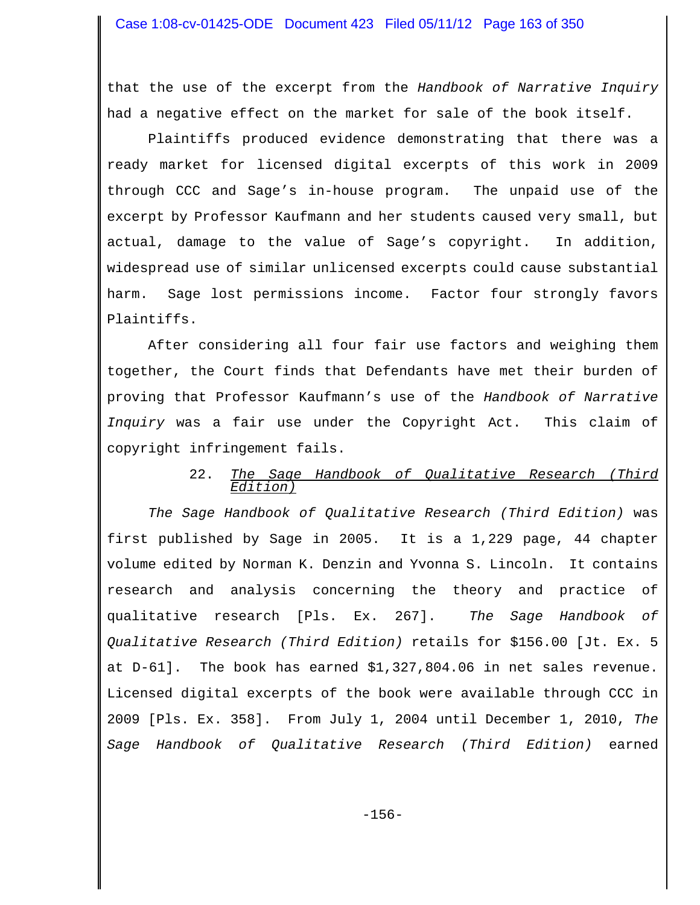that the use of the excerpt from the *Handbook of Narrative Inquiry* had a negative effect on the market for sale of the book itself.

Plaintiffs produced evidence demonstrating that there was a ready market for licensed digital excerpts of this work in 2009 through CCC and Sage's in-house program. The unpaid use of the excerpt by Professor Kaufmann and her students caused very small, but actual, damage to the value of Sage's copyright. In addition, widespread use of similar unlicensed excerpts could cause substantial harm. Sage lost permissions income. Factor four strongly favors Plaintiffs.

After considering all four fair use factors and weighing them together, the Court finds that Defendants have met their burden of proving that Professor Kaufmann's use of the *Handbook of Narrative Inquiry* was a fair use under the Copyright Act. This claim of copyright infringement fails.

## 22. *The Sage Handbook of Qualitative Research (Third Edition)*

*The Sage Handbook of Qualitative Research (Third Edition)* was first published by Sage in 2005. It is a 1,229 page, 44 chapter volume edited by Norman K. Denzin and Yvonna S. Lincoln. It contains research and analysis concerning the theory and practice of qualitative research [Pls. Ex. 267]. *The Sage Handbook of Qualitative Research (Third Edition)* retails for \$156.00 [Jt. Ex. 5 at D-61]. The book has earned \$1,327,804.06 in net sales revenue. Licensed digital excerpts of the book were available through CCC in 2009 [Pls. Ex. 358]. From July 1, 2004 until December 1, 2010, *The Sage Handbook of Qualitative Research (Third Edition)* earned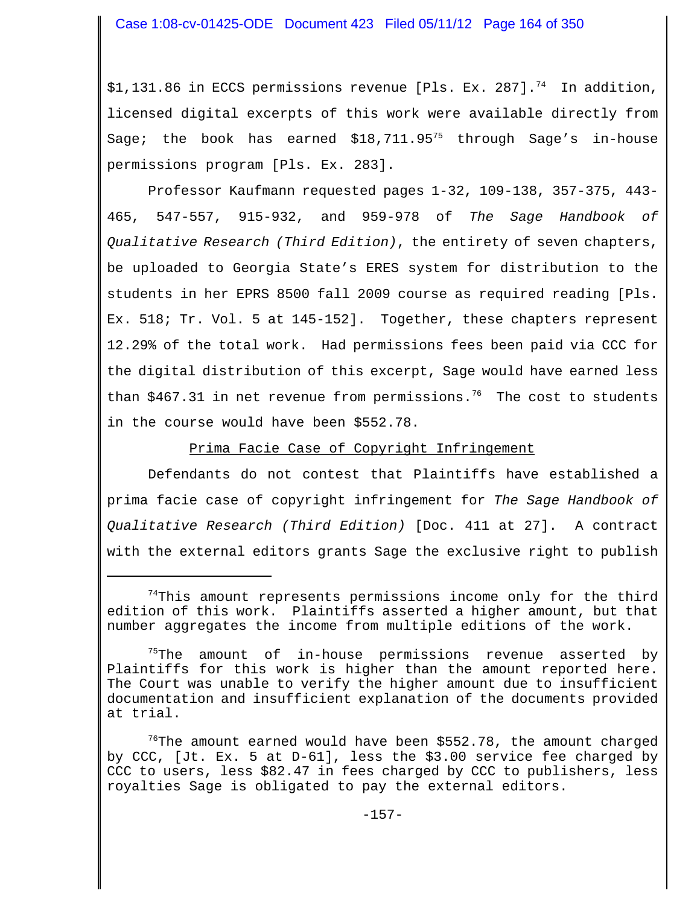\$1,131.86 in ECCS permissions revenue [Pls. Ex. 287].<sup>74</sup> In addition, licensed digital excerpts of this work were available directly from Sage; the book has earned  $$18,711.95^{75}$  through Sage's in-house permissions program [Pls. Ex. 283].

Professor Kaufmann requested pages 1-32, 109-138, 357-375, 443- 465, 547-557, 915-932, and 959-978 of *The Sage Handbook of Qualitative Research (Third Edition)*, the entirety of seven chapters, be uploaded to Georgia State's ERES system for distribution to the students in her EPRS 8500 fall 2009 course as required reading [Pls. Ex. 518; Tr. Vol. 5 at 145-152]. Together, these chapters represent 12.29% of the total work. Had permissions fees been paid via CCC for the digital distribution of this excerpt, Sage would have earned less than \$467.31 in net revenue from permissions.<sup>76</sup> The cost to students in the course would have been \$552.78.

Prima Facie Case of Copyright Infringement

Defendants do not contest that Plaintiffs have established a prima facie case of copyright infringement for *The Sage Handbook of Qualitative Research (Third Edition)* [Doc. 411 at 27]. A contract with the external editors grants Sage the exclusive right to publish

 $74$ This amount represents permissions income only for the third edition of this work. Plaintiffs asserted a higher amount, but that number aggregates the income from multiple editions of the work.

<sup>&</sup>lt;sup>75</sup>The amount of in-house permissions revenue asserted by Plaintiffs for this work is higher than the amount reported here. The Court was unable to verify the higher amount due to insufficient documentation and insufficient explanation of the documents provided at trial.

 $76$ The amount earned would have been \$552.78, the amount charged by CCC, [Jt. Ex. 5 at D-61], less the \$3.00 service fee charged by CCC to users, less \$82.47 in fees charged by CCC to publishers, less royalties Sage is obligated to pay the external editors.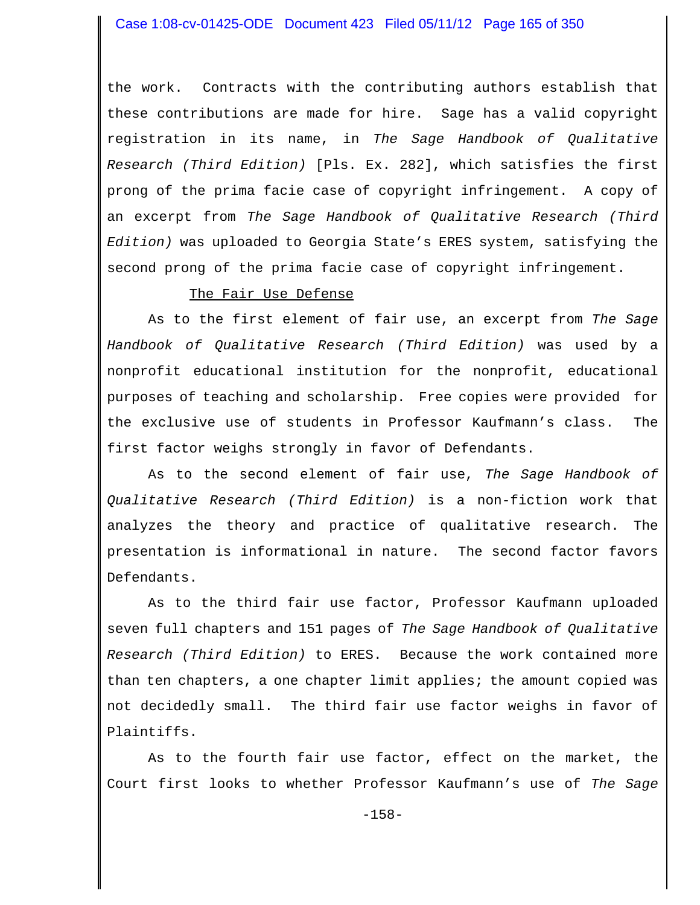the work. Contracts with the contributing authors establish that these contributions are made for hire. Sage has a valid copyright registration in its name, in *The Sage Handbook of Qualitative Research (Third Edition)* [Pls. Ex. 282], which satisfies the first prong of the prima facie case of copyright infringement. A copy of an excerpt from *The Sage Handbook of Qualitative Research (Third Edition)* was uploaded to Georgia State's ERES system, satisfying the second prong of the prima facie case of copyright infringement.

#### The Fair Use Defense

As to the first element of fair use, an excerpt from *The Sage Handbook of Qualitative Research (Third Edition)* was used by a nonprofit educational institution for the nonprofit, educational purposes of teaching and scholarship. Free copies were provided for the exclusive use of students in Professor Kaufmann's class. The first factor weighs strongly in favor of Defendants.

As to the second element of fair use, *The Sage Handbook of Qualitative Research (Third Edition)* is a non-fiction work that analyzes the theory and practice of qualitative research. The presentation is informational in nature. The second factor favors Defendants.

As to the third fair use factor, Professor Kaufmann uploaded seven full chapters and 151 pages of *The Sage Handbook of Qualitative Research (Third Edition)* to ERES. Because the work contained more than ten chapters, a one chapter limit applies; the amount copied was not decidedly small. The third fair use factor weighs in favor of Plaintiffs.

As to the fourth fair use factor, effect on the market, the Court first looks to whether Professor Kaufmann's use of *The Sage*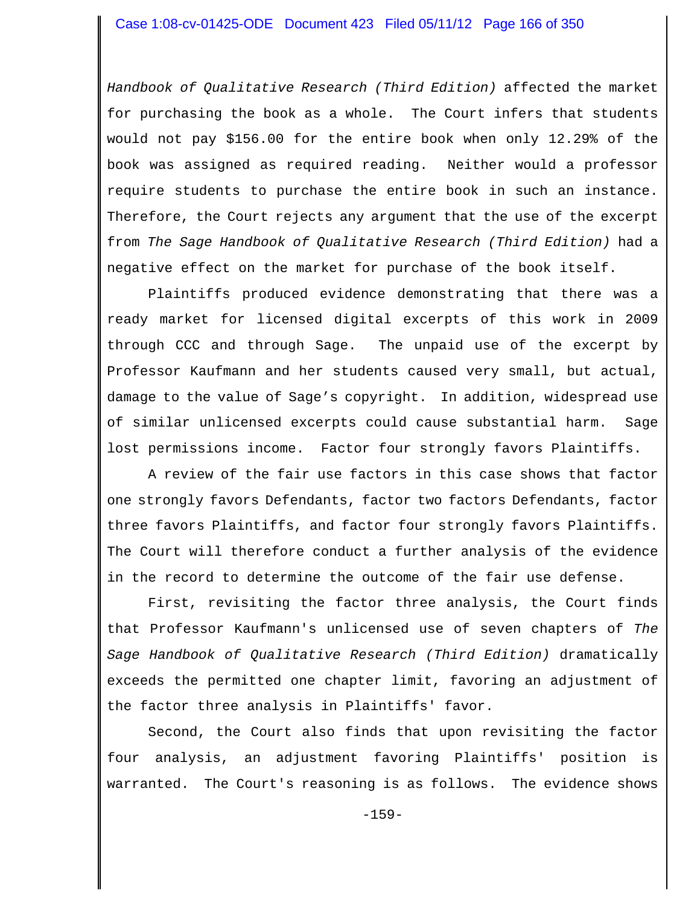*Handbook of Qualitative Research (Third Edition)* affected the market for purchasing the book as a whole. The Court infers that students would not pay \$156.00 for the entire book when only 12.29% of the book was assigned as required reading. Neither would a professor require students to purchase the entire book in such an instance. Therefore, the Court rejects any argument that the use of the excerpt from *The Sage Handbook of Qualitative Research (Third Edition)* had a negative effect on the market for purchase of the book itself.

Plaintiffs produced evidence demonstrating that there was a ready market for licensed digital excerpts of this work in 2009 through CCC and through Sage. The unpaid use of the excerpt by Professor Kaufmann and her students caused very small, but actual, damage to the value of Sage's copyright. In addition, widespread use of similar unlicensed excerpts could cause substantial harm. Sage lost permissions income. Factor four strongly favors Plaintiffs.

A review of the fair use factors in this case shows that factor one strongly favors Defendants, factor two factors Defendants, factor three favors Plaintiffs, and factor four strongly favors Plaintiffs. The Court will therefore conduct a further analysis of the evidence in the record to determine the outcome of the fair use defense.

First, revisiting the factor three analysis, the Court finds that Professor Kaufmann's unlicensed use of seven chapters of *The Sage Handbook of Qualitative Research (Third Edition)* dramatically exceeds the permitted one chapter limit, favoring an adjustment of the factor three analysis in Plaintiffs' favor.

Second, the Court also finds that upon revisiting the factor four analysis, an adjustment favoring Plaintiffs' position is warranted. The Court's reasoning is as follows. The evidence shows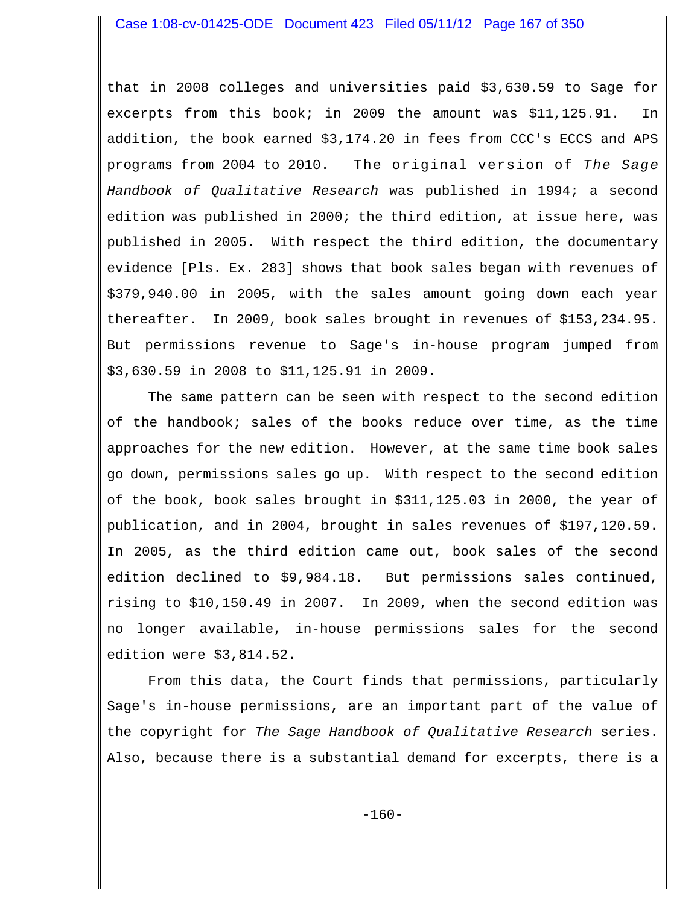that in 2008 colleges and universities paid \$3,630.59 to Sage for excerpts from this book; in 2009 the amount was \$11,125.91. In addition, the book earned \$3,174.20 in fees from CCC's ECCS and APS programs from 2004 to 2010. The original version of *The Sage Handbook of Qualitative Research* was published in 1994; a second edition was published in 2000; the third edition, at issue here, was published in 2005. With respect the third edition, the documentary evidence [Pls. Ex. 283] shows that book sales began with revenues of \$379,940.00 in 2005, with the sales amount going down each year thereafter. In 2009, book sales brought in revenues of \$153,234.95. But permissions revenue to Sage's in-house program jumped from \$3,630.59 in 2008 to \$11,125.91 in 2009.

The same pattern can be seen with respect to the second edition of the handbook; sales of the books reduce over time, as the time approaches for the new edition. However, at the same time book sales go down, permissions sales go up. With respect to the second edition of the book, book sales brought in \$311,125.03 in 2000, the year of publication, and in 2004, brought in sales revenues of \$197,120.59. In 2005, as the third edition came out, book sales of the second edition declined to \$9,984.18. But permissions sales continued, rising to \$10,150.49 in 2007. In 2009, when the second edition was no longer available, in-house permissions sales for the second edition were \$3,814.52.

From this data, the Court finds that permissions, particularly Sage's in-house permissions, are an important part of the value of the copyright for *The Sage Handbook of Qualitative Research* series. Also, because there is a substantial demand for excerpts, there is a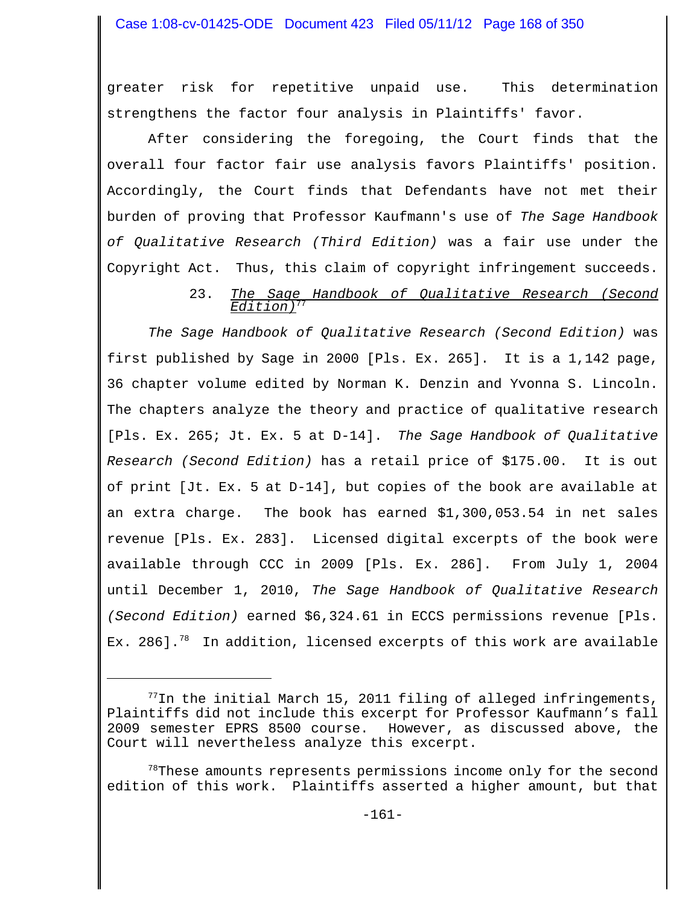greater risk for repetitive unpaid use. This determination strengthens the factor four analysis in Plaintiffs' favor.

After considering the foregoing, the Court finds that the overall four factor fair use analysis favors Plaintiffs' position. Accordingly, the Court finds that Defendants have not met their burden of proving that Professor Kaufmann's use of *The Sage Handbook of Qualitative Research (Third Edition)* was a fair use under the Copyright Act. Thus, this claim of copyright infringement succeeds.

#### 23. *The Sage Handbook of Qualitative Research (Second Edition)*77

*The Sage Handbook of Qualitative Research (Second Edition)* was first published by Sage in 2000 [Pls. Ex. 265]. It is a 1,142 page, 36 chapter volume edited by Norman K. Denzin and Yvonna S. Lincoln. The chapters analyze the theory and practice of qualitative research [Pls. Ex. 265; Jt. Ex. 5 at D-14]. *The Sage Handbook of Qualitative Research (Second Edition)* has a retail price of \$175.00. It is out of print [Jt. Ex. 5 at D-14], but copies of the book are available at an extra charge. The book has earned \$1,300,053.54 in net sales revenue [Pls. Ex. 283]. Licensed digital excerpts of the book were available through CCC in 2009 [Pls. Ex. 286]. From July 1, 2004 until December 1, 2010, *The Sage Handbook of Qualitative Research (Second Edition)* earned \$6,324.61 in ECCS permissions revenue [Pls. Ex. 286].<sup>78</sup> In addition, licensed excerpts of this work are available

 $^{77}$ In the initial March 15, 2011 filing of alleged infringements, Plaintiffs did not include this excerpt for Professor Kaufmann's fall 2009 semester EPRS 8500 course. However, as discussed above, the Court will nevertheless analyze this excerpt.

 $78$ These amounts represents permissions income only for the second edition of this work. Plaintiffs asserted a higher amount, but that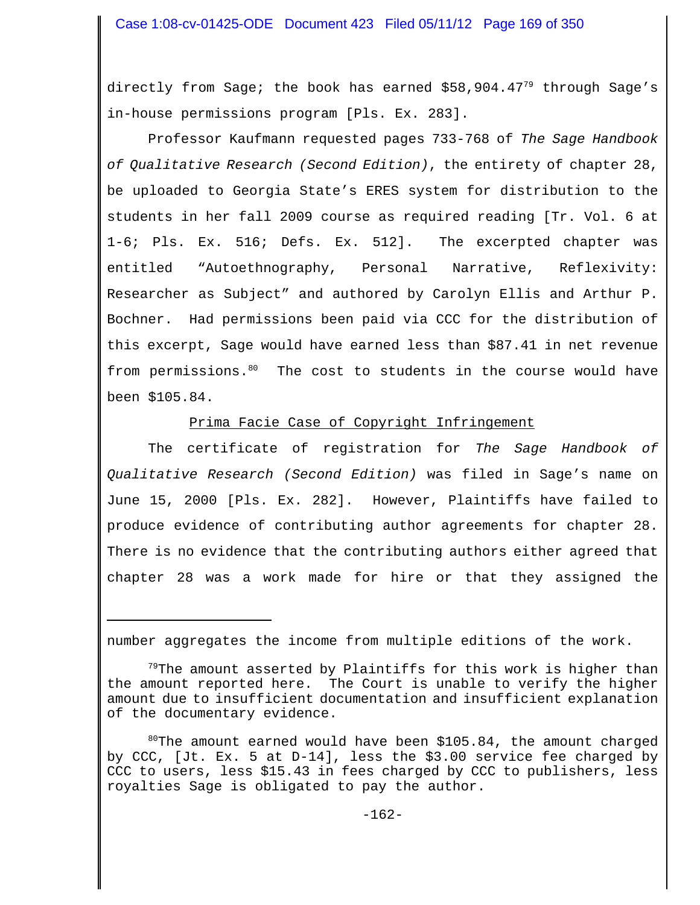directly from Sage; the book has earned  $$58,904.47<sup>79</sup>$  through Sage's in-house permissions program [Pls. Ex. 283].

Professor Kaufmann requested pages 733-768 of *The Sage Handbook of Qualitative Research (Second Edition)*, the entirety of chapter 28, be uploaded to Georgia State's ERES system for distribution to the students in her fall 2009 course as required reading [Tr. Vol. 6 at 1-6; Pls. Ex. 516; Defs. Ex. 512]. The excerpted chapter was entitled "Autoethnography, Personal Narrative, Reflexivity: Researcher as Subject" and authored by Carolyn Ellis and Arthur P. Bochner. Had permissions been paid via CCC for the distribution of this excerpt, Sage would have earned less than \$87.41 in net revenue from permissions.<sup>80</sup> The cost to students in the course would have been \$105.84.

#### Prima Facie Case of Copyright Infringement

The certificate of registration for *The Sage Handbook of Qualitative Research (Second Edition)* was filed in Sage's name on June 15, 2000 [Pls. Ex. 282]. However, Plaintiffs have failed to produce evidence of contributing author agreements for chapter 28. There is no evidence that the contributing authors either agreed that chapter 28 was a work made for hire or that they assigned the

number aggregates the income from multiple editions of the work.

 $80^{\circ}$ The amount earned would have been \$105.84, the amount charged by CCC, [Jt. Ex. 5 at D-14], less the \$3.00 service fee charged by CCC to users, less \$15.43 in fees charged by CCC to publishers, less royalties Sage is obligated to pay the author.

<sup>&</sup>lt;sup>79</sup>The amount asserted by Plaintiffs for this work is higher than the amount reported here. The Court is unable to verify the higher amount due to insufficient documentation and insufficient explanation of the documentary evidence.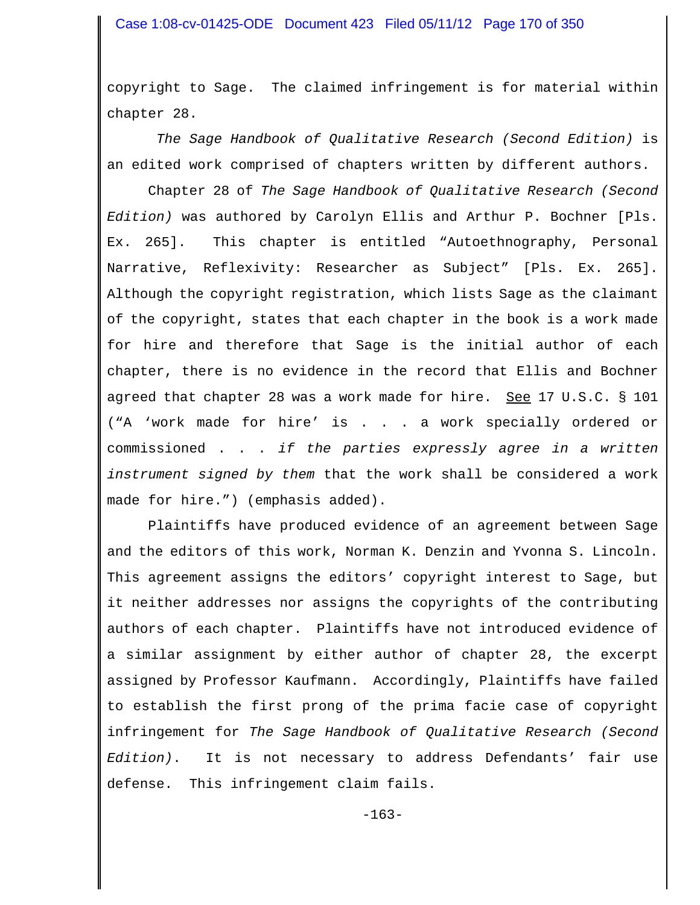copyright to Sage. The claimed infringement is for material within chapter 28.

*The Sage Handbook of Qualitative Research (Second Edition)* is an edited work comprised of chapters written by different authors.

Chapter 28 of *The Sage Handbook of Qualitative Research (Second Edition)* was authored by Carolyn Ellis and Arthur P. Bochner [Pls. Ex. 265]. This chapter is entitled "Autoethnography, Personal Narrative, Reflexivity: Researcher as Subject" [Pls. Ex. 265]. Although the copyright registration, which lists Sage as the claimant of the copyright, states that each chapter in the book is a work made for hire and therefore that Sage is the initial author of each chapter, there is no evidence in the record that Ellis and Bochner agreed that chapter 28 was a work made for hire. See 17 U.S.C. § 101 ("A 'work made for hire' is . . . a work specially ordered or commissioned . . . *if the parties expressly agree in a written instrument signed by them* that the work shall be considered a work made for hire.") (emphasis added).

Plaintiffs have produced evidence of an agreement between Sage and the editors of this work, Norman K. Denzin and Yvonna S. Lincoln. This agreement assigns the editors' copyright interest to Sage, but it neither addresses nor assigns the copyrights of the contributing authors of each chapter. Plaintiffs have not introduced evidence of a similar assignment by either author of chapter 28, the excerpt assigned by Professor Kaufmann. Accordingly, Plaintiffs have failed to establish the first prong of the prima facie case of copyright infringement for *The Sage Handbook of Qualitative Research (Second Edition)*. It is not necessary to address Defendants' fair use defense. This infringement claim fails.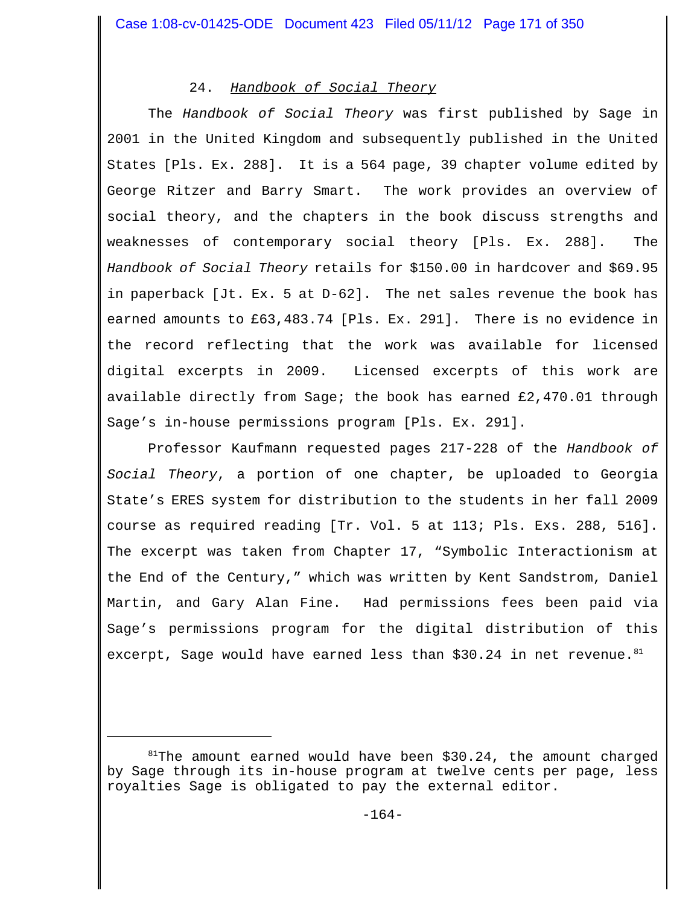# 24. *Handbook of Social Theory*

The *Handbook of Social Theory* was first published by Sage in 2001 in the United Kingdom and subsequently published in the United States [Pls. Ex. 288]. It is a 564 page, 39 chapter volume edited by George Ritzer and Barry Smart. The work provides an overview of social theory, and the chapters in the book discuss strengths and weaknesses of contemporary social theory [Pls. Ex. 288]. The *Handbook of Social Theory* retails for \$150.00 in hardcover and \$69.95 in paperback [Jt. Ex. 5 at D-62]. The net sales revenue the book has earned amounts to £63,483.74 [Pls. Ex. 291]. There is no evidence in the record reflecting that the work was available for licensed digital excerpts in 2009. Licensed excerpts of this work are available directly from Sage; the book has earned £2,470.01 through Sage's in-house permissions program [Pls. Ex. 291].

Professor Kaufmann requested pages 217-228 of the *Handbook of Social Theory*, a portion of one chapter, be uploaded to Georgia State's ERES system for distribution to the students in her fall 2009 course as required reading [Tr. Vol. 5 at 113; Pls. Exs. 288, 516]. The excerpt was taken from Chapter 17, "Symbolic Interactionism at the End of the Century," which was written by Kent Sandstrom, Daniel Martin, and Gary Alan Fine. Had permissions fees been paid via Sage's permissions program for the digital distribution of this excerpt, Sage would have earned less than  $$30.24$  in net revenue.  $81$ 

 $81$ <sup>81</sup>The amount earned would have been \$30.24, the amount charged by Sage through its in-house program at twelve cents per page, less royalties Sage is obligated to pay the external editor.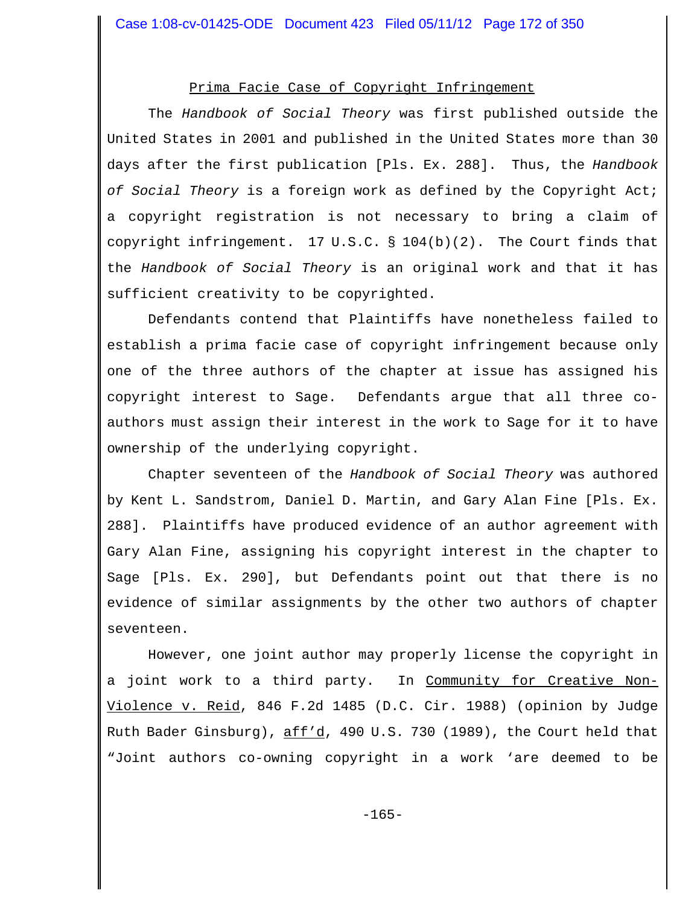# Prima Facie Case of Copyright Infringement

The *Handbook of Social Theory* was first published outside the United States in 2001 and published in the United States more than 30 days after the first publication [Pls. Ex. 288]. Thus, the *Handbook of Social Theory* is a foreign work as defined by the Copyright Act; a copyright registration is not necessary to bring a claim of copyright infringement. 17 U.S.C.  $\S$  104(b)(2). The Court finds that the *Handbook of Social Theory* is an original work and that it has sufficient creativity to be copyrighted.

Defendants contend that Plaintiffs have nonetheless failed to establish a prima facie case of copyright infringement because only one of the three authors of the chapter at issue has assigned his copyright interest to Sage. Defendants argue that all three coauthors must assign their interest in the work to Sage for it to have ownership of the underlying copyright.

Chapter seventeen of the *Handbook of Social Theory* was authored by Kent L. Sandstrom, Daniel D. Martin, and Gary Alan Fine [Pls. Ex. 288]. Plaintiffs have produced evidence of an author agreement with Gary Alan Fine, assigning his copyright interest in the chapter to Sage [Pls. Ex. 290], but Defendants point out that there is no evidence of similar assignments by the other two authors of chapter seventeen.

However, one joint author may properly license the copyright in a joint work to a third party. In Community for Creative Non-Violence v. Reid, 846 F.2d 1485 (D.C. Cir. 1988) (opinion by Judge Ruth Bader Ginsburg), aff'd, 490 U.S. 730 (1989), the Court held that "Joint authors co-owning copyright in a work 'are deemed to be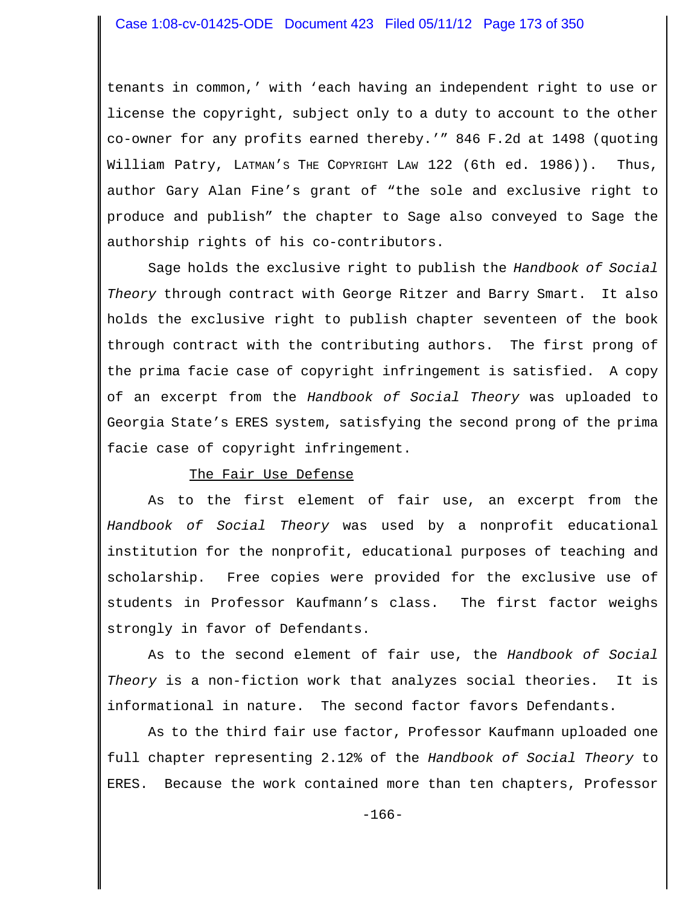tenants in common,' with 'each having an independent right to use or license the copyright, subject only to a duty to account to the other co-owner for any profits earned thereby.'" 846 F.2d at 1498 (quoting William Patry, LATMAN'S THE COPYRIGHT LAW 122 (6th ed. 1986)). Thus, author Gary Alan Fine's grant of "the sole and exclusive right to produce and publish" the chapter to Sage also conveyed to Sage the authorship rights of his co-contributors.

Sage holds the exclusive right to publish the *Handbook of Social Theory* through contract with George Ritzer and Barry Smart. It also holds the exclusive right to publish chapter seventeen of the book through contract with the contributing authors. The first prong of the prima facie case of copyright infringement is satisfied. A copy of an excerpt from the *Handbook of Social Theory* was uploaded to Georgia State's ERES system, satisfying the second prong of the prima facie case of copyright infringement.

# The Fair Use Defense

As to the first element of fair use, an excerpt from the *Handbook of Social Theory* was used by a nonprofit educational institution for the nonprofit, educational purposes of teaching and scholarship. Free copies were provided for the exclusive use of students in Professor Kaufmann's class. The first factor weighs strongly in favor of Defendants.

As to the second element of fair use, the *Handbook of Social Theory* is a non-fiction work that analyzes social theories. It is informational in nature. The second factor favors Defendants.

As to the third fair use factor, Professor Kaufmann uploaded one full chapter representing 2.12% of the *Handbook of Social Theory* to ERES. Because the work contained more than ten chapters, Professor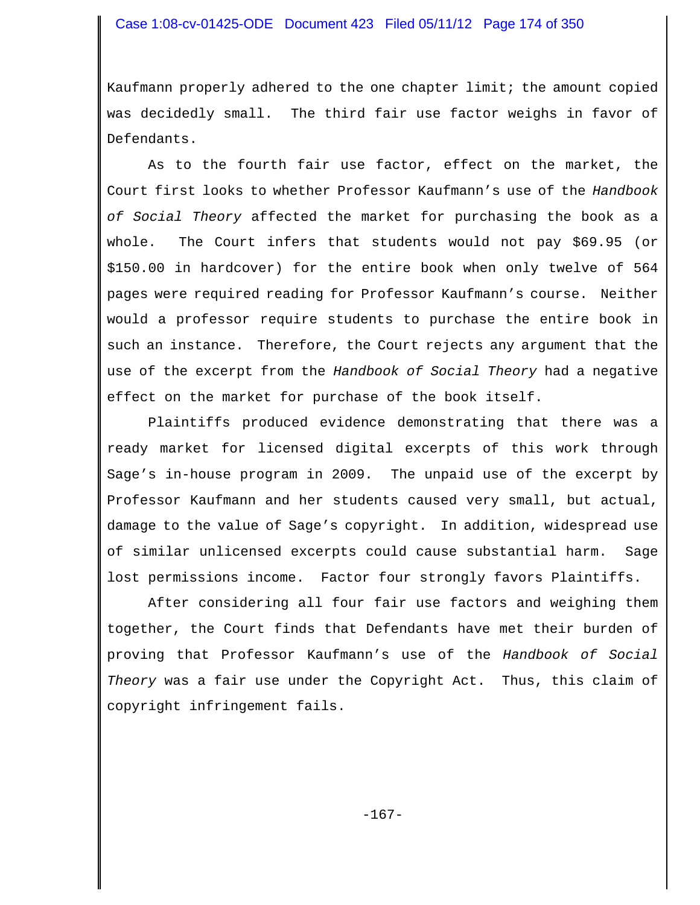Kaufmann properly adhered to the one chapter limit; the amount copied was decidedly small. The third fair use factor weighs in favor of Defendants.

As to the fourth fair use factor, effect on the market, the Court first looks to whether Professor Kaufmann's use of the *Handbook of Social Theory* affected the market for purchasing the book as a whole. The Court infers that students would not pay \$69.95 (or \$150.00 in hardcover) for the entire book when only twelve of 564 pages were required reading for Professor Kaufmann's course. Neither would a professor require students to purchase the entire book in such an instance. Therefore, the Court rejects any argument that the use of the excerpt from the *Handbook of Social Theory* had a negative effect on the market for purchase of the book itself.

Plaintiffs produced evidence demonstrating that there was a ready market for licensed digital excerpts of this work through Sage's in-house program in 2009. The unpaid use of the excerpt by Professor Kaufmann and her students caused very small, but actual, damage to the value of Sage's copyright. In addition, widespread use of similar unlicensed excerpts could cause substantial harm. Sage lost permissions income. Factor four strongly favors Plaintiffs.

After considering all four fair use factors and weighing them together, the Court finds that Defendants have met their burden of proving that Professor Kaufmann's use of the *Handbook of Social Theory* was a fair use under the Copyright Act. Thus, this claim of copyright infringement fails.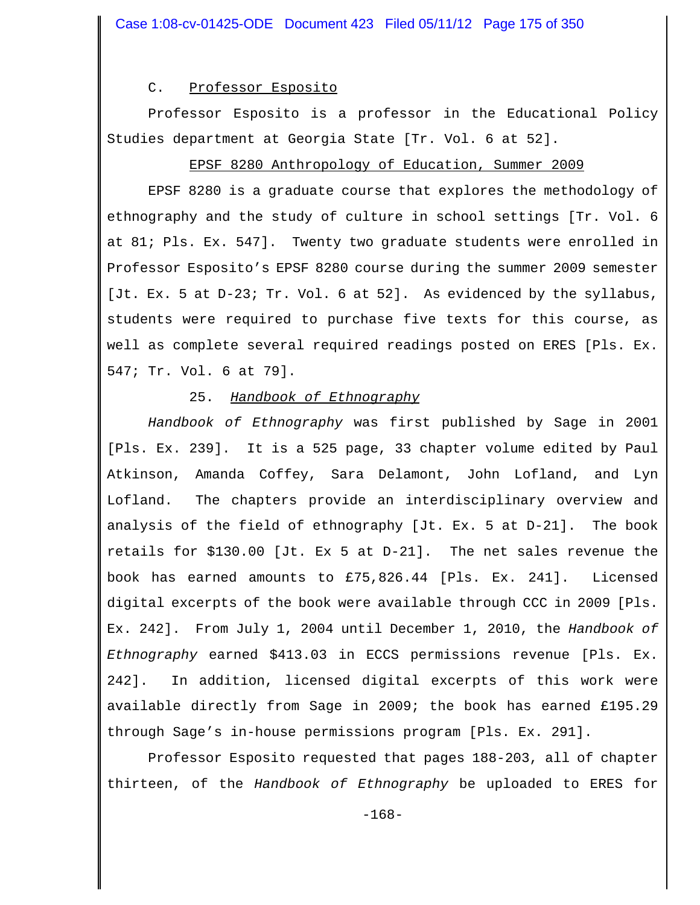C. Professor Esposito

Professor Esposito is a professor in the Educational Policy Studies department at Georgia State [Tr. Vol. 6 at 52].

#### EPSF 8280 Anthropology of Education, Summer 2009

EPSF 8280 is a graduate course that explores the methodology of ethnography and the study of culture in school settings [Tr. Vol. 6 at 81; Pls. Ex. 547]. Twenty two graduate students were enrolled in Professor Esposito's EPSF 8280 course during the summer 2009 semester [Jt. Ex. 5 at D-23; Tr. Vol. 6 at 52]. As evidenced by the syllabus, students were required to purchase five texts for this course, as well as complete several required readings posted on ERES [Pls. Ex. 547; Tr. Vol. 6 at 79].

## 25. *Handbook of Ethnography*

*Handbook of Ethnography* was first published by Sage in 2001 [Pls. Ex. 239]. It is a 525 page, 33 chapter volume edited by Paul Atkinson, Amanda Coffey, Sara Delamont, John Lofland, and Lyn Lofland. The chapters provide an interdisciplinary overview and analysis of the field of ethnography [Jt. Ex. 5 at D-21]. The book retails for \$130.00 [Jt. Ex 5 at D-21]. The net sales revenue the book has earned amounts to £75,826.44 [Pls. Ex. 241]. Licensed digital excerpts of the book were available through CCC in 2009 [Pls. Ex. 242]. From July 1, 2004 until December 1, 2010, the *Handbook of Ethnography* earned \$413.03 in ECCS permissions revenue [Pls. Ex. 242]. In addition, licensed digital excerpts of this work were available directly from Sage in 2009; the book has earned £195.29 through Sage's in-house permissions program [Pls. Ex. 291].

Professor Esposito requested that pages 188-203, all of chapter thirteen, of the *Handbook of Ethnography* be uploaded to ERES for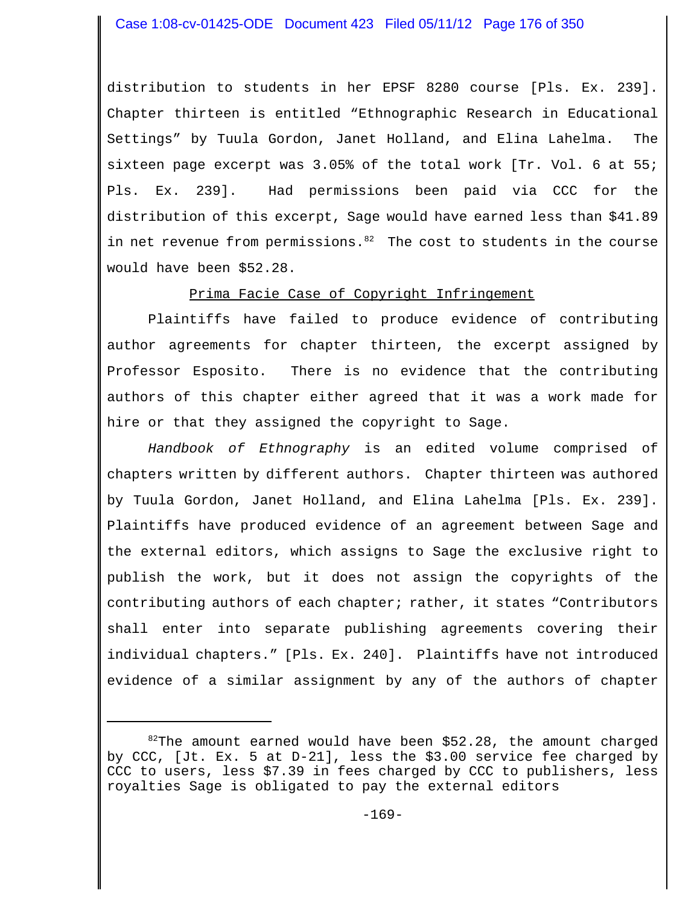distribution to students in her EPSF 8280 course [Pls. Ex. 239]. Chapter thirteen is entitled "Ethnographic Research in Educational Settings" by Tuula Gordon, Janet Holland, and Elina Lahelma. The sixteen page excerpt was 3.05% of the total work [Tr. Vol. 6 at 55; Pls. Ex. 239]. Had permissions been paid via CCC for the distribution of this excerpt, Sage would have earned less than \$41.89 in net revenue from permissions. $82$  The cost to students in the course would have been \$52.28.

Prima Facie Case of Copyright Infringement

Plaintiffs have failed to produce evidence of contributing author agreements for chapter thirteen, the excerpt assigned by Professor Esposito. There is no evidence that the contributing authors of this chapter either agreed that it was a work made for hire or that they assigned the copyright to Sage.

*Handbook of Ethnography* is an edited volume comprised of chapters written by different authors. Chapter thirteen was authored by Tuula Gordon, Janet Holland, and Elina Lahelma [Pls. Ex. 239]. Plaintiffs have produced evidence of an agreement between Sage and the external editors, which assigns to Sage the exclusive right to publish the work, but it does not assign the copyrights of the contributing authors of each chapter; rather, it states "Contributors shall enter into separate publishing agreements covering their individual chapters." [Pls. Ex. 240]. Plaintiffs have not introduced evidence of a similar assignment by any of the authors of chapter

 $82$ The amount earned would have been \$52.28, the amount charged by CCC, [Jt. Ex. 5 at D-21], less the \$3.00 service fee charged by CCC to users, less \$7.39 in fees charged by CCC to publishers, less royalties Sage is obligated to pay the external editors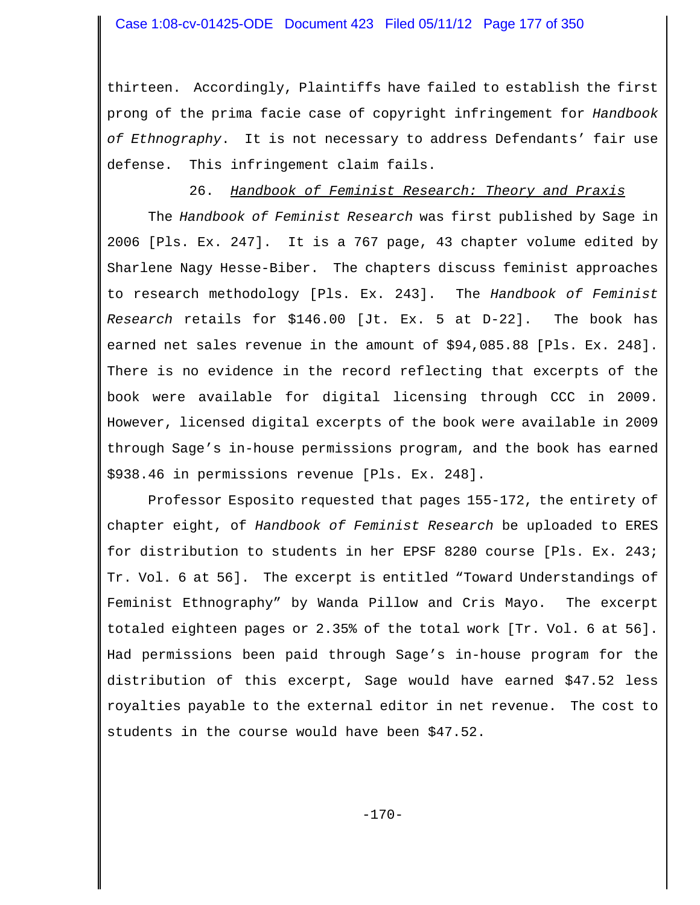thirteen. Accordingly, Plaintiffs have failed to establish the first prong of the prima facie case of copyright infringement for *Handbook of Ethnography*. It is not necessary to address Defendants' fair use defense. This infringement claim fails.

# 26. *Handbook of Feminist Research: Theory and Praxis*

The *Handbook of Feminist Research* was first published by Sage in 2006 [Pls. Ex. 247]. It is a 767 page, 43 chapter volume edited by Sharlene Nagy Hesse-Biber. The chapters discuss feminist approaches to research methodology [Pls. Ex. 243]. The *Handbook of Feminist Research* retails for \$146.00 [Jt. Ex. 5 at D-22]. The book has earned net sales revenue in the amount of \$94,085.88 [Pls. Ex. 248]. There is no evidence in the record reflecting that excerpts of the book were available for digital licensing through CCC in 2009. However, licensed digital excerpts of the book were available in 2009 through Sage's in-house permissions program, and the book has earned \$938.46 in permissions revenue [Pls. Ex. 248].

Professor Esposito requested that pages 155-172, the entirety of chapter eight, of *Handbook of Feminist Research* be uploaded to ERES for distribution to students in her EPSF 8280 course [Pls. Ex. 243; Tr. Vol. 6 at 56]. The excerpt is entitled "Toward Understandings of Feminist Ethnography" by Wanda Pillow and Cris Mayo. The excerpt totaled eighteen pages or 2.35% of the total work [Tr. Vol. 6 at 56]. Had permissions been paid through Sage's in-house program for the distribution of this excerpt, Sage would have earned \$47.52 less royalties payable to the external editor in net revenue. The cost to students in the course would have been \$47.52.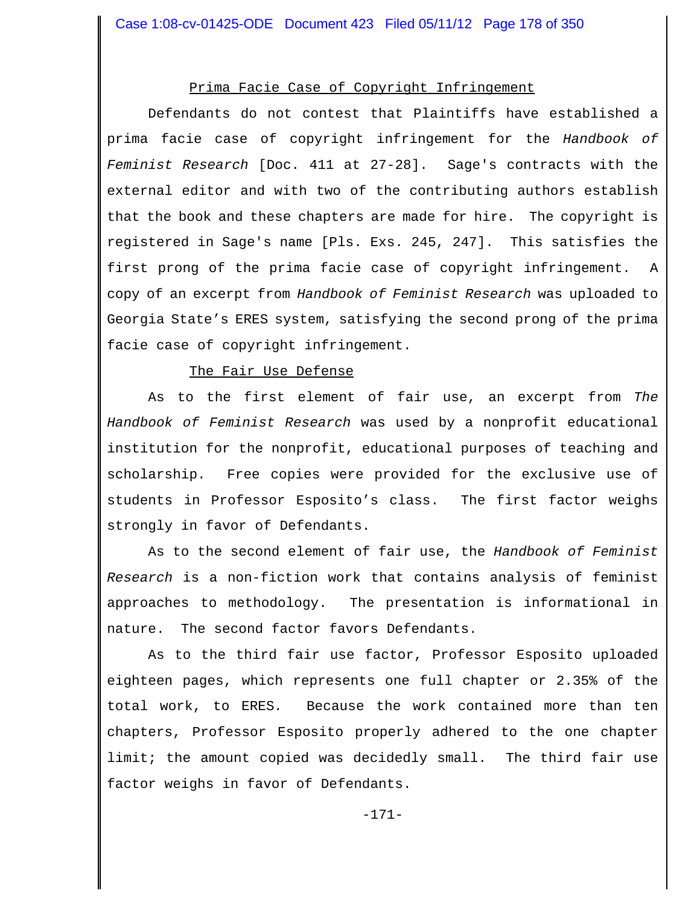# Prima Facie Case of Copyright Infringement

Defendants do not contest that Plaintiffs have established a prima facie case of copyright infringement for the *Handbook of Feminist Research* [Doc. 411 at 27-28]. Sage's contracts with the external editor and with two of the contributing authors establish that the book and these chapters are made for hire. The copyright is registered in Sage's name [Pls. Exs. 245, 247]. This satisfies the first prong of the prima facie case of copyright infringement. A copy of an excerpt from *Handbook of Feminist Research* was uploaded to Georgia State's ERES system, satisfying the second prong of the prima facie case of copyright infringement.

#### The Fair Use Defense

As to the first element of fair use, an excerpt from *The Handbook of Feminist Research* was used by a nonprofit educational institution for the nonprofit, educational purposes of teaching and scholarship. Free copies were provided for the exclusive use of students in Professor Esposito's class. The first factor weighs strongly in favor of Defendants.

As to the second element of fair use, the *Handbook of Feminist Research* is a non-fiction work that contains analysis of feminist approaches to methodology. The presentation is informational in nature. The second factor favors Defendants.

As to the third fair use factor, Professor Esposito uploaded eighteen pages, which represents one full chapter or 2.35% of the total work, to ERES*.* Because the work contained more than ten chapters, Professor Esposito properly adhered to the one chapter limit; the amount copied was decidedly small. The third fair use factor weighs in favor of Defendants.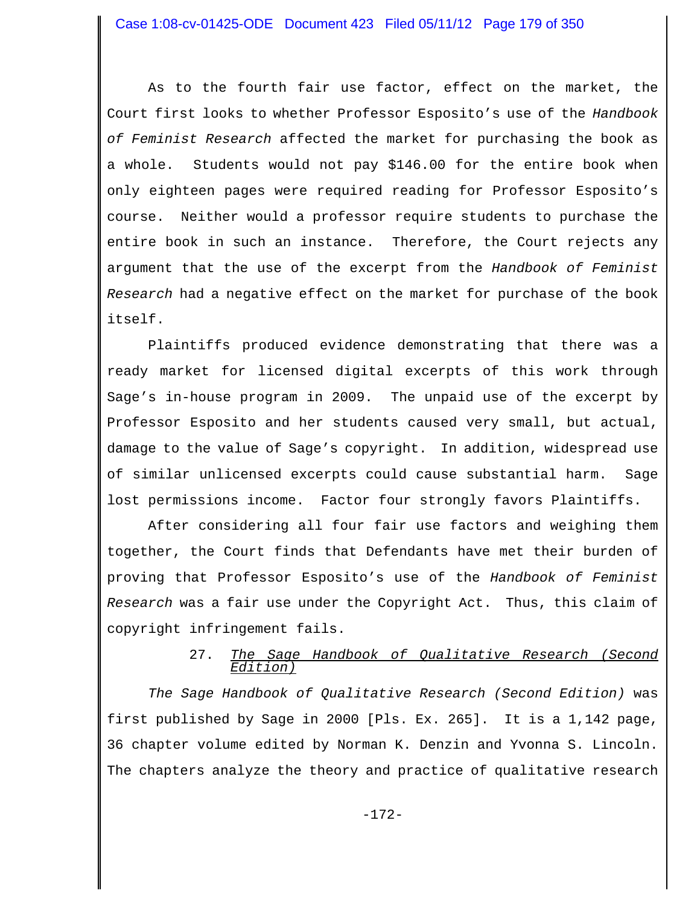As to the fourth fair use factor, effect on the market, the Court first looks to whether Professor Esposito's use of the *Handbook of Feminist Research* affected the market for purchasing the book as a whole. Students would not pay \$146.00 for the entire book when only eighteen pages were required reading for Professor Esposito's course. Neither would a professor require students to purchase the entire book in such an instance. Therefore, the Court rejects any argument that the use of the excerpt from the *Handbook of Feminist Research* had a negative effect on the market for purchase of the book itself.

Plaintiffs produced evidence demonstrating that there was a ready market for licensed digital excerpts of this work through Sage's in-house program in 2009. The unpaid use of the excerpt by Professor Esposito and her students caused very small, but actual, damage to the value of Sage's copyright. In addition, widespread use of similar unlicensed excerpts could cause substantial harm. Sage lost permissions income. Factor four strongly favors Plaintiffs.

After considering all four fair use factors and weighing them together, the Court finds that Defendants have met their burden of proving that Professor Esposito's use of the *Handbook of Feminist Research* was a fair use under the Copyright Act. Thus, this claim of copyright infringement fails.

## 27. *The Sage Handbook of Qualitative Research (Second Edition)*

*The Sage Handbook of Qualitative Research (Second Edition)* was first published by Sage in 2000 [Pls. Ex. 265]. It is a 1,142 page, 36 chapter volume edited by Norman K. Denzin and Yvonna S. Lincoln. The chapters analyze the theory and practice of qualitative research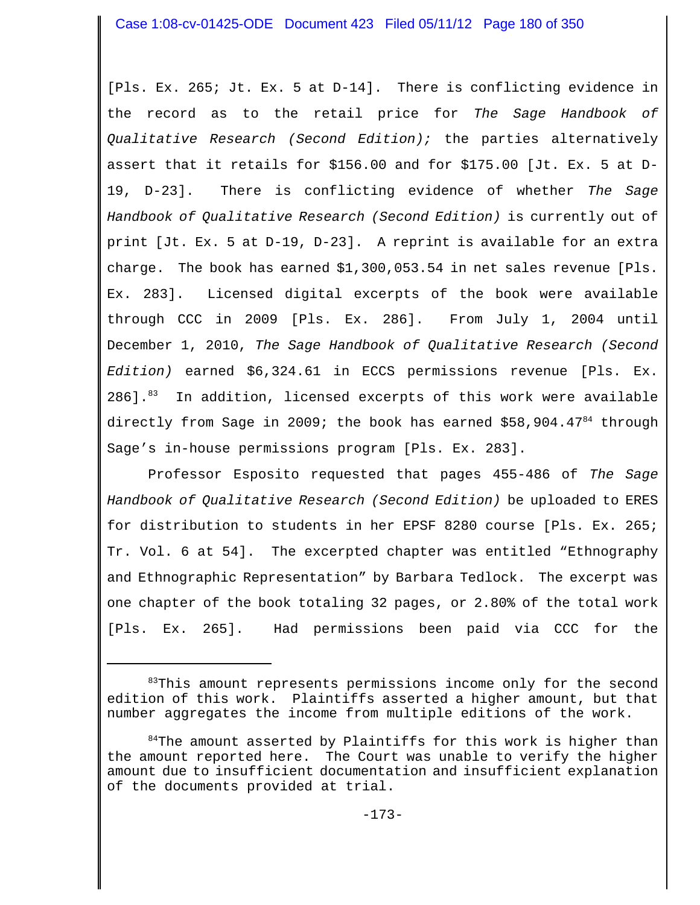[Pls. Ex. 265; Jt. Ex. 5 at D-14]. There is conflicting evidence in the record as to the retail price for *The Sage Handbook of Qualitative Research (Second Edition);* the parties alternatively assert that it retails for \$156.00 and for \$175.00 [Jt. Ex. 5 at D-19, D-23]. There is conflicting evidence of whether *The Sage Handbook of Qualitative Research (Second Edition)* is currently out of print [Jt. Ex. 5 at D-19, D-23]. A reprint is available for an extra charge. The book has earned \$1,300,053.54 in net sales revenue [Pls. Ex. 283]. Licensed digital excerpts of the book were available through CCC in 2009 [Pls. Ex. 286]. From July 1, 2004 until December 1, 2010, *The Sage Handbook of Qualitative Research (Second Edition)* earned \$6,324.61 in ECCS permissions revenue [Pls. Ex.  $286$ ]. $83$  In addition, licensed excerpts of this work were available directly from Sage in 2009; the book has earned  $$58,904.47<sup>84</sup>$  through Sage's in-house permissions program [Pls. Ex. 283].

Professor Esposito requested that pages 455-486 of *The Sage Handbook of Qualitative Research (Second Edition)* be uploaded to ERES for distribution to students in her EPSF 8280 course [Pls. Ex. 265; Tr. Vol. 6 at 54]. The excerpted chapter was entitled "Ethnography and Ethnographic Representation" by Barbara Tedlock. The excerpt was one chapter of the book totaling 32 pages, or 2.80% of the total work [Pls. Ex. 265]. Had permissions been paid via CCC for the

<sup>83</sup>This amount represents permissions income only for the second edition of this work. Plaintiffs asserted a higher amount, but that number aggregates the income from multiple editions of the work.

 $84$ The amount asserted by Plaintiffs for this work is higher than the amount reported here. The Court was unable to verify the higher amount due to insufficient documentation and insufficient explanation of the documents provided at trial.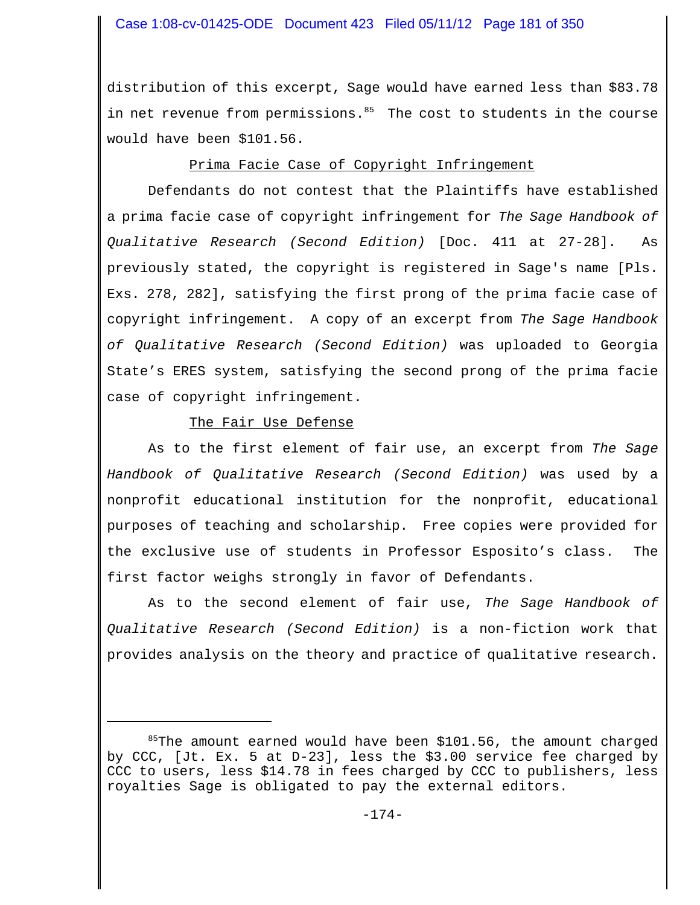distribution of this excerpt, Sage would have earned less than \$83.78 in net revenue from permissions.<sup>85</sup> The cost to students in the course would have been \$101.56.

# Prima Facie Case of Copyright Infringement

Defendants do not contest that the Plaintiffs have established a prima facie case of copyright infringement for *The Sage Handbook of Qualitative Research (Second Edition)* [Doc. 411 at 27-28]. As previously stated, the copyright is registered in Sage's name [Pls. Exs. 278, 282], satisfying the first prong of the prima facie case of copyright infringement. A copy of an excerpt from *The Sage Handbook of Qualitative Research (Second Edition)* was uploaded to Georgia State's ERES system, satisfying the second prong of the prima facie case of copyright infringement.

# The Fair Use Defense

As to the first element of fair use, an excerpt from *The Sage Handbook of Qualitative Research (Second Edition)* was used by a nonprofit educational institution for the nonprofit, educational purposes of teaching and scholarship. Free copies were provided for the exclusive use of students in Professor Esposito's class. The first factor weighs strongly in favor of Defendants.

As to the second element of fair use, *The Sage Handbook of Qualitative Research (Second Edition)* is a non-fiction work that provides analysis on the theory and practice of qualitative research.

 $85$ The amount earned would have been \$101.56, the amount charged by CCC, [Jt. Ex. 5 at D-23], less the \$3.00 service fee charged by CCC to users, less \$14.78 in fees charged by CCC to publishers, less royalties Sage is obligated to pay the external editors.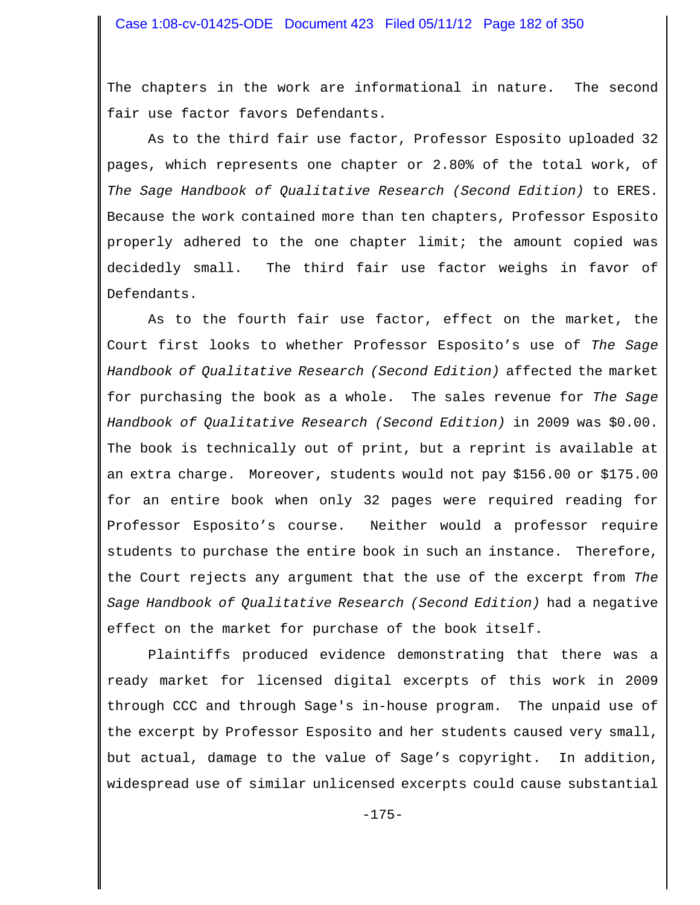The chapters in the work are informational in nature. The second fair use factor favors Defendants.

As to the third fair use factor, Professor Esposito uploaded 32 pages, which represents one chapter or 2.80% of the total work, of *The Sage Handbook of Qualitative Research (Second Edition)* to ERES. Because the work contained more than ten chapters, Professor Esposito properly adhered to the one chapter limit; the amount copied was decidedly small. The third fair use factor weighs in favor of Defendants.

As to the fourth fair use factor, effect on the market, the Court first looks to whether Professor Esposito's use of *The Sage Handbook of Qualitative Research (Second Edition)* affected the market for purchasing the book as a whole. The sales revenue for *The Sage Handbook of Qualitative Research (Second Edition)* in 2009 was \$0.00. The book is technically out of print, but a reprint is available at an extra charge. Moreover, students would not pay \$156.00 or \$175.00 for an entire book when only 32 pages were required reading for Professor Esposito's course. Neither would a professor require students to purchase the entire book in such an instance. Therefore, the Court rejects any argument that the use of the excerpt from *The Sage Handbook of Qualitative Research (Second Edition)* had a negative effect on the market for purchase of the book itself.

Plaintiffs produced evidence demonstrating that there was a ready market for licensed digital excerpts of this work in 2009 through CCC and through Sage's in-house program. The unpaid use of the excerpt by Professor Esposito and her students caused very small, but actual, damage to the value of Sage's copyright. In addition, widespread use of similar unlicensed excerpts could cause substantial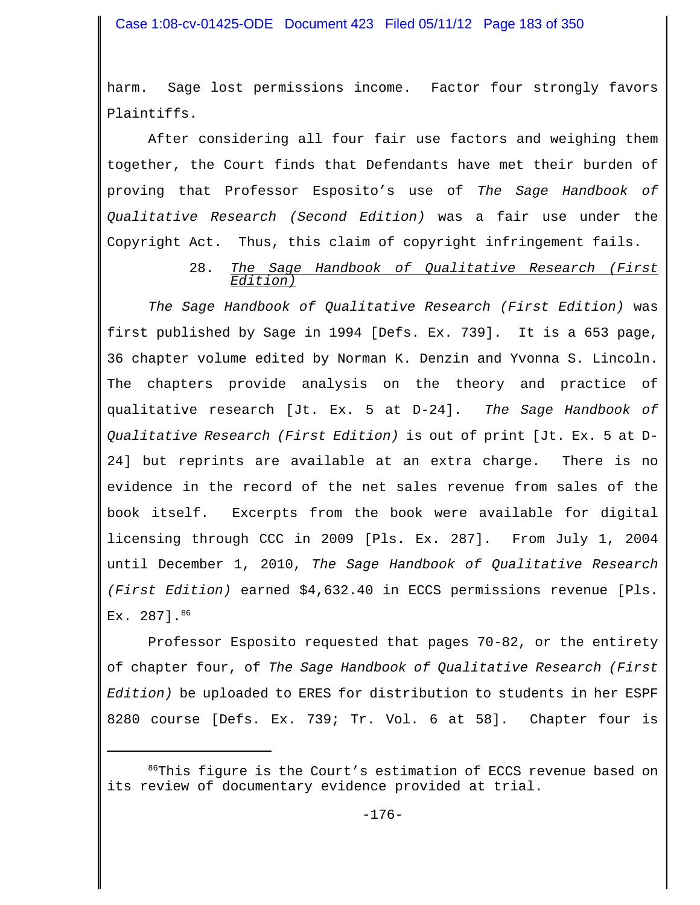harm. Sage lost permissions income. Factor four strongly favors Plaintiffs.

After considering all four fair use factors and weighing them together, the Court finds that Defendants have met their burden of proving that Professor Esposito's use of *The Sage Handbook of Qualitative Research (Second Edition)* was a fair use under the Copyright Act. Thus, this claim of copyright infringement fails.

## 28. *The Sage Handbook of Qualitative Research (First Edition)*

*The Sage Handbook of Qualitative Research (First Edition)* was first published by Sage in 1994 [Defs. Ex. 739]. It is a 653 page, 36 chapter volume edited by Norman K. Denzin and Yvonna S. Lincoln. The chapters provide analysis on the theory and practice of qualitative research [Jt. Ex. 5 at D-24]. *The Sage Handbook of Qualitative Research (First Edition)* is out of print [Jt. Ex. 5 at D-24] but reprints are available at an extra charge. There is no evidence in the record of the net sales revenue from sales of the book itself. Excerpts from the book were available for digital licensing through CCC in 2009 [Pls. Ex. 287]. From July 1, 2004 until December 1, 2010, *The Sage Handbook of Qualitative Research (First Edition)* earned \$4,632.40 in ECCS permissions revenue [Pls. Ex. 2871.86

Professor Esposito requested that pages 70-82, or the entirety of chapter four, of *The Sage Handbook of Qualitative Research (First Edition)* be uploaded to ERES for distribution to students in her ESPF 8280 course [Defs. Ex. 739; Tr. Vol. 6 at 58]. Chapter four is

 $86$ This figure is the Court's estimation of ECCS revenue based on its review of documentary evidence provided at trial.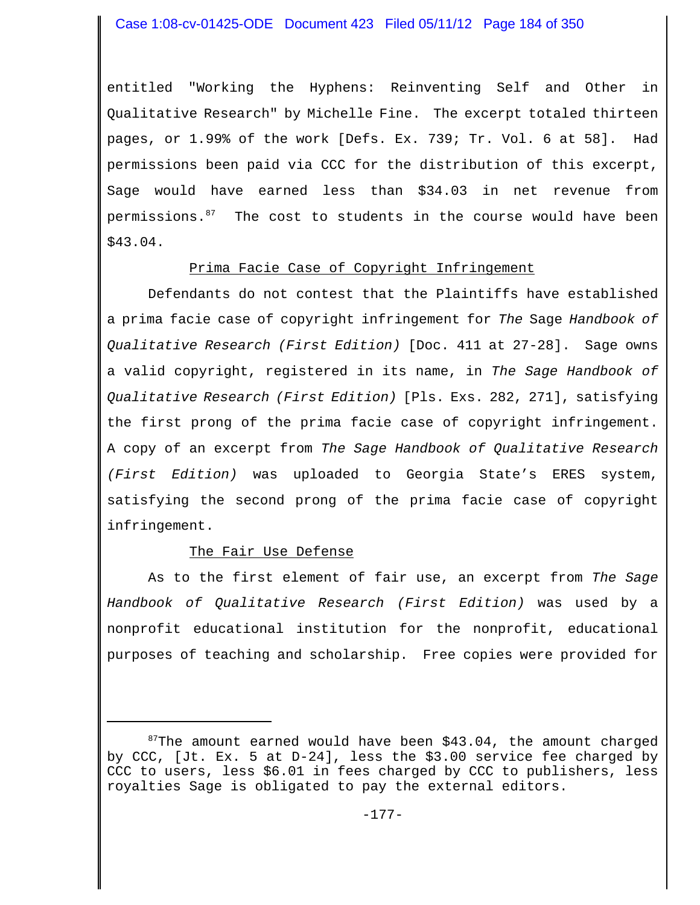entitled "Working the Hyphens: Reinventing Self and Other in Qualitative Research" by Michelle Fine. The excerpt totaled thirteen pages, or 1.99% of the work [Defs. Ex. 739; Tr. Vol. 6 at 58]. Had permissions been paid via CCC for the distribution of this excerpt, Sage would have earned less than \$34.03 in net revenue from permissions.<sup>87</sup> The cost to students in the course would have been \$43.04.

### Prima Facie Case of Copyright Infringement

Defendants do not contest that the Plaintiffs have established a prima facie case of copyright infringement for *The* Sage *Handbook of Qualitative Research (First Edition)* [Doc. 411 at 27-28]. Sage owns a valid copyright, registered in its name, in *The Sage Handbook of Qualitative Research (First Edition)* [Pls. Exs. 282, 271], satisfying the first prong of the prima facie case of copyright infringement. A copy of an excerpt from *The Sage Handbook of Qualitative Research (First Edition)* was uploaded to Georgia State's ERES system, satisfying the second prong of the prima facie case of copyright infringement.

# The Fair Use Defense

As to the first element of fair use, an excerpt from *The Sage Handbook of Qualitative Research (First Edition)* was used by a nonprofit educational institution for the nonprofit, educational purposes of teaching and scholarship. Free copies were provided for

 $87$ The amount earned would have been \$43.04, the amount charged by CCC, [Jt. Ex. 5 at D-24], less the \$3.00 service fee charged by CCC to users, less \$6.01 in fees charged by CCC to publishers, less royalties Sage is obligated to pay the external editors.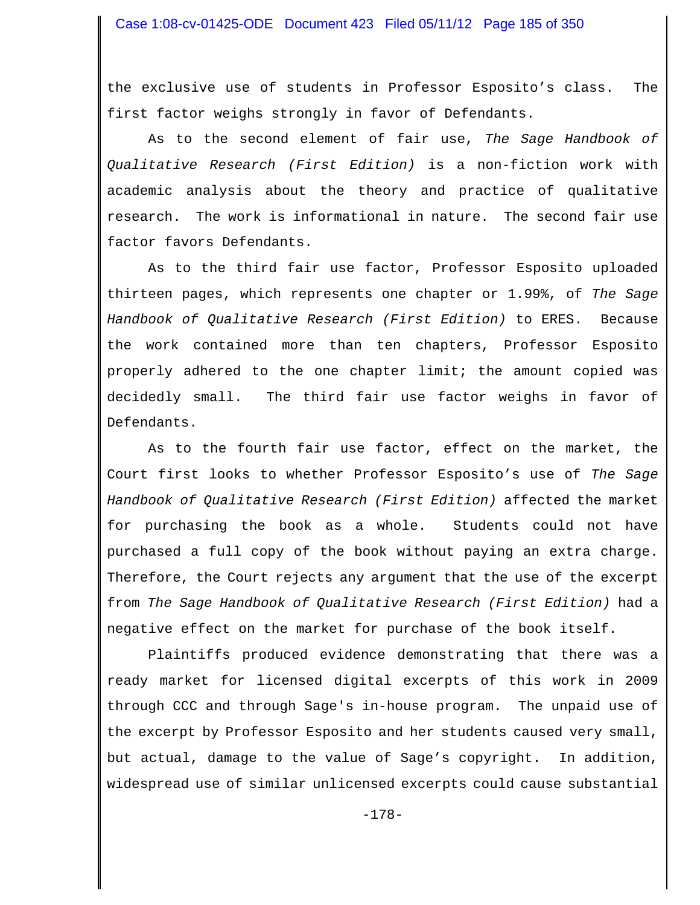the exclusive use of students in Professor Esposito's class. The first factor weighs strongly in favor of Defendants.

As to the second element of fair use, *The Sage Handbook of Qualitative Research (First Edition)* is a non-fiction work with academic analysis about the theory and practice of qualitative research. The work is informational in nature. The second fair use factor favors Defendants.

As to the third fair use factor, Professor Esposito uploaded thirteen pages, which represents one chapter or 1.99%, of *The Sage Handbook of Qualitative Research (First Edition)* to ERES.Because the work contained more than ten chapters, Professor Esposito properly adhered to the one chapter limit; the amount copied was decidedly small. The third fair use factor weighs in favor of Defendants.

As to the fourth fair use factor, effect on the market, the Court first looks to whether Professor Esposito's use of *The Sage Handbook of Qualitative Research (First Edition)* affected the market for purchasing the book as a whole. Students could not have purchased a full copy of the book without paying an extra charge. Therefore, the Court rejects any argument that the use of the excerpt from *The Sage Handbook of Qualitative Research (First Edition)* had a negative effect on the market for purchase of the book itself.

Plaintiffs produced evidence demonstrating that there was a ready market for licensed digital excerpts of this work in 2009 through CCC and through Sage's in-house program. The unpaid use of the excerpt by Professor Esposito and her students caused very small, but actual, damage to the value of Sage's copyright. In addition, widespread use of similar unlicensed excerpts could cause substantial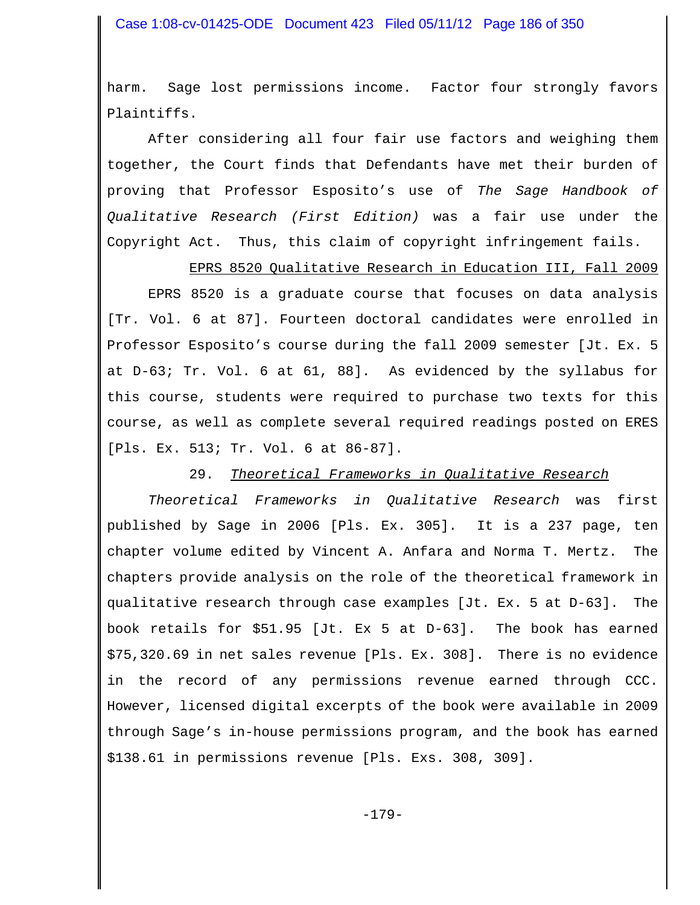harm. Sage lost permissions income. Factor four strongly favors Plaintiffs.

After considering all four fair use factors and weighing them together, the Court finds that Defendants have met their burden of proving that Professor Esposito's use of *The Sage Handbook of Qualitative Research (First Edition)* was a fair use under the Copyright Act. Thus, this claim of copyright infringement fails.

EPRS 8520 Qualitative Research in Education III, Fall 2009

EPRS 8520 is a graduate course that focuses on data analysis [Tr. Vol. 6 at 87]. Fourteen doctoral candidates were enrolled in Professor Esposito's course during the fall 2009 semester [Jt. Ex. 5 at D-63; Tr. Vol. 6 at 61, 88]. As evidenced by the syllabus for this course, students were required to purchase two texts for this course, as well as complete several required readings posted on ERES [Pls. Ex. 513; Tr. Vol. 6 at 86-87].

#### 29. *Theoretical Frameworks in Qualitative Research*

*Theoretical Frameworks in Qualitative Research* was first published by Sage in 2006 [Pls. Ex. 305]. It is a 237 page, ten chapter volume edited by Vincent A. Anfara and Norma T. Mertz. The chapters provide analysis on the role of the theoretical framework in qualitative research through case examples [Jt. Ex. 5 at D-63]. The book retails for \$51.95 [Jt. Ex 5 at D-63]. The book has earned \$75,320.69 in net sales revenue [Pls. Ex. 308]. There is no evidence in the record of any permissions revenue earned through CCC. However, licensed digital excerpts of the book were available in 2009 through Sage's in-house permissions program, and the book has earned \$138.61 in permissions revenue [Pls. Exs. 308, 309].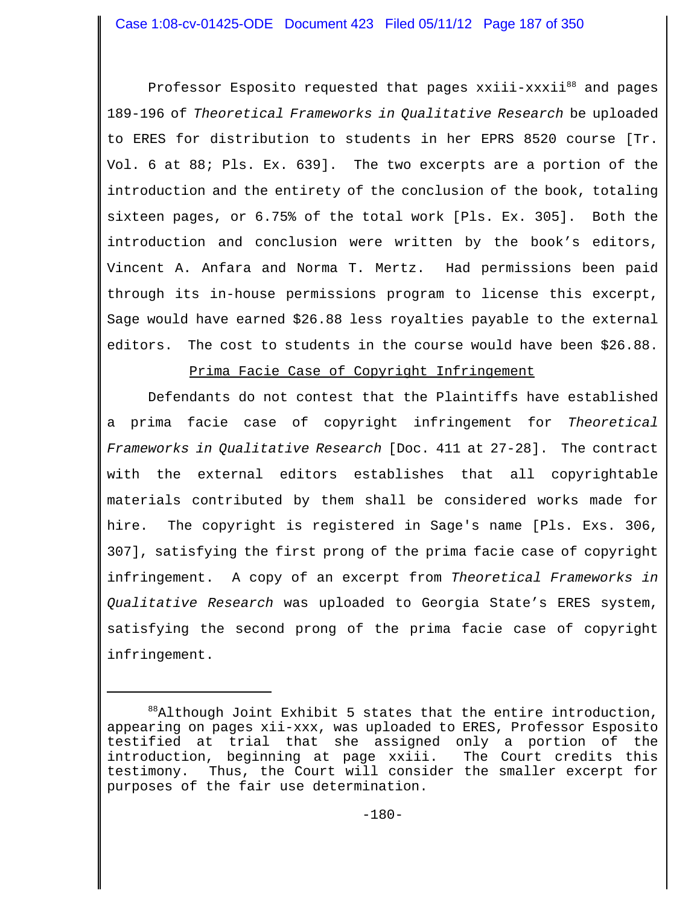Professor Esposito requested that pages xxiii-xxxii<sup>88</sup> and pages 189-196 of *Theoretical Frameworks in Qualitative Research* be uploaded to ERES for distribution to students in her EPRS 8520 course [Tr. Vol. 6 at 88; Pls. Ex. 639]. The two excerpts are a portion of the introduction and the entirety of the conclusion of the book, totaling sixteen pages, or 6.75% of the total work [Pls. Ex. 305]. Both the introduction and conclusion were written by the book's editors, Vincent A. Anfara and Norma T. Mertz. Had permissions been paid through its in-house permissions program to license this excerpt, Sage would have earned \$26.88 less royalties payable to the external editors. The cost to students in the course would have been \$26.88.

Prima Facie Case of Copyright Infringement

Defendants do not contest that the Plaintiffs have established a prima facie case of copyright infringement for *Theoretical Frameworks in Qualitative Research* [Doc. 411 at 27-28]. The contract with the external editors establishes that all copyrightable materials contributed by them shall be considered works made for hire. The copyright is registered in Sage's name [Pls. Exs. 306, 307], satisfying the first prong of the prima facie case of copyright infringement. A copy of an excerpt from *Theoretical Frameworks in Qualitative Research* was uploaded to Georgia State's ERES system, satisfying the second prong of the prima facie case of copyright infringement.

 $88A1$ though Joint Exhibit 5 states that the entire introduction, appearing on pages xii-xxx, was uploaded to ERES, Professor Esposito testified at trial that she assigned only a portion of the introduction, beginning at page xxiii. The Court credits this testimony. Thus, the Court will consider the smaller excerpt for purposes of the fair use determination.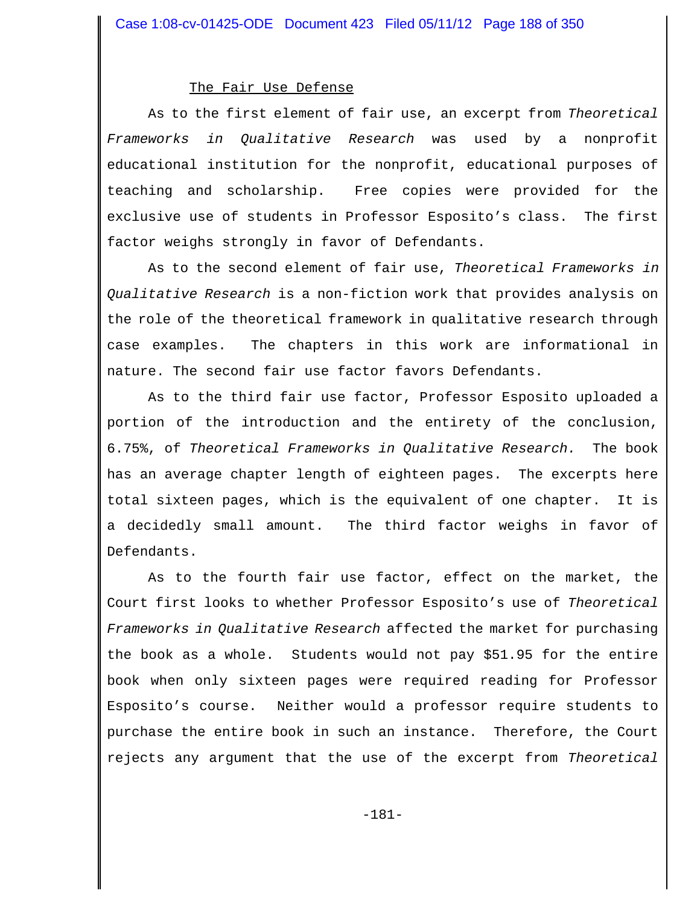#### The Fair Use Defense

As to the first element of fair use, an excerpt from *Theoretical Frameworks in Qualitative Research* was used by a nonprofit educational institution for the nonprofit, educational purposes of teaching and scholarship. Free copies were provided for the exclusive use of students in Professor Esposito's class. The first factor weighs strongly in favor of Defendants.

 As to the second element of fair use, *Theoretical Frameworks in Qualitative Research* is a non-fiction work that provides analysis on the role of the theoretical framework in qualitative research through case examples. The chapters in this work are informational in nature. The second fair use factor favors Defendants.

As to the third fair use factor, Professor Esposito uploaded a portion of the introduction and the entirety of the conclusion, 6.75%, of *Theoretical Frameworks in Qualitative Research.* The book has an average chapter length of eighteen pages.The excerpts here total sixteen pages, which is the equivalent of one chapter. It is a decidedly small amount. The third factor weighs in favor of Defendants.

As to the fourth fair use factor, effect on the market, the Court first looks to whether Professor Esposito's use of *Theoretical Frameworks in Qualitative Research* affected the market for purchasing the book as a whole. Students would not pay \$51.95 for the entire book when only sixteen pages were required reading for Professor Esposito's course. Neither would a professor require students to purchase the entire book in such an instance. Therefore, the Court rejects any argument that the use of the excerpt from *Theoretical*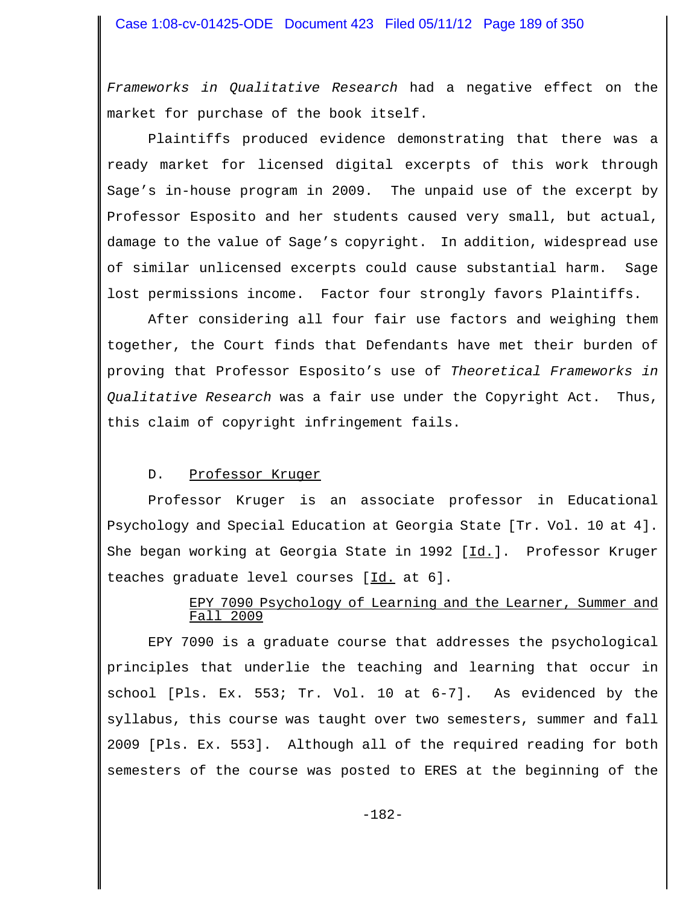*Frameworks in Qualitative Research* had a negative effect on the market for purchase of the book itself.

Plaintiffs produced evidence demonstrating that there was a ready market for licensed digital excerpts of this work through Sage's in-house program in 2009. The unpaid use of the excerpt by Professor Esposito and her students caused very small, but actual, damage to the value of Sage's copyright. In addition, widespread use of similar unlicensed excerpts could cause substantial harm. Sage lost permissions income. Factor four strongly favors Plaintiffs.

After considering all four fair use factors and weighing them together, the Court finds that Defendants have met their burden of proving that Professor Esposito's use of *Theoretical Frameworks in Qualitative Research* was a fair use under the Copyright Act. Thus, this claim of copyright infringement fails.

# D. Professor Kruger

Professor Kruger is an associate professor in Educational Psychology and Special Education at Georgia State [Tr. Vol. 10 at 4]. She began working at Georgia State in 1992 [Id.]. Professor Kruger teaches graduate level courses [Id. at 6].

# EPY 7090 Psychology of Learning and the Learner, Summer and Fall 2009

EPY 7090 is a graduate course that addresses the psychological principles that underlie the teaching and learning that occur in school [Pls. Ex. 553; Tr. Vol. 10 at 6-7]. As evidenced by the syllabus, this course was taught over two semesters, summer and fall 2009 [Pls. Ex. 553]. Although all of the required reading for both semesters of the course was posted to ERES at the beginning of the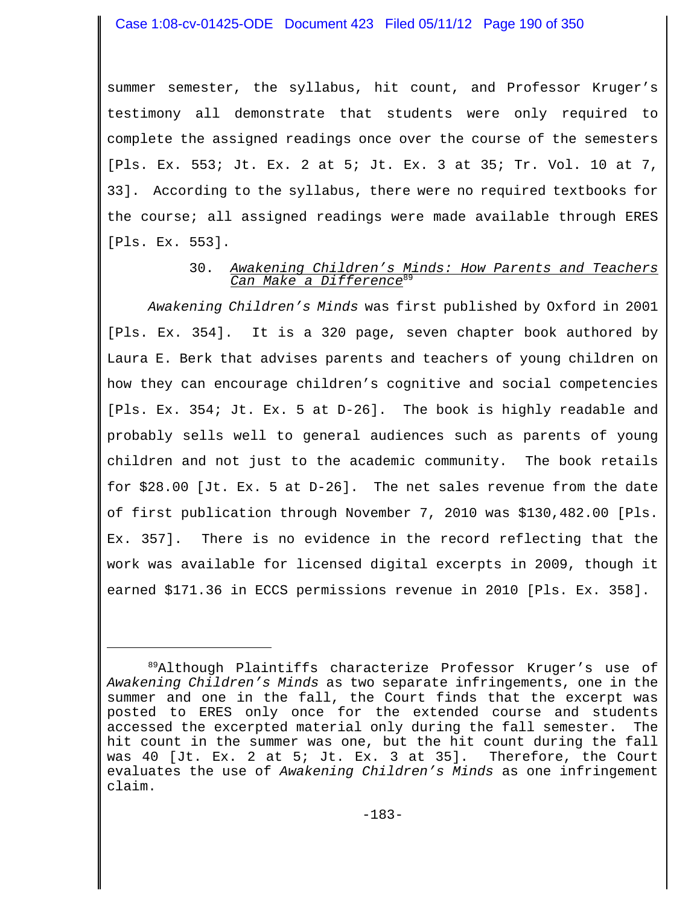summer semester, the syllabus, hit count, and Professor Kruger's testimony all demonstrate that students were only required to complete the assigned readings once over the course of the semesters [Pls. Ex. 553; Jt. Ex. 2 at 5; Jt. Ex. 3 at 35; Tr. Vol. 10 at 7, 33]. According to the syllabus, there were no required textbooks for the course; all assigned readings were made available through ERES [Pls. Ex. 553].

### 30. *Awakening Children's Minds: How Parents and Teachers Can Make a Difference*<sup>89</sup>

*Awakening Children's Minds* was first published by Oxford in 2001 [Pls. Ex. 354]. It is a 320 page, seven chapter book authored by Laura E. Berk that advises parents and teachers of young children on how they can encourage children's cognitive and social competencies [Pls. Ex. 354; Jt. Ex. 5 at D-26]. The book is highly readable and probably sells well to general audiences such as parents of young children and not just to the academic community. The book retails for \$28.00 [Jt. Ex. 5 at D-26]. The net sales revenue from the date of first publication through November 7, 2010 was \$130,482.00 [Pls. Ex. 357]. There is no evidence in the record reflecting that the work was available for licensed digital excerpts in 2009, though it earned \$171.36 in ECCS permissions revenue in 2010 [Pls. Ex. 358].

<sup>&</sup>lt;sup>89</sup>Although Plaintiffs characterize Professor Kruger's use of *Awakening Children's Minds* as two separate infringements, one in the summer and one in the fall, the Court finds that the excerpt was posted to ERES only once for the extended course and students accessed the excerpted material only during the fall semester. The hit count in the summer was one, but the hit count during the fall was 40 [Jt. Ex. 2 at 5; Jt. Ex. 3 at 35]. Therefore, the Court evaluates the use of *Awakening Children's Minds* as one infringement claim.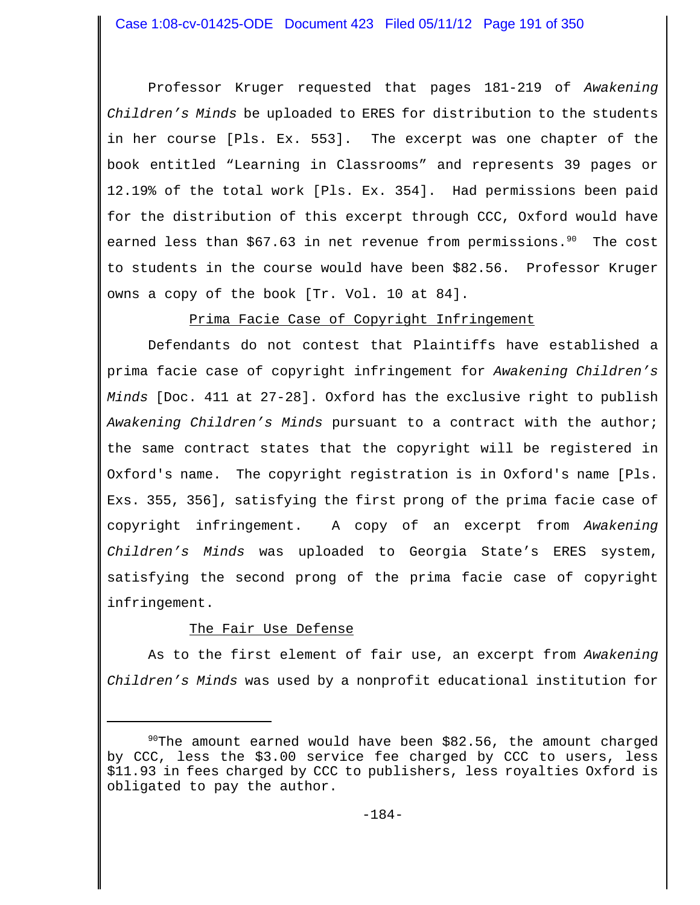Professor Kruger requested that pages 181-219 of *Awakening Children's Minds* be uploaded to ERES for distribution to the students in her course [Pls. Ex. 553]. The excerpt was one chapter of the book entitled "Learning in Classrooms" and represents 39 pages or 12.19% of the total work [Pls. Ex. 354]. Had permissions been paid for the distribution of this excerpt through CCC, Oxford would have earned less than  $$67.63$  in net revenue from permissions.<sup>90</sup> The cost to students in the course would have been \$82.56. Professor Kruger owns a copy of the book [Tr. Vol. 10 at 84].

Prima Facie Case of Copyright Infringement

Defendants do not contest that Plaintiffs have established a prima facie case of copyright infringement for *Awakening Children's Minds* [Doc. 411 at 27-28]. Oxford has the exclusive right to publish *Awakening Children's Minds* pursuant to a contract with the author; the same contract states that the copyright will be registered in Oxford's name. The copyright registration is in Oxford's name [Pls. Exs. 355, 356], satisfying the first prong of the prima facie case of copyright infringement. A copy of an excerpt from *Awakening Children's Minds* was uploaded to Georgia State's ERES system, satisfying the second prong of the prima facie case of copyright infringement.

# The Fair Use Defense

As to the first element of fair use, an excerpt from *Awakening Children's Minds* was used by a nonprofit educational institution for

 $90$ The amount earned would have been \$82.56, the amount charged by CCC, less the \$3.00 service fee charged by CCC to users, less \$11.93 in fees charged by CCC to publishers, less royalties Oxford is obligated to pay the author.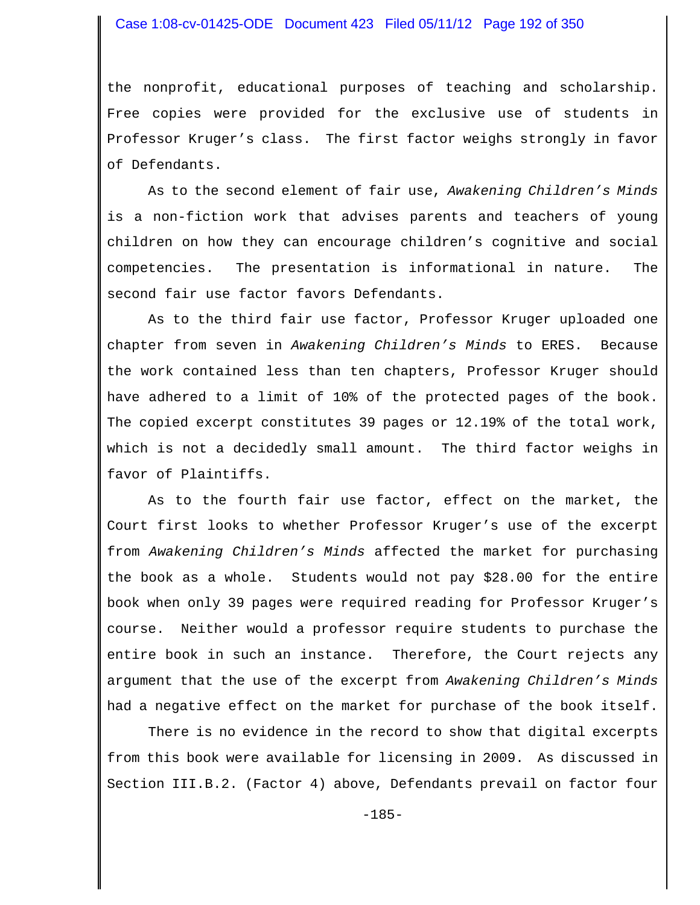### Case 1:08-cv-01425-ODE Document 423 Filed 05/11/12 Page 192 of 350

the nonprofit, educational purposes of teaching and scholarship. Free copies were provided for the exclusive use of students in Professor Kruger's class. The first factor weighs strongly in favor of Defendants.

As to the second element of fair use, *Awakening Children's Minds* is a non-fiction work that advises parents and teachers of young children on how they can encourage children's cognitive and social competencies. The presentation is informational in nature. The second fair use factor favors Defendants.

As to the third fair use factor, Professor Kruger uploaded one chapter from seven in *Awakening Children's Minds* to ERES. Because the work contained less than ten chapters, Professor Kruger should have adhered to a limit of 10% of the protected pages of the book. The copied excerpt constitutes 39 pages or 12.19% of the total work, which is not a decidedly small amount. The third factor weighs in favor of Plaintiffs.

As to the fourth fair use factor, effect on the market, the Court first looks to whether Professor Kruger's use of the excerpt from *Awakening Children's Minds* affected the market for purchasing the book as a whole. Students would not pay \$28.00 for the entire book when only 39 pages were required reading for Professor Kruger's course. Neither would a professor require students to purchase the entire book in such an instance. Therefore, the Court rejects any argument that the use of the excerpt from *Awakening Children's Minds* had a negative effect on the market for purchase of the book itself.

There is no evidence in the record to show that digital excerpts from this book were available for licensing in 2009. As discussed in Section III.B.2. (Factor 4) above, Defendants prevail on factor four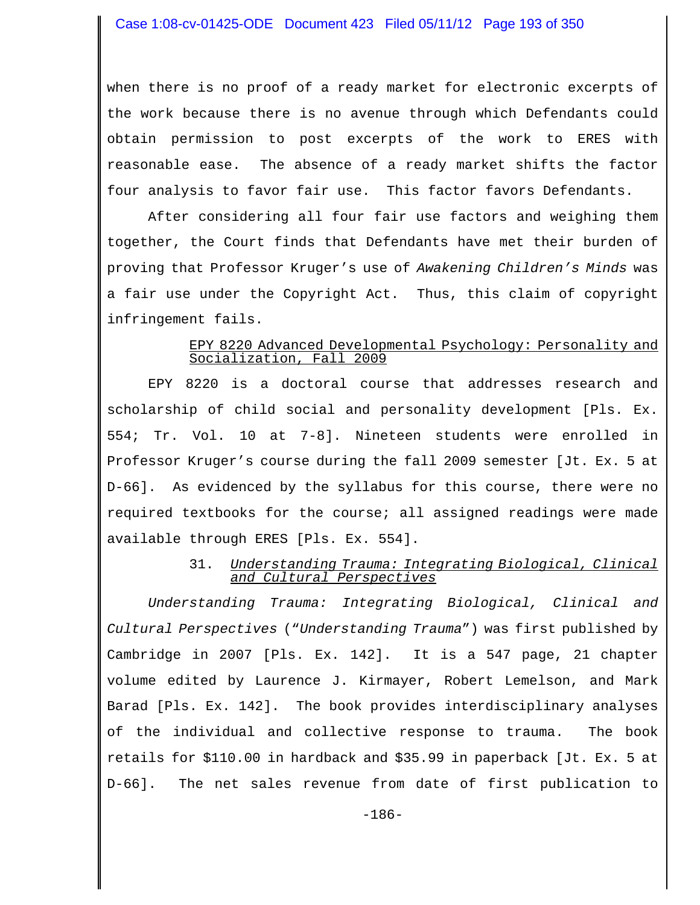when there is no proof of a ready market for electronic excerpts of the work because there is no avenue through which Defendants could obtain permission to post excerpts of the work to ERES with reasonable ease. The absence of a ready market shifts the factor four analysis to favor fair use. This factor favors Defendants.

After considering all four fair use factors and weighing them together, the Court finds that Defendants have met their burden of proving that Professor Kruger's use of *Awakening Children's Minds* was a fair use under the Copyright Act. Thus, this claim of copyright infringement fails.

### EPY 8220 Advanced Developmental Psychology: Personality and Socialization, Fall 2009

EPY 8220 is a doctoral course that addresses research and scholarship of child social and personality development [Pls. Ex. 554; Tr. Vol. 10 at 7-8]. Nineteen students were enrolled in Professor Kruger's course during the fall 2009 semester [Jt. Ex. 5 at D-66]. As evidenced by the syllabus for this course, there were no required textbooks for the course; all assigned readings were made available through ERES [Pls. Ex. 554].

### 31. *Understanding Trauma: Integrating Biological, Clinical and Cultural Perspectives*

*Understanding Trauma: Integrating Biological, Clinical and Cultural Perspectives* ("*Understanding Trauma*") was first published by Cambridge in 2007 [Pls. Ex. 142]. It is a 547 page, 21 chapter volume edited by Laurence J. Kirmayer, Robert Lemelson, and Mark Barad [Pls. Ex. 142]. The book provides interdisciplinary analyses of the individual and collective response to trauma. The book retails for \$110.00 in hardback and \$35.99 in paperback [Jt. Ex. 5 at D-66]. The net sales revenue from date of first publication to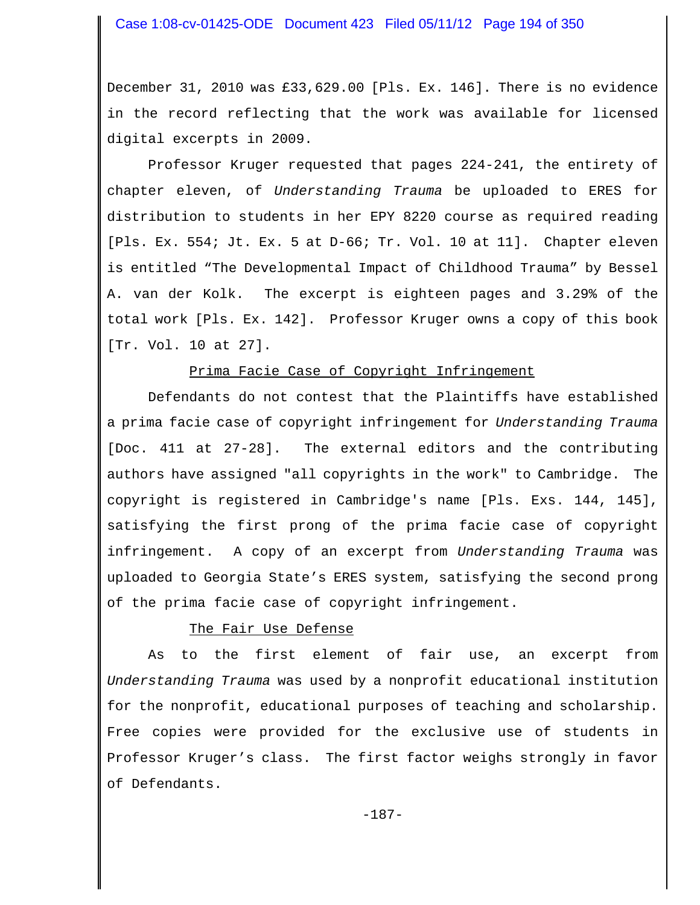December 31, 2010 was £33,629.00 [Pls. Ex. 146]. There is no evidence in the record reflecting that the work was available for licensed digital excerpts in 2009.

Professor Kruger requested that pages 224-241, the entirety of chapter eleven, of *Understanding Trauma* be uploaded to ERES for distribution to students in her EPY 8220 course as required reading [Pls. Ex. 554; Jt. Ex. 5 at D-66; Tr. Vol. 10 at 11]. Chapter eleven is entitled "The Developmental Impact of Childhood Trauma" by Bessel A. van der Kolk. The excerpt is eighteen pages and 3.29% of the total work [Pls. Ex. 142]. Professor Kruger owns a copy of this book [Tr. Vol. 10 at 27].

### Prima Facie Case of Copyright Infringement

Defendants do not contest that the Plaintiffs have established a prima facie case of copyright infringement for *Understanding Trauma* [Doc. 411 at 27-28]. The external editors and the contributing authors have assigned "all copyrights in the work" to Cambridge. The copyright is registered in Cambridge's name [Pls. Exs. 144, 145], satisfying the first prong of the prima facie case of copyright infringement. A copy of an excerpt from *Understanding Trauma* was uploaded to Georgia State's ERES system, satisfying the second prong of the prima facie case of copyright infringement.

### The Fair Use Defense

As to the first element of fair use, an excerpt from *Understanding Trauma* was used by a nonprofit educational institution for the nonprofit, educational purposes of teaching and scholarship. Free copies were provided for the exclusive use of students in Professor Kruger's class. The first factor weighs strongly in favor of Defendants.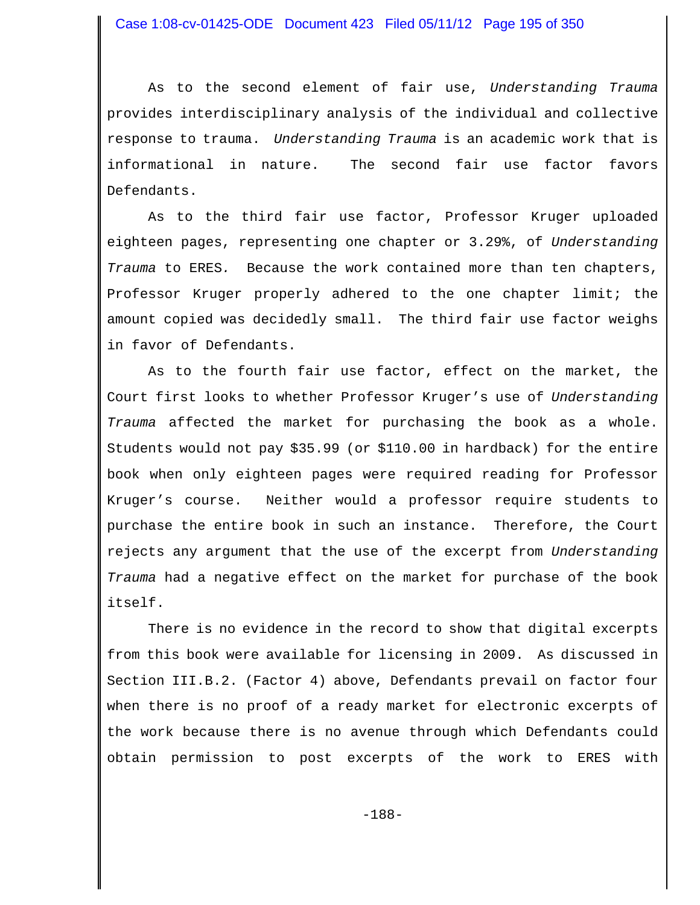As to the second element of fair use, *Understanding Trauma* provides interdisciplinary analysis of the individual and collective response to trauma. *Understanding Trauma* is an academic work that is informational in nature. The second fair use factor favors Defendants.

As to the third fair use factor, Professor Kruger uploaded eighteen pages, representing one chapter or 3.29%, of *Understanding Trauma* to ERES*.* Because the work contained more than ten chapters, Professor Kruger properly adhered to the one chapter limit; the amount copied was decidedly small. The third fair use factor weighs in favor of Defendants.

As to the fourth fair use factor, effect on the market, the Court first looks to whether Professor Kruger's use of *Understanding Trauma* affected the market for purchasing the book as a whole. Students would not pay \$35.99 (or \$110.00 in hardback) for the entire book when only eighteen pages were required reading for Professor Kruger's course. Neither would a professor require students to purchase the entire book in such an instance. Therefore, the Court rejects any argument that the use of the excerpt from *Understanding Trauma* had a negative effect on the market for purchase of the book itself.

There is no evidence in the record to show that digital excerpts from this book were available for licensing in 2009. As discussed in Section III.B.2. (Factor 4) above, Defendants prevail on factor four when there is no proof of a ready market for electronic excerpts of the work because there is no avenue through which Defendants could obtain permission to post excerpts of the work to ERES with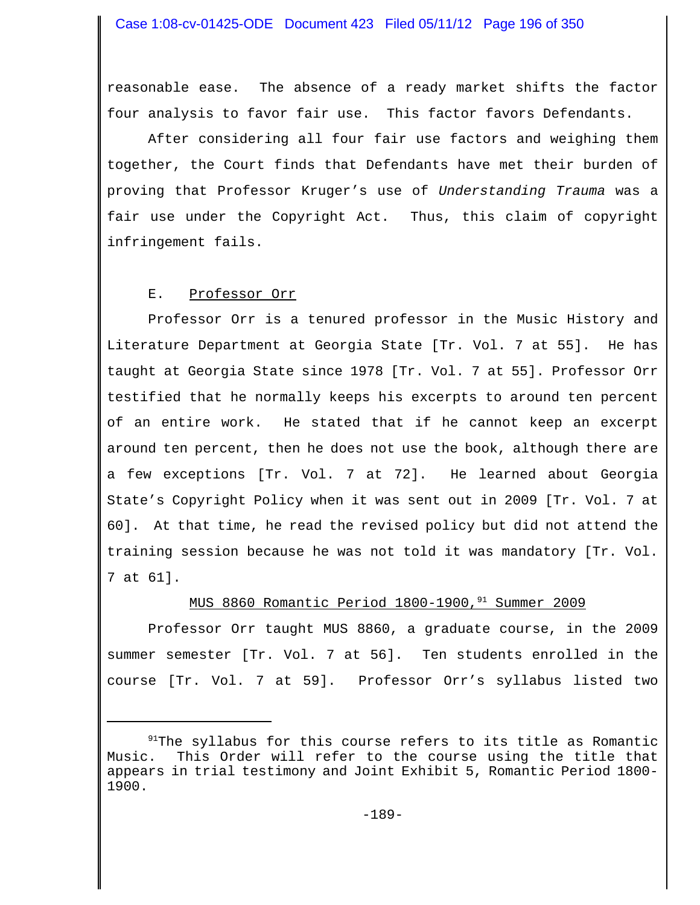reasonable ease. The absence of a ready market shifts the factor four analysis to favor fair use. This factor favors Defendants.

After considering all four fair use factors and weighing them together, the Court finds that Defendants have met their burden of proving that Professor Kruger's use of *Understanding Trauma* was a fair use under the Copyright Act. Thus, this claim of copyright infringement fails.

#### E. Professor Orr

Professor Orr is a tenured professor in the Music History and Literature Department at Georgia State [Tr. Vol. 7 at 55]. He has taught at Georgia State since 1978 [Tr. Vol. 7 at 55]. Professor Orr testified that he normally keeps his excerpts to around ten percent of an entire work. He stated that if he cannot keep an excerpt around ten percent, then he does not use the book, although there are a few exceptions [Tr. Vol. 7 at 72]. He learned about Georgia State's Copyright Policy when it was sent out in 2009 [Tr. Vol. 7 at 60]. At that time, he read the revised policy but did not attend the training session because he was not told it was mandatory [Tr. Vol. 7 at 61].

# MUS 8860 Romantic Period 1800-1900,<sup>91</sup> Summer 2009

Professor Orr taught MUS 8860, a graduate course, in the 2009 summer semester [Tr. Vol. 7 at 56]. Ten students enrolled in the course [Tr. Vol. 7 at 59]. Professor Orr's syllabus listed two

 $91$ The syllabus for this course refers to its title as Romantic Music. This Order will refer to the course using the title that appears in trial testimony and Joint Exhibit 5, Romantic Period 1800- 1900.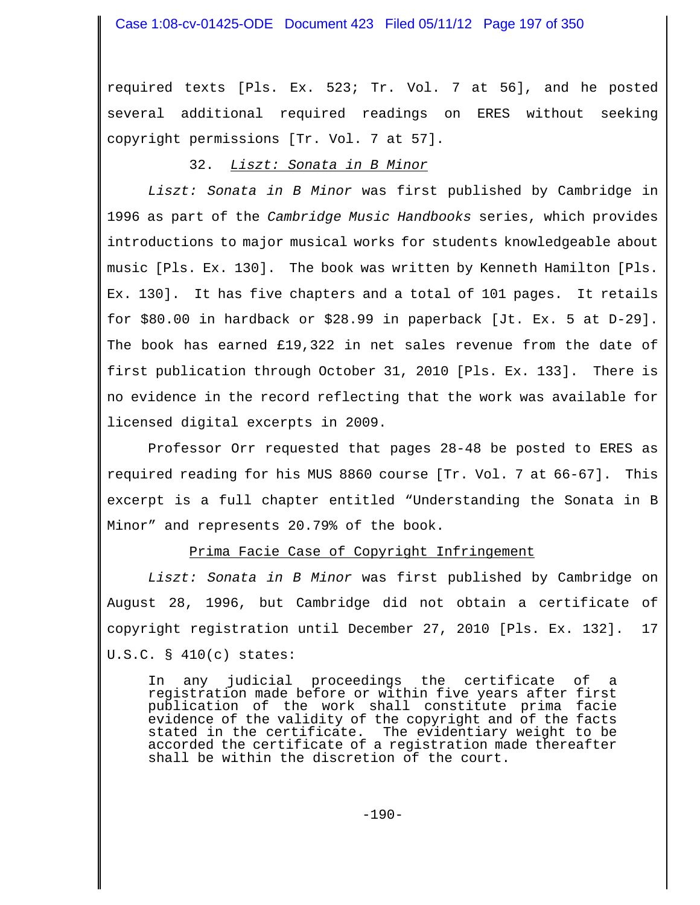required texts [Pls. Ex. 523; Tr. Vol. 7 at 56], and he posted several additional required readings on ERES without seeking copyright permissions [Tr. Vol. 7 at 57].

### 32. *Liszt: Sonata in B Minor*

*Liszt: Sonata in B Minor* was first published by Cambridge in 1996 as part of the *Cambridge Music Handbooks* series, which provides introductions to major musical works for students knowledgeable about music [Pls. Ex. 130]. The book was written by Kenneth Hamilton [Pls. Ex. 130]. It has five chapters and a total of 101 pages. It retails for \$80.00 in hardback or \$28.99 in paperback [Jt. Ex. 5 at D-29]. The book has earned £19,322 in net sales revenue from the date of first publication through October 31, 2010 [Pls. Ex. 133]. There is no evidence in the record reflecting that the work was available for licensed digital excerpts in 2009.

Professor Orr requested that pages 28-48 be posted to ERES as required reading for his MUS 8860 course [Tr. Vol. 7 at 66-67]. This excerpt is a full chapter entitled "Understanding the Sonata in B Minor" and represents 20.79% of the book.

### Prima Facie Case of Copyright Infringement

*Liszt: Sonata in B Minor* was first published by Cambridge on August 28, 1996, but Cambridge did not obtain a certificate of copyright registration until December 27, 2010 [Pls. Ex. 132]. 17 U.S.C. § 410(c) states:

In any judicial proceedings the certificate of a registration made before or within five years after first publication of the work shall constitute prima facie evidence of the validity of the copyright and of the facts stated in the certificate. The evidentiary weight to be accorded the certificate of a registration made thereafter shall be within the discretion of the court.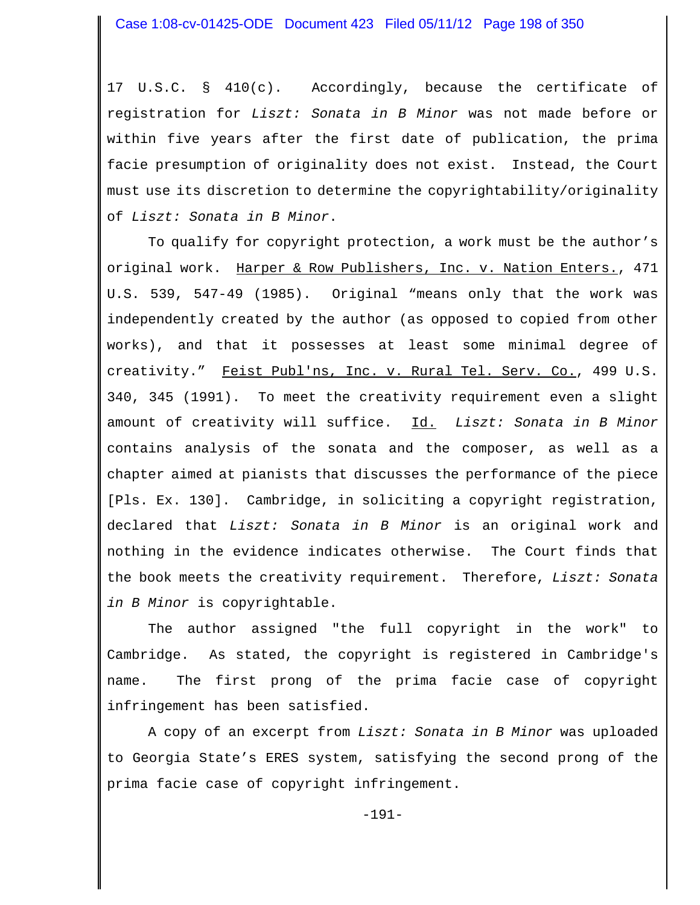17 U.S.C. § 410(c). Accordingly, because the certificate of registration for *Liszt: Sonata in B Minor* was not made before or within five years after the first date of publication, the prima facie presumption of originality does not exist. Instead, the Court must use its discretion to determine the copyrightability/originality of *Liszt: Sonata in B Minor*.

To qualify for copyright protection, a work must be the author's original work. Harper & Row Publishers, Inc. v. Nation Enters., 471 U.S. 539, 547-49 (1985). Original "means only that the work was independently created by the author (as opposed to copied from other works), and that it possesses at least some minimal degree of creativity." Feist Publ'ns, Inc. v. Rural Tel. Serv. Co., 499 U.S. 340, 345 (1991). To meet the creativity requirement even a slight amount of creativity will suffice. Id. *Liszt: Sonata in B Minor* contains analysis of the sonata and the composer, as well as a chapter aimed at pianists that discusses the performance of the piece [Pls. Ex. 130]. Cambridge, in soliciting a copyright registration, declared that *Liszt: Sonata in B Minor* is an original work and nothing in the evidence indicates otherwise. The Court finds that the book meets the creativity requirement. Therefore, *Liszt: Sonata in B Minor* is copyrightable.

The author assigned "the full copyright in the work" to Cambridge. As stated, the copyright is registered in Cambridge's name. The first prong of the prima facie case of copyright infringement has been satisfied.

A copy of an excerpt from *Liszt: Sonata in B Minor* was uploaded to Georgia State's ERES system, satisfying the second prong of the prima facie case of copyright infringement.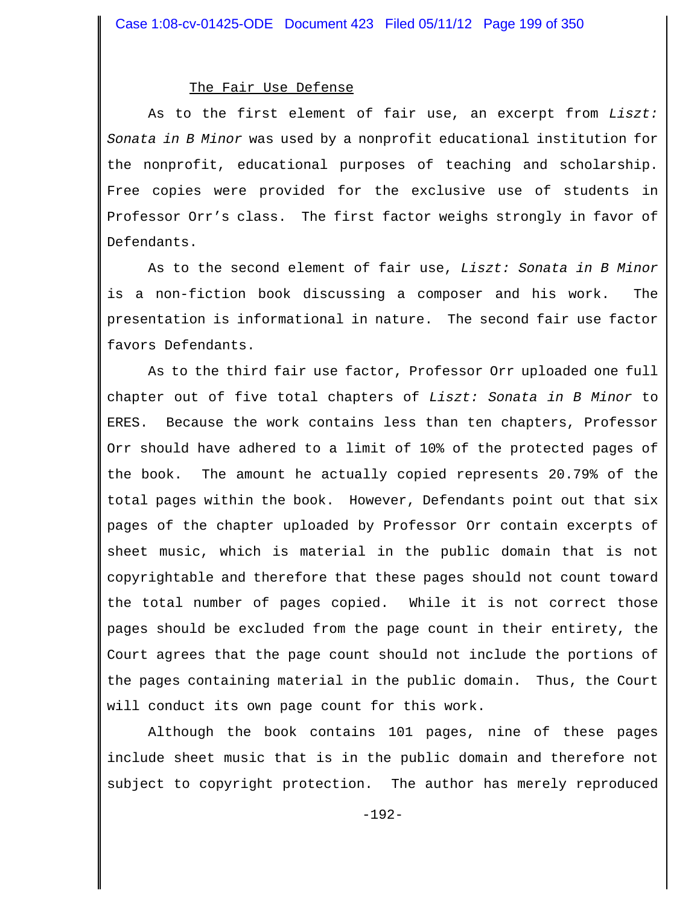#### The Fair Use Defense

As to the first element of fair use, an excerpt from *Liszt: Sonata in B Minor* was used by a nonprofit educational institution for the nonprofit, educational purposes of teaching and scholarship. Free copies were provided for the exclusive use of students in Professor Orr's class. The first factor weighs strongly in favor of Defendants.

As to the second element of fair use, *Liszt: Sonata in B Minor* is a non-fiction book discussing a composer and his work. The presentation is informational in nature. The second fair use factor favors Defendants.

As to the third fair use factor, Professor Orr uploaded one full chapter out of five total chapters of *Liszt: Sonata in B Minor* to ERES. Because the work contains less than ten chapters, Professor Orr should have adhered to a limit of 10% of the protected pages of the book. The amount he actually copied represents 20.79% of the total pages within the book. However, Defendants point out that six pages of the chapter uploaded by Professor Orr contain excerpts of sheet music, which is material in the public domain that is not copyrightable and therefore that these pages should not count toward the total number of pages copied. While it is not correct those pages should be excluded from the page count in their entirety, the Court agrees that the page count should not include the portions of the pages containing material in the public domain. Thus, the Court will conduct its own page count for this work.

Although the book contains 101 pages, nine of these pages include sheet music that is in the public domain and therefore not subject to copyright protection. The author has merely reproduced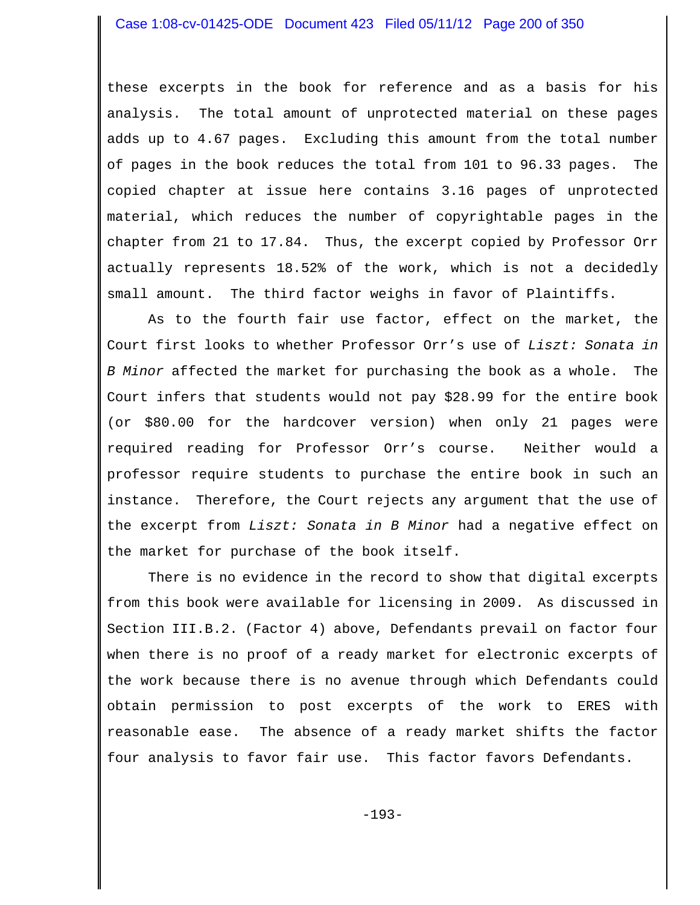these excerpts in the book for reference and as a basis for his analysis. The total amount of unprotected material on these pages adds up to 4.67 pages. Excluding this amount from the total number of pages in the book reduces the total from 101 to 96.33 pages. The copied chapter at issue here contains 3.16 pages of unprotected material, which reduces the number of copyrightable pages in the chapter from 21 to 17.84. Thus, the excerpt copied by Professor Orr actually represents 18.52% of the work, which is not a decidedly small amount. The third factor weighs in favor of Plaintiffs.

As to the fourth fair use factor, effect on the market, the Court first looks to whether Professor Orr's use of *Liszt: Sonata in B Minor* affected the market for purchasing the book as a whole. The Court infers that students would not pay \$28.99 for the entire book (or \$80.00 for the hardcover version) when only 21 pages were required reading for Professor Orr's course. Neither would a professor require students to purchase the entire book in such an instance. Therefore, the Court rejects any argument that the use of the excerpt from *Liszt: Sonata in B Minor* had a negative effect on the market for purchase of the book itself.

There is no evidence in the record to show that digital excerpts from this book were available for licensing in 2009. As discussed in Section III.B.2. (Factor 4) above, Defendants prevail on factor four when there is no proof of a ready market for electronic excerpts of the work because there is no avenue through which Defendants could obtain permission to post excerpts of the work to ERES with reasonable ease. The absence of a ready market shifts the factor four analysis to favor fair use. This factor favors Defendants.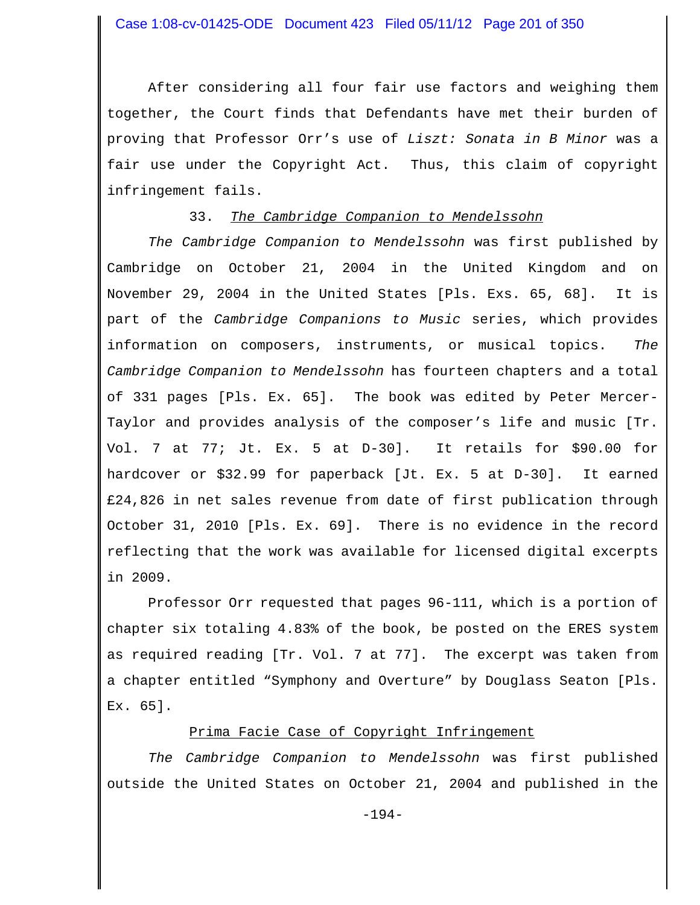After considering all four fair use factors and weighing them together, the Court finds that Defendants have met their burden of proving that Professor Orr's use of *Liszt: Sonata in B Minor* was a fair use under the Copyright Act. Thus, this claim of copyright infringement fails.

## 33. *The Cambridge Companion to Mendelssohn*

*The Cambridge Companion to Mendelssohn* was first published by Cambridge on October 21, 2004 in the United Kingdom and on November 29, 2004 in the United States [Pls. Exs. 65, 68]. It is part of the *Cambridge Companions to Music* series, which provides information on composers, instruments, or musical topics. *The Cambridge Companion to Mendelssohn* has fourteen chapters and a total of 331 pages [Pls. Ex. 65]. The book was edited by Peter Mercer-Taylor and provides analysis of the composer's life and music [Tr. Vol. 7 at 77; Jt. Ex. 5 at D-30]. It retails for \$90.00 for hardcover or \$32.99 for paperback [Jt. Ex. 5 at D-30]. It earned £24,826 in net sales revenue from date of first publication through October 31, 2010 [Pls. Ex. 69]. There is no evidence in the record reflecting that the work was available for licensed digital excerpts in 2009.

Professor Orr requested that pages 96-111, which is a portion of chapter six totaling 4.83% of the book, be posted on the ERES system as required reading [Tr. Vol. 7 at 77]. The excerpt was taken from a chapter entitled "Symphony and Overture" by Douglass Seaton [Pls. Ex. 65].

# Prima Facie Case of Copyright Infringement

*The Cambridge Companion to Mendelssohn* was first published outside the United States on October 21, 2004 and published in the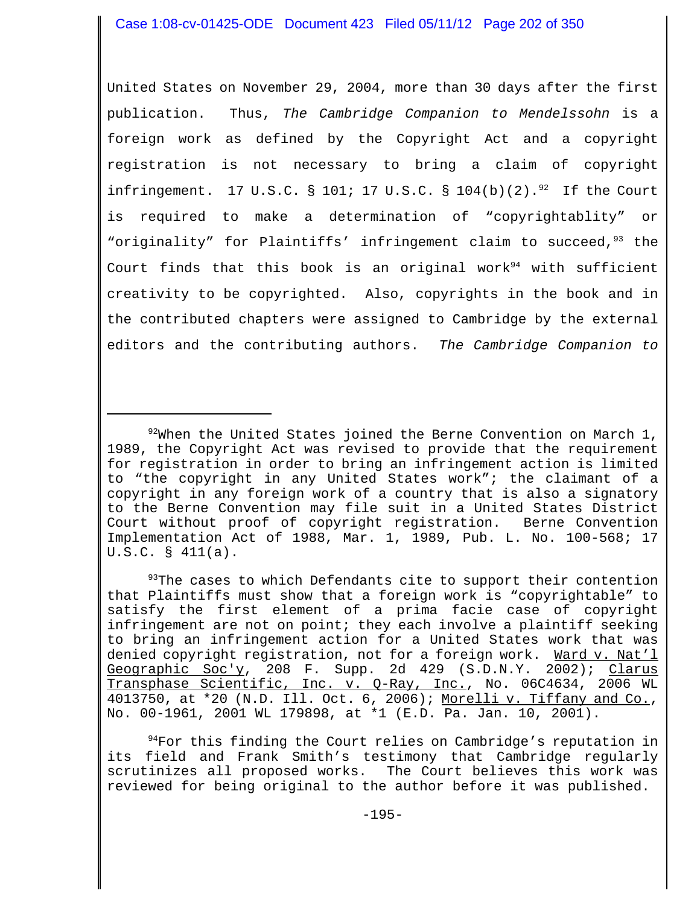United States on November 29, 2004, more than 30 days after the first publication. Thus, *The Cambridge Companion to Mendelssohn* is a foreign work as defined by the Copyright Act and a copyright registration is not necessary to bring a claim of copyright infringement. 17 U.S.C. § 101; 17 U.S.C. § 104(b)(2). $^{92}$  If the Court is required to make a determination of "copyrightablity" or "originality" for Plaintiffs' infringement claim to succeed,  $93$  the Court finds that this book is an original work<sup>94</sup> with sufficient creativity to be copyrighted. Also, copyrights in the book and in the contributed chapters were assigned to Cambridge by the external editors and the contributing authors. *The Cambridge Companion to*

<sup>93</sup>The cases to which Defendants cite to support their contention that Plaintiffs must show that a foreign work is "copyrightable" to satisfy the first element of a prima facie case of copyright infringement are not on point; they each involve a plaintiff seeking to bring an infringement action for a United States work that was denied copyright registration, not for a foreign work. Ward v. Nat'l Geographic Soc'y, 208 F. Supp. 2d 429 (S.D.N.Y. 2002); Clarus Transphase Scientific, Inc. v. Q-Ray, Inc., No. 06C4634, 2006 WL 4013750, at \*20 (N.D. Ill. Oct. 6, 2006); Morelli v. Tiffany and Co., No. 00-1961, 2001 WL 179898, at \*1 (E.D. Pa. Jan. 10, 2001).

 $94$ For this finding the Court relies on Cambridge's reputation in its field and Frank Smith's testimony that Cambridge regularly scrutinizes all proposed works. The Court believes this work was reviewed for being original to the author before it was published.

 $92\%$ When the United States joined the Berne Convention on March 1, 1989, the Copyright Act was revised to provide that the requirement for registration in order to bring an infringement action is limited to "the copyright in any United States work"; the claimant of a copyright in any foreign work of a country that is also a signatory to the Berne Convention may file suit in a United States District Court without proof of copyright registration. Berne Convention Implementation Act of 1988, Mar. 1, 1989, Pub. L. No. 100-568; 17 U.S.C. § 411(a).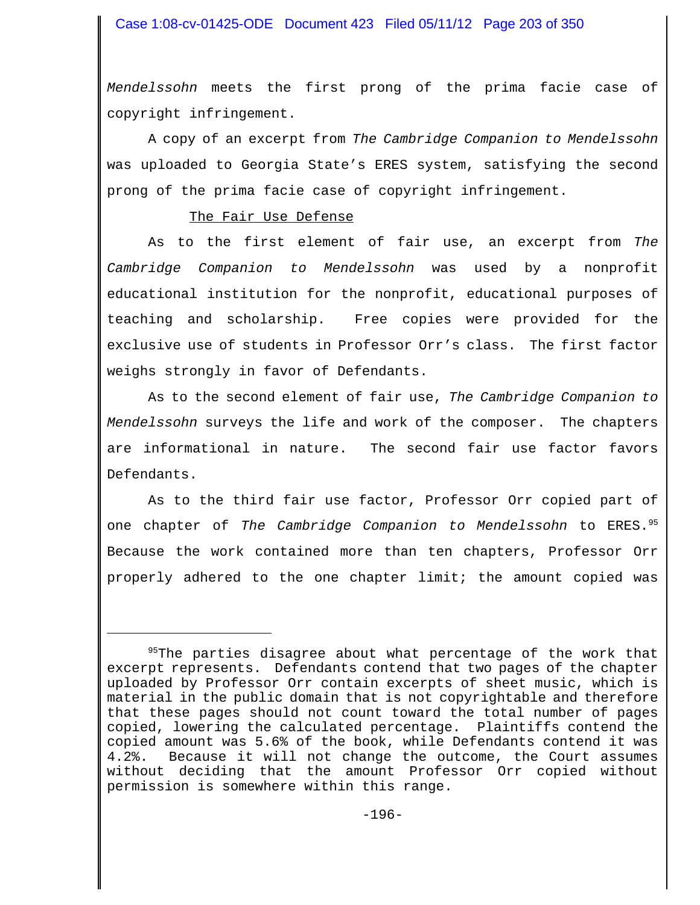*Mendelssohn* meets the first prong of the prima facie case of copyright infringement.

A copy of an excerpt from *The Cambridge Companion to Mendelssohn* was uploaded to Georgia State's ERES system, satisfying the second prong of the prima facie case of copyright infringement.

### The Fair Use Defense

As to the first element of fair use, an excerpt from *The Cambridge Companion to Mendelssohn* was used by a nonprofit educational institution for the nonprofit, educational purposes of teaching and scholarship. Free copies were provided for the exclusive use of students in Professor Orr's class. The first factor weighs strongly in favor of Defendants.

As to the second element of fair use, *The Cambridge Companion to Mendelssohn* surveys the life and work of the composer. The chapters are informational in nature. The second fair use factor favors Defendants.

As to the third fair use factor, Professor Orr copied part of one chapter of *The Cambridge Companion to Mendelssohn* to ERES.95 Because the work contained more than ten chapters, Professor Orr properly adhered to the one chapter limit; the amount copied was

<sup>&</sup>lt;sup>95</sup>The parties disagree about what percentage of the work that excerpt represents. Defendants contend that two pages of the chapter uploaded by Professor Orr contain excerpts of sheet music, which is material in the public domain that is not copyrightable and therefore that these pages should not count toward the total number of pages copied, lowering the calculated percentage. Plaintiffs contend the copied amount was 5.6% of the book, while Defendants contend it was 4.2%. Because it will not change the outcome, the Court assumes without deciding that the amount Professor Orr copied without permission is somewhere within this range.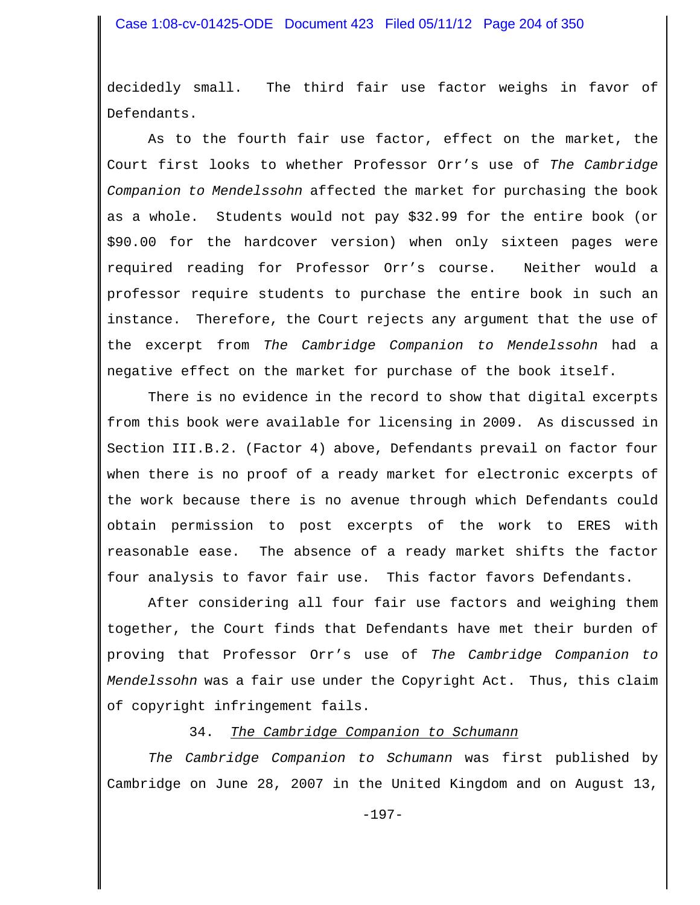decidedly small. The third fair use factor weighs in favor of Defendants.

As to the fourth fair use factor, effect on the market, the Court first looks to whether Professor Orr's use of *The Cambridge Companion to Mendelssohn* affected the market for purchasing the book as a whole. Students would not pay \$32.99 for the entire book (or \$90.00 for the hardcover version) when only sixteen pages were required reading for Professor Orr's course. Neither would a professor require students to purchase the entire book in such an instance. Therefore, the Court rejects any argument that the use of the excerpt from *The Cambridge Companion to Mendelssohn* had a negative effect on the market for purchase of the book itself.

There is no evidence in the record to show that digital excerpts from this book were available for licensing in 2009. As discussed in Section III.B.2. (Factor 4) above, Defendants prevail on factor four when there is no proof of a ready market for electronic excerpts of the work because there is no avenue through which Defendants could obtain permission to post excerpts of the work to ERES with reasonable ease. The absence of a ready market shifts the factor four analysis to favor fair use. This factor favors Defendants.

After considering all four fair use factors and weighing them together, the Court finds that Defendants have met their burden of proving that Professor Orr's use of *The Cambridge Companion to Mendelssohn* was a fair use under the Copyright Act. Thus, this claim of copyright infringement fails.

## 34. *The Cambridge Companion to Schumann*

*The Cambridge Companion to Schumann* was first published by Cambridge on June 28, 2007 in the United Kingdom and on August 13,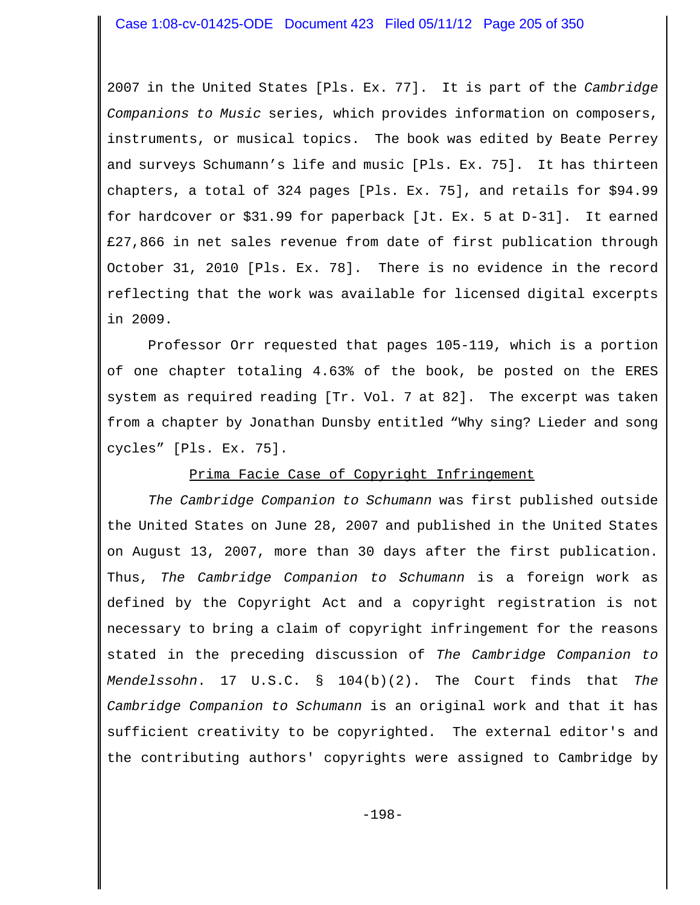2007 in the United States [Pls. Ex. 77]. It is part of the *Cambridge Companions to Music* series, which provides information on composers, instruments, or musical topics. The book was edited by Beate Perrey and surveys Schumann's life and music [Pls. Ex. 75]. It has thirteen chapters, a total of 324 pages [Pls. Ex. 75], and retails for \$94.99 for hardcover or \$31.99 for paperback [Jt. Ex. 5 at D-31]. It earned £27,866 in net sales revenue from date of first publication through October 31, 2010 [Pls. Ex. 78]. There is no evidence in the record reflecting that the work was available for licensed digital excerpts in 2009.

Professor Orr requested that pages 105-119, which is a portion of one chapter totaling 4.63% of the book, be posted on the ERES system as required reading [Tr. Vol. 7 at 82]. The excerpt was taken from a chapter by Jonathan Dunsby entitled "Why sing? Lieder and song cycles" [Pls. Ex. 75].

### Prima Facie Case of Copyright Infringement

*The Cambridge Companion to Schumann* was first published outside the United States on June 28, 2007 and published in the United States on August 13, 2007, more than 30 days after the first publication. Thus, *The Cambridge Companion to Schumann* is a foreign work as defined by the Copyright Act and a copyright registration is not necessary to bring a claim of copyright infringement for the reasons stated in the preceding discussion of *The Cambridge Companion to Mendelssohn*. 17 U.S.C. § 104(b)(2). The Court finds that *The Cambridge Companion to Schumann* is an original work and that it has sufficient creativity to be copyrighted. The external editor's and the contributing authors' copyrights were assigned to Cambridge by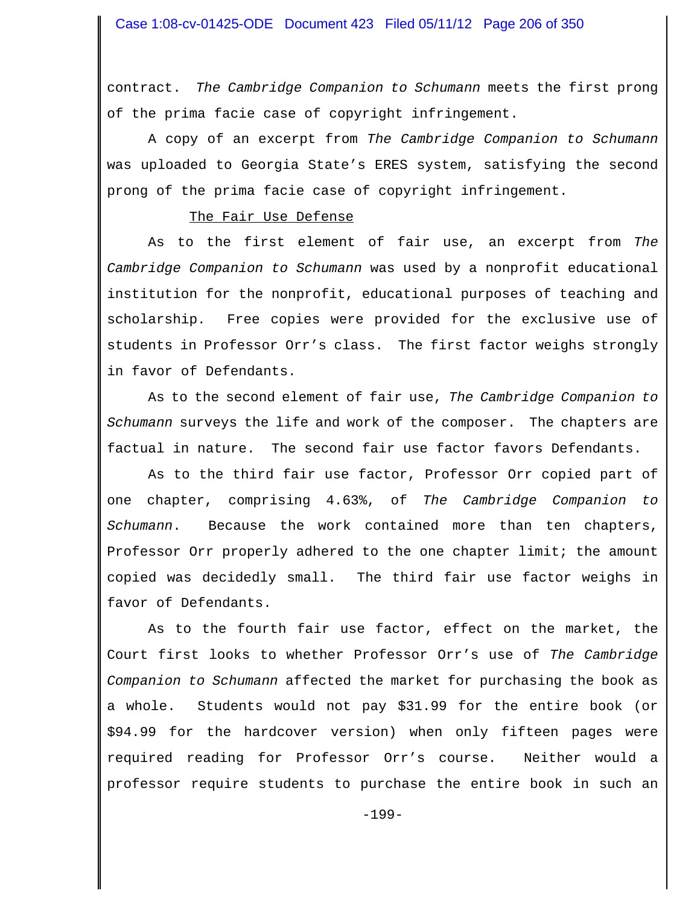contract. *The Cambridge Companion to Schumann* meets the first prong of the prima facie case of copyright infringement.

A copy of an excerpt from *The Cambridge Companion to Schumann* was uploaded to Georgia State's ERES system, satisfying the second prong of the prima facie case of copyright infringement.

#### The Fair Use Defense

As to the first element of fair use, an excerpt from *The Cambridge Companion to Schumann* was used by a nonprofit educational institution for the nonprofit, educational purposes of teaching and scholarship. Free copies were provided for the exclusive use of students in Professor Orr's class. The first factor weighs strongly in favor of Defendants.

As to the second element of fair use, *The Cambridge Companion to Schumann* surveys the life and work of the composer. The chapters are factual in nature. The second fair use factor favors Defendants.

As to the third fair use factor, Professor Orr copied part of one chapter, comprising 4.63%, of *The Cambridge Companion to Schumann*. Because the work contained more than ten chapters, Professor Orr properly adhered to the one chapter limit; the amount copied was decidedly small. The third fair use factor weighs in favor of Defendants.

As to the fourth fair use factor, effect on the market, the Court first looks to whether Professor Orr's use of *The Cambridge Companion to Schumann* affected the market for purchasing the book as a whole. Students would not pay \$31.99 for the entire book (or \$94.99 for the hardcover version) when only fifteen pages were required reading for Professor Orr's course. Neither would a professor require students to purchase the entire book in such an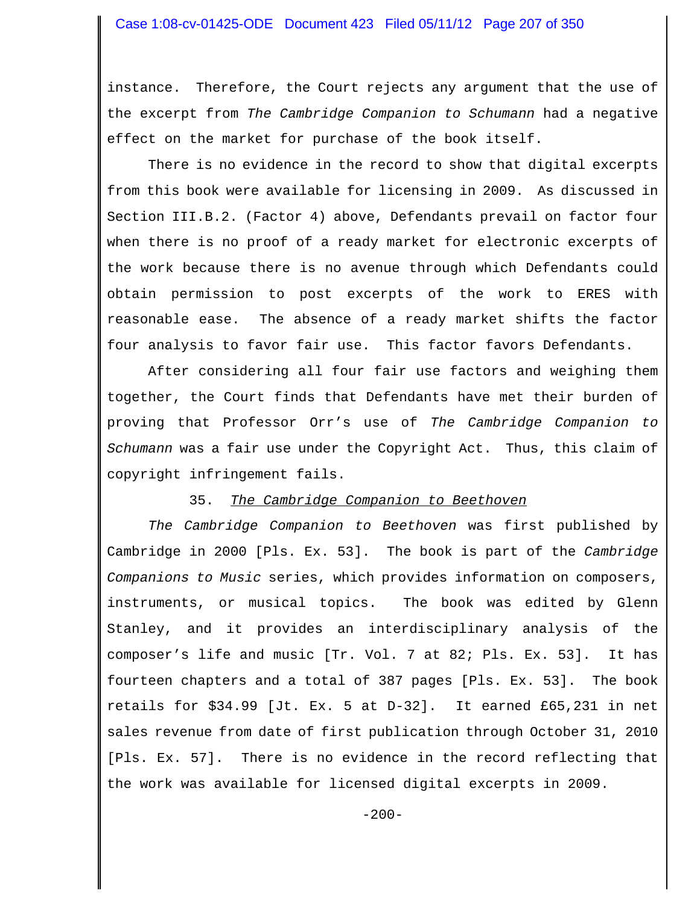### Case 1:08-cv-01425-ODE Document 423 Filed 05/11/12 Page 207 of 350

instance. Therefore, the Court rejects any argument that the use of the excerpt from *The Cambridge Companion to Schumann* had a negative effect on the market for purchase of the book itself.

There is no evidence in the record to show that digital excerpts from this book were available for licensing in 2009. As discussed in Section III.B.2. (Factor 4) above, Defendants prevail on factor four when there is no proof of a ready market for electronic excerpts of the work because there is no avenue through which Defendants could obtain permission to post excerpts of the work to ERES with reasonable ease. The absence of a ready market shifts the factor four analysis to favor fair use. This factor favors Defendants.

After considering all four fair use factors and weighing them together, the Court finds that Defendants have met their burden of proving that Professor Orr's use of *The Cambridge Companion to Schumann* was a fair use under the Copyright Act. Thus, this claim of copyright infringement fails.

#### 35. *The Cambridge Companion to Beethoven*

*The Cambridge Companion to Beethoven* was first published by Cambridge in 2000 [Pls. Ex. 53]. The book is part of the *Cambridge Companions to Music* series, which provides information on composers, instruments, or musical topics. The book was edited by Glenn Stanley, and it provides an interdisciplinary analysis of the composer's life and music [Tr. Vol. 7 at 82; Pls. Ex. 53]. It has fourteen chapters and a total of 387 pages [Pls. Ex. 53]. The book retails for \$34.99 [Jt. Ex. 5 at D-32]. It earned £65,231 in net sales revenue from date of first publication through October 31, 2010 [Pls. Ex. 57]. There is no evidence in the record reflecting that the work was available for licensed digital excerpts in 2009.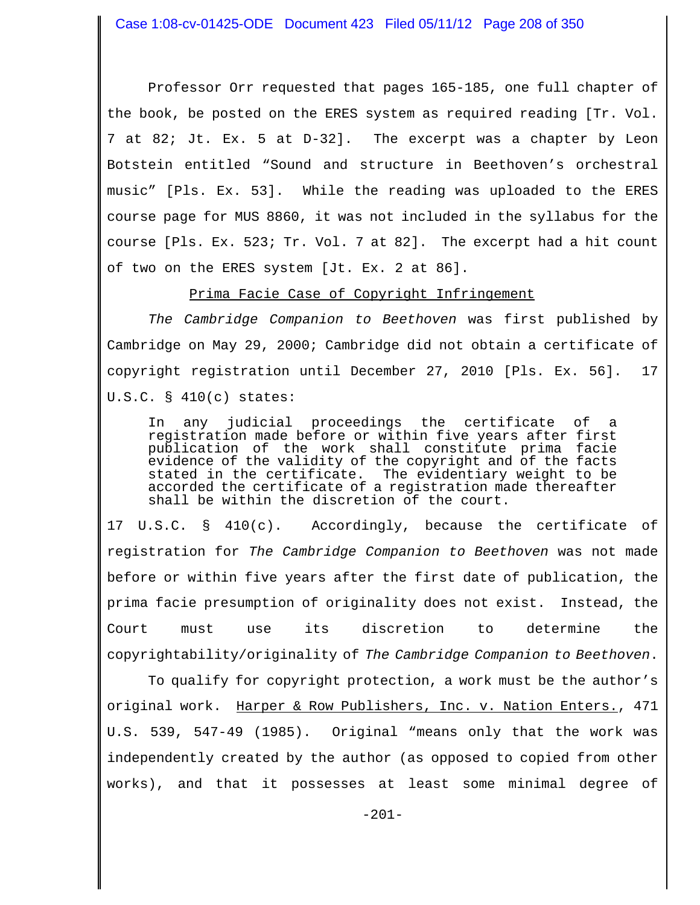Professor Orr requested that pages 165-185, one full chapter of the book, be posted on the ERES system as required reading [Tr. Vol. 7 at 82; Jt. Ex. 5 at D-32]. The excerpt was a chapter by Leon Botstein entitled "Sound and structure in Beethoven's orchestral music" [Pls. Ex. 53]. While the reading was uploaded to the ERES course page for MUS 8860, it was not included in the syllabus for the course [Pls. Ex. 523; Tr. Vol. 7 at 82]. The excerpt had a hit count of two on the ERES system [Jt. Ex. 2 at 86].

Prima Facie Case of Copyright Infringement

*The Cambridge Companion to Beethoven* was first published by Cambridge on May 29, 2000; Cambridge did not obtain a certificate of copyright registration until December 27, 2010 [Pls. Ex. 56]. 17 U.S.C. § 410(c) states:

In any judicial proceedings the certificate of a registration made before or within five years after first publication of the work shall constitute prima facie evidence of the validity of the copyright and of the facts<br>stated in the certificate. The evidentiary weight to be The evidentiary weight to be accorded the certificate of a registration made thereafter shall be within the discretion of the court.

17 U.S.C. § 410(c). Accordingly, because the certificate of registration for *The Cambridge Companion to Beethoven* was not made before or within five years after the first date of publication, the prima facie presumption of originality does not exist. Instead, the Court must use its discretion to determine the copyrightability/originality of *The Cambridge Companion to Beethoven*.

To qualify for copyright protection, a work must be the author's original work. Harper & Row Publishers, Inc. v. Nation Enters., 471 U.S. 539, 547-49 (1985). Original "means only that the work was independently created by the author (as opposed to copied from other works), and that it possesses at least some minimal degree of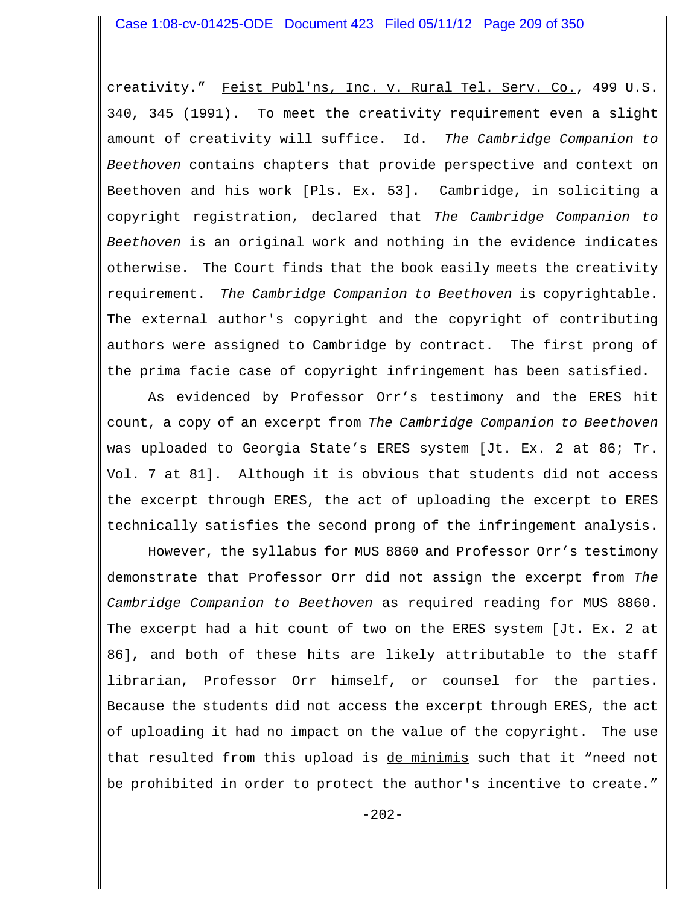### Case 1:08-cv-01425-ODE Document 423 Filed 05/11/12 Page 209 of 350

creativity." Feist Publ'ns, Inc. v. Rural Tel. Serv. Co., 499 U.S. 340, 345 (1991). To meet the creativity requirement even a slight amount of creativity will suffice. Id. *The Cambridge Companion to Beethoven* contains chapters that provide perspective and context on Beethoven and his work [Pls. Ex. 53]. Cambridge, in soliciting a copyright registration, declared that *The Cambridge Companion to Beethoven* is an original work and nothing in the evidence indicates otherwise. The Court finds that the book easily meets the creativity requirement. *The Cambridge Companion to Beethoven* is copyrightable. The external author's copyright and the copyright of contributing authors were assigned to Cambridge by contract. The first prong of the prima facie case of copyright infringement has been satisfied.

As evidenced by Professor Orr's testimony and the ERES hit count, a copy of an excerpt from *The Cambridge Companion to Beethoven* was uploaded to Georgia State's ERES system [Jt. Ex. 2 at 86; Tr. Vol. 7 at 81]. Although it is obvious that students did not access the excerpt through ERES, the act of uploading the excerpt to ERES technically satisfies the second prong of the infringement analysis.

However, the syllabus for MUS 8860 and Professor Orr's testimony demonstrate that Professor Orr did not assign the excerpt from *The Cambridge Companion to Beethoven* as required reading for MUS 8860. The excerpt had a hit count of two on the ERES system [Jt. Ex. 2 at 86], and both of these hits are likely attributable to the staff librarian, Professor Orr himself, or counsel for the parties. Because the students did not access the excerpt through ERES, the act of uploading it had no impact on the value of the copyright. The use that resulted from this upload is de minimis such that it "need not be prohibited in order to protect the author's incentive to create."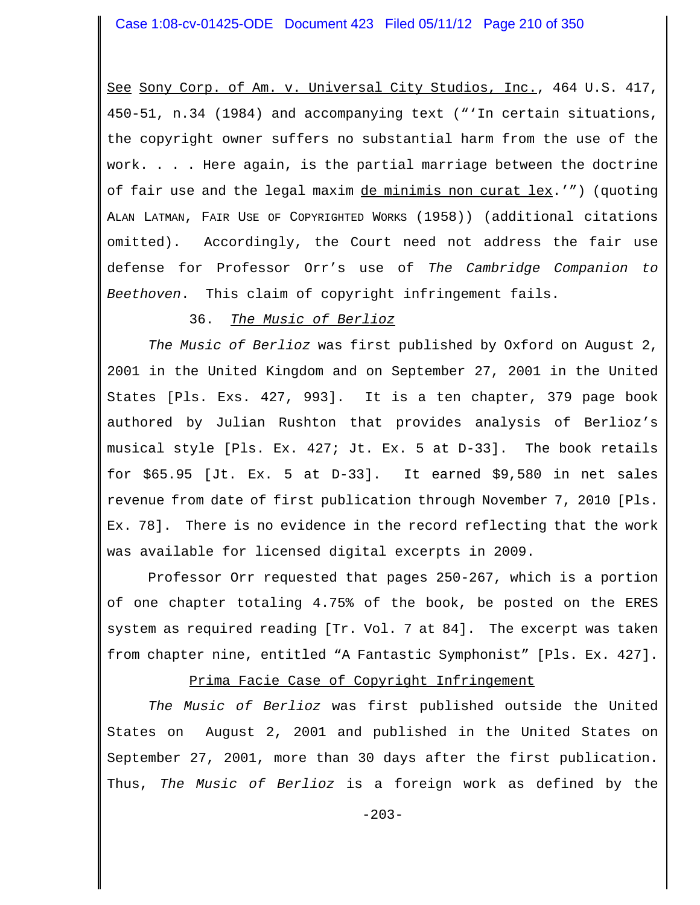See Sony Corp. of Am. v. Universal City Studios, Inc., 464 U.S. 417, 450-51, n.34 (1984) and accompanying text ("'In certain situations, the copyright owner suffers no substantial harm from the use of the work. . . . Here again, is the partial marriage between the doctrine of fair use and the legal maxim de minimis non curat lex.'") (quoting ALAN LATMAN, FAIR USE OF COPYRIGHTED WORKS (1958)) (additional citations omitted). Accordingly, the Court need not address the fair use defense for Professor Orr's use of *The Cambridge Companion to Beethoven*. This claim of copyright infringement fails.

# 36. *The Music of Berlioz*

*The Music of Berlioz* was first published by Oxford on August 2, 2001 in the United Kingdom and on September 27, 2001 in the United States [Pls. Exs. 427, 993]. It is a ten chapter, 379 page book authored by Julian Rushton that provides analysis of Berlioz's musical style [Pls. Ex. 427; Jt. Ex. 5 at D-33]. The book retails for \$65.95 [Jt. Ex. 5 at D-33]. It earned \$9,580 in net sales revenue from date of first publication through November 7, 2010 [Pls. Ex. 78]. There is no evidence in the record reflecting that the work was available for licensed digital excerpts in 2009.

Professor Orr requested that pages 250-267, which is a portion of one chapter totaling 4.75% of the book, be posted on the ERES system as required reading [Tr. Vol. 7 at 84]. The excerpt was taken from chapter nine, entitled "A Fantastic Symphonist" [Pls. Ex. 427].

## Prima Facie Case of Copyright Infringement

*The Music of Berlioz* was first published outside the United States on August 2, 2001 and published in the United States on September 27, 2001, more than 30 days after the first publication. Thus, *The Music of Berlioz* is a foreign work as defined by the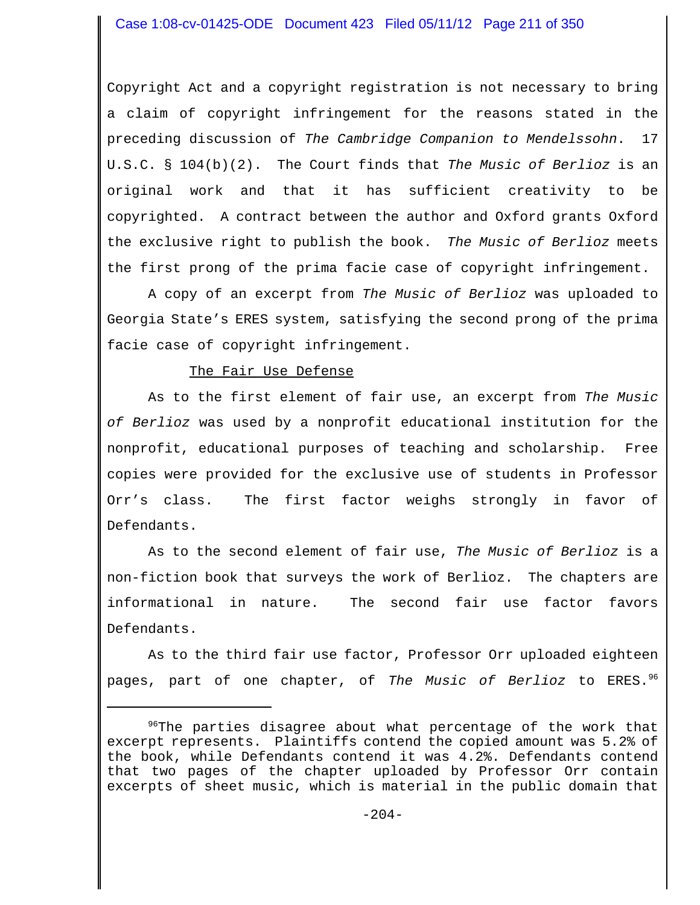Copyright Act and a copyright registration is not necessary to bring a claim of copyright infringement for the reasons stated in the preceding discussion of *The Cambridge Companion to Mendelssohn*. 17 U.S.C. § 104(b)(2). The Court finds that *The Music of Berlioz* is an original work and that it has sufficient creativity to be copyrighted. A contract between the author and Oxford grants Oxford the exclusive right to publish the book. *The Music of Berlioz* meets the first prong of the prima facie case of copyright infringement.

A copy of an excerpt from *The Music of Berlioz* was uploaded to Georgia State's ERES system, satisfying the second prong of the prima facie case of copyright infringement.

### The Fair Use Defense

As to the first element of fair use, an excerpt from *The Music of Berlioz* was used by a nonprofit educational institution for the nonprofit, educational purposes of teaching and scholarship. Free copies were provided for the exclusive use of students in Professor Orr's class. The first factor weighs strongly in favor of Defendants.

As to the second element of fair use, *The Music of Berlioz* is a non-fiction book that surveys the work of Berlioz. The chapters are informational in nature. The second fair use factor favors Defendants.

As to the third fair use factor, Professor Orr uploaded eighteen pages, part of one chapter, of *The Music of Berlioz* to ERES.96

<sup>&</sup>lt;sup>96</sup>The parties disagree about what percentage of the work that excerpt represents. Plaintiffs contend the copied amount was 5.2% of the book, while Defendants contend it was 4.2%. Defendants contend that two pages of the chapter uploaded by Professor Orr contain excerpts of sheet music, which is material in the public domain that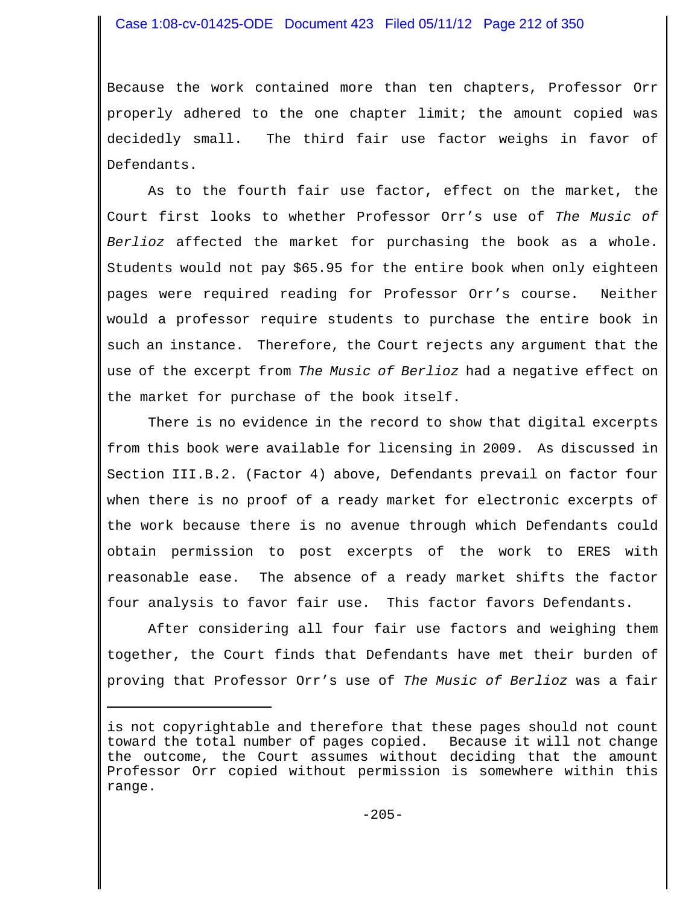## Case 1:08-cv-01425-ODE Document 423 Filed 05/11/12 Page 212 of 350

Because the work contained more than ten chapters, Professor Orr properly adhered to the one chapter limit; the amount copied was decidedly small. The third fair use factor weighs in favor of Defendants.

As to the fourth fair use factor, effect on the market, the Court first looks to whether Professor Orr's use of *The Music of Berlioz* affected the market for purchasing the book as a whole. Students would not pay \$65.95 for the entire book when only eighteen pages were required reading for Professor Orr's course. Neither would a professor require students to purchase the entire book in such an instance. Therefore, the Court rejects any argument that the use of the excerpt from *The Music of Berlioz* had a negative effect on the market for purchase of the book itself.

There is no evidence in the record to show that digital excerpts from this book were available for licensing in 2009. As discussed in Section III.B.2. (Factor 4) above, Defendants prevail on factor four when there is no proof of a ready market for electronic excerpts of the work because there is no avenue through which Defendants could obtain permission to post excerpts of the work to ERES with reasonable ease. The absence of a ready market shifts the factor four analysis to favor fair use. This factor favors Defendants.

After considering all four fair use factors and weighing them together, the Court finds that Defendants have met their burden of proving that Professor Orr's use of *The Music of Berlioz* was a fair

is not copyrightable and therefore that these pages should not count toward the total number of pages copied. Because it will not change the outcome, the Court assumes without deciding that the amount Professor Orr copied without permission is somewhere within this range.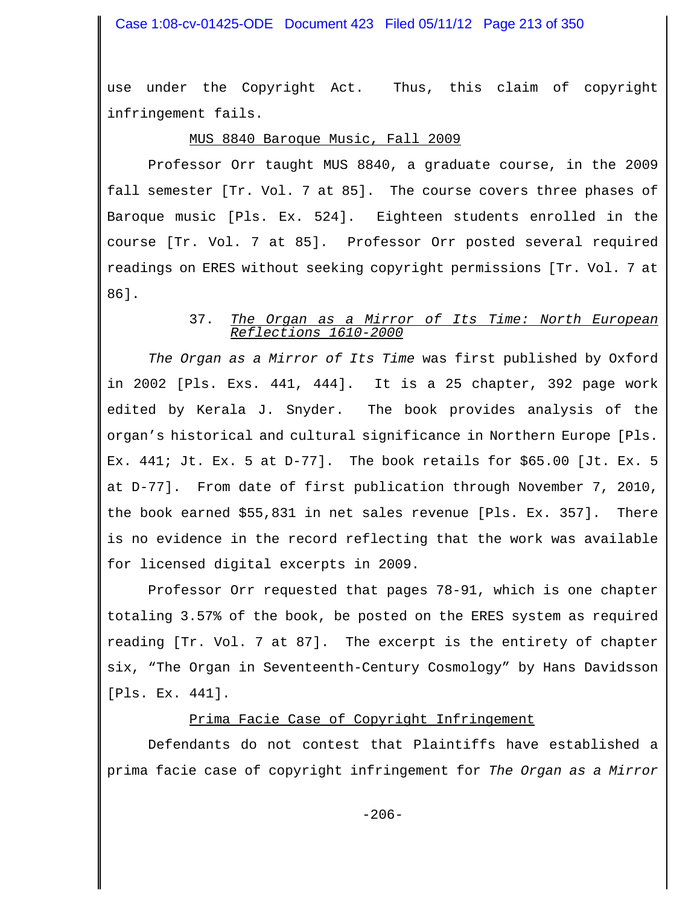use under the Copyright Act. Thus, this claim of copyright infringement fails.

# MUS 8840 Baroque Music, Fall 2009

Professor Orr taught MUS 8840, a graduate course, in the 2009 fall semester [Tr. Vol. 7 at 85]. The course covers three phases of Baroque music [Pls. Ex. 524]. Eighteen students enrolled in the course [Tr. Vol. 7 at 85]. Professor Orr posted several required readings on ERES without seeking copyright permissions [Tr. Vol. 7 at 86].

#### 37. *The Organ as a Mirror of Its Time: North European Reflections 1610-2000*

*The Organ as a Mirror of Its Time* was first published by Oxford in 2002 [Pls. Exs. 441, 444]. It is a 25 chapter, 392 page work edited by Kerala J. Snyder. The book provides analysis of the organ's historical and cultural significance in Northern Europe [Pls. Ex. 441; Jt. Ex. 5 at D-77]. The book retails for \$65.00 [Jt. Ex. 5 at D-77]. From date of first publication through November 7, 2010, the book earned \$55,831 in net sales revenue [Pls. Ex. 357]. There is no evidence in the record reflecting that the work was available for licensed digital excerpts in 2009.

Professor Orr requested that pages 78-91, which is one chapter totaling 3.57% of the book, be posted on the ERES system as required reading [Tr. Vol. 7 at 87]. The excerpt is the entirety of chapter six, "The Organ in Seventeenth-Century Cosmology" by Hans Davidsson [Pls. Ex. 441].

## Prima Facie Case of Copyright Infringement

Defendants do not contest that Plaintiffs have established a prima facie case of copyright infringement for *The Organ as a Mirror*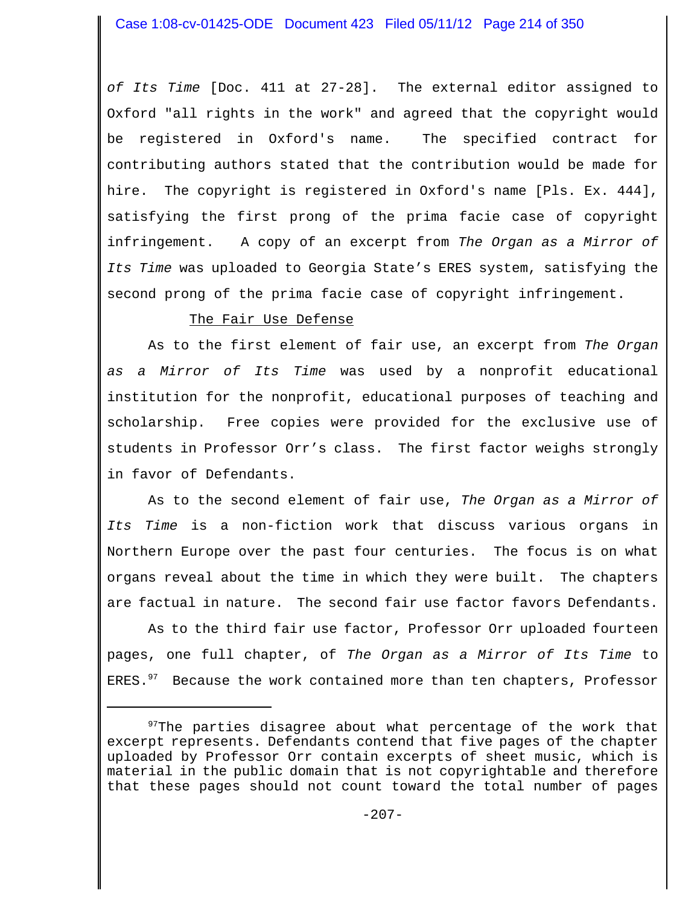*of Its Time* [Doc. 411 at 27-28]. The external editor assigned to Oxford "all rights in the work" and agreed that the copyright would be registered in Oxford's name. The specified contract for contributing authors stated that the contribution would be made for hire. The copyright is registered in Oxford's name [Pls. Ex. 444], satisfying the first prong of the prima facie case of copyright infringement. A copy of an excerpt from *The Organ as a Mirror of Its Time* was uploaded to Georgia State's ERES system, satisfying the second prong of the prima facie case of copyright infringement.

# The Fair Use Defense

As to the first element of fair use, an excerpt from *The Organ as a Mirror of Its Time* was used by a nonprofit educational institution for the nonprofit, educational purposes of teaching and scholarship. Free copies were provided for the exclusive use of students in Professor Orr's class. The first factor weighs strongly in favor of Defendants.

As to the second element of fair use, *The Organ as a Mirror of Its Time* is a non-fiction work that discuss various organs in Northern Europe over the past four centuries. The focus is on what organs reveal about the time in which they were built. The chapters are factual in nature. The second fair use factor favors Defendants.

As to the third fair use factor, Professor Orr uploaded fourteen pages, one full chapter, of *The Organ as a Mirror of Its Time* to ERES. $97$  Because the work contained more than ten chapters, Professor

 $97$ The parties disagree about what percentage of the work that excerpt represents. Defendants contend that five pages of the chapter uploaded by Professor Orr contain excerpts of sheet music, which is material in the public domain that is not copyrightable and therefore that these pages should not count toward the total number of pages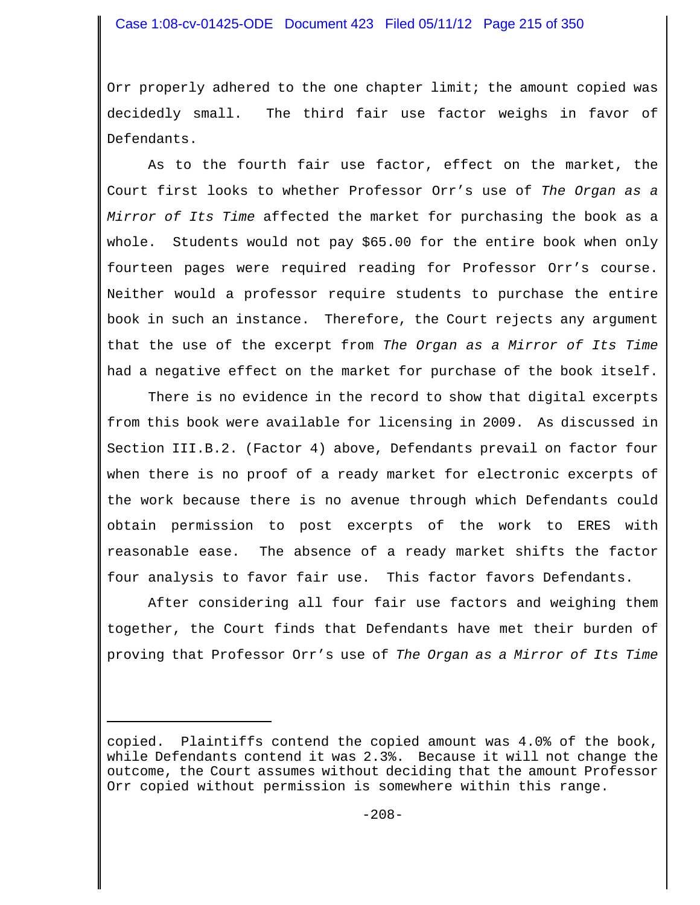# Case 1:08-cv-01425-ODE Document 423 Filed 05/11/12 Page 215 of 350

Orr properly adhered to the one chapter limit; the amount copied was decidedly small. The third fair use factor weighs in favor of Defendants.

As to the fourth fair use factor, effect on the market, the Court first looks to whether Professor Orr's use of *The Organ as a Mirror of Its Time* affected the market for purchasing the book as a whole. Students would not pay \$65.00 for the entire book when only fourteen pages were required reading for Professor Orr's course. Neither would a professor require students to purchase the entire book in such an instance. Therefore, the Court rejects any argument that the use of the excerpt from *The Organ as a Mirror of Its Time* had a negative effect on the market for purchase of the book itself.

There is no evidence in the record to show that digital excerpts from this book were available for licensing in 2009. As discussed in Section III.B.2. (Factor 4) above, Defendants prevail on factor four when there is no proof of a ready market for electronic excerpts of the work because there is no avenue through which Defendants could obtain permission to post excerpts of the work to ERES with reasonable ease. The absence of a ready market shifts the factor four analysis to favor fair use. This factor favors Defendants.

After considering all four fair use factors and weighing them together, the Court finds that Defendants have met their burden of proving that Professor Orr's use of *The Organ as a Mirror of Its Time*

copied. Plaintiffs contend the copied amount was 4.0% of the book, while Defendants contend it was 2.3%. Because it will not change the outcome, the Court assumes without deciding that the amount Professor Orr copied without permission is somewhere within this range.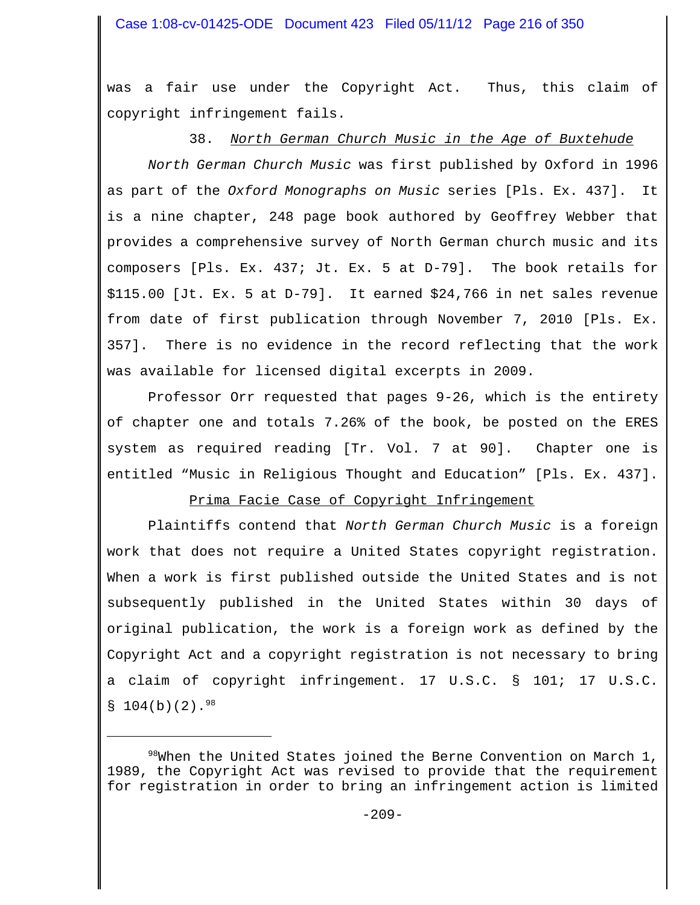was a fair use under the Copyright Act. Thus, this claim of copyright infringement fails.

# 38. *North German Church Music in the Age of Buxtehude*

*North German Church Music* was first published by Oxford in 1996 as part of the *Oxford Monographs on Music* series [Pls. Ex. 437]. It is a nine chapter, 248 page book authored by Geoffrey Webber that provides a comprehensive survey of North German church music and its composers [Pls. Ex. 437; Jt. Ex. 5 at D-79]. The book retails for \$115.00 [Jt. Ex. 5 at D-79]. It earned \$24,766 in net sales revenue from date of first publication through November 7, 2010 [Pls. Ex. 357]. There is no evidence in the record reflecting that the work was available for licensed digital excerpts in 2009.

Professor Orr requested that pages 9-26, which is the entirety of chapter one and totals 7.26% of the book, be posted on the ERES system as required reading [Tr. Vol. 7 at 90]. Chapter one is entitled "Music in Religious Thought and Education" [Pls. Ex. 437].

# Prima Facie Case of Copyright Infringement

Plaintiffs contend that *North German Church Music* is a foreign work that does not require a United States copyright registration. When a work is first published outside the United States and is not subsequently published in the United States within 30 days of original publication, the work is a foreign work as defined by the Copyright Act and a copyright registration is not necessary to bring a claim of copyright infringement. 17 U.S.C. § 101; 17 U.S.C.  $$104(b)(2).$ <sup>98</sup>

 $98$ When the United States joined the Berne Convention on March 1, 1989, the Copyright Act was revised to provide that the requirement for registration in order to bring an infringement action is limited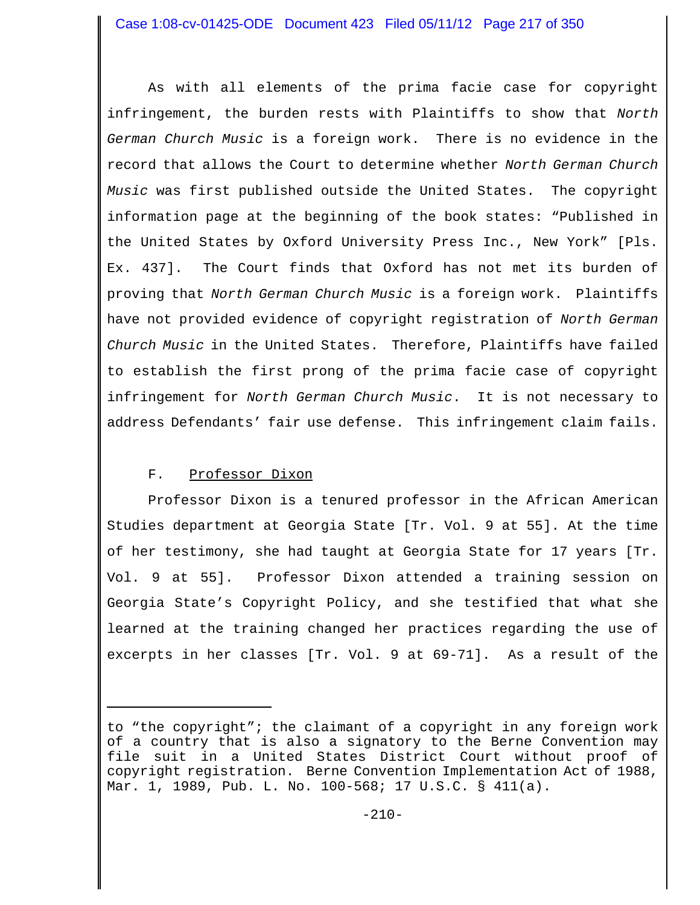As with all elements of the prima facie case for copyright infringement, the burden rests with Plaintiffs to show that *North German Church Music* is a foreign work. There is no evidence in the record that allows the Court to determine whether *North German Church Music* was first published outside the United States. The copyright information page at the beginning of the book states: "Published in the United States by Oxford University Press Inc., New York" [Pls. Ex. 437]. The Court finds that Oxford has not met its burden of proving that *North German Church Music* is a foreign work. Plaintiffs have not provided evidence of copyright registration of *North German Church Music* in the United States. Therefore, Plaintiffs have failed to establish the first prong of the prima facie case of copyright infringement for *North German Church Music*. It is not necessary to address Defendants' fair use defense. This infringement claim fails.

# F. Professor Dixon

Professor Dixon is a tenured professor in the African American Studies department at Georgia State [Tr. Vol. 9 at 55]. At the time of her testimony, she had taught at Georgia State for 17 years [Tr. Vol. 9 at 55]. Professor Dixon attended a training session on Georgia State's Copyright Policy, and she testified that what she learned at the training changed her practices regarding the use of excerpts in her classes [Tr. Vol. 9 at 69-71]. As a result of the

to "the copyright"; the claimant of a copyright in any foreign work of a country that is also a signatory to the Berne Convention may file suit in a United States District Court without proof of copyright registration. Berne Convention Implementation Act of 1988, Mar. 1, 1989, Pub. L. No. 100-568; 17 U.S.C. § 411(a).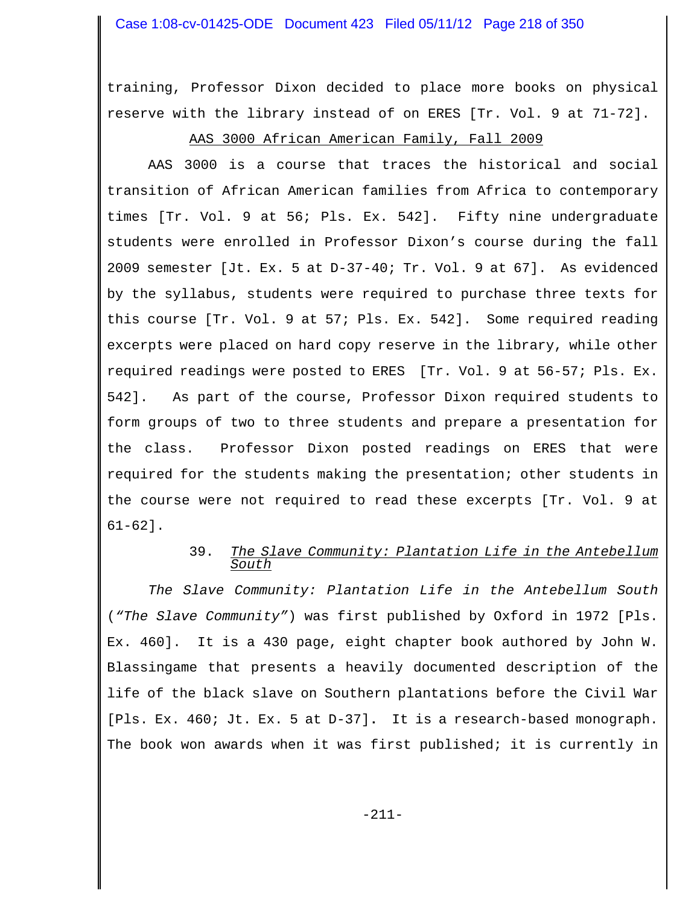training, Professor Dixon decided to place more books on physical reserve with the library instead of on ERES [Tr. Vol. 9 at 71-72].

# AAS 3000 African American Family, Fall 2009

AAS 3000 is a course that traces the historical and social transition of African American families from Africa to contemporary times [Tr. Vol. 9 at 56; Pls. Ex. 542]. Fifty nine undergraduate students were enrolled in Professor Dixon's course during the fall 2009 semester [Jt. Ex. 5 at D-37-40; Tr. Vol. 9 at 67]. As evidenced by the syllabus, students were required to purchase three texts for this course [Tr. Vol. 9 at 57; Pls. Ex. 542]. Some required reading excerpts were placed on hard copy reserve in the library, while other required readings were posted to ERES [Tr. Vol. 9 at 56-57; Pls. Ex. 542]. As part of the course, Professor Dixon required students to form groups of two to three students and prepare a presentation for the class. Professor Dixon posted readings on ERES that were required for the students making the presentation; other students in the course were not required to read these excerpts [Tr. Vol. 9 at 61-62].

## 39. *The Slave Community: Plantation Life in the Antebellum South*

*The Slave Community: Plantation Life in the Antebellum South* (*"The Slave Community"*) was first published by Oxford in 1972 [Pls. Ex. 460]. It is a 430 page, eight chapter book authored by John W. Blassingame that presents a heavily documented description of the life of the black slave on Southern plantations before the Civil War [Pls. Ex. 460; Jt. Ex. 5 at D-37]**.** It is a research-based monograph. The book won awards when it was first published; it is currently in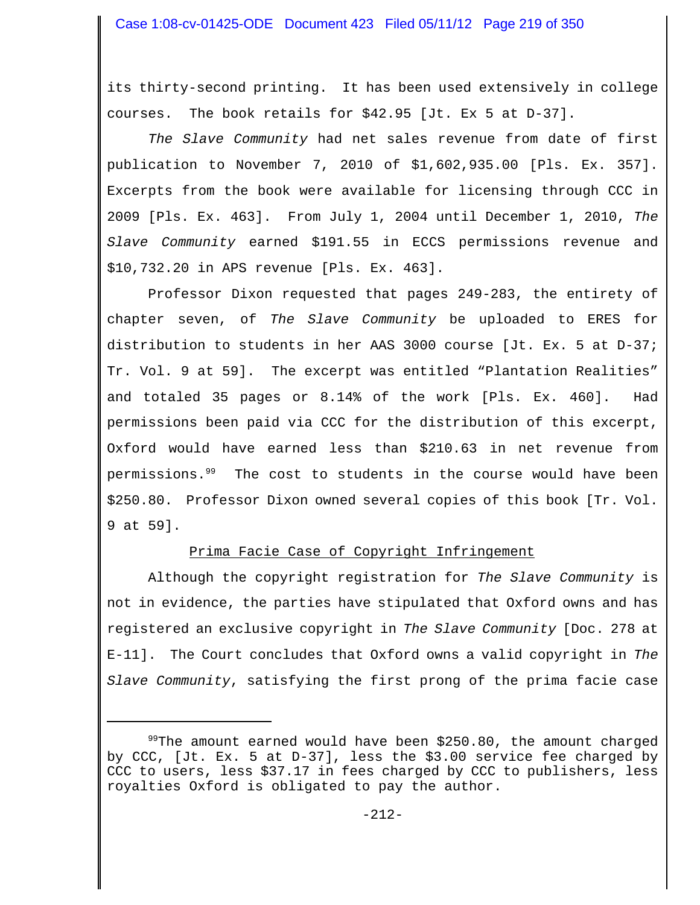its thirty-second printing. It has been used extensively in college courses. The book retails for \$42.95 [Jt. Ex 5 at D-37].

*The Slave Community* had net sales revenue from date of first publication to November 7, 2010 of \$1,602,935.00 [Pls. Ex. 357]. Excerpts from the book were available for licensing through CCC in 2009 [Pls. Ex. 463]. From July 1, 2004 until December 1, 2010, *The Slave Community* earned \$191.55 in ECCS permissions revenue and \$10,732.20 in APS revenue [Pls. Ex. 463].

Professor Dixon requested that pages 249-283, the entirety of chapter seven, of *The Slave Community* be uploaded to ERES for distribution to students in her AAS 3000 course [Jt. Ex. 5 at D-37; Tr. Vol. 9 at 59]. The excerpt was entitled "Plantation Realities" and totaled 35 pages or 8.14% of the work [Pls. Ex. 460]. Had permissions been paid via CCC for the distribution of this excerpt, Oxford would have earned less than \$210.63 in net revenue from permissions.<sup>99</sup> The cost to students in the course would have been \$250.80. Professor Dixon owned several copies of this book [Tr. Vol. 9 at 59].

## Prima Facie Case of Copyright Infringement

Although the copyright registration for *The Slave Community* is not in evidence, the parties have stipulated that Oxford owns and has registered an exclusive copyright in *The Slave Community* [Doc. 278 at E-11]. The Court concludes that Oxford owns a valid copyright in *The Slave Community*, satisfying the first prong of the prima facie case

<sup>99</sup>The amount earned would have been \$250.80, the amount charged by CCC, [Jt. Ex. 5 at D-37], less the \$3.00 service fee charged by CCC to users, less \$37.17 in fees charged by CCC to publishers, less royalties Oxford is obligated to pay the author.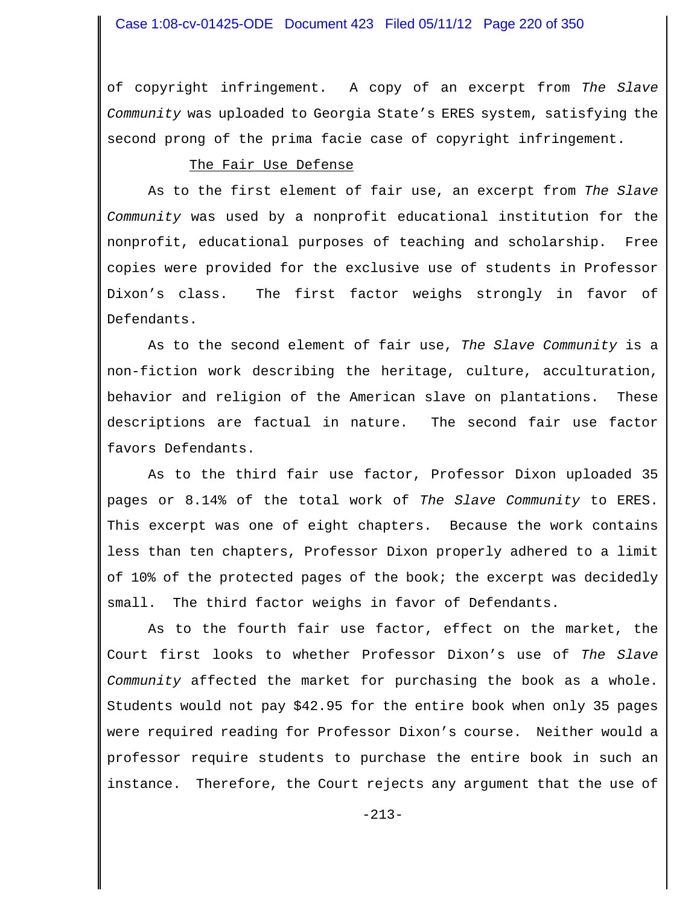of copyright infringement. A copy of an excerpt from *The Slave Community* was uploaded to Georgia State's ERES system, satisfying the second prong of the prima facie case of copyright infringement.

#### The Fair Use Defense

As to the first element of fair use, an excerpt from *The Slave Community* was used by a nonprofit educational institution for the nonprofit, educational purposes of teaching and scholarship. Free copies were provided for the exclusive use of students in Professor Dixon's class. The first factor weighs strongly in favor of Defendants.

As to the second element of fair use, *The Slave Community* is a non-fiction work describing the heritage, culture, acculturation, behavior and religion of the American slave on plantations. These descriptions are factual in nature. The second fair use factor favors Defendants.

As to the third fair use factor, Professor Dixon uploaded 35 pages or 8.14% of the total work of *The Slave Community* to ERES. This excerpt was one of eight chapters. Because the work contains less than ten chapters, Professor Dixon properly adhered to a limit of 10% of the protected pages of the book; the excerpt was decidedly small. The third factor weighs in favor of Defendants.

As to the fourth fair use factor, effect on the market, the Court first looks to whether Professor Dixon's use of *The Slave Community* affected the market for purchasing the book as a whole. Students would not pay \$42.95 for the entire book when only 35 pages were required reading for Professor Dixon's course. Neither would a professor require students to purchase the entire book in such an instance. Therefore, the Court rejects any argument that the use of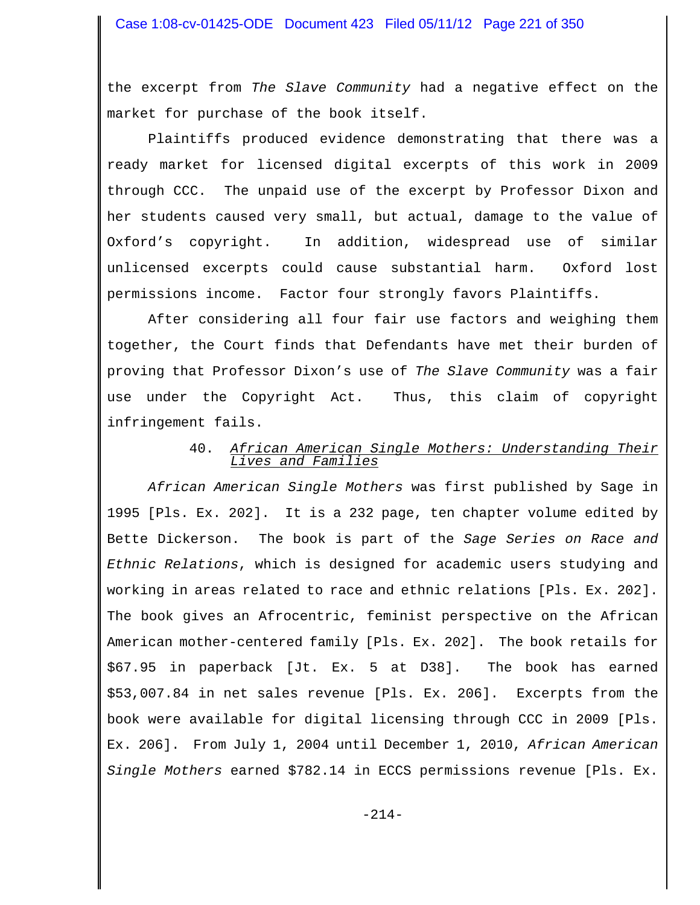the excerpt from *The Slave Community* had a negative effect on the market for purchase of the book itself.

Plaintiffs produced evidence demonstrating that there was a ready market for licensed digital excerpts of this work in 2009 through CCC. The unpaid use of the excerpt by Professor Dixon and her students caused very small, but actual, damage to the value of Oxford's copyright. In addition, widespread use of similar unlicensed excerpts could cause substantial harm. Oxford lost permissions income. Factor four strongly favors Plaintiffs.

After considering all four fair use factors and weighing them together, the Court finds that Defendants have met their burden of proving that Professor Dixon's use of *The Slave Community* was a fair use under the Copyright Act. Thus, this claim of copyright infringement fails.

# 40. *African American Single Mothers: Understanding Their Lives and Families*

*African American Single Mothers* was first published by Sage in 1995 [Pls. Ex. 202]. It is a 232 page, ten chapter volume edited by Bette Dickerson. The book is part of the *Sage Series on Race and Ethnic Relations*, which is designed for academic users studying and working in areas related to race and ethnic relations [Pls. Ex. 202]. The book gives an Afrocentric, feminist perspective on the African American mother-centered family [Pls. Ex. 202]. The book retails for \$67.95 in paperback [Jt. Ex. 5 at D38]. The book has earned \$53,007.84 in net sales revenue [Pls. Ex. 206]. Excerpts from the book were available for digital licensing through CCC in 2009 [Pls. Ex. 206]. From July 1, 2004 until December 1, 2010, *African American Single Mothers* earned \$782.14 in ECCS permissions revenue [Pls. Ex.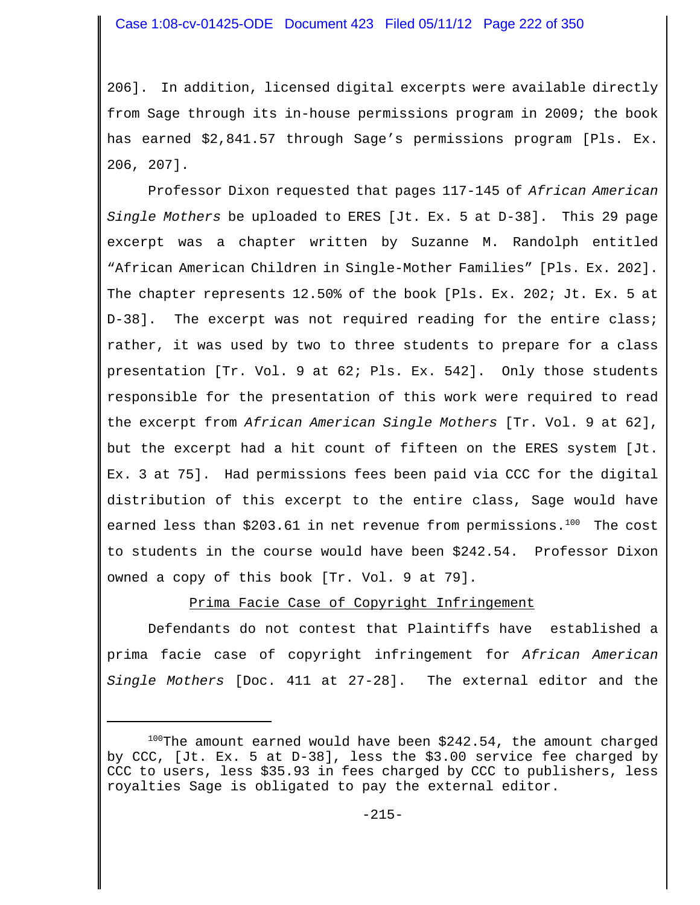206]. In addition, licensed digital excerpts were available directly from Sage through its in-house permissions program in 2009; the book has earned \$2,841.57 through Sage's permissions program [Pls. Ex. 206, 207].

Professor Dixon requested that pages 117-145 of *African American Single Mothers* be uploaded to ERES [Jt. Ex. 5 at D-38]. This 29 page excerpt was a chapter written by Suzanne M. Randolph entitled "African American Children in Single-Mother Families" [Pls. Ex. 202]. The chapter represents 12.50% of the book [Pls. Ex. 202; Jt. Ex. 5 at D-38]. The excerpt was not required reading for the entire class; rather, it was used by two to three students to prepare for a class presentation [Tr. Vol. 9 at 62; Pls. Ex. 542]. Only those students responsible for the presentation of this work were required to read the excerpt from *African American Single Mothers* [Tr. Vol. 9 at 62], but the excerpt had a hit count of fifteen on the ERES system [Jt. Ex. 3 at 75]. Had permissions fees been paid via CCC for the digital distribution of this excerpt to the entire class, Sage would have earned less than \$203.61 in net revenue from permissions.<sup>100</sup> The cost to students in the course would have been \$242.54. Professor Dixon owned a copy of this book [Tr. Vol. 9 at 79].

Prima Facie Case of Copyright Infringement

Defendants do not contest that Plaintiffs have established a prima facie case of copyright infringement for *African American Single Mothers* [Doc. 411 at 27-28]. The external editor and the

 $100$ The amount earned would have been \$242.54, the amount charged by CCC, [Jt. Ex. 5 at D-38], less the \$3.00 service fee charged by CCC to users, less \$35.93 in fees charged by CCC to publishers, less royalties Sage is obligated to pay the external editor.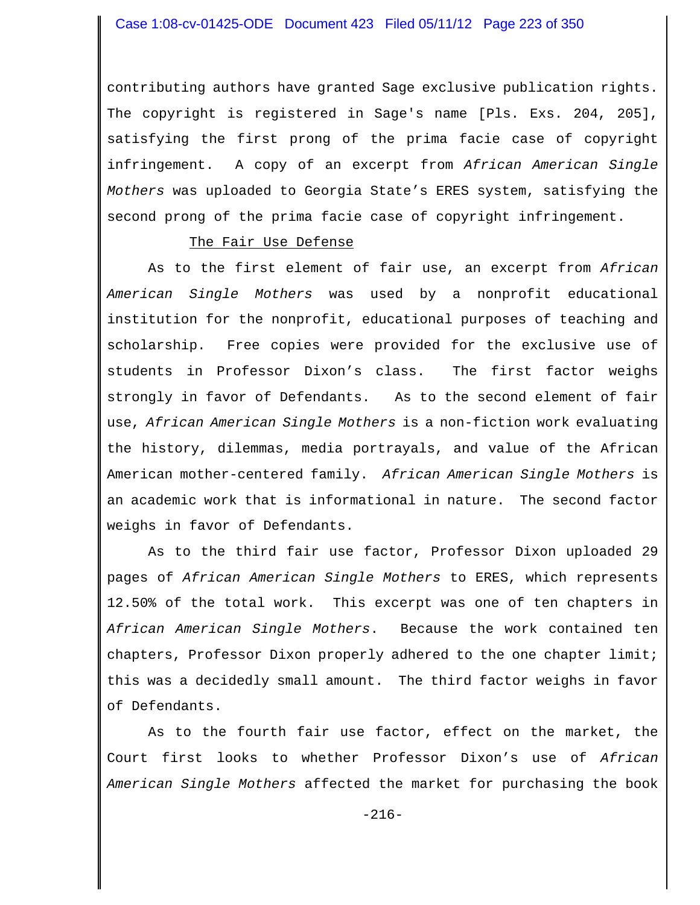contributing authors have granted Sage exclusive publication rights. The copyright is registered in Sage's name [Pls. Exs. 204, 205], satisfying the first prong of the prima facie case of copyright infringement. A copy of an excerpt from *African American Single Mothers* was uploaded to Georgia State's ERES system, satisfying the second prong of the prima facie case of copyright infringement.

#### The Fair Use Defense

As to the first element of fair use, an excerpt from *African American Single Mothers* was used by a nonprofit educational institution for the nonprofit, educational purposes of teaching and scholarship. Free copies were provided for the exclusive use of students in Professor Dixon's class. The first factor weighs strongly in favor of Defendants. As to the second element of fair use, *African American Single Mothers* is a non-fiction work evaluating the history, dilemmas, media portrayals, and value of the African American mother-centered family. *African American Single Mothers* is an academic work that is informational in nature. The second factor weighs in favor of Defendants.

As to the third fair use factor, Professor Dixon uploaded 29 pages of *African American Single Mothers* to ERES, which represents 12.50% of the total work. This excerpt was one of ten chapters in *African American Single Mothers*. Because the work contained ten chapters, Professor Dixon properly adhered to the one chapter limit; this was a decidedly small amount. The third factor weighs in favor of Defendants.

As to the fourth fair use factor, effect on the market, the Court first looks to whether Professor Dixon's use of *African American Single Mothers* affected the market for purchasing the book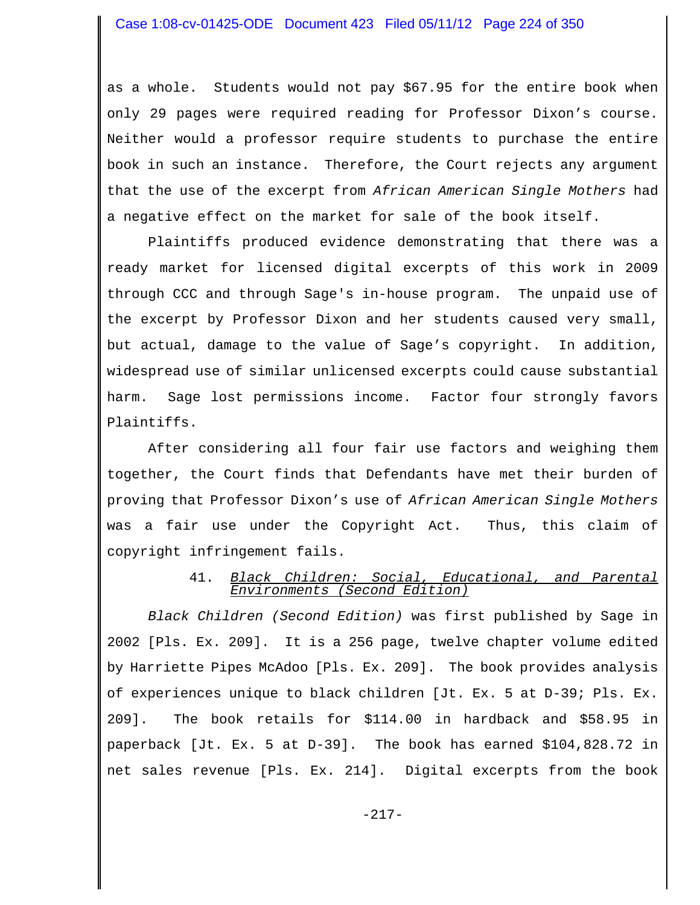as a whole. Students would not pay \$67.95 for the entire book when only 29 pages were required reading for Professor Dixon's course. Neither would a professor require students to purchase the entire book in such an instance. Therefore, the Court rejects any argument that the use of the excerpt from *African American Single Mothers* had a negative effect on the market for sale of the book itself.

Plaintiffs produced evidence demonstrating that there was a ready market for licensed digital excerpts of this work in 2009 through CCC and through Sage's in-house program. The unpaid use of the excerpt by Professor Dixon and her students caused very small, but actual, damage to the value of Sage's copyright. In addition, widespread use of similar unlicensed excerpts could cause substantial harm. Sage lost permissions income. Factor four strongly favors Plaintiffs.

After considering all four fair use factors and weighing them together, the Court finds that Defendants have met their burden of proving that Professor Dixon's use of *African American Single Mothers* was a fair use under the Copyright Act. Thus, this claim of copyright infringement fails.

## 41. *Black Children: Social, Educational, and Parental Environments (Second Edition)*

*Black Children (Second Edition)* was first published by Sage in 2002 [Pls. Ex. 209]. It is a 256 page, twelve chapter volume edited by Harriette Pipes McAdoo [Pls. Ex. 209]. The book provides analysis of experiences unique to black children [Jt. Ex. 5 at D-39; Pls. Ex. 209]. The book retails for \$114.00 in hardback and \$58.95 in paperback [Jt. Ex. 5 at D-39]. The book has earned \$104,828.72 in net sales revenue [Pls. Ex. 214]. Digital excerpts from the book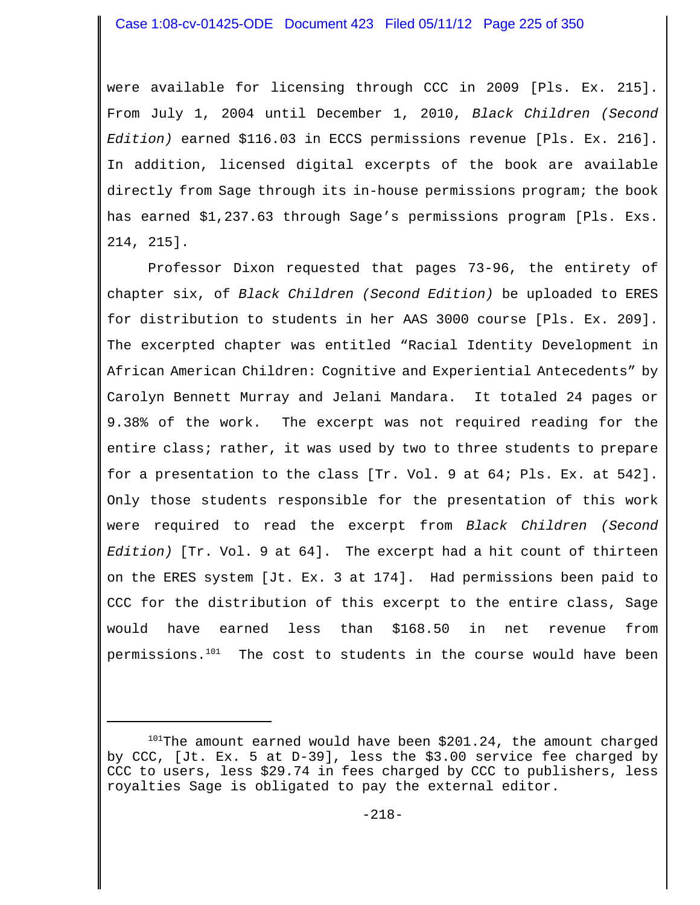were available for licensing through CCC in 2009 [Pls. Ex. 215]. From July 1, 2004 until December 1, 2010, *Black Children (Second Edition)* earned \$116.03 in ECCS permissions revenue [Pls. Ex. 216]. In addition, licensed digital excerpts of the book are available directly from Sage through its in-house permissions program; the book has earned \$1,237.63 through Sage's permissions program [Pls. Exs. 214, 215].

Professor Dixon requested that pages 73-96, the entirety of chapter six, of *Black Children (Second Edition)* be uploaded to ERES for distribution to students in her AAS 3000 course [Pls. Ex. 209]. The excerpted chapter was entitled "Racial Identity Development in African American Children: Cognitive and Experiential Antecedents" by Carolyn Bennett Murray and Jelani Mandara. It totaled 24 pages or 9.38% of the work. The excerpt was not required reading for the entire class; rather, it was used by two to three students to prepare for a presentation to the class [Tr. Vol. 9 at 64; Pls. Ex. at 542]. Only those students responsible for the presentation of this work were required to read the excerpt from *Black Children (Second Edition)* [Tr. Vol. 9 at 64]. The excerpt had a hit count of thirteen on the ERES system [Jt. Ex. 3 at 174]. Had permissions been paid to CCC for the distribution of this excerpt to the entire class, Sage would have earned less than \$168.50 in net revenue from permissions. $101$  The cost to students in the course would have been

<sup>&</sup>lt;sup>101</sup>The amount earned would have been \$201.24, the amount charged by CCC, [Jt. Ex. 5 at D-39], less the \$3.00 service fee charged by CCC to users, less \$29.74 in fees charged by CCC to publishers, less royalties Sage is obligated to pay the external editor.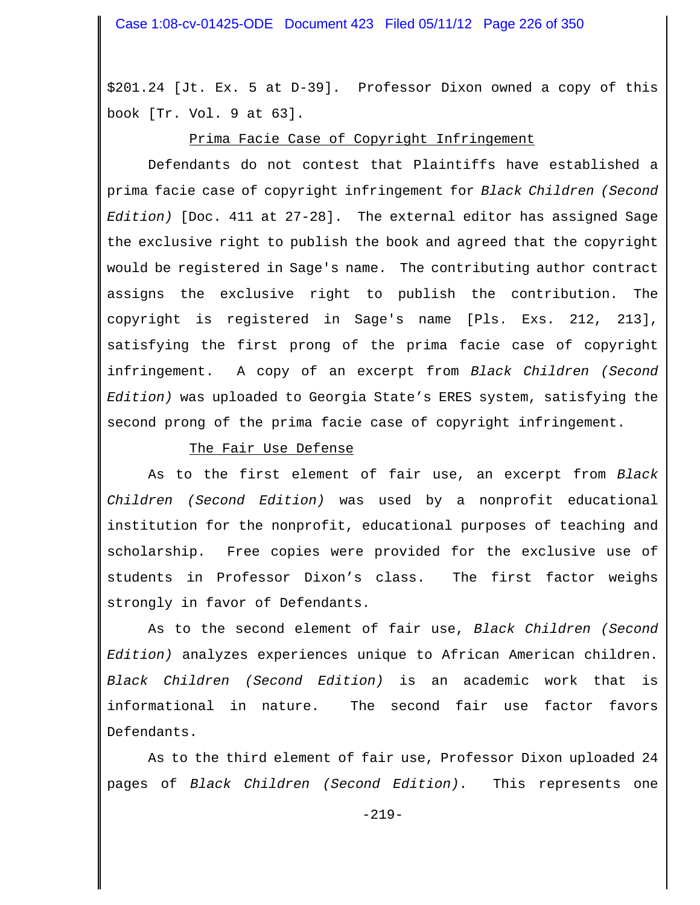\$201.24 [Jt. Ex. 5 at D-39]. Professor Dixon owned a copy of this book [Tr. Vol. 9 at 63].

## Prima Facie Case of Copyright Infringement

Defendants do not contest that Plaintiffs have established a prima facie case of copyright infringement for *Black Children (Second Edition)* [Doc. 411 at 27-28]. The external editor has assigned Sage the exclusive right to publish the book and agreed that the copyright would be registered in Sage's name. The contributing author contract assigns the exclusive right to publish the contribution. The copyright is registered in Sage's name [Pls. Exs. 212, 213], satisfying the first prong of the prima facie case of copyright infringement. A copy of an excerpt from *Black Children (Second Edition)* was uploaded to Georgia State's ERES system, satisfying the second prong of the prima facie case of copyright infringement.

### The Fair Use Defense

As to the first element of fair use, an excerpt from *Black Children (Second Edition)* was used by a nonprofit educational institution for the nonprofit, educational purposes of teaching and scholarship. Free copies were provided for the exclusive use of students in Professor Dixon's class. The first factor weighs strongly in favor of Defendants.

As to the second element of fair use, *Black Children (Second Edition)* analyzes experiences unique to African American children. *Black Children (Second Edition)* is an academic work that is informational in nature. The second fair use factor favors Defendants.

As to the third element of fair use, Professor Dixon uploaded 24 pages of *Black Children (Second Edition)*. This represents one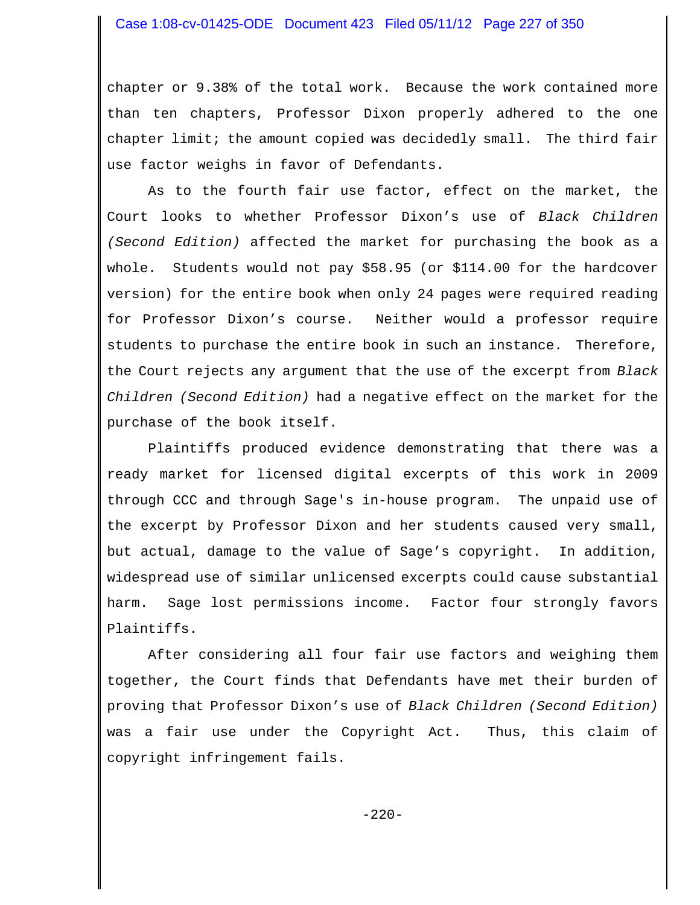### Case 1:08-cv-01425-ODE Document 423 Filed 05/11/12 Page 227 of 350

chapter or 9.38% of the total work. Because the work contained more than ten chapters, Professor Dixon properly adhered to the one chapter limit; the amount copied was decidedly small. The third fair use factor weighs in favor of Defendants.

As to the fourth fair use factor, effect on the market, the Court looks to whether Professor Dixon's use of *Black Children (Second Edition)* affected the market for purchasing the book as a whole. Students would not pay \$58.95 (or \$114.00 for the hardcover version) for the entire book when only 24 pages were required reading for Professor Dixon's course. Neither would a professor require students to purchase the entire book in such an instance. Therefore, the Court rejects any argument that the use of the excerpt from *Black Children (Second Edition)* had a negative effect on the market for the purchase of the book itself.

Plaintiffs produced evidence demonstrating that there was a ready market for licensed digital excerpts of this work in 2009 through CCC and through Sage's in-house program. The unpaid use of the excerpt by Professor Dixon and her students caused very small, but actual, damage to the value of Sage's copyright. In addition, widespread use of similar unlicensed excerpts could cause substantial harm. Sage lost permissions income. Factor four strongly favors Plaintiffs.

After considering all four fair use factors and weighing them together, the Court finds that Defendants have met their burden of proving that Professor Dixon's use of *Black Children (Second Edition)* was a fair use under the Copyright Act. Thus, this claim of copyright infringement fails.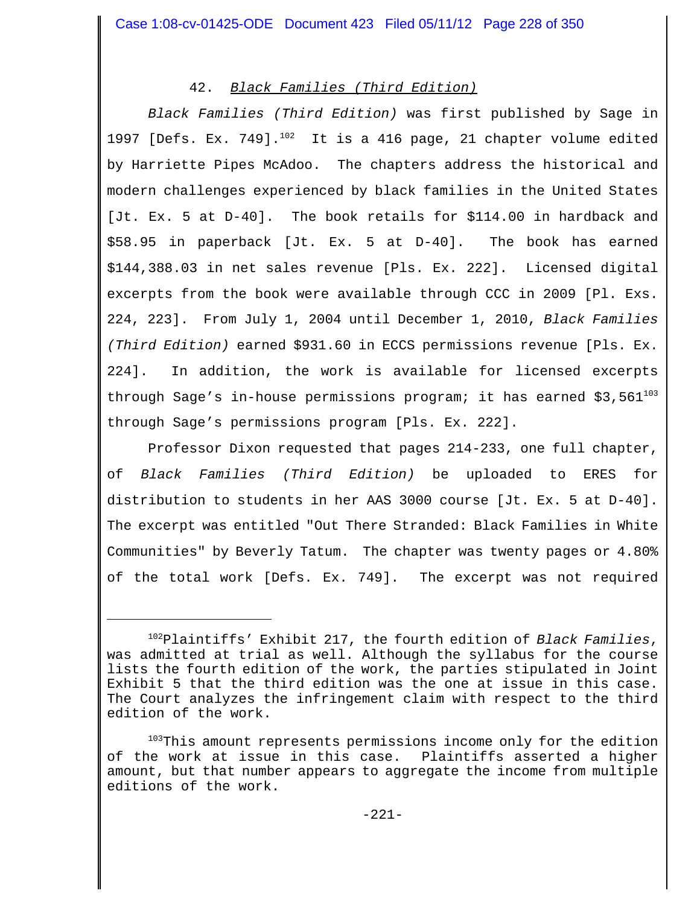# 42. *Black Families (Third Edition)*

*Black Families (Third Edition)* was first published by Sage in 1997 [Defs. Ex. 749]. $^{102}$  It is a 416 page, 21 chapter volume edited by Harriette Pipes McAdoo. The chapters address the historical and modern challenges experienced by black families in the United States [Jt. Ex. 5 at D-40]. The book retails for \$114.00 in hardback and \$58.95 in paperback [Jt. Ex. 5 at D-40]. The book has earned \$144,388.03 in net sales revenue [Pls. Ex. 222]. Licensed digital excerpts from the book were available through CCC in 2009 [Pl. Exs. 224, 223]. From July 1, 2004 until December 1, 2010, *Black Families (Third Edition)* earned \$931.60 in ECCS permissions revenue [Pls. Ex. 224]. In addition, the work is available for licensed excerpts through Sage's in-house permissions program; it has earned  $$3,561^{103}$ through Sage's permissions program [Pls. Ex. 222].

Professor Dixon requested that pages 214-233, one full chapter, of *Black Families (Third Edition)* be uploaded to ERES for distribution to students in her AAS 3000 course [Jt. Ex. 5 at D-40]. The excerpt was entitled "Out There Stranded: Black Families in White Communities" by Beverly Tatum. The chapter was twenty pages or 4.80% of the total work [Defs. Ex. 749]. The excerpt was not required

<sup>102</sup>Plaintiffs' Exhibit 217, the fourth edition of *Black Families*, was admitted at trial as well. Although the syllabus for the course lists the fourth edition of the work, the parties stipulated in Joint Exhibit 5 that the third edition was the one at issue in this case. The Court analyzes the infringement claim with respect to the third edition of the work.

<sup>103</sup>This amount represents permissions income only for the edition of the work at issue in this case. Plaintiffs asserted a higher amount, but that number appears to aggregate the income from multiple editions of the work.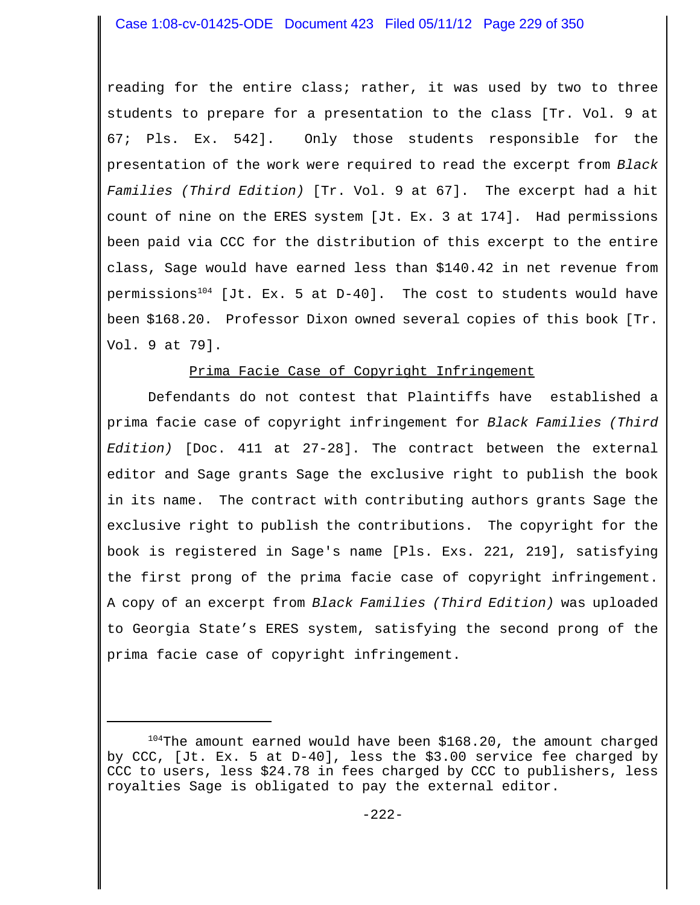reading for the entire class; rather, it was used by two to three students to prepare for a presentation to the class [Tr. Vol. 9 at 67; Pls. Ex. 542]. Only those students responsible for the presentation of the work were required to read the excerpt from *Black Families (Third Edition)* [Tr. Vol. 9 at 67]. The excerpt had a hit count of nine on the ERES system [Jt. Ex. 3 at 174]. Had permissions been paid via CCC for the distribution of this excerpt to the entire class, Sage would have earned less than \$140.42 in net revenue from permissions<sup>104</sup> [Jt. Ex. 5 at D-40]. The cost to students would have been \$168.20. Professor Dixon owned several copies of this book [Tr. Vol. 9 at 79].

# Prima Facie Case of Copyright Infringement

Defendants do not contest that Plaintiffs have established a prima facie case of copyright infringement for *Black Families (Third Edition)* [Doc. 411 at 27-28]. The contract between the external editor and Sage grants Sage the exclusive right to publish the book in its name. The contract with contributing authors grants Sage the exclusive right to publish the contributions. The copyright for the book is registered in Sage's name [Pls. Exs. 221, 219], satisfying the first prong of the prima facie case of copyright infringement. A copy of an excerpt from *Black Families (Third Edition)* was uploaded to Georgia State's ERES system, satisfying the second prong of the prima facie case of copyright infringement.

 $104$ The amount earned would have been \$168.20, the amount charged by CCC, [Jt. Ex. 5 at D-40], less the \$3.00 service fee charged by CCC to users, less \$24.78 in fees charged by CCC to publishers, less royalties Sage is obligated to pay the external editor.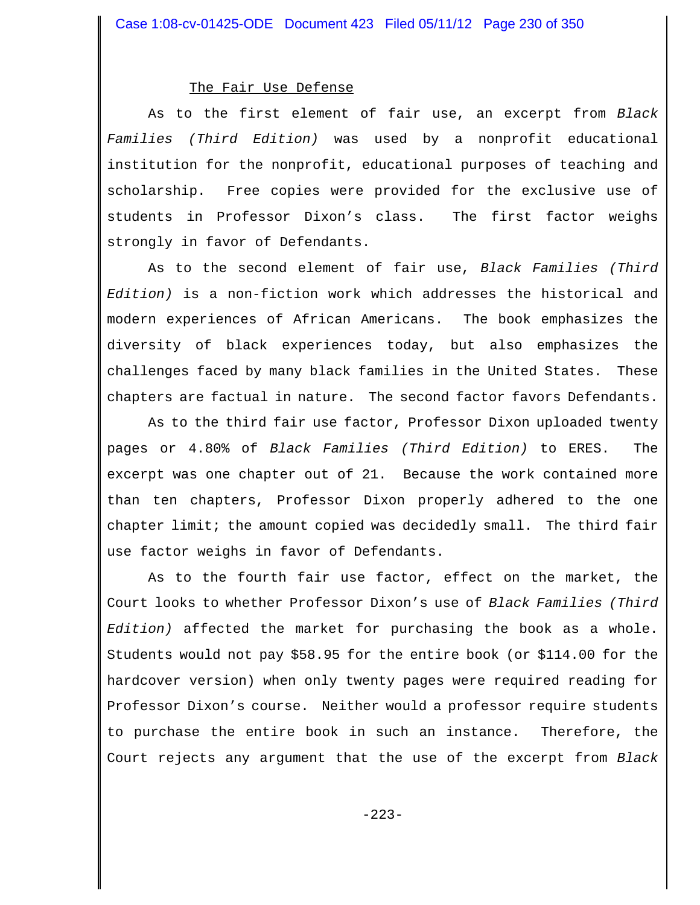#### The Fair Use Defense

As to the first element of fair use, an excerpt from *Black Families (Third Edition)* was used by a nonprofit educational institution for the nonprofit, educational purposes of teaching and scholarship. Free copies were provided for the exclusive use of students in Professor Dixon's class. The first factor weighs strongly in favor of Defendants.

As to the second element of fair use, *Black Families (Third Edition)* is a non-fiction work which addresses the historical and modern experiences of African Americans. The book emphasizes the diversity of black experiences today, but also emphasizes the challenges faced by many black families in the United States. These chapters are factual in nature. The second factor favors Defendants.

As to the third fair use factor, Professor Dixon uploaded twenty pages or 4.80% of *Black Families (Third Edition)* to ERES. The excerpt was one chapter out of 21. Because the work contained more than ten chapters, Professor Dixon properly adhered to the one chapter limit; the amount copied was decidedly small. The third fair use factor weighs in favor of Defendants.

As to the fourth fair use factor, effect on the market, the Court looks to whether Professor Dixon's use of *Black Families (Third Edition)* affected the market for purchasing the book as a whole. Students would not pay \$58.95 for the entire book (or \$114.00 for the hardcover version) when only twenty pages were required reading for Professor Dixon's course. Neither would a professor require students to purchase the entire book in such an instance. Therefore, the Court rejects any argument that the use of the excerpt from *Black*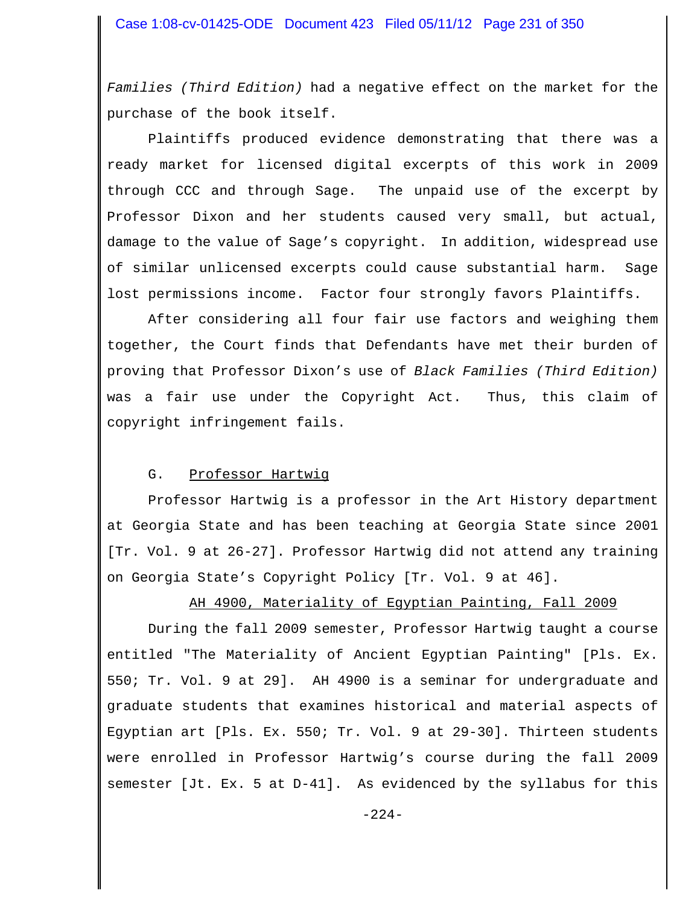*Families (Third Edition)* had a negative effect on the market for the purchase of the book itself.

Plaintiffs produced evidence demonstrating that there was a ready market for licensed digital excerpts of this work in 2009 through CCC and through Sage. The unpaid use of the excerpt by Professor Dixon and her students caused very small, but actual, damage to the value of Sage's copyright. In addition, widespread use of similar unlicensed excerpts could cause substantial harm. Sage lost permissions income. Factor four strongly favors Plaintiffs.

After considering all four fair use factors and weighing them together, the Court finds that Defendants have met their burden of proving that Professor Dixon's use of *Black Families (Third Edition)* was a fair use under the Copyright Act. Thus, this claim of copyright infringement fails.

## G. Professor Hartwig

Professor Hartwig is a professor in the Art History department at Georgia State and has been teaching at Georgia State since 2001 [Tr. Vol. 9 at 26-27]. Professor Hartwig did not attend any training on Georgia State's Copyright Policy [Tr. Vol. 9 at 46].

## AH 4900, Materiality of Egyptian Painting, Fall 2009

During the fall 2009 semester, Professor Hartwig taught a course entitled "The Materiality of Ancient Egyptian Painting" [Pls. Ex. 550; Tr. Vol. 9 at 29]. AH 4900 is a seminar for undergraduate and graduate students that examines historical and material aspects of Egyptian art [Pls. Ex. 550; Tr. Vol. 9 at 29-30]. Thirteen students were enrolled in Professor Hartwig's course during the fall 2009 semester [Jt. Ex. 5 at D-41]. As evidenced by the syllabus for this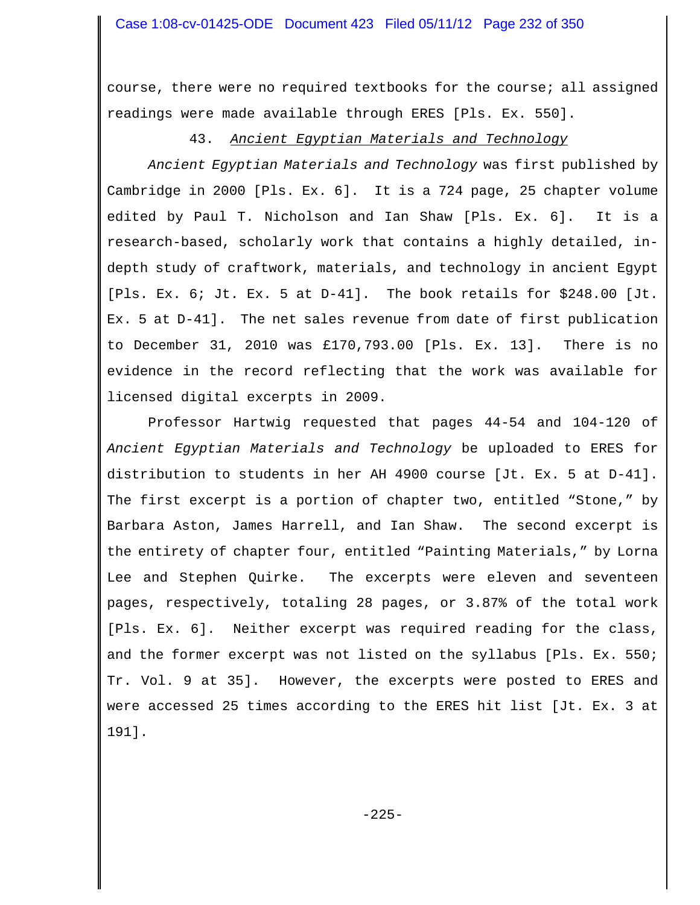course, there were no required textbooks for the course; all assigned readings were made available through ERES [Pls. Ex. 550].

# 43. *Ancient Egyptian Materials and Technology*

*Ancient Egyptian Materials and Technology* was first published by Cambridge in 2000 [Pls. Ex. 6]. It is a 724 page, 25 chapter volume edited by Paul T. Nicholson and Ian Shaw [Pls. Ex. 6]. It is a research-based, scholarly work that contains a highly detailed, indepth study of craftwork, materials, and technology in ancient Egypt [Pls. Ex. 6; Jt. Ex. 5 at D-41]. The book retails for \$248.00 [Jt. Ex. 5 at D-41]. The net sales revenue from date of first publication to December 31, 2010 was £170,793.00 [Pls. Ex. 13]. There is no evidence in the record reflecting that the work was available for licensed digital excerpts in 2009.

Professor Hartwig requested that pages 44-54 and 104-120 of *Ancient Egyptian Materials and Technology* be uploaded to ERES for distribution to students in her AH 4900 course [Jt. Ex. 5 at D-41]. The first excerpt is a portion of chapter two, entitled "Stone," by Barbara Aston, James Harrell, and Ian Shaw. The second excerpt is the entirety of chapter four, entitled "Painting Materials," by Lorna Lee and Stephen Quirke. The excerpts were eleven and seventeen pages, respectively, totaling 28 pages, or 3.87% of the total work [Pls. Ex. 6]. Neither excerpt was required reading for the class, and the former excerpt was not listed on the syllabus [Pls. Ex. 550; Tr. Vol. 9 at 35]. However, the excerpts were posted to ERES and were accessed 25 times according to the ERES hit list [Jt. Ex. 3 at 191].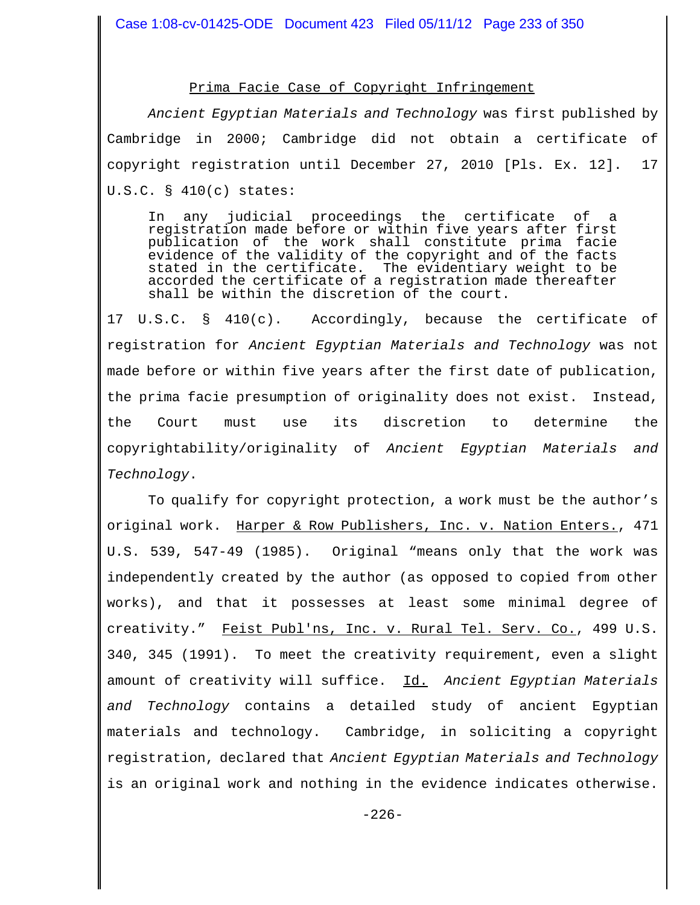#### Prima Facie Case of Copyright Infringement

*Ancient Egyptian Materials and Technology* was first published by Cambridge in 2000; Cambridge did not obtain a certificate of copyright registration until December 27, 2010 [Pls. Ex. 12]. 17 U.S.C. § 410(c) states:

In any judicial proceedings the certificate of a registration made before or within five years after first publication of the work shall constitute prima facie evidence of the validity of the copyright and of the facts stated in the certificate. The evidentiary weight to be accorded the certificate of a registration made thereafter shall be within the discretion of the court.

17 U.S.C. § 410(c). Accordingly, because the certificate of registration for *Ancient Egyptian Materials and Technology* was not made before or within five years after the first date of publication, the prima facie presumption of originality does not exist. Instead, the Court must use its discretion to determine the copyrightability/originality of *Ancient Egyptian Materials and Technology*.

To qualify for copyright protection, a work must be the author's original work. Harper & Row Publishers, Inc. v. Nation Enters., 471 U.S. 539, 547-49 (1985). Original "means only that the work was independently created by the author (as opposed to copied from other works), and that it possesses at least some minimal degree of creativity." Feist Publ'ns, Inc. v. Rural Tel. Serv. Co., 499 U.S. 340, 345 (1991). To meet the creativity requirement, even a slight amount of creativity will suffice. Id. *Ancient Egyptian Materials and Technology* contains a detailed study of ancient Egyptian materials and technology. Cambridge, in soliciting a copyright registration, declared that *Ancient Egyptian Materials and Technology* is an original work and nothing in the evidence indicates otherwise.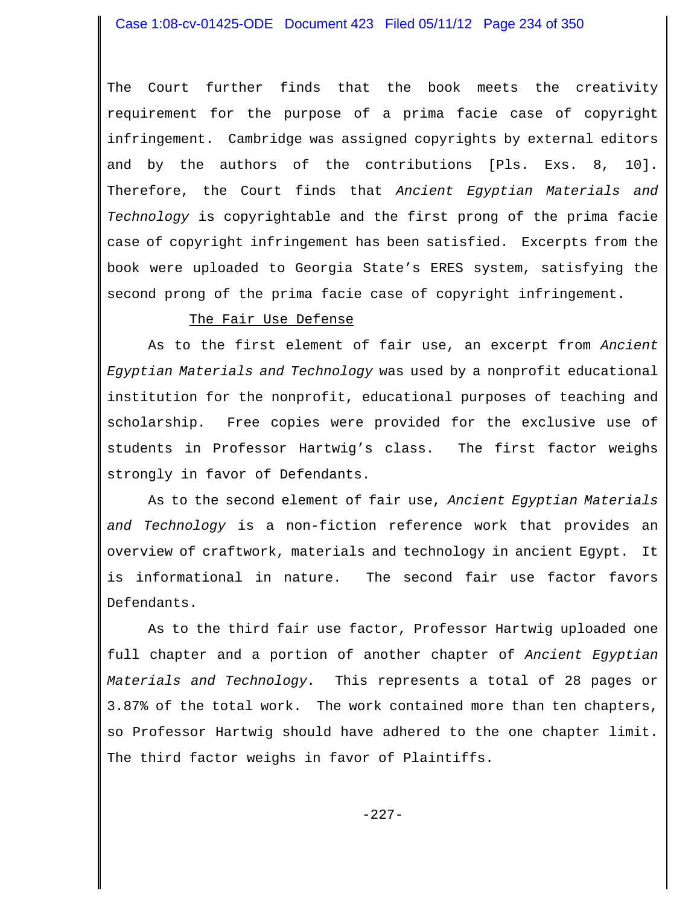The Court further finds that the book meets the creativity requirement for the purpose of a prima facie case of copyright infringement. Cambridge was assigned copyrights by external editors and by the authors of the contributions [Pls. Exs. 8, 10]. Therefore, the Court finds that *Ancient Egyptian Materials and Technology* is copyrightable and the first prong of the prima facie case of copyright infringement has been satisfied. Excerpts from the book were uploaded to Georgia State's ERES system, satisfying the second prong of the prima facie case of copyright infringement.

# The Fair Use Defense

As to the first element of fair use, an excerpt from *Ancient Egyptian Materials and Technology* was used by a nonprofit educational institution for the nonprofit, educational purposes of teaching and scholarship. Free copies were provided for the exclusive use of students in Professor Hartwig's class. The first factor weighs strongly in favor of Defendants.

As to the second element of fair use, *Ancient Egyptian Materials and Technology* is a non-fiction reference work that provides an overview of craftwork, materials and technology in ancient Egypt. It is informational in nature. The second fair use factor favors Defendants.

As to the third fair use factor, Professor Hartwig uploaded one full chapter and a portion of another chapter of *Ancient Egyptian Materials and Technology.* This represents a total of 28 pages or 3.87% of the total work. The work contained more than ten chapters, so Professor Hartwig should have adhered to the one chapter limit. The third factor weighs in favor of Plaintiffs.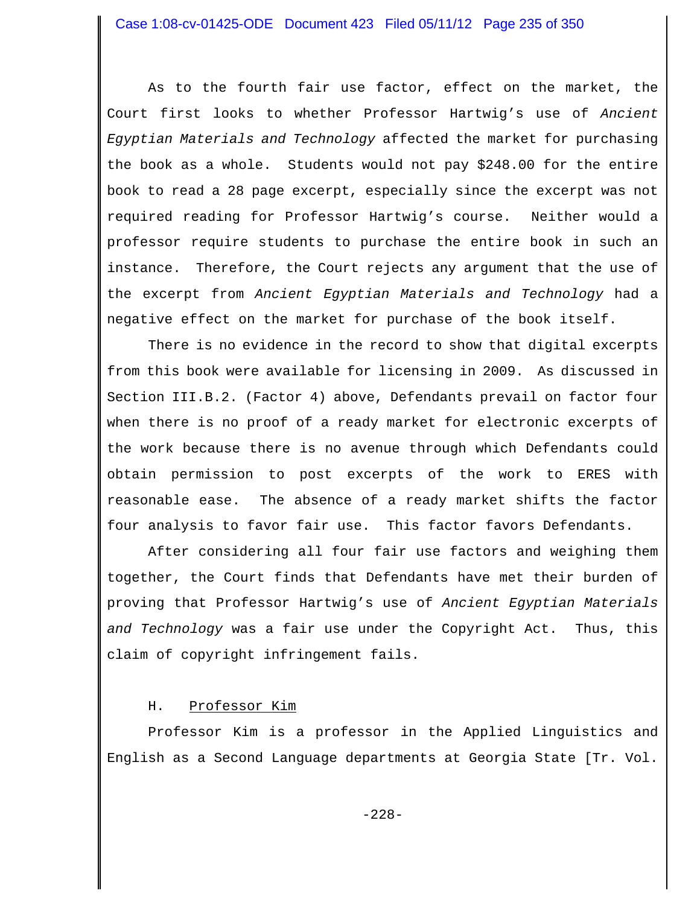As to the fourth fair use factor, effect on the market, the Court first looks to whether Professor Hartwig's use of *Ancient Egyptian Materials and Technology* affected the market for purchasing the book as a whole. Students would not pay \$248.00 for the entire book to read a 28 page excerpt, especially since the excerpt was not required reading for Professor Hartwig's course. Neither would a professor require students to purchase the entire book in such an instance. Therefore, the Court rejects any argument that the use of the excerpt from *Ancient Egyptian Materials and Technology* had a negative effect on the market for purchase of the book itself.

There is no evidence in the record to show that digital excerpts from this book were available for licensing in 2009. As discussed in Section III.B.2. (Factor 4) above, Defendants prevail on factor four when there is no proof of a ready market for electronic excerpts of the work because there is no avenue through which Defendants could obtain permission to post excerpts of the work to ERES with reasonable ease. The absence of a ready market shifts the factor four analysis to favor fair use. This factor favors Defendants.

After considering all four fair use factors and weighing them together, the Court finds that Defendants have met their burden of proving that Professor Hartwig's use of *Ancient Egyptian Materials and Technology* was a fair use under the Copyright Act. Thus, this claim of copyright infringement fails.

# H. Professor Kim

Professor Kim is a professor in the Applied Linguistics and English as a Second Language departments at Georgia State [Tr. Vol.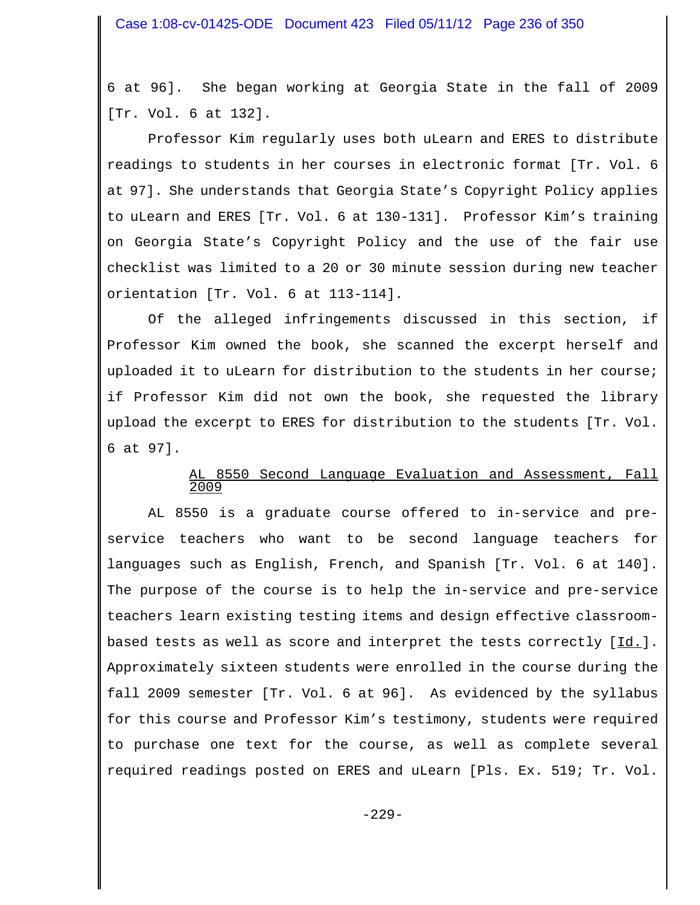6 at 96]. She began working at Georgia State in the fall of 2009 [Tr. Vol. 6 at 132].

Professor Kim regularly uses both uLearn and ERES to distribute readings to students in her courses in electronic format [Tr. Vol. 6 at 97]. She understands that Georgia State's Copyright Policy applies to uLearn and ERES [Tr. Vol. 6 at 130-131]. Professor Kim's training on Georgia State's Copyright Policy and the use of the fair use checklist was limited to a 20 or 30 minute session during new teacher orientation [Tr. Vol. 6 at 113-114].

Of the alleged infringements discussed in this section, if Professor Kim owned the book, she scanned the excerpt herself and uploaded it to uLearn for distribution to the students in her course; if Professor Kim did not own the book, she requested the library upload the excerpt to ERES for distribution to the students [Tr. Vol. 6 at 97].

## AL 8550 Second Language Evaluation and Assessment, Fall 2009

AL 8550 is a graduate course offered to in-service and preservice teachers who want to be second language teachers for languages such as English, French, and Spanish [Tr. Vol. 6 at 140]. The purpose of the course is to help the in-service and pre-service teachers learn existing testing items and design effective classroombased tests as well as score and interpret the tests correctly [Id.]. Approximately sixteen students were enrolled in the course during the fall 2009 semester [Tr. Vol. 6 at 96]. As evidenced by the syllabus for this course and Professor Kim's testimony, students were required to purchase one text for the course, as well as complete several required readings posted on ERES and uLearn [Pls. Ex. 519; Tr. Vol.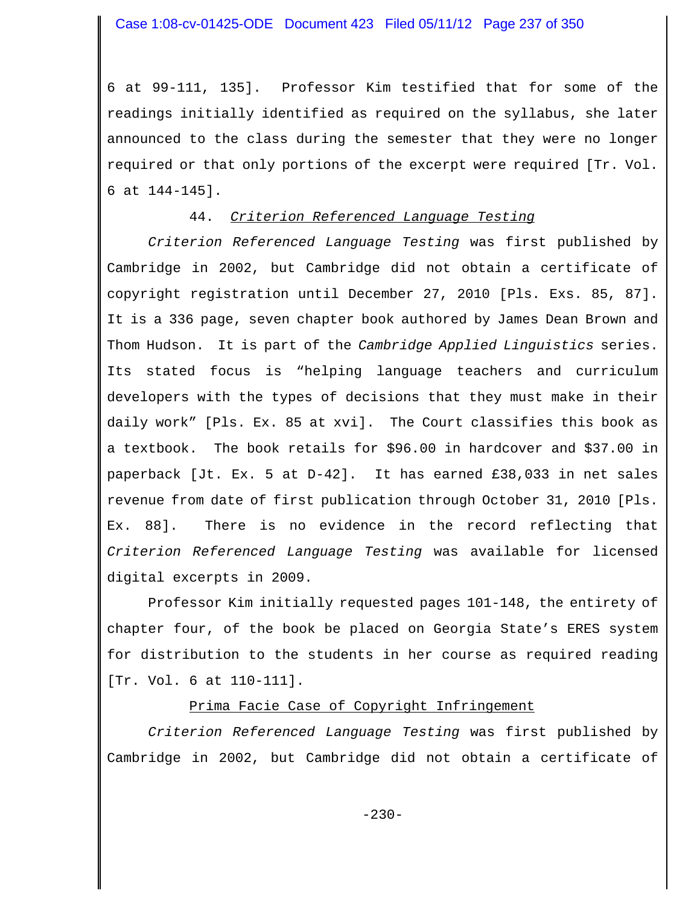6 at 99-111, 135]. Professor Kim testified that for some of the readings initially identified as required on the syllabus, she later announced to the class during the semester that they were no longer required or that only portions of the excerpt were required [Tr. Vol. 6 at 144-145].

# 44. *Criterion Referenced Language Testing*

*Criterion Referenced Language Testing* was first published by Cambridge in 2002, but Cambridge did not obtain a certificate of copyright registration until December 27, 2010 [Pls. Exs. 85, 87]. It is a 336 page, seven chapter book authored by James Dean Brown and Thom Hudson. It is part of the *Cambridge Applied Linguistics* series. Its stated focus is "helping language teachers and curriculum developers with the types of decisions that they must make in their daily work" [Pls. Ex. 85 at xvi]. The Court classifies this book as a textbook. The book retails for \$96.00 in hardcover and \$37.00 in paperback [Jt. Ex. 5 at D-42]. It has earned £38,033 in net sales revenue from date of first publication through October 31, 2010 [Pls. Ex. 88]. There is no evidence in the record reflecting that *Criterion Referenced Language Testing* was available for licensed digital excerpts in 2009.

Professor Kim initially requested pages 101-148, the entirety of chapter four, of the book be placed on Georgia State's ERES system for distribution to the students in her course as required reading [Tr. Vol. 6 at 110-111].

# Prima Facie Case of Copyright Infringement

*Criterion Referenced Language Testing* was first published by Cambridge in 2002, but Cambridge did not obtain a certificate of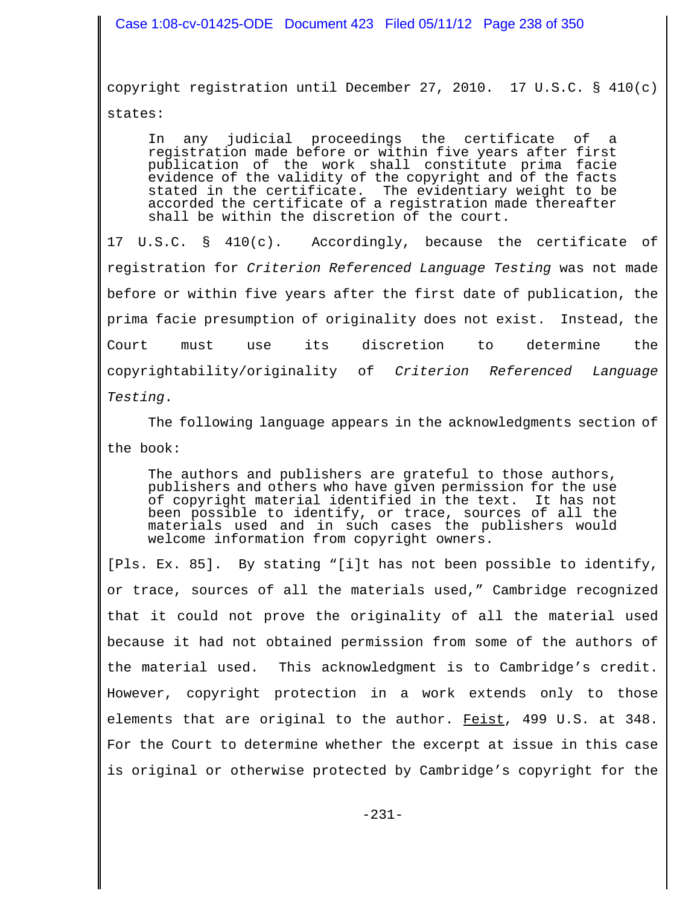copyright registration until December 27, 2010. 17 U.S.C. § 410(c) states:

In any judicial proceedings the certificate of a registration made before or within five years after first publication of the work shall constitute prima facie evidence of the validity of the copyright and of the facts<br>stated in the certificate. The evidentiary weight to be The evidentiary weight to be accorded the certificate of a registration made thereafter shall be within the discretion of the court.

17 U.S.C. § 410(c). Accordingly, because the certificate of registration for *Criterion Referenced Language Testing* was not made before or within five years after the first date of publication, the prima facie presumption of originality does not exist. Instead, the Court must use its discretion to determine the copyrightability/originality of *Criterion Referenced Language Testing*.

The following language appears in the acknowledgments section of the book:

The authors and publishers are grateful to those authors, publishers and others who have given permission for the use of copyright material identified in the text. It has not been possible to identify, or trace, sources of all the materials used and in such cases the publishers would welcome information from copyright owners.

[Pls. Ex. 85]. By stating "[i]t has not been possible to identify, or trace, sources of all the materials used," Cambridge recognized that it could not prove the originality of all the material used because it had not obtained permission from some of the authors of the material used. This acknowledgment is to Cambridge's credit. However, copyright protection in a work extends only to those elements that are original to the author. Feist, 499 U.S. at 348. For the Court to determine whether the excerpt at issue in this case is original or otherwise protected by Cambridge's copyright for the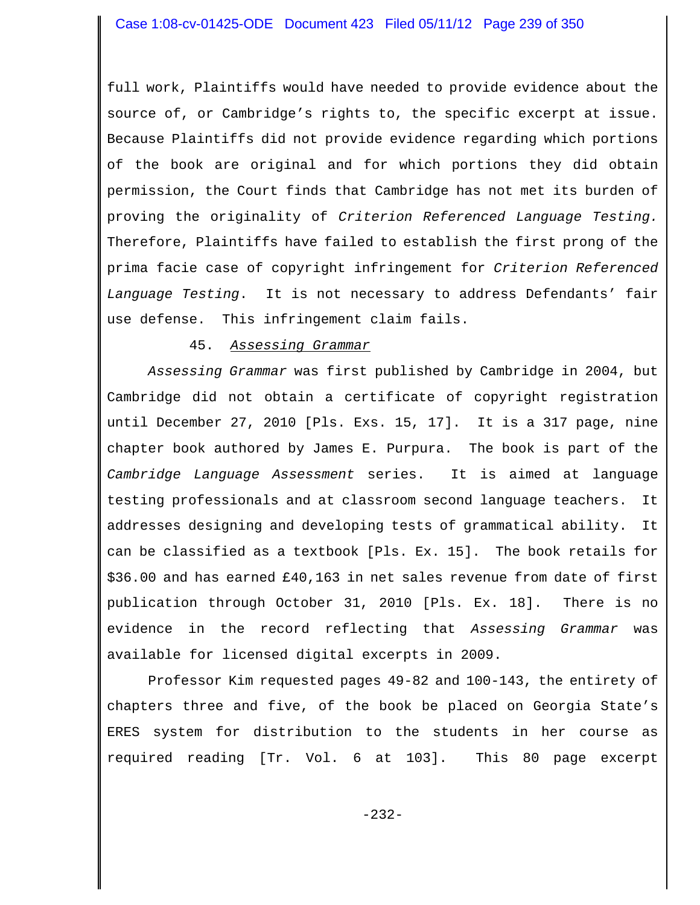full work, Plaintiffs would have needed to provide evidence about the source of, or Cambridge's rights to, the specific excerpt at issue. Because Plaintiffs did not provide evidence regarding which portions of the book are original and for which portions they did obtain permission, the Court finds that Cambridge has not met its burden of proving the originality of *Criterion Referenced Language Testing.* Therefore, Plaintiffs have failed to establish the first prong of the prima facie case of copyright infringement for *Criterion Referenced Language Testing*. It is not necessary to address Defendants' fair use defense. This infringement claim fails.

# 45. *Assessing Grammar*

*Assessing Grammar* was first published by Cambridge in 2004, but Cambridge did not obtain a certificate of copyright registration until December 27, 2010 [Pls. Exs. 15, 17]. It is a 317 page, nine chapter book authored by James E. Purpura. The book is part of the *Cambridge Language Assessment* series. It is aimed at language testing professionals and at classroom second language teachers. It addresses designing and developing tests of grammatical ability. It can be classified as a textbook [Pls. Ex. 15]. The book retails for \$36.00 and has earned £40,163 in net sales revenue from date of first publication through October 31, 2010 [Pls. Ex. 18]. There is no evidence in the record reflecting that *Assessing Grammar* was available for licensed digital excerpts in 2009.

Professor Kim requested pages 49-82 and 100-143, the entirety of chapters three and five, of the book be placed on Georgia State's ERES system for distribution to the students in her course as required reading [Tr. Vol. 6 at 103]. This 80 page excerpt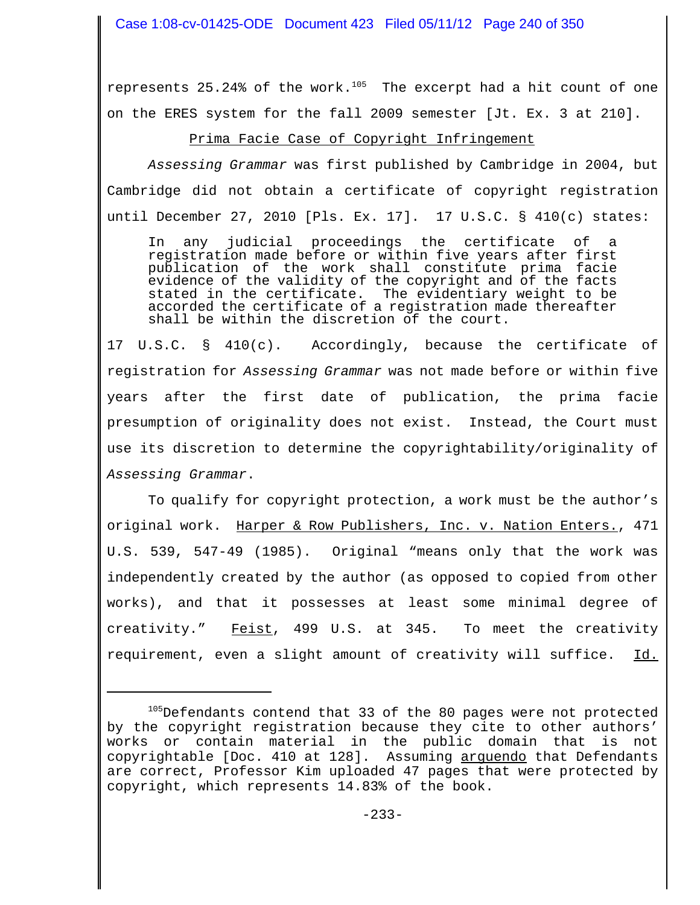Case 1:08-cv-01425-ODE Document 423 Filed 05/11/12 Page 240 of 350

represents 25.24% of the work. $105$  The excerpt had a hit count of one on the ERES system for the fall 2009 semester [Jt. Ex. 3 at 210].

### Prima Facie Case of Copyright Infringement

*Assessing Grammar* was first published by Cambridge in 2004, but Cambridge did not obtain a certificate of copyright registration until December 27, 2010 [Pls. Ex. 17]. 17 U.S.C. § 410(c) states:

In any judicial proceedings the certificate of a registration made before or within five years after first publication of the work shall constitute prima facie evidence of the validity of the copyright and of the facts stated in the certificate. The evidentiary weight to be accorded the certificate of a registration made thereafter shall be within the discretion of the court.

17 U.S.C. § 410(c). Accordingly, because the certificate of registration for *Assessing Grammar* was not made before or within five years after the first date of publication, the prima facie presumption of originality does not exist. Instead, the Court must use its discretion to determine the copyrightability/originality of *Assessing Grammar*.

To qualify for copyright protection, a work must be the author's original work. Harper & Row Publishers, Inc. v. Nation Enters., 471 U.S. 539, 547-49 (1985). Original "means only that the work was independently created by the author (as opposed to copied from other works), and that it possesses at least some minimal degree of creativity." Feist, 499 U.S. at 345. To meet the creativity requirement, even a slight amount of creativity will suffice. Id.

 $105$ Defendants contend that 33 of the 80 pages were not protected by the copyright registration because they cite to other authors' works or contain material in the public domain that is not copyrightable [Doc. 410 at 128]. Assuming arquendo that Defendants are correct, Professor Kim uploaded 47 pages that were protected by copyright, which represents 14.83% of the book.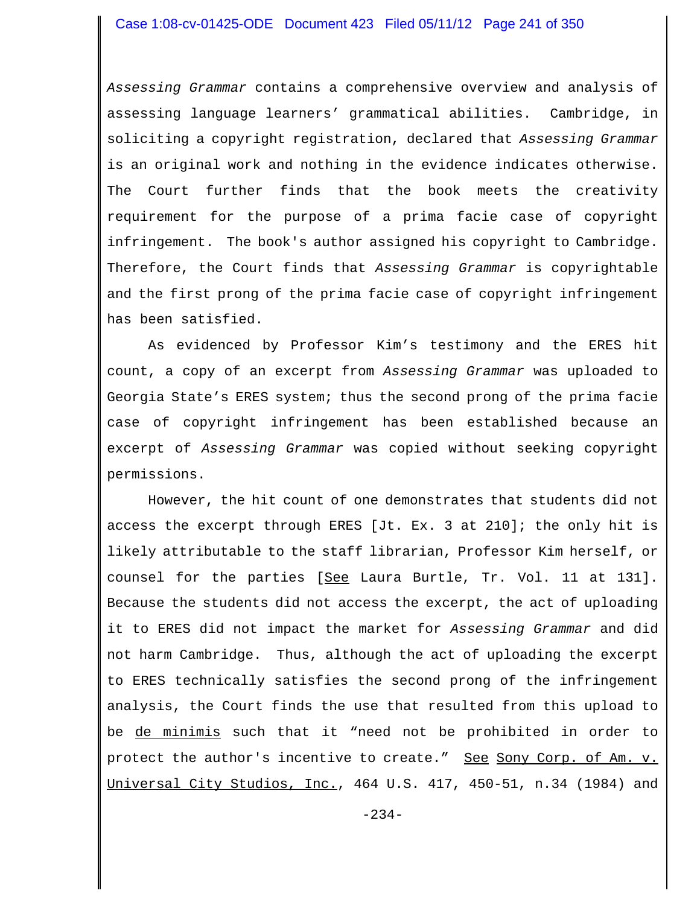*Assessing Grammar* contains a comprehensive overview and analysis of assessing language learners' grammatical abilities. Cambridge, in soliciting a copyright registration, declared that *Assessing Grammar* is an original work and nothing in the evidence indicates otherwise. The Court further finds that the book meets the creativity requirement for the purpose of a prima facie case of copyright infringement. The book's author assigned his copyright to Cambridge. Therefore, the Court finds that *Assessing Grammar* is copyrightable and the first prong of the prima facie case of copyright infringement has been satisfied.

As evidenced by Professor Kim's testimony and the ERES hit count, a copy of an excerpt from *Assessing Grammar* was uploaded to Georgia State's ERES system; thus the second prong of the prima facie case of copyright infringement has been established because an excerpt of *Assessing Grammar* was copied without seeking copyright permissions.

However, the hit count of one demonstrates that students did not access the excerpt through ERES [Jt. Ex. 3 at 210]; the only hit is likely attributable to the staff librarian, Professor Kim herself, or counsel for the parties [See Laura Burtle, Tr. Vol. 11 at 131]. Because the students did not access the excerpt, the act of uploading it to ERES did not impact the market for *Assessing Grammar* and did not harm Cambridge. Thus, although the act of uploading the excerpt to ERES technically satisfies the second prong of the infringement analysis, the Court finds the use that resulted from this upload to be de minimis such that it "need not be prohibited in order to protect the author's incentive to create." See Sony Corp. of Am. v. Universal City Studios, Inc., 464 U.S. 417, 450-51, n.34 (1984) and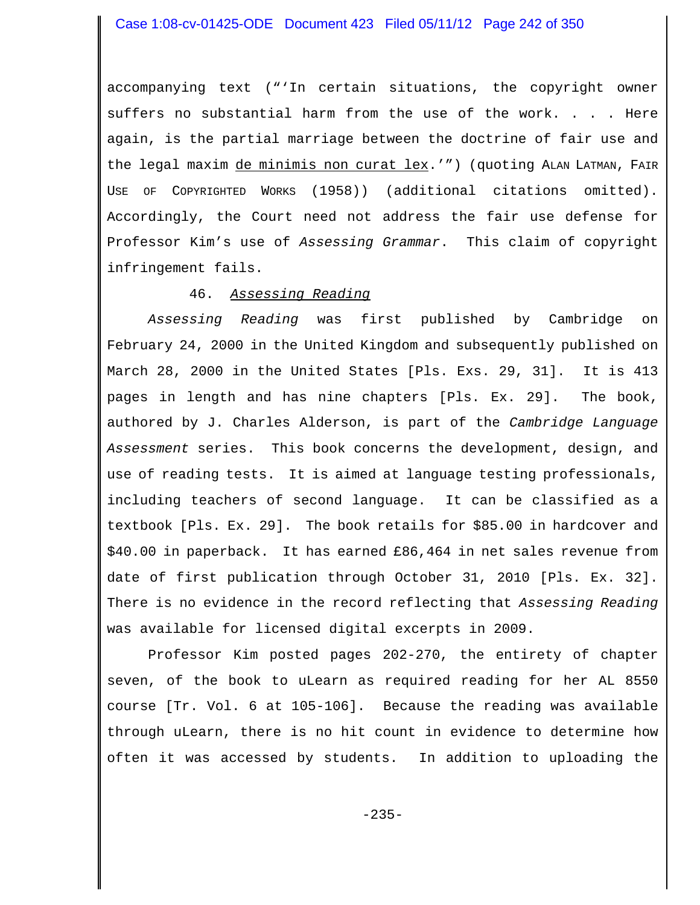accompanying text ("'In certain situations, the copyright owner suffers no substantial harm from the use of the work. . . . Here again, is the partial marriage between the doctrine of fair use and the legal maxim de minimis non curat lex.'") (quoting ALAN LATMAN, FAIR USE OF COPYRIGHTED WORKS (1958)) (additional citations omitted). Accordingly, the Court need not address the fair use defense for Professor Kim's use of *Assessing Grammar*. This claim of copyright infringement fails.

### 46. *Assessing Reading*

*Assessing Reading* was first published by Cambridge on February 24, 2000 in the United Kingdom and subsequently published on March 28, 2000 in the United States [Pls. Exs. 29, 31]. It is 413 pages in length and has nine chapters [Pls. Ex. 29]. The book, authored by J. Charles Alderson, is part of the *Cambridge Language Assessment* series. This book concerns the development, design, and use of reading tests. It is aimed at language testing professionals, including teachers of second language. It can be classified as a textbook [Pls. Ex. 29]. The book retails for \$85.00 in hardcover and \$40.00 in paperback. It has earned £86,464 in net sales revenue from date of first publication through October 31, 2010 [Pls. Ex. 32]. There is no evidence in the record reflecting that *Assessing Reading* was available for licensed digital excerpts in 2009.

Professor Kim posted pages 202-270, the entirety of chapter seven, of the book to uLearn as required reading for her AL 8550 course [Tr. Vol. 6 at 105-106]. Because the reading was available through uLearn, there is no hit count in evidence to determine how often it was accessed by students. In addition to uploading the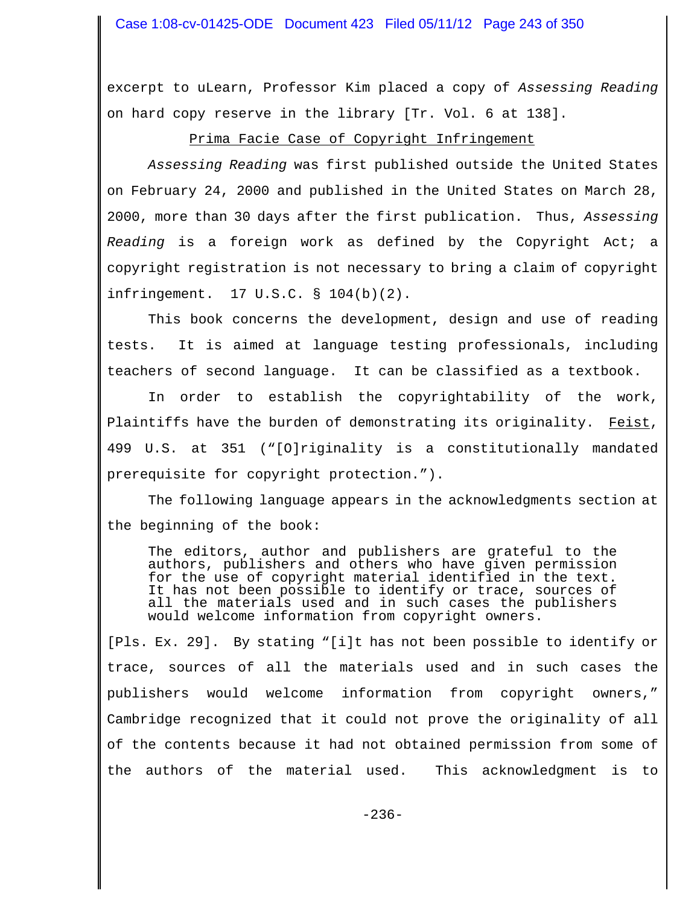excerpt to uLearn, Professor Kim placed a copy of *Assessing Reading* on hard copy reserve in the library [Tr. Vol. 6 at 138].

Prima Facie Case of Copyright Infringement

*Assessing Reading* was first published outside the United States on February 24, 2000 and published in the United States on March 28, 2000, more than 30 days after the first publication. Thus, *Assessing Reading* is a foreign work as defined by the Copyright Act; a copyright registration is not necessary to bring a claim of copyright infringement. 17 U.S.C. § 104(b)(2).

This book concerns the development, design and use of reading tests. It is aimed at language testing professionals, including teachers of second language. It can be classified as a textbook.

In order to establish the copyrightability of the work, Plaintiffs have the burden of demonstrating its originality. Feist, 499 U.S. at 351 ("[O]riginality is a constitutionally mandated prerequisite for copyright protection.").

The following language appears in the acknowledgments section at the beginning of the book:

The editors, author and publishers are grateful to the authors, publishers and others who have given permission for the use of copyright material identified in the text. It has not been possible to identify or trace, sources of all the materials used and in such cases the publishers would welcome information from copyright owners.

[Pls. Ex. 29]. By stating "[i]t has not been possible to identify or trace, sources of all the materials used and in such cases the publishers would welcome information from copyright owners," Cambridge recognized that it could not prove the originality of all of the contents because it had not obtained permission from some of the authors of the material used. This acknowledgment is to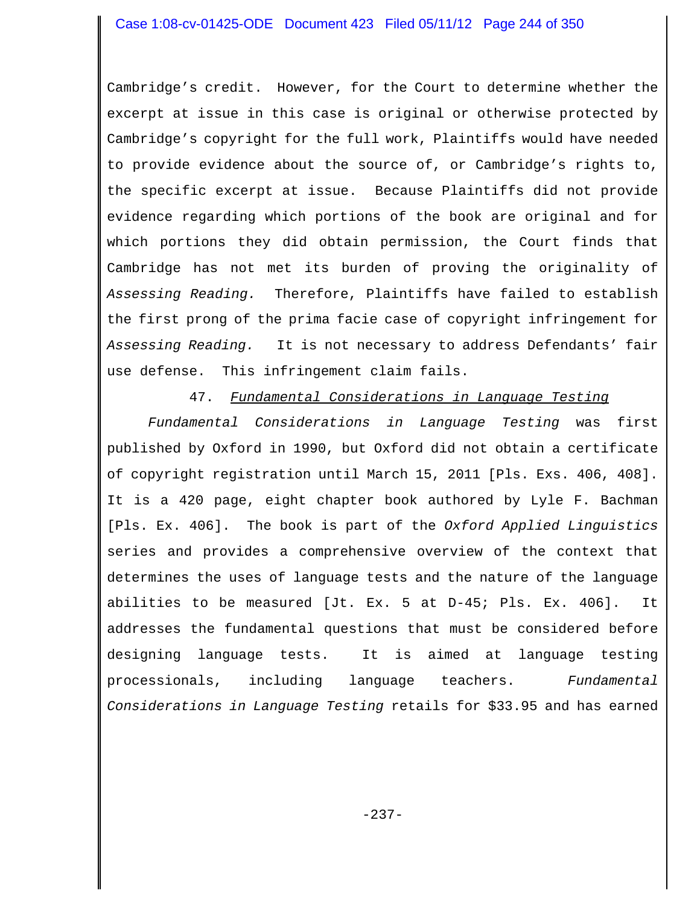Cambridge's credit. However, for the Court to determine whether the excerpt at issue in this case is original or otherwise protected by Cambridge's copyright for the full work, Plaintiffs would have needed to provide evidence about the source of, or Cambridge's rights to, the specific excerpt at issue. Because Plaintiffs did not provide evidence regarding which portions of the book are original and for which portions they did obtain permission, the Court finds that Cambridge has not met its burden of proving the originality of *Assessing Reading.* Therefore, Plaintiffs have failed to establish the first prong of the prima facie case of copyright infringement for *Assessing Reading.* It is not necessary to address Defendants' fair use defense. This infringement claim fails.

47. *Fundamental Considerations in Language Testing*

*Fundamental Considerations in Language Testing* was first published by Oxford in 1990, but Oxford did not obtain a certificate of copyright registration until March 15, 2011 [Pls. Exs. 406, 408]. It is a 420 page, eight chapter book authored by Lyle F. Bachman [Pls. Ex. 406]. The book is part of the *Oxford Applied Linguistics* series and provides a comprehensive overview of the context that determines the uses of language tests and the nature of the language abilities to be measured [Jt. Ex. 5 at D-45; Pls. Ex. 406]. It addresses the fundamental questions that must be considered before designing language tests. It is aimed at language testing processionals, including language teachers. *Fundamental Considerations in Language Testing* retails for \$33.95 and has earned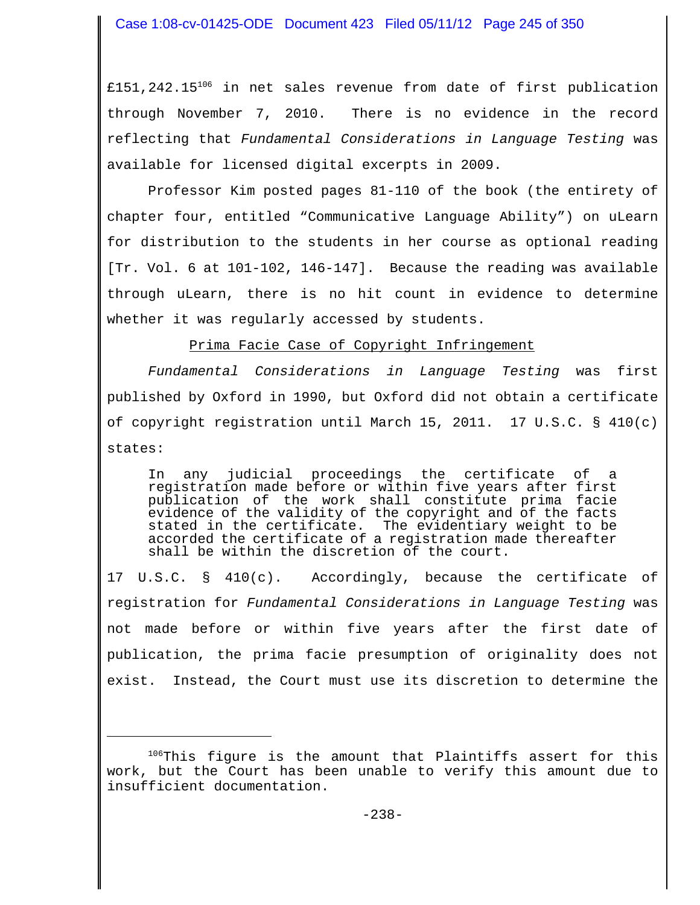£151,242.15<sup>106</sup> in net sales revenue from date of first publication through November 7, 2010. There is no evidence in the record reflecting that *Fundamental Considerations in Language Testing* was available for licensed digital excerpts in 2009.

Professor Kim posted pages 81-110 of the book (the entirety of chapter four, entitled "Communicative Language Ability") on uLearn for distribution to the students in her course as optional reading [Tr. Vol. 6 at 101-102, 146-147]. Because the reading was available through uLearn, there is no hit count in evidence to determine whether it was regularly accessed by students.

Prima Facie Case of Copyright Infringement

*Fundamental Considerations in Language Testing* was first published by Oxford in 1990, but Oxford did not obtain a certificate of copyright registration until March 15, 2011. 17 U.S.C. § 410(c) states:

In any judicial proceedings the certificate of a registration made before or within five years after first publication of the work shall constitute prima facie evidence of the validity of the copyright and of the facts stated in the certificate. The evidentiary weight to be accorded the certificate of a registration made thereafter shall be within the discretion of the court.

17 U.S.C. § 410(c). Accordingly, because the certificate of registration for *Fundamental Considerations in Language Testing* was not made before or within five years after the first date of publication, the prima facie presumption of originality does not exist. Instead, the Court must use its discretion to determine the

<sup>&</sup>lt;sup>106</sup>This figure is the amount that Plaintiffs assert for this work, but the Court has been unable to verify this amount due to insufficient documentation.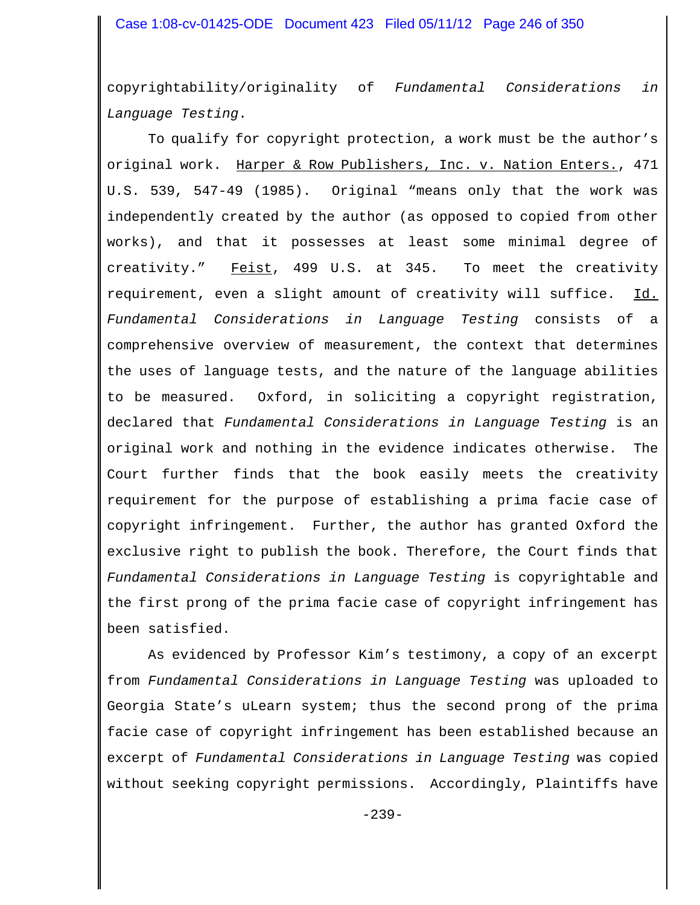copyrightability/originality of *Fundamental Considerations in Language Testing*.

To qualify for copyright protection, a work must be the author's original work. Harper & Row Publishers, Inc. v. Nation Enters., 471 U.S. 539, 547-49 (1985). Original "means only that the work was independently created by the author (as opposed to copied from other works), and that it possesses at least some minimal degree of creativity." Feist, 499 U.S. at 345. To meet the creativity requirement, even a slight amount of creativity will suffice. Id. *Fundamental Considerations in Language Testing* consists of a comprehensive overview of measurement, the context that determines the uses of language tests, and the nature of the language abilities to be measured. Oxford, in soliciting a copyright registration, declared that *Fundamental Considerations in Language Testing* is an original work and nothing in the evidence indicates otherwise. The Court further finds that the book easily meets the creativity requirement for the purpose of establishing a prima facie case of copyright infringement. Further, the author has granted Oxford the exclusive right to publish the book. Therefore, the Court finds that *Fundamental Considerations in Language Testing* is copyrightable and the first prong of the prima facie case of copyright infringement has been satisfied.

As evidenced by Professor Kim's testimony, a copy of an excerpt from *Fundamental Considerations in Language Testing* was uploaded to Georgia State's uLearn system; thus the second prong of the prima facie case of copyright infringement has been established because an excerpt of *Fundamental Considerations in Language Testing* was copied without seeking copyright permissions. Accordingly, Plaintiffs have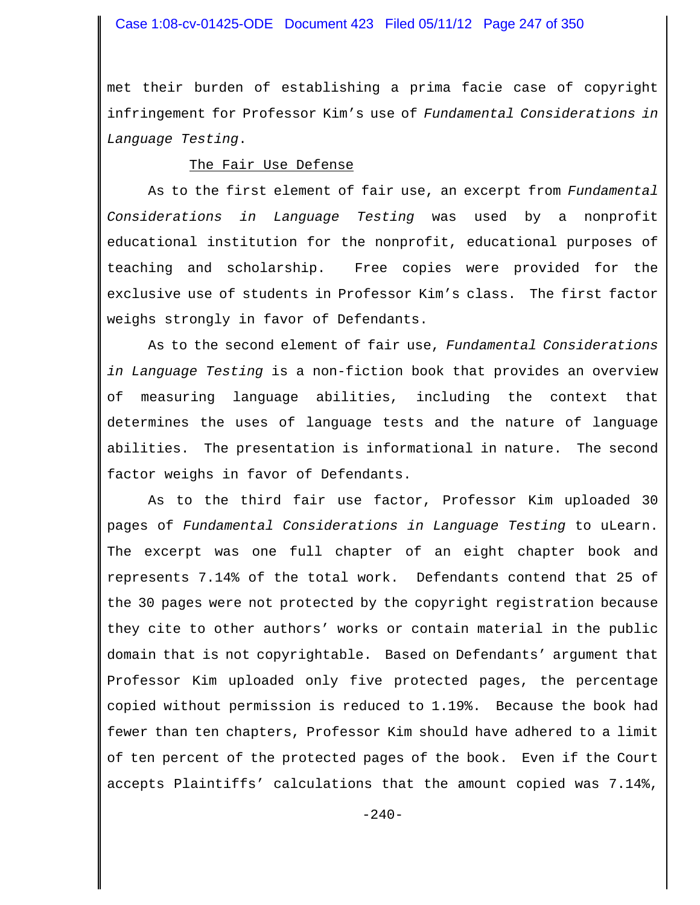### Case 1:08-cv-01425-ODE Document 423 Filed 05/11/12 Page 247 of 350

met their burden of establishing a prima facie case of copyright infringement for Professor Kim's use of *Fundamental Considerations in Language Testing*.

#### The Fair Use Defense

As to the first element of fair use, an excerpt from *Fundamental Considerations in Language Testing* was used by a nonprofit educational institution for the nonprofit, educational purposes of teaching and scholarship. Free copies were provided for the exclusive use of students in Professor Kim's class. The first factor weighs strongly in favor of Defendants.

As to the second element of fair use, *Fundamental Considerations in Language Testing* is a non-fiction book that provides an overview of measuring language abilities, including the context that determines the uses of language tests and the nature of language abilities. The presentation is informational in nature. The second factor weighs in favor of Defendants.

As to the third fair use factor, Professor Kim uploaded 30 pages of *Fundamental Considerations in Language Testing* to uLearn. The excerpt was one full chapter of an eight chapter book and represents 7.14% of the total work. Defendants contend that 25 of the 30 pages were not protected by the copyright registration because they cite to other authors' works or contain material in the public domain that is not copyrightable. Based on Defendants' argument that Professor Kim uploaded only five protected pages, the percentage copied without permission is reduced to 1.19%. Because the book had fewer than ten chapters, Professor Kim should have adhered to a limit of ten percent of the protected pages of the book. Even if the Court accepts Plaintiffs' calculations that the amount copied was 7.14%,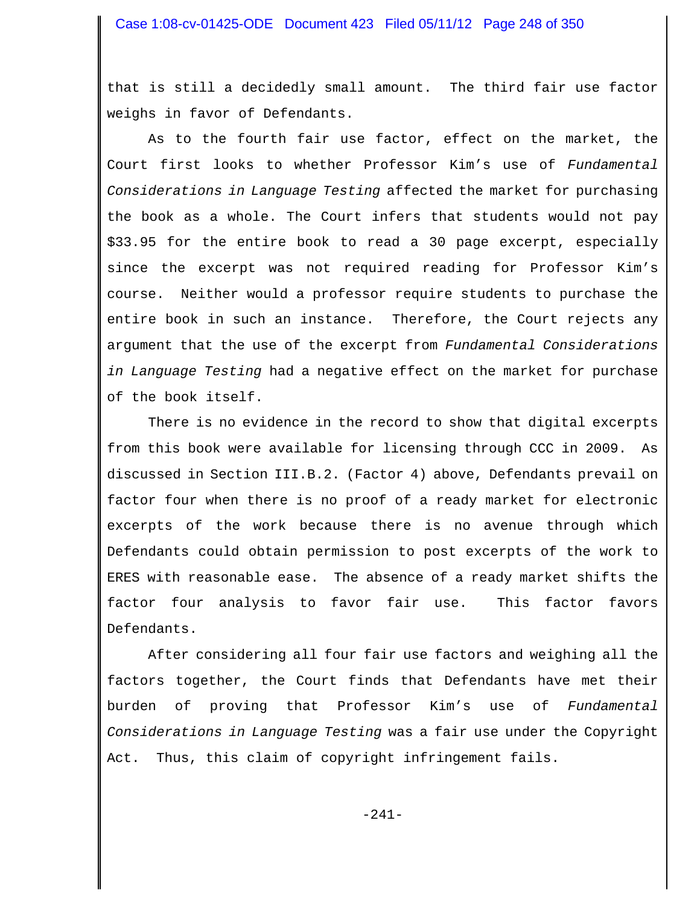that is still a decidedly small amount. The third fair use factor weighs in favor of Defendants.

As to the fourth fair use factor, effect on the market, the Court first looks to whether Professor Kim's use of *Fundamental Considerations in Language Testing* affected the market for purchasing the book as a whole. The Court infers that students would not pay \$33.95 for the entire book to read a 30 page excerpt, especially since the excerpt was not required reading for Professor Kim's course. Neither would a professor require students to purchase the entire book in such an instance. Therefore, the Court rejects any argument that the use of the excerpt from *Fundamental Considerations in Language Testing* had a negative effect on the market for purchase of the book itself.

There is no evidence in the record to show that digital excerpts from this book were available for licensing through CCC in 2009. As discussed in Section III.B.2. (Factor 4) above, Defendants prevail on factor four when there is no proof of a ready market for electronic excerpts of the work because there is no avenue through which Defendants could obtain permission to post excerpts of the work to ERES with reasonable ease. The absence of a ready market shifts the factor four analysis to favor fair use. This factor favors Defendants.

After considering all four fair use factors and weighing all the factors together, the Court finds that Defendants have met their burden of proving that Professor Kim's use of *Fundamental Considerations in Language Testing* was a fair use under the Copyright Act. Thus, this claim of copyright infringement fails.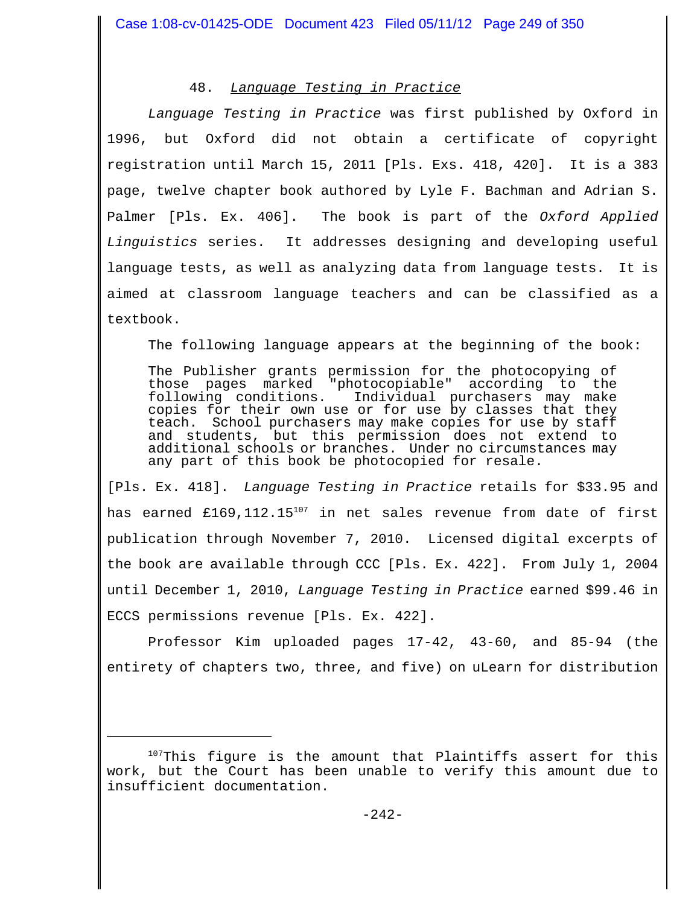# 48. *Language Testing in Practice*

*Language Testing in Practice* was first published by Oxford in 1996, but Oxford did not obtain a certificate of copyright registration until March 15, 2011 [Pls. Exs. 418, 420]. It is a 383 page, twelve chapter book authored by Lyle F. Bachman and Adrian S. Palmer [Pls. Ex. 406]. The book is part of the *Oxford Applied Linguistics* series. It addresses designing and developing useful language tests, as well as analyzing data from language tests. It is aimed at classroom language teachers and can be classified as a textbook.

The following language appears at the beginning of the book:

The Publisher grants permission for the photocopying of those pages marked "photocopiable" according to the following conditions. Individual purchasers may make copies for their own use or for use by classes that they teach. School purchasers may make copies for use by staff and students, but this permission does not extend to additional schools or branches. Under no circumstances may any part of this book be photocopied for resale.

[Pls. Ex. 418]. *Language Testing in Practice* retails for \$33.95 and has earned £169,112.15<sup>107</sup> in net sales revenue from date of first publication through November 7, 2010. Licensed digital excerpts of the book are available through CCC [Pls. Ex. 422]. From July 1, 2004 until December 1, 2010, *Language Testing in Practice* earned \$99.46 in ECCS permissions revenue [Pls. Ex. 422].

Professor Kim uploaded pages 17-42, 43-60, and 85-94 (the entirety of chapters two, three, and five) on uLearn for distribution

 $107$ This figure is the amount that Plaintiffs assert for this work, but the Court has been unable to verify this amount due to insufficient documentation.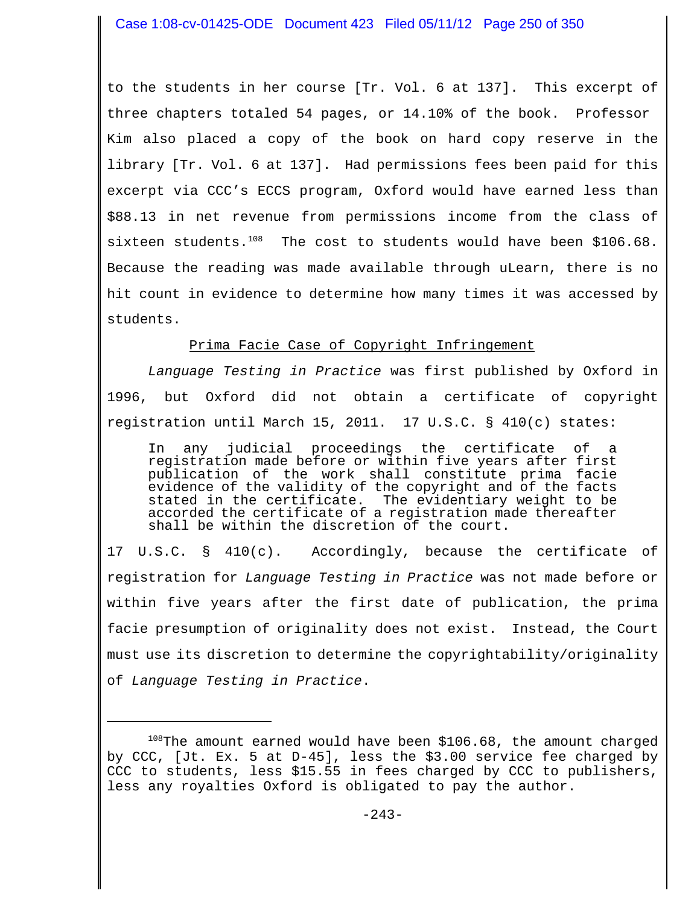to the students in her course [Tr. Vol. 6 at 137]. This excerpt of three chapters totaled 54 pages, or 14.10% of the book. Professor Kim also placed a copy of the book on hard copy reserve in the library [Tr. Vol. 6 at 137]. Had permissions fees been paid for this excerpt via CCC's ECCS program, Oxford would have earned less than \$88.13 in net revenue from permissions income from the class of sixteen students. $108$  The cost to students would have been \$106.68. Because the reading was made available through uLearn, there is no hit count in evidence to determine how many times it was accessed by students.

# Prima Facie Case of Copyright Infringement

*Language Testing in Practice* was first published by Oxford in 1996, but Oxford did not obtain a certificate of copyright registration until March 15, 2011. 17 U.S.C. § 410(c) states:

In any judicial proceedings the certificate of a registration made before or within five years after first publication of the work shall constitute prima facie evidence of the validity of the copyright and of the facts stated in the certificate. The evidentiary weight to be accorded the certificate of a registration made thereafter shall be within the discretion of the court.

17 U.S.C. § 410(c). Accordingly, because the certificate of registration for *Language Testing in Practice* was not made before or within five years after the first date of publication, the prima facie presumption of originality does not exist. Instead, the Court must use its discretion to determine the copyrightability/originality of *Language Testing in Practice*.

 $108$ The amount earned would have been \$106.68, the amount charged by CCC, [Jt. Ex. 5 at D-45], less the \$3.00 service fee charged by CCC to students, less \$15.55 in fees charged by CCC to publishers, less any royalties Oxford is obligated to pay the author.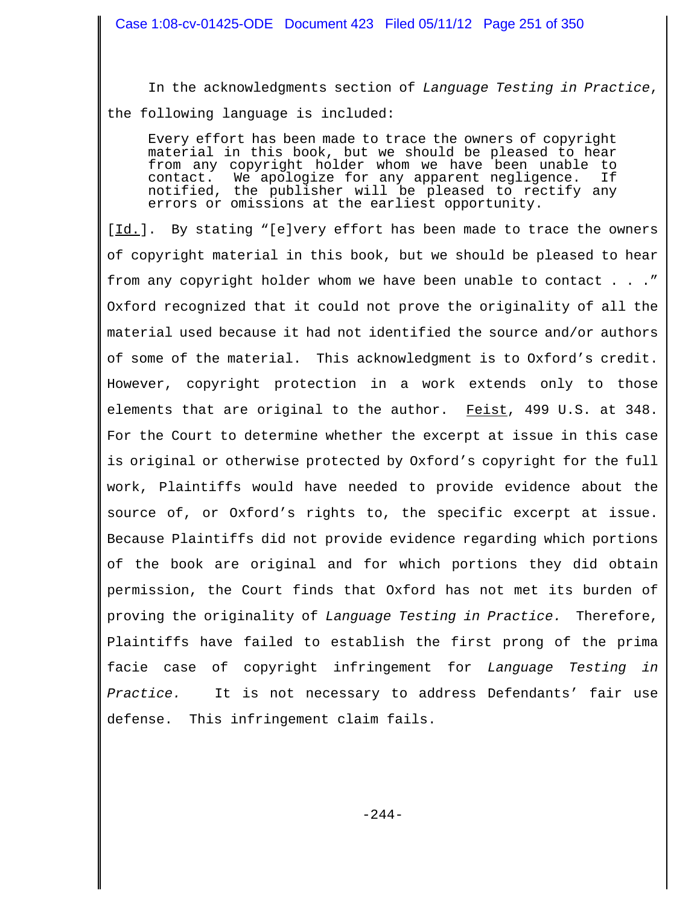In the acknowledgments section of *Language Testing in Practice*, the following language is included:

Every effort has been made to trace the owners of copyright material in this book, but we should be pleased to hear from any copyright holder whom we have been unable to contact. We apologize for any apparent negligence. If notified, the publisher will be pleased to rectify any errors or omissions at the earliest opportunity.

[Id.]. By stating "[e]very effort has been made to trace the owners of copyright material in this book, but we should be pleased to hear from any copyright holder whom we have been unable to contact . . ." Oxford recognized that it could not prove the originality of all the material used because it had not identified the source and/or authors of some of the material. This acknowledgment is to Oxford's credit. However, copyright protection in a work extends only to those elements that are original to the author. Feist, 499 U.S. at 348. For the Court to determine whether the excerpt at issue in this case is original or otherwise protected by Oxford's copyright for the full work, Plaintiffs would have needed to provide evidence about the source of, or Oxford's rights to, the specific excerpt at issue. Because Plaintiffs did not provide evidence regarding which portions of the book are original and for which portions they did obtain permission, the Court finds that Oxford has not met its burden of proving the originality of *Language Testing in Practice.* Therefore, Plaintiffs have failed to establish the first prong of the prima facie case of copyright infringement for *Language Testing in Practice.* It is not necessary to address Defendants' fair use defense. This infringement claim fails.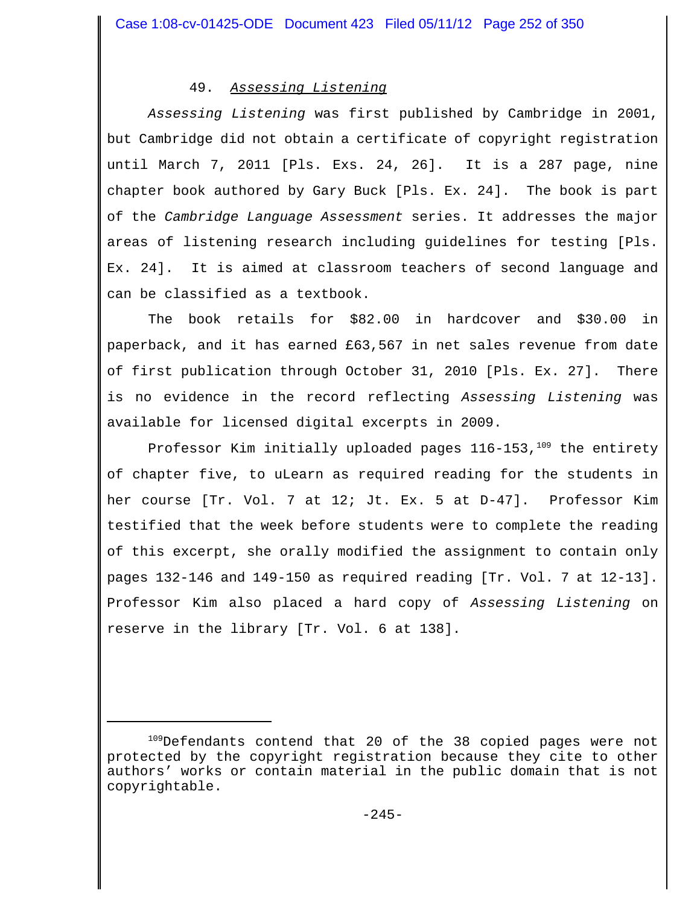# 49. *Assessing Listening*

*Assessing Listening* was first published by Cambridge in 2001, but Cambridge did not obtain a certificate of copyright registration until March 7, 2011 [Pls. Exs. 24, 26]. It is a 287 page, nine chapter book authored by Gary Buck [Pls. Ex. 24]. The book is part of the *Cambridge Language Assessment* series. It addresses the major areas of listening research including guidelines for testing [Pls. Ex. 24]. It is aimed at classroom teachers of second language and can be classified as a textbook.

The book retails for \$82.00 in hardcover and \$30.00 in paperback, and it has earned £63,567 in net sales revenue from date of first publication through October 31, 2010 [Pls. Ex. 27]. There is no evidence in the record reflecting *Assessing Listening* was available for licensed digital excerpts in 2009.

Professor Kim initially uploaded pages  $116-153$ ,  $109$  the entirety of chapter five, to uLearn as required reading for the students in her course [Tr. Vol. 7 at 12; Jt. Ex. 5 at D-47]. Professor Kim testified that the week before students were to complete the reading of this excerpt, she orally modified the assignment to contain only pages 132-146 and 149-150 as required reading [Tr. Vol. 7 at 12-13]. Professor Kim also placed a hard copy of *Assessing Listening* on reserve in the library [Tr. Vol. 6 at 138].

<sup>&</sup>lt;sup>109</sup>Defendants contend that 20 of the 38 copied pages were not protected by the copyright registration because they cite to other authors' works or contain material in the public domain that is not copyrightable.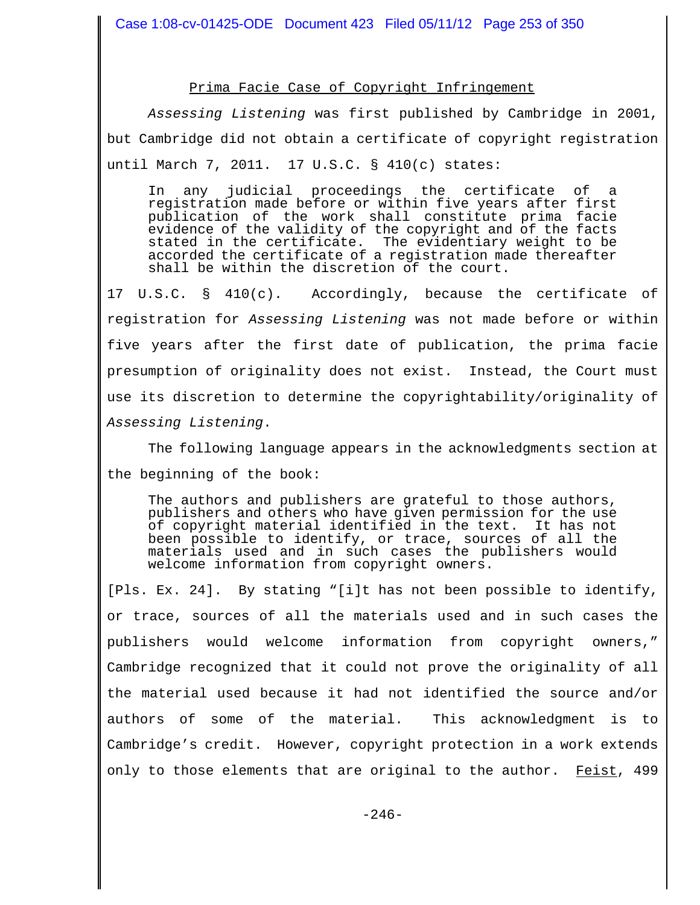#### Prima Facie Case of Copyright Infringement

*Assessing Listening* was first published by Cambridge in 2001, but Cambridge did not obtain a certificate of copyright registration until March 7, 2011. 17 U.S.C. § 410(c) states:

In any judicial proceedings the certificate of a registration made before or within five years after first publication of the work shall constitute prima facie evidence of the validity of the copyright and of the facts stated in the certificate. The evidentiary weight to be accorded the certificate of a registration made thereafter shall be within the discretion of the court.

17 U.S.C. § 410(c). Accordingly, because the certificate of registration for *Assessing Listening* was not made before or within five years after the first date of publication, the prima facie presumption of originality does not exist. Instead, the Court must use its discretion to determine the copyrightability/originality of *Assessing Listening*.

The following language appears in the acknowledgments section at the beginning of the book:

The authors and publishers are grateful to those authors, publishers and others who have given permission for the use of copyright material identified in the text. It has not been possible to identify, or trace, sources of all the materials used and in such cases the publishers would welcome information from copyright owners.

[Pls. Ex. 24]. By stating "[i]t has not been possible to identify, or trace, sources of all the materials used and in such cases the publishers would welcome information from copyright owners," Cambridge recognized that it could not prove the originality of all the material used because it had not identified the source and/or authors of some of the material. This acknowledgment is to Cambridge's credit. However, copyright protection in a work extends only to those elements that are original to the author. Feist, 499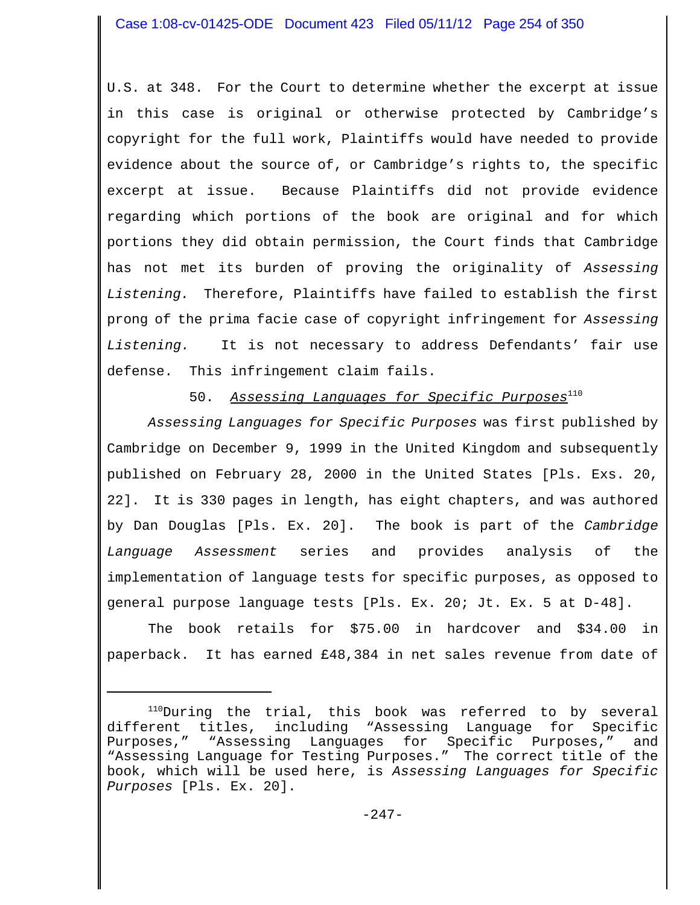U.S. at 348. For the Court to determine whether the excerpt at issue in this case is original or otherwise protected by Cambridge's copyright for the full work, Plaintiffs would have needed to provide evidence about the source of, or Cambridge's rights to, the specific excerpt at issue. Because Plaintiffs did not provide evidence regarding which portions of the book are original and for which portions they did obtain permission, the Court finds that Cambridge has not met its burden of proving the originality of *Assessing Listening.* Therefore, Plaintiffs have failed to establish the first prong of the prima facie case of copyright infringement for *Assessing Listening.* It is not necessary to address Defendants' fair use defense. This infringement claim fails.

50. *Assessing Languages for Specific Purposes*<sup>110</sup>

*Assessing Languages for Specific Purposes* was first published by Cambridge on December 9, 1999 in the United Kingdom and subsequently published on February 28, 2000 in the United States [Pls. Exs. 20, 22]. It is 330 pages in length, has eight chapters, and was authored by Dan Douglas [Pls. Ex. 20]. The book is part of the *Cambridge Language Assessment* series and provides analysis of the implementation of language tests for specific purposes, as opposed to general purpose language tests [Pls. Ex. 20; Jt. Ex. 5 at D-48].

The book retails for \$75.00 in hardcover and \$34.00 in paperback. It has earned £48,384 in net sales revenue from date of

<sup>&</sup>lt;sup>110</sup>During the trial, this book was referred to by several different titles, including "Assessing Language for Specific Purposes," "Assessing Languages for Specific Purposes," and "Assessing Language for Testing Purposes." The correct title of the book, which will be used here, is *Assessing Languages for Specific Purposes* [Pls. Ex. 20].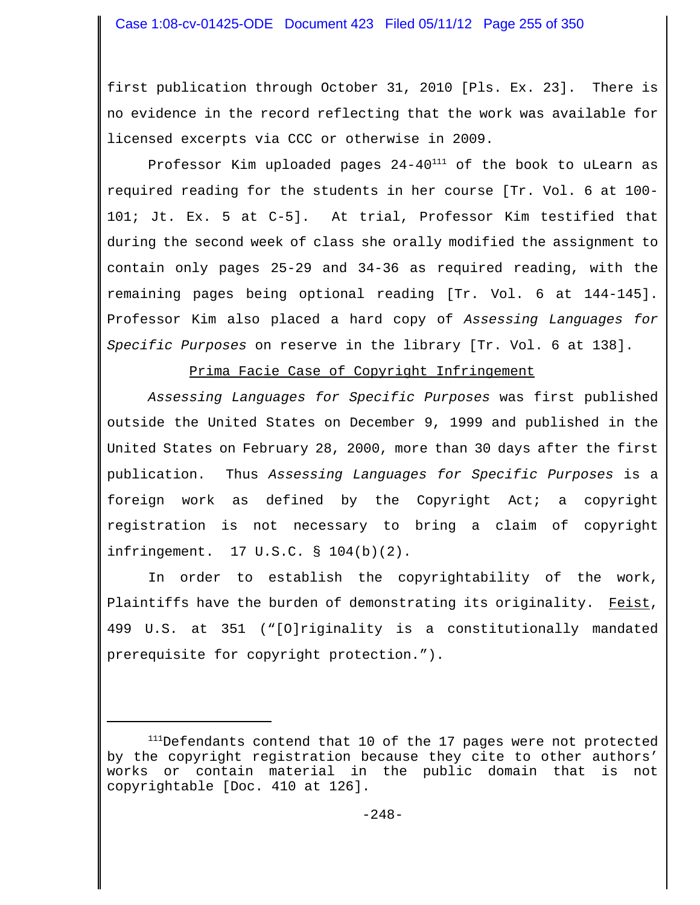first publication through October 31, 2010 [Pls. Ex. 23]. There is no evidence in the record reflecting that the work was available for licensed excerpts via CCC or otherwise in 2009.

Professor Kim uploaded pages  $24-40^{111}$  of the book to uLearn as required reading for the students in her course [Tr. Vol. 6 at 100- 101; Jt. Ex. 5 at C-5]. At trial, Professor Kim testified that during the second week of class she orally modified the assignment to contain only pages 25-29 and 34-36 as required reading, with the remaining pages being optional reading [Tr. Vol. 6 at 144-145]. Professor Kim also placed a hard copy of *Assessing Languages for Specific Purposes* on reserve in the library [Tr. Vol. 6 at 138].

Prima Facie Case of Copyright Infringement

*Assessing Languages for Specific Purposes* was first published outside the United States on December 9, 1999 and published in the United States on February 28, 2000, more than 30 days after the first publication. Thus *Assessing Languages for Specific Purposes* is a foreign work as defined by the Copyright Act; a copyright registration is not necessary to bring a claim of copyright infringement. 17 U.S.C. § 104(b)(2).

In order to establish the copyrightability of the work, Plaintiffs have the burden of demonstrating its originality. Feist, 499 U.S. at 351 ("[O]riginality is a constitutionally mandated prerequisite for copyright protection.").

<sup>&</sup>lt;sup>111</sup>Defendants contend that 10 of the 17 pages were not protected by the copyright registration because they cite to other authors' works or contain material in the public domain that is not copyrightable [Doc. 410 at 126].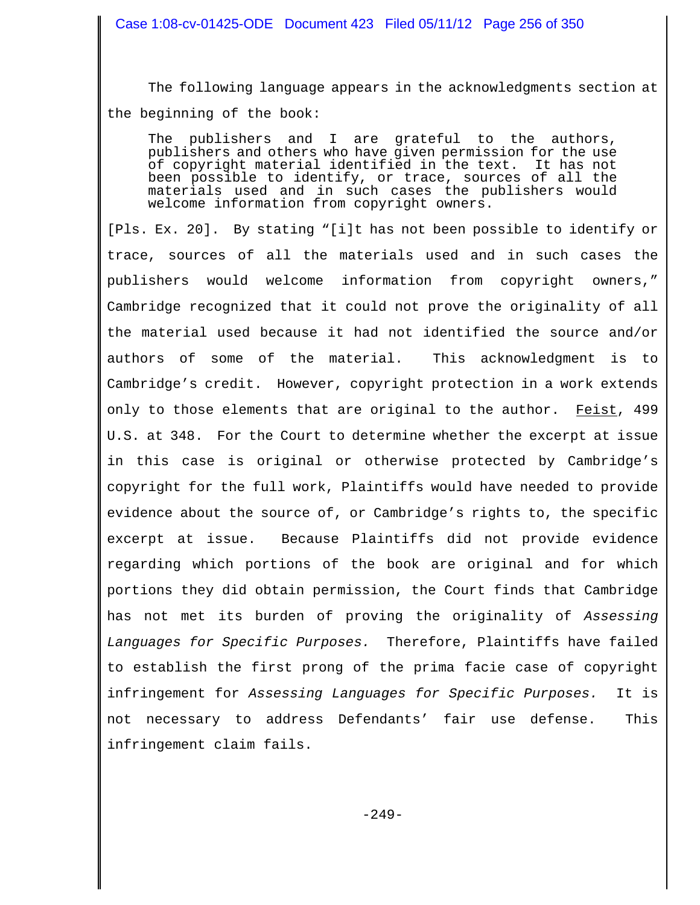The following language appears in the acknowledgments section at the beginning of the book:

The publishers and I are grateful to the authors, publishers and others who have given permission for the use of copyright material identified in the text. It has not been possible to identify, or trace, sources of all the materials used and in such cases the publishers would welcome information from copyright owners.

[Pls. Ex. 20]. By stating "[i]t has not been possible to identify or trace, sources of all the materials used and in such cases the publishers would welcome information from copyright owners," Cambridge recognized that it could not prove the originality of all the material used because it had not identified the source and/or authors of some of the material. This acknowledgment is to Cambridge's credit. However, copyright protection in a work extends only to those elements that are original to the author. Feist, 499 U.S. at 348. For the Court to determine whether the excerpt at issue in this case is original or otherwise protected by Cambridge's copyright for the full work, Plaintiffs would have needed to provide evidence about the source of, or Cambridge's rights to, the specific excerpt at issue. Because Plaintiffs did not provide evidence regarding which portions of the book are original and for which portions they did obtain permission, the Court finds that Cambridge has not met its burden of proving the originality of *Assessing Languages for Specific Purposes.* Therefore, Plaintiffs have failed to establish the first prong of the prima facie case of copyright infringement for *Assessing Languages for Specific Purposes.* It is not necessary to address Defendants' fair use defense. This infringement claim fails.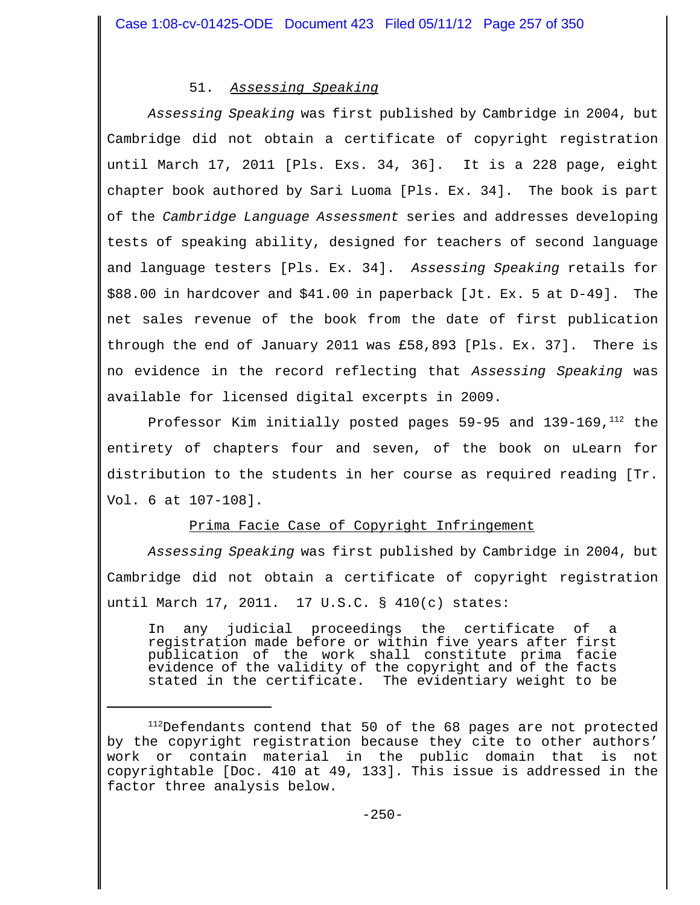# 51. *Assessing Speaking*

*Assessing Speaking* was first published by Cambridge in 2004, but Cambridge did not obtain a certificate of copyright registration until March 17, 2011 [Pls. Exs. 34, 36]. It is a 228 page, eight chapter book authored by Sari Luoma [Pls. Ex. 34]. The book is part of the *Cambridge Language Assessment* series and addresses developing tests of speaking ability, designed for teachers of second language and language testers [Pls. Ex. 34]. *Assessing Speaking* retails for \$88.00 in hardcover and \$41.00 in paperback [Jt. Ex. 5 at D-49]. The net sales revenue of the book from the date of first publication through the end of January 2011 was £58,893 [Pls. Ex. 37]. There is no evidence in the record reflecting that *Assessing Speaking* was available for licensed digital excerpts in 2009.

Professor Kim initially posted pages  $59-95$  and  $139-169$ ,  $^{112}$  the entirety of chapters four and seven, of the book on uLearn for distribution to the students in her course as required reading [Tr. Vol. 6 at 107-108].

# Prima Facie Case of Copyright Infringement

*Assessing Speaking* was first published by Cambridge in 2004, but Cambridge did not obtain a certificate of copyright registration until March 17, 2011. 17 U.S.C. § 410(c) states:

In any judicial proceedings the certificate of a registration made before or within five years after first publication of the work shall constitute prima facie evidence of the validity of the copyright and of the facts stated in the certificate. The evidentiary weight to be

<sup>&</sup>lt;sup>112</sup>Defendants contend that 50 of the 68 pages are not protected by the copyright registration because they cite to other authors' work or contain material in the public domain that is not copyrightable [Doc. 410 at 49, 133]. This issue is addressed in the factor three analysis below.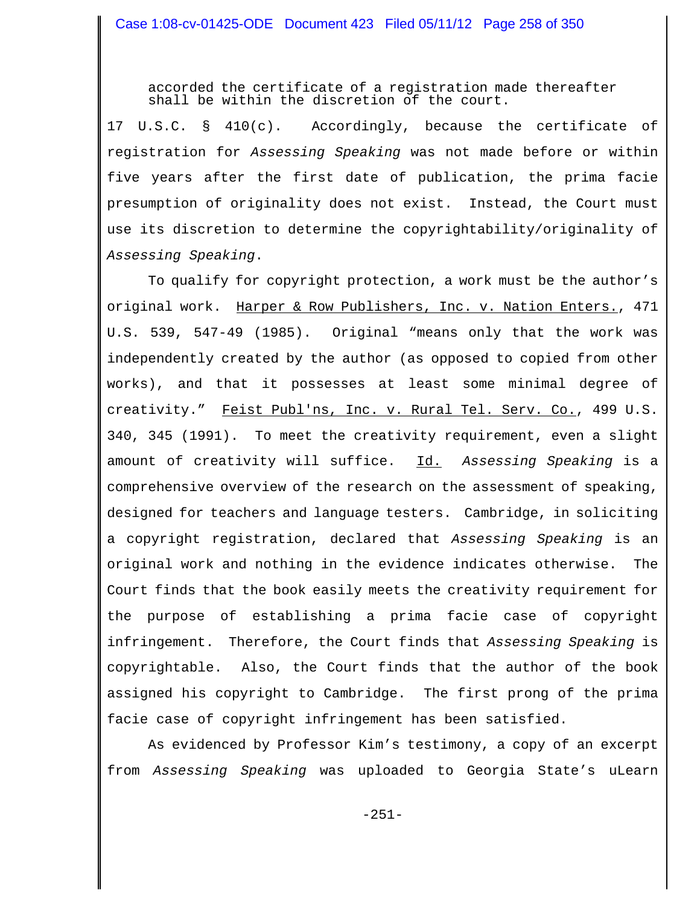accorded the certificate of a registration made thereafter shall be within the discretion of the court.

17 U.S.C. § 410(c). Accordingly, because the certificate of registration for *Assessing Speaking* was not made before or within five years after the first date of publication, the prima facie presumption of originality does not exist. Instead, the Court must use its discretion to determine the copyrightability/originality of *Assessing Speaking*.

To qualify for copyright protection, a work must be the author's original work. Harper & Row Publishers, Inc. v. Nation Enters., 471 U.S. 539, 547-49 (1985). Original "means only that the work was independently created by the author (as opposed to copied from other works), and that it possesses at least some minimal degree of creativity." Feist Publ'ns, Inc. v. Rural Tel. Serv. Co., 499 U.S. 340, 345 (1991). To meet the creativity requirement, even a slight amount of creativity will suffice. Id. *Assessing Speaking* is a comprehensive overview of the research on the assessment of speaking, designed for teachers and language testers. Cambridge, in soliciting a copyright registration, declared that *Assessing Speaking* is an original work and nothing in the evidence indicates otherwise. The Court finds that the book easily meets the creativity requirement for the purpose of establishing a prima facie case of copyright infringement. Therefore, the Court finds that *Assessing Speaking* is copyrightable. Also, the Court finds that the author of the book assigned his copyright to Cambridge. The first prong of the prima facie case of copyright infringement has been satisfied.

As evidenced by Professor Kim's testimony, a copy of an excerpt from *Assessing Speaking* was uploaded to Georgia State's uLearn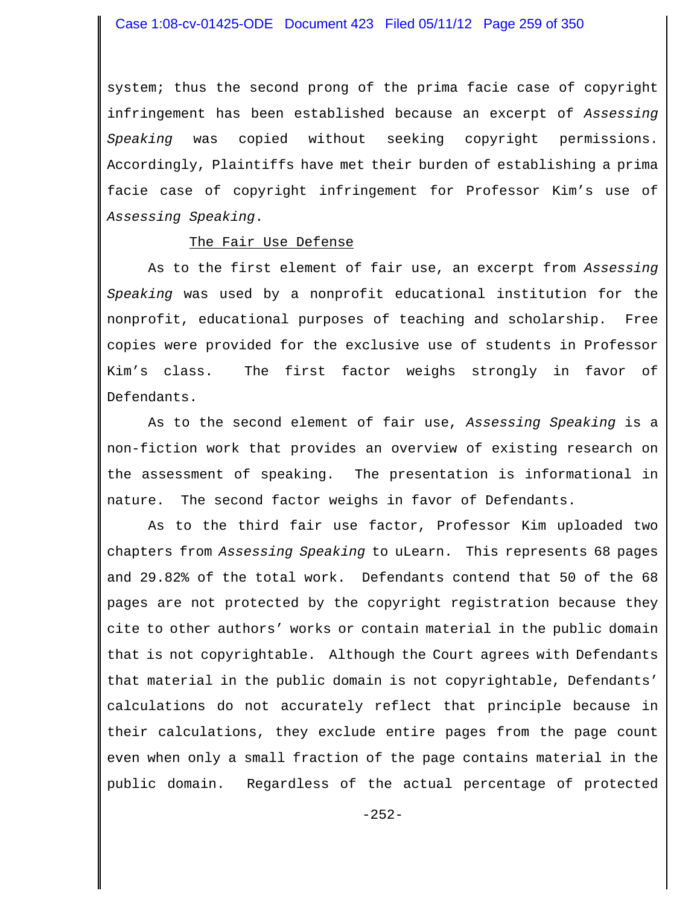system; thus the second prong of the prima facie case of copyright infringement has been established because an excerpt of *Assessing Speaking* was copied without seeking copyright permissions. Accordingly, Plaintiffs have met their burden of establishing a prima facie case of copyright infringement for Professor Kim's use of *Assessing Speaking*.

#### The Fair Use Defense

As to the first element of fair use, an excerpt from *Assessing Speaking* was used by a nonprofit educational institution for the nonprofit, educational purposes of teaching and scholarship. Free copies were provided for the exclusive use of students in Professor Kim's class. The first factor weighs strongly in favor of Defendants.

As to the second element of fair use, *Assessing Speaking* is a non-fiction work that provides an overview of existing research on the assessment of speaking. The presentation is informational in nature. The second factor weighs in favor of Defendants.

As to the third fair use factor, Professor Kim uploaded two chapters from *Assessing Speaking* to uLearn. This represents 68 pages and 29.82% of the total work. Defendants contend that 50 of the 68 pages are not protected by the copyright registration because they cite to other authors' works or contain material in the public domain that is not copyrightable. Although the Court agrees with Defendants that material in the public domain is not copyrightable, Defendants' calculations do not accurately reflect that principle because in their calculations, they exclude entire pages from the page count even when only a small fraction of the page contains material in the public domain. Regardless of the actual percentage of protected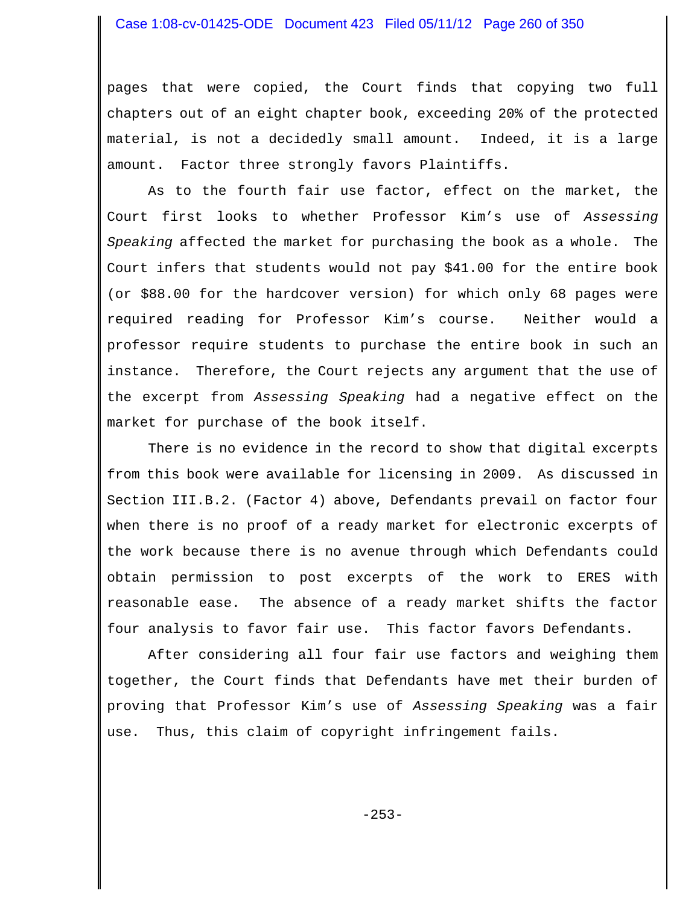#### Case 1:08-cv-01425-ODE Document 423 Filed 05/11/12 Page 260 of 350

pages that were copied, the Court finds that copying two full chapters out of an eight chapter book, exceeding 20% of the protected material, is not a decidedly small amount. Indeed, it is a large amount. Factor three strongly favors Plaintiffs.

As to the fourth fair use factor, effect on the market, the Court first looks to whether Professor Kim's use of *Assessing Speaking* affected the market for purchasing the book as a whole. The Court infers that students would not pay \$41.00 for the entire book (or \$88.00 for the hardcover version) for which only 68 pages were required reading for Professor Kim's course. Neither would a professor require students to purchase the entire book in such an instance. Therefore, the Court rejects any argument that the use of the excerpt from *Assessing Speaking* had a negative effect on the market for purchase of the book itself.

There is no evidence in the record to show that digital excerpts from this book were available for licensing in 2009. As discussed in Section III.B.2. (Factor 4) above, Defendants prevail on factor four when there is no proof of a ready market for electronic excerpts of the work because there is no avenue through which Defendants could obtain permission to post excerpts of the work to ERES with reasonable ease. The absence of a ready market shifts the factor four analysis to favor fair use. This factor favors Defendants.

After considering all four fair use factors and weighing them together, the Court finds that Defendants have met their burden of proving that Professor Kim's use of *Assessing Speaking* was a fair use. Thus, this claim of copyright infringement fails.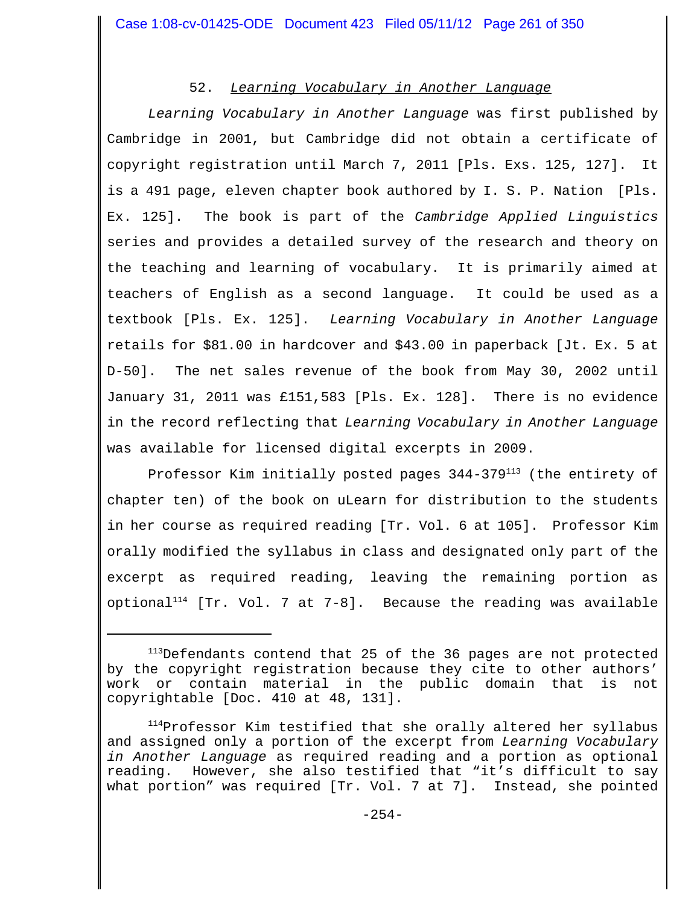# 52. *Learning Vocabulary in Another Language*

*Learning Vocabulary in Another Language* was first published by Cambridge in 2001, but Cambridge did not obtain a certificate of copyright registration until March 7, 2011 [Pls. Exs. 125, 127]. It is a 491 page, eleven chapter book authored by I. S. P. Nation [Pls. Ex. 125]. The book is part of the *Cambridge Applied Linguistics* series and provides a detailed survey of the research and theory on the teaching and learning of vocabulary. It is primarily aimed at teachers of English as a second language. It could be used as a textbook [Pls. Ex. 125]. *Learning Vocabulary in Another Language* retails for \$81.00 in hardcover and \$43.00 in paperback [Jt. Ex. 5 at D-50]. The net sales revenue of the book from May 30, 2002 until January 31, 2011 was £151,583 [Pls. Ex. 128]. There is no evidence in the record reflecting that *Learning Vocabulary in Another Language* was available for licensed digital excerpts in 2009.

Professor Kim initially posted pages  $344-379^{113}$  (the entirety of chapter ten) of the book on uLearn for distribution to the students in her course as required reading [Tr. Vol. 6 at 105]. Professor Kim orally modified the syllabus in class and designated only part of the excerpt as required reading, leaving the remaining portion as optional<sup>114</sup> [Tr. Vol. 7 at 7-8]. Because the reading was available

<sup>&</sup>lt;sup>113</sup>Defendants contend that 25 of the 36 pages are not protected by the copyright registration because they cite to other authors' work or contain material in the public domain that is not copyrightable [Doc. 410 at 48, 131].

<sup>&</sup>lt;sup>114</sup>Professor Kim testified that she orally altered her syllabus and assigned only a portion of the excerpt from *Learning Vocabulary in Another Language* as required reading and a portion as optional reading. However, she also testified that "it's difficult to say what portion" was required [Tr. Vol. 7 at 7]. Instead, she pointed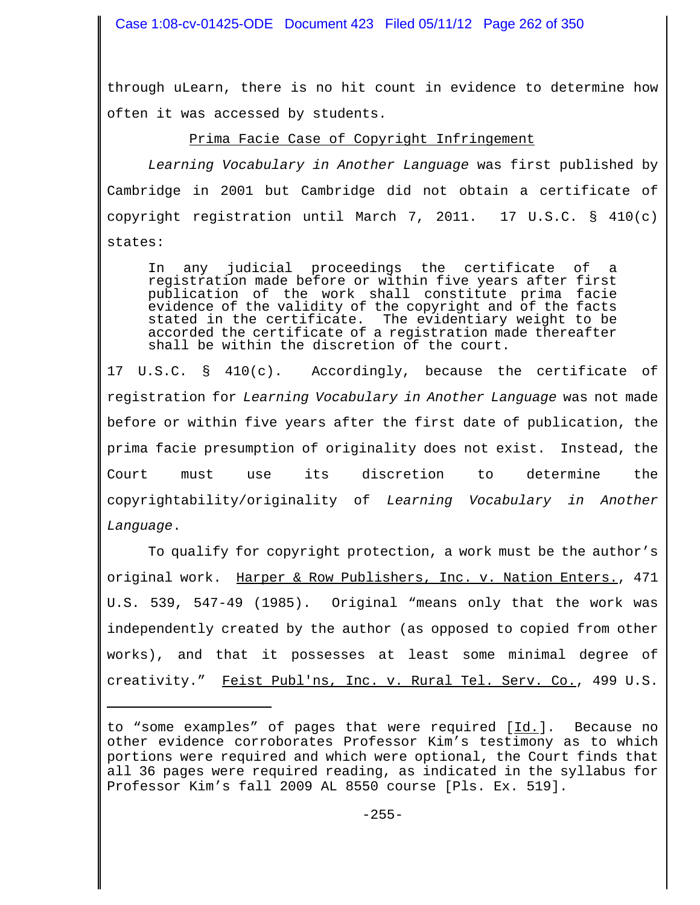Case 1:08-cv-01425-ODE Document 423 Filed 05/11/12 Page 262 of 350

through uLearn, there is no hit count in evidence to determine how often it was accessed by students.

Prima Facie Case of Copyright Infringement

*Learning Vocabulary in Another Language* was first published by Cambridge in 2001 but Cambridge did not obtain a certificate of copyright registration until March 7, 2011. 17 U.S.C. § 410(c) states:

In any judicial proceedings the certificate of a registration made before or within five years after first publication of the work shall constitute prima facie evidence of the validity of the copyright and of the facts stated in the certificate. The evidentiary weight to be accorded the certificate of a registration made thereafter shall be within the discretion of the court.

17 U.S.C. § 410(c). Accordingly, because the certificate of registration for *Learning Vocabulary in Another Language* was not made before or within five years after the first date of publication, the prima facie presumption of originality does not exist. Instead, the Court must use its discretion to determine the copyrightability/originality of *Learning Vocabulary in Another Language*.

To qualify for copyright protection, a work must be the author's original work. Harper & Row Publishers, Inc. v. Nation Enters., 471 U.S. 539, 547-49 (1985). Original "means only that the work was independently created by the author (as opposed to copied from other works), and that it possesses at least some minimal degree of creativity." Feist Publ'ns, Inc. v. Rural Tel. Serv. Co., 499 U.S.

to "some examples" of pages that were required [Id.]. Because no other evidence corroborates Professor Kim's testimony as to which portions were required and which were optional, the Court finds that all 36 pages were required reading, as indicated in the syllabus for Professor Kim's fall 2009 AL 8550 course [Pls. Ex. 519].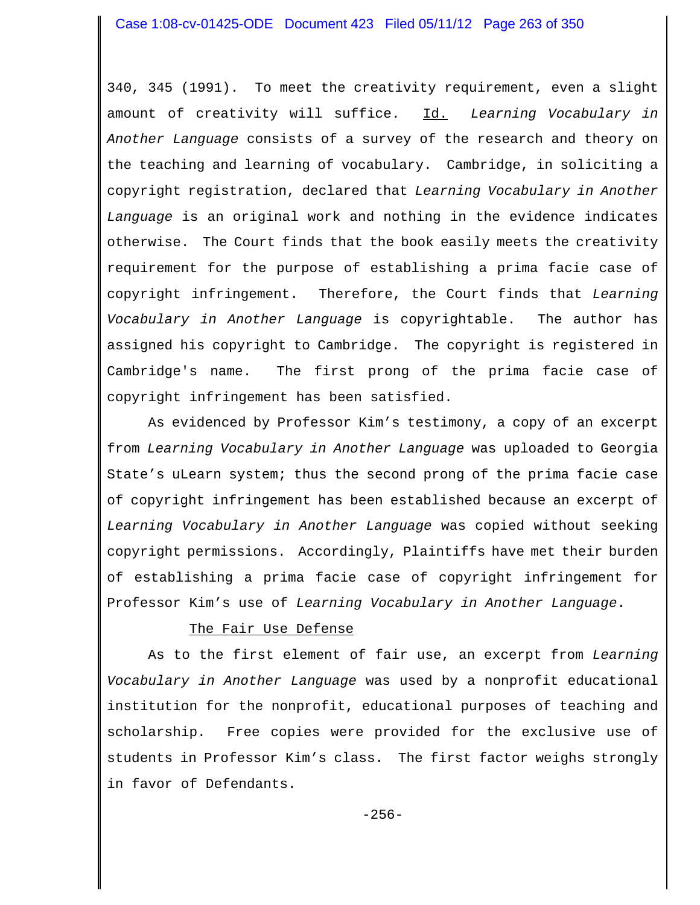340, 345 (1991). To meet the creativity requirement, even a slight amount of creativity will suffice. Id. *Learning Vocabulary in Another Language* consists of a survey of the research and theory on the teaching and learning of vocabulary. Cambridge, in soliciting a copyright registration, declared that *Learning Vocabulary in Another Language* is an original work and nothing in the evidence indicates otherwise. The Court finds that the book easily meets the creativity requirement for the purpose of establishing a prima facie case of copyright infringement. Therefore, the Court finds that *Learning Vocabulary in Another Language* is copyrightable. The author has assigned his copyright to Cambridge. The copyright is registered in Cambridge's name. The first prong of the prima facie case of copyright infringement has been satisfied.

As evidenced by Professor Kim's testimony, a copy of an excerpt from *Learning Vocabulary in Another Language* was uploaded to Georgia State's uLearn system; thus the second prong of the prima facie case of copyright infringement has been established because an excerpt of *Learning Vocabulary in Another Language* was copied without seeking copyright permissions. Accordingly, Plaintiffs have met their burden of establishing a prima facie case of copyright infringement for Professor Kim's use of *Learning Vocabulary in Another Language*.

## The Fair Use Defense

As to the first element of fair use, an excerpt from *Learning Vocabulary in Another Language* was used by a nonprofit educational institution for the nonprofit, educational purposes of teaching and scholarship. Free copies were provided for the exclusive use of students in Professor Kim's class. The first factor weighs strongly in favor of Defendants.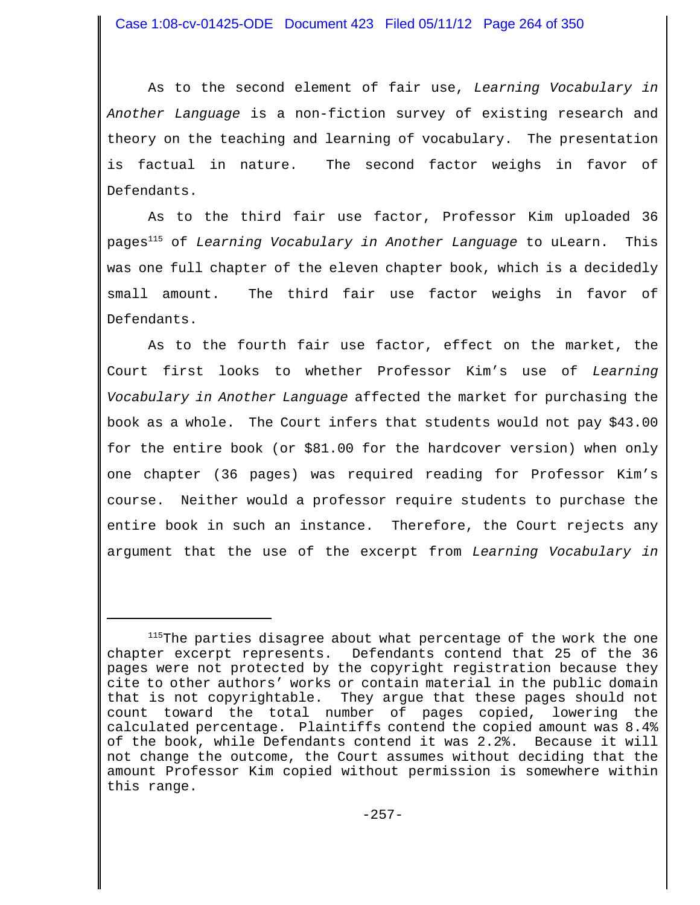As to the second element of fair use, *Learning Vocabulary in Another Language* is a non-fiction survey of existing research and theory on the teaching and learning of vocabulary. The presentation is factual in nature. The second factor weighs in favor of Defendants.

As to the third fair use factor, Professor Kim uploaded 36 pages115 of *Learning Vocabulary in Another Language* to uLearn. This was one full chapter of the eleven chapter book, which is a decidedly small amount. The third fair use factor weighs in favor of Defendants.

As to the fourth fair use factor, effect on the market, the Court first looks to whether Professor Kim's use of *Learning Vocabulary in Another Language* affected the market for purchasing the book as a whole. The Court infers that students would not pay \$43.00 for the entire book (or \$81.00 for the hardcover version) when only one chapter (36 pages) was required reading for Professor Kim's course. Neither would a professor require students to purchase the entire book in such an instance. Therefore, the Court rejects any argument that the use of the excerpt from *Learning Vocabulary in*

<sup>&</sup>lt;sup>115</sup>The parties disagree about what percentage of the work the one chapter excerpt represents. Defendants contend that 25 of the 36 pages were not protected by the copyright registration because they cite to other authors' works or contain material in the public domain that is not copyrightable. They argue that these pages should not count toward the total number of pages copied, lowering the calculated percentage. Plaintiffs contend the copied amount was 8.4% of the book, while Defendants contend it was 2.2%. Because it will not change the outcome, the Court assumes without deciding that the amount Professor Kim copied without permission is somewhere within this range.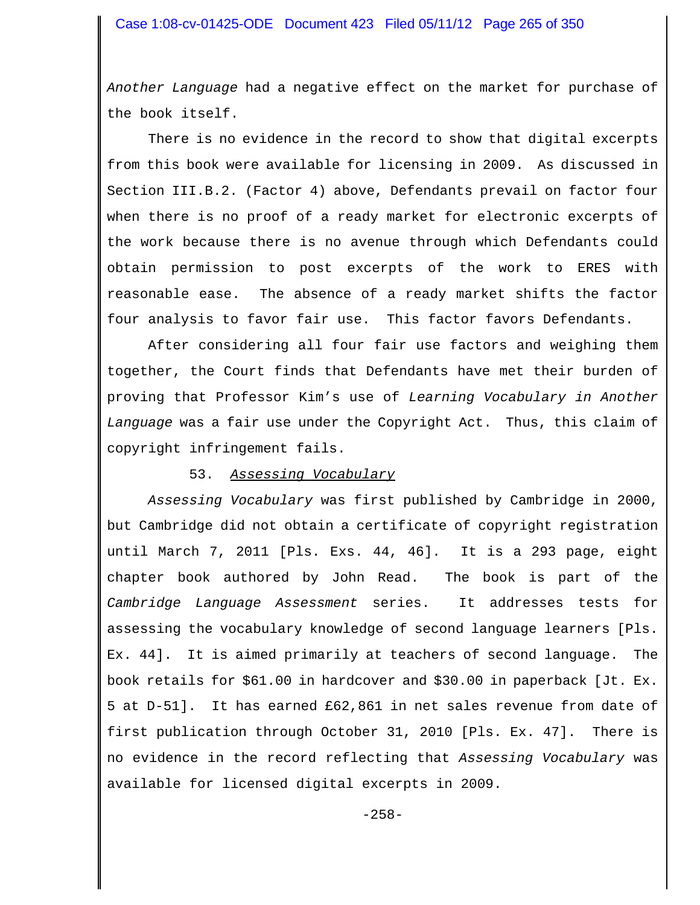*Another Language* had a negative effect on the market for purchase of the book itself.

There is no evidence in the record to show that digital excerpts from this book were available for licensing in 2009. As discussed in Section III.B.2. (Factor 4) above, Defendants prevail on factor four when there is no proof of a ready market for electronic excerpts of the work because there is no avenue through which Defendants could obtain permission to post excerpts of the work to ERES with reasonable ease. The absence of a ready market shifts the factor four analysis to favor fair use. This factor favors Defendants.

After considering all four fair use factors and weighing them together, the Court finds that Defendants have met their burden of proving that Professor Kim's use of *Learning Vocabulary in Another Language* was a fair use under the Copyright Act. Thus, this claim of copyright infringement fails.

#### 53. *Assessing Vocabulary*

*Assessing Vocabulary* was first published by Cambridge in 2000, but Cambridge did not obtain a certificate of copyright registration until March 7, 2011 [Pls. Exs. 44, 46]. It is a 293 page, eight chapter book authored by John Read. The book is part of the *Cambridge Language Assessment* series. It addresses tests for assessing the vocabulary knowledge of second language learners [Pls. Ex. 44]. It is aimed primarily at teachers of second language. The book retails for \$61.00 in hardcover and \$30.00 in paperback [Jt. Ex. 5 at D-51]. It has earned £62,861 in net sales revenue from date of first publication through October 31, 2010 [Pls. Ex. 47]. There is no evidence in the record reflecting that *Assessing Vocabulary* was available for licensed digital excerpts in 2009.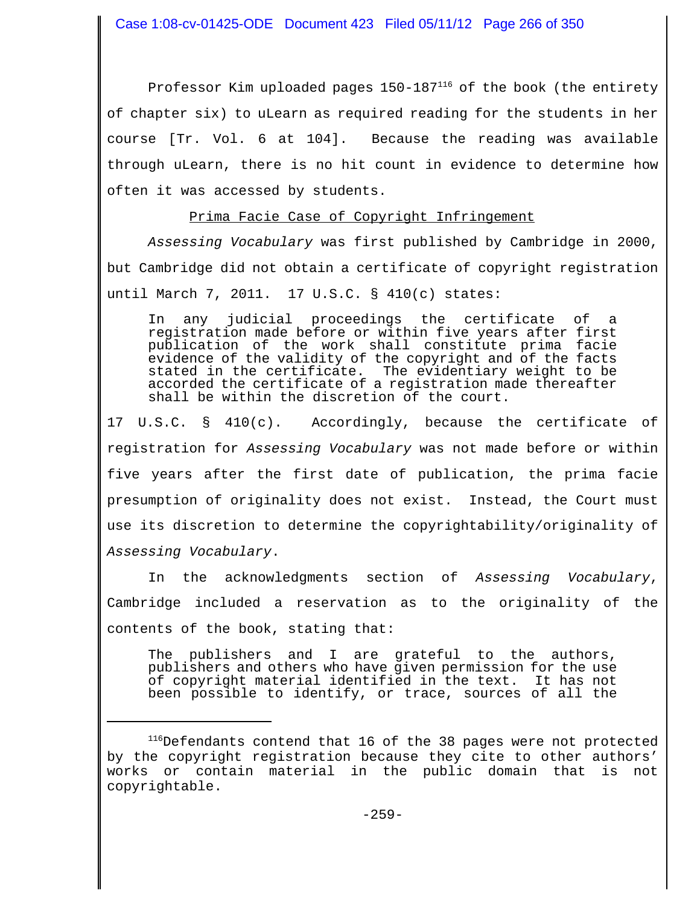Case 1:08-cv-01425-ODE Document 423 Filed 05/11/12 Page 266 of 350

Professor Kim uploaded pages 150-187<sup>116</sup> of the book (the entirety of chapter six) to uLearn as required reading for the students in her course [Tr. Vol. 6 at 104]. Because the reading was available through uLearn, there is no hit count in evidence to determine how often it was accessed by students.

## Prima Facie Case of Copyright Infringement

*Assessing Vocabulary* was first published by Cambridge in 2000, but Cambridge did not obtain a certificate of copyright registration until March 7, 2011. 17 U.S.C. § 410(c) states:

In any judicial proceedings the certificate of a registration made before or within five years after first publication of the work shall constitute prima facie evidence of the validity of the copyright and of the facts stated in the certificate. The evidentiary weight to be accorded the certificate of a registration made thereafter shall be within the discretion of the court.

17 U.S.C. § 410(c). Accordingly, because the certificate of registration for *Assessing Vocabulary* was not made before or within five years after the first date of publication, the prima facie presumption of originality does not exist. Instead, the Court must use its discretion to determine the copyrightability/originality of *Assessing Vocabulary*.

In the acknowledgments section of *Assessing Vocabulary*, Cambridge included a reservation as to the originality of the contents of the book, stating that:

The publishers and I are grateful to the authors, publishers and others who have given permission for the use of copyright material identified in the text. It has not been possible to identify, or trace, sources of all the

<sup>116</sup>Defendants contend that 16 of the 38 pages were not protected by the copyright registration because they cite to other authors' works or contain material in the public domain that is not copyrightable.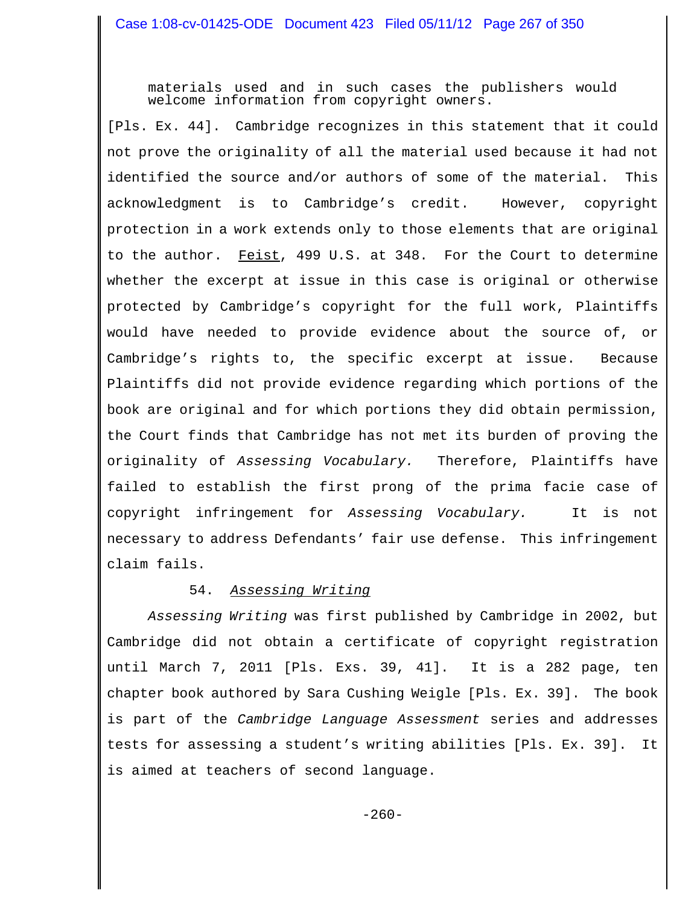materials used and in such cases the publishers would welcome information from copyright owners.

[Pls. Ex. 44]. Cambridge recognizes in this statement that it could not prove the originality of all the material used because it had not identified the source and/or authors of some of the material. This acknowledgment is to Cambridge's credit. However, copyright protection in a work extends only to those elements that are original to the author. Feist, 499 U.S. at 348. For the Court to determine whether the excerpt at issue in this case is original or otherwise protected by Cambridge's copyright for the full work, Plaintiffs would have needed to provide evidence about the source of, or Cambridge's rights to, the specific excerpt at issue. Because Plaintiffs did not provide evidence regarding which portions of the book are original and for which portions they did obtain permission, the Court finds that Cambridge has not met its burden of proving the originality of *Assessing Vocabulary.* Therefore, Plaintiffs have failed to establish the first prong of the prima facie case of copyright infringement for *Assessing Vocabulary.* It is not necessary to address Defendants' fair use defense. This infringement claim fails.

# 54. *Assessing Writing*

*Assessing Writing* was first published by Cambridge in 2002, but Cambridge did not obtain a certificate of copyright registration until March 7, 2011 [Pls. Exs. 39, 41]. It is a 282 page, ten chapter book authored by Sara Cushing Weigle [Pls. Ex. 39]. The book is part of the *Cambridge Language Assessment* series and addresses tests for assessing a student's writing abilities [Pls. Ex. 39]. It is aimed at teachers of second language.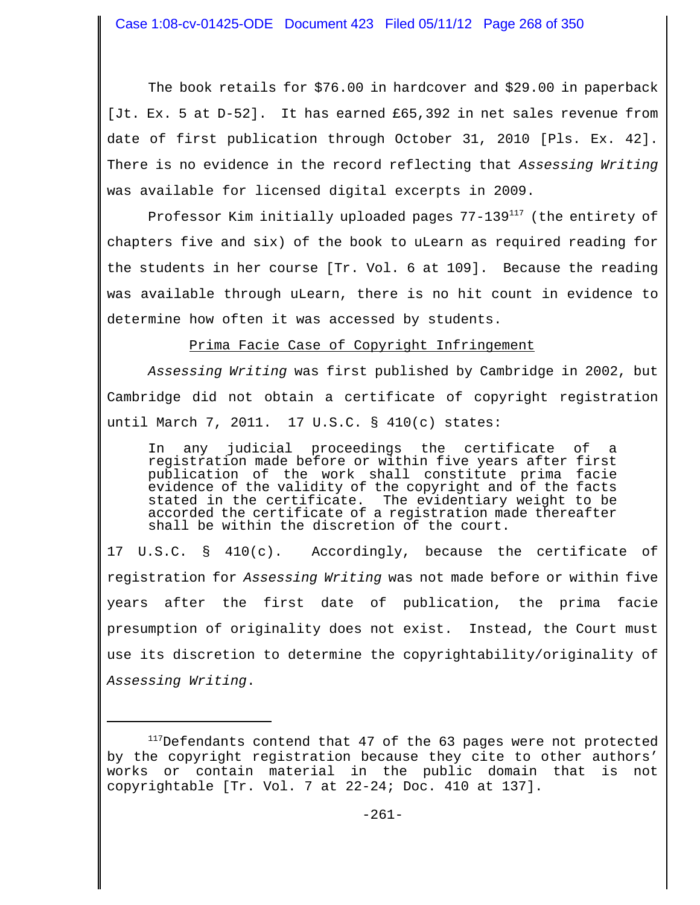The book retails for \$76.00 in hardcover and \$29.00 in paperback [Jt. Ex. 5 at D-52]. It has earned £65,392 in net sales revenue from date of first publication through October 31, 2010 [Pls. Ex. 42]. There is no evidence in the record reflecting that *Assessing Writing* was available for licensed digital excerpts in 2009.

Professor Kim initially uploaded pages 77-139<sup>117</sup> (the entirety of chapters five and six) of the book to uLearn as required reading for the students in her course [Tr. Vol. 6 at 109]. Because the reading was available through uLearn, there is no hit count in evidence to determine how often it was accessed by students.

Prima Facie Case of Copyright Infringement

*Assessing Writing* was first published by Cambridge in 2002, but Cambridge did not obtain a certificate of copyright registration until March 7, 2011. 17 U.S.C. § 410(c) states:

In any judicial proceedings the certificate of a registration made before or within five years after first publication of the work shall constitute prima facie evidence of the validity of the copyright and of the facts stated in the certificate. The evidentiary weight to be accorded the certificate of a registration made thereafter shall be within the discretion of the court.

17 U.S.C. § 410(c). Accordingly, because the certificate of registration for *Assessing Writing* was not made before or within five years after the first date of publication, the prima facie presumption of originality does not exist. Instead, the Court must use its discretion to determine the copyrightability/originality of *Assessing Writing*.

<sup>&</sup>lt;sup>117</sup>Defendants contend that 47 of the 63 pages were not protected by the copyright registration because they cite to other authors' works or contain material in the public domain that is not copyrightable [Tr. Vol. 7 at 22-24; Doc. 410 at 137].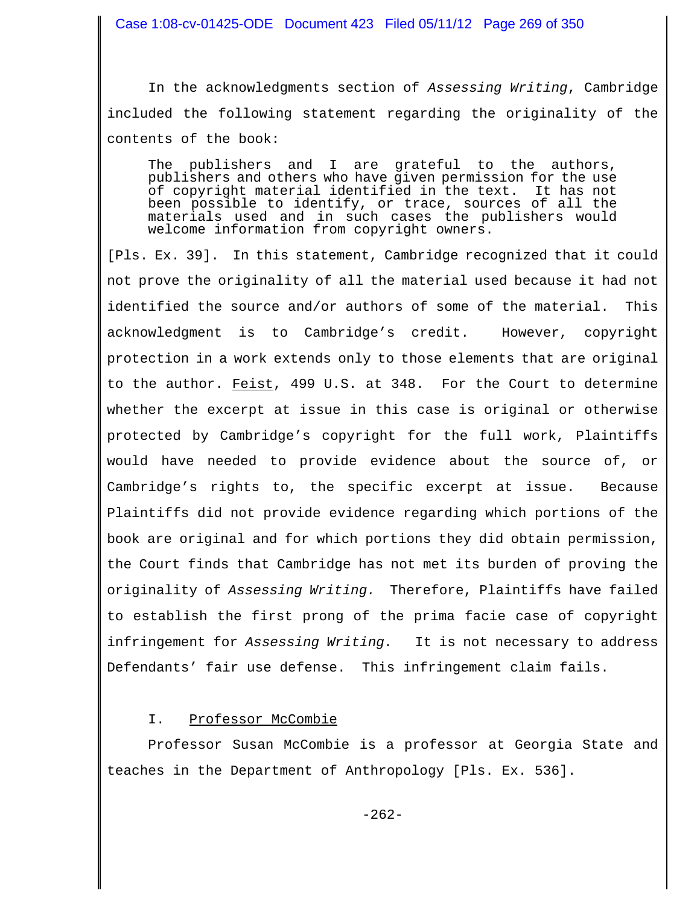In the acknowledgments section of *Assessing Writing*, Cambridge included the following statement regarding the originality of the contents of the book:

The publishers and I are grateful to the authors, publishers and others who have given permission for the use of copyright material identified in the text. been possible to identify, or trace, sources of all the materials used and in such cases the publishers would welcome information from copyright owners.

[Pls. Ex. 39]. In this statement, Cambridge recognized that it could not prove the originality of all the material used because it had not identified the source and/or authors of some of the material. This acknowledgment is to Cambridge's credit. However, copyright protection in a work extends only to those elements that are original to the author. Feist, 499 U.S. at 348. For the Court to determine whether the excerpt at issue in this case is original or otherwise protected by Cambridge's copyright for the full work, Plaintiffs would have needed to provide evidence about the source of, or Cambridge's rights to, the specific excerpt at issue. Because Plaintiffs did not provide evidence regarding which portions of the book are original and for which portions they did obtain permission, the Court finds that Cambridge has not met its burden of proving the originality of *Assessing Writing.* Therefore, Plaintiffs have failed to establish the first prong of the prima facie case of copyright infringement for *Assessing Writing.* It is not necessary to address Defendants' fair use defense. This infringement claim fails.

## I. Professor McCombie

Professor Susan McCombie is a professor at Georgia State and teaches in the Department of Anthropology [Pls. Ex. 536].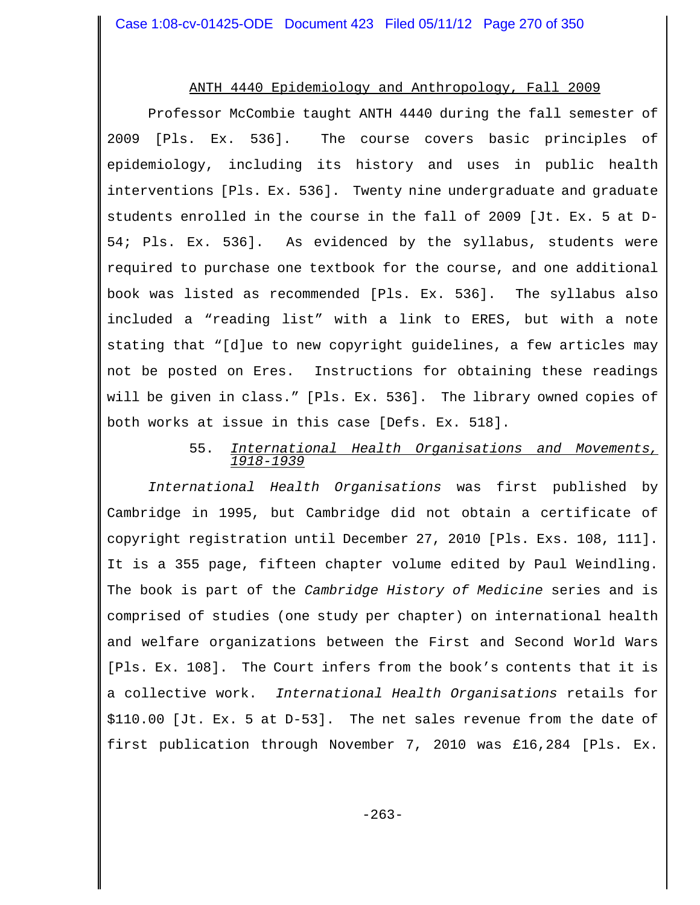#### ANTH 4440 Epidemiology and Anthropology, Fall 2009

Professor McCombie taught ANTH 4440 during the fall semester of 2009 [Pls. Ex. 536]. The course covers basic principles of epidemiology, including its history and uses in public health interventions [Pls. Ex. 536]. Twenty nine undergraduate and graduate students enrolled in the course in the fall of 2009 [Jt. Ex. 5 at D-54; Pls. Ex. 536]. As evidenced by the syllabus, students were required to purchase one textbook for the course, and one additional book was listed as recommended [Pls. Ex. 536]. The syllabus also included a "reading list" with a link to ERES, but with a note stating that "[d]ue to new copyright guidelines, a few articles may not be posted on Eres. Instructions for obtaining these readings will be given in class." [Pls. Ex. 536]. The library owned copies of both works at issue in this case [Defs. Ex. 518].

## 55. *International Health Organisations and Movements, 1918-1939*

*International Health Organisations* was first published by Cambridge in 1995, but Cambridge did not obtain a certificate of copyright registration until December 27, 2010 [Pls. Exs. 108, 111]. It is a 355 page, fifteen chapter volume edited by Paul Weindling. The book is part of the *Cambridge History of Medicine* series and is comprised of studies (one study per chapter) on international health and welfare organizations between the First and Second World Wars [Pls. Ex. 108]. The Court infers from the book's contents that it is a collective work. *International Health Organisations* retails for \$110.00 [Jt. Ex. 5 at D-53]. The net sales revenue from the date of first publication through November 7, 2010 was £16,284 [Pls. Ex.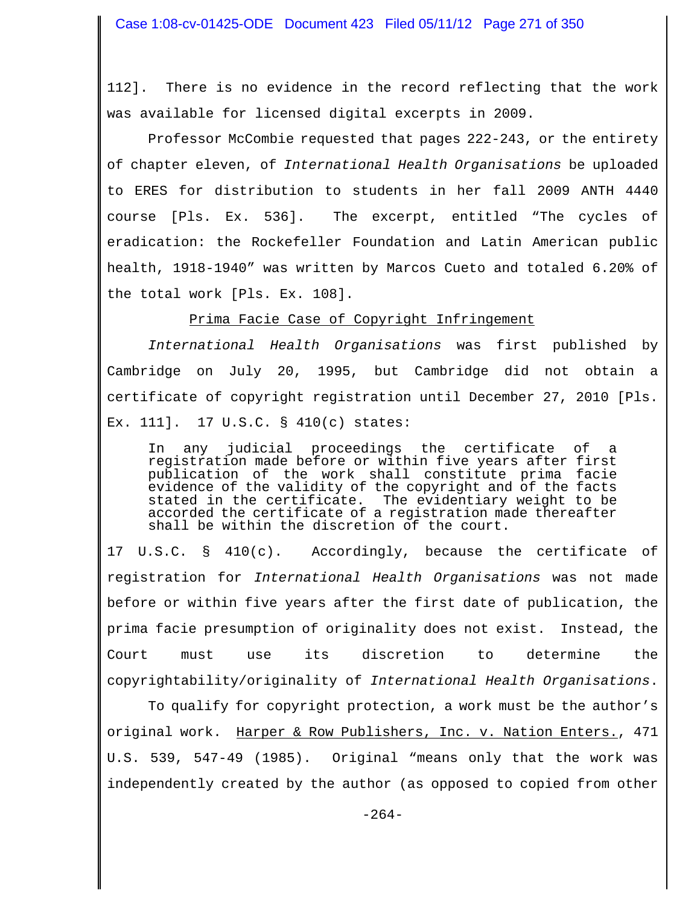112]. There is no evidence in the record reflecting that the work was available for licensed digital excerpts in 2009.

Professor McCombie requested that pages 222-243, or the entirety of chapter eleven, of *International Health Organisations* be uploaded to ERES for distribution to students in her fall 2009 ANTH 4440 course [Pls. Ex. 536]. The excerpt, entitled "The cycles of eradication: the Rockefeller Foundation and Latin American public health, 1918-1940" was written by Marcos Cueto and totaled 6.20% of the total work [Pls. Ex. 108].

Prima Facie Case of Copyright Infringement

*International Health Organisations* was first published by Cambridge on July 20, 1995, but Cambridge did not obtain a certificate of copyright registration until December 27, 2010 [Pls. Ex. 111]. 17 U.S.C. § 410(c) states:

In any judicial proceedings the certificate of a registration made before or within five years after first publication of the work shall constitute prima facie evidence of the validity of the copyright and of the facts stated in the certificate. The evidentiary weight to be accorded the certificate of a registration made thereafter shall be within the discretion of the court.

17 U.S.C. § 410(c). Accordingly, because the certificate of registration for *International Health Organisations* was not made before or within five years after the first date of publication, the prima facie presumption of originality does not exist. Instead, the Court must use its discretion to determine the copyrightability/originality of *International Health Organisations*.

To qualify for copyright protection, a work must be the author's original work. Harper & Row Publishers, Inc. v. Nation Enters., 471 U.S. 539, 547-49 (1985). Original "means only that the work was independently created by the author (as opposed to copied from other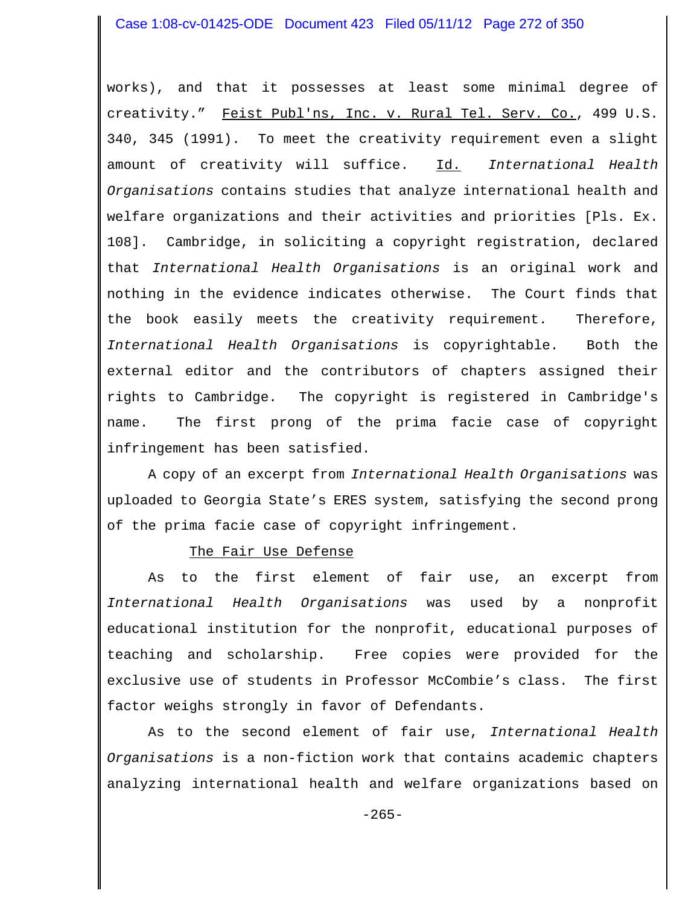## Case 1:08-cv-01425-ODE Document 423 Filed 05/11/12 Page 272 of 350

works), and that it possesses at least some minimal degree of creativity." Feist Publ'ns, Inc. v. Rural Tel. Serv. Co., 499 U.S. 340, 345 (1991). To meet the creativity requirement even a slight amount of creativity will suffice. Id. *International Health Organisations* contains studies that analyze international health and welfare organizations and their activities and priorities [Pls. Ex. 108]. Cambridge, in soliciting a copyright registration, declared that *International Health Organisations* is an original work and nothing in the evidence indicates otherwise. The Court finds that the book easily meets the creativity requirement. Therefore, *International Health Organisations* is copyrightable. Both the external editor and the contributors of chapters assigned their rights to Cambridge. The copyright is registered in Cambridge's name. The first prong of the prima facie case of copyright infringement has been satisfied.

A copy of an excerpt from *International Health Organisations* was uploaded to Georgia State's ERES system, satisfying the second prong of the prima facie case of copyright infringement.

#### The Fair Use Defense

As to the first element of fair use, an excerpt from *International Health Organisations* was used by a nonprofit educational institution for the nonprofit, educational purposes of teaching and scholarship. Free copies were provided for the exclusive use of students in Professor McCombie's class. The first factor weighs strongly in favor of Defendants.

As to the second element of fair use, *International Health Organisations* is a non-fiction work that contains academic chapters analyzing international health and welfare organizations based on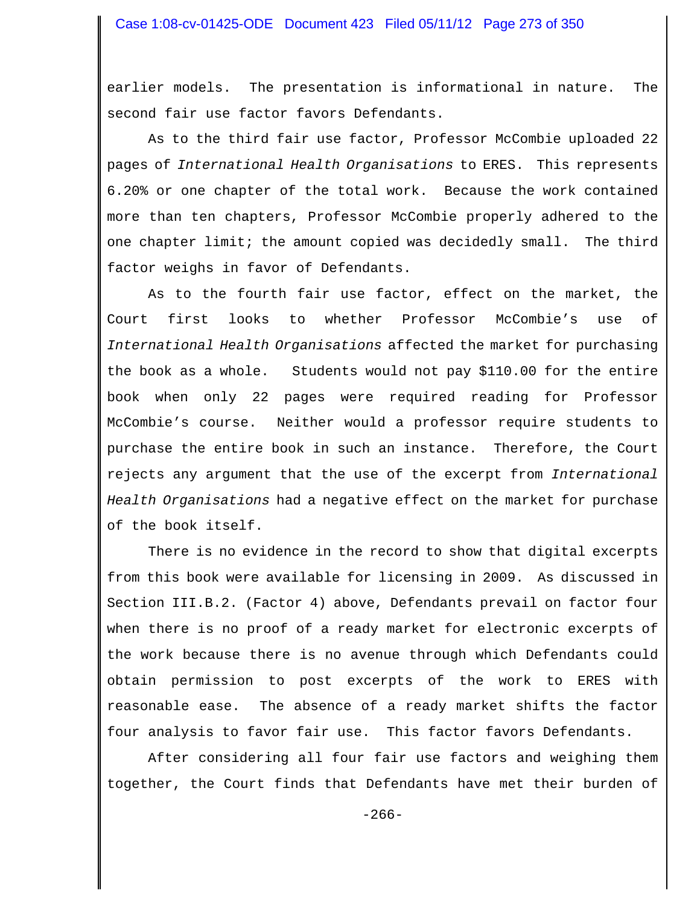earlier models. The presentation is informational in nature. The second fair use factor favors Defendants.

As to the third fair use factor, Professor McCombie uploaded 22 pages of *International Health Organisations* to ERES. This represents 6.20% or one chapter of the total work. Because the work contained more than ten chapters, Professor McCombie properly adhered to the one chapter limit; the amount copied was decidedly small. The third factor weighs in favor of Defendants.

As to the fourth fair use factor, effect on the market, the Court first looks to whether Professor McCombie's use of *International Health Organisations* affected the market for purchasing the book as a whole. Students would not pay \$110.00 for the entire book when only 22 pages were required reading for Professor McCombie's course. Neither would a professor require students to purchase the entire book in such an instance. Therefore, the Court rejects any argument that the use of the excerpt from *International Health Organisations* had a negative effect on the market for purchase of the book itself.

There is no evidence in the record to show that digital excerpts from this book were available for licensing in 2009. As discussed in Section III.B.2. (Factor 4) above, Defendants prevail on factor four when there is no proof of a ready market for electronic excerpts of the work because there is no avenue through which Defendants could obtain permission to post excerpts of the work to ERES with reasonable ease. The absence of a ready market shifts the factor four analysis to favor fair use. This factor favors Defendants.

After considering all four fair use factors and weighing them together, the Court finds that Defendants have met their burden of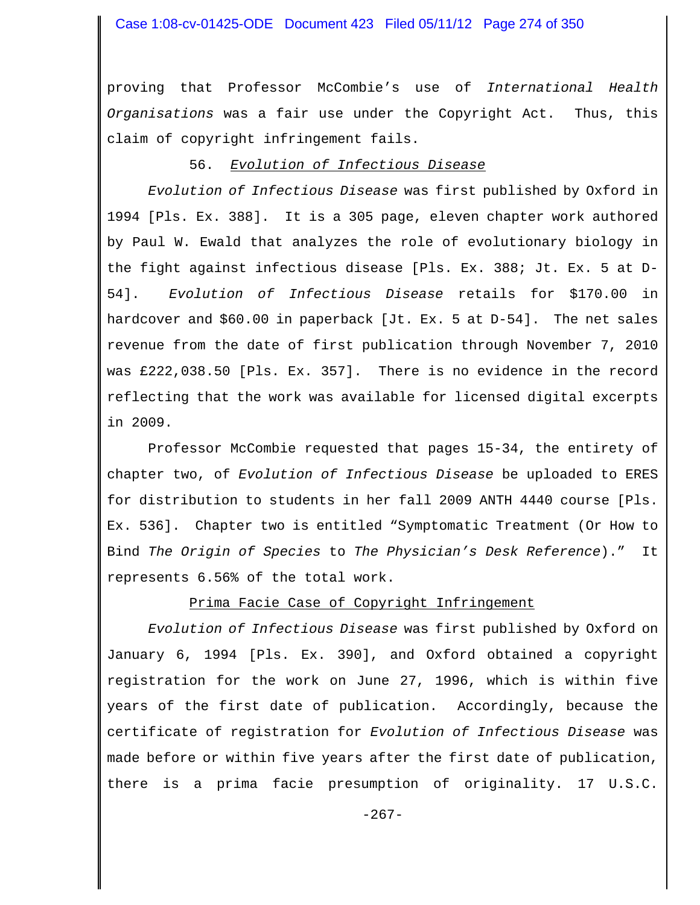proving that Professor McCombie's use of *International Health Organisations* was a fair use under the Copyright Act. Thus, this claim of copyright infringement fails.

#### 56. *Evolution of Infectious Disease*

*Evolution of Infectious Disease* was first published by Oxford in 1994 [Pls. Ex. 388]. It is a 305 page, eleven chapter work authored by Paul W. Ewald that analyzes the role of evolutionary biology in the fight against infectious disease [Pls. Ex. 388; Jt. Ex. 5 at D-54]. *Evolution of Infectious Disease* retails for \$170.00 in hardcover and \$60.00 in paperback [Jt. Ex. 5 at D-54]. The net sales revenue from the date of first publication through November 7, 2010 was £222,038.50 [Pls. Ex. 357]. There is no evidence in the record reflecting that the work was available for licensed digital excerpts in 2009.

Professor McCombie requested that pages 15-34, the entirety of chapter two, of *Evolution of Infectious Disease* be uploaded to ERES for distribution to students in her fall 2009 ANTH 4440 course [Pls. Ex. 536]. Chapter two is entitled "Symptomatic Treatment (Or How to Bind *The Origin of Species* to *The Physician's Desk Reference*)." It represents 6.56% of the total work.

Prima Facie Case of Copyright Infringement

*Evolution of Infectious Disease* was first published by Oxford on January 6, 1994 [Pls. Ex. 390], and Oxford obtained a copyright registration for the work on June 27, 1996, which is within five years of the first date of publication. Accordingly, because the certificate of registration for *Evolution of Infectious Disease* was made before or within five years after the first date of publication, there is a prima facie presumption of originality. 17 U.S.C.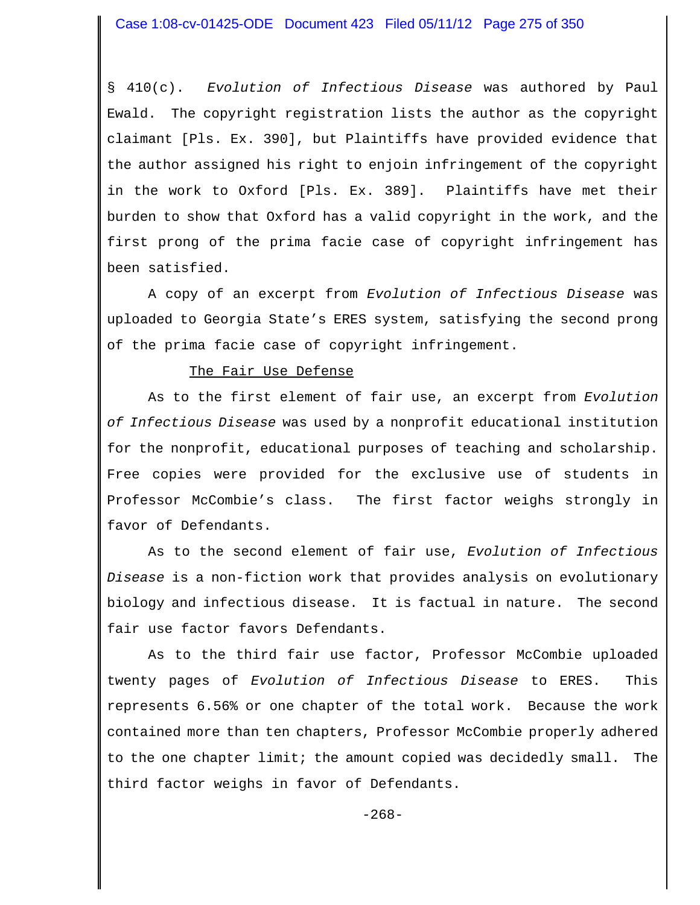§ 410(c). *Evolution of Infectious Disease* was authored by Paul Ewald. The copyright registration lists the author as the copyright claimant [Pls. Ex. 390], but Plaintiffs have provided evidence that the author assigned his right to enjoin infringement of the copyright in the work to Oxford [Pls. Ex. 389]. Plaintiffs have met their burden to show that Oxford has a valid copyright in the work, and the first prong of the prima facie case of copyright infringement has been satisfied.

A copy of an excerpt from *Evolution of Infectious Disease* was uploaded to Georgia State's ERES system, satisfying the second prong of the prima facie case of copyright infringement.

#### The Fair Use Defense

As to the first element of fair use, an excerpt from *Evolution of Infectious Disease* was used by a nonprofit educational institution for the nonprofit, educational purposes of teaching and scholarship. Free copies were provided for the exclusive use of students in Professor McCombie's class. The first factor weighs strongly in favor of Defendants.

As to the second element of fair use, *Evolution of Infectious Disease* is a non-fiction work that provides analysis on evolutionary biology and infectious disease. It is factual in nature. The second fair use factor favors Defendants.

As to the third fair use factor, Professor McCombie uploaded twenty pages of *Evolution of Infectious Disease* to ERES. This represents 6.56% or one chapter of the total work. Because the work contained more than ten chapters, Professor McCombie properly adhered to the one chapter limit; the amount copied was decidedly small. The third factor weighs in favor of Defendants.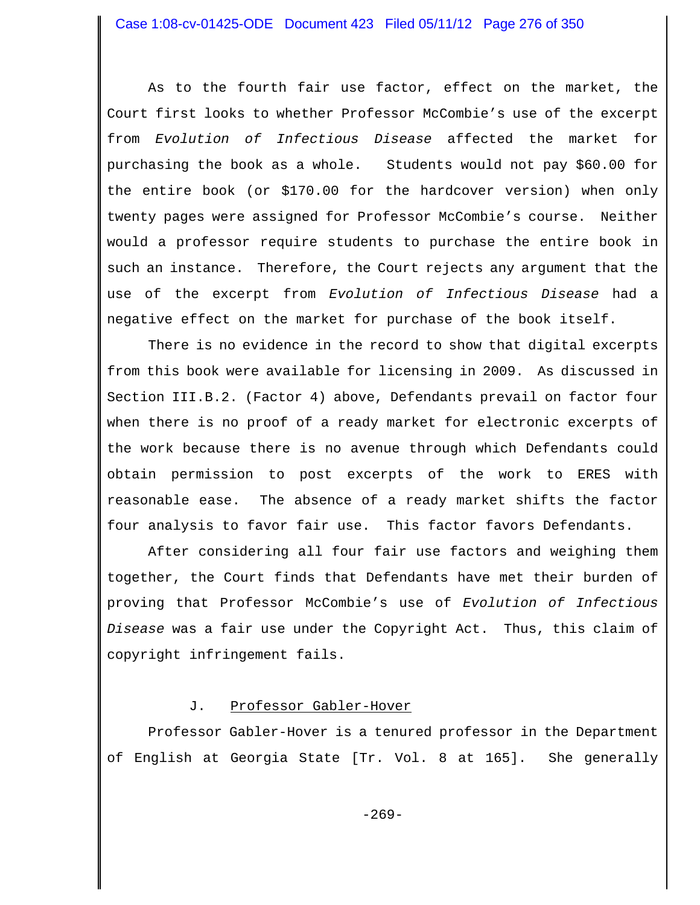As to the fourth fair use factor, effect on the market, the Court first looks to whether Professor McCombie's use of the excerpt from *Evolution of Infectious Disease* affected the market for purchasing the book as a whole. Students would not pay \$60.00 for the entire book (or \$170.00 for the hardcover version) when only twenty pages were assigned for Professor McCombie's course. Neither would a professor require students to purchase the entire book in such an instance. Therefore, the Court rejects any argument that the use of the excerpt from *Evolution of Infectious Disease* had a negative effect on the market for purchase of the book itself.

There is no evidence in the record to show that digital excerpts from this book were available for licensing in 2009. As discussed in Section III.B.2. (Factor 4) above, Defendants prevail on factor four when there is no proof of a ready market for electronic excerpts of the work because there is no avenue through which Defendants could obtain permission to post excerpts of the work to ERES with reasonable ease. The absence of a ready market shifts the factor four analysis to favor fair use. This factor favors Defendants.

After considering all four fair use factors and weighing them together, the Court finds that Defendants have met their burden of proving that Professor McCombie's use of *Evolution of Infectious Disease* was a fair use under the Copyright Act. Thus, this claim of copyright infringement fails.

## J. Professor Gabler-Hover

Professor Gabler-Hover is a tenured professor in the Department of English at Georgia State [Tr. Vol. 8 at 165]. She generally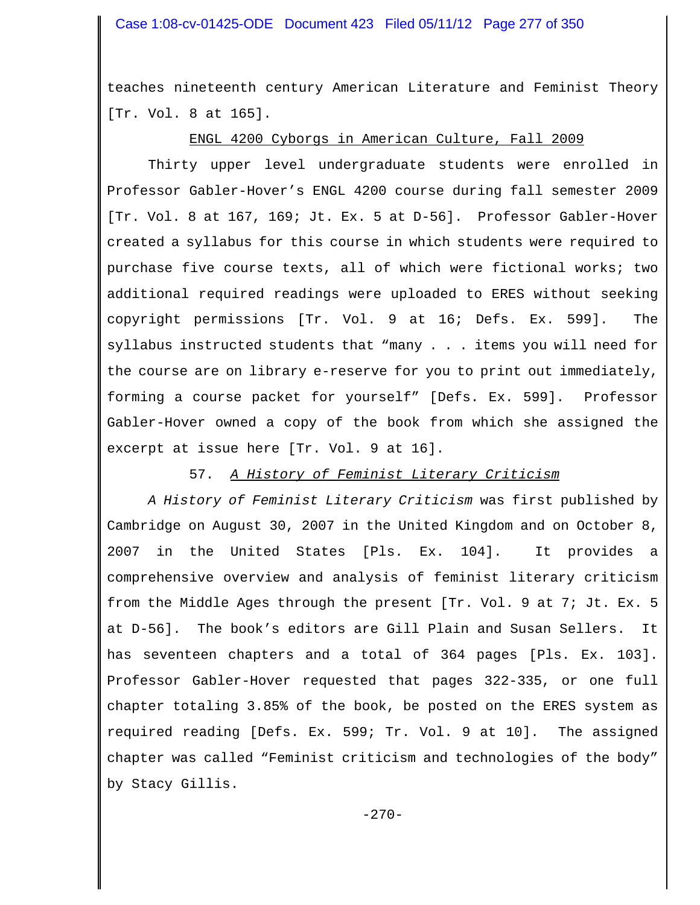teaches nineteenth century American Literature and Feminist Theory [Tr. Vol. 8 at 165].

# ENGL 4200 Cyborgs in American Culture, Fall 2009

Thirty upper level undergraduate students were enrolled in Professor Gabler-Hover's ENGL 4200 course during fall semester 2009 [Tr. Vol. 8 at 167, 169; Jt. Ex. 5 at D-56]. Professor Gabler-Hover created a syllabus for this course in which students were required to purchase five course texts, all of which were fictional works; two additional required readings were uploaded to ERES without seeking copyright permissions [Tr. Vol. 9 at 16; Defs. Ex. 599]. The syllabus instructed students that "many . . . items you will need for the course are on library e-reserve for you to print out immediately, forming a course packet for yourself" [Defs. Ex. 599]. Professor Gabler-Hover owned a copy of the book from which she assigned the excerpt at issue here [Tr. Vol. 9 at 16].

## 57. *A History of Feminist Literary Criticism*

*A History of Feminist Literary Criticism* was first published by Cambridge on August 30, 2007 in the United Kingdom and on October 8, 2007 in the United States [Pls. Ex. 104]. It provides a comprehensive overview and analysis of feminist literary criticism from the Middle Ages through the present [Tr. Vol. 9 at 7; Jt. Ex. 5 at D-56]. The book's editors are Gill Plain and Susan Sellers. It has seventeen chapters and a total of 364 pages [Pls. Ex. 103]. Professor Gabler-Hover requested that pages 322-335, or one full chapter totaling 3.85% of the book, be posted on the ERES system as required reading [Defs. Ex. 599; Tr. Vol. 9 at 10]. The assigned chapter was called "Feminist criticism and technologies of the body" by Stacy Gillis.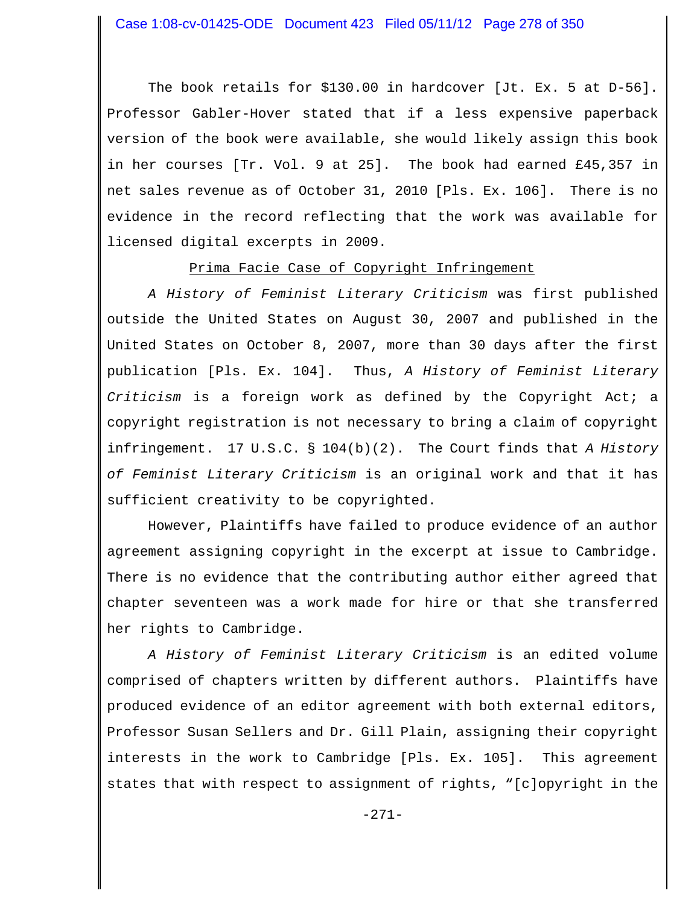The book retails for \$130.00 in hardcover [Jt. Ex. 5 at D-56]. Professor Gabler-Hover stated that if a less expensive paperback version of the book were available, she would likely assign this book in her courses [Tr. Vol. 9 at 25]. The book had earned £45,357 in net sales revenue as of October 31, 2010 [Pls. Ex. 106]. There is no evidence in the record reflecting that the work was available for licensed digital excerpts in 2009.

## Prima Facie Case of Copyright Infringement

*A History of Feminist Literary Criticism* was first published outside the United States on August 30, 2007 and published in the United States on October 8, 2007, more than 30 days after the first publication [Pls. Ex. 104]. Thus, *A History of Feminist Literary Criticism* is a foreign work as defined by the Copyright Act; a copyright registration is not necessary to bring a claim of copyright infringement. 17 U.S.C. § 104(b)(2). The Court finds that *A History of Feminist Literary Criticism* is an original work and that it has sufficient creativity to be copyrighted.

However, Plaintiffs have failed to produce evidence of an author agreement assigning copyright in the excerpt at issue to Cambridge. There is no evidence that the contributing author either agreed that chapter seventeen was a work made for hire or that she transferred her rights to Cambridge.

*A History of Feminist Literary Criticism* is an edited volume comprised of chapters written by different authors. Plaintiffs have produced evidence of an editor agreement with both external editors, Professor Susan Sellers and Dr. Gill Plain, assigning their copyright interests in the work to Cambridge [Pls. Ex. 105]. This agreement states that with respect to assignment of rights, "[c]opyright in the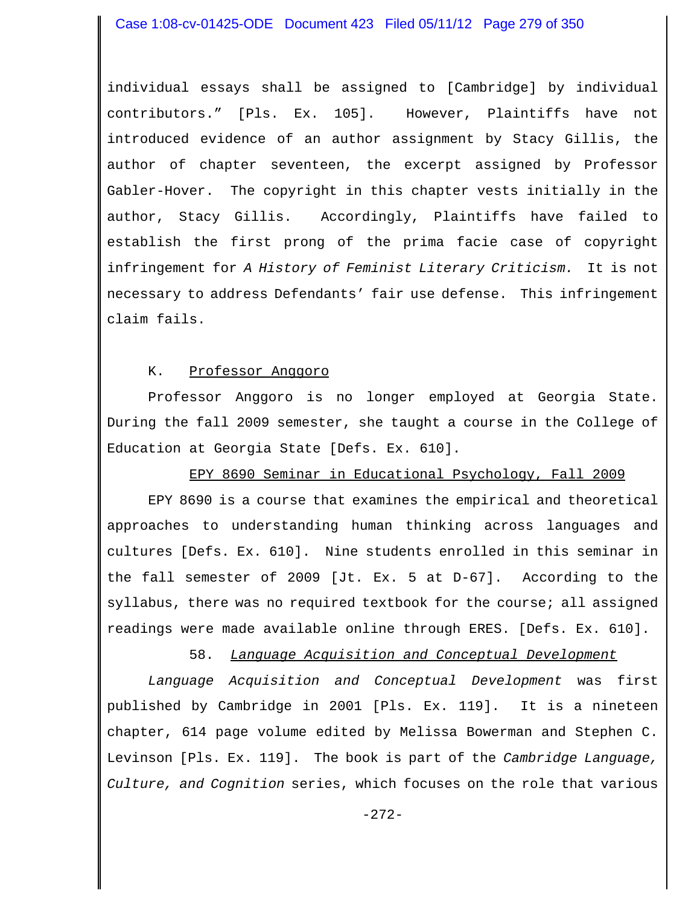individual essays shall be assigned to [Cambridge] by individual contributors." [Pls. Ex. 105]. However, Plaintiffs have not introduced evidence of an author assignment by Stacy Gillis, the author of chapter seventeen, the excerpt assigned by Professor Gabler-Hover. The copyright in this chapter vests initially in the author, Stacy Gillis. Accordingly, Plaintiffs have failed to establish the first prong of the prima facie case of copyright infringement for *A History of Feminist Literary Criticism.* It is not necessary to address Defendants' fair use defense. This infringement claim fails.

#### K. Professor Anggoro

Professor Anggoro is no longer employed at Georgia State. During the fall 2009 semester, she taught a course in the College of Education at Georgia State [Defs. Ex. 610].

## EPY 8690 Seminar in Educational Psychology, Fall 2009

EPY 8690 is a course that examines the empirical and theoretical approaches to understanding human thinking across languages and cultures [Defs. Ex. 610]. Nine students enrolled in this seminar in the fall semester of 2009 [Jt. Ex. 5 at D-67]. According to the syllabus, there was no required textbook for the course; all assigned readings were made available online through ERES. [Defs. Ex. 610].

58. *Language Acquisition and Conceptual Development*

*Language Acquisition and Conceptual Development* was first published by Cambridge in 2001 [Pls. Ex. 119]. It is a nineteen chapter, 614 page volume edited by Melissa Bowerman and Stephen C. Levinson [Pls. Ex. 119]. The book is part of the *Cambridge Language, Culture, and Cognition* series, which focuses on the role that various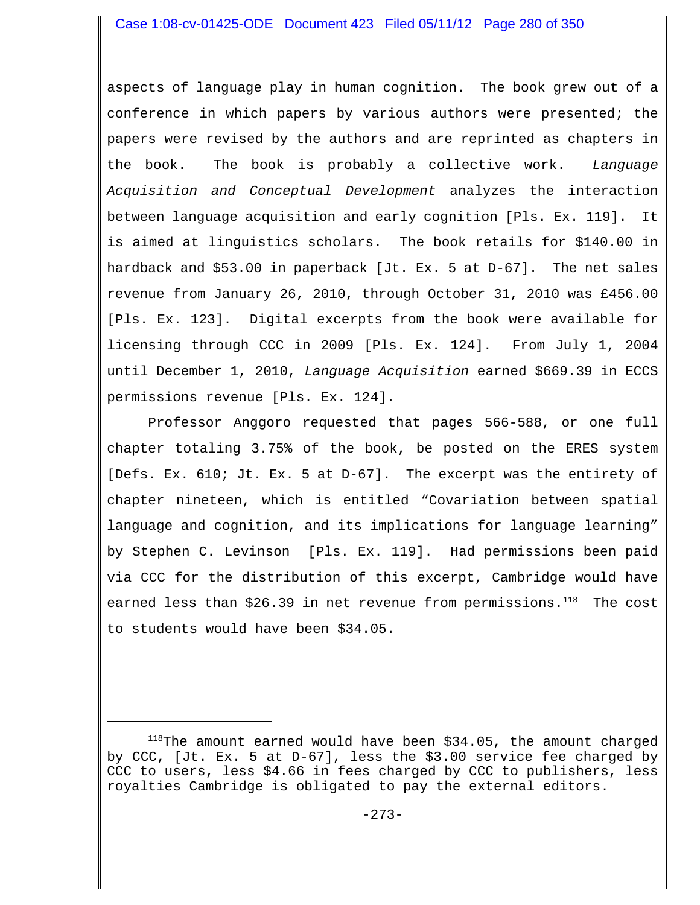# Case 1:08-cv-01425-ODE Document 423 Filed 05/11/12 Page 280 of 350

aspects of language play in human cognition. The book grew out of a conference in which papers by various authors were presented; the papers were revised by the authors and are reprinted as chapters in the book. The book is probably a collective work. *Language Acquisition and Conceptual Development* analyzes the interaction between language acquisition and early cognition [Pls. Ex. 119]. It is aimed at linguistics scholars. The book retails for \$140.00 in hardback and \$53.00 in paperback [Jt. Ex. 5 at D-67]. The net sales revenue from January 26, 2010, through October 31, 2010 was £456.00 [Pls. Ex. 123]. Digital excerpts from the book were available for licensing through CCC in 2009 [Pls. Ex. 124]. From July 1, 2004 until December 1, 2010, *Language Acquisition* earned \$669.39 in ECCS permissions revenue [Pls. Ex. 124].

Professor Anggoro requested that pages 566-588, or one full chapter totaling 3.75% of the book, be posted on the ERES system [Defs. Ex. 610; Jt. Ex. 5 at D-67]. The excerpt was the entirety of chapter nineteen, which is entitled "Covariation between spatial language and cognition, and its implications for language learning" by Stephen C. Levinson [Pls. Ex. 119]. Had permissions been paid via CCC for the distribution of this excerpt, Cambridge would have earned less than \$26.39 in net revenue from permissions. $^{118}$  The cost to students would have been \$34.05.

 $118$ The amount earned would have been \$34.05, the amount charged by CCC, [Jt. Ex. 5 at D-67], less the \$3.00 service fee charged by CCC to users, less \$4.66 in fees charged by CCC to publishers, less royalties Cambridge is obligated to pay the external editors.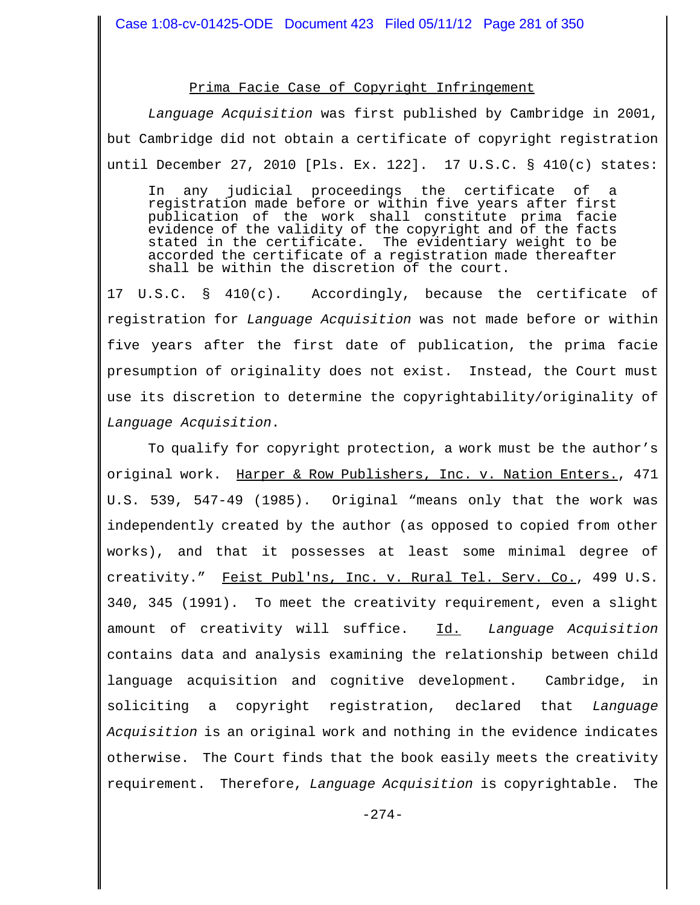#### Prima Facie Case of Copyright Infringement

*Language Acquisition* was first published by Cambridge in 2001, but Cambridge did not obtain a certificate of copyright registration until December 27, 2010 [Pls. Ex. 122]. 17 U.S.C. § 410(c) states:

In any judicial proceedings the certificate of a registration made before or within five years after first publication of the work shall constitute prima facie evidence of the validity of the copyright and of the facts stated in the certificate. The evidentiary weight to be accorded the certificate of a registration made thereafter shall be within the discretion of the court.

17 U.S.C. § 410(c). Accordingly, because the certificate of registration for *Language Acquisition* was not made before or within five years after the first date of publication, the prima facie presumption of originality does not exist. Instead, the Court must use its discretion to determine the copyrightability/originality of *Language Acquisition*.

To qualify for copyright protection, a work must be the author's original work. Harper & Row Publishers, Inc. v. Nation Enters., 471 U.S. 539, 547-49 (1985). Original "means only that the work was independently created by the author (as opposed to copied from other works), and that it possesses at least some minimal degree of creativity." Feist Publ'ns, Inc. v. Rural Tel. Serv. Co., 499 U.S. 340, 345 (1991). To meet the creativity requirement, even a slight amount of creativity will suffice. Id. *Language Acquisition* contains data and analysis examining the relationship between child language acquisition and cognitive development. Cambridge, in soliciting a copyright registration, declared that *Language Acquisition* is an original work and nothing in the evidence indicates otherwise. The Court finds that the book easily meets the creativity requirement. Therefore, *Language Acquisition* is copyrightable. The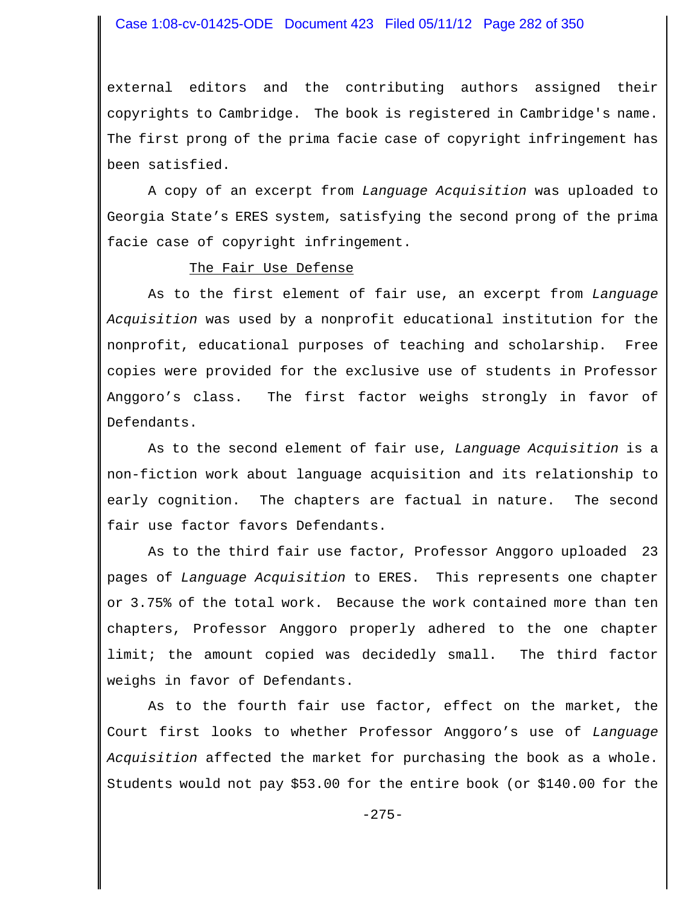#### Case 1:08-cv-01425-ODE Document 423 Filed 05/11/12 Page 282 of 350

external editors and the contributing authors assigned their copyrights to Cambridge. The book is registered in Cambridge's name. The first prong of the prima facie case of copyright infringement has been satisfied.

A copy of an excerpt from *Language Acquisition* was uploaded to Georgia State's ERES system, satisfying the second prong of the prima facie case of copyright infringement.

#### The Fair Use Defense

As to the first element of fair use, an excerpt from *Language Acquisition* was used by a nonprofit educational institution for the nonprofit, educational purposes of teaching and scholarship. Free copies were provided for the exclusive use of students in Professor Anggoro's class. The first factor weighs strongly in favor of Defendants.

As to the second element of fair use, *Language Acquisition* is a non-fiction work about language acquisition and its relationship to early cognition. The chapters are factual in nature. The second fair use factor favors Defendants.

As to the third fair use factor, Professor Anggoro uploaded 23 pages of *Language Acquisition* to ERES. This represents one chapter or 3.75% of the total work. Because the work contained more than ten chapters, Professor Anggoro properly adhered to the one chapter limit; the amount copied was decidedly small. The third factor weighs in favor of Defendants.

As to the fourth fair use factor, effect on the market, the Court first looks to whether Professor Anggoro's use of *Language Acquisition* affected the market for purchasing the book as a whole. Students would not pay \$53.00 for the entire book (or \$140.00 for the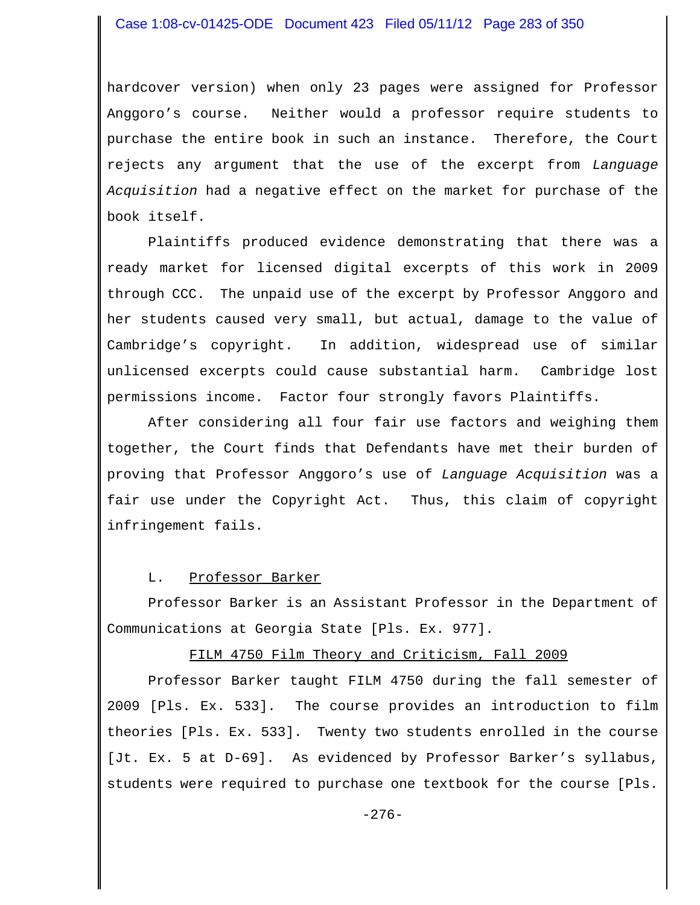hardcover version) when only 23 pages were assigned for Professor Anggoro's course. Neither would a professor require students to purchase the entire book in such an instance. Therefore, the Court rejects any argument that the use of the excerpt from *Language Acquisition* had a negative effect on the market for purchase of the book itself.

Plaintiffs produced evidence demonstrating that there was a ready market for licensed digital excerpts of this work in 2009 through CCC. The unpaid use of the excerpt by Professor Anggoro and her students caused very small, but actual, damage to the value of Cambridge's copyright. In addition, widespread use of similar unlicensed excerpts could cause substantial harm. Cambridge lost permissions income. Factor four strongly favors Plaintiffs.

After considering all four fair use factors and weighing them together, the Court finds that Defendants have met their burden of proving that Professor Anggoro's use of *Language Acquisition* was a fair use under the Copyright Act. Thus, this claim of copyright infringement fails.

# L. Professor Barker

Professor Barker is an Assistant Professor in the Department of Communications at Georgia State [Pls. Ex. 977].

# FILM 4750 Film Theory and Criticism, Fall 2009

Professor Barker taught FILM 4750 during the fall semester of 2009 [Pls. Ex. 533]. The course provides an introduction to film theories [Pls. Ex. 533]. Twenty two students enrolled in the course [Jt. Ex. 5 at D-69]. As evidenced by Professor Barker's syllabus, students were required to purchase one textbook for the course [Pls.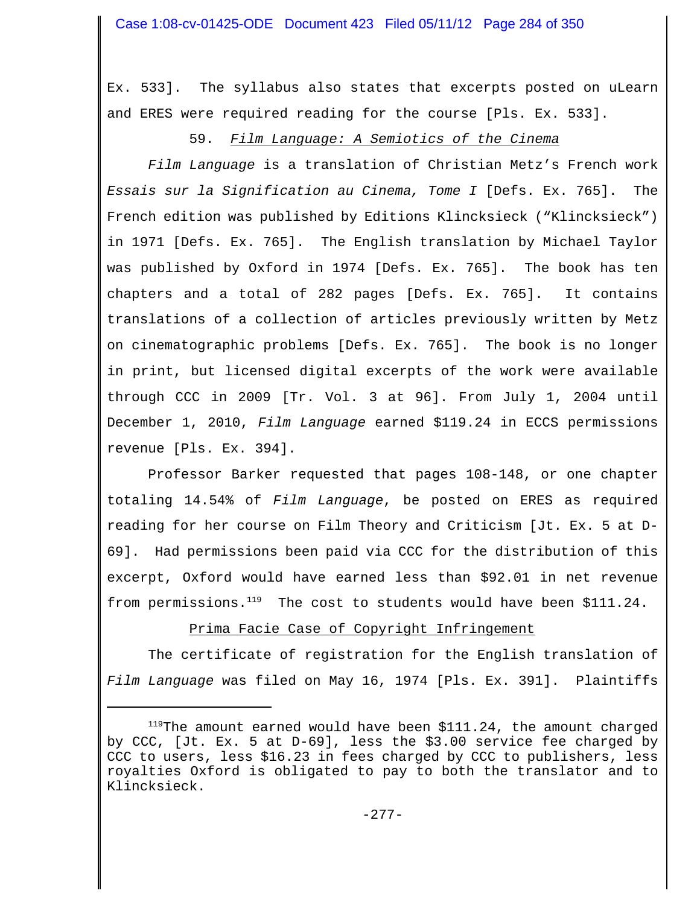Ex. 533]. The syllabus also states that excerpts posted on uLearn and ERES were required reading for the course [Pls. Ex. 533].

# 59. *Film Language: A Semiotics of the Cinema*

*Film Language* is a translation of Christian Metz's French work *Essais sur la Signification au Cinema, Tome I* [Defs. Ex. 765]. The French edition was published by Editions Klincksieck ("Klincksieck") in 1971 [Defs. Ex. 765]. The English translation by Michael Taylor was published by Oxford in 1974 [Defs. Ex. 765]. The book has ten chapters and a total of 282 pages [Defs. Ex. 765]. It contains translations of a collection of articles previously written by Metz on cinematographic problems [Defs. Ex. 765]. The book is no longer in print, but licensed digital excerpts of the work were available through CCC in 2009 [Tr. Vol. 3 at 96]. From July 1, 2004 until December 1, 2010, *Film Language* earned \$119.24 in ECCS permissions revenue [Pls. Ex. 394].

Professor Barker requested that pages 108-148, or one chapter totaling 14.54% of *Film Language*, be posted on ERES as required reading for her course on Film Theory and Criticism [Jt. Ex. 5 at D-69]. Had permissions been paid via CCC for the distribution of this excerpt, Oxford would have earned less than \$92.01 in net revenue from permissions. $^{119}$  The cost to students would have been \$111.24.

# Prima Facie Case of Copyright Infringement

The certificate of registration for the English translation of *Film Language* was filed on May 16, 1974 [Pls. Ex. 391]. Plaintiffs

 $119$ The amount earned would have been  $$111.24$ , the amount charged by CCC, [Jt. Ex. 5 at D-69], less the \$3.00 service fee charged by CCC to users, less \$16.23 in fees charged by CCC to publishers, less royalties Oxford is obligated to pay to both the translator and to Klincksieck.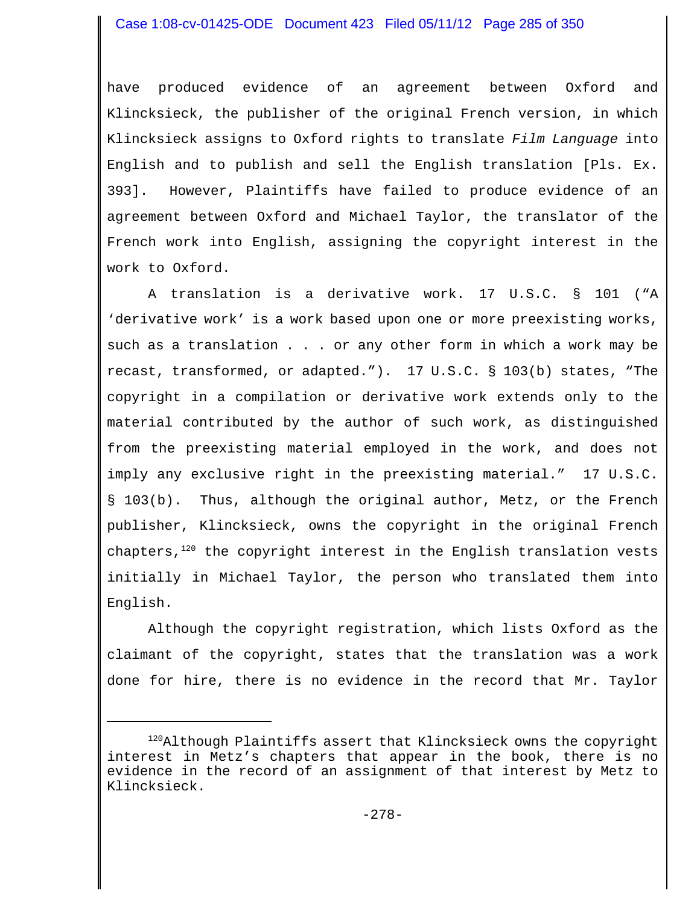have produced evidence of an agreement between Oxford and Klincksieck, the publisher of the original French version, in which Klincksieck assigns to Oxford rights to translate *Film Language* into English and to publish and sell the English translation [Pls. Ex. 393]. However, Plaintiffs have failed to produce evidence of an agreement between Oxford and Michael Taylor, the translator of the French work into English, assigning the copyright interest in the work to Oxford.

A translation is a derivative work. 17 U.S.C. § 101 ("A 'derivative work' is a work based upon one or more preexisting works, such as a translation . . . or any other form in which a work may be recast, transformed, or adapted."). 17 U.S.C. § 103(b) states, "The copyright in a compilation or derivative work extends only to the material contributed by the author of such work, as distinguished from the preexisting material employed in the work, and does not imply any exclusive right in the preexisting material." 17 U.S.C. § 103(b). Thus, although the original author, Metz, or the French publisher, Klincksieck, owns the copyright in the original French chapters, $120$  the copyright interest in the English translation vests initially in Michael Taylor, the person who translated them into English.

Although the copyright registration, which lists Oxford as the claimant of the copyright, states that the translation was a work done for hire, there is no evidence in the record that Mr. Taylor

<sup>120</sup>Although Plaintiffs assert that Klincksieck owns the copyright interest in Metz's chapters that appear in the book, there is no evidence in the record of an assignment of that interest by Metz to Klincksieck.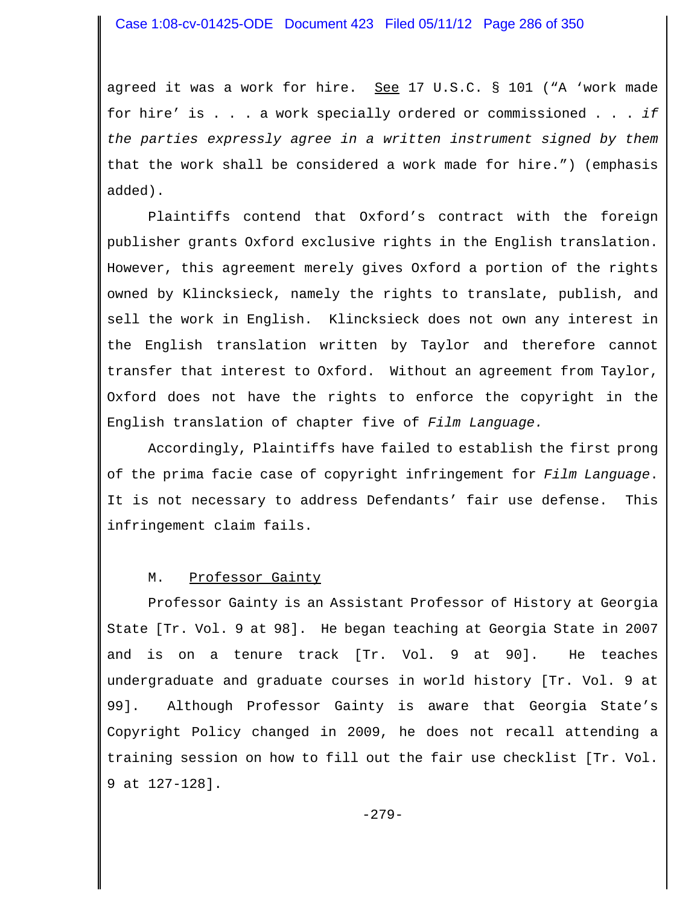agreed it was a work for hire. See 17 U.S.C. § 101 ("A 'work made for hire' is . . . a work specially ordered or commissioned . . . *if the parties expressly agree in a written instrument signed by them* that the work shall be considered a work made for hire.") (emphasis added).

Plaintiffs contend that Oxford's contract with the foreign publisher grants Oxford exclusive rights in the English translation. However, this agreement merely gives Oxford a portion of the rights owned by Klincksieck, namely the rights to translate, publish, and sell the work in English. Klincksieck does not own any interest in the English translation written by Taylor and therefore cannot transfer that interest to Oxford. Without an agreement from Taylor, Oxford does not have the rights to enforce the copyright in the English translation of chapter five of *Film Language.* 

Accordingly, Plaintiffs have failed to establish the first prong of the prima facie case of copyright infringement for *Film Language*. It is not necessary to address Defendants' fair use defense. This infringement claim fails.

# M. Professor Gainty

Professor Gainty is an Assistant Professor of History at Georgia State [Tr. Vol. 9 at 98]. He began teaching at Georgia State in 2007 and is on a tenure track [Tr. Vol. 9 at 90]. He teaches undergraduate and graduate courses in world history [Tr. Vol. 9 at 99]. Although Professor Gainty is aware that Georgia State's Copyright Policy changed in 2009, he does not recall attending a training session on how to fill out the fair use checklist [Tr. Vol. 9 at 127-128].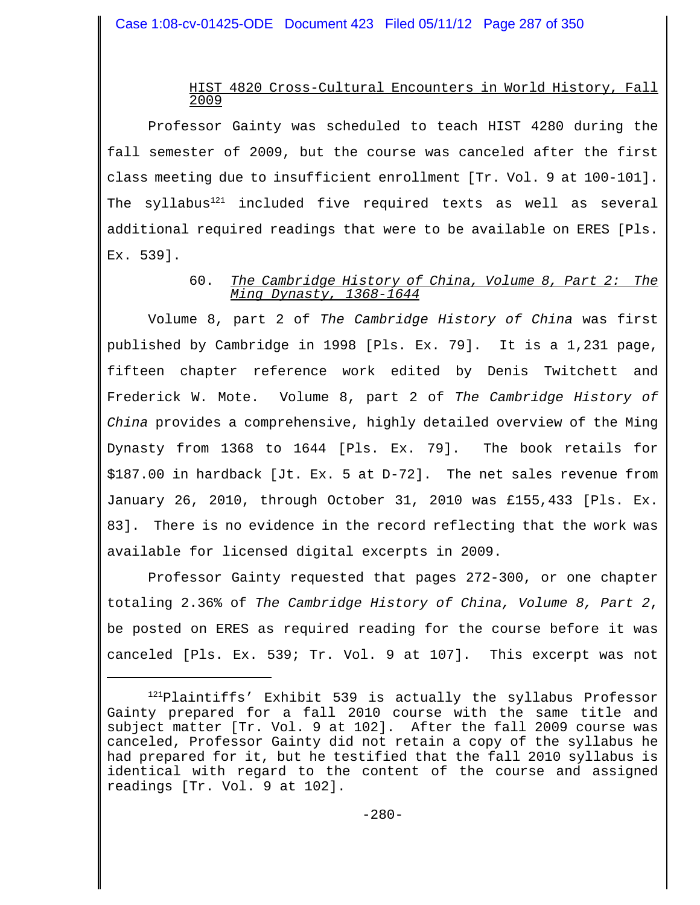#### HIST 4820 Cross-Cultural Encounters in World History, Fall 2009

Professor Gainty was scheduled to teach HIST 4280 during the fall semester of 2009, but the course was canceled after the first class meeting due to insufficient enrollment [Tr. Vol. 9 at 100-101]. The syllabus<sup>121</sup> included five required texts as well as several additional required readings that were to be available on ERES [Pls. Ex. 539].

## 60. *The Cambridge History of China, Volume 8, Part 2: The Ming Dynasty, 1368-1644*

Volume 8, part 2 of *The Cambridge History of China* was first published by Cambridge in 1998 [Pls. Ex. 79]. It is a 1,231 page, fifteen chapter reference work edited by Denis Twitchett and Frederick W. Mote. Volume 8, part 2 of *The Cambridge History of China* provides a comprehensive, highly detailed overview of the Ming Dynasty from 1368 to 1644 [Pls. Ex. 79]. The book retails for \$187.00 in hardback [Jt. Ex. 5 at D-72]. The net sales revenue from January 26, 2010, through October 31, 2010 was £155,433 [Pls. Ex. 83]. There is no evidence in the record reflecting that the work was available for licensed digital excerpts in 2009.

Professor Gainty requested that pages 272-300, or one chapter totaling 2.36% of *The Cambridge History of China, Volume 8, Part 2*, be posted on ERES as required reading for the course before it was canceled [Pls. Ex. 539; Tr. Vol. 9 at 107]. This excerpt was not

<sup>&</sup>lt;sup>121</sup>Plaintiffs' Exhibit 539 is actually the syllabus Professor Gainty prepared for a fall 2010 course with the same title and subject matter [Tr. Vol. 9 at 102]. After the fall 2009 course was canceled, Professor Gainty did not retain a copy of the syllabus he had prepared for it, but he testified that the fall 2010 syllabus is identical with regard to the content of the course and assigned readings [Tr. Vol. 9 at 102].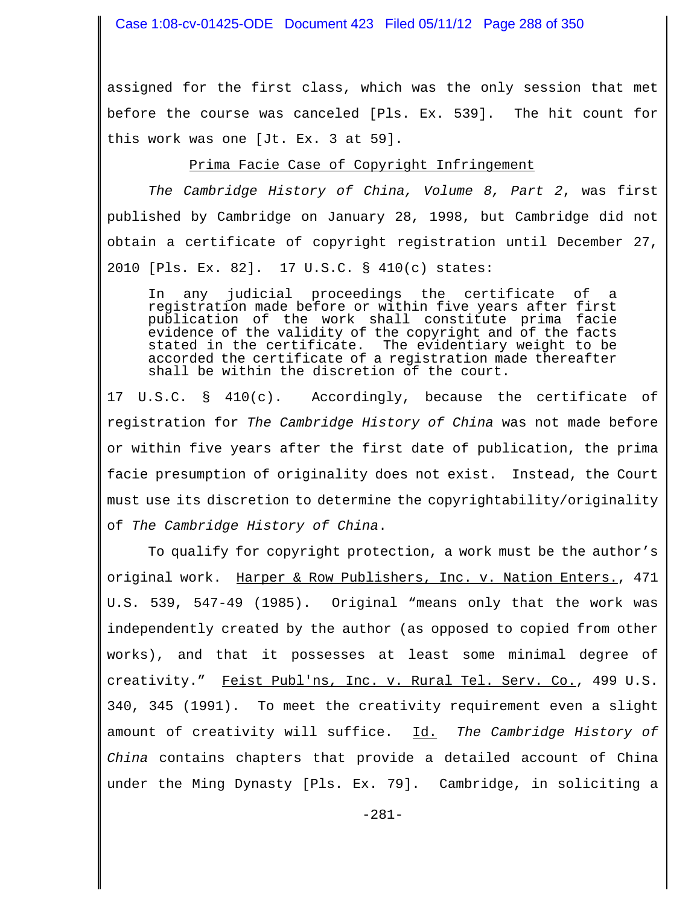Case 1:08-cv-01425-ODE Document 423 Filed 05/11/12 Page 288 of 350

assigned for the first class, which was the only session that met before the course was canceled [Pls. Ex. 539]. The hit count for this work was one [Jt. Ex. 3 at 59].

#### Prima Facie Case of Copyright Infringement

*The Cambridge History of China, Volume 8, Part 2*, was first published by Cambridge on January 28, 1998, but Cambridge did not obtain a certificate of copyright registration until December 27, 2010 [Pls. Ex. 82]. 17 U.S.C. § 410(c) states:

In any judicial proceedings the certificate of a registration made before or within five years after first publication of the work shall constitute prima facie evidence of the validity of the copyright and of the facts stated in the certificate. The evidentiary weight to be accorded the certificate of a registration made thereafter shall be within the discretion of the court.

17 U.S.C. § 410(c). Accordingly, because the certificate of registration for *The Cambridge History of China* was not made before or within five years after the first date of publication, the prima facie presumption of originality does not exist. Instead, the Court must use its discretion to determine the copyrightability/originality of *The Cambridge History of China*.

To qualify for copyright protection, a work must be the author's original work. Harper & Row Publishers, Inc. v. Nation Enters., 471 U.S. 539, 547-49 (1985). Original "means only that the work was independently created by the author (as opposed to copied from other works), and that it possesses at least some minimal degree of creativity." Feist Publ'ns, Inc. v. Rural Tel. Serv. Co., 499 U.S. 340, 345 (1991). To meet the creativity requirement even a slight amount of creativity will suffice. Id. *The Cambridge History of China* contains chapters that provide a detailed account of China under the Ming Dynasty [Pls. Ex. 79]. Cambridge, in soliciting a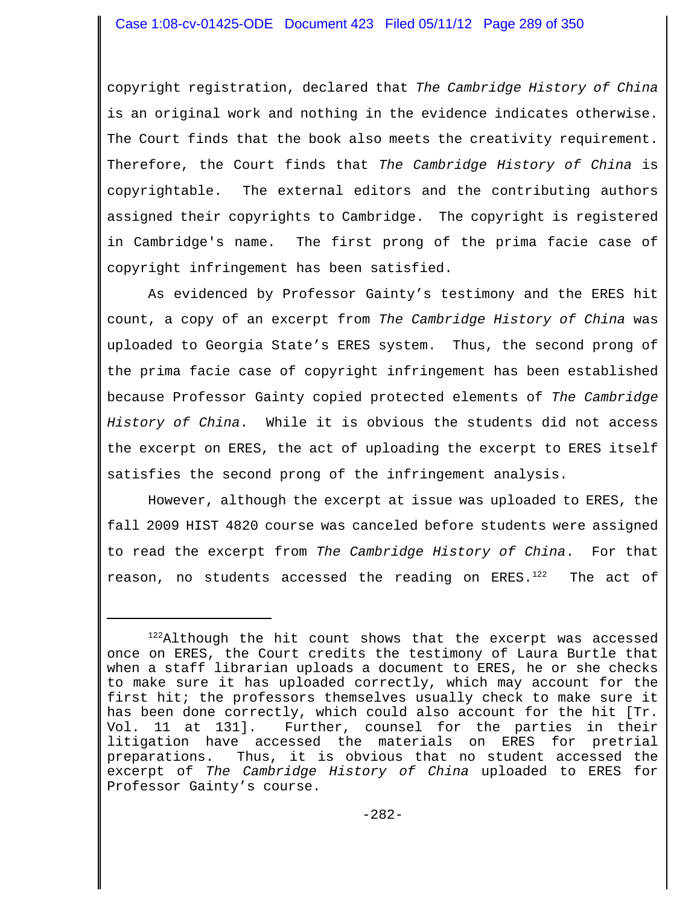copyright registration, declared that *The Cambridge History of China* is an original work and nothing in the evidence indicates otherwise. The Court finds that the book also meets the creativity requirement. Therefore, the Court finds that *The Cambridge History of China* is copyrightable. The external editors and the contributing authors assigned their copyrights to Cambridge. The copyright is registered in Cambridge's name. The first prong of the prima facie case of copyright infringement has been satisfied.

As evidenced by Professor Gainty's testimony and the ERES hit count, a copy of an excerpt from *The Cambridge History of China* was uploaded to Georgia State's ERES system. Thus, the second prong of the prima facie case of copyright infringement has been established because Professor Gainty copied protected elements of *The Cambridge History of China*. While it is obvious the students did not access the excerpt on ERES, the act of uploading the excerpt to ERES itself satisfies the second prong of the infringement analysis.

However, although the excerpt at issue was uploaded to ERES, the fall 2009 HIST 4820 course was canceled before students were assigned to read the excerpt from *The Cambridge History of China*. For that reason, no students accessed the reading on ERES.<sup>122</sup> The act of

 $122$ Although the hit count shows that the excerpt was accessed once on ERES, the Court credits the testimony of Laura Burtle that when a staff librarian uploads a document to ERES, he or she checks to make sure it has uploaded correctly, which may account for the first hit; the professors themselves usually check to make sure it has been done correctly, which could also account for the hit [Tr. Vol. 11 at 131]. Further, counsel for the parties in their litigation have accessed the materials on ERES for pretrial preparations. Thus, it is obvious that no student accessed the excerpt of *The Cambridge History of China* uploaded to ERES for Professor Gainty's course.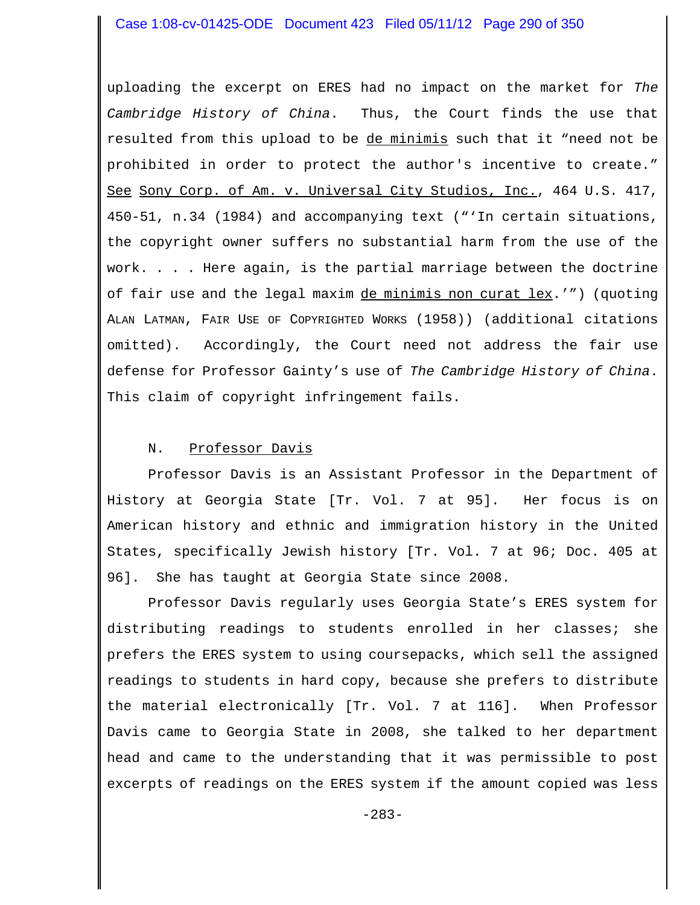### Case 1:08-cv-01425-ODE Document 423 Filed 05/11/12 Page 290 of 350

uploading the excerpt on ERES had no impact on the market for *The Cambridge History of China*. Thus, the Court finds the use that resulted from this upload to be de minimis such that it "need not be prohibited in order to protect the author's incentive to create." See Sony Corp. of Am. v. Universal City Studios, Inc., 464 U.S. 417, 450-51, n.34 (1984) and accompanying text ("'In certain situations, the copyright owner suffers no substantial harm from the use of the work. . . . Here again, is the partial marriage between the doctrine of fair use and the legal maxim de minimis non curat lex.'") (quoting ALAN LATMAN, FAIR USE OF COPYRIGHTED WORKS (1958)) (additional citations omitted). Accordingly, the Court need not address the fair use defense for Professor Gainty's use of *The Cambridge History of China*. This claim of copyright infringement fails.

### N. Professor Davis

Professor Davis is an Assistant Professor in the Department of History at Georgia State [Tr. Vol. 7 at 95]. Her focus is on American history and ethnic and immigration history in the United States, specifically Jewish history [Tr. Vol. 7 at 96; Doc. 405 at 96]. She has taught at Georgia State since 2008.

Professor Davis regularly uses Georgia State's ERES system for distributing readings to students enrolled in her classes; she prefers the ERES system to using coursepacks, which sell the assigned readings to students in hard copy, because she prefers to distribute the material electronically [Tr. Vol. 7 at 116]. When Professor Davis came to Georgia State in 2008, she talked to her department head and came to the understanding that it was permissible to post excerpts of readings on the ERES system if the amount copied was less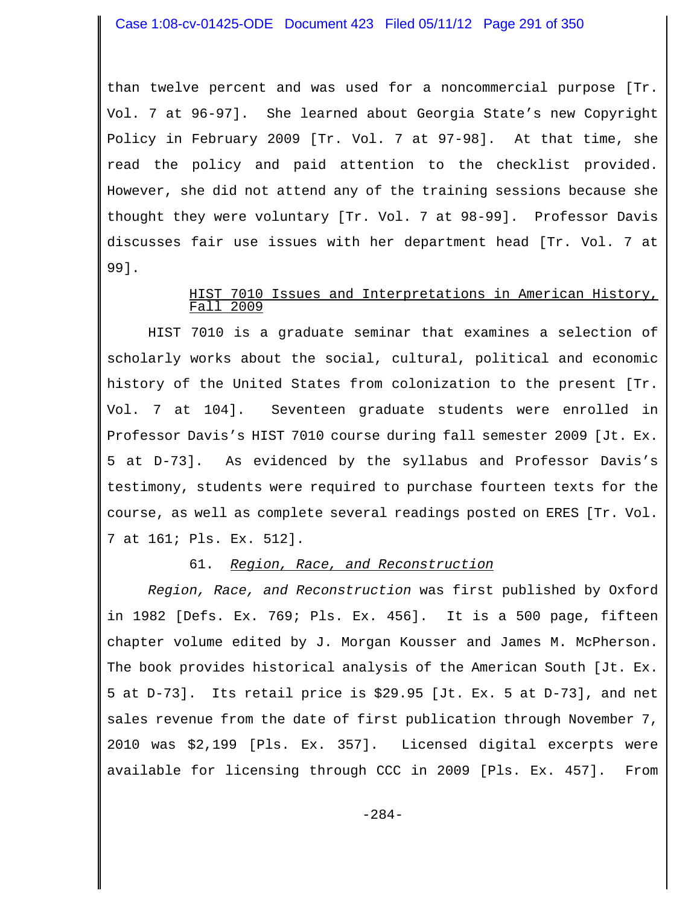than twelve percent and was used for a noncommercial purpose [Tr. Vol. 7 at 96-97]. She learned about Georgia State's new Copyright Policy in February 2009 [Tr. Vol. 7 at 97-98]. At that time, she read the policy and paid attention to the checklist provided. However, she did not attend any of the training sessions because she thought they were voluntary [Tr. Vol. 7 at 98-99]. Professor Davis discusses fair use issues with her department head [Tr. Vol. 7 at 99].

#### HIST 7010 Issues and Interpretations in American History,  $72009$

HIST 7010 is a graduate seminar that examines a selection of scholarly works about the social, cultural, political and economic history of the United States from colonization to the present [Tr. Vol. 7 at 104]. Seventeen graduate students were enrolled in Professor Davis's HIST 7010 course during fall semester 2009 [Jt. Ex. 5 at D-73]. As evidenced by the syllabus and Professor Davis's testimony, students were required to purchase fourteen texts for the course, as well as complete several readings posted on ERES [Tr. Vol. 7 at 161; Pls. Ex. 512].

## 61. *Region, Race, and Reconstruction*

*Region, Race, and Reconstruction* was first published by Oxford in 1982 [Defs. Ex. 769; Pls. Ex. 456]. It is a 500 page, fifteen chapter volume edited by J. Morgan Kousser and James M. McPherson. The book provides historical analysis of the American South [Jt. Ex. 5 at D-73]. Its retail price is \$29.95 [Jt. Ex. 5 at D-73], and net sales revenue from the date of first publication through November 7, 2010 was \$2,199 [Pls. Ex. 357]. Licensed digital excerpts were available for licensing through CCC in 2009 [Pls. Ex. 457]. From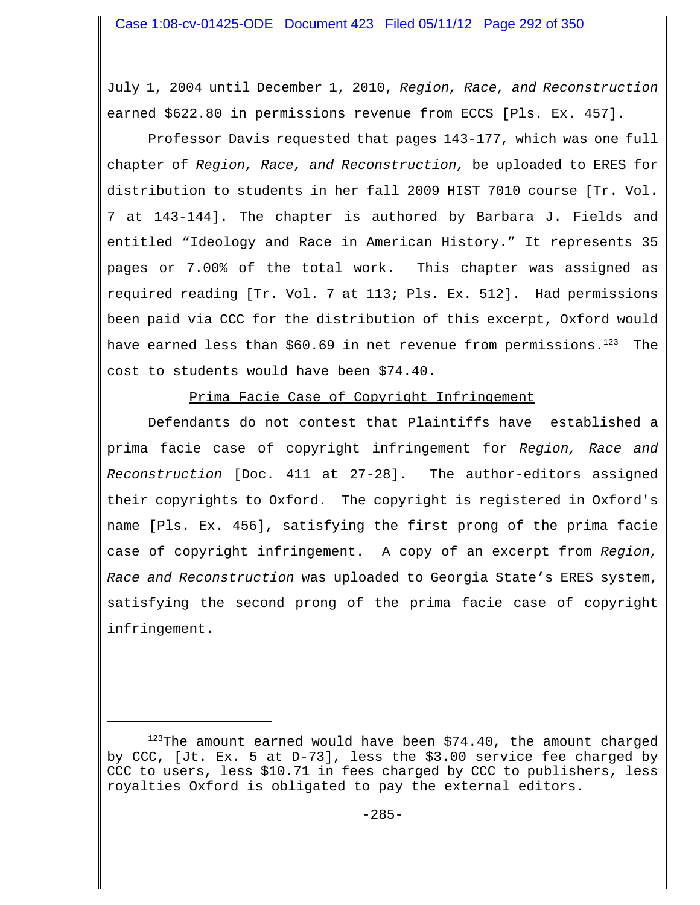July 1, 2004 until December 1, 2010, *Region, Race, and Reconstruction* earned \$622.80 in permissions revenue from ECCS [Pls. Ex. 457].

Professor Davis requested that pages 143-177, which was one full chapter of *Region, Race, and Reconstruction,* be uploaded to ERES for distribution to students in her fall 2009 HIST 7010 course [Tr. Vol. 7 at 143-144]. The chapter is authored by Barbara J. Fields and entitled "Ideology and Race in American History." It represents 35 pages or 7.00% of the total work. This chapter was assigned as required reading [Tr. Vol. 7 at 113; Pls. Ex. 512]. Had permissions been paid via CCC for the distribution of this excerpt, Oxford would have earned less than  $$60.69$  in net revenue from permissions.<sup>123</sup> The cost to students would have been \$74.40.

Prima Facie Case of Copyright Infringement

Defendants do not contest that Plaintiffs have established a prima facie case of copyright infringement for *Region, Race and Reconstruction* [Doc. 411 at 27-28]. The author-editors assigned their copyrights to Oxford. The copyright is registered in Oxford's name [Pls. Ex. 456], satisfying the first prong of the prima facie case of copyright infringement. A copy of an excerpt from *Region, Race and Reconstruction* was uploaded to Georgia State's ERES system, satisfying the second prong of the prima facie case of copyright infringement.

 $123$ The amount earned would have been \$74.40, the amount charged by CCC, [Jt. Ex. 5 at D-73], less the \$3.00 service fee charged by CCC to users, less \$10.71 in fees charged by CCC to publishers, less royalties Oxford is obligated to pay the external editors.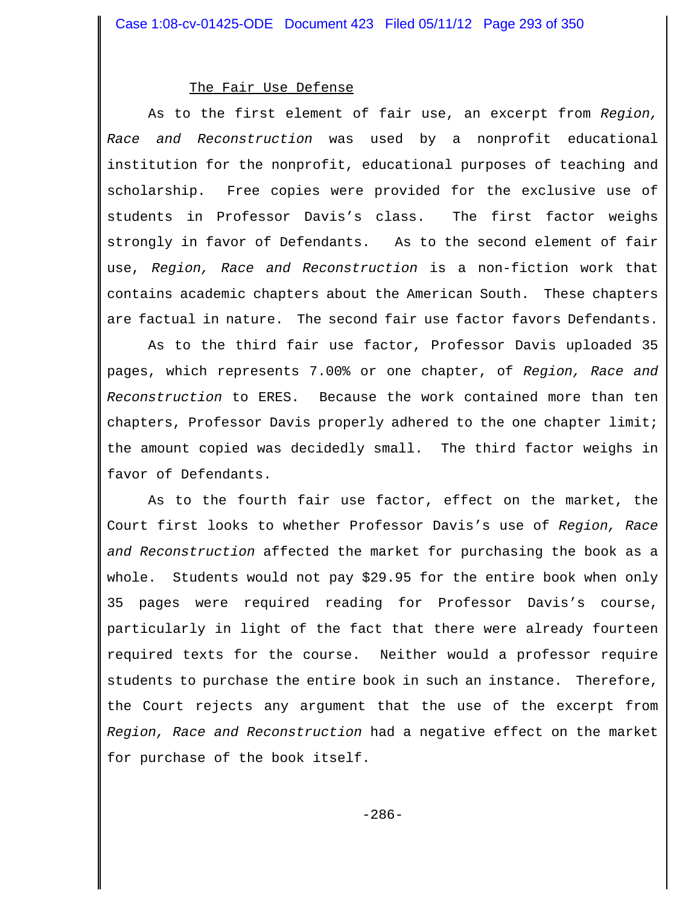#### The Fair Use Defense

As to the first element of fair use, an excerpt from *Region, Race and Reconstruction* was used by a nonprofit educational institution for the nonprofit, educational purposes of teaching and scholarship. Free copies were provided for the exclusive use of students in Professor Davis's class. The first factor weighs strongly in favor of Defendants. As to the second element of fair use, *Region, Race and Reconstruction* is a non-fiction work that contains academic chapters about the American South. These chapters are factual in nature. The second fair use factor favors Defendants.

As to the third fair use factor, Professor Davis uploaded 35 pages, which represents 7.00% or one chapter, of *Region, Race and Reconstruction* to ERES. Because the work contained more than ten chapters, Professor Davis properly adhered to the one chapter limit; the amount copied was decidedly small. The third factor weighs in favor of Defendants.

As to the fourth fair use factor, effect on the market, the Court first looks to whether Professor Davis's use of *Region, Race and Reconstruction* affected the market for purchasing the book as a whole. Students would not pay \$29.95 for the entire book when only 35 pages were required reading for Professor Davis's course, particularly in light of the fact that there were already fourteen required texts for the course. Neither would a professor require students to purchase the entire book in such an instance. Therefore, the Court rejects any argument that the use of the excerpt from *Region, Race and Reconstruction* had a negative effect on the market for purchase of the book itself.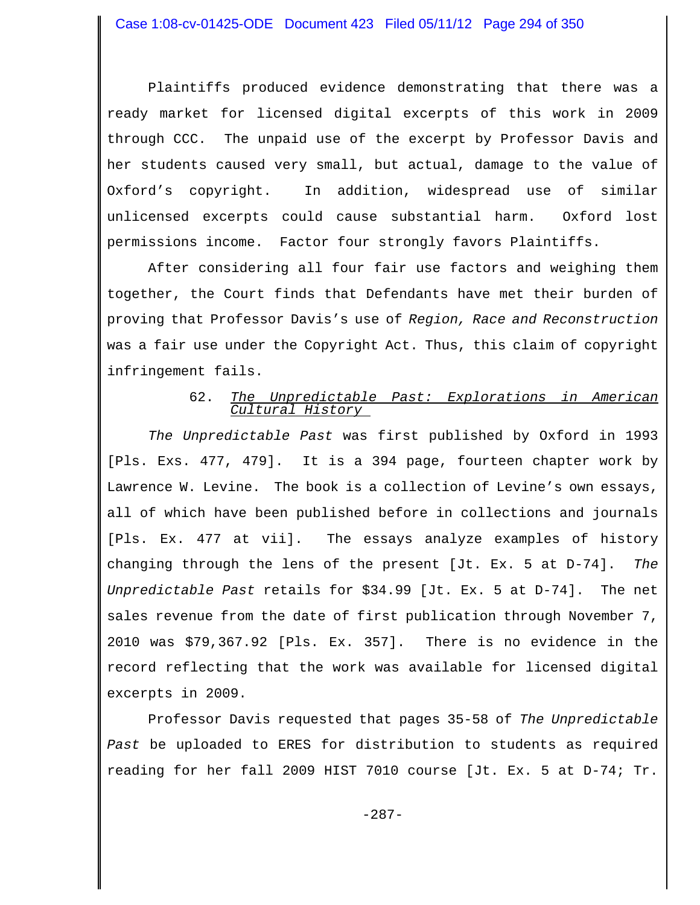Plaintiffs produced evidence demonstrating that there was a ready market for licensed digital excerpts of this work in 2009 through CCC. The unpaid use of the excerpt by Professor Davis and her students caused very small, but actual, damage to the value of Oxford's copyright. In addition, widespread use of similar unlicensed excerpts could cause substantial harm. Oxford lost permissions income. Factor four strongly favors Plaintiffs.

After considering all four fair use factors and weighing them together, the Court finds that Defendants have met their burden of proving that Professor Davis's use of *Region, Race and Reconstruction* was a fair use under the Copyright Act. Thus, this claim of copyright infringement fails.

## 62. *The Unpredictable Past: Explorations in American Cultural History*

*The Unpredictable Past* was first published by Oxford in 1993 [Pls. Exs. 477, 479]. It is a 394 page, fourteen chapter work by Lawrence W. Levine. The book is a collection of Levine's own essays, all of which have been published before in collections and journals [Pls. Ex. 477 at vii]. The essays analyze examples of history changing through the lens of the present [Jt. Ex. 5 at D-74]. *The Unpredictable Past* retails for \$34.99 [Jt. Ex. 5 at D-74]. The net sales revenue from the date of first publication through November 7, 2010 was \$79,367.92 [Pls. Ex. 357]. There is no evidence in the record reflecting that the work was available for licensed digital excerpts in 2009.

Professor Davis requested that pages 35-58 of *The Unpredictable Past* be uploaded to ERES for distribution to students as required reading for her fall 2009 HIST 7010 course [Jt. Ex. 5 at D-74; Tr.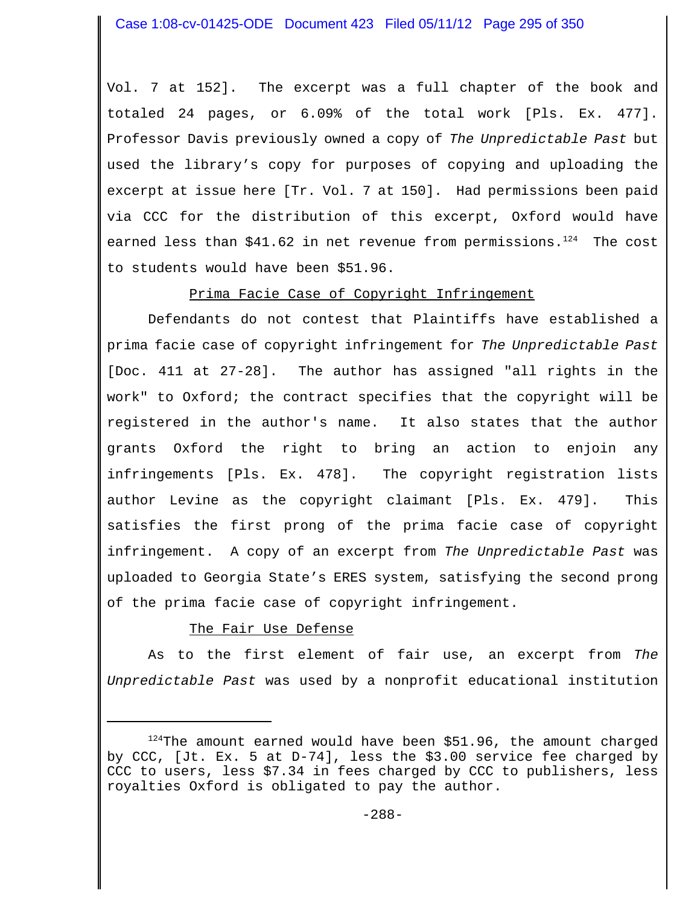Vol. 7 at 152]. The excerpt was a full chapter of the book and totaled 24 pages, or 6.09% of the total work [Pls. Ex. 477]. Professor Davis previously owned a copy of *The Unpredictable Past* but used the library's copy for purposes of copying and uploading the excerpt at issue here [Tr. Vol. 7 at 150]. Had permissions been paid via CCC for the distribution of this excerpt, Oxford would have earned less than \$41.62 in net revenue from permissions. $1^{24}$  The cost to students would have been \$51.96.

# Prima Facie Case of Copyright Infringement

Defendants do not contest that Plaintiffs have established a prima facie case of copyright infringement for *The Unpredictable Past* [Doc. 411 at 27-28]. The author has assigned "all rights in the work" to Oxford; the contract specifies that the copyright will be registered in the author's name. It also states that the author grants Oxford the right to bring an action to enjoin any infringements [Pls. Ex. 478]. The copyright registration lists author Levine as the copyright claimant [Pls. Ex. 479]. This satisfies the first prong of the prima facie case of copyright infringement. A copy of an excerpt from *The Unpredictable Past* was uploaded to Georgia State's ERES system, satisfying the second prong of the prima facie case of copyright infringement.

# The Fair Use Defense

As to the first element of fair use, an excerpt from *The Unpredictable Past* was used by a nonprofit educational institution

 $124$ The amount earned would have been \$51.96, the amount charged by CCC, [Jt. Ex. 5 at D-74], less the \$3.00 service fee charged by CCC to users, less \$7.34 in fees charged by CCC to publishers, less royalties Oxford is obligated to pay the author.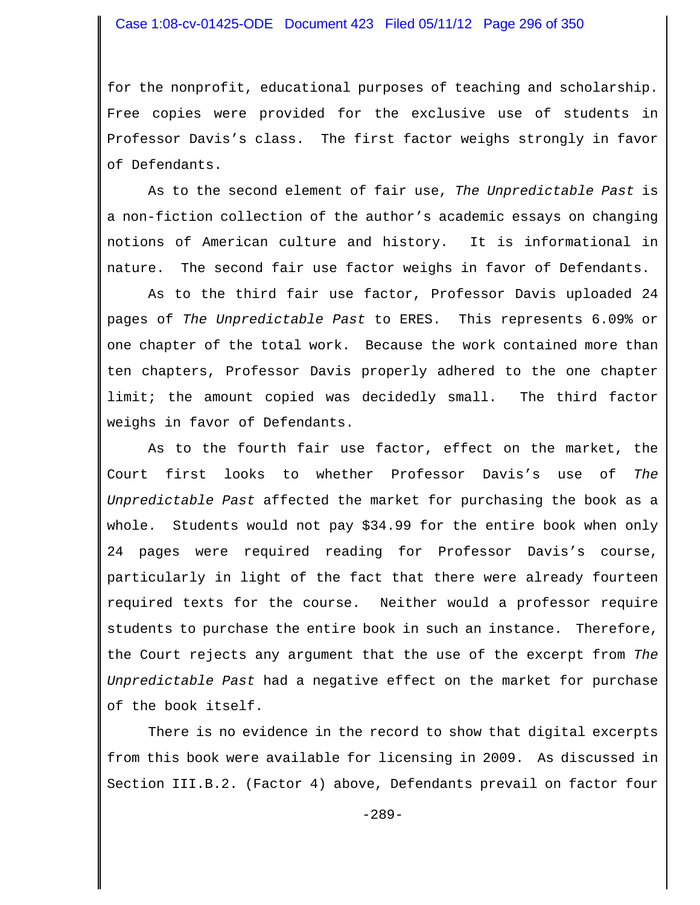for the nonprofit, educational purposes of teaching and scholarship. Free copies were provided for the exclusive use of students in Professor Davis's class. The first factor weighs strongly in favor of Defendants.

As to the second element of fair use, *The Unpredictable Past* is a non-fiction collection of the author's academic essays on changing notions of American culture and history. It is informational in nature. The second fair use factor weighs in favor of Defendants.

As to the third fair use factor, Professor Davis uploaded 24 pages of *The Unpredictable Past* to ERES. This represents 6.09% or one chapter of the total work. Because the work contained more than ten chapters, Professor Davis properly adhered to the one chapter limit; the amount copied was decidedly small. The third factor weighs in favor of Defendants.

As to the fourth fair use factor, effect on the market, the Court first looks to whether Professor Davis's use of *The Unpredictable Past* affected the market for purchasing the book as a whole. Students would not pay \$34.99 for the entire book when only 24 pages were required reading for Professor Davis's course, particularly in light of the fact that there were already fourteen required texts for the course. Neither would a professor require students to purchase the entire book in such an instance. Therefore, the Court rejects any argument that the use of the excerpt from *The Unpredictable Past* had a negative effect on the market for purchase of the book itself.

There is no evidence in the record to show that digital excerpts from this book were available for licensing in 2009. As discussed in Section III.B.2. (Factor 4) above, Defendants prevail on factor four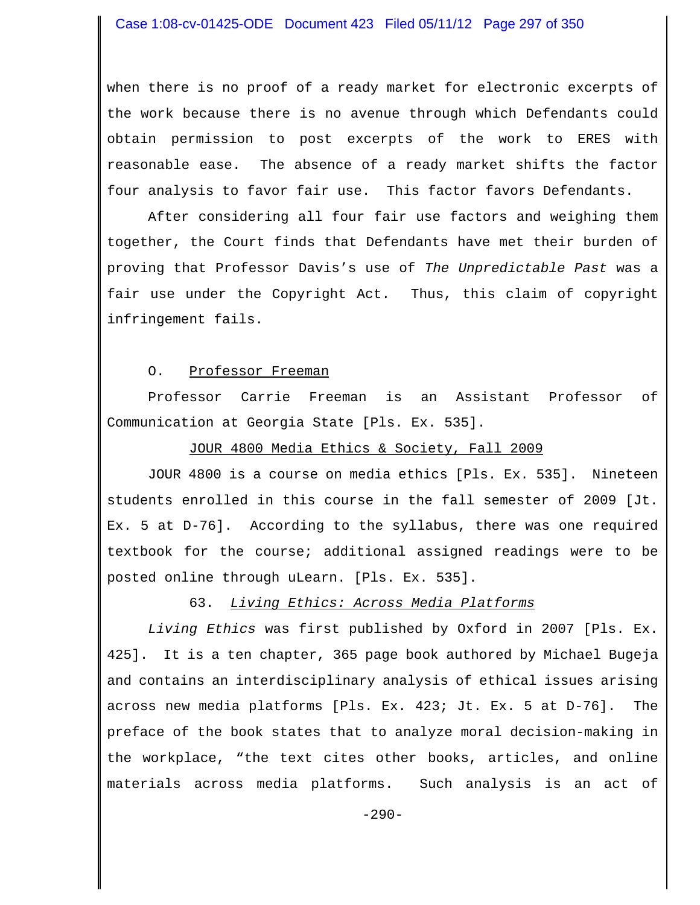when there is no proof of a ready market for electronic excerpts of the work because there is no avenue through which Defendants could obtain permission to post excerpts of the work to ERES with reasonable ease. The absence of a ready market shifts the factor four analysis to favor fair use. This factor favors Defendants.

After considering all four fair use factors and weighing them together, the Court finds that Defendants have met their burden of proving that Professor Davis's use of *The Unpredictable Past* was a fair use under the Copyright Act. Thus, this claim of copyright infringement fails.

#### O. Professor Freeman

Professor Carrie Freeman is an Assistant Professor of Communication at Georgia State [Pls. Ex. 535].

## JOUR 4800 Media Ethics & Society, Fall 2009

JOUR 4800 is a course on media ethics [Pls. Ex. 535]. Nineteen students enrolled in this course in the fall semester of 2009 [Jt. Ex. 5 at D-76]. According to the syllabus, there was one required textbook for the course; additional assigned readings were to be posted online through uLearn. [Pls. Ex. 535].

# 63. *Living Ethics: Across Media Platforms*

*Living Ethics* was first published by Oxford in 2007 [Pls. Ex. 425]. It is a ten chapter, 365 page book authored by Michael Bugeja and contains an interdisciplinary analysis of ethical issues arising across new media platforms [Pls. Ex. 423; Jt. Ex. 5 at D-76]. The preface of the book states that to analyze moral decision-making in the workplace, "the text cites other books, articles, and online materials across media platforms. Such analysis is an act of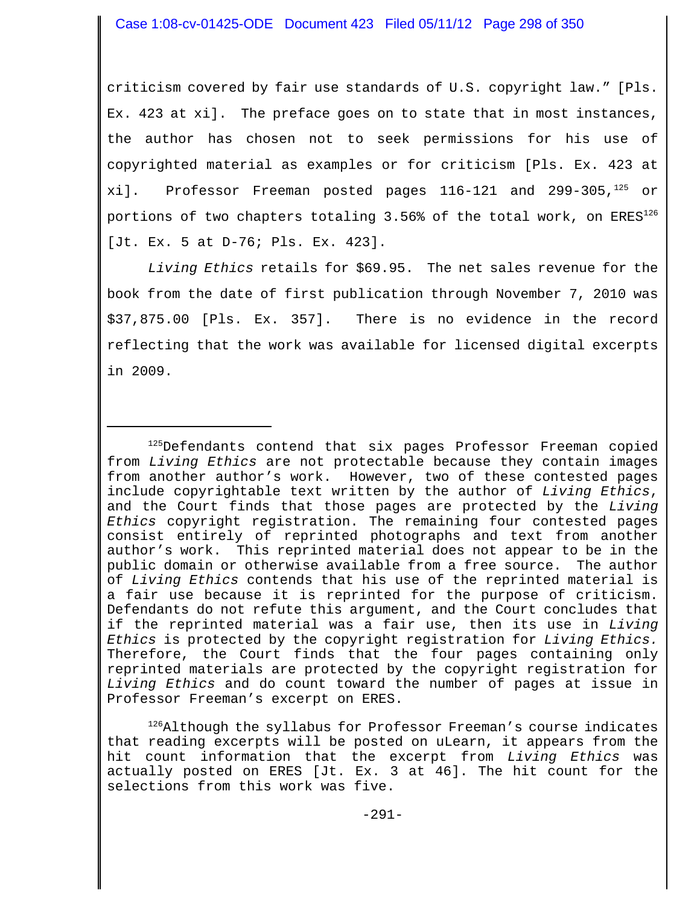criticism covered by fair use standards of U.S. copyright law." [Pls. Ex. 423 at xi]. The preface goes on to state that in most instances, the author has chosen not to seek permissions for his use of copyrighted material as examples or for criticism [Pls. Ex. 423 at xi]. Professor Freeman posted pages  $116-121$  and  $299-305$ ,  $125$  or portions of two chapters totaling 3.56% of the total work, on ERES<sup>126</sup> [Jt. Ex. 5 at D-76; Pls. Ex. 423].

*Living Ethics* retails for \$69.95. The net sales revenue for the book from the date of first publication through November 7, 2010 was \$37,875.00 [Pls. Ex. 357]. There is no evidence in the record reflecting that the work was available for licensed digital excerpts in 2009.

<sup>125</sup>Defendants contend that six pages Professor Freeman copied from *Living Ethics* are not protectable because they contain images from another author's work. However, two of these contested pages include copyrightable text written by the author of *Living Ethics*, and the Court finds that those pages are protected by the *Living Ethics* copyright registration. The remaining four contested pages consist entirely of reprinted photographs and text from another author's work. This reprinted material does not appear to be in the public domain or otherwise available from a free source. The author of *Living Ethics* contends that his use of the reprinted material is a fair use because it is reprinted for the purpose of criticism. Defendants do not refute this argument, and the Court concludes that if the reprinted material was a fair use, then its use in *Living Ethics* is protected by the copyright registration for *Living Ethics.* Therefore, the Court finds that the four pages containing only reprinted materials are protected by the copyright registration for *Living Ethics* and do count toward the number of pages at issue in Professor Freeman's excerpt on ERES.

 $126$ Although the syllabus for Professor Freeman's course indicates that reading excerpts will be posted on uLearn, it appears from the hit count information that the excerpt from *Living Ethics* was actually posted on ERES [Jt. Ex. 3 at 46]. The hit count for the selections from this work was five.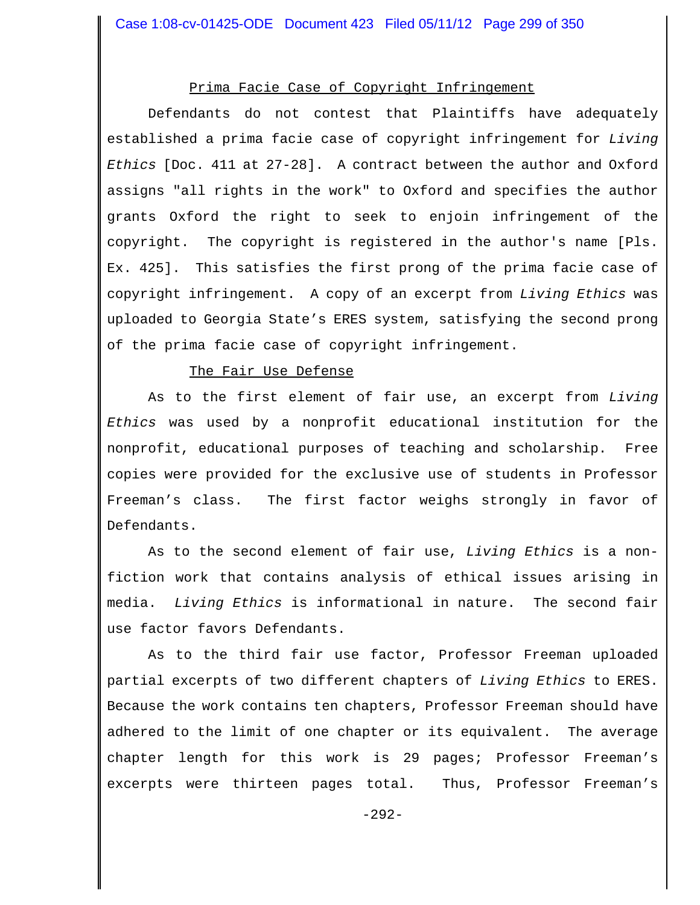# Prima Facie Case of Copyright Infringement

Defendants do not contest that Plaintiffs have adequately established a prima facie case of copyright infringement for *Living Ethics* [Doc. 411 at 27-28]. A contract between the author and Oxford assigns "all rights in the work" to Oxford and specifies the author grants Oxford the right to seek to enjoin infringement of the copyright. The copyright is registered in the author's name [Pls. Ex. 425]. This satisfies the first prong of the prima facie case of copyright infringement. A copy of an excerpt from *Living Ethics* was uploaded to Georgia State's ERES system, satisfying the second prong of the prima facie case of copyright infringement.

### The Fair Use Defense

As to the first element of fair use, an excerpt from *Living Ethics* was used by a nonprofit educational institution for the nonprofit, educational purposes of teaching and scholarship. Free copies were provided for the exclusive use of students in Professor Freeman's class. The first factor weighs strongly in favor of Defendants.

As to the second element of fair use, *Living Ethics* is a nonfiction work that contains analysis of ethical issues arising in media. *Living Ethics* is informational in nature. The second fair use factor favors Defendants.

As to the third fair use factor, Professor Freeman uploaded partial excerpts of two different chapters of *Living Ethics* to ERES. Because the work contains ten chapters, Professor Freeman should have adhered to the limit of one chapter or its equivalent. The average chapter length for this work is 29 pages; Professor Freeman's excerpts were thirteen pages total. Thus, Professor Freeman's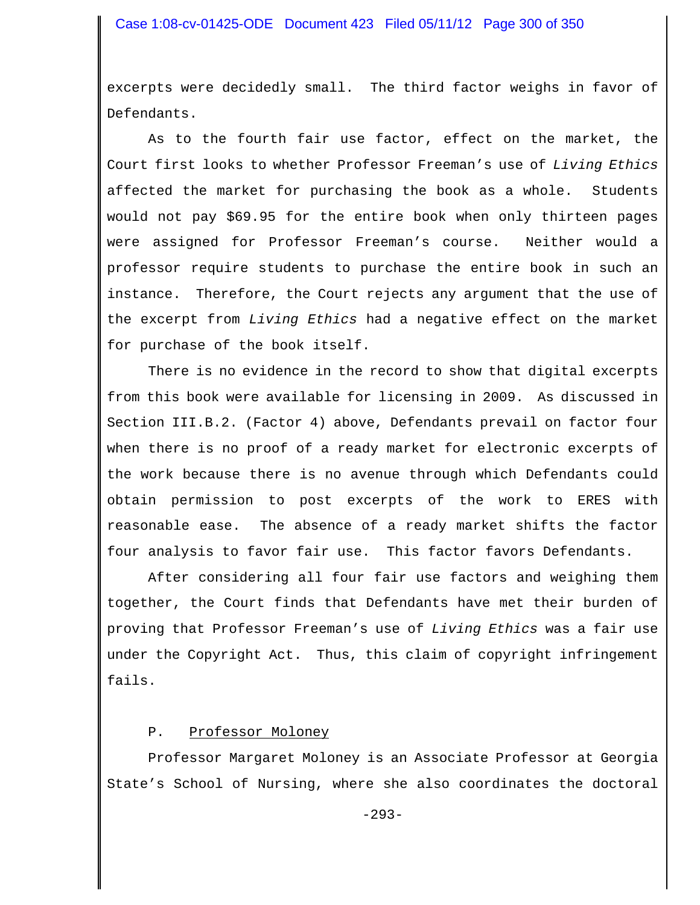excerpts were decidedly small. The third factor weighs in favor of Defendants.

As to the fourth fair use factor, effect on the market, the Court first looks to whether Professor Freeman's use of *Living Ethics* affected the market for purchasing the book as a whole. Students would not pay \$69.95 for the entire book when only thirteen pages were assigned for Professor Freeman's course. Neither would a professor require students to purchase the entire book in such an instance. Therefore, the Court rejects any argument that the use of the excerpt from *Living Ethics* had a negative effect on the market for purchase of the book itself.

There is no evidence in the record to show that digital excerpts from this book were available for licensing in 2009. As discussed in Section III.B.2. (Factor 4) above, Defendants prevail on factor four when there is no proof of a ready market for electronic excerpts of the work because there is no avenue through which Defendants could obtain permission to post excerpts of the work to ERES with reasonable ease. The absence of a ready market shifts the factor four analysis to favor fair use. This factor favors Defendants.

After considering all four fair use factors and weighing them together, the Court finds that Defendants have met their burden of proving that Professor Freeman's use of *Living Ethics* was a fair use under the Copyright Act. Thus, this claim of copyright infringement fails.

## P. Professor Moloney

Professor Margaret Moloney is an Associate Professor at Georgia State's School of Nursing, where she also coordinates the doctoral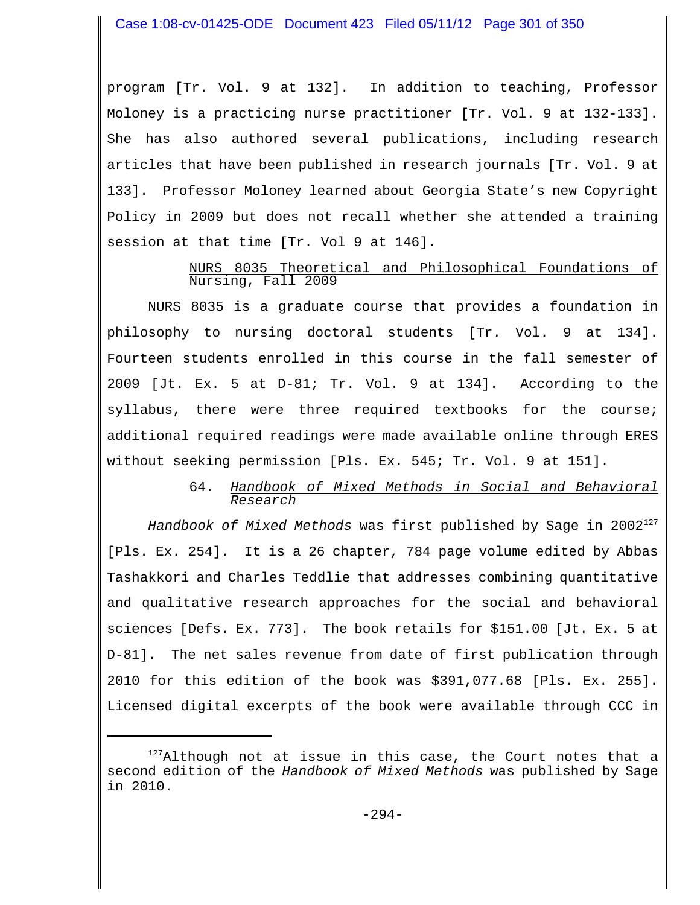Case 1:08-cv-01425-ODE Document 423 Filed 05/11/12 Page 301 of 350

program [Tr. Vol. 9 at 132]. In addition to teaching, Professor Moloney is a practicing nurse practitioner [Tr. Vol. 9 at 132-133]. She has also authored several publications, including research articles that have been published in research journals [Tr. Vol. 9 at 133]. Professor Moloney learned about Georgia State's new Copyright Policy in 2009 but does not recall whether she attended a training session at that time [Tr. Vol 9 at 146].

## NURS 8035 Theoretical and Philosophical Foundations of Nursing, Fall 2009

NURS 8035 is a graduate course that provides a foundation in philosophy to nursing doctoral students [Tr. Vol. 9 at 134]. Fourteen students enrolled in this course in the fall semester of 2009 [Jt. Ex. 5 at D-81; Tr. Vol. 9 at 134]. According to the syllabus, there were three required textbooks for the course; additional required readings were made available online through ERES without seeking permission [Pls. Ex. 545; Tr. Vol. 9 at 151].

## 64. *Handbook of Mixed Methods in Social and Behavioral Research*

Handbook of Mixed Methods was first published by Sage in 2002<sup>127</sup> [Pls. Ex. 254]. It is a 26 chapter, 784 page volume edited by Abbas Tashakkori and Charles Teddlie that addresses combining quantitative and qualitative research approaches for the social and behavioral sciences [Defs. Ex. 773]. The book retails for \$151.00 [Jt. Ex. 5 at D-81]. The net sales revenue from date of first publication through 2010 for this edition of the book was \$391,077.68 [Pls. Ex. 255]. Licensed digital excerpts of the book were available through CCC in

 $127$ Although not at issue in this case, the Court notes that a second edition of the *Handbook of Mixed Methods* was published by Sage in 2010.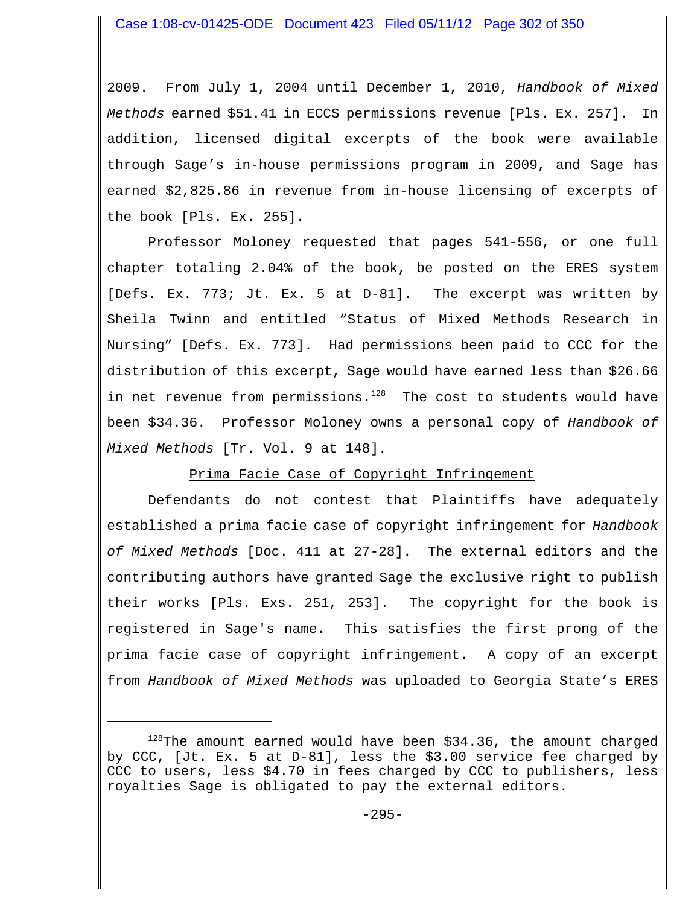2009. From July 1, 2004 until December 1, 2010, *Handbook of Mixed Methods* earned \$51.41 in ECCS permissions revenue [Pls. Ex. 257]. In addition, licensed digital excerpts of the book were available through Sage's in-house permissions program in 2009, and Sage has earned \$2,825.86 in revenue from in-house licensing of excerpts of the book [Pls. Ex. 255].

Professor Moloney requested that pages 541-556, or one full chapter totaling 2.04% of the book, be posted on the ERES system [Defs. Ex. 773; Jt. Ex. 5 at D-81]. The excerpt was written by Sheila Twinn and entitled "Status of Mixed Methods Research in Nursing" [Defs. Ex. 773]. Had permissions been paid to CCC for the distribution of this excerpt, Sage would have earned less than \$26.66 in net revenue from permissions. $128$  The cost to students would have been \$34.36. Professor Moloney owns a personal copy of *Handbook of Mixed Methods* [Tr. Vol. 9 at 148].

# Prima Facie Case of Copyright Infringement

Defendants do not contest that Plaintiffs have adequately established a prima facie case of copyright infringement for *Handbook of Mixed Methods* [Doc. 411 at 27-28]. The external editors and the contributing authors have granted Sage the exclusive right to publish their works [Pls. Exs. 251, 253]. The copyright for the book is registered in Sage's name. This satisfies the first prong of the prima facie case of copyright infringement. A copy of an excerpt from *Handbook of Mixed Methods* was uploaded to Georgia State's ERES

 $128$ The amount earned would have been \$34.36, the amount charged by CCC, [Jt. Ex. 5 at D-81], less the \$3.00 service fee charged by CCC to users, less \$4.70 in fees charged by CCC to publishers, less royalties Sage is obligated to pay the external editors.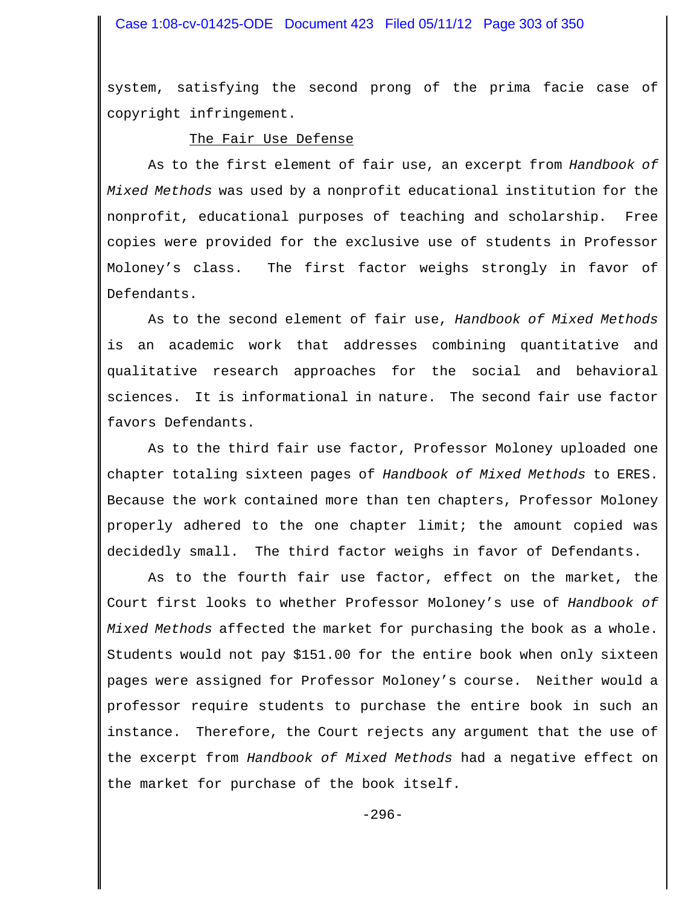system, satisfying the second prong of the prima facie case of copyright infringement.

### The Fair Use Defense

As to the first element of fair use, an excerpt from *Handbook of Mixed Methods* was used by a nonprofit educational institution for the nonprofit, educational purposes of teaching and scholarship. Free copies were provided for the exclusive use of students in Professor Moloney's class. The first factor weighs strongly in favor of Defendants.

As to the second element of fair use, *Handbook of Mixed Methods* is an academic work that addresses combining quantitative and qualitative research approaches for the social and behavioral sciences. It is informational in nature. The second fair use factor favors Defendants.

As to the third fair use factor, Professor Moloney uploaded one chapter totaling sixteen pages of *Handbook of Mixed Methods* to ERES. Because the work contained more than ten chapters, Professor Moloney properly adhered to the one chapter limit; the amount copied was decidedly small. The third factor weighs in favor of Defendants.

As to the fourth fair use factor, effect on the market, the Court first looks to whether Professor Moloney's use of *Handbook of Mixed Methods* affected the market for purchasing the book as a whole. Students would not pay \$151.00 for the entire book when only sixteen pages were assigned for Professor Moloney's course. Neither would a professor require students to purchase the entire book in such an instance. Therefore, the Court rejects any argument that the use of the excerpt from *Handbook of Mixed Methods* had a negative effect on the market for purchase of the book itself.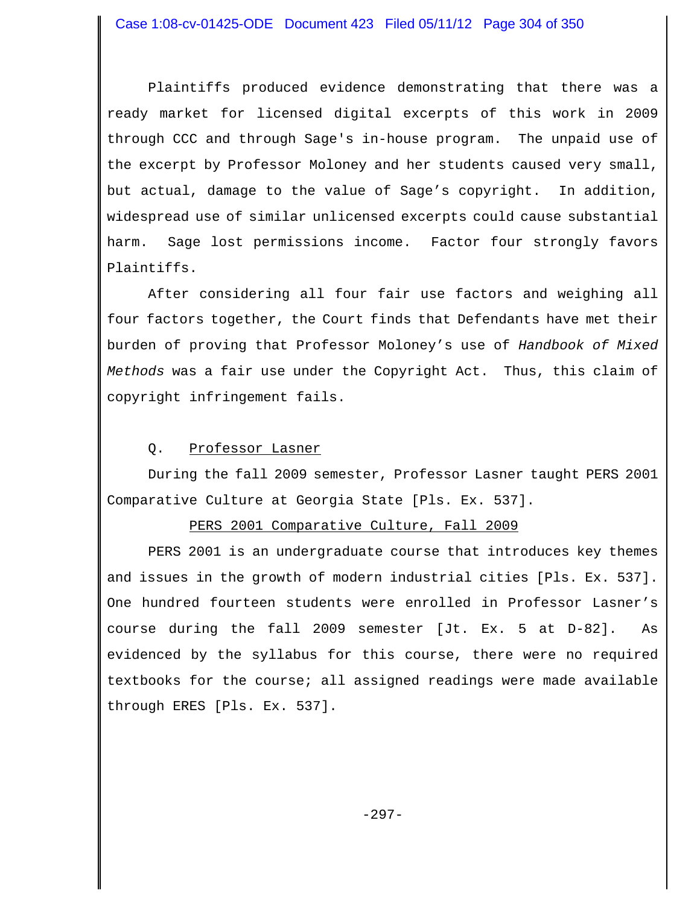Plaintiffs produced evidence demonstrating that there was a ready market for licensed digital excerpts of this work in 2009 through CCC and through Sage's in-house program. The unpaid use of the excerpt by Professor Moloney and her students caused very small, but actual, damage to the value of Sage's copyright. In addition, widespread use of similar unlicensed excerpts could cause substantial harm. Sage lost permissions income. Factor four strongly favors Plaintiffs.

After considering all four fair use factors and weighing all four factors together, the Court finds that Defendants have met their burden of proving that Professor Moloney's use of *Handbook of Mixed Methods* was a fair use under the Copyright Act. Thus, this claim of copyright infringement fails.

### Q. Professor Lasner

During the fall 2009 semester, Professor Lasner taught PERS 2001 Comparative Culture at Georgia State [Pls. Ex. 537].

# PERS 2001 Comparative Culture, Fall 2009

PERS 2001 is an undergraduate course that introduces key themes and issues in the growth of modern industrial cities [Pls. Ex. 537]. One hundred fourteen students were enrolled in Professor Lasner's course during the fall 2009 semester [Jt. Ex. 5 at D-82]. As evidenced by the syllabus for this course, there were no required textbooks for the course; all assigned readings were made available through ERES [Pls. Ex. 537].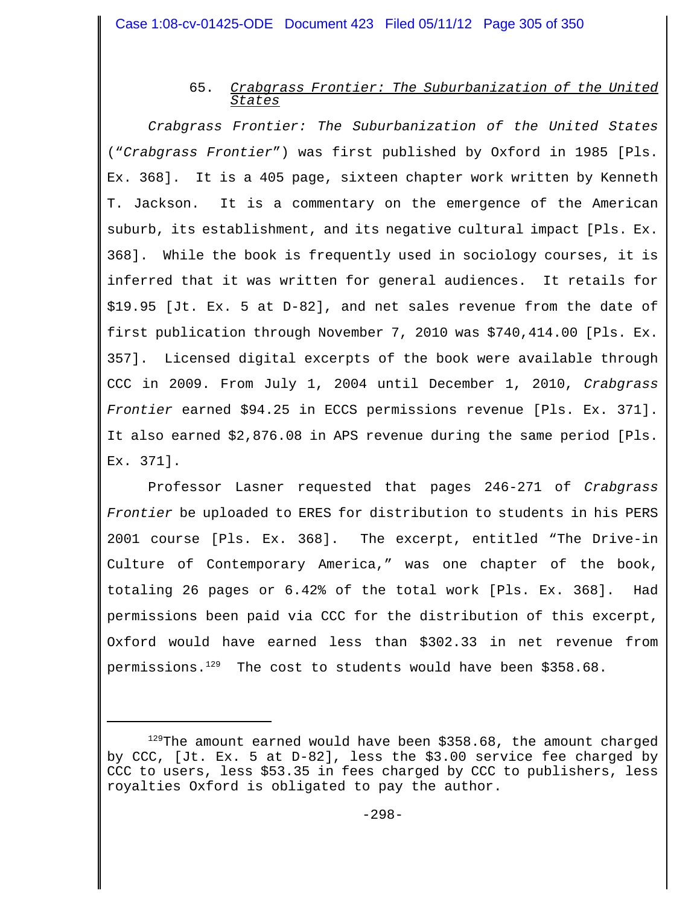# 65. *Crabgrass Frontier: The Suburbanization of the United States*

*Crabgrass Frontier: The Suburbanization of the United States* ("*Crabgrass Frontier*") was first published by Oxford in 1985 [Pls. Ex. 368]. It is a 405 page, sixteen chapter work written by Kenneth T. Jackson. It is a commentary on the emergence of the American suburb, its establishment, and its negative cultural impact [Pls. Ex. 368]. While the book is frequently used in sociology courses, it is inferred that it was written for general audiences. It retails for \$19.95 [Jt. Ex. 5 at D-82], and net sales revenue from the date of first publication through November 7, 2010 was \$740,414.00 [Pls. Ex. 357]. Licensed digital excerpts of the book were available through CCC in 2009. From July 1, 2004 until December 1, 2010, *Crabgrass Frontier* earned \$94.25 in ECCS permissions revenue [Pls. Ex. 371]. It also earned \$2,876.08 in APS revenue during the same period [Pls. Ex. 371].

Professor Lasner requested that pages 246-271 of *Crabgrass Frontier* be uploaded to ERES for distribution to students in his PERS 2001 course [Pls. Ex. 368]. The excerpt, entitled "The Drive-in Culture of Contemporary America," was one chapter of the book, totaling 26 pages or 6.42% of the total work [Pls. Ex. 368]. Had permissions been paid via CCC for the distribution of this excerpt, Oxford would have earned less than \$302.33 in net revenue from permissions.<sup>129</sup> The cost to students would have been  $$358.68$ .

<sup>&</sup>lt;sup>129</sup>The amount earned would have been \$358.68, the amount charged by CCC, [Jt. Ex. 5 at D-82], less the \$3.00 service fee charged by CCC to users, less \$53.35 in fees charged by CCC to publishers, less royalties Oxford is obligated to pay the author.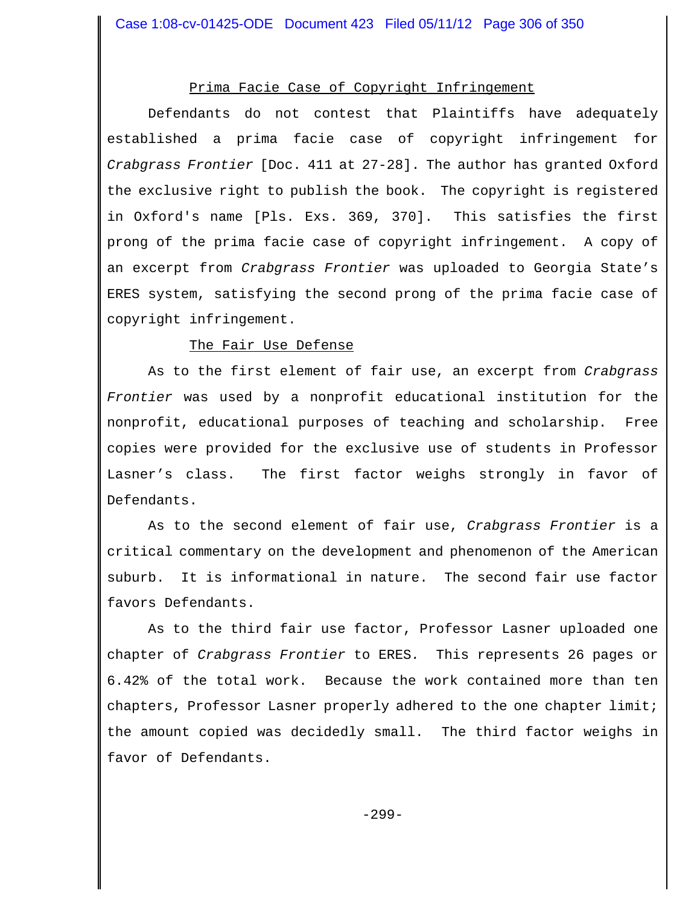## Prima Facie Case of Copyright Infringement

Defendants do not contest that Plaintiffs have adequately established a prima facie case of copyright infringement for *Crabgrass Frontier* [Doc. 411 at 27-28]. The author has granted Oxford the exclusive right to publish the book. The copyright is registered in Oxford's name [Pls. Exs. 369, 370]. This satisfies the first prong of the prima facie case of copyright infringement. A copy of an excerpt from *Crabgrass Frontier* was uploaded to Georgia State's ERES system, satisfying the second prong of the prima facie case of copyright infringement.

## The Fair Use Defense

As to the first element of fair use, an excerpt from *Crabgrass Frontier* was used by a nonprofit educational institution for the nonprofit, educational purposes of teaching and scholarship. Free copies were provided for the exclusive use of students in Professor Lasner's class. The first factor weighs strongly in favor of Defendants.

As to the second element of fair use, *Crabgrass Frontier* is a critical commentary on the development and phenomenon of the American suburb. It is informational in nature. The second fair use factor favors Defendants.

As to the third fair use factor, Professor Lasner uploaded one chapter of *Crabgrass Frontier* to ERES*.* This represents 26 pages or 6.42% of the total work. Because the work contained more than ten chapters, Professor Lasner properly adhered to the one chapter limit; the amount copied was decidedly small. The third factor weighs in favor of Defendants.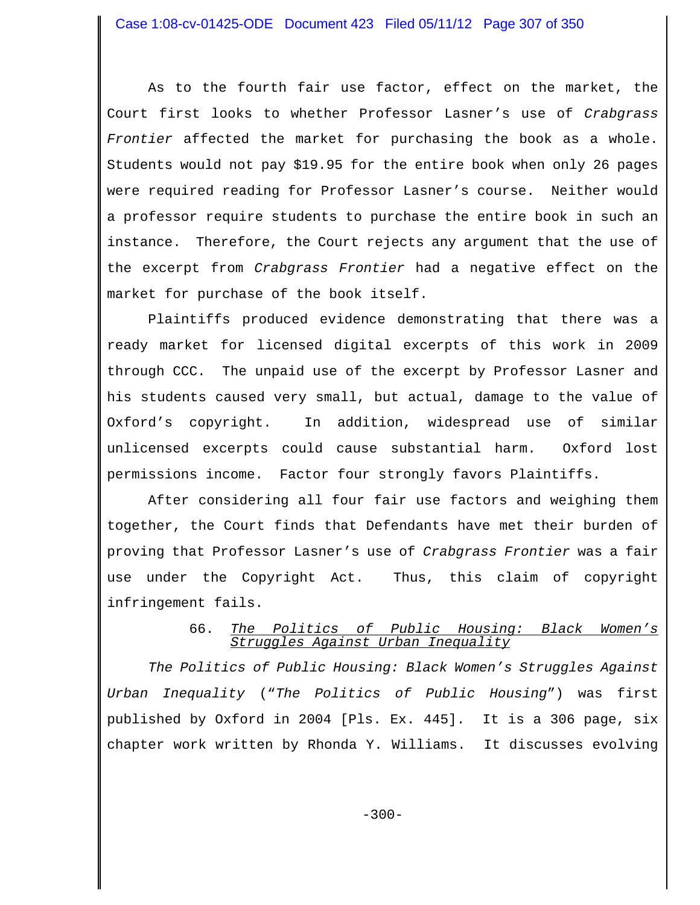As to the fourth fair use factor, effect on the market, the Court first looks to whether Professor Lasner's use of *Crabgrass Frontier* affected the market for purchasing the book as a whole. Students would not pay \$19.95 for the entire book when only 26 pages were required reading for Professor Lasner's course. Neither would a professor require students to purchase the entire book in such an instance. Therefore, the Court rejects any argument that the use of the excerpt from *Crabgrass Frontier* had a negative effect on the market for purchase of the book itself.

Plaintiffs produced evidence demonstrating that there was a ready market for licensed digital excerpts of this work in 2009 through CCC. The unpaid use of the excerpt by Professor Lasner and his students caused very small, but actual, damage to the value of Oxford's copyright. In addition, widespread use of similar unlicensed excerpts could cause substantial harm. Oxford lost permissions income. Factor four strongly favors Plaintiffs.

After considering all four fair use factors and weighing them together, the Court finds that Defendants have met their burden of proving that Professor Lasner's use of *Crabgrass Frontier* was a fair use under the Copyright Act. Thus, this claim of copyright infringement fails.

# 66. *The Politics of Public Housing: Black Women's Struggles Against Urban Inequality*

*The Politics of Public Housing: Black Women's Struggles Against Urban Inequality* ("*The Politics of Public Housing*") was first published by Oxford in 2004 [Pls. Ex. 445]. It is a 306 page, six chapter work written by Rhonda Y. Williams. It discusses evolving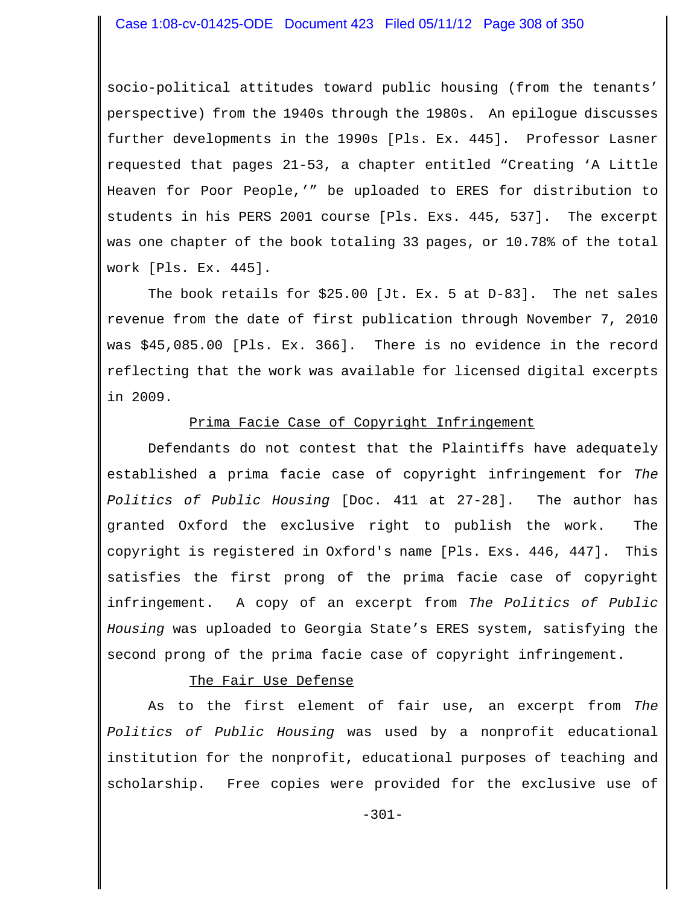socio-political attitudes toward public housing (from the tenants' perspective) from the 1940s through the 1980s. An epilogue discusses further developments in the 1990s [Pls. Ex. 445]. Professor Lasner requested that pages 21-53, a chapter entitled "Creating 'A Little Heaven for Poor People,'" be uploaded to ERES for distribution to students in his PERS 2001 course [Pls. Exs. 445, 537]. The excerpt was one chapter of the book totaling 33 pages, or 10.78% of the total work [Pls. Ex. 445].

The book retails for \$25.00 [Jt. Ex. 5 at D-83]. The net sales revenue from the date of first publication through November 7, 2010 was \$45,085.00 [Pls. Ex. 366]. There is no evidence in the record reflecting that the work was available for licensed digital excerpts in 2009.

# Prima Facie Case of Copyright Infringement

Defendants do not contest that the Plaintiffs have adequately established a prima facie case of copyright infringement for *The Politics of Public Housing* [Doc. 411 at 27-28]. The author has granted Oxford the exclusive right to publish the work. The copyright is registered in Oxford's name [Pls. Exs. 446, 447]. This satisfies the first prong of the prima facie case of copyright infringement. A copy of an excerpt from *The Politics of Public Housing* was uploaded to Georgia State's ERES system, satisfying the second prong of the prima facie case of copyright infringement.

## The Fair Use Defense

As to the first element of fair use, an excerpt from *The Politics of Public Housing* was used by a nonprofit educational institution for the nonprofit, educational purposes of teaching and scholarship. Free copies were provided for the exclusive use of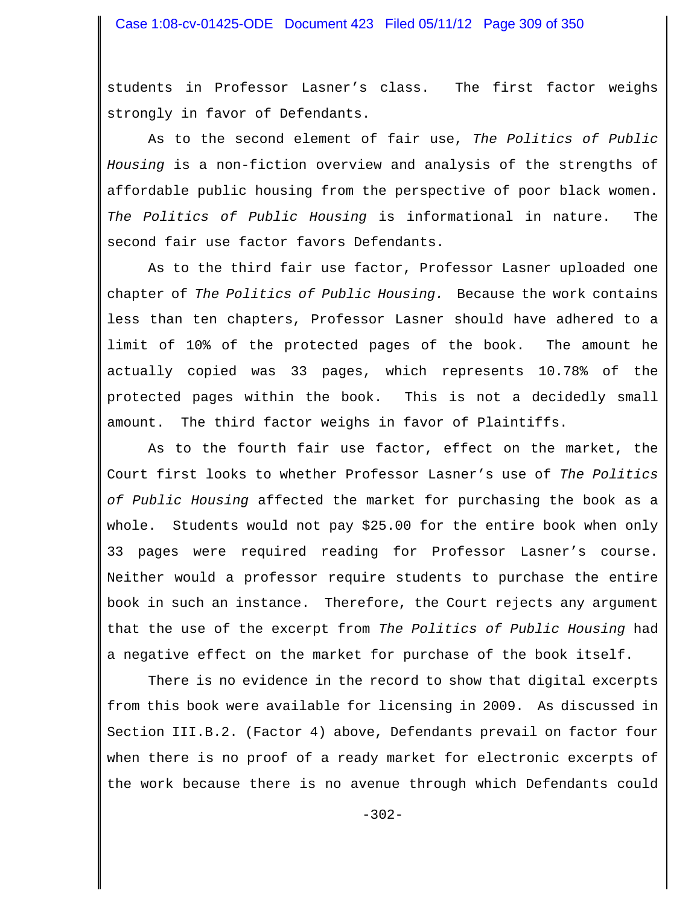students in Professor Lasner's class. The first factor weighs strongly in favor of Defendants.

As to the second element of fair use, *The Politics of Public Housing* is a non-fiction overview and analysis of the strengths of affordable public housing from the perspective of poor black women. *The Politics of Public Housing* is informational in nature. The second fair use factor favors Defendants.

As to the third fair use factor, Professor Lasner uploaded one chapter of *The Politics of Public Housing.* Because the work contains less than ten chapters, Professor Lasner should have adhered to a limit of 10% of the protected pages of the book. The amount he actually copied was 33 pages, which represents 10.78% of the protected pages within the book. This is not a decidedly small amount. The third factor weighs in favor of Plaintiffs.

As to the fourth fair use factor, effect on the market, the Court first looks to whether Professor Lasner's use of *The Politics of Public Housing* affected the market for purchasing the book as a whole. Students would not pay \$25.00 for the entire book when only 33 pages were required reading for Professor Lasner's course. Neither would a professor require students to purchase the entire book in such an instance. Therefore, the Court rejects any argument that the use of the excerpt from *The Politics of Public Housing* had a negative effect on the market for purchase of the book itself.

There is no evidence in the record to show that digital excerpts from this book were available for licensing in 2009. As discussed in Section III.B.2. (Factor 4) above, Defendants prevail on factor four when there is no proof of a ready market for electronic excerpts of the work because there is no avenue through which Defendants could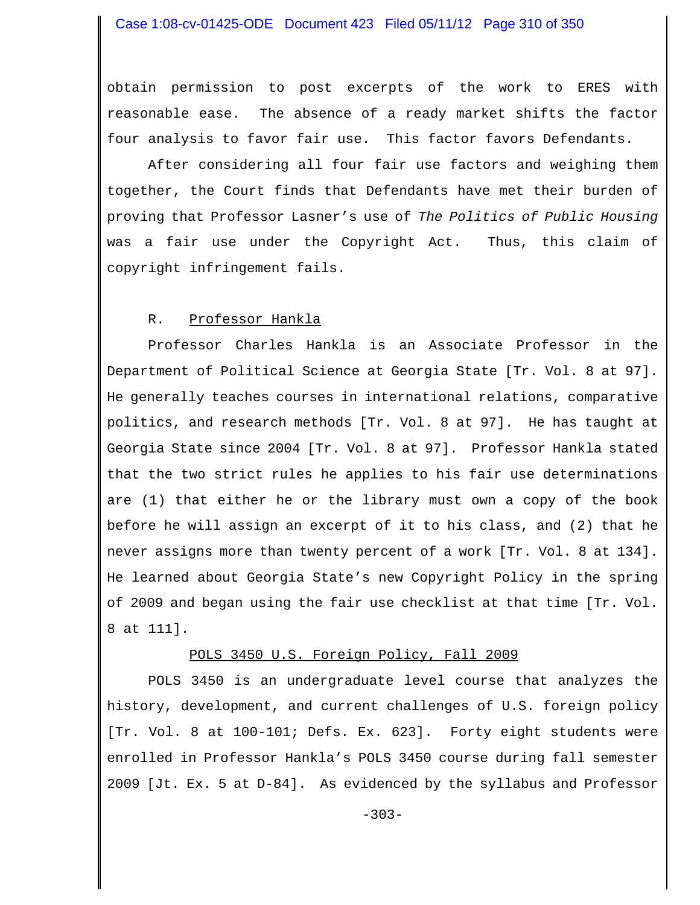obtain permission to post excerpts of the work to ERES with reasonable ease. The absence of a ready market shifts the factor four analysis to favor fair use. This factor favors Defendants.

After considering all four fair use factors and weighing them together, the Court finds that Defendants have met their burden of proving that Professor Lasner's use of *The Politics of Public Housing* was a fair use under the Copyright Act. Thus, this claim of copyright infringement fails.

## R. Professor Hankla

Professor Charles Hankla is an Associate Professor in the Department of Political Science at Georgia State [Tr. Vol. 8 at 97]. He generally teaches courses in international relations, comparative politics, and research methods [Tr. Vol. 8 at 97]. He has taught at Georgia State since 2004 [Tr. Vol. 8 at 97]. Professor Hankla stated that the two strict rules he applies to his fair use determinations are (1) that either he or the library must own a copy of the book before he will assign an excerpt of it to his class, and (2) that he never assigns more than twenty percent of a work [Tr. Vol. 8 at 134]. He learned about Georgia State's new Copyright Policy in the spring of 2009 and began using the fair use checklist at that time [Tr. Vol. 8 at 111].

# POLS 3450 U.S. Foreign Policy, Fall 2009

POLS 3450 is an undergraduate level course that analyzes the history, development, and current challenges of U.S. foreign policy [Tr. Vol. 8 at 100-101; Defs. Ex. 623]. Forty eight students were enrolled in Professor Hankla's POLS 3450 course during fall semester 2009 [Jt. Ex. 5 at D-84]. As evidenced by the syllabus and Professor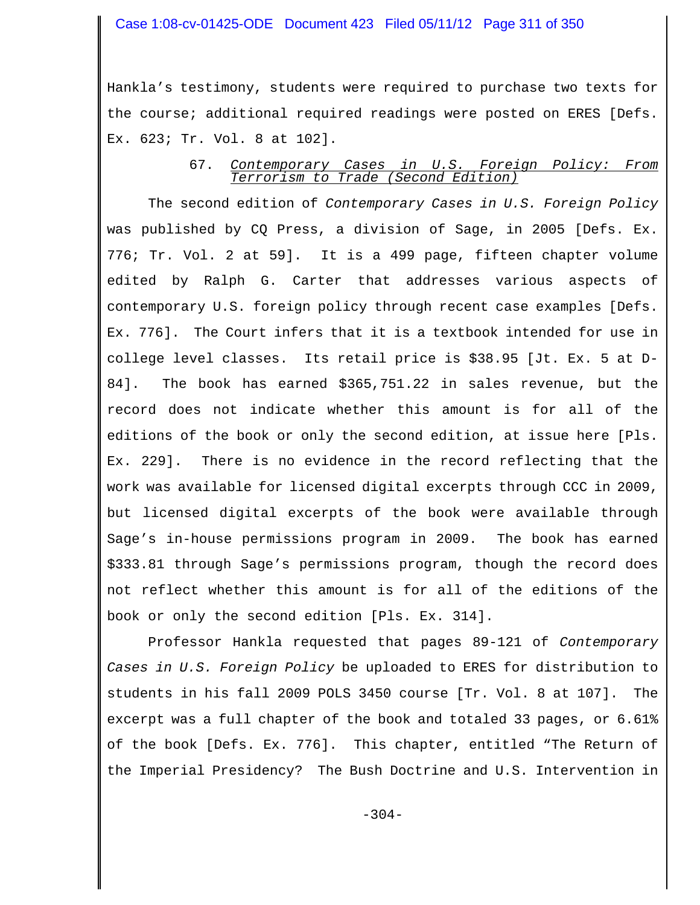### Case 1:08-cv-01425-ODE Document 423 Filed 05/11/12 Page 311 of 350

Hankla's testimony, students were required to purchase two texts for the course; additional required readings were posted on ERES [Defs. Ex. 623; Tr. Vol. 8 at 102].

## 67. *Contemporary Cases in U.S. Foreign Policy: From Terrorism to Trade (Second Edition)*

The second edition of *Contemporary Cases in U.S. Foreign Policy* was published by CQ Press, a division of Sage, in 2005 [Defs. Ex. 776; Tr. Vol. 2 at 59]. It is a 499 page, fifteen chapter volume edited by Ralph G. Carter that addresses various aspects of contemporary U.S. foreign policy through recent case examples [Defs. Ex. 776]. The Court infers that it is a textbook intended for use in college level classes. Its retail price is \$38.95 [Jt. Ex. 5 at D-84]. The book has earned \$365,751.22 in sales revenue, but the record does not indicate whether this amount is for all of the editions of the book or only the second edition, at issue here [Pls. Ex. 229]. There is no evidence in the record reflecting that the work was available for licensed digital excerpts through CCC in 2009, but licensed digital excerpts of the book were available through Sage's in-house permissions program in 2009. The book has earned \$333.81 through Sage's permissions program, though the record does not reflect whether this amount is for all of the editions of the book or only the second edition [Pls. Ex. 314].

Professor Hankla requested that pages 89-121 of *Contemporary Cases in U.S. Foreign Policy* be uploaded to ERES for distribution to students in his fall 2009 POLS 3450 course [Tr. Vol. 8 at 107]. The excerpt was a full chapter of the book and totaled 33 pages, or 6.61% of the book [Defs. Ex. 776]. This chapter, entitled "The Return of the Imperial Presidency? The Bush Doctrine and U.S. Intervention in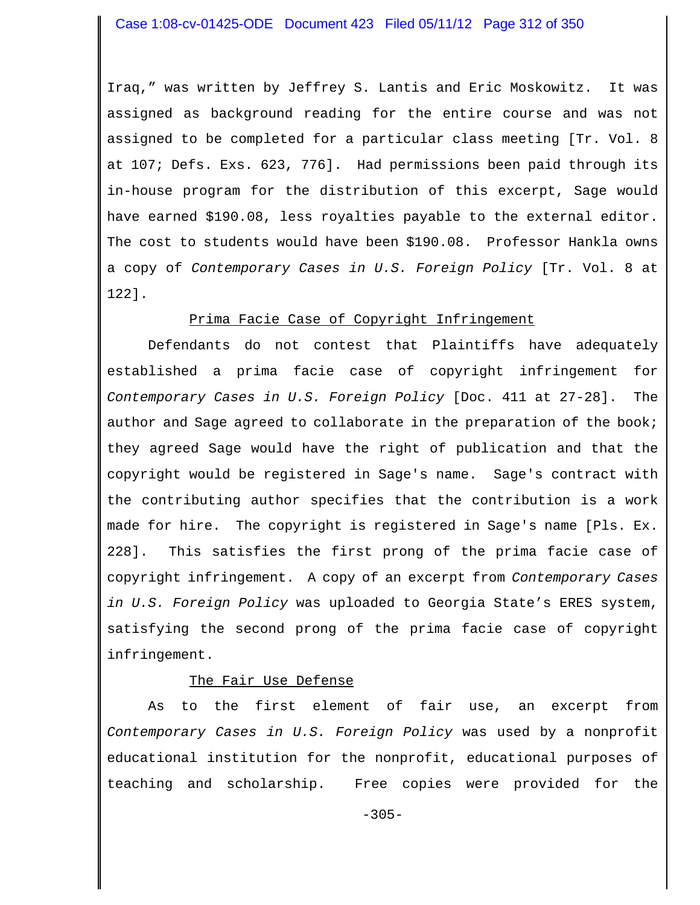Iraq," was written by Jeffrey S. Lantis and Eric Moskowitz. It was assigned as background reading for the entire course and was not assigned to be completed for a particular class meeting [Tr. Vol. 8 at 107; Defs. Exs. 623, 776]. Had permissions been paid through its in-house program for the distribution of this excerpt, Sage would have earned \$190.08, less royalties payable to the external editor. The cost to students would have been \$190.08. Professor Hankla owns a copy of *Contemporary Cases in U.S. Foreign Policy* [Tr. Vol. 8 at 122].

### Prima Facie Case of Copyright Infringement

Defendants do not contest that Plaintiffs have adequately established a prima facie case of copyright infringement for *Contemporary Cases in U.S. Foreign Policy* [Doc. 411 at 27-28]. The author and Sage agreed to collaborate in the preparation of the book; they agreed Sage would have the right of publication and that the copyright would be registered in Sage's name. Sage's contract with the contributing author specifies that the contribution is a work made for hire. The copyright is registered in Sage's name [Pls. Ex. 228]. This satisfies the first prong of the prima facie case of copyright infringement. A copy of an excerpt from *Contemporary Cases in U.S. Foreign Policy* was uploaded to Georgia State's ERES system, satisfying the second prong of the prima facie case of copyright infringement.

# The Fair Use Defense

As to the first element of fair use, an excerpt from *Contemporary Cases in U.S. Foreign Policy* was used by a nonprofit educational institution for the nonprofit, educational purposes of teaching and scholarship. Free copies were provided for the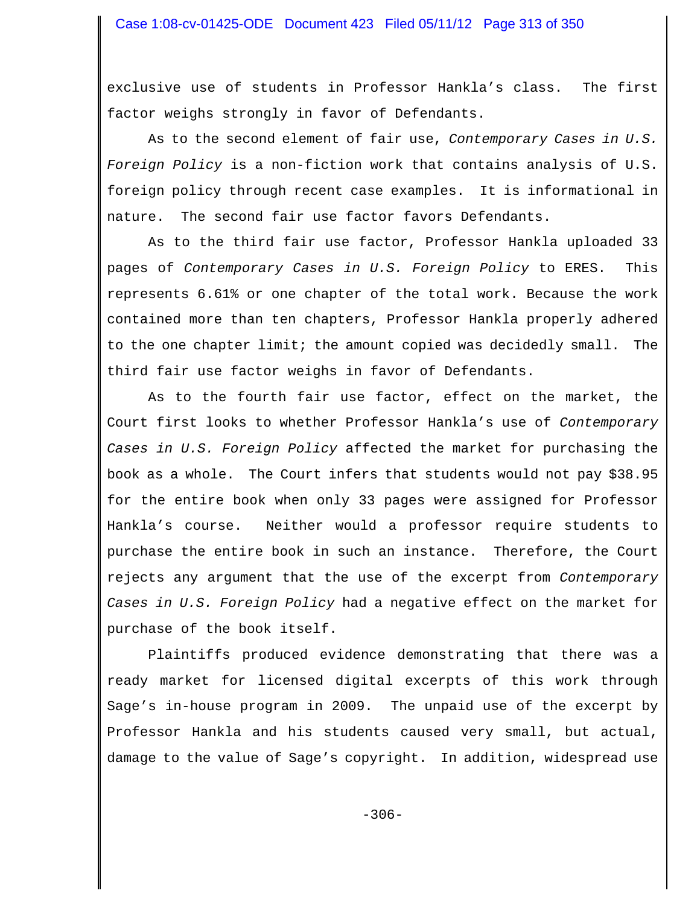exclusive use of students in Professor Hankla's class. The first factor weighs strongly in favor of Defendants.

As to the second element of fair use, *Contemporary Cases in U.S. Foreign Policy* is a non-fiction work that contains analysis of U.S. foreign policy through recent case examples. It is informational in nature. The second fair use factor favors Defendants.

As to the third fair use factor, Professor Hankla uploaded 33 pages of *Contemporary Cases in U.S. Foreign Policy* to ERES. This represents 6.61% or one chapter of the total work. Because the work contained more than ten chapters, Professor Hankla properly adhered to the one chapter limit; the amount copied was decidedly small. The third fair use factor weighs in favor of Defendants.

As to the fourth fair use factor, effect on the market, the Court first looks to whether Professor Hankla's use of *Contemporary Cases in U.S. Foreign Policy* affected the market for purchasing the book as a whole. The Court infers that students would not pay \$38.95 for the entire book when only 33 pages were assigned for Professor Hankla's course. Neither would a professor require students to purchase the entire book in such an instance. Therefore, the Court rejects any argument that the use of the excerpt from *Contemporary Cases in U.S. Foreign Policy* had a negative effect on the market for purchase of the book itself.

Plaintiffs produced evidence demonstrating that there was a ready market for licensed digital excerpts of this work through Sage's in-house program in 2009. The unpaid use of the excerpt by Professor Hankla and his students caused very small, but actual, damage to the value of Sage's copyright. In addition, widespread use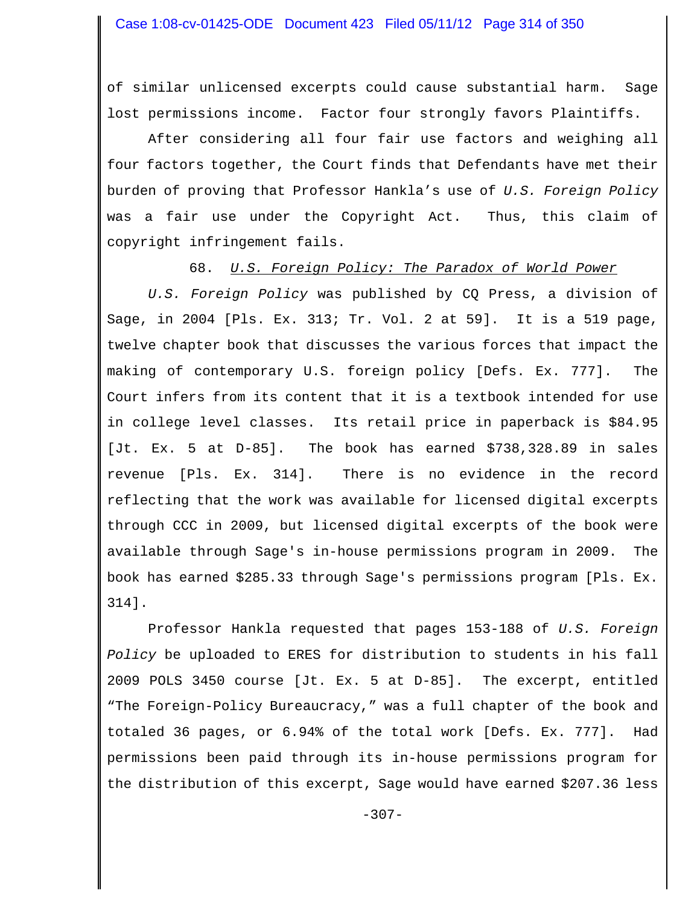of similar unlicensed excerpts could cause substantial harm. Sage lost permissions income. Factor four strongly favors Plaintiffs.

After considering all four fair use factors and weighing all four factors together, the Court finds that Defendants have met their burden of proving that Professor Hankla's use of *U.S. Foreign Policy* was a fair use under the Copyright Act. Thus, this claim of copyright infringement fails.

68. *U.S. Foreign Policy: The Paradox of World Power*

*U.S. Foreign Policy* was published by CQ Press, a division of Sage, in 2004 [Pls. Ex. 313; Tr. Vol. 2 at 59]. It is a 519 page, twelve chapter book that discusses the various forces that impact the making of contemporary U.S. foreign policy [Defs. Ex. 777]. The Court infers from its content that it is a textbook intended for use in college level classes. Its retail price in paperback is \$84.95 [Jt. Ex. 5 at D-85]. The book has earned \$738,328.89 in sales revenue [Pls. Ex. 314]. There is no evidence in the record reflecting that the work was available for licensed digital excerpts through CCC in 2009, but licensed digital excerpts of the book were available through Sage's in-house permissions program in 2009. The book has earned \$285.33 through Sage's permissions program [Pls. Ex. 314].

Professor Hankla requested that pages 153-188 of *U.S. Foreign Policy* be uploaded to ERES for distribution to students in his fall 2009 POLS 3450 course [Jt. Ex. 5 at D-85]. The excerpt, entitled "The Foreign-Policy Bureaucracy," was a full chapter of the book and totaled 36 pages, or 6.94% of the total work [Defs. Ex. 777]. Had permissions been paid through its in-house permissions program for the distribution of this excerpt, Sage would have earned \$207.36 less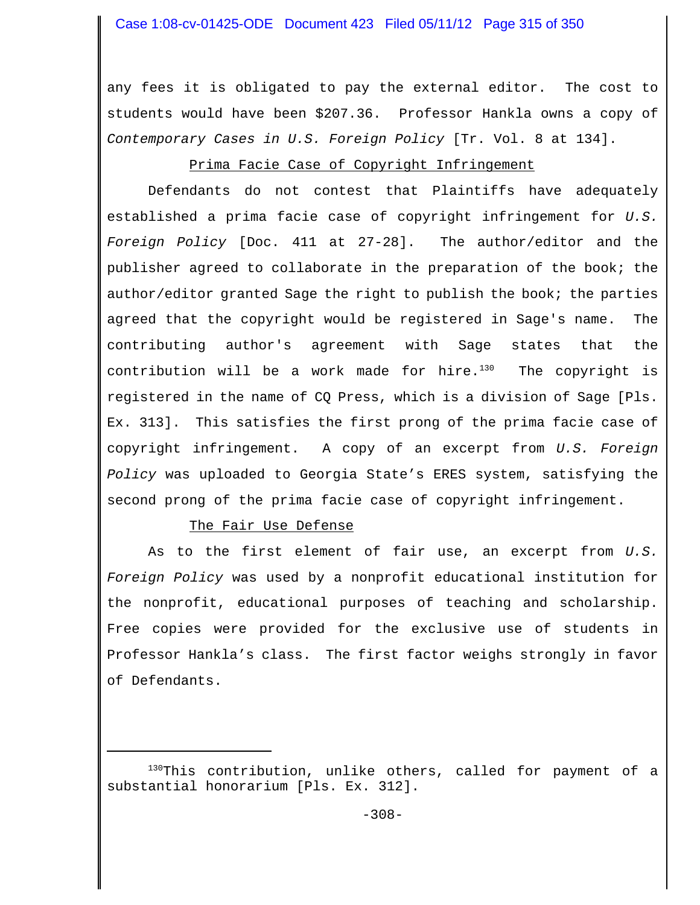# Case 1:08-cv-01425-ODE Document 423 Filed 05/11/12 Page 315 of 350

any fees it is obligated to pay the external editor. The cost to students would have been \$207.36. Professor Hankla owns a copy of *Contemporary Cases in U.S. Foreign Policy* [Tr. Vol. 8 at 134].

# Prima Facie Case of Copyright Infringement

Defendants do not contest that Plaintiffs have adequately established a prima facie case of copyright infringement for *U.S. Foreign Policy* [Doc. 411 at 27-28]. The author/editor and the publisher agreed to collaborate in the preparation of the book; the author/editor granted Sage the right to publish the book; the parties agreed that the copyright would be registered in Sage's name. The contributing author's agreement with Sage states that the contribution will be a work made for hire. $130$  The copyright is registered in the name of CQ Press, which is a division of Sage [Pls. Ex. 313]. This satisfies the first prong of the prima facie case of copyright infringement. A copy of an excerpt from *U.S. Foreign Policy* was uploaded to Georgia State's ERES system, satisfying the second prong of the prima facie case of copyright infringement.

## The Fair Use Defense

As to the first element of fair use, an excerpt from *U.S. Foreign Policy* was used by a nonprofit educational institution for the nonprofit, educational purposes of teaching and scholarship. Free copies were provided for the exclusive use of students in Professor Hankla's class. The first factor weighs strongly in favor of Defendants.

<sup>130</sup>This contribution, unlike others, called for payment of a substantial honorarium [Pls. Ex. 312].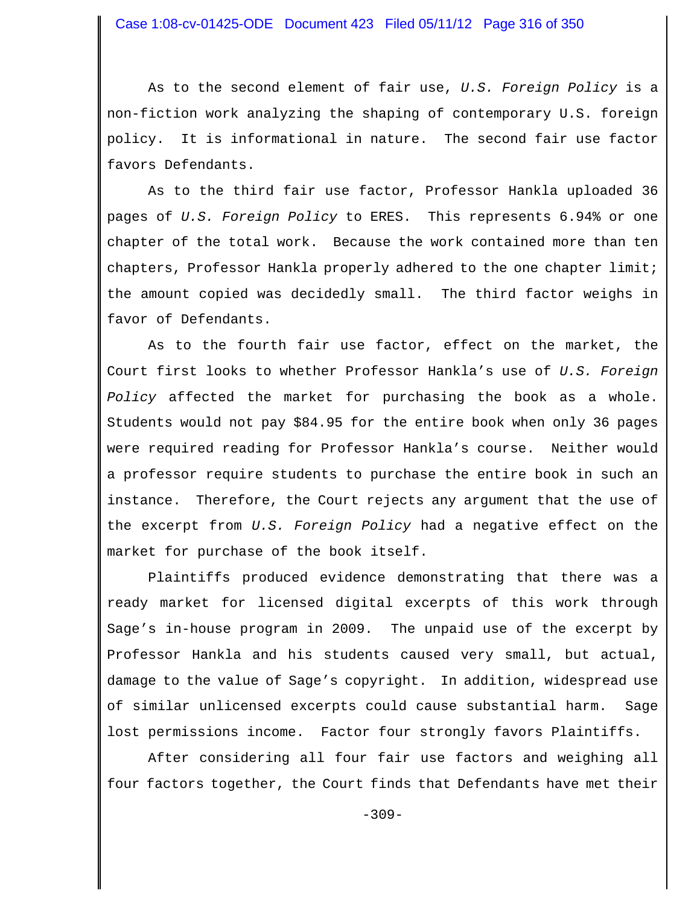As to the second element of fair use, *U.S. Foreign Policy* is a non-fiction work analyzing the shaping of contemporary U.S. foreign policy. It is informational in nature. The second fair use factor favors Defendants.

As to the third fair use factor, Professor Hankla uploaded 36 pages of *U.S. Foreign Policy* to ERES. This represents 6.94% or one chapter of the total work. Because the work contained more than ten chapters, Professor Hankla properly adhered to the one chapter limit; the amount copied was decidedly small. The third factor weighs in favor of Defendants.

As to the fourth fair use factor, effect on the market, the Court first looks to whether Professor Hankla's use of *U.S. Foreign Policy* affected the market for purchasing the book as a whole. Students would not pay \$84.95 for the entire book when only 36 pages were required reading for Professor Hankla's course. Neither would a professor require students to purchase the entire book in such an instance. Therefore, the Court rejects any argument that the use of the excerpt from *U.S. Foreign Policy* had a negative effect on the market for purchase of the book itself.

Plaintiffs produced evidence demonstrating that there was a ready market for licensed digital excerpts of this work through Sage's in-house program in 2009. The unpaid use of the excerpt by Professor Hankla and his students caused very small, but actual, damage to the value of Sage's copyright. In addition, widespread use of similar unlicensed excerpts could cause substantial harm. Sage lost permissions income. Factor four strongly favors Plaintiffs.

After considering all four fair use factors and weighing all four factors together, the Court finds that Defendants have met their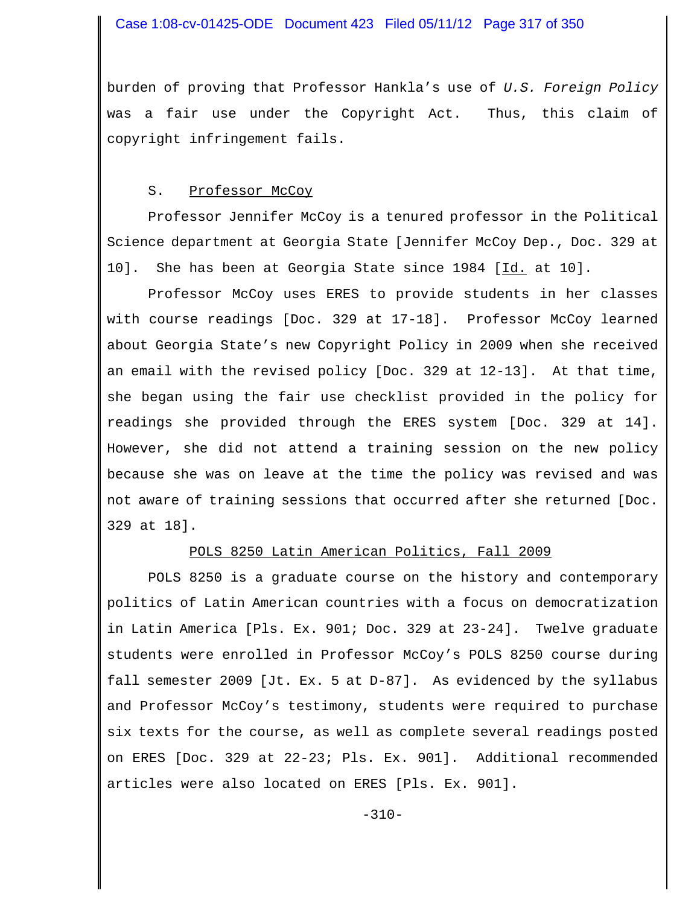burden of proving that Professor Hankla's use of *U.S. Foreign Policy* was a fair use under the Copyright Act. Thus, this claim of copyright infringement fails.

#### S. Professor McCoy

Professor Jennifer McCoy is a tenured professor in the Political Science department at Georgia State [Jennifer McCoy Dep., Doc. 329 at 10]. She has been at Georgia State since 1984 [Id. at 10].

Professor McCoy uses ERES to provide students in her classes with course readings [Doc. 329 at 17-18]. Professor McCoy learned about Georgia State's new Copyright Policy in 2009 when she received an email with the revised policy [Doc. 329 at 12-13]. At that time, she began using the fair use checklist provided in the policy for readings she provided through the ERES system [Doc. 329 at 14]. However, she did not attend a training session on the new policy because she was on leave at the time the policy was revised and was not aware of training sessions that occurred after she returned [Doc. 329 at 18].

## POLS 8250 Latin American Politics, Fall 2009

POLS 8250 is a graduate course on the history and contemporary politics of Latin American countries with a focus on democratization in Latin America [Pls. Ex. 901; Doc. 329 at 23-24]. Twelve graduate students were enrolled in Professor McCoy's POLS 8250 course during fall semester 2009 [Jt. Ex. 5 at D-87]. As evidenced by the syllabus and Professor McCoy's testimony, students were required to purchase six texts for the course, as well as complete several readings posted on ERES [Doc. 329 at 22-23; Pls. Ex. 901]. Additional recommended articles were also located on ERES [Pls. Ex. 901].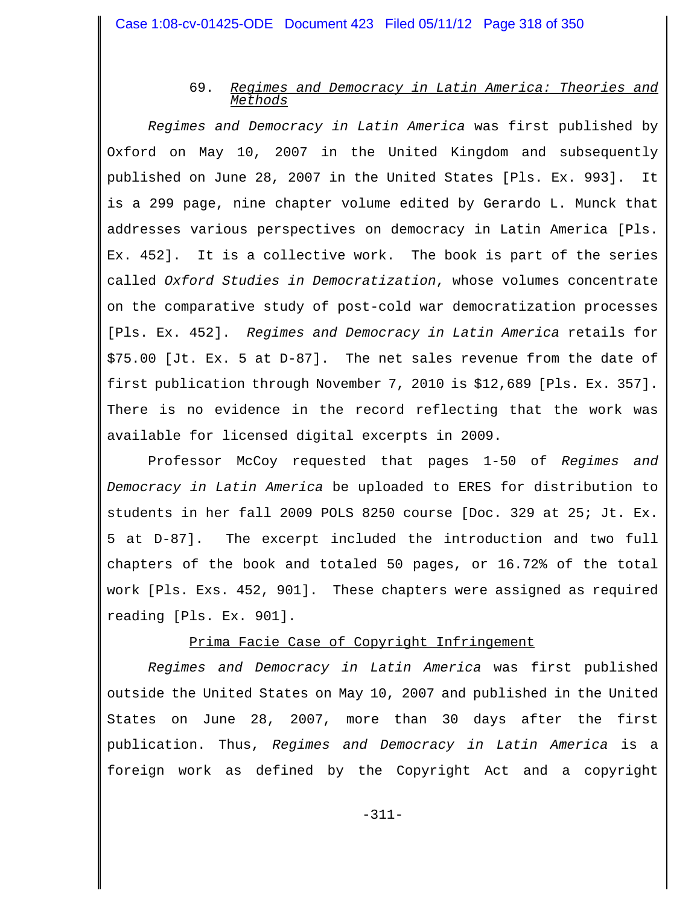### 69. *Regimes and Democracy in Latin America: Theories and Methods*

*Regimes and Democracy in Latin America* was first published by Oxford on May 10, 2007 in the United Kingdom and subsequently published on June 28, 2007 in the United States [Pls. Ex. 993]. It is a 299 page, nine chapter volume edited by Gerardo L. Munck that addresses various perspectives on democracy in Latin America [Pls. Ex. 452]. It is a collective work. The book is part of the series called *Oxford Studies in Democratization*, whose volumes concentrate on the comparative study of post-cold war democratization processes [Pls. Ex. 452]. *Regimes and Democracy in Latin America* retails for \$75.00 [Jt. Ex. 5 at D-87]. The net sales revenue from the date of first publication through November 7, 2010 is \$12,689 [Pls. Ex. 357]. There is no evidence in the record reflecting that the work was available for licensed digital excerpts in 2009.

Professor McCoy requested that pages 1-50 of *Regimes and Democracy in Latin America* be uploaded to ERES for distribution to students in her fall 2009 POLS 8250 course [Doc. 329 at 25; Jt. Ex. 5 at D-87]. The excerpt included the introduction and two full chapters of the book and totaled 50 pages, or 16.72% of the total work [Pls. Exs. 452, 901]. These chapters were assigned as required reading [Pls. Ex. 901].

## Prima Facie Case of Copyright Infringement

*Regimes and Democracy in Latin America* was first published outside the United States on May 10, 2007 and published in the United States on June 28, 2007, more than 30 days after the first publication. Thus, *Regimes and Democracy in Latin America* is a foreign work as defined by the Copyright Act and a copyright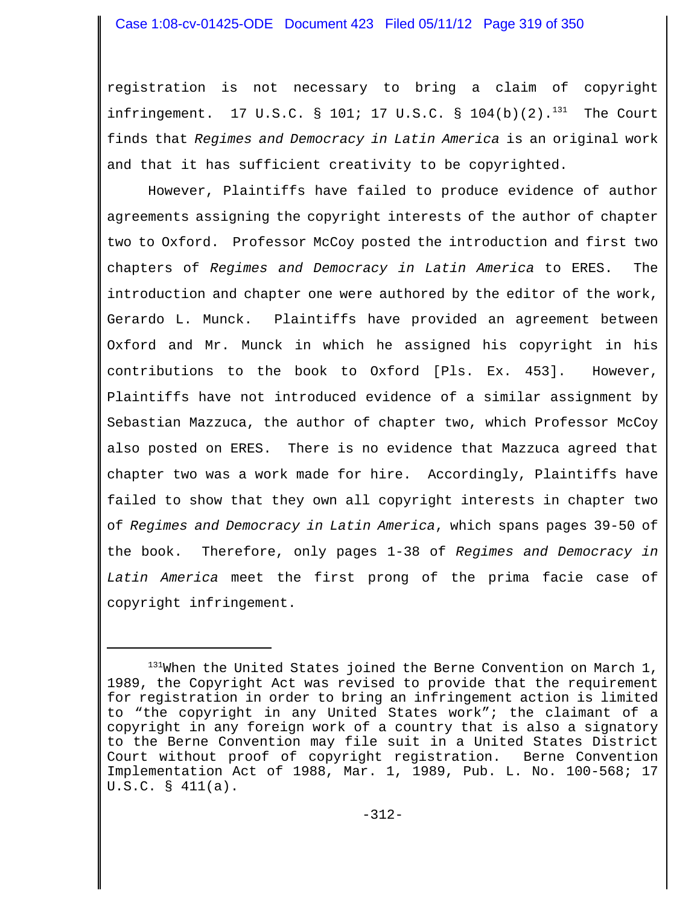## Case 1:08-cv-01425-ODE Document 423 Filed 05/11/12 Page 319 of 350

registration is not necessary to bring a claim of copyright infringement. 17 U.S.C. § 101; 17 U.S.C. § 104(b)(2). $^{131}$  The Court finds that *Regimes and Democracy in Latin America* is an original work and that it has sufficient creativity to be copyrighted.

However, Plaintiffs have failed to produce evidence of author agreements assigning the copyright interests of the author of chapter two to Oxford. Professor McCoy posted the introduction and first two chapters of *Regimes and Democracy in Latin America* to ERES. The introduction and chapter one were authored by the editor of the work, Gerardo L. Munck. Plaintiffs have provided an agreement between Oxford and Mr. Munck in which he assigned his copyright in his contributions to the book to Oxford [Pls. Ex. 453]. However, Plaintiffs have not introduced evidence of a similar assignment by Sebastian Mazzuca, the author of chapter two, which Professor McCoy also posted on ERES. There is no evidence that Mazzuca agreed that chapter two was a work made for hire. Accordingly, Plaintiffs have failed to show that they own all copyright interests in chapter two of *Regimes and Democracy in Latin America*, which spans pages 39-50 of the book. Therefore, only pages 1-38 of *Regimes and Democracy in Latin America* meet the first prong of the prima facie case of copyright infringement.

<sup>&</sup>lt;sup>131</sup>When the United States joined the Berne Convention on March 1, 1989, the Copyright Act was revised to provide that the requirement for registration in order to bring an infringement action is limited to "the copyright in any United States work"; the claimant of a copyright in any foreign work of a country that is also a signatory to the Berne Convention may file suit in a United States District Court without proof of copyright registration. Berne Convention Implementation Act of 1988, Mar. 1, 1989, Pub. L. No. 100-568; 17 U.S.C. § 411(a).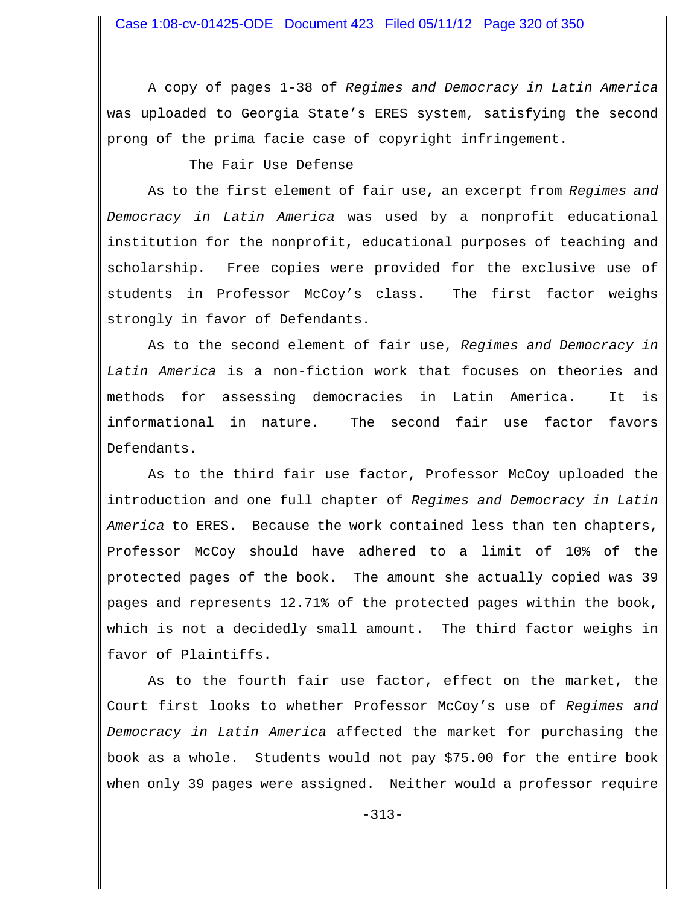A copy of pages 1-38 of *Regimes and Democracy in Latin America* was uploaded to Georgia State's ERES system, satisfying the second prong of the prima facie case of copyright infringement.

#### The Fair Use Defense

As to the first element of fair use, an excerpt from *Regimes and Democracy in Latin America* was used by a nonprofit educational institution for the nonprofit, educational purposes of teaching and scholarship. Free copies were provided for the exclusive use of students in Professor McCoy's class. The first factor weighs strongly in favor of Defendants.

As to the second element of fair use, *Regimes and Democracy in Latin America* is a non-fiction work that focuses on theories and methods for assessing democracies in Latin America. It is informational in nature. The second fair use factor favors Defendants.

As to the third fair use factor, Professor McCoy uploaded the introduction and one full chapter of *Regimes and Democracy in Latin America* to ERES. Because the work contained less than ten chapters, Professor McCoy should have adhered to a limit of 10% of the protected pages of the book. The amount she actually copied was 39 pages and represents 12.71% of the protected pages within the book, which is not a decidedly small amount. The third factor weighs in favor of Plaintiffs.

As to the fourth fair use factor, effect on the market, the Court first looks to whether Professor McCoy's use of *Regimes and Democracy in Latin America* affected the market for purchasing the book as a whole. Students would not pay \$75.00 for the entire book when only 39 pages were assigned. Neither would a professor require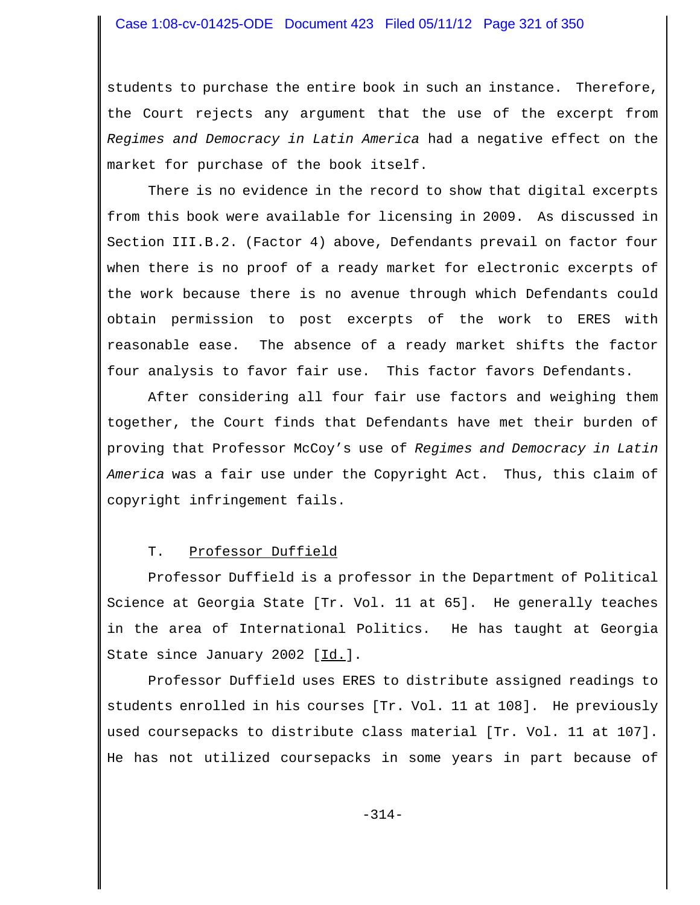## Case 1:08-cv-01425-ODE Document 423 Filed 05/11/12 Page 321 of 350

students to purchase the entire book in such an instance. Therefore, the Court rejects any argument that the use of the excerpt from *Regimes and Democracy in Latin America* had a negative effect on the market for purchase of the book itself.

There is no evidence in the record to show that digital excerpts from this book were available for licensing in 2009. As discussed in Section III.B.2. (Factor 4) above, Defendants prevail on factor four when there is no proof of a ready market for electronic excerpts of the work because there is no avenue through which Defendants could obtain permission to post excerpts of the work to ERES with reasonable ease. The absence of a ready market shifts the factor four analysis to favor fair use. This factor favors Defendants.

After considering all four fair use factors and weighing them together, the Court finds that Defendants have met their burden of proving that Professor McCoy's use of *Regimes and Democracy in Latin America* was a fair use under the Copyright Act. Thus, this claim of copyright infringement fails.

#### T. Professor Duffield

Professor Duffield is a professor in the Department of Political Science at Georgia State [Tr. Vol. 11 at 65]. He generally teaches in the area of International Politics. He has taught at Georgia State since January 2002 [Id.].

Professor Duffield uses ERES to distribute assigned readings to students enrolled in his courses [Tr. Vol. 11 at 108]. He previously used coursepacks to distribute class material [Tr. Vol. 11 at 107]. He has not utilized coursepacks in some years in part because of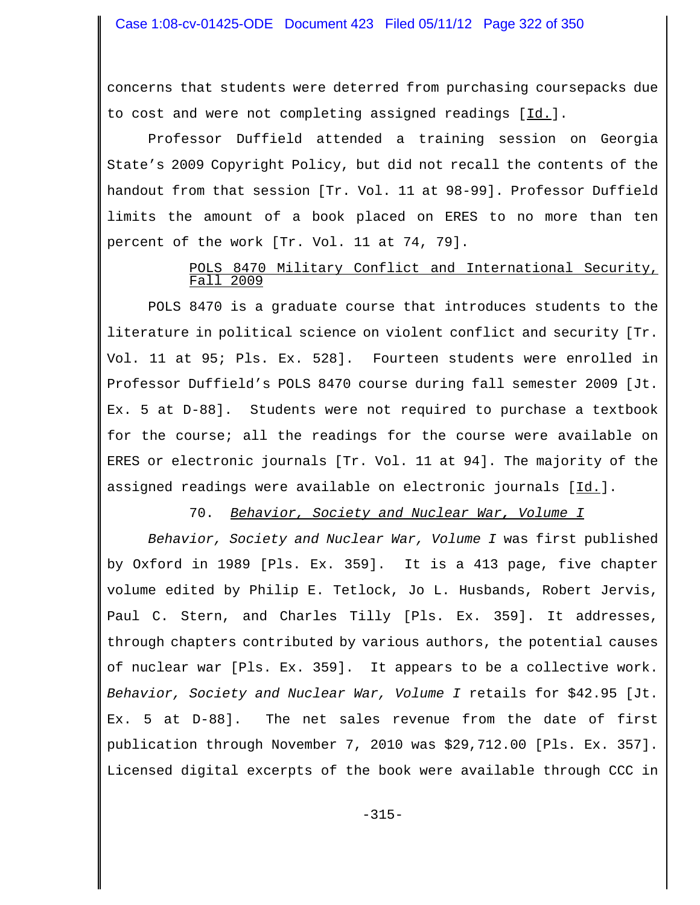concerns that students were deterred from purchasing coursepacks due to cost and were not completing assigned readings [Id.].

Professor Duffield attended a training session on Georgia State's 2009 Copyright Policy, but did not recall the contents of the handout from that session [Tr. Vol. 11 at 98-99]. Professor Duffield limits the amount of a book placed on ERES to no more than ten percent of the work [Tr. Vol. 11 at 74, 79].

## POLS 8470 Military Conflict and International Security, Fall 2009

POLS 8470 is a graduate course that introduces students to the literature in political science on violent conflict and security [Tr. Vol. 11 at 95; Pls. Ex. 528]. Fourteen students were enrolled in Professor Duffield's POLS 8470 course during fall semester 2009 [Jt. Ex. 5 at D-88]. Students were not required to purchase a textbook for the course; all the readings for the course were available on ERES or electronic journals [Tr. Vol. 11 at 94]. The majority of the assigned readings were available on electronic journals [Id.].

## 70. *Behavior, Society and Nuclear War, Volume I*

*Behavior, Society and Nuclear War, Volume I* was first published by Oxford in 1989 [Pls. Ex. 359]. It is a 413 page, five chapter volume edited by Philip E. Tetlock, Jo L. Husbands, Robert Jervis, Paul C. Stern, and Charles Tilly [Pls. Ex. 359]. It addresses, through chapters contributed by various authors, the potential causes of nuclear war [Pls. Ex. 359]. It appears to be a collective work. *Behavior, Society and Nuclear War, Volume I* retails for \$42.95 [Jt. Ex. 5 at D-88]. The net sales revenue from the date of first publication through November 7, 2010 was \$29,712.00 [Pls. Ex. 357]. Licensed digital excerpts of the book were available through CCC in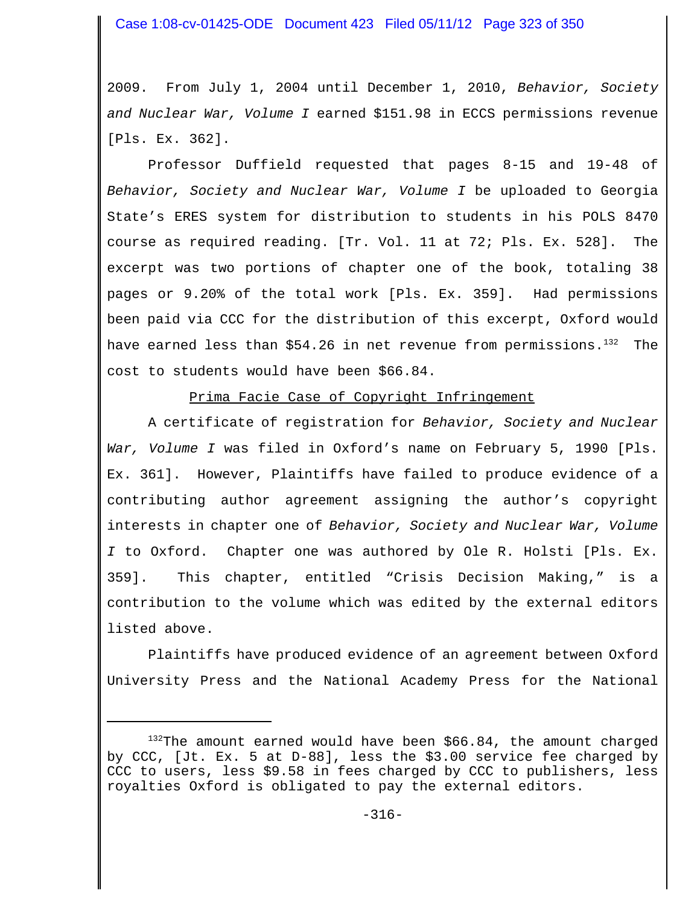2009. From July 1, 2004 until December 1, 2010, *Behavior, Society and Nuclear War, Volume I* earned \$151.98 in ECCS permissions revenue [Pls. Ex. 362].

Professor Duffield requested that pages 8-15 and 19-48 of *Behavior, Society and Nuclear War, Volume I* be uploaded to Georgia State's ERES system for distribution to students in his POLS 8470 course as required reading. [Tr. Vol. 11 at 72; Pls. Ex. 528]. The excerpt was two portions of chapter one of the book, totaling 38 pages or 9.20% of the total work [Pls. Ex. 359]. Had permissions been paid via CCC for the distribution of this excerpt, Oxford would have earned less than \$54.26 in net revenue from permissions.132The cost to students would have been \$66.84.

Prima Facie Case of Copyright Infringement

A certificate of registration for *Behavior, Society and Nuclear War, Volume I* was filed in Oxford's name on February 5, 1990 [Pls. Ex. 361]. However, Plaintiffs have failed to produce evidence of a contributing author agreement assigning the author's copyright interests in chapter one of *Behavior, Society and Nuclear War, Volume I* to Oxford. Chapter one was authored by Ole R. Holsti [Pls. Ex. 359]. This chapter, entitled "Crisis Decision Making," is a contribution to the volume which was edited by the external editors listed above.

Plaintiffs have produced evidence of an agreement between Oxford University Press and the National Academy Press for the National

 $132$ The amount earned would have been \$66.84, the amount charged by CCC, [Jt. Ex. 5 at D-88], less the \$3.00 service fee charged by CCC to users, less \$9.58 in fees charged by CCC to publishers, less royalties Oxford is obligated to pay the external editors.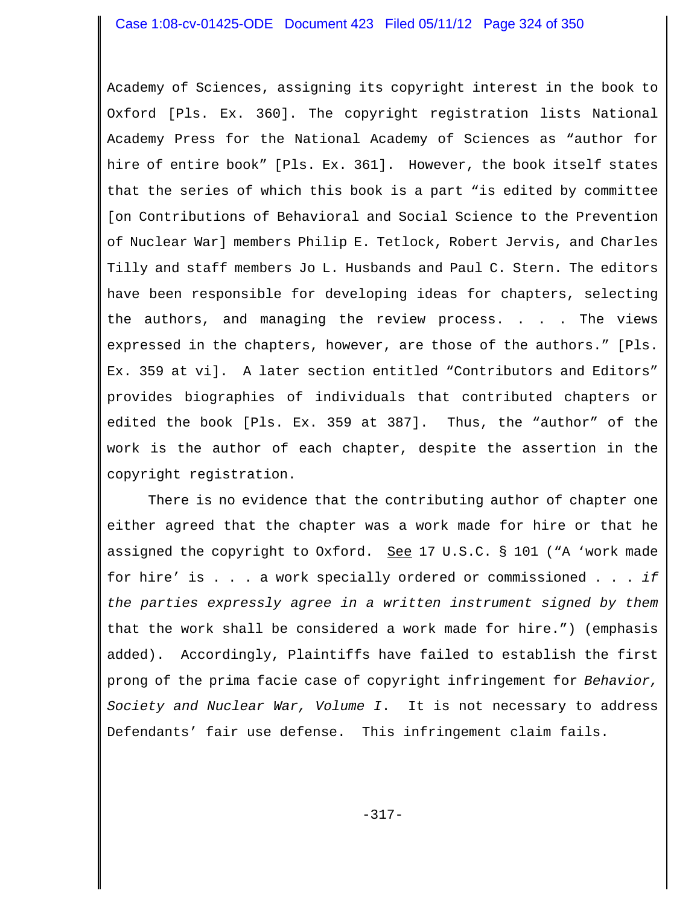## Case 1:08-cv-01425-ODE Document 423 Filed 05/11/12 Page 324 of 350

Academy of Sciences, assigning its copyright interest in the book to Oxford [Pls. Ex. 360]. The copyright registration lists National Academy Press for the National Academy of Sciences as "author for hire of entire book" [Pls. Ex. 361]. However, the book itself states that the series of which this book is a part "is edited by committee [on Contributions of Behavioral and Social Science to the Prevention of Nuclear War] members Philip E. Tetlock, Robert Jervis, and Charles Tilly and staff members Jo L. Husbands and Paul C. Stern. The editors have been responsible for developing ideas for chapters, selecting the authors, and managing the review process. . . . The views expressed in the chapters, however, are those of the authors." [Pls. Ex. 359 at vi]. A later section entitled "Contributors and Editors" provides biographies of individuals that contributed chapters or edited the book [Pls. Ex. 359 at 387]. Thus, the "author" of the work is the author of each chapter, despite the assertion in the copyright registration.

There is no evidence that the contributing author of chapter one either agreed that the chapter was a work made for hire or that he assigned the copyright to Oxford. See 17 U.S.C.  $\S$  101 ("A 'work made for hire' is . . . a work specially ordered or commissioned . . . *if the parties expressly agree in a written instrument signed by them* that the work shall be considered a work made for hire.") (emphasis added). Accordingly, Plaintiffs have failed to establish the first prong of the prima facie case of copyright infringement for *Behavior, Society and Nuclear War, Volume I*. It is not necessary to address Defendants' fair use defense. This infringement claim fails.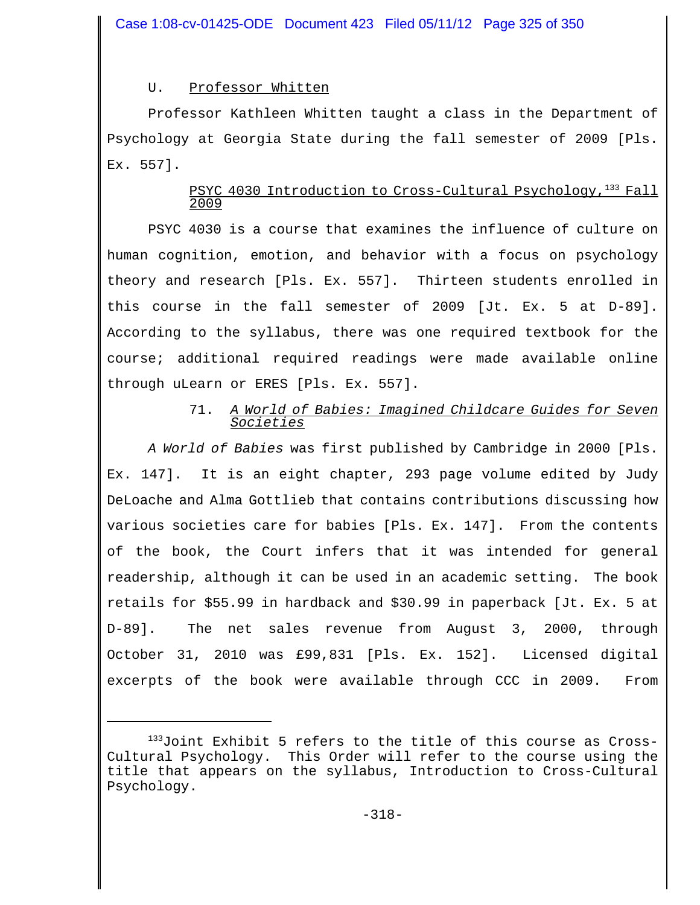# U. Professor Whitten

Professor Kathleen Whitten taught a class in the Department of Psychology at Georgia State during the fall semester of 2009 [Pls. Ex. 557].

# PSYC 4030 Introduction to Cross-Cultural Psychology, $1^{33}$  Fall 2009

PSYC 4030 is a course that examines the influence of culture on human cognition, emotion, and behavior with a focus on psychology theory and research [Pls. Ex. 557]. Thirteen students enrolled in this course in the fall semester of 2009 [Jt. Ex. 5 at D-89]. According to the syllabus, there was one required textbook for the course; additional required readings were made available online through uLearn or ERES [Pls. Ex. 557].

# 71. *A World of Babies: Imagined Childcare Guides for Seven Societies*

*A World of Babies* was first published by Cambridge in 2000 [Pls. Ex. 147]. It is an eight chapter, 293 page volume edited by Judy DeLoache and Alma Gottlieb that contains contributions discussing how various societies care for babies [Pls. Ex. 147]. From the contents of the book, the Court infers that it was intended for general readership, although it can be used in an academic setting. The book retails for \$55.99 in hardback and \$30.99 in paperback [Jt. Ex. 5 at D-89]. The net sales revenue from August 3, 2000, through October 31, 2010 was £99,831 [Pls. Ex. 152]. Licensed digital excerpts of the book were available through CCC in 2009. From

<sup>133</sup>Joint Exhibit 5 refers to the title of this course as Cross-Cultural Psychology. This Order will refer to the course using the title that appears on the syllabus, Introduction to Cross-Cultural Psychology.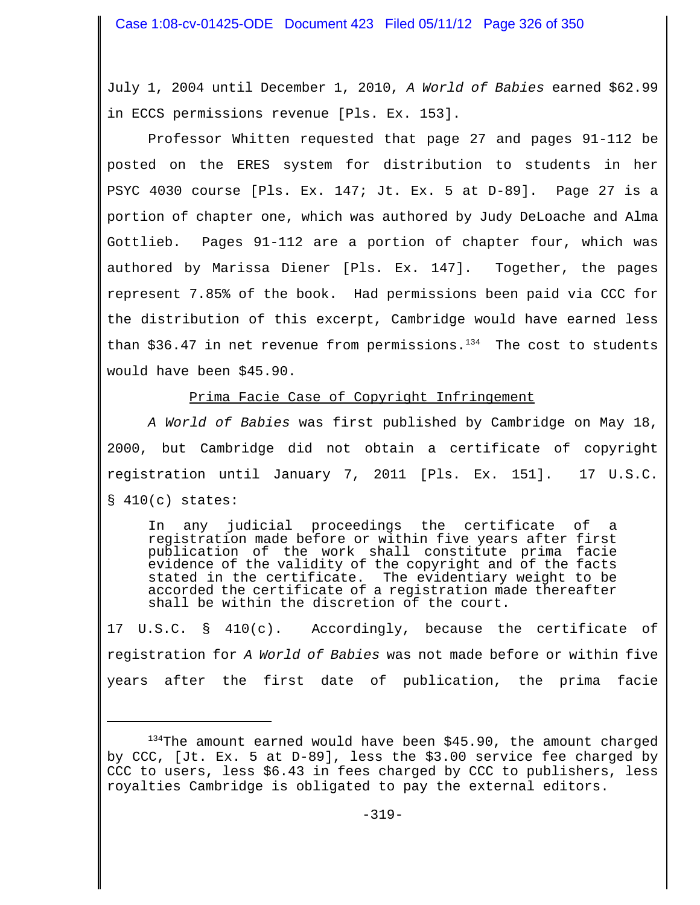July 1, 2004 until December 1, 2010, *A World of Babies* earned \$62.99 in ECCS permissions revenue [Pls. Ex. 153].

Professor Whitten requested that page 27 and pages 91-112 be posted on the ERES system for distribution to students in her PSYC 4030 course [Pls. Ex. 147; Jt. Ex. 5 at D-89]. Page 27 is a portion of chapter one, which was authored by Judy DeLoache and Alma Gottlieb. Pages 91-112 are a portion of chapter four, which was authored by Marissa Diener [Pls. Ex. 147]. Together, the pages represent 7.85% of the book. Had permissions been paid via CCC for the distribution of this excerpt, Cambridge would have earned less than \$36.47 in net revenue from permissions. $134$  The cost to students would have been \$45.90.

Prima Facie Case of Copyright Infringement

*A World of Babies* was first published by Cambridge on May 18, 2000, but Cambridge did not obtain a certificate of copyright registration until January 7, 2011 [Pls. Ex. 151]. 17 U.S.C.  $$410(c)$  states:

In any judicial proceedings the certificate of a registration made before or within five years after first publication of the work shall constitute prima facie evidence of the validity of the copyright and of the facts<br>stated in the certificate. The evidentiary weight to be The evidentiary weight to be accorded the certificate of a registration made thereafter shall be within the discretion of the court.

17 U.S.C. § 410(c). Accordingly, because the certificate of registration for *A World of Babies* was not made before or within five years after the first date of publication, the prima facie

<sup>&</sup>lt;sup>134</sup>The amount earned would have been \$45.90, the amount charged by CCC, [Jt. Ex. 5 at D-89], less the \$3.00 service fee charged by CCC to users, less \$6.43 in fees charged by CCC to publishers, less royalties Cambridge is obligated to pay the external editors.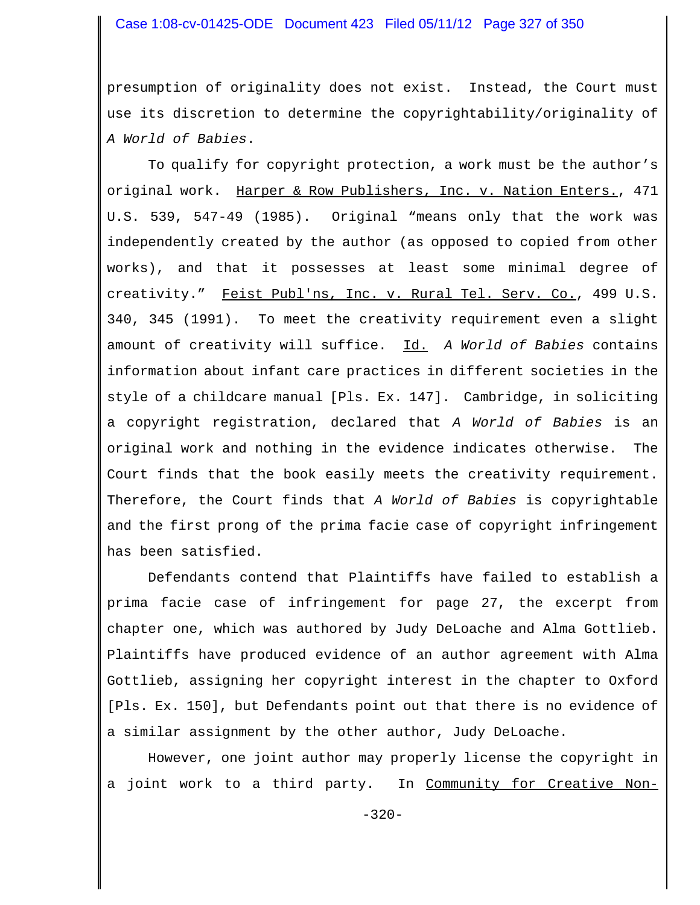### Case 1:08-cv-01425-ODE Document 423 Filed 05/11/12 Page 327 of 350

presumption of originality does not exist. Instead, the Court must use its discretion to determine the copyrightability/originality of *A World of Babies*.

To qualify for copyright protection, a work must be the author's original work. Harper & Row Publishers, Inc. v. Nation Enters., 471 U.S. 539, 547-49 (1985). Original "means only that the work was independently created by the author (as opposed to copied from other works), and that it possesses at least some minimal degree of creativity." Feist Publ'ns, Inc. v. Rural Tel. Serv. Co., 499 U.S. 340, 345 (1991). To meet the creativity requirement even a slight amount of creativity will suffice. Id. *A World of Babies* contains information about infant care practices in different societies in the style of a childcare manual [Pls. Ex. 147]. Cambridge, in soliciting a copyright registration, declared that *A World of Babies* is an original work and nothing in the evidence indicates otherwise. The Court finds that the book easily meets the creativity requirement. Therefore, the Court finds that *A World of Babies* is copyrightable and the first prong of the prima facie case of copyright infringement has been satisfied.

Defendants contend that Plaintiffs have failed to establish a prima facie case of infringement for page 27, the excerpt from chapter one, which was authored by Judy DeLoache and Alma Gottlieb. Plaintiffs have produced evidence of an author agreement with Alma Gottlieb, assigning her copyright interest in the chapter to Oxford [Pls. Ex. 150], but Defendants point out that there is no evidence of a similar assignment by the other author, Judy DeLoache.

However, one joint author may properly license the copyright in a joint work to a third party. In Community for Creative Non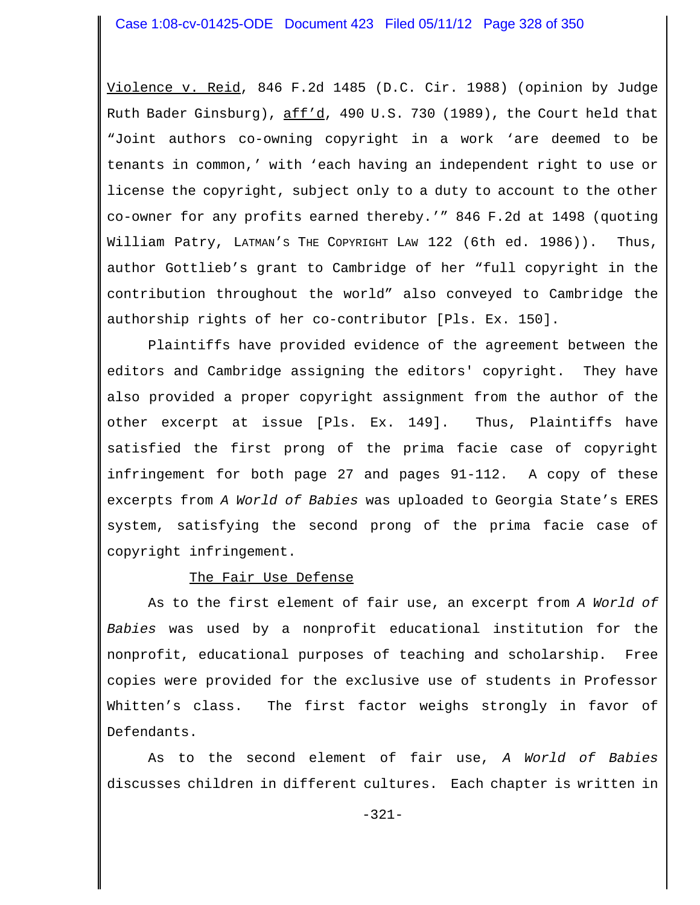Violence v. Reid, 846 F.2d 1485 (D.C. Cir. 1988) (opinion by Judge Ruth Bader Ginsburg), aff'd, 490 U.S. 730 (1989), the Court held that "Joint authors co-owning copyright in a work 'are deemed to be tenants in common,' with 'each having an independent right to use or license the copyright, subject only to a duty to account to the other co-owner for any profits earned thereby.'" 846 F.2d at 1498 (quoting William Patry, LATMAN'S THE COPYRIGHT LAW 122 (6th ed. 1986)). Thus, author Gottlieb's grant to Cambridge of her "full copyright in the contribution throughout the world" also conveyed to Cambridge the authorship rights of her co-contributor [Pls. Ex. 150].

Plaintiffs have provided evidence of the agreement between the editors and Cambridge assigning the editors' copyright. They have also provided a proper copyright assignment from the author of the other excerpt at issue [Pls. Ex. 149]. Thus, Plaintiffs have satisfied the first prong of the prima facie case of copyright infringement for both page 27 and pages 91-112. A copy of these excerpts from *A World of Babies* was uploaded to Georgia State's ERES system, satisfying the second prong of the prima facie case of copyright infringement.

# The Fair Use Defense

As to the first element of fair use, an excerpt from *A World of Babies* was used by a nonprofit educational institution for the nonprofit, educational purposes of teaching and scholarship. Free copies were provided for the exclusive use of students in Professor Whitten's class. The first factor weighs strongly in favor of Defendants.

As to the second element of fair use, *A World of Babies* discusses children in different cultures. Each chapter is written in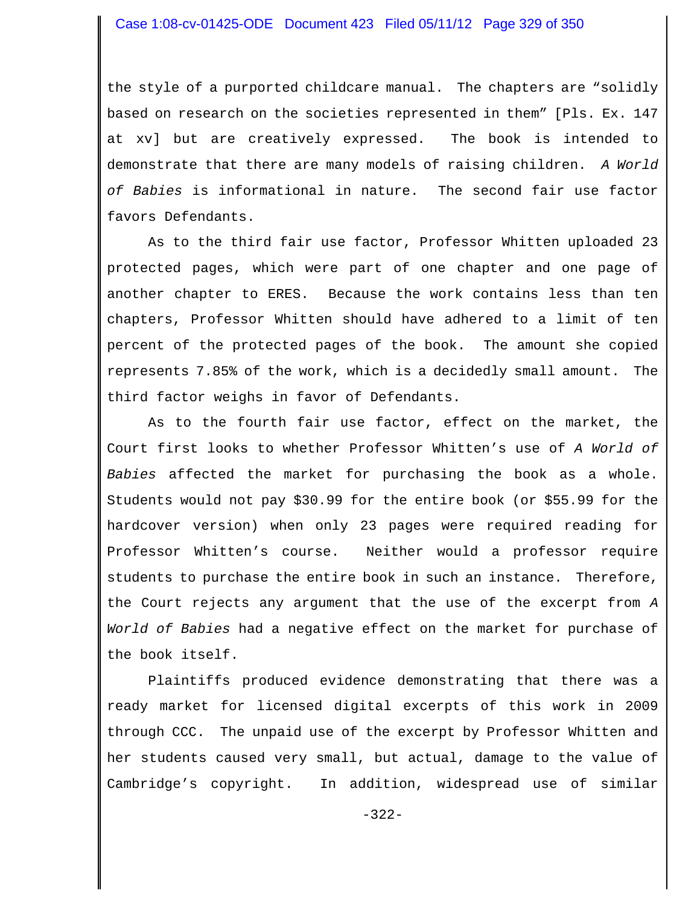the style of a purported childcare manual. The chapters are "solidly based on research on the societies represented in them" [Pls. Ex. 147 at xv] but are creatively expressed. The book is intended to demonstrate that there are many models of raising children. *A World of Babies* is informational in nature. The second fair use factor favors Defendants.

As to the third fair use factor, Professor Whitten uploaded 23 protected pages, which were part of one chapter and one page of another chapter to ERES. Because the work contains less than ten chapters, Professor Whitten should have adhered to a limit of ten percent of the protected pages of the book. The amount she copied represents 7.85% of the work, which is a decidedly small amount. The third factor weighs in favor of Defendants.

As to the fourth fair use factor, effect on the market, the Court first looks to whether Professor Whitten's use of *A World of Babies* affected the market for purchasing the book as a whole. Students would not pay \$30.99 for the entire book (or \$55.99 for the hardcover version) when only 23 pages were required reading for Professor Whitten's course. Neither would a professor require students to purchase the entire book in such an instance. Therefore, the Court rejects any argument that the use of the excerpt from *A World of Babies* had a negative effect on the market for purchase of the book itself.

Plaintiffs produced evidence demonstrating that there was a ready market for licensed digital excerpts of this work in 2009 through CCC. The unpaid use of the excerpt by Professor Whitten and her students caused very small, but actual, damage to the value of Cambridge's copyright. In addition, widespread use of similar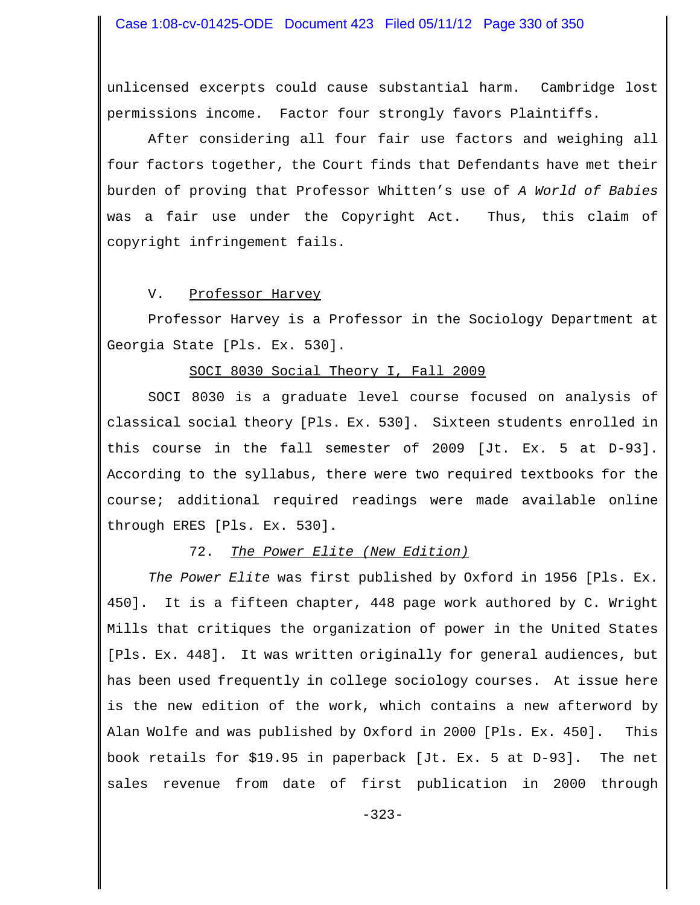unlicensed excerpts could cause substantial harm. Cambridge lost permissions income. Factor four strongly favors Plaintiffs.

After considering all four fair use factors and weighing all four factors together, the Court finds that Defendants have met their burden of proving that Professor Whitten's use of *A World of Babies* was a fair use under the Copyright Act. Thus, this claim of copyright infringement fails.

#### V. Professor Harvey

Professor Harvey is a Professor in the Sociology Department at Georgia State [Pls. Ex. 530].

### SOCI 8030 Social Theory I, Fall 2009

SOCI 8030 is a graduate level course focused on analysis of classical social theory [Pls. Ex. 530]. Sixteen students enrolled in this course in the fall semester of 2009 [Jt. Ex. 5 at D-93]. According to the syllabus, there were two required textbooks for the course; additional required readings were made available online through ERES [Pls. Ex. 530].

## 72. *The Power Elite (New Edition)*

*The Power Elite* was first published by Oxford in 1956 [Pls. Ex. 450]. It is a fifteen chapter, 448 page work authored by C. Wright Mills that critiques the organization of power in the United States [Pls. Ex. 448]. It was written originally for general audiences, but has been used frequently in college sociology courses. At issue here is the new edition of the work, which contains a new afterword by Alan Wolfe and was published by Oxford in 2000 [Pls. Ex. 450]. This book retails for \$19.95 in paperback [Jt. Ex. 5 at D-93]. The net sales revenue from date of first publication in 2000 through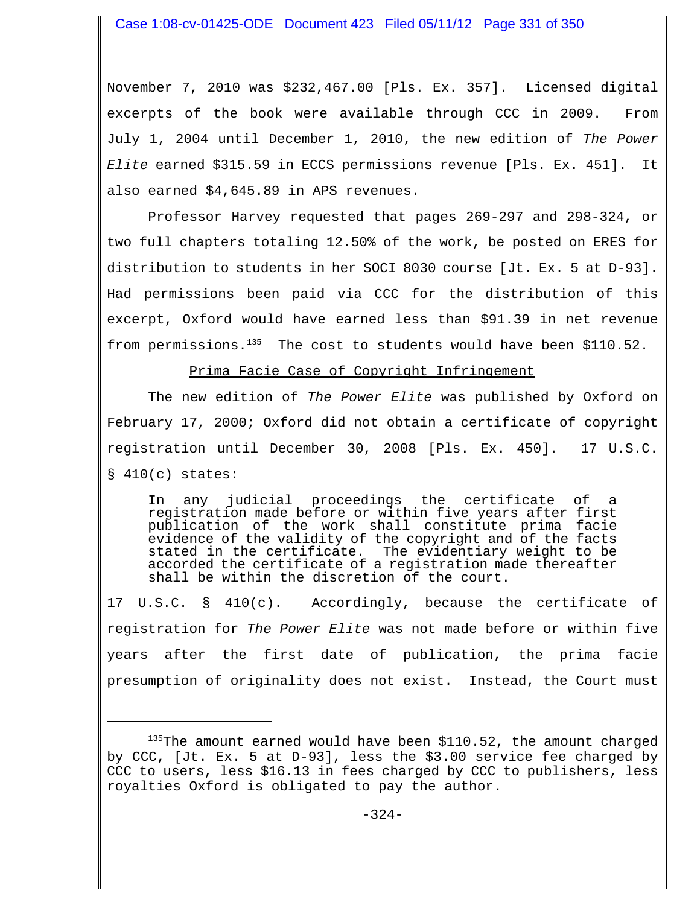November 7, 2010 was \$232,467.00 [Pls. Ex. 357]. Licensed digital excerpts of the book were available through CCC in 2009. From July 1, 2004 until December 1, 2010, the new edition of *The Power Elite* earned \$315.59 in ECCS permissions revenue [Pls. Ex. 451]. It also earned \$4,645.89 in APS revenues.

Professor Harvey requested that pages 269-297 and 298-324, or two full chapters totaling 12.50% of the work, be posted on ERES for distribution to students in her SOCI 8030 course [Jt. Ex. 5 at D-93]. Had permissions been paid via CCC for the distribution of this excerpt, Oxford would have earned less than \$91.39 in net revenue from permissions. $^{135}$  The cost to students would have been \$110.52.

### Prima Facie Case of Copyright Infringement

The new edition of *The Power Elite* was published by Oxford on February 17, 2000; Oxford did not obtain a certificate of copyright registration until December 30, 2008 [Pls. Ex. 450]. 17 U.S.C. § 410(c) states:

In any judicial proceedings the certificate of a registration made before or within five years after first publication of the work shall constitute prima facie evidence of the validity of the copyright and of the facts stated in the certificate. The evidentiary weight to be accorded the certificate of a registration made thereafter shall be within the discretion of the court.

17 U.S.C. § 410(c). Accordingly, because the certificate of registration for *The Power Elite* was not made before or within five years after the first date of publication, the prima facie presumption of originality does not exist. Instead, the Court must

 $135$ The amount earned would have been \$110.52, the amount charged by CCC, [Jt. Ex. 5 at D-93], less the \$3.00 service fee charged by CCC to users, less \$16.13 in fees charged by CCC to publishers, less royalties Oxford is obligated to pay the author.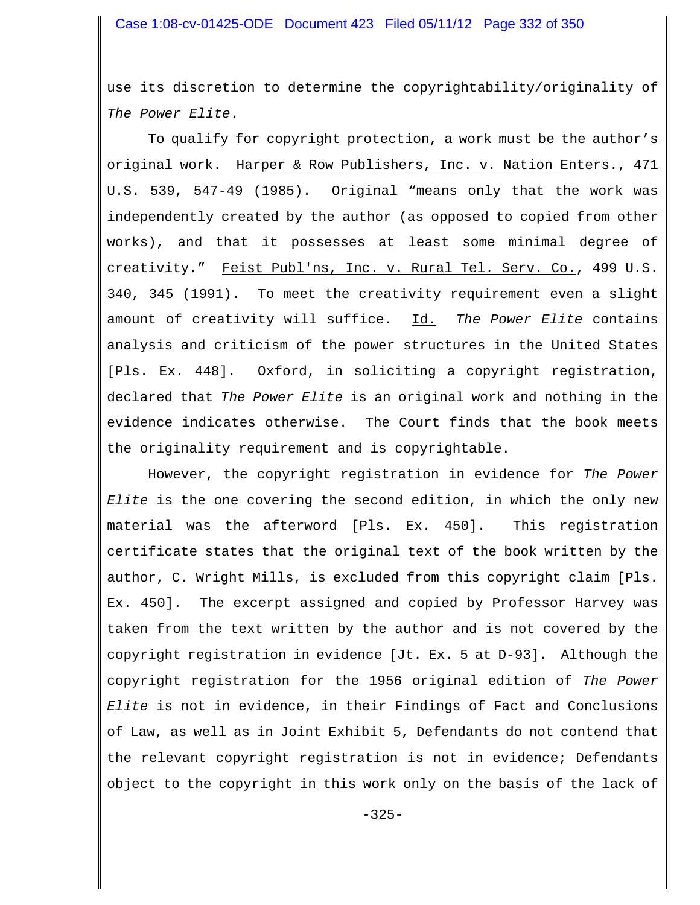use its discretion to determine the copyrightability/originality of *The Power Elite*.

To qualify for copyright protection, a work must be the author's original work. Harper & Row Publishers, Inc. v. Nation Enters., 471 U.S. 539, 547-49 (1985). Original "means only that the work was independently created by the author (as opposed to copied from other works), and that it possesses at least some minimal degree of creativity." Feist Publ'ns, Inc. v. Rural Tel. Serv. Co., 499 U.S. 340, 345 (1991). To meet the creativity requirement even a slight amount of creativity will suffice. Id. *The Power Elite* contains analysis and criticism of the power structures in the United States [Pls. Ex. 448]. Oxford, in soliciting a copyright registration, declared that *The Power Elite* is an original work and nothing in the evidence indicates otherwise. The Court finds that the book meets the originality requirement and is copyrightable.

However, the copyright registration in evidence for *The Power Elite* is the one covering the second edition, in which the only new material was the afterword [Pls. Ex. 450]. This registration certificate states that the original text of the book written by the author, C. Wright Mills, is excluded from this copyright claim [Pls. Ex. 450]. The excerpt assigned and copied by Professor Harvey was taken from the text written by the author and is not covered by the copyright registration in evidence [Jt. Ex. 5 at D-93]. Although the copyright registration for the 1956 original edition of *The Power Elite* is not in evidence, in their Findings of Fact and Conclusions of Law, as well as in Joint Exhibit 5, Defendants do not contend that the relevant copyright registration is not in evidence; Defendants object to the copyright in this work only on the basis of the lack of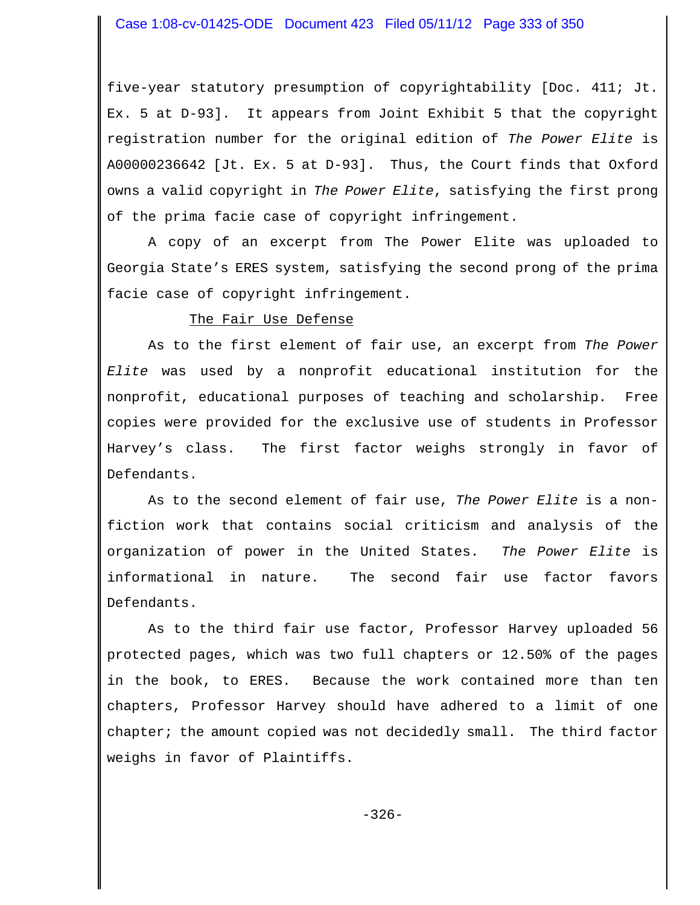five-year statutory presumption of copyrightability [Doc. 411; Jt. Ex. 5 at D-93]. It appears from Joint Exhibit 5 that the copyright registration number for the original edition of *The Power Elite* is A00000236642 [Jt. Ex. 5 at D-93]. Thus, the Court finds that Oxford owns a valid copyright in *The Power Elite*, satisfying the first prong of the prima facie case of copyright infringement.

A copy of an excerpt from The Power Elite was uploaded to Georgia State's ERES system, satisfying the second prong of the prima facie case of copyright infringement.

#### The Fair Use Defense

As to the first element of fair use, an excerpt from *The Power Elite* was used by a nonprofit educational institution for the nonprofit, educational purposes of teaching and scholarship. Free copies were provided for the exclusive use of students in Professor Harvey's class. The first factor weighs strongly in favor of Defendants.

As to the second element of fair use, *The Power Elite* is a nonfiction work that contains social criticism and analysis of the organization of power in the United States. *The Power Elite* is informational in nature. The second fair use factor favors Defendants.

As to the third fair use factor, Professor Harvey uploaded 56 protected pages, which was two full chapters or 12.50% of the pages in the book, to ERES. Because the work contained more than ten chapters, Professor Harvey should have adhered to a limit of one chapter; the amount copied was not decidedly small. The third factor weighs in favor of Plaintiffs.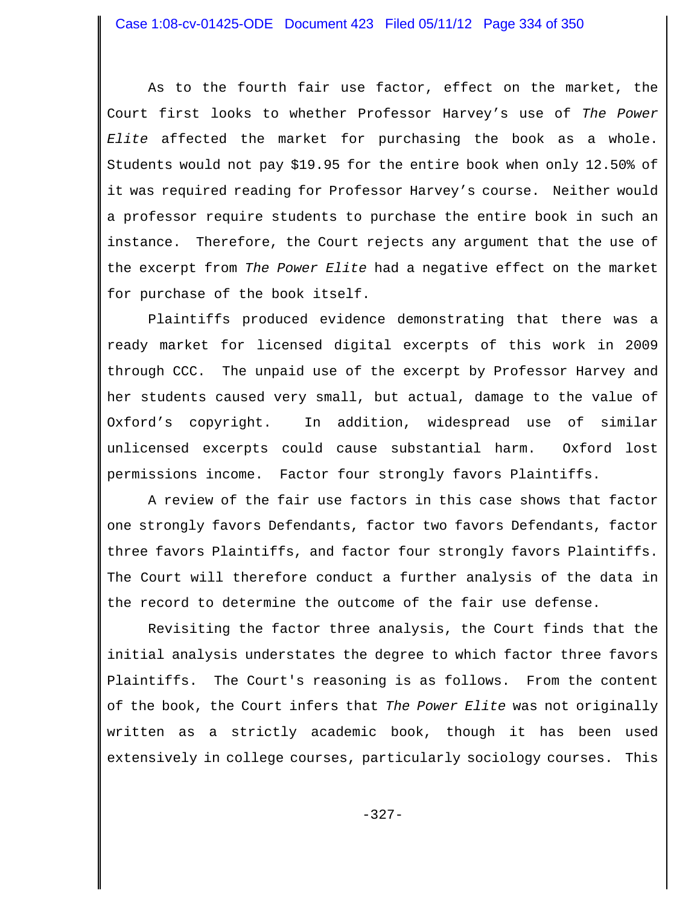As to the fourth fair use factor, effect on the market, the Court first looks to whether Professor Harvey's use of *The Power Elite* affected the market for purchasing the book as a whole. Students would not pay \$19.95 for the entire book when only 12.50% of it was required reading for Professor Harvey's course. Neither would a professor require students to purchase the entire book in such an instance. Therefore, the Court rejects any argument that the use of the excerpt from *The Power Elite* had a negative effect on the market for purchase of the book itself.

Plaintiffs produced evidence demonstrating that there was a ready market for licensed digital excerpts of this work in 2009 through CCC. The unpaid use of the excerpt by Professor Harvey and her students caused very small, but actual, damage to the value of Oxford's copyright. In addition, widespread use of similar unlicensed excerpts could cause substantial harm. Oxford lost permissions income. Factor four strongly favors Plaintiffs.

A review of the fair use factors in this case shows that factor one strongly favors Defendants, factor two favors Defendants, factor three favors Plaintiffs, and factor four strongly favors Plaintiffs. The Court will therefore conduct a further analysis of the data in the record to determine the outcome of the fair use defense.

Revisiting the factor three analysis, the Court finds that the initial analysis understates the degree to which factor three favors Plaintiffs. The Court's reasoning is as follows. From the content of the book, the Court infers that *The Power Elite* was not originally written as a strictly academic book, though it has been used extensively in college courses, particularly sociology courses. This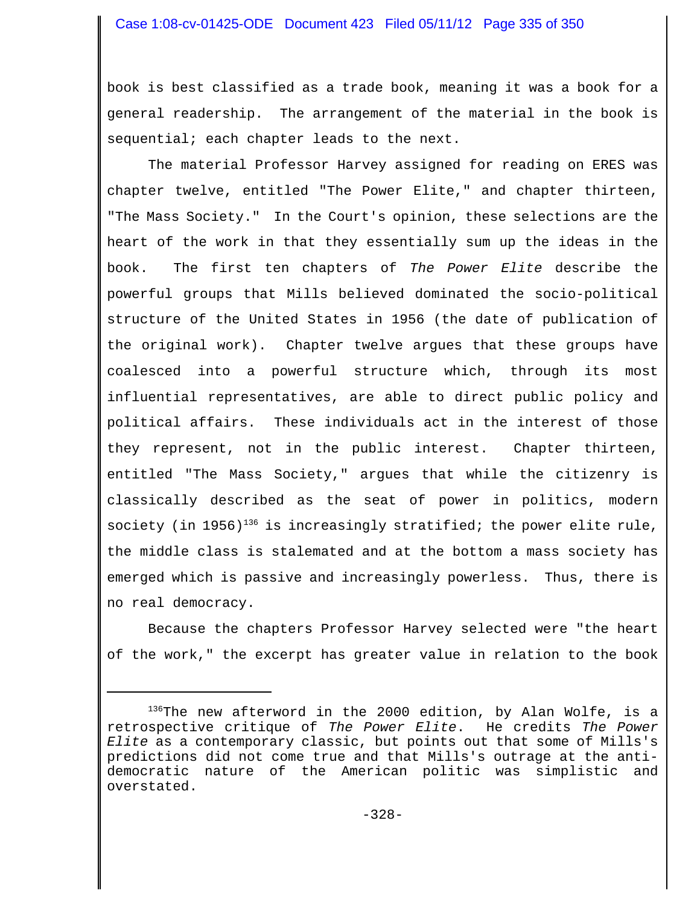book is best classified as a trade book, meaning it was a book for a general readership. The arrangement of the material in the book is sequential; each chapter leads to the next.

The material Professor Harvey assigned for reading on ERES was chapter twelve, entitled "The Power Elite," and chapter thirteen, "The Mass Society." In the Court's opinion, these selections are the heart of the work in that they essentially sum up the ideas in the book. The first ten chapters of *The Power Elite* describe the powerful groups that Mills believed dominated the socio-political structure of the United States in 1956 (the date of publication of the original work). Chapter twelve argues that these groups have coalesced into a powerful structure which, through its most influential representatives, are able to direct public policy and political affairs. These individuals act in the interest of those they represent, not in the public interest. Chapter thirteen, entitled "The Mass Society," argues that while the citizenry is classically described as the seat of power in politics, modern society (in 1956)<sup>136</sup> is increasingly stratified; the power elite rule, the middle class is stalemated and at the bottom a mass society has emerged which is passive and increasingly powerless. Thus, there is no real democracy.

Because the chapters Professor Harvey selected were "the heart of the work," the excerpt has greater value in relation to the book

 $136$ The new afterword in the 2000 edition, by Alan Wolfe, is a retrospective critique of *The Power Elite*. He credits *The Power Elite* as a contemporary classic, but points out that some of Mills's predictions did not come true and that Mills's outrage at the antidemocratic nature of the American politic was simplistic and overstated.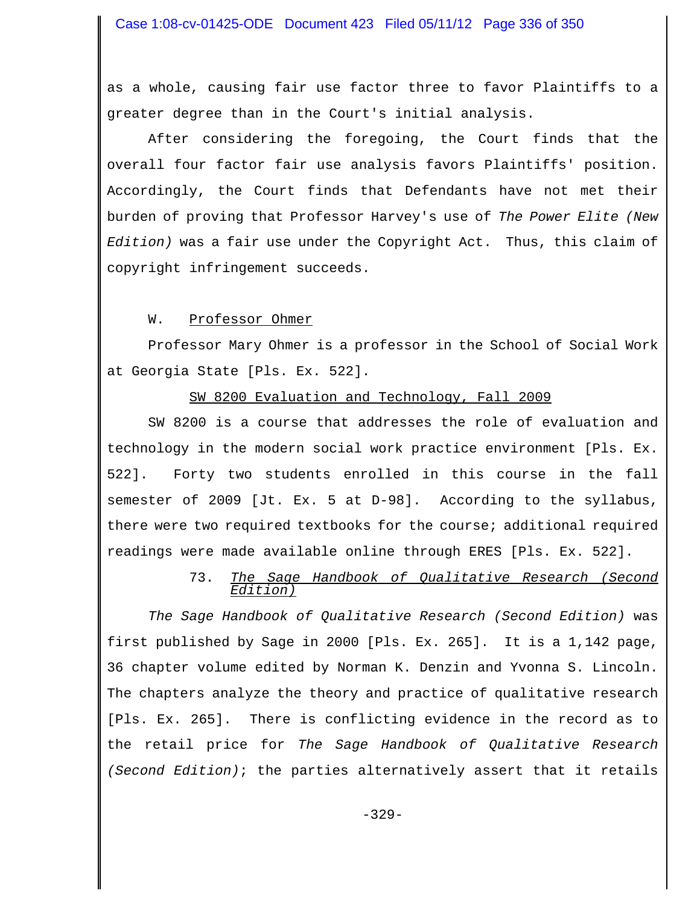as a whole, causing fair use factor three to favor Plaintiffs to a greater degree than in the Court's initial analysis.

After considering the foregoing, the Court finds that the overall four factor fair use analysis favors Plaintiffs' position. Accordingly, the Court finds that Defendants have not met their burden of proving that Professor Harvey's use of *The Power Elite (New Edition)* was a fair use under the Copyright Act. Thus, this claim of copyright infringement succeeds.

W. Professor Ohmer

Professor Mary Ohmer is a professor in the School of Social Work at Georgia State [Pls. Ex. 522].

### SW 8200 Evaluation and Technology, Fall 2009

SW 8200 is a course that addresses the role of evaluation and technology in the modern social work practice environment [Pls. Ex. 522]. Forty two students enrolled in this course in the fall semester of 2009 [Jt. Ex. 5 at D-98]. According to the syllabus, there were two required textbooks for the course; additional required readings were made available online through ERES [Pls. Ex. 522].

# 73. *The Sage Handbook of Qualitative Research (Second Edition)*

*The Sage Handbook of Qualitative Research (Second Edition)* was first published by Sage in 2000 [Pls. Ex. 265]. It is a 1,142 page, 36 chapter volume edited by Norman K. Denzin and Yvonna S. Lincoln. The chapters analyze the theory and practice of qualitative research [Pls. Ex. 265]. There is conflicting evidence in the record as to the retail price for *The Sage Handbook of Qualitative Research (Second Edition)*; the parties alternatively assert that it retails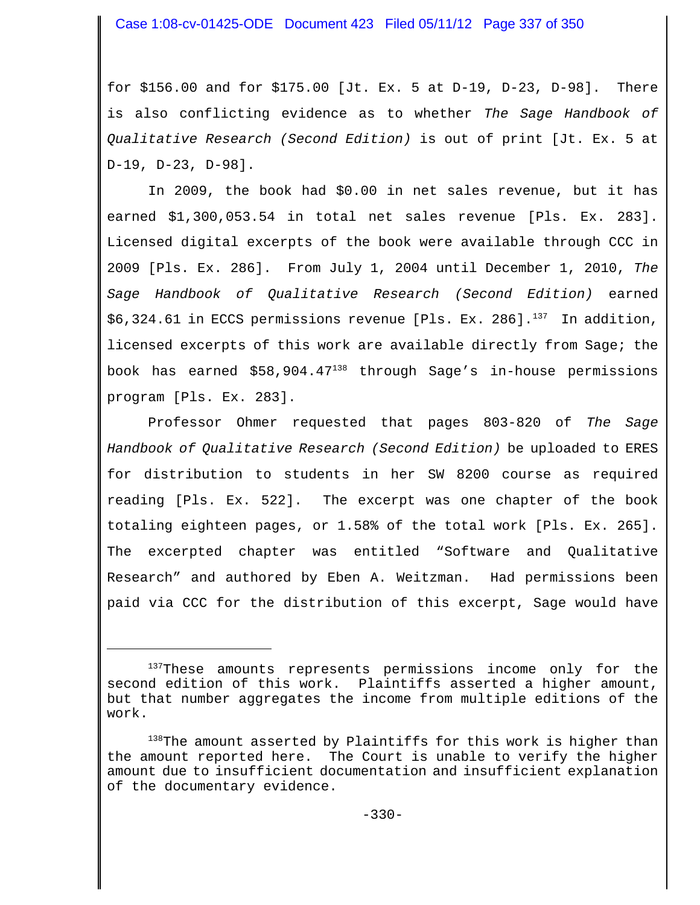for \$156.00 and for \$175.00 [Jt. Ex. 5 at D-19, D-23, D-98]. There is also conflicting evidence as to whether *The Sage Handbook of Qualitative Research (Second Edition)* is out of print [Jt. Ex. 5 at D-19, D-23, D-98].

In 2009, the book had \$0.00 in net sales revenue, but it has earned \$1,300,053.54 in total net sales revenue [Pls. Ex. 283]. Licensed digital excerpts of the book were available through CCC in 2009 [Pls. Ex. 286]. From July 1, 2004 until December 1, 2010, *The Sage Handbook of Qualitative Research (Second Edition)* earned  $$6,324.61$  in ECCS permissions revenue [Pls. Ex. 286].<sup>137</sup> In addition, licensed excerpts of this work are available directly from Sage; the book has earned \$58,904.47138 through Sage's in-house permissions program [Pls. Ex. 283].

Professor Ohmer requested that pages 803-820 of *The Sage Handbook of Qualitative Research (Second Edition)* be uploaded to ERES for distribution to students in her SW 8200 course as required reading [Pls. Ex. 522]. The excerpt was one chapter of the book totaling eighteen pages, or 1.58% of the total work [Pls. Ex. 265]. The excerpted chapter was entitled "Software and Qualitative Research" and authored by Eben A. Weitzman. Had permissions been paid via CCC for the distribution of this excerpt, Sage would have

<sup>&</sup>lt;sup>137</sup>These amounts represents permissions income only for the second edition of this work. Plaintiffs asserted a higher amount, but that number aggregates the income from multiple editions of the work.

<sup>138</sup>The amount asserted by Plaintiffs for this work is higher than the amount reported here. The Court is unable to verify the higher amount due to insufficient documentation and insufficient explanation of the documentary evidence.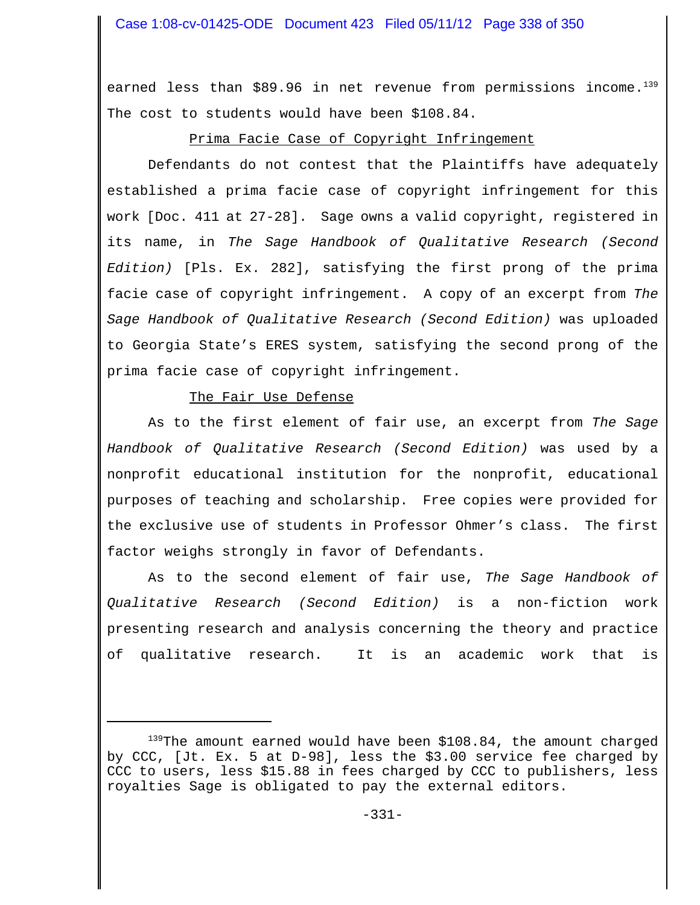earned less than \$89.96 in net revenue from permissions income. $139$ The cost to students would have been \$108.84.

## Prima Facie Case of Copyright Infringement

Defendants do not contest that the Plaintiffs have adequately established a prima facie case of copyright infringement for this work [Doc. 411 at 27-28]. Sage owns a valid copyright, registered in its name, in *The Sage Handbook of Qualitative Research (Second Edition)* [Pls. Ex. 282], satisfying the first prong of the prima facie case of copyright infringement. A copy of an excerpt from *The Sage Handbook of Qualitative Research (Second Edition)* was uploaded to Georgia State's ERES system, satisfying the second prong of the prima facie case of copyright infringement.

# The Fair Use Defense

As to the first element of fair use, an excerpt from *The Sage Handbook of Qualitative Research (Second Edition)* was used by a nonprofit educational institution for the nonprofit, educational purposes of teaching and scholarship. Free copies were provided for the exclusive use of students in Professor Ohmer's class. The first factor weighs strongly in favor of Defendants.

As to the second element of fair use, *The Sage Handbook of Qualitative Research (Second Edition)* is a non-fiction work presenting research and analysis concerning the theory and practice of qualitative research. It is an academic work that is

<sup>&</sup>lt;sup>139</sup>The amount earned would have been \$108.84, the amount charged by CCC, [Jt. Ex. 5 at D-98], less the \$3.00 service fee charged by CCC to users, less \$15.88 in fees charged by CCC to publishers, less royalties Sage is obligated to pay the external editors.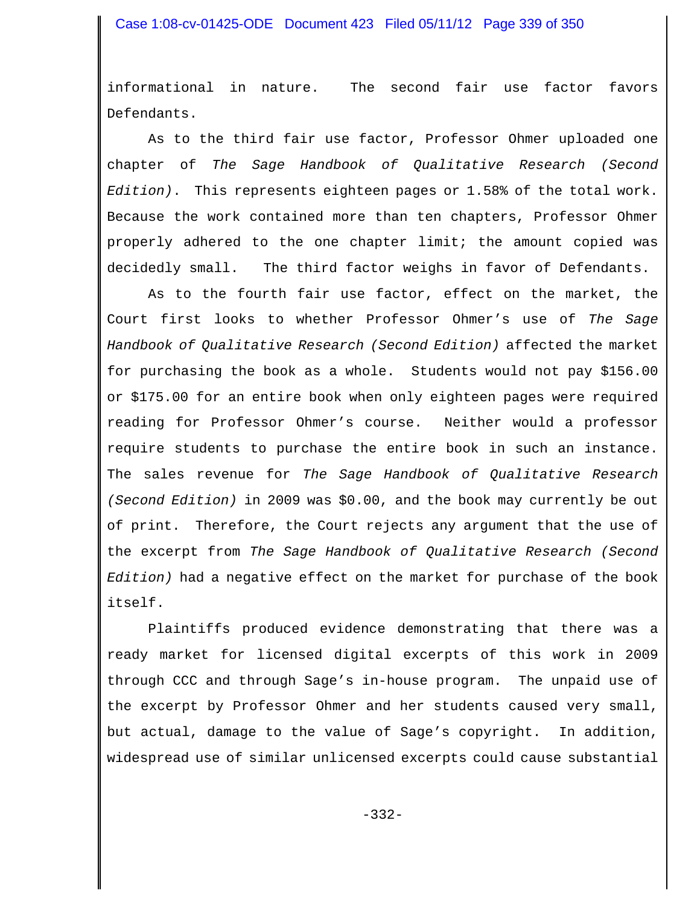informational in nature. The second fair use factor favors Defendants.

As to the third fair use factor, Professor Ohmer uploaded one chapter of *The Sage Handbook of Qualitative Research (Second Edition)*. This represents eighteen pages or 1.58% of the total work. Because the work contained more than ten chapters, Professor Ohmer properly adhered to the one chapter limit; the amount copied was decidedly small. The third factor weighs in favor of Defendants.

As to the fourth fair use factor, effect on the market, the Court first looks to whether Professor Ohmer's use of *The Sage Handbook of Qualitative Research (Second Edition)* affected the market for purchasing the book as a whole. Students would not pay \$156.00 or \$175.00 for an entire book when only eighteen pages were required reading for Professor Ohmer's course. Neither would a professor require students to purchase the entire book in such an instance. The sales revenue for *The Sage Handbook of Qualitative Research (Second Edition)* in 2009 was \$0.00, and the book may currently be out of print. Therefore, the Court rejects any argument that the use of the excerpt from *The Sage Handbook of Qualitative Research (Second Edition)* had a negative effect on the market for purchase of the book itself.

Plaintiffs produced evidence demonstrating that there was a ready market for licensed digital excerpts of this work in 2009 through CCC and through Sage's in-house program. The unpaid use of the excerpt by Professor Ohmer and her students caused very small, but actual, damage to the value of Sage's copyright. In addition, widespread use of similar unlicensed excerpts could cause substantial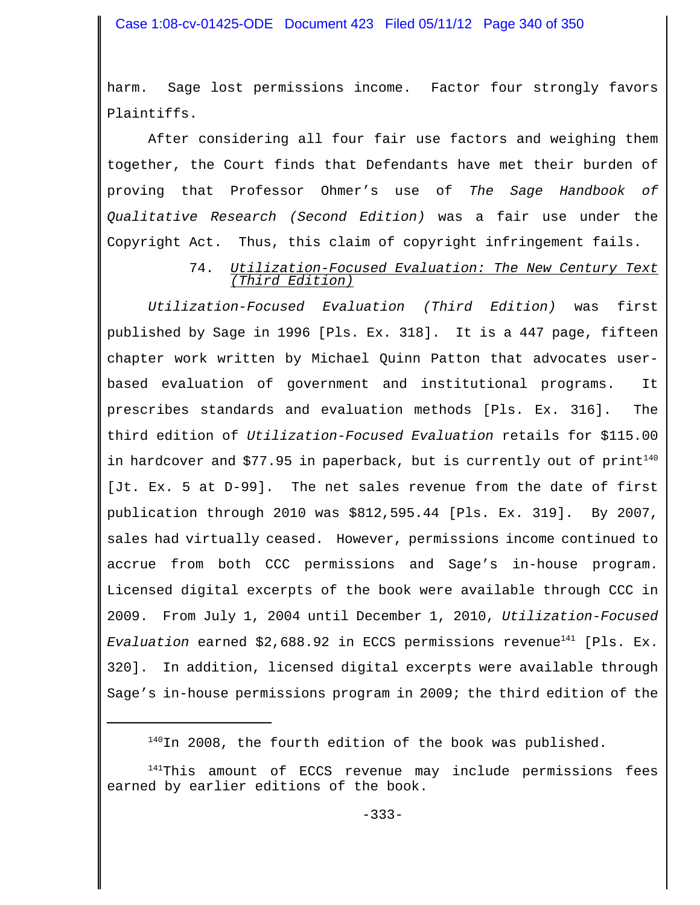harm. Sage lost permissions income. Factor four strongly favors Plaintiffs.

After considering all four fair use factors and weighing them together, the Court finds that Defendants have met their burden of proving that Professor Ohmer's use of *The Sage Handbook of Qualitative Research (Second Edition)* was a fair use under the Copyright Act. Thus, this claim of copyright infringement fails.

#### 74. *Utilization-Focused Evaluation: The New Century Text (Third Edition)*

*Utilization-Focused Evaluation (Third Edition)* was first published by Sage in 1996 [Pls. Ex. 318]. It is a 447 page, fifteen chapter work written by Michael Quinn Patton that advocates userbased evaluation of government and institutional programs. It prescribes standards and evaluation methods [Pls. Ex. 316]. The third edition of *Utilization-Focused Evaluation* retails for \$115.00 in hardcover and \$77.95 in paperback, but is currently out of  $print^{140}$ [Jt. Ex. 5 at D-99]. The net sales revenue from the date of first publication through 2010 was \$812,595.44 [Pls. Ex. 319]. By 2007, sales had virtually ceased. However, permissions income continued to accrue from both CCC permissions and Sage's in-house program. Licensed digital excerpts of the book were available through CCC in 2009. From July 1, 2004 until December 1, 2010, *Utilization-Focused Evaluation* earned \$2,688.92 in ECCS permissions revenue141 [Pls. Ex. 320]. In addition, licensed digital excerpts were available through Sage's in-house permissions program in 2009; the third edition of the

 $140$ In 2008, the fourth edition of the book was published.

<sup>141</sup>This amount of ECCS revenue may include permissions fees earned by earlier editions of the book.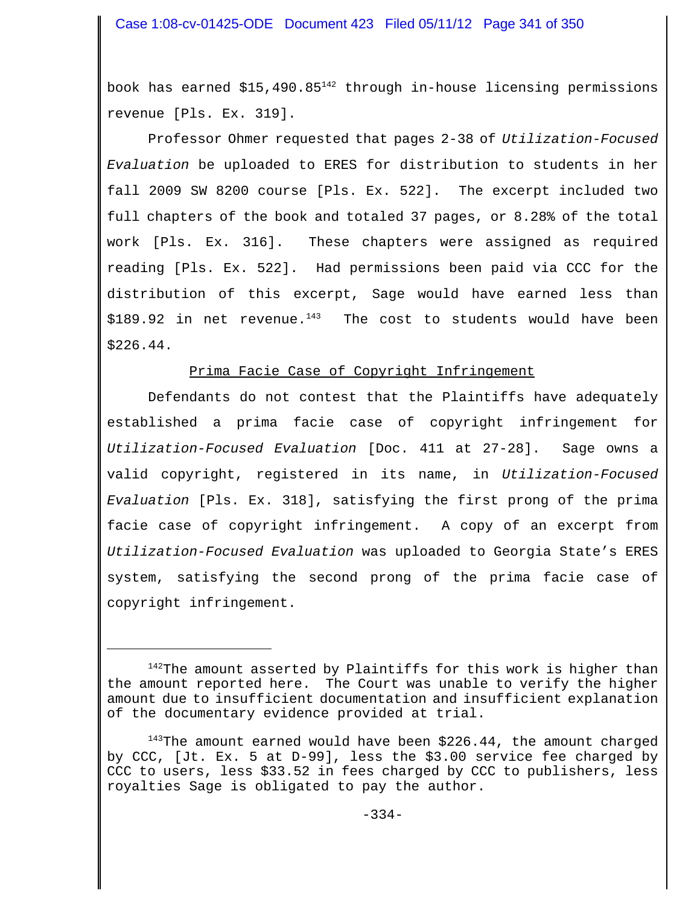book has earned  $$15,490.85<sup>142</sup>$  through in-house licensing permissions revenue [Pls. Ex. 319].

Professor Ohmer requested that pages 2-38 of *Utilization-Focused Evaluation* be uploaded to ERES for distribution to students in her fall 2009 SW 8200 course [Pls. Ex. 522]. The excerpt included two full chapters of the book and totaled 37 pages, or 8.28% of the total work [Pls. Ex. 316]. These chapters were assigned as required reading [Pls. Ex. 522]. Had permissions been paid via CCC for the distribution of this excerpt, Sage would have earned less than  $$189.92$  in net revenue.<sup>143</sup> The cost to students would have been \$226.44.

## Prima Facie Case of Copyright Infringement

Defendants do not contest that the Plaintiffs have adequately established a prima facie case of copyright infringement for *Utilization-Focused Evaluation* [Doc. 411 at 27-28]. Sage owns a valid copyright, registered in its name, in *Utilization-Focused Evaluation* [Pls. Ex. 318], satisfying the first prong of the prima facie case of copyright infringement. A copy of an excerpt from *Utilization-Focused Evaluation* was uploaded to Georgia State's ERES system, satisfying the second prong of the prima facie case of copyright infringement.

<sup>&</sup>lt;sup>142</sup>The amount asserted by Plaintiffs for this work is higher than the amount reported here. The Court was unable to verify the higher amount due to insufficient documentation and insufficient explanation of the documentary evidence provided at trial.

 $143$ The amount earned would have been \$226.44, the amount charged by CCC, [Jt. Ex. 5 at D-99], less the \$3.00 service fee charged by CCC to users, less \$33.52 in fees charged by CCC to publishers, less royalties Sage is obligated to pay the author.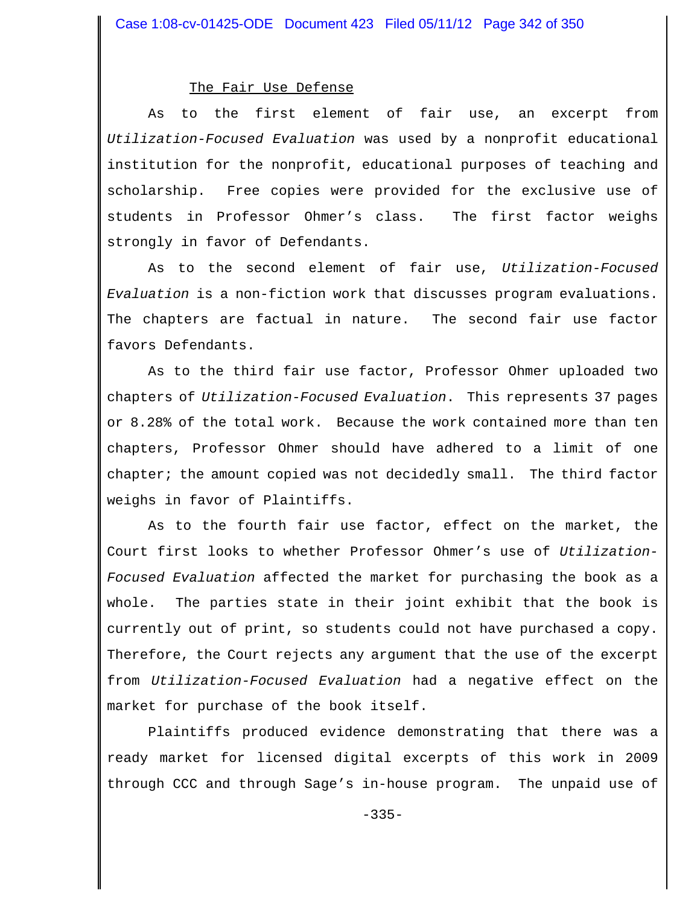#### The Fair Use Defense

As to the first element of fair use, an excerpt from *Utilization-Focused Evaluation* was used by a nonprofit educational institution for the nonprofit, educational purposes of teaching and scholarship. Free copies were provided for the exclusive use of students in Professor Ohmer's class. The first factor weighs strongly in favor of Defendants.

As to the second element of fair use, *Utilization-Focused Evaluation* is a non-fiction work that discusses program evaluations. The chapters are factual in nature. The second fair use factor favors Defendants.

As to the third fair use factor, Professor Ohmer uploaded two chapters of *Utilization-Focused Evaluation*. This represents 37 pages or 8.28% of the total work. Because the work contained more than ten chapters, Professor Ohmer should have adhered to a limit of one chapter; the amount copied was not decidedly small. The third factor weighs in favor of Plaintiffs.

As to the fourth fair use factor, effect on the market, the Court first looks to whether Professor Ohmer's use of *Utilization-Focused Evaluation* affected the market for purchasing the book as a whole. The parties state in their joint exhibit that the book is currently out of print, so students could not have purchased a copy. Therefore, the Court rejects any argument that the use of the excerpt from *Utilization-Focused Evaluation* had a negative effect on the market for purchase of the book itself.

Plaintiffs produced evidence demonstrating that there was a ready market for licensed digital excerpts of this work in 2009 through CCC and through Sage's in-house program. The unpaid use of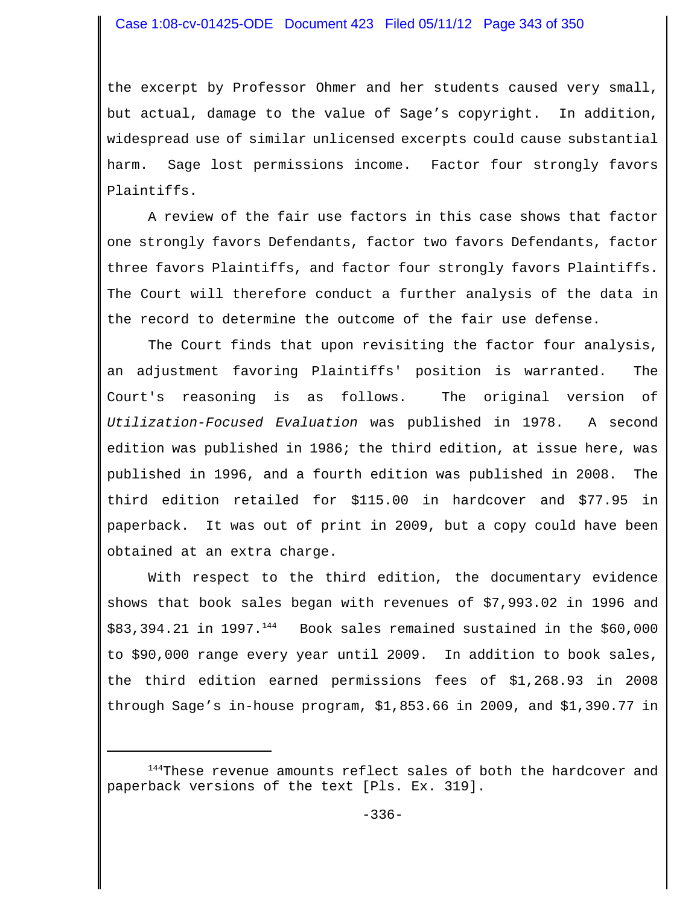the excerpt by Professor Ohmer and her students caused very small, but actual, damage to the value of Sage's copyright. In addition, widespread use of similar unlicensed excerpts could cause substantial harm. Sage lost permissions income. Factor four strongly favors Plaintiffs.

A review of the fair use factors in this case shows that factor one strongly favors Defendants, factor two favors Defendants, factor three favors Plaintiffs, and factor four strongly favors Plaintiffs. The Court will therefore conduct a further analysis of the data in the record to determine the outcome of the fair use defense.

The Court finds that upon revisiting the factor four analysis, an adjustment favoring Plaintiffs' position is warranted. The Court's reasoning is as follows.The original version of *Utilization-Focused Evaluation* was published in 1978. A second edition was published in 1986; the third edition, at issue here, was published in 1996, and a fourth edition was published in 2008. The third edition retailed for \$115.00 in hardcover and \$77.95 in paperback. It was out of print in 2009, but a copy could have been obtained at an extra charge.

With respect to the third edition, the documentary evidence shows that book sales began with revenues of \$7,993.02 in 1996 and  $$83,394.21$  in 1997.<sup>144</sup> Book sales remained sustained in the  $$60,000$ to \$90,000 range every year until 2009. In addition to book sales, the third edition earned permissions fees of \$1,268.93 in 2008 through Sage's in-house program, \$1,853.66 in 2009, and \$1,390.77 in

<sup>&</sup>lt;sup>144</sup>These revenue amounts reflect sales of both the hardcover and paperback versions of the text [Pls. Ex. 319].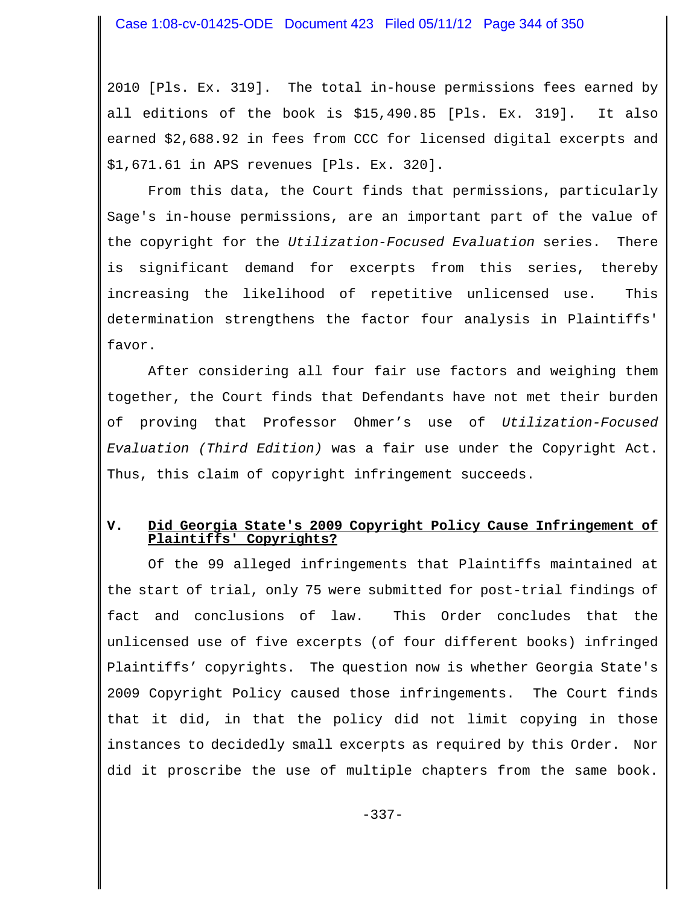2010 [Pls. Ex. 319]. The total in-house permissions fees earned by all editions of the book is \$15,490.85 [Pls. Ex. 319]. It also earned \$2,688.92 in fees from CCC for licensed digital excerpts and \$1,671.61 in APS revenues [Pls. Ex. 320].

From this data, the Court finds that permissions, particularly Sage's in-house permissions, are an important part of the value of the copyright for the *Utilization-Focused Evaluation* series. There is significant demand for excerpts from this series, thereby increasing the likelihood of repetitive unlicensed use. This determination strengthens the factor four analysis in Plaintiffs' favor.

After considering all four fair use factors and weighing them together, the Court finds that Defendants have not met their burden of proving that Professor Ohmer's use of *Utilization-Focused Evaluation (Third Edition)* was a fair use under the Copyright Act. Thus, this claim of copyright infringement succeeds.

### **V. Did Georgia State's 2009 Copyright Policy Cause Infringement of Plaintiffs' Copyrights?**

Of the 99 alleged infringements that Plaintiffs maintained at the start of trial, only 75 were submitted for post-trial findings of fact and conclusions of law. This Order concludes that the unlicensed use of five excerpts (of four different books) infringed Plaintiffs' copyrights. The question now is whether Georgia State's 2009 Copyright Policy caused those infringements. The Court finds that it did, in that the policy did not limit copying in those instances to decidedly small excerpts as required by this Order. Nor did it proscribe the use of multiple chapters from the same book.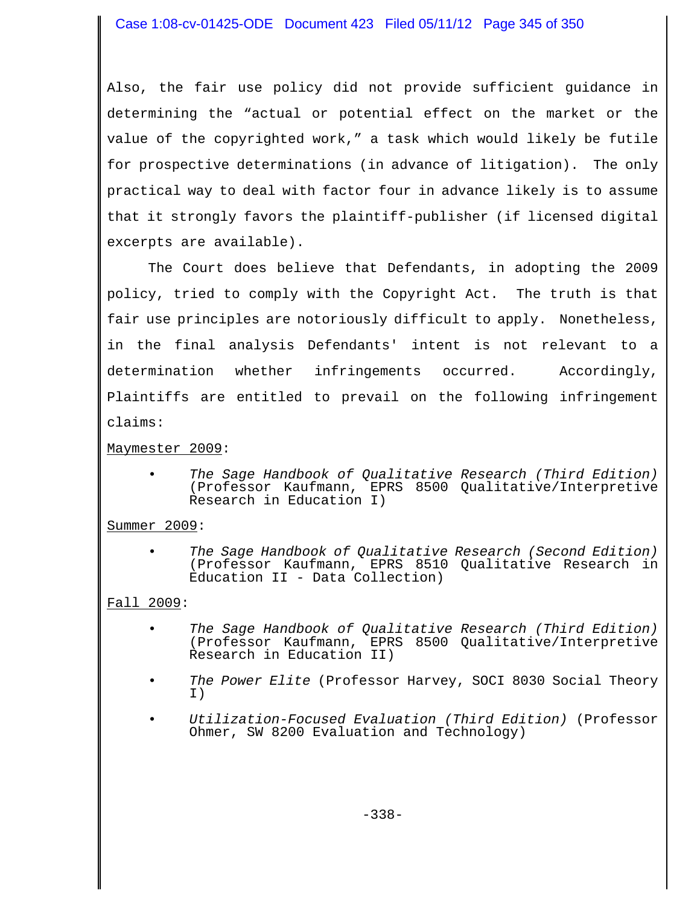Also, the fair use policy did not provide sufficient guidance in determining the "actual or potential effect on the market or the value of the copyrighted work," a task which would likely be futile for prospective determinations (in advance of litigation). The only practical way to deal with factor four in advance likely is to assume that it strongly favors the plaintiff-publisher (if licensed digital excerpts are available).

The Court does believe that Defendants, in adopting the 2009 policy, tried to comply with the Copyright Act. The truth is that fair use principles are notoriously difficult to apply. Nonetheless, in the final analysis Defendants' intent is not relevant to a determination whether infringements occurred. Accordingly, Plaintiffs are entitled to prevail on the following infringement claims:

Maymester 2009:

• *The Sage Handbook of Qualitative Research (Third Edition)* (Professor Kaufmann, EPRS 8500 Qualitative/Interpretive Research in Education I)

## Summer 2009:

• *The Sage Handbook of Qualitative Research (Second Edition)* (Professor Kaufmann, EPRS 8510 Qualitative Research in Education II - Data Collection)

Fall 2009:

- *The Sage Handbook of Qualitative Research (Third Edition)* (Professor Kaufmann, EPRS 8500 Qualitative/Interpretive Research in Education II)
- *The Power Elite* (Professor Harvey, SOCI 8030 Social Theory I)
- *Utilization-Focused Evaluation (Third Edition)* (Professor Ohmer, SW 8200 Evaluation and Technology)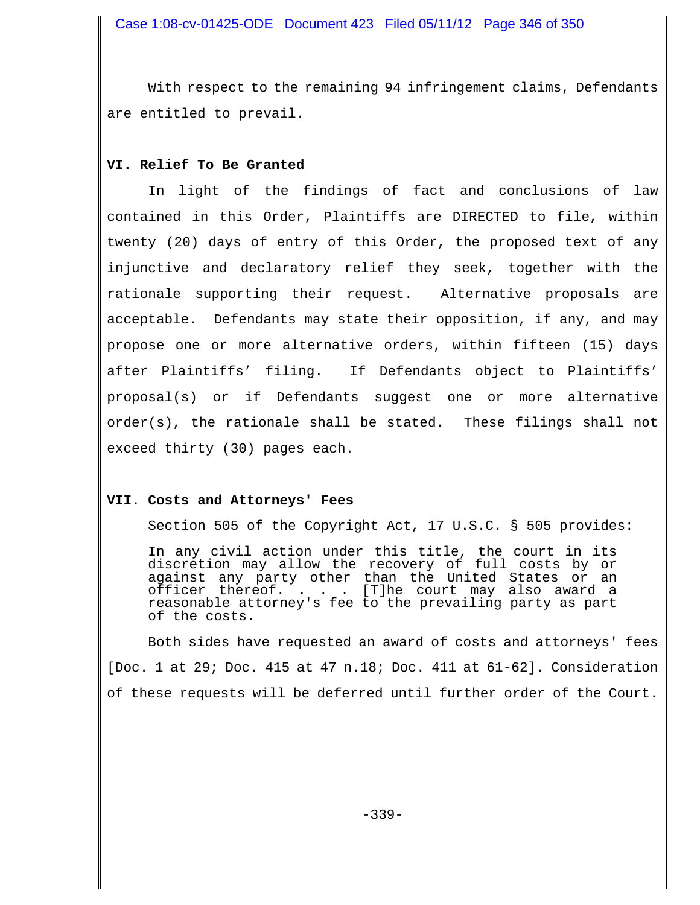With respect to the remaining 94 infringement claims, Defendants are entitled to prevail.

## **VI. Relief To Be Granted**

In light of the findings of fact and conclusions of law contained in this Order, Plaintiffs are DIRECTED to file, within twenty (20) days of entry of this Order, the proposed text of any injunctive and declaratory relief they seek, together with the rationale supporting their request. Alternative proposals are acceptable. Defendants may state their opposition, if any, and may propose one or more alternative orders, within fifteen (15) days after Plaintiffs' filing. If Defendants object to Plaintiffs' proposal(s) or if Defendants suggest one or more alternative order(s), the rationale shall be stated. These filings shall not exceed thirty (30) pages each.

#### **VII. Costs and Attorneys' Fees**

Section 505 of the Copyright Act, 17 U.S.C. § 505 provides:

In any civil action under this title, the court in its discretion may allow the recovery of full costs by or against any party other than the United States or an officer thereof. . . . [T]he court may also award a reasonable attorney's fee to the prevailing party as part of the costs.

Both sides have requested an award of costs and attorneys' fees [Doc. 1 at 29; Doc. 415 at 47 n.18; Doc. 411 at 61-62]. Consideration of these requests will be deferred until further order of the Court.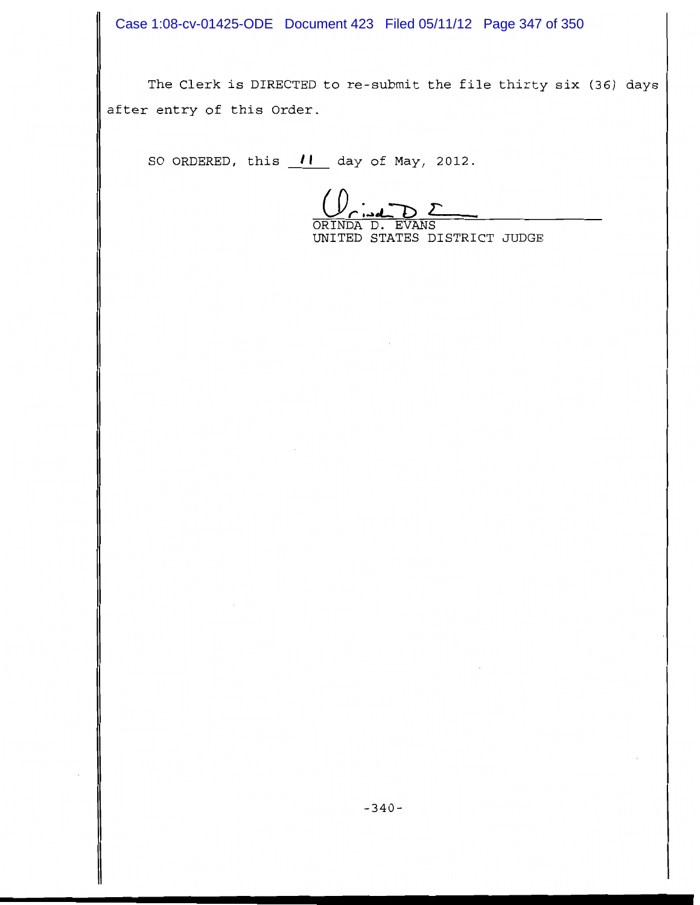Case 1:08-cv-01425-ODE Document 423 Filed 05/11/12 Page 347 of 350

The Clerk is DIRECTED to re-submit the file thirty six (36) days after entry of this Order.

SO ORDERED, this 11 day of May, 2012.

DΣ ORINDA D. EVANS

UNITED STATES DISTRICT JUDGE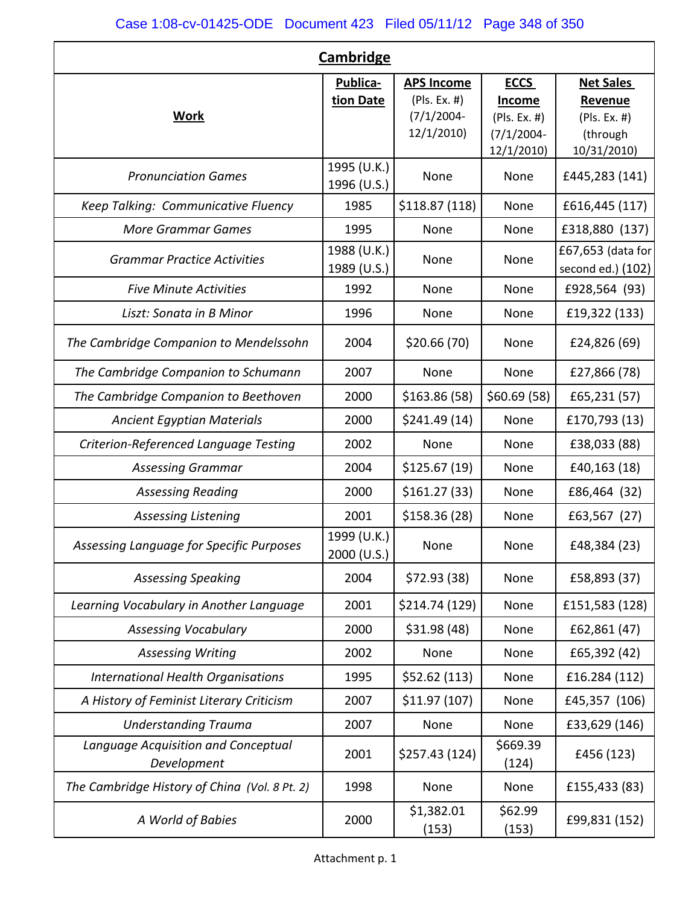| <b>Cambridge</b>                                   |                            |                                                    |                                              |                                             |  |  |  |  |
|----------------------------------------------------|----------------------------|----------------------------------------------------|----------------------------------------------|---------------------------------------------|--|--|--|--|
| <b>Work</b>                                        | Publica-<br>tion Date      | <b>APS Income</b><br>(PIs. Ex. #)<br>$(7/1/2004 -$ | <b>ECCS</b><br><b>Income</b><br>(PIs. Ex. #) | <b>Net Sales</b><br>Revenue<br>(Pls. Ex. #) |  |  |  |  |
|                                                    |                            | 12/1/2010)                                         | $(7/1/2004 -$<br>12/1/2010)                  | (through<br>10/31/2010)                     |  |  |  |  |
| <b>Pronunciation Games</b>                         | 1995 (U.K.)<br>1996 (U.S.) | None                                               | None                                         | £445,283 (141)                              |  |  |  |  |
| Keep Talking: Communicative Fluency                | 1985                       | \$118.87 (118)                                     | None                                         | £616,445 (117)                              |  |  |  |  |
| <b>More Grammar Games</b>                          | 1995                       | None                                               | None                                         | £318,880 (137)                              |  |  |  |  |
| <b>Grammar Practice Activities</b>                 | 1988 (U.K.)<br>1989 (U.S.) | None                                               | None                                         | £67,653 (data for<br>second ed.) (102)      |  |  |  |  |
| <b>Five Minute Activities</b>                      | 1992                       | None                                               | None                                         | £928,564 (93)                               |  |  |  |  |
| Liszt: Sonata in B Minor                           | 1996                       | None                                               | None                                         | £19,322 (133)                               |  |  |  |  |
| The Cambridge Companion to Mendelssohn             | 2004                       | \$20.66(70)                                        | None                                         | £24,826 (69)                                |  |  |  |  |
| The Cambridge Companion to Schumann                | 2007                       | None                                               | None                                         | £27,866 (78)                                |  |  |  |  |
| The Cambridge Companion to Beethoven               | 2000                       | \$163.86 (58)                                      | \$60.69(58)                                  | £65,231 (57)                                |  |  |  |  |
| <b>Ancient Egyptian Materials</b>                  | 2000                       | \$241.49(14)                                       | None                                         | £170,793 (13)                               |  |  |  |  |
| Criterion-Referenced Language Testing              | 2002                       | None                                               | None                                         | £38,033 (88)                                |  |  |  |  |
| <b>Assessing Grammar</b>                           | 2004                       | \$125.67(19)                                       | None                                         | £40,163 (18)                                |  |  |  |  |
| <b>Assessing Reading</b>                           | 2000                       | \$161.27(33)                                       | None                                         | £86,464 (32)                                |  |  |  |  |
| <b>Assessing Listening</b>                         | 2001                       | \$158.36(28)                                       | None                                         | £63,567 (27)                                |  |  |  |  |
| Assessing Language for Specific Purposes           | 1999 (U.K.)<br>2000 (U.S.) | None                                               | None                                         | £48,384 (23)                                |  |  |  |  |
| <b>Assessing Speaking</b>                          | 2004                       | \$72.93(38)                                        | None                                         | £58,893 (37)                                |  |  |  |  |
| Learning Vocabulary in Another Language            | 2001                       | \$214.74 (129)                                     | None                                         | £151,583 (128)                              |  |  |  |  |
| <b>Assessing Vocabulary</b>                        | 2000                       | \$31.98(48)                                        | None                                         | £62,861 (47)                                |  |  |  |  |
| <b>Assessing Writing</b>                           | 2002                       | None                                               | None                                         | £65,392 (42)                                |  |  |  |  |
| <b>International Health Organisations</b>          | 1995                       | \$52.62(113)                                       | None                                         | £16.284 (112)                               |  |  |  |  |
| A History of Feminist Literary Criticism           | 2007                       | \$11.97(107)                                       | None                                         | £45,357 (106)                               |  |  |  |  |
| <b>Understanding Trauma</b>                        | 2007                       | None                                               | None                                         | £33,629 (146)                               |  |  |  |  |
| Language Acquisition and Conceptual<br>Development | 2001                       | \$257.43 (124)                                     | \$669.39<br>(124)                            | £456 (123)                                  |  |  |  |  |
| The Cambridge History of China (Vol. 8 Pt. 2)      | 1998                       | None                                               | None                                         | £155,433 (83)                               |  |  |  |  |
| A World of Babies                                  | 2000                       | \$1,382.01<br>(153)                                | \$62.99<br>(153)                             | £99,831 (152)                               |  |  |  |  |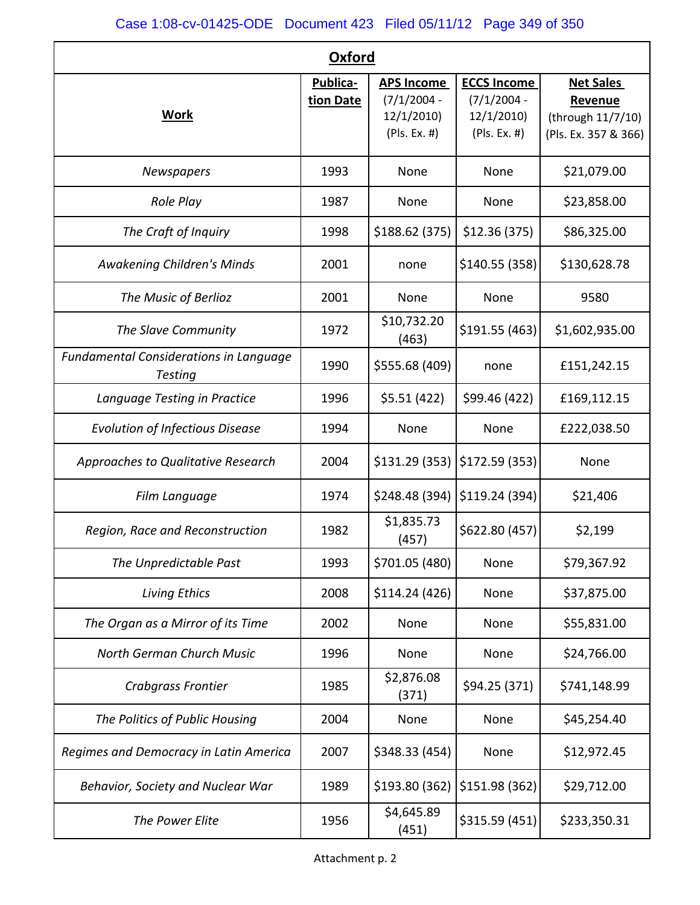| <b>Oxford</b>                                            |                       |                                                                  |                                                                  |                                                                          |  |  |  |  |  |
|----------------------------------------------------------|-----------------------|------------------------------------------------------------------|------------------------------------------------------------------|--------------------------------------------------------------------------|--|--|--|--|--|
| <b>Work</b>                                              | Publica-<br>tion Date | <b>APS Income</b><br>$(7/1/2004 -$<br>12/1/2010)<br>(PIs. Ex. #) | <b>ECCS Income</b><br>$(7/1/2004 -$<br>12/1/2010<br>(PIs. Ex. #) | <b>Net Sales</b><br>Revenue<br>(through 11/7/10)<br>(Pls. Ex. 357 & 366) |  |  |  |  |  |
| Newspapers                                               | 1993                  | None                                                             | None                                                             | \$21,079.00                                                              |  |  |  |  |  |
| Role Play                                                | 1987                  | None                                                             | <b>None</b>                                                      | \$23,858.00                                                              |  |  |  |  |  |
| The Craft of Inquiry                                     | 1998                  | \$188.62 (375)                                                   | \$12.36(375)                                                     | \$86,325.00                                                              |  |  |  |  |  |
| <b>Awakening Children's Minds</b>                        | 2001                  | none                                                             | \$140.55(358)                                                    | \$130,628.78                                                             |  |  |  |  |  |
| The Music of Berlioz                                     | 2001                  | None                                                             | None                                                             | 9580                                                                     |  |  |  |  |  |
| The Slave Community                                      | 1972                  | \$10,732.20<br>(463)                                             | \$191.55 (463)                                                   | \$1,602,935.00                                                           |  |  |  |  |  |
| <b>Fundamental Considerations in Language</b><br>Testing | 1990                  | \$555.68 (409)                                                   | none                                                             | £151,242.15                                                              |  |  |  |  |  |
| Language Testing in Practice                             | 1996                  | \$5.51(422)                                                      | \$99.46 (422)                                                    | £169,112.15                                                              |  |  |  |  |  |
| <b>Evolution of Infectious Disease</b>                   | 1994                  | None                                                             | None                                                             | £222,038.50                                                              |  |  |  |  |  |
| Approaches to Qualitative Research                       | 2004                  | \$131.29(353)                                                    | \$172.59(353)                                                    | None                                                                     |  |  |  |  |  |
| Film Language                                            | 1974                  | \$248.48 (394)                                                   | \$119.24 (394)                                                   | \$21,406                                                                 |  |  |  |  |  |
| Region, Race and Reconstruction                          | 1982                  | \$1,835.73<br>(457)                                              | \$622.80 (457)                                                   | \$2,199                                                                  |  |  |  |  |  |
| The Unpredictable Past                                   | 1993                  | \$701.05 (480)                                                   | None                                                             | \$79,367.92                                                              |  |  |  |  |  |
| <b>Living Ethics</b>                                     | 2008                  | \$114.24 (426)                                                   | None                                                             | \$37,875.00                                                              |  |  |  |  |  |
| The Organ as a Mirror of its Time                        | 2002                  | None                                                             | None                                                             | \$55,831.00                                                              |  |  |  |  |  |
| North German Church Music                                | 1996                  | None                                                             | None                                                             | \$24,766.00                                                              |  |  |  |  |  |
| Crabgrass Frontier                                       | 1985                  | \$2,876.08<br>(371)                                              | \$94.25 (371)                                                    | \$741,148.99                                                             |  |  |  |  |  |
| The Politics of Public Housing                           | 2004                  | None                                                             | None                                                             | \$45,254.40                                                              |  |  |  |  |  |
| Regimes and Democracy in Latin America                   | 2007                  | \$348.33 (454)                                                   | None                                                             | \$12,972.45                                                              |  |  |  |  |  |
| Behavior, Society and Nuclear War                        | 1989                  | \$193.80 (362)                                                   | \$151.98 (362)                                                   | \$29,712.00                                                              |  |  |  |  |  |
| The Power Elite                                          | 1956                  | \$4,645.89<br>(451)                                              | \$315.59 (451)                                                   | \$233,350.31                                                             |  |  |  |  |  |